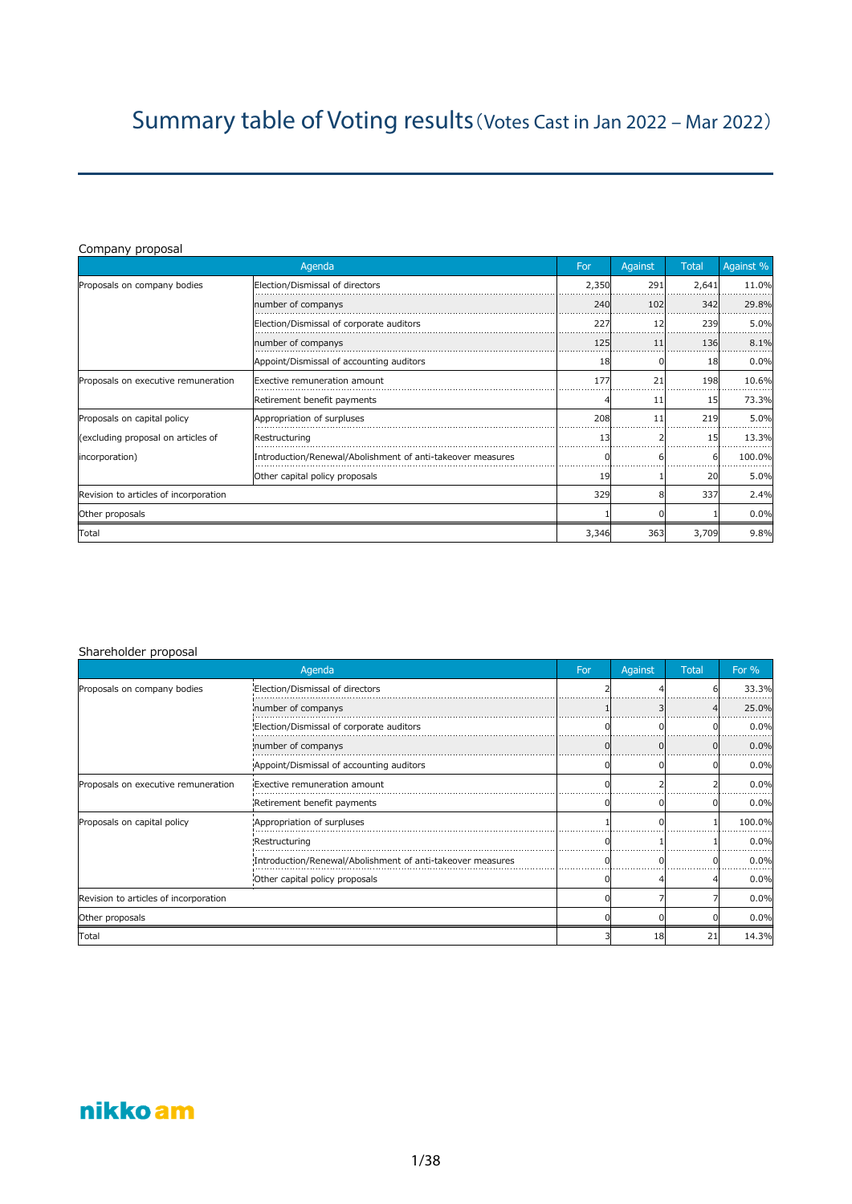# Company proposal

|                                       | Agenda                                                     | For   | Against | <b>Total</b> | Against % |
|---------------------------------------|------------------------------------------------------------|-------|---------|--------------|-----------|
| Proposals on company bodies           | Election/Dismissal of directors                            | 2,350 | 291     | 2,641        | 11.0%     |
|                                       | number of companys                                         | 240   | 102     | 342          | 29.8%     |
|                                       | Election/Dismissal of corporate auditors                   | 227   | 12      | 239          | 5.0%      |
|                                       | number of companys                                         | 125   | 11      | 136          | 8.1%      |
|                                       | Appoint/Dismissal of accounting auditors                   | 18    |         | 18           | 0.0%      |
| Proposals on executive remuneration   | Exective remuneration amount                               | 177   | 21      | 198          | 10.6%     |
|                                       | Retirement benefit payments                                |       | 11      | 15           | 73.3%     |
| Proposals on capital policy           | Appropriation of surpluses                                 | 208   | 11      | 219          | 5.0%      |
| (excluding proposal on articles of    | Restructuring                                              | 13    |         | 15           | 13.3%     |
| (incorporation)                       | Introduction/Renewal/Abolishment of anti-takeover measures |       |         |              | 100.0%    |
|                                       | Other capital policy proposals                             | 19    |         | 20           | 5.0%      |
| Revision to articles of incorporation |                                                            | 329   | 8       | 337          | 2.4%      |
| Other proposals                       |                                                            |       |         |              | 0.0%      |
| Total                                 |                                                            | 3,346 | 363     | 3,709        | 9.8%      |

# Shareholder proposal

|                                       | Agenda                                                     | For | Against | <b>Total</b> | For $%$ |
|---------------------------------------|------------------------------------------------------------|-----|---------|--------------|---------|
| Proposals on company bodies           | Election/Dismissal of directors                            |     |         |              | 33.3%   |
|                                       | number of companys                                         |     |         |              | 25.0%   |
|                                       | Election/Dismissal of corporate auditors                   |     |         |              | 0.0%    |
|                                       | number of companys                                         |     |         |              | 0.0%    |
|                                       | Appoint/Dismissal of accounting auditors                   |     |         |              | 0.0%    |
| Proposals on executive remuneration   | Exective remuneration amount                               |     |         |              | 0.0%    |
|                                       | Retirement benefit payments                                |     |         |              | 0.0%    |
| Proposals on capital policy           | Appropriation of surpluses                                 |     |         |              | 100.0%  |
|                                       | Restructuring!                                             |     |         |              | 0.0%    |
|                                       | Introduction/Renewal/Abolishment of anti-takeover measures |     |         |              | 0.0%    |
|                                       | Other capital policy proposals                             |     |         |              | 0.0%    |
| Revision to articles of incorporation |                                                            |     |         |              | 0.0%    |
| Other proposals                       |                                                            |     |         |              | 0.0%    |
| Total                                 |                                                            |     | 18      | 21           | 14.3%   |

# nikko am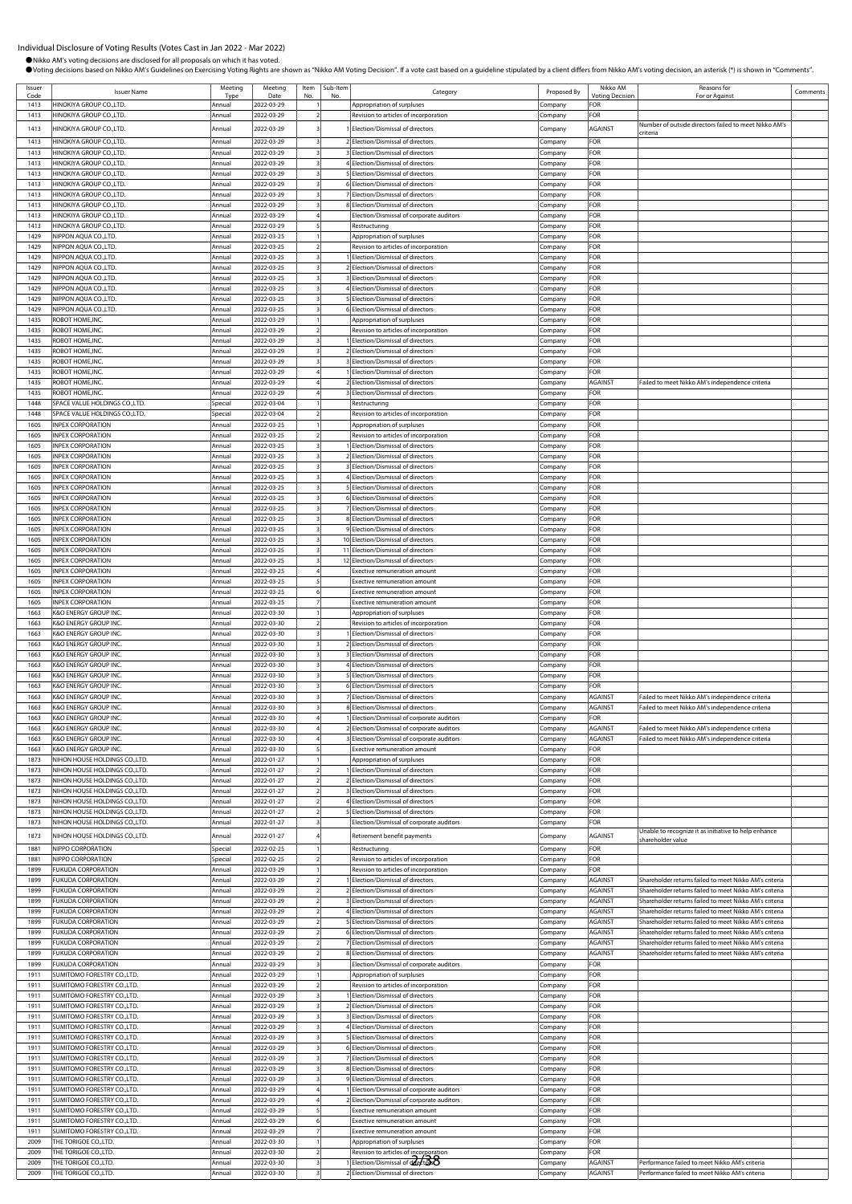| Issuer<br>Code | <b>Issuer Name</b>                                               | Meeting<br>Type  | Meeting<br>Date          | Item<br>No. | Sub-Item<br>No | Category                                                                   | Proposed By         | Nikko AM<br><b>Voting Decision</b> | Reasons for<br>For or Against                                                                                    | Comments |
|----------------|------------------------------------------------------------------|------------------|--------------------------|-------------|----------------|----------------------------------------------------------------------------|---------------------|------------------------------------|------------------------------------------------------------------------------------------------------------------|----------|
| 1413           | HINOKIYA GROUP CO.,LTD.                                          | Annual           | 2022-03-29               |             |                | Appropriation of surpluses                                                 | Company             | FOR                                |                                                                                                                  |          |
| 1413           | HINOKIYA GROUP CO.,LTD.                                          | Annual           | 2022-03-29               |             |                | Revision to articles of incorporation                                      | Company             | FOR                                |                                                                                                                  |          |
| 1413           | HINOKIYA GROUP CO.,LTD.                                          | Annual           | 2022-03-29               |             |                | Election/Dismissal of directors                                            | Company             | AGAINST                            | Number of outside directors failed to meet Nikko AM's<br>:riteria                                                |          |
| 1413           | HINOKIYA GROUP CO.,LTD.                                          | Annual           | 2022-03-29               |             |                | 2 Election/Dismissal of directors                                          | .cmpany             | FOR                                |                                                                                                                  |          |
| 1413           | HINOKIYA GROUP CO.,LTD.                                          | Annual           | 2022-03-29               |             |                | 3 Election/Dismissal of directors                                          | ompany.             | FOR                                |                                                                                                                  |          |
| 1413<br>1413   | HINOKIYA GROUP CO.,LTD.<br>HINOKIYA GROUP CO.,LTD.               | Annual<br>Annual | 2022-03-29<br>2022-03-29 |             |                | 4 Election/Dismissal of directors<br>5 Election/Dismissal of directors     | Company<br>Company  | FOR<br>FOR                         |                                                                                                                  |          |
| 1413           | HINOKIYA GROUP CO.,LTD.                                          | Annua            | 2022-03-29               |             |                | 6 Election/Dismissal of directors                                          | Company             | FOR                                |                                                                                                                  |          |
| 1413           | HINOKIYA GROUP CO.,LTD.                                          | Annual           | 2022-03-29               |             |                | 7 Election/Dismissal of directors                                          | ompany.             | FOR                                |                                                                                                                  |          |
| 1413           | HINOKIYA GROUP CO.,LTD.                                          | Annual           | 2022-03-29               |             |                | 8 Election/Dismissal of directors                                          | ompany.             | FOR                                |                                                                                                                  |          |
| 1413<br>1413   | HINOKIYA GROUP CO., LTD.<br>HINOKIYA GROUP CO., LTD.             | Annual<br>Annual | 2022-03-29<br>2022-03-29 |             |                | Election/Dismissal of corporate auditors<br>Restructuring                  | ompany.<br>ompany.  | FOR<br>FOR                         |                                                                                                                  |          |
| 1429           | <b>NIPPON AOUA CO.,LTD.</b>                                      | Annual           | 2022-03-25               |             |                | Appropriation of surpluses                                                 | ompany              | FOR                                |                                                                                                                  |          |
| 1429           | <b>NIPPON AQUA CO.,LTD.</b>                                      | Annual           | 2022-03-25               |             |                | Revision to articles of incorporation                                      | ompany.             | FOR                                |                                                                                                                  |          |
| 1429           | NIPPON AQUA CO., LTD.                                            | Annual           | 2022-03-25               |             |                | I Election/Dismissal of directors                                          | Company             | FOR                                |                                                                                                                  |          |
| 1429<br>1429   | NIPPON AQUA CO.,LTD.<br>NIPPON AQUA CO.,LTD.                     | Annua<br>Annual  | 2022-03-25<br>2022-03-25 |             |                | 2 Election/Dismissal of directors<br>3 Election/Dismissal of directors     | Company<br>ompany.  | FOR<br>FOR                         |                                                                                                                  |          |
| 1429           | NIPPON AQUA CO.,LTD.                                             | Annual           | 2022-03-25               |             |                | 4 Election/Dismissal of directors                                          | ompany.             | FOR                                |                                                                                                                  |          |
| 1429           | NIPPON AQUA CO., LTD.                                            | Annual           | 2022-03-25               |             |                | 5 Election/Dismissal of directors                                          | .cmpany             | FOR                                |                                                                                                                  |          |
| 1429<br>1435   | NIPPON AQUA CO., LTD.<br>ROBOT HOME, INC.                        | Annual<br>Annual | 2022-03-25<br>2022-03-29 |             |                | 6 Election/Dismissal of directors                                          | .cmpany             | FOR<br>FOR                         |                                                                                                                  |          |
| 1435           | ROBOT HOME, INC.                                                 | Annual           | 2022-03-29               |             |                | Appropriation of surpluses<br>Revision to articles of incorporation        | ompany.<br>ompany   | FOR                                |                                                                                                                  |          |
| 1435           | ROBOT HOME, INC                                                  | Annua            | 2022-03-29               |             |                | 1 Election/Dismissal of directors                                          | Company             | FOR                                |                                                                                                                  |          |
| 1435           | ROBOT HOME, INC.                                                 | Annual           | 2022-03-29               |             |                | 2 Election/Dismissal of directors                                          | Company             | FOR                                |                                                                                                                  |          |
| 1435<br>1435   | ROBOT HOME, INC.<br>ROBOT HOME, INC.                             | Annual           | 2022-03-29<br>2022-03-29 |             |                | 3 Election/Dismissal of directors<br>1 Election/Dismissal of directors     | .cmpany             | FOR<br>FOR                         |                                                                                                                  |          |
| 1435           | ROBOT HOME, INC.                                                 | Annual<br>Annual | 2022-03-29               |             |                | 2 Election/Dismissal of directors                                          | ompany.<br>ompany   | <b>AGAINST</b>                     | Failed to meet Nikko AM's independence criteria                                                                  |          |
| 1435           | ROBOT HOME, INC.                                                 | Annua            | 2022-03-29               |             |                | 3 Election/Dismissal of directors                                          | .cmpany             | FOR                                |                                                                                                                  |          |
| 1448           | SPACE VALUE HOLDINGS CO., LTD.                                   | Special          | 2022-03-04               |             |                | Restructuring                                                              | ompany              | FOR                                |                                                                                                                  |          |
| 1448           | SPACE VALUE HOLDINGS CO.,LTD.                                    | Special          | 2022-03-04               |             |                | Revision to articles of incorporation                                      | ompany.             | FOR                                |                                                                                                                  |          |
| 1605<br>1605   | <b>NPEX CORPORATION</b><br><b>INPEX CORPORATION</b>              | Annual<br>Annual | 2022-03-25<br>2022-03-25 |             |                | Appropriation of surpluses<br>Revision to articles of incorporation        | ompany.<br>ompany   | FOR<br>FOR                         |                                                                                                                  |          |
| 1605           | <b>NPEX CORPORATION</b>                                          | Annual           | 2022-03-25               |             |                | Election/Dismissal of directors                                            | Company             | FOR                                |                                                                                                                  |          |
| 1605           | <b>INPEX CORPORATION</b>                                         | Annual           | 2022-03-25               |             |                | 2 Election/Dismissal of directors                                          | .cmpany             | FOR                                |                                                                                                                  |          |
| 1605           | <b>NPEX CORPORATION</b>                                          | Annual           | 2022-03-25               |             |                | 3 Election/Dismissal of directors                                          | ompany.             | FOR                                |                                                                                                                  |          |
| 1605<br>1605   | <b>INPEX CORPORATION</b><br><b>INPEX CORPORATION</b>             | Annual<br>Annual | 2022-03-25<br>2022-03-25 |             |                | 4 Election/Dismissal of directors<br>5 Election/Dismissal of directors     | ompany.             | FOR<br>FOR                         |                                                                                                                  |          |
| 1605           | <b>NPEX CORPORATION</b>                                          | Annual           | 2022-03-25               |             |                | 6 Election/Dismissal of directors                                          | .cmpany<br>ompany.  | FOR                                |                                                                                                                  |          |
| 1605           | <b>NPEX CORPORATION</b>                                          | Annual           | 2022-03-25               |             |                | 7 Election/Dismissal of directors                                          | Company             | FOR                                |                                                                                                                  |          |
| 1605           | <b>INPEX CORPORATION</b>                                         | Annual           | 2022-03-25               |             |                | 8 Election/Dismissal of directors                                          | Company             | FOR                                |                                                                                                                  |          |
| 1605<br>1605   | <b>INPEX CORPORATION</b><br><b>INPEX CORPORATION</b>             | Annual<br>Annual | 2022-03-25<br>2022-03-25 |             |                | 9 Election/Dismissal of directors<br>10 Election/Dismissal of directors    | ompany<br>Company   | FOR<br>FOR                         |                                                                                                                  |          |
| 1605           | <b>NPEX CORPORATION</b>                                          | Annual           | 2022-03-25               |             |                | 11 Election/Dismissal of directors                                         | .cmpany             | FOR                                |                                                                                                                  |          |
| 1605           | <b>INPEX CORPORATION</b>                                         | Annua            | 2022-03-25               |             |                | 12 Election/Dismissal of directors                                         | ompany.             | FOR                                |                                                                                                                  |          |
| 1605           | <b>INPEX CORPORATION</b>                                         | Annual           | 2022-03-25               |             |                | Exective remuneration amount                                               | ompany.             | FOR                                |                                                                                                                  |          |
| 1605<br>1605   | <b>INPEX CORPORATION</b><br><b>INPEX CORPORATION</b>             | Annual<br>Annual | 2022-03-25<br>2022-03-25 |             |                | <b>Exective remuneration amount</b><br><b>Exective remuneration amount</b> | .cmpany             | FOR<br>FOR                         |                                                                                                                  |          |
| 1605           | <b>INPEX CORPORATION</b>                                         | Annual           | 2022-03-25               |             |                | <b>Exective remuneration amount</b>                                        | ompany<br>Company   | FOR                                |                                                                                                                  |          |
| 1663           | <b>K&amp;O ENERGY GROUP INC</b>                                  | Annual           | 2022-03-30               |             |                | Appropriation of surpluses                                                 | Company             | FOR                                |                                                                                                                  |          |
| 1663           | <b>K&amp;O ENERGY GROUP INC.</b>                                 | Annual           | 2022-03-30               |             |                | Revision to articles of incorporation                                      | ompany              | FOR                                |                                                                                                                  |          |
| 1663           | K&O ENERGY GROUP INC.                                            | Annual           | 2022-03-30               |             |                | 1 Election/Dismissal of directors                                          | ompany.             | FOR                                |                                                                                                                  |          |
| 1663<br>1663   | K&O ENERGY GROUP INC.<br>K&O ENERGY GROUP INC.                   | Annual<br>Annua  | 2022-03-30<br>2022-03-30 |             |                | 2 Election/Dismissal of directors<br>3 Election/Dismissal of directors     | .cmpany<br>ompany.  | FOR<br>FOR                         |                                                                                                                  |          |
| 1663           | K&O ENERGY GROUP INC.                                            | Annual           | 2022-03-30               |             |                | 4 Election/Dismissal of directors                                          | ompany.             | FOR                                |                                                                                                                  |          |
| 1663           | K&O ENERGY GROUP INC.                                            | Annual           | 2022-03-30               |             |                | 5 Election/Dismissal of directors                                          | ompany.             | FOR                                |                                                                                                                  |          |
| 1663           | K&O ENERGY GROUP INC.                                            | Annual           | 2022-03-30               |             |                | 6 Election/Dismissal of directors                                          | Company             | FOR                                |                                                                                                                  |          |
| 1663<br>1663   | <b>K&amp;O ENERGY GROUP INC</b><br>K&O ENERGY GROUP INC.         | Annua<br>Annua   | 2022-03-30<br>2022-03-30 |             |                | 7 Election/Dismissal of directors<br>8 Election/Dismissal of directors     | ompany<br>ompany    | <b>AGAINST</b><br>AGAINST          | Failed to meet Nikko AM's independence criteria<br>Failed to meet Nikko AM's independence criteria               |          |
| 1663           | K&O ENERGY GROUP INC.                                            | Annual           | 2022-03-30               |             |                | 1 Election/Dismissal of corporate auditors                                 | Company             | FOR                                |                                                                                                                  |          |
| 1663           | K&O ENERGY GROUP INC.                                            | Annual           | 2022-03-30               |             |                | 2 Election/Dismissal of corporate auditors                                 | Company             | <b>AGAINST</b>                     | Failed to meet Nikko AM's independence criteria                                                                  |          |
| 1663           | K&O ENERGY GROUP INC.                                            | Annual           | 2022-03-30               |             |                | 3 Election/Dismissal of corporate auditors                                 | .cmpany             | AGAINST                            | Failed to meet Nikko AM's independence criteria                                                                  |          |
| 1663<br>1873   | K&O ENERGY GROUP INC.<br>NIHON HOUSE HOLDINGS CO., LTD.          | Annual<br>Annual | 2022-03-30<br>2022-01-27 |             |                | Exective remuneration amount<br>Appropriation of surpluses                 | .cmpany<br>Company  | <b>FOR</b><br>FOR                  |                                                                                                                  |          |
| 1873           | NIHON HOUSE HOLDINGS CO., LTD.                                   | Annual           | 2022-01-27               | 2           |                | 1 Election/Dismissal of directors                                          | ompany.             | FOR                                |                                                                                                                  |          |
| 1873           | NIHON HOUSE HOLDINGS CO., LTD.                                   | Annual           | 2022-01-27               |             |                | 2 Election/Dismissal of directors                                          | Company             | FOR                                |                                                                                                                  |          |
| 1873           | NIHON HOUSE HOLDINGS CO., LTD.                                   | Annual           | 2022-01-27               |             |                | 3 Election/Dismissal of directors                                          | Company             | FOR                                |                                                                                                                  |          |
| 1873<br>1873   | NIHON HOUSE HOLDINGS CO., LTD.<br>NIHON HOUSE HOLDINGS CO., LTD. | Annual<br>Annual | 2022-01-27<br>2022-01-27 |             |                | 4 Election/Dismissal of directors<br>5 Election/Dismissal of directors     | Company<br>ompany.  | FOR<br>FOR                         |                                                                                                                  |          |
| 1873           | NIHON HOUSE HOLDINGS CO., LTD.                                   | Annual           | 2022-01-27               |             |                | Election/Dismissal of corporate auditors                                   | .cmpany             | FOR                                |                                                                                                                  |          |
| 1873           | NIHON HOUSE HOLDINGS CO., LTD.                                   | Annual           | 2022-01-27               |             |                | Retirement benefit payments                                                | .cmpany             | AGAINST                            | Unable to recognize it as initiative to help enhance                                                             |          |
| 1881           | NIPPO CORPORATION                                                | Special          | 2022-02-25               |             |                | Restructuring                                                              | Company             | FOR                                | hareholder value                                                                                                 |          |
| 1881           | NIPPO CORPORATION                                                | Special          | 2022-02-25               |             |                | Revision to articles of incorporation                                      | Company             | FOR                                |                                                                                                                  |          |
| 1899           | UKUDA CORPORATION                                                | Annual           | 2022-03-29               |             |                | Revision to articles of incorporation                                      | ompany              | FOR                                |                                                                                                                  |          |
| 1899<br>1899   | <b>FUKUDA CORPORATION</b><br><b>FUKUDA CORPORATION</b>           | Annual<br>Annual | 2022-03-29<br>2022-03-29 |             |                | Election/Dismissal of directors<br>2 Election/Dismissal of directors       | ompany.<br>Company  | <b>AGAINST</b><br>AGAINST          | Shareholder returns failed to meet Nikko AM's criteria<br>Shareholder returns failed to meet Nikko AM's criteria |          |
| 1899           | <b>FUKUDA CORPORATION</b>                                        | Annual           | 2022-03-29               |             |                | 3 Election/Dismissal of directors                                          | company.            | AGAINST                            | Shareholder returns failed to meet Nikko AM's criteria                                                           |          |
| 1899           | <b>FUKUDA CORPORATION</b>                                        | Annual           | 2022-03-29               |             |                | 4 Election/Dismissal of directors                                          | .cmpany             | AGAINST                            | Shareholder returns failed to meet Nikko AM's criteria                                                           |          |
| 1899           | UKUDA CORPORATION                                                | Annual           | 2022-03-29               |             |                | 5 Election/Dismissal of directors                                          | Company             | AGAINST                            | Shareholder returns failed to meet Nikko AM's criteria                                                           |          |
| 1899<br>1899   | <b>FUKUDA CORPORATION</b><br><b>FUKUDA CORPORATION</b>           | Annual<br>Annual | 2022-03-29<br>2022-03-29 |             |                | 6 Election/Dismissal of directors<br>7 Election/Dismissal of directors     | Company<br>Company  | <b>AGAINST</b><br><b>AGAINST</b>   | Shareholder returns failed to meet Nikko AM's criteria<br>Shareholder returns failed to meet Nikko AM's criteria |          |
| 1899           | <b>FUKUDA CORPORATION</b>                                        | Annual           | 2022-03-29               |             |                | 8 Election/Dismissal of directors                                          | Company             | <b>AGAINST</b>                     | Shareholder returns failed to meet Nikko AM's criteria                                                           |          |
| 1899           | <b>FUKUDA CORPORATION</b>                                        | Annual           | 2022-03-29               |             |                | Election/Dismissal of corporate auditors                                   | :ompany             | FOR                                |                                                                                                                  |          |
| 1911           | SUMITOMO FORESTRY CO., LTD.                                      | Annual           | 2022-03-29               |             |                | Appropriation of surpluses                                                 | company.            | FOR                                |                                                                                                                  |          |
| 1911<br>1911   | SUMITOMO FORESTRY CO.,LTD.<br>SUMITOMO FORESTRY CO.,LTD.         | Annual<br>Annual | 2022-03-29<br>2022-03-29 |             |                | Revision to articles of incorporation<br>1 Election/Dismissal of directors | .cmpany<br>Company  | FOR<br>FOR                         |                                                                                                                  |          |
| 1911           | SUMITOMO FORESTRY CO.,LTD.                                       | Annual           | 2022-03-29               |             |                | 2 Election/Dismissal of directors                                          | ompany.             | FOR                                |                                                                                                                  |          |
| 1911           | SUMITOMO FORESTRY CO.,LTD.                                       | Annual           | 2022-03-29               |             |                | 3 Election/Dismissal of directors                                          | Company             | FOR                                |                                                                                                                  |          |
| 1911           | SUMITOMO FORESTRY CO.,LTD.                                       | Annual           | 2022-03-29               |             |                | 4 Election/Dismissal of directors                                          | Company             | FOR                                |                                                                                                                  |          |
| 1911<br>1911   | <b>SUMITOMO FORESTRY CO.,LTD.</b><br>SUMITOMO FORESTRY CO.,LTD.  | Annual           | 2022-03-29<br>2022-03-29 |             |                | 5 Election/Dismissal of directors                                          | Company             | FOR<br>FOR                         |                                                                                                                  |          |
| 1911           | SUMITOMO FORESTRY CO.,LTD.                                       | Annual<br>Annual | 2022-03-29               |             |                | 6 Election/Dismissal of directors<br>7 Election/Dismissal of directors     | Company<br>company. | FOR                                |                                                                                                                  |          |
| 1911           | SUMITOMO FORESTRY CO.,LTD.                                       | Annual           | 2022-03-29               |             |                | 8 Election/Dismissal of directors                                          | company.            | FOR                                |                                                                                                                  |          |
| 1911           | SUMITOMO FORESTRY CO.,LTD.                                       | Annual           | 2022-03-29               |             |                | 9 Election/Dismissal of directors                                          | .cmpany             | FOR                                |                                                                                                                  |          |
| 1911           | SUMITOMO FORESTRY CO., LTD.                                      | Annual           | 2022-03-29               |             |                | 1 Election/Dismissal of corporate auditors                                 | Company             | FOR                                |                                                                                                                  |          |
| 1911<br>1911   | SUMITOMO FORESTRY CO.,LTD.<br>SUMITOMO FORESTRY CO.,LTD.         | Annual<br>Annual | 2022-03-29<br>2022-03-29 |             |                | 2 Election/Dismissal of corporate auditors<br>Exective remuneration amount | ompany<br>Company   | FOR<br>FOR                         |                                                                                                                  |          |
| 1911           | SUMITOMO FORESTRY CO.,LTD.                                       | Annual           | 2022-03-29               | 6           |                | Exective remuneration amount                                               | Company             | FOR                                |                                                                                                                  |          |
| 1911           | SUMITOMO FORESTRY CO.,LTD.                                       | Annual           | 2022-03-29               |             |                | Exective remuneration amount                                               | Company             | FOR                                |                                                                                                                  |          |
| 2009           | THE TORIGOE CO., LTD.                                            | Annual           | 2022-03-30               |             |                | Appropriation of surpluses                                                 | Company             | FOR                                |                                                                                                                  |          |
| 2009<br>2009   | THE TORIGOE CO., LTD.<br>THE TORIGOE CO., LTD.                   | Annual<br>Annual | 2022-03-30<br>2022-03-30 |             |                | Revision to articles of incorporation<br>Election/Dismissal of deet 50     | .cmpany<br>Company  | <b>FOR</b><br>AGAINST              | Performance failed to meet Nikko AM's criteria                                                                   |          |
| 2009           | THE TORIGOE CO., LTD.                                            | Annual           | 2022-03-30               |             |                | 2 Election/Dismissal of directors                                          | Company             | AGAINST                            | Performance failed to meet Nikko AM's criteria                                                                   |          |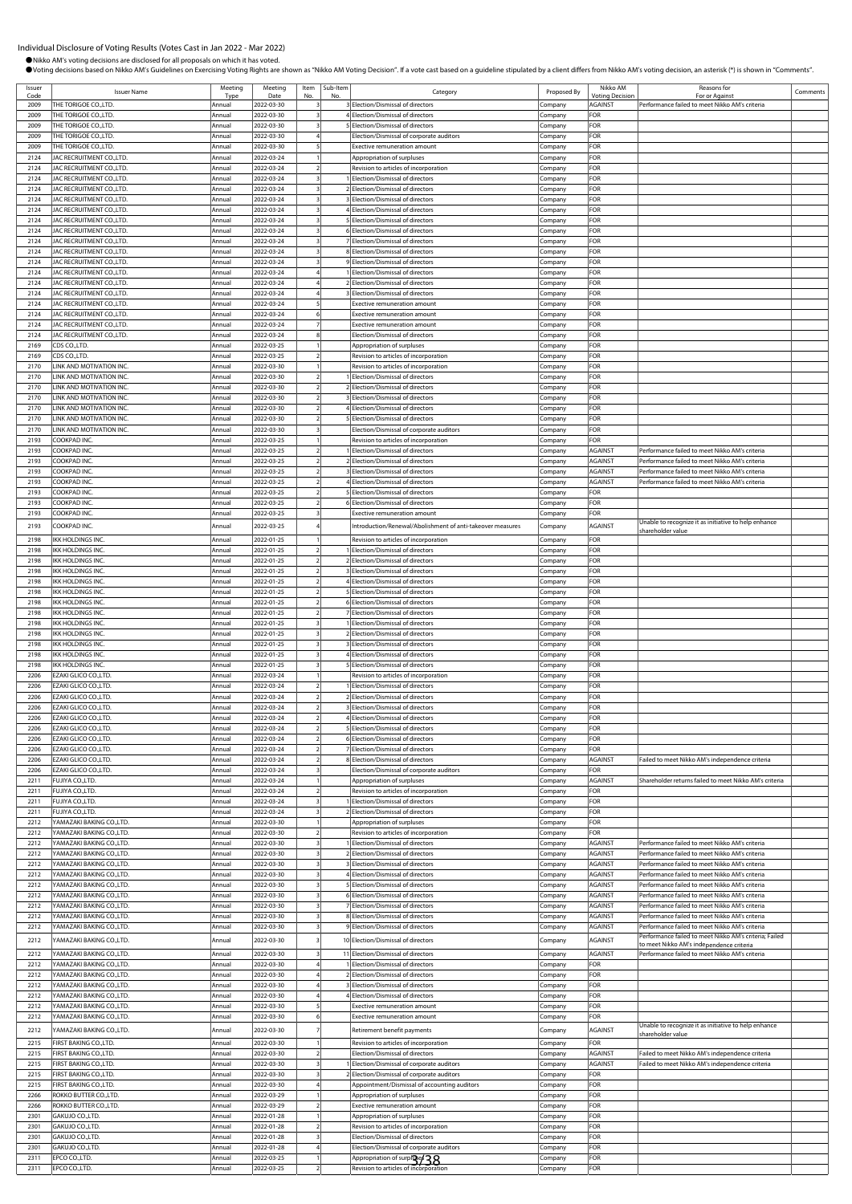| Issuer       | <b>Issuer Name</b>                                     | Meeting          | Meeting                  | Item | Sub-Item | Category                                                                   | Proposed By         | Nikko AM                                 | Reasons for                                                                                              | Comments |
|--------------|--------------------------------------------------------|------------------|--------------------------|------|----------|----------------------------------------------------------------------------|---------------------|------------------------------------------|----------------------------------------------------------------------------------------------------------|----------|
| Code<br>2009 | THE TORIGOE CO.,LTD.                                   | Typ<br>Annual    | Date<br>2022-03-30       |      |          | 3 Election/Dismissal of directors                                          | Company             | <b>/oting Decision</b><br><b>AGAINST</b> | For or Against<br>Performance failed to meet Nikko AM's criteria                                         |          |
| 2009         | THE TORIGOE CO., LTD.                                  | Annual           | 2022-03-30               |      |          | 4 Election/Dismissal of directors                                          | .ompany             | FOR                                      |                                                                                                          |          |
| 2009         | THE TORIGOE CO., LTD.                                  | Annual           | 2022-03-30               |      |          | 5 Election/Dismissal of directors                                          | Company             | FOR                                      |                                                                                                          |          |
| 2009         | THE TORIGOE CO., LTD.                                  | Annua            | 2022-03-30               |      |          | Election/Dismissal of corporate auditors                                   | ompany:             | FOR                                      |                                                                                                          |          |
| 2009         | THE TORIGOE CO., LTD.                                  | Annual           | 2022-03-30               |      |          | <b>Exective remuneration amount</b>                                        | .<br>ompany         | FOR                                      |                                                                                                          |          |
| 2124         | JAC RECRUITMENT CO., LTD.                              | Annual           | 2022-03-24               |      |          | Appropriation of surpluses                                                 | ompany.             | FOR                                      |                                                                                                          |          |
| 2124<br>2124 | JAC RECRUITMENT CO.,LTD.<br>JAC RECRUITMENT CO., LTD.  | Annua<br>Annual  | 2022-03-24<br>2022-03-24 |      |          | Revision to articles of incorporation<br>Election/Dismissal of directors   | .ompany<br>Company  | FOR<br>FOR                               |                                                                                                          |          |
| 2124         | JAC RECRUITMENT CO., LTD                               | Annua            | 2022-03-24               |      |          | 2 Election/Dismissal of directors                                          | .ompany             | FOR                                      |                                                                                                          |          |
| 2124         | JAC RECRUITMENT CO.,LTD.                               | Annual           | 2022-03-24               |      |          | <b>BElection/Dismissal of directors</b>                                    | :ompany             | FOR                                      |                                                                                                          |          |
| 2124         | JAC RECRUITMENT CO., LTD                               | Annua            | 2022-03-24               |      |          | 4 Election/Dismissal of directors                                          | .ompany             | FOR                                      |                                                                                                          |          |
| 2124         | JAC RECRUITMENT CO., LTD.                              | Annual           | 2022-03-24               |      |          | 5 Election/Dismissal of directors                                          | Company             | FOR                                      |                                                                                                          |          |
| 2124         | JAC RECRUITMENT CO., LTD                               | Annua            | 2022-03-24               |      |          | 6 Election/Dismissal of directors                                          | Company             | FOR                                      |                                                                                                          |          |
| 2124<br>2124 | JAC RECRUITMENT CO.,LTD<br>JAC RECRUITMENT CO.,LTD     | Annua<br>Annual  | 2022-03-24<br>2022-03-24 |      |          | 7 Election/Dismissal of directors<br>8 Election/Dismissal of directors     | ompany              | FOR<br>FOR                               |                                                                                                          |          |
| 2124         | JAC RECRUITMENT CO., LTD                               | Annua            | 2022-03-24               |      |          | 9 Flection/Dismissal of directors                                          | .ompany<br>Company  | FOR                                      |                                                                                                          |          |
| 2124         | JAC RECRUITMENT CO., LTD.                              | Annua            | 2022-03-24               |      |          | Election/Dismissal of directors                                            | Company             | FOR                                      |                                                                                                          |          |
| 2124         | JAC RECRUITMENT CO., LTD.                              | Annua            | 2022-03-24               |      |          | 2 Election/Dismissal of directors                                          | :ompany             | FOR                                      |                                                                                                          |          |
| 2124         | JAC RECRUITMENT CO.,LTD.                               | Annual           | 2022-03-24               |      |          | 3 Election/Dismissal of directors                                          | Company             | FOR                                      |                                                                                                          |          |
| 2124         | JAC RECRUITMENT CO., LTD                               | Annua            | 2022-03-24               |      |          | <b>Exective remuneration amount</b>                                        | Company             | FOR                                      |                                                                                                          |          |
| 2124<br>2124 | JAC RECRUITMENT CO., LTD.                              | Annua            | 2022-03-24<br>2022-03-24 |      |          | Exective remuneration amount                                               | Company             | FOR<br>FOR                               |                                                                                                          |          |
| 2124         | JAC RECRUITMENT CO., LTD.<br>JAC RECRUITMENT CO., LTD. | Annual<br>Annua  | 2022-03-24               |      |          | Exective remuneration amount<br>Election/Dismissal of directors            | .ompany<br>.ompany  | FOR                                      |                                                                                                          |          |
| 2169         | CDS CO.,LTD.                                           | Annua            | 2022-03-25               |      |          | Appropriation of surpluses                                                 | .ompany             | FOR                                      |                                                                                                          |          |
| 2169         | CDS CO.,LTD.                                           | Annua            | 2022-03-25               |      |          | Revision to articles of incorporation                                      | .ompany             | FOR                                      |                                                                                                          |          |
| 2170         | LINK AND MOTIVATION INC.                               | Annual           | 2022-03-30               |      |          | Revision to articles of incorporation                                      | Company             | FOR                                      |                                                                                                          |          |
| 2170         | LINK AND MOTIVATION INC.                               | Annua            | 2022-03-30               |      |          | 1 Election/Dismissal of directors                                          | :ompany             | FOR                                      |                                                                                                          |          |
| 2170         | LINK AND MOTIVATION INC.                               | Annual           | 2022-03-30               |      |          | 2 Election/Dismissal of directors                                          | company.            | FOR                                      |                                                                                                          |          |
| 2170<br>2170 | LINK AND MOTIVATION INC.<br>INK AND MOTIVATION INC.    | Annual<br>Annual | 2022-03-30<br>2022-03-30 |      |          | 3 Election/Dismissal of directors<br>4 Election/Dismissal of directors     | .ompany<br>Company  | FOR<br>FOR                               |                                                                                                          |          |
| 2170         | INK AND MOTIVATION INC                                 | Annual           | 2022-03-30               |      |          | <b>SElection/Dismissal of directors</b>                                    | ompany              | FOR                                      |                                                                                                          |          |
| 2170         | INK AND MOTIVATION INC.                                | Annua            | 2022-03-30               |      |          | Election/Dismissal of corporate auditors                                   | .ompany             | FOR                                      |                                                                                                          |          |
| 2193         | COOKPAD INC.                                           | Annual           | 2022-03-25               |      |          | Revision to articles of incorporation                                      | .ompany             | FOR                                      |                                                                                                          |          |
| 2193         | COOKPAD INC.                                           | Annua            | 2022-03-25               |      |          | 1 Election/Dismissal of directors                                          | Company             | AGAINST                                  | Performance failed to meet Nikko AM's criteria                                                           |          |
| 2193         | COOKPAD INC.                                           | Annual           | 2022-03-25               |      |          | 2 Election/Dismissal of directors                                          | Company             | <b>AGAINST</b>                           | Performance failed to meet Nikko AM's criteria                                                           |          |
| 2193         | COOKPAD INC.                                           | Annua            | 2022-03-25               |      |          | 3 Election/Dismissal of directors                                          | Company             | <b>AGAINST</b>                           | Performance failed to meet Nikko AM's criteria                                                           |          |
| 2193         | COOKPAD INC.<br>COOKPAD INC.                           | Annual           | 2022-03-25               |      |          | 4 Election/Dismissal of directors                                          | Company             | AGAINST                                  | Performance failed to meet Nikko AM's criteria                                                           |          |
| 2193<br>2193 | COOKPAD INC.                                           | Annual<br>Annua  | 2022-03-25<br>2022-03-25 |      |          | 5 Election/Dismissal of directors<br>6 Election/Dismissal of directors     | company.<br>:ompany | FOR<br>FOR                               |                                                                                                          |          |
| 2193         | COOKPAD INC.                                           | Annual           | 2022-03-25               |      |          | Exective remuneration amount                                               | Company             | FOR                                      |                                                                                                          |          |
| 2193         | COOKPAD INC.                                           | Annual           | 2022-03-25               |      |          | Introduction/Renewal/Abolishment of anti-takeover measures                 | Company             | AGAINST                                  | Unable to recognize it as initiative to help enhance                                                     |          |
| 2198         | IKK HOLDINGS INC.                                      | Annual           |                          |      |          |                                                                            |                     | FOR                                      | shareholder value                                                                                        |          |
| 2198         | IKK HOLDINGS INC.                                      | Annual           | 2022-01-25<br>2022-01-25 |      |          | Revision to articles of incorporation<br>1 Election/Dismissal of directors | Company<br>Company  | FOR                                      |                                                                                                          |          |
| 2198         | IKK HOLDINGS INC.                                      | Annual           | 2022-01-25               |      |          | 2 Election/Dismissal of directors                                          | .ompany             | FOR                                      |                                                                                                          |          |
| 2198         | IKK HOLDINGS INC.                                      | Annua            | 2022-01-25               |      |          | <b>BElection/Dismissal of directors</b>                                    | ompany              | FOR                                      |                                                                                                          |          |
| 2198         | IKK HOLDINGS INC.                                      | Annual           | 2022-01-25               |      |          | 4 Election/Dismissal of directors                                          | .ompany             | FOR                                      |                                                                                                          |          |
| 2198         | IKK HOLDINGS INC.                                      | Annua            | 2022-01-25               |      |          | 5 Election/Dismissal of directors                                          | .ompany             | FOR                                      |                                                                                                          |          |
| 2198         | <b>IKK HOLDINGS INC.</b>                               | Annua            | 2022-01-25               |      |          | 6 Election/Dismissal of directors                                          | .ompany             | FOR                                      |                                                                                                          |          |
| 2198         | IKK HOLDINGS INC.                                      | Annual           | 2022-01-25               |      |          | 7 Election/Dismissal of directors                                          | .ompany             | FOR                                      |                                                                                                          |          |
| 2198<br>2198 | IKK HOLDINGS INC.<br>IKK HOLDINGS INC.                 | Annual<br>Annual | 2022-01-25<br>2022-01-25 |      |          | 1 Election/Dismissal of directors<br>2 Election/Dismissal of directors     | Company<br>Company  | FOR<br>FOR                               |                                                                                                          |          |
| 2198         | IKK HOLDINGS INC.                                      | Annual           | 2022-01-25               |      |          | 3 Election/Dismissal of directors                                          | ompany:             | <b>OR</b>                                |                                                                                                          |          |
| 2198         | IKK HOLDINGS INC.                                      | Annual           | 2022-01-25               |      |          | 4 Election/Dismissal of directors                                          | ompany.             | FOR                                      |                                                                                                          |          |
| 2198         | ikk holdings inc.                                      | Annua            | 2022-01-25               |      |          | 5 Election/Dismissal of directors                                          | .ompany             | FOR                                      |                                                                                                          |          |
| 2206         | EZAKI GLICO CO.,LTD                                    | Annual           | 2022-03-24               |      |          | Revision to articles of incorporation                                      | Company             | FOR                                      |                                                                                                          |          |
| 2206         | EZAKI GLICO CO.,LTD                                    | Annua            | 2022-03-24               |      |          | 1 Election/Dismissal of directors                                          | .ompany             | FOR                                      |                                                                                                          |          |
| 2206<br>2206 | EZAKI GLICO CO.,LTD<br>EZAKI GLICO CO.,LTD             | Annual<br>Annual | 2022-03-24<br>2022-03-24 |      |          | 2 Election/Dismissal of directors<br>3 Election/Dismissal of directors     | ompany              | FOR<br>FOR                               |                                                                                                          |          |
| 2206         | EZAKI GLICO CO.,LTD.                                   | Annual           | 2022-03-24               |      |          | 4 Election/Dismissal of directors                                          | Company<br>Company  | FOR                                      |                                                                                                          |          |
| 2206         | EZAKI GLICO CO.,LTD                                    | Annual           | 2022-03-24               |      |          | 5 Election/Dismissal of directors                                          | Company             | FOR                                      |                                                                                                          |          |
| 2206         | EZAKI GLICO CO.,LTD.                                   | Annual           | 2022-03-24               |      |          | 6 Election/Dismissal of directors                                          | :ompany             | FOR                                      |                                                                                                          |          |
| 2206         | EZAKI GLICO CO.,LTD.                                   | Annual           | 2022-03-24               |      |          | 7 Election/Dismissal of directors                                          | ompany.             | FOR                                      |                                                                                                          |          |
| 2206         | EZAKI GLICO CO.,LTD                                    | Annual           | 2022-03-24               |      |          | 8 Election/Dismissal of directors                                          | Company             | <b>AGAINST</b>                           | Failed to meet Nikko AM's independence criteria                                                          |          |
| 2206         | EZAKI GLICO CO., LTD.<br>FUJIYA CO.,LTD.               | Annual           | 2022-03-24               |      |          | Election/Dismissal of corporate auditors                                   | Company             | FOR                                      |                                                                                                          |          |
| 2211<br>2211 | FUJIYA CO.,LTD.                                        | Annual<br>Annual | 2022-03-24<br>2022-03-24 |      |          | Appropriation of surpluses<br>Revision to articles of incorporation        | Company<br>Company  | <b>AGAINST</b><br>FOR                    | Shareholder returns failed to meet Nikko AM's criteria                                                   |          |
| 2211         | FUJIYA CO.,LTD.                                        | Annual           | 2022-03-24               |      |          | 1 Election/Dismissal of directors                                          | :ompany             | FOR                                      |                                                                                                          |          |
| 2211         | FUJIYA CO.,LTD.                                        | Annual           | 2022-03-24               |      |          | 2 Election/Dismissal of directors                                          | Company             | FOR                                      |                                                                                                          |          |
| 2212         | YAMAZAKI BAKING CO.,LTD.                               | Annual           | 2022-03-30               |      |          | Appropriation of surpluses                                                 | :ompany             | FOR                                      |                                                                                                          |          |
| 2212         | YAMAZAKI BAKING CO.,LTD.                               | Annua            | 2022-03-30               |      |          | Revision to articles of incorporation                                      | company.            | FOR                                      |                                                                                                          |          |
| 2212<br>2212 | YAMAZAKI BAKING CO.,LTD.                               | Annual<br>Annual | 2022-03-30               |      |          | Election/Dismissal of directors                                            | ompany.             | <b>AGAINST</b><br>AGAINST                | Performance failed to meet Nikko AM's criteria<br>Performance failed to meet Nikko AM's criteria         |          |
| 2212         | YAMAZAKI BAKING CO.,LTD.<br>YAMAZAKI BAKING CO.,LTD.   | Annual           | 2022-03-30<br>2022-03-30 |      |          | 2 Election/Dismissal of directors<br>3 Election/Dismissal of directors     | Company<br>Company  | <b>AGAINST</b>                           | Performance failed to meet Nikko AM's criteria                                                           |          |
| 2212         | YAMAZAKI BAKING CO.,LTD.                               | Annual           | 2022-03-30               |      |          | 4 Election/Dismissal of directors                                          | Company             | <b>AGAINST</b>                           | Performance failed to meet Nikko AM's criteria                                                           |          |
| 2212         | AMAZAKI BAKING CO.,LTD.                                | Annual           | 2022-03-30               |      |          | 5 Election/Dismissal of directors                                          | Company             | AGAINST                                  | Performance failed to meet Nikko AM's criteria                                                           |          |
| 2212         | YAMAZAKI BAKING CO.,LTD.                               | Annual           | 2022-03-30               |      |          | 6 Election/Dismissal of directors                                          | Company             | <b>AGAINST</b>                           | Performance failed to meet Nikko AM's criteria                                                           |          |
| 2212         | AMAZAKI BAKING CO.,LTD.                                | Annual           | 2022-03-30               |      |          | 7 Election/Dismissal of directors                                          | Company             | AGAINST                                  | Performance failed to meet Nikko AM's criteria                                                           |          |
| 2212         | YAMAZAKI BAKING CO.,LTD.                               | Annual           | 2022-03-30               |      |          | 8 Election/Dismissal of directors                                          | Company             | <b>AGAINST</b>                           | Performance failed to meet Nikko AM's criteria                                                           |          |
| 2212         | AMAZAKI BAKING CO.,LTD.                                | Annual           | 2022-03-30               |      |          | 9 Election/Dismissal of directors                                          | :ompany             | AGAINST                                  | Performance failed to meet Nikko AM's criteria<br>Performance failed to meet Nikko AM's criteria; Failed |          |
| 2212         | AMAZAKI BAKING CO.,LTD.                                | Annual           | 2022-03-30               |      |          | 10 Election/Dismissal of directors                                         | Company             | AGAINST                                  | o meet Nikko AM's independence criteria                                                                  |          |
| 2212         | YAMAZAKI BAKING CO.,LTD.                               | Annual           | 2022-03-30               |      |          | 11 Election/Dismissal of directors                                         | Company             | AGAINST                                  | Performance failed to meet Nikko AM's criteria                                                           |          |
| 2212<br>2212 | YAMAZAKI BAKING CO.,LTD                                | Annua<br>Annual  | 2022-03-30               |      |          | 1 Election/Dismissal of directors<br>2 Election/Dismissal of directors     | Company             | FOR<br>FOR                               |                                                                                                          |          |
| 2212         | AMAZAKI BAKING CO.,LTD.<br>YAMAZAKI BAKING CO.,LTD.    | Annual           | 2022-03-30<br>2022-03-30 |      |          | <b>BElection/Dismissal of directors</b>                                    | Company<br>`ompany  | FOR                                      |                                                                                                          |          |
| 2212         | /AMAZAKI BAKING CO.,LTD.                               | Annua            | 2022-03-30               |      |          | 4 Election/Dismissal of directors                                          | ompany.             | FOR                                      |                                                                                                          |          |
| 2212         | YAMAZAKI BAKING CO.,LTD.                               | Annual           | 2022-03-30               |      |          | Exective remuneration amount                                               | Company             | FOR                                      |                                                                                                          |          |
| 2212         | YAMAZAKI BAKING CO.,LTD                                | Annua            | 2022-03-30               |      |          | Exective remuneration amount                                               | Company             | FOR                                      |                                                                                                          |          |
| 2212         | YAMAZAKI BAKING CO.,LTD.                               | Annual           | 2022-03-30               |      |          | Retirement benefit payments                                                | ompany.             | AGAINST                                  | Unable to recognize it as initiative to help enhance<br>shareholder value                                |          |
| 2215         | FIRST BAKING CO.,LTD.                                  | Annual           | 2022-03-30               |      |          | Revision to articles of incorporation                                      | :ompany             | FOR                                      |                                                                                                          |          |
| 2215         | FIRST BAKING CO.,LTD.                                  | Annual           | 2022-03-30               |      |          | Election/Dismissal of directors                                            | .ompany             | <b>AGAINST</b>                           | Failed to meet Nikko AM's independence criteria                                                          |          |
| 2215         | FIRST BAKING CO., LTD.                                 | Annua            | 2022-03-30               |      |          | I Election/Dismissal of corporate auditors                                 | .ompany             | <b>AGAINST</b>                           | Failed to meet Nikko AM's independence criteria                                                          |          |
| 2215         | FIRST BAKING CO.,LTD.                                  | Annual           | 2022-03-30               |      |          | 2 Election/Dismissal of corporate auditors                                 | .ompany             | FOR                                      |                                                                                                          |          |
| 2215<br>2266 | FIRST BAKING CO.,LTD.<br>ROKKO BUTTER CO., LTD.        | Annua<br>Annual  | 2022-03-30<br>2022-03-29 |      |          | Appointment/Dismissal of accounting auditors                               | Company             | FOR<br>FOR                               |                                                                                                          |          |
| 2266         | ROKKO BUTTER CO.,LTD.                                  | Annual           | 2022-03-29               |      |          | Appropriation of surpluses<br>Exective remuneration amount                 | Company<br>Company  | FOR                                      |                                                                                                          |          |
| 2301         | GAKUJO CO.,LTD.                                        | Annual           | 2022-01-28               |      |          | Appropriation of surpluses                                                 | Company             | FOR                                      |                                                                                                          |          |
| 2301         | GAKUJO CO.,LTD.                                        | Annual           | 2022-01-28               |      |          | Revision to articles of incorporation                                      | .ompany             | FOR                                      |                                                                                                          |          |
| 2301         | GAKUJO CO.,LTD.                                        | Annual           | 2022-01-28               |      |          | Election/Dismissal of directors                                            | :ompany             | FOR                                      |                                                                                                          |          |
| 2301         | GAKUJO CO.,LTD.                                        | Annual           | 2022-01-28               |      |          | Election/Dismissal of corporate auditors                                   | .ompany             | FOR                                      |                                                                                                          |          |
| 2311         | EPCO CO.,LTD.                                          | Annua            | 2022-03-25               |      |          | Appropriation of surpley 38                                                | .ompany             | FOR                                      |                                                                                                          |          |
| 2311         | EPCO CO.,LTD.                                          | Annual           | 2022-03-25               |      |          | Revision to articles of incorporation                                      | Company             | FOR                                      |                                                                                                          |          |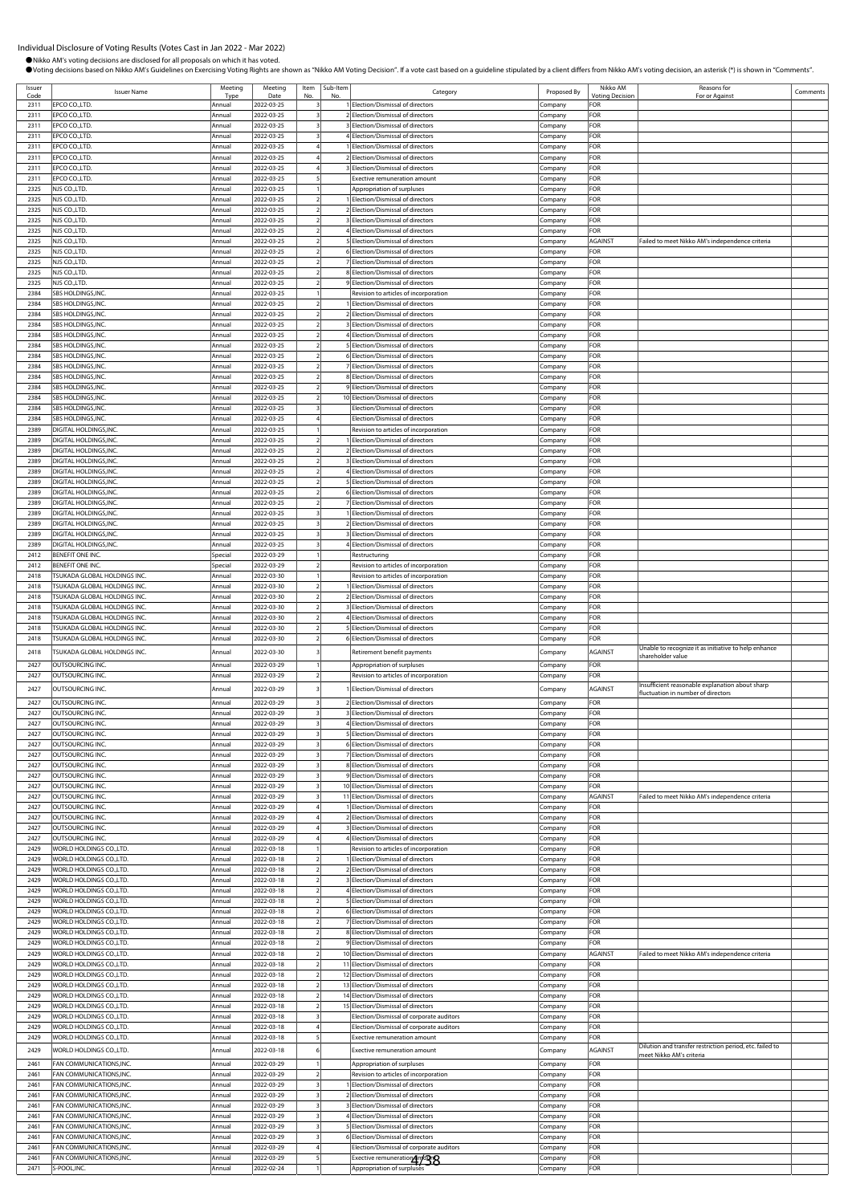| Code         | <b>Issuer Name</b>                                   | Meeting<br>Tyne    | Meeting<br>Date          | Item<br>No              | Sub-Item | Category                                                                   | Proposed By         | Nikko AM<br><b><i>Intina Decision</i></b> | Reasons for<br>For or Against                                             | Comments |
|--------------|------------------------------------------------------|--------------------|--------------------------|-------------------------|----------|----------------------------------------------------------------------------|---------------------|-------------------------------------------|---------------------------------------------------------------------------|----------|
| 2311         | EPCO CO.,LTD.                                        | Annual             | 2022-03-25               |                         |          | 1 Election/Dismissal of directors                                          | Company             | FOR                                       |                                                                           |          |
| 2311         | EPCO CO.,LTD.                                        | Annual             | 2022-03-25               |                         |          | 2 Election/Dismissal of directors                                          | Company             | FOR                                       |                                                                           |          |
| 2311         | EPCO CO.,LTD.                                        | Annual             | 2022-03-25               |                         |          | 3 Election/Dismissal of directors                                          | Company             | FOR                                       |                                                                           |          |
| 2311         | EPCO CO.,LTD.                                        | Annual             | 2022-03-25               |                         |          | 4 Election/Dismissal of directors                                          | ompany.             | FOR                                       |                                                                           |          |
| 2311         | EPCO CO.,LTD.                                        | Annual             | 2022-03-25               |                         |          | 1 Election/Dismissal of directors                                          | Company             | FOR                                       |                                                                           |          |
| 2311         | EPCO CO.,LTD.                                        | Annual             | 2022-03-25               |                         |          | 2 Election/Dismissal of directors                                          | Company             | FOR                                       |                                                                           |          |
| 2311<br>2311 | EPCO CO.,LTD.<br>EPCO CO.,LTD.                       | Annual<br>Annual   | 2022-03-25<br>2022-03-25 |                         |          | 3 Election/Dismissal of directors<br>Exective remuneration amount          | Company<br>ompany.  | FOR<br>FOR                                |                                                                           |          |
| 2325         | NJS CO.,LTD.                                         | Annual             | 2022-03-25               |                         |          | Appropriation of surpluses                                                 | ompany.             | FOR                                       |                                                                           |          |
| 2325         | NJS CO.,LTD.                                         | Annual             | 2022-03-25               |                         |          | 1 Election/Dismissal of directors                                          | Company             | FOR                                       |                                                                           |          |
| 2325         | NJS CO.,LTD.                                         | Annual             | 2022-03-25               |                         |          | 2 Election/Dismissal of directors                                          | Company             | FOR                                       |                                                                           |          |
| 2325         | NJS CO.,LTD.                                         | Annual             | 2022-03-25               |                         |          | 3 Election/Dismissal of directors                                          | .<br>ompany         | FOR                                       |                                                                           |          |
| 2325         | NJS CO.,LTD.                                         | Annual             | 2022-03-25               |                         |          | 4 Election/Dismissal of directors                                          | company.            | FOR                                       |                                                                           |          |
| 2325         | NJS CO.,LTD.                                         | Annual             | 2022-03-25               | $\overline{2}$          |          | 5 Election/Dismissal of directors                                          | ompany:             | AGAINST                                   | Failed to meet Nikko AM's independence criteria                           |          |
| 2325<br>2325 | NJS CO.,LTD.<br>NJS CO.,LTD.                         | Annual             | 2022-03-25<br>2022-03-25 |                         |          | 6 Election/Dismissal of directors<br>7 Election/Dismissal of directors     | Company             | FOR<br>FOR                                |                                                                           |          |
| 2325         | NJS CO.,LTD.                                         | Annual<br>Annual   | 2022-03-25               |                         |          | 8 Election/Dismissal of directors                                          | :ompany<br>ompany.  | FOR                                       |                                                                           |          |
| 2325         | NJS CO.,LTD.                                         | Annual             | 2022-03-25               |                         |          | 9 Election/Dismissal of directors                                          | .ompany             | FOR                                       |                                                                           |          |
| 2384         | SBS HOLDINGS, INC.                                   | Annual             | 2022-03-25               |                         |          | Revision to articles of incorporation                                      | Company             | FOR                                       |                                                                           |          |
| 2384         | <b>SBS HOLDINGS, INC</b>                             | Annual             | 2022-03-25               |                         |          | 1 Election/Dismissal of directors                                          | Company             | FOR                                       |                                                                           |          |
| 2384         | SBS HOLDINGS, INC.                                   | Annual             | 2022-03-25               |                         |          | 2 Election/Dismissal of directors                                          | .ompany             | FOR                                       |                                                                           |          |
| 2384         | SBS HOLDINGS, INC.                                   | Annual             | 2022-03-25               |                         |          | 3 Election/Dismissal of directors                                          | company.            | FOR                                       |                                                                           |          |
| 2384         | <b>SBS HOLDINGS, INC</b>                             | Annual             | 2022-03-25               |                         |          | 4 Election/Dismissal of directors                                          | company.            | FOR                                       |                                                                           |          |
| 2384         | SBS HOLDINGS, INC.                                   | Annual             | 2022-03-25               |                         |          | 5 Election/Dismissal of directors                                          | :ompany             | FOR                                       |                                                                           |          |
| 2384<br>2384 | SBS HOLDINGS, INC.<br>SBS HOLDINGS, INC.             | Annual<br>Annual   | 2022-03-25<br>2022-03-25 |                         |          | 6 Election/Dismissal of directors<br>7 Election/Dismissal of directors     | .ompany             | FOR<br>FOR                                |                                                                           |          |
| 2384         | SBS HOLDINGS, INC.                                   | Annual             | 2022-03-25               |                         |          | 8 Election/Dismissal of directors                                          | .ompany<br>.ompany  | FOR                                       |                                                                           |          |
| 2384         | SBS HOLDINGS, INC.                                   | Annual             | 2022-03-25               |                         |          | 9 Election/Dismissal of directors                                          | .<br>ompany         | FOR                                       |                                                                           |          |
| 2384         | SBS HOLDINGS, INC.                                   | Annual             | 2022-03-25               |                         |          | 10 Election/Dismissal of directors                                         | company.            | FOR                                       |                                                                           |          |
| 2384         | SBS HOLDINGS, INC.                                   | Annual             | 2022-03-25               |                         |          | Election/Dismissal of directors                                            | .ompany             | FOR                                       |                                                                           |          |
| 2384         | SBS HOLDINGS, INC.                                   | Annual             | 2022-03-25               |                         |          | Election/Dismissal of directors                                            | company.            | FOR                                       |                                                                           |          |
| 2389         | DIGITAL HOLDINGS, INC.                               | Annual             | 2022-03-25               |                         |          | Revision to articles of incorporation                                      | company.            | FOR                                       |                                                                           |          |
| 2389         | DIGITAL HOLDINGS, INC.                               | Annual             | 2022-03-25               |                         |          | 1 Election/Dismissal of directors                                          | ompany              | FOR                                       |                                                                           |          |
| 2389<br>2389 | DIGITAL HOLDINGS, INC.                               | Annual             | 2022-03-25               |                         |          | 2 Election/Dismissal of directors                                          | Company             | FOR<br>FOR                                |                                                                           |          |
| 2389         | DIGITAL HOLDINGS, INC<br>DIGITAL HOLDINGS, INC.      | Annual<br>Annual   | 2022-03-25<br>2022-03-25 |                         |          | 3 Election/Dismissal of directors<br>4 Election/Dismissal of directors     | .ompany<br>ompany.  | FOR                                       |                                                                           |          |
| 2389         | DIGITAL HOLDINGS, INC.                               | Annual             | 2022-03-25               |                         |          | 5 Election/Dismissal of directors                                          | .<br>ompany         | FOR                                       |                                                                           |          |
| 2389         | DIGITAL HOLDINGS, INC.                               | Annual             | 2022-03-25               |                         |          | 6 Election/Dismissal of directors                                          | Company             | FOR                                       |                                                                           |          |
| 2389         | DIGITAL HOLDINGS, INC.                               | Annual             | 2022-03-25               | $\overline{2}$          |          | 7 Election/Dismissal of directors                                          | Company             | FOR                                       |                                                                           |          |
| 2389         | DIGITAL HOLDINGS, INC.                               | Annual             | 2022-03-25               |                         |          | 1 Election/Dismissal of directors                                          | ompany.             | FOR                                       |                                                                           |          |
| 2389         | DIGITAL HOLDINGS, INC                                | Annual             | 2022-03-25               |                         |          | 2 Election/Dismissal of directors                                          | .ompany             | FOR                                       |                                                                           |          |
| 2389         | DIGITAL HOLDINGS, INC                                | Annual             | 2022-03-25               |                         |          | 3 Election/Dismissal of directors                                          | ompany              | FOR                                       |                                                                           |          |
| 2389         | DIGITAL HOLDINGS, INC.                               | Annual             | 2022-03-25               |                         |          | 4 Election/Dismissal of directors                                          | Company             | FOR                                       |                                                                           |          |
| 2412<br>2412 | <b>BENEFIT ONE INC</b><br>BENEFIT ONE INC.           | Special<br>Special | 2022-03-29<br>2022-03-29 |                         |          | Restructuring<br>Revision to articles of incorporation                     | .ompany<br>company. | FOR<br>FOR                                |                                                                           |          |
| 2418         | <b>TSUKADA GLOBAL HOLDINGS INC.</b>                  | Annual             | 2022-03-30               |                         |          | Revision to articles of incorporation                                      | ompany.             | FOR                                       |                                                                           |          |
| 2418         | <b>TSUKADA GLOBAL HOLDINGS INC.</b>                  | Annual             | 2022-03-30               |                         |          | 1 Election/Dismissal of directors                                          | Company             | FOR                                       |                                                                           |          |
| 2418         | <b>TSUKADA GLOBAL HOLDINGS INC.</b>                  | Annual             | 2022-03-30               |                         |          | 2 Election/Dismissal of directors                                          | Company             | FOR                                       |                                                                           |          |
| 2418         | <b>TSUKADA GLOBAL HOLDINGS INC.</b>                  | Annual             | 2022-03-30               |                         |          | 3 Election/Dismissal of directors                                          | .ompany             | FOR                                       |                                                                           |          |
| 2418         | <b>TSUKADA GLOBAL HOLDINGS INC.</b>                  | Annual             | 2022-03-30               |                         |          | 4 Election/Dismissal of directors                                          | ompany.             | FOR                                       |                                                                           |          |
| 2418         | <b>TSUKADA GLOBAL HOLDINGS INC</b>                   | Annual             | 2022-03-30               |                         |          | 5 Election/Dismissal of directors                                          | :ompany             | FOR                                       |                                                                           |          |
|              |                                                      |                    |                          |                         |          |                                                                            |                     |                                           |                                                                           |          |
| 2418         | <b>TSUKADA GLOBAL HOLDINGS INC.</b>                  | Annual             | 2022-03-30               |                         |          | 6 Election/Dismissal of directors                                          | Company             | FOR                                       |                                                                           |          |
| 2418         | <b>FSUKADA GLOBAL HOLDINGS INC.</b>                  | Annua              | 2022-03-30               |                         |          | Retirement benefit payments                                                | Company             | AGAINST                                   | Unable to recognize it as initiative to help enhance<br>shareholder value |          |
| 2427         | OUTSOURCING INC.                                     | Annual             | 2022-03-29               |                         |          | Appropriation of surpluses                                                 | Company             | FOR                                       |                                                                           |          |
| 2427         | OUTSOURCING INC.                                     | Annual             | 2022-03-29               |                         |          | Revision to articles of incorporation                                      | company.            | OR-                                       |                                                                           |          |
| 2427         | OUTSOURCING INC.                                     | Annual             | 2022-03-29               |                         |          | I Election/Dismissal of directors                                          | Company             | AGAINST                                   | Insufficient reasonable explanation about sharp                           |          |
| 2427         | OUTSOURCING INC.                                     | Annual             | 2022-03-29               |                         |          | 2 Election/Dismissal of directors                                          | ompany              | FOR                                       | luctuation in number of directors                                         |          |
| 2427         | OUTSOURCING INC.                                     | Annual             | 2022-03-29               | 3                       |          | 3 Election/Dismissal of directors                                          | Company             | FOR                                       |                                                                           |          |
| 2427         | OUTSOURCING INC.                                     | Annual             | 2022-03-29               | $\overline{\mathbf{3}}$ |          | 4 Election/Dismissal of directors                                          | Company             | FOR                                       |                                                                           |          |
| 2427         | OUTSOURCING INC.                                     | Annual             | 2022-03-29               |                         |          | 5 Election/Dismissal of directors                                          | Company             | FOR                                       |                                                                           |          |
| 2427         | OUTSOURCING INC.                                     | Annual             | 2022-03-29               |                         |          | 6 Election/Dismissal of directors                                          | company.            | FOR                                       |                                                                           |          |
| 2427         | OUTSOURCING INC.                                     | Annual             | 2022-03-29               |                         |          | 7 Election/Dismissal of directors                                          | .ompany             | FOR                                       |                                                                           |          |
| 2427<br>2427 | OUTSOURCING INC.<br>OUTSOURCING INC.                 | Annual<br>Annual   | 2022-03-29<br>2022-03-29 |                         |          | 8 Election/Dismissal of directors<br>9 Election/Dismissal of directors     | Company<br>Company  | FOR<br>OR-                                |                                                                           |          |
| 2427         | OUTSOURCING INC.                                     | Annual             | 2022-03-29               |                         |          | 10 Election/Dismissal of directors                                         | .cmpany             | OR-                                       |                                                                           |          |
| 2427         | OUTSOURCING INC.                                     | Annual             | 2022-03-29               |                         |          | 11 Election/Dismissal of directors                                         | Company             | AGAINST                                   | Failed to meet Nikko AM's independence criteria                           |          |
| 2427         | OUTSOURCING INC.                                     | Annual             | 2022-03-29               | $\overline{a}$          |          | 1 Election/Dismissal of directors                                          | Company             | FOR                                       |                                                                           |          |
| 2427         | OUTSOURCING INC.                                     | Annual             | 2022-03-29               |                         |          | 2 Election/Dismissal of directors                                          | Company             | FOR                                       |                                                                           |          |
| 2427         | OUTSOURCING INC.                                     | Annual             | 2022-03-29               |                         |          | 3 Election/Dismissal of directors                                          | Company             | FOR                                       |                                                                           |          |
| 2427         | OUTSOURCING INC.                                     | Annual<br>Annual   | 2022-03-29               |                         |          | 4 Election/Dismissal of directors                                          | .ompany             | FOR<br>FOR                                |                                                                           |          |
| 2429<br>2429 | WORLD HOLDINGS CO., LTD.<br>WORLD HOLDINGS CO., LTD. | Annual             | 2022-03-18<br>2022-03-18 |                         |          | Revision to articles of incorporation<br>1 Election/Dismissal of directors | .ompany<br>Company  | FOR                                       |                                                                           |          |
| 2429         | WORLD HOLDINGS CO.,LTD.                              | Annual             | 2022-03-18               |                         |          | 2 Election/Dismissal of directors                                          | company.            | FOR                                       |                                                                           |          |
| 2429         | WORLD HOLDINGS CO., LTD.                             | Annual             | 2022-03-18               |                         |          | 3 Election/Dismissal of directors                                          | .cmpany             | FOR                                       |                                                                           |          |
| 2429         | WORLD HOLDINGS CO.,LTD.                              | Annual             | 2022-03-18               |                         |          | 4 Election/Dismissal of directors                                          | Company             | FOR                                       |                                                                           |          |
| 2429         | WORLD HOLDINGS CO., LTD.                             | Annual             | 2022-03-18               |                         |          | 5 Election/Dismissal of directors                                          | .ompany             | FOR                                       |                                                                           |          |
| 2429         | WORLD HOLDINGS CO., LTD.                             | Annual             | 2022-03-18               |                         |          | 6 Election/Dismissal of directors                                          | company.            | FOR                                       |                                                                           |          |
| 2429         | WORLD HOLDINGS CO., LTD.                             | Annual             | 2022-03-18               |                         |          | 7 Election/Dismissal of directors                                          | .ompany             | FOR                                       |                                                                           |          |
| 2429<br>2429 | WORLD HOLDINGS CO., LTD.<br>WORLD HOLDINGS CO., LTD. | Annua<br>Annual    | 2022-03-18<br>2022-03-18 |                         |          | 8 Election/Dismissal of directors<br>9 Election/Dismissal of directors     | .ompany             | FOR<br>FOR                                |                                                                           |          |
| 2429         | WORLD HOLDINGS CO., LTD.                             | Annual             | 2022-03-18               |                         |          | 10 Election/Dismissal of directors                                         | .ompany<br>Company  | AGAINST                                   | Failed to meet Nikko AM's independence criteria                           |          |
| 2429         | WORLD HOLDINGS CO.,LTD.                              | Annual             | 2022-03-18               |                         |          | 11 Election/Dismissal of directors                                         | Company             | FOR                                       |                                                                           |          |
| 2429         | WORLD HOLDINGS CO., LTD.                             | Annual             | 2022-03-18               |                         |          | 12 Election/Dismissal of directors                                         | Company             | FOR                                       |                                                                           |          |
| 2429         | WORLD HOLDINGS CO., LTD.                             | Annual             | 2022-03-18               |                         |          | 13 Election/Dismissal of directors                                         | Company             | FOR                                       |                                                                           |          |
| 2429         | WORLD HOLDINGS CO., LTD.                             | Annual             | 2022-03-18               |                         |          | 14 Election/Dismissal of directors                                         | .ompany             | FOR                                       |                                                                           |          |
| 2429         | WORLD HOLDINGS CO., LTD.                             | Annual             | 2022-03-18               |                         |          | 15 Election/Dismissal of directors                                         | ompany.             | FOR                                       |                                                                           |          |
| 2429         | WORLD HOLDINGS CO., LTD.                             | Annual             | 2022-03-18               |                         |          | Election/Dismissal of corporate auditors                                   | Company             | FOR                                       |                                                                           |          |
| 2429         | WORLD HOLDINGS CO., LTD.                             | Annua              | 2022-03-18               |                         |          | Election/Dismissal of corporate auditors<br>Exective remuneration amount   | Company             | OR-<br>OR-                                |                                                                           |          |
| 2429         | WORLD HOLDINGS CO., LTD.                             | Annual             | 2022-03-18               |                         |          |                                                                            | Company             |                                           | Dilution and transfer restriction period, etc. failed to                  |          |
| 2429         | WORLD HOLDINGS CO., LTD.                             | Annual             | 2022-03-18               |                         |          | Exective remuneration amount                                               | Company             | AGAINST                                   | meet Nikko AM's criteria                                                  |          |
| 2461         | FAN COMMUNICATIONS, INC.                             | Annual             | 2022-03-29               |                         |          | Appropriation of surpluses                                                 | .ompany             | FOR                                       |                                                                           |          |
| 2461<br>2461 | FAN COMMUNICATIONS, INC.                             | Annual             | 2022-03-29               |                         |          | Revision to articles of incorporation                                      | ompany.             | FOR                                       |                                                                           |          |
| 2461         | FAN COMMUNICATIONS, INC.<br>FAN COMMUNICATIONS, INC. | Annual<br>Annual   | 2022-03-29<br>2022-03-29 |                         |          | 1 Election/Dismissal of directors<br>2 Election/Dismissal of directors     | Company             | FOR<br>FOR                                |                                                                           |          |
| 2461         | FAN COMMUNICATIONS, INC.                             | Annual             | 2022-03-29               |                         |          | 3 Election/Dismissal of directors                                          | Company<br>ompany.  | FOR                                       |                                                                           |          |
| 2461         | FAN COMMUNICATIONS, INC.                             | Annual             | 2022-03-29               |                         |          | 4 Election/Dismissal of directors                                          | .cmpany             | FOR                                       |                                                                           |          |
| 2461         | FAN COMMUNICATIONS, INC.                             | Annual             | 2022-03-29               |                         |          | 5 Election/Dismissal of directors                                          | Company             | FOR                                       |                                                                           |          |
| 2461         | FAN COMMUNICATIONS, INC.                             | Annual             | 2022-03-29               |                         |          | 6 Election/Dismissal of directors                                          | Company             | FOR                                       |                                                                           |          |
| 2461         | FAN COMMUNICATIONS, INC.                             | Annual             | 2022-03-29               |                         |          | Election/Dismissal of corporate auditors                                   | company.            | FOR                                       |                                                                           |          |
| 2461<br>2471 | FAN COMMUNICATIONS, INC.<br>S-POOL, INC              | Annual<br>Annual   | 2022-03-29<br>2022-02-24 |                         |          | Exective remuneration4m/938<br>Appropriation of surpluses                  | .ompany<br>Company  | FOR<br>FOR                                |                                                                           |          |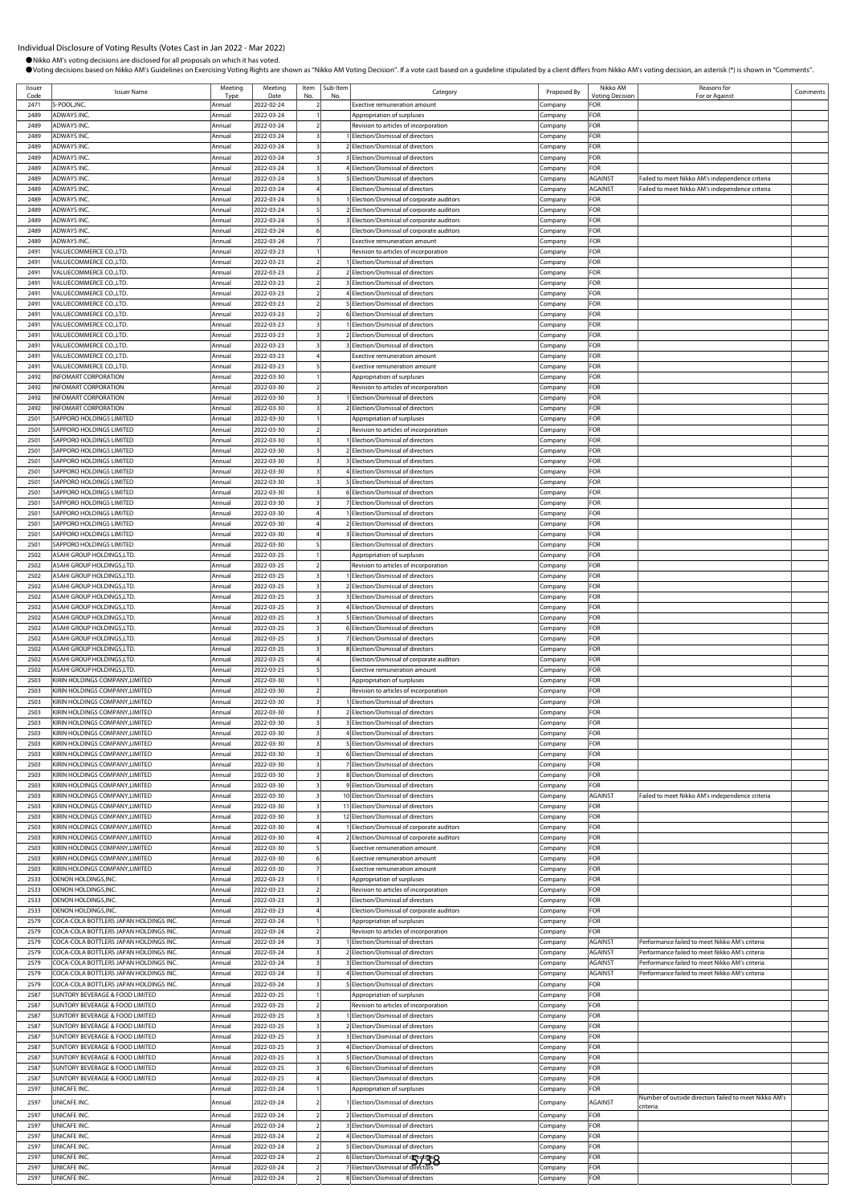| Issuer       | <b>Issuer Name</b>                                                               | Meeting          | Meeting                  | Item                         | Sub-Item | Category                                                                               | Proposed By            | Nikko AM                      | Reasons for                                           | Comments |
|--------------|----------------------------------------------------------------------------------|------------------|--------------------------|------------------------------|----------|----------------------------------------------------------------------------------------|------------------------|-------------------------------|-------------------------------------------------------|----------|
| Cod<br>2471  | S-POOL, INC.                                                                     | Typ<br>Annual    | Date<br>2022-02-24       |                              | No       | Exective remuneration amount                                                           | Company                | <b>Voting Decision</b><br>FOR | For or Against                                        |          |
| 2489         | <b>ADWAYS INC</b>                                                                | Annual           | 2022-03-24               |                              |          | Appropriation of surpluses                                                             | Company                | FOR                           |                                                       |          |
| 2489         | ADWAYS INC.                                                                      | Annual           | 2022-03-24               |                              |          | Revision to articles of incorporation                                                  | Company                | FOR                           |                                                       |          |
| 2489<br>2489 | <b>ADWAYS INC</b><br>ADWAYS INC.                                                 | Annua<br>Annual  | 2022-03-24<br>2022-03-24 |                              |          | Election/Dismissal of directors<br>2 Election/Dismissal of directors                   | Company<br>Company     | FOR<br>FOR                    |                                                       |          |
| 2489         | <b>ADWAYS INC</b>                                                                | Annual           | 2022-03-24               |                              |          | 3 Election/Dismissal of directors                                                      | Company                | FOR                           |                                                       |          |
| 2489         | <b>ADWAYS INC</b>                                                                | Annual           | 2022-03-24               |                              |          | 4 Election/Dismissal of directors                                                      | Company                | FOR                           |                                                       |          |
| 2489         | <b>ADWAYS INC</b>                                                                | Annual           | 2022-03-24               | 3                            |          | 5 Election/Dismissal of directors                                                      | Company                | AGAINST                       | Failed to meet Nikko AM's independence criteria       |          |
| 2489<br>2489 | <b>ADWAYS INC</b><br><b>ADWAYS INC</b>                                           | Annual<br>Annual | 2022-03-24<br>2022-03-24 |                              |          | Election/Dismissal of directors<br>Election/Dismissal of corporate auditors            | Company<br>.cmpany     | AGAINST<br>FOR                | Failed to meet Nikko AM's independence criteria       |          |
| 2489         | <b>ADWAYS INC</b>                                                                | Annual           | 2022-03-24               |                              |          | 2 Election/Dismissal of corporate auditors                                             | :ompany                | FOR                           |                                                       |          |
| 2489         | ADWAYS INC.                                                                      | Annual           | 2022-03-24               |                              |          | 3 Election/Dismissal of corporate auditors                                             | Company                | FOR                           |                                                       |          |
| 2489         | ADWAYS INC.                                                                      | Annua            | 2022-03-24               |                              |          | Election/Dismissal of corporate auditors                                               | Company                | FOR                           |                                                       |          |
| 2489<br>2491 | ADWAYS INC.<br>VALUECOMMERCE CO.,LTD                                             | Annual<br>Annual | 2022-03-24<br>2022-03-23 |                              |          | <b>Exective remuneration amount</b><br>Revision to articles of incorporation           | Company<br>Company     | FOR<br>FOR                    |                                                       |          |
| 2491         | VALUECOMMERCE CO., LTD.                                                          | Annual           | 2022-03-23               |                              |          | 1 Election/Dismissal of directors                                                      | Company                | FOR                           |                                                       |          |
| 2491         | VALUECOMMERCE CO.,LTD                                                            | Annual           | 2022-03-23               |                              |          | 2 Election/Dismissal of directors                                                      | Company                | FOR                           |                                                       |          |
| 2491         | VALUECOMMERCE CO.,LTD                                                            | Annual           | 2022-03-23               |                              |          | 3 Election/Dismissal of directors                                                      | .ompany                | FOR                           |                                                       |          |
| 2491<br>2491 | VALUECOMMERCE CO.,LTD<br>VALUECOMMERCE CO.,LTD                                   | Annual<br>Annua  | 2022-03-23<br>2022-03-23 |                              |          | 4 Election/Dismissal of directors<br>5 Election/Dismissal of directors                 | .cmpany<br>Company     | FOR<br>FOR                    |                                                       |          |
| 2491         | VALUECOMMERCE CO.,LTD.                                                           | Annual           | 2022-03-23               |                              |          | 6 Election/Dismissal of directors                                                      | Company                | FOR                           |                                                       |          |
| 2491         | VALUECOMMERCE CO.,LTD                                                            | Annual           | 2022-03-23               |                              |          | 1 Election/Dismissal of directors                                                      | Company                | FOR                           |                                                       |          |
| 2491         | VALUECOMMERCE CO.,LTD.                                                           | Annual           | 2022-03-23               |                              |          | 2 Election/Dismissal of directors                                                      | Company                | FOR                           |                                                       |          |
| 2491<br>2491 | VALUECOMMERCE CO.,LTD<br>VALUECOMMERCE CO., LTD.                                 | Annual<br>Annual | 2022-03-23<br>2022-03-23 | 3                            |          | 3 Election/Dismissal of directors<br>Exective remuneration amount                      | Company<br>Company     | FOR<br>FOR                    |                                                       |          |
| 2491         | VALUECOMMERCE CO.,LTD.                                                           | Annual           | 2022-03-23               |                              |          | Exective remuneration amount                                                           | .cmpany                | FOR                           |                                                       |          |
| 2492         | <b>INFOMART CORPORATION</b>                                                      | Annual           | 2022-03-30               |                              |          | Appropriation of surpluses                                                             | :ompany                | FOR                           |                                                       |          |
| 2492         | <b>INFOMART CORPORATION</b>                                                      | Annual           | 2022-03-30               |                              |          | Revision to articles of incorporation                                                  | Company                | FOR                           |                                                       |          |
| 2492<br>2492 | <b>INFOMART CORPORATION</b><br><b>INFOMART CORPORATION</b>                       | Annual<br>Annual | 2022-03-30<br>2022-03-30 |                              |          | Election/Dismissal of directors<br>2 Election/Dismissal of directors                   | Company<br>Company     | FOR<br>FOR                    |                                                       |          |
| 2501         | SAPPORO HOLDINGS LIMITED                                                         | Annual           | 2022-03-30               |                              |          | Appropriation of surpluses                                                             | Company                | FOR                           |                                                       |          |
| 2501         | SAPPORO HOLDINGS LIMITED                                                         | Annual           | 2022-03-30               | $\overline{\phantom{a}}$     |          | Revision to articles of incorporation                                                  | Company                | FOR                           |                                                       |          |
| 2501         | SAPPORO HOLDINGS LIMITED                                                         | Annual           | 2022-03-30               |                              |          | 1 Election/Dismissal of directors                                                      | Company                | FOR                           |                                                       |          |
| 2501<br>2501 | SAPPORO HOLDINGS LIMITED<br>SAPPORO HOLDINGS LIMITED                             | Annual<br>Annual | 2022-03-30<br>2022-03-30 |                              |          | 2 Election/Dismissal of directors<br>3 Election/Dismissal of directors                 | Company                | FOR<br>FOR                    |                                                       |          |
| 2501         | SAPPORO HOLDINGS LIMITED                                                         | Annual           | 2022-03-30               |                              |          | 4 Election/Dismissal of directors                                                      | .cmpany<br>.ompany     | FOR                           |                                                       |          |
| 2501         | SAPPORO HOLDINGS LIMITED                                                         | Annual           | 2022-03-30               |                              |          | 5 Election/Dismissal of directors                                                      | Company                | FOR                           |                                                       |          |
| 2501         | SAPPORO HOLDINGS LIMITED                                                         | Annua            | 2022-03-30               |                              |          | 6 Election/Dismissal of directors                                                      | Company                | FOR                           |                                                       |          |
| 2501<br>2501 | SAPPORO HOLDINGS LIMITED<br>SAPPORO HOLDINGS LIMITED                             | Annual<br>Annua  | 2022-03-30<br>2022-03-30 | 4                            |          | 7 Election/Dismissal of directors<br>1 Election/Dismissal of directors                 | Company                | FOR<br>FOR                    |                                                       |          |
| 2501         | SAPPORO HOLDINGS LIMITED                                                         | Annual           | 2022-03-30               |                              |          | 2 Election/Dismissal of directors                                                      | Company<br>Company     | FOR                           |                                                       |          |
| 2501         | SAPPORO HOLDINGS LIMITED                                                         | Annual           | 2022-03-30               |                              |          | 3 Election/Dismissal of directors                                                      | Company                | FOR                           |                                                       |          |
| 2501         | SAPPORO HOLDINGS LIMITED                                                         | Annual           | 2022-03-30               |                              |          | Election/Dismissal of directors                                                        | .cmpany                | FOR                           |                                                       |          |
| 2502         | ASAHI GROUP HOLDINGS,LTD                                                         | Annual           | 2022-03-25               |                              |          | Appropriation of surpluses                                                             | Company                | FOR<br>FOR                    |                                                       |          |
| 2502<br>2502 | ASAHI GROUP HOLDINGS,LTD<br>ASAHI GROUP HOLDINGS, LTD.                           | Annua<br>Annual  | 2022-03-25<br>2022-03-25 |                              |          | Revision to articles of incorporation<br>Election/Dismissal of directors               | Company<br>Company     | FOR                           |                                                       |          |
| 2502         | ASAHI GROUP HOLDINGS, LTD.                                                       | Annua            | 2022-03-25               |                              |          | 2 Election/Dismissal of directors                                                      | Company                | FOR                           |                                                       |          |
| 2502         | ASAHI GROUP HOLDINGS, LTD.                                                       | Annual           | 2022-03-25               |                              |          | 3 Election/Dismissal of directors                                                      | Company                | FOR                           |                                                       |          |
| 2502         | ASAHI GROUP HOLDINGS,LTD                                                         | Annual           | 2022-03-25               | 3                            |          | 4 Election/Dismissal of directors                                                      | Company                | FOR                           |                                                       |          |
| 2502<br>2502 | ASAHI GROUP HOLDINGS,LTD.<br>ASAHI GROUP HOLDINGS, LTD.                          | Annua<br>Annual  | 2022-03-25<br>2022-03-25 |                              |          | 5 Election/Dismissal of directors<br>6 Election/Dismissal of directors                 | Company<br>Company     | FOR<br>FOR                    |                                                       |          |
| 2502         | ASAHI GROUP HOLDINGS, LTD                                                        | Annual           | 2022-03-25               |                              |          | 7 Election/Dismissal of directors                                                      | .cmpany                | FOR                           |                                                       |          |
| 2502         | ASAHI GROUP HOLDINGS,LTD                                                         | Annual           | 2022-03-25               |                              |          | 8 Election/Dismissal of directors                                                      | .cmpany                | FOR                           |                                                       |          |
| 2502         | ASAHI GROUP HOLDINGS, LTD.                                                       | Annual           | 2022-03-25               |                              |          | Election/Dismissal of corporate auditors                                               | .cmpany                | FOR<br>FOR                    |                                                       |          |
| 2502<br>2503 | ASAHI GROUP HOLDINGS, LTD.<br>KIRIN HOLDINGS COMPANY.LIMITED                     | Annual<br>Annua  | 2022-03-25<br>2022-03-30 |                              |          | Exective remuneration amount<br>Appropriation of surpluses                             | Company<br>.cmpany     | FOR                           |                                                       |          |
| 2503         | KIRIN HOLDINGS COMPANY.LIMITED                                                   | Annual           | 2022-03-30               |                              |          | Revision to articles of incorporation                                                  | Company                | FOR                           |                                                       |          |
| 2503         | KIRIN HOLDINGS COMPANY, LIMITED                                                  | Annual           | 2022-03-30               |                              |          | 1 Election/Dismissal of directors                                                      | Company                | FOR                           |                                                       |          |
| 2503         | KIRIN HOLDINGS COMPANY, LIMITED                                                  | Annual           | 2022-03-30               |                              |          | 2 Election/Dismissal of directors                                                      | Company                | FOR                           |                                                       |          |
| 2503<br>2503 | KIRIN HOLDINGS COMPANY, LIMITED<br>KIRIN HOLDINGS COMPANY, LIMITED               | Annua<br>Annual  | 2022-03-30<br>2022-03-30 |                              |          | 3 Election/Dismissal of directors<br>4 Election/Dismissal of directors                 | Company<br>Company     | FOR<br>FOR                    |                                                       |          |
| 2503         | KIRIN HOLDINGS COMPANY, LIMITED                                                  | Annual           | 2022-03-30               | 3                            |          | 5 Election/Dismissal of directors                                                      | Company                | FOR                           |                                                       |          |
| 2503         | KIRIN HOLDINGS COMPANY, LIMITED                                                  | Annual           | 2022-03-30               |                              |          | 6 Election/Dismissal of directors                                                      | Company                | FOR                           |                                                       |          |
| 2503         | KIRIN HOLDINGS COMPANY.LIMITED                                                   | Annual           | 2022-03-30               |                              |          | 7 Election/Dismissal of directors                                                      | Company                | FOR                           |                                                       |          |
| 2503<br>2503 | KIRIN HOLDINGS COMPANY, LIMITED<br>KIRIN HOLDINGS COMPANY, LIMITED               | Annual<br>Annual | 2022-03-30<br>2022-03-30 | $\overline{\mathbf{3}}$      |          | 8 Election/Dismissal of directors<br>9 Election/Dismissal of directors                 | Company<br>Company     | FOR<br>FOR                    |                                                       |          |
| 2503         | KIRIN HOLDINGS COMPANY, LIMITED                                                  | Annual           | 2022-03-30               | 3                            |          | 10 Election/Dismissal of directors                                                     | Company                | AGAINST                       | Failed to meet Nikko AM's independence criteria       |          |
| 2503         | KIRIN HOLDINGS COMPANY, LIMITED                                                  | Annual           | 2022-03-30               |                              |          | 11 Election/Dismissal of directors                                                     | company.               | FOR                           |                                                       |          |
| 2503         | KIRIN HOLDINGS COMPANY, LIMITED                                                  | Annual           | 2022-03-30               |                              |          | 12 Election/Dismissal of directors                                                     | .cmpany                | FOR                           |                                                       |          |
| 2503<br>2503 | KIRIN HOLDINGS COMPANY, LIMITED<br>KIRIN HOLDINGS COMPANY, LIMITED               | Annual<br>Annual | 2022-03-30<br>2022-03-30 |                              |          | Election/Dismissal of corporate auditors<br>2 Election/Dismissal of corporate auditors | Company<br>Company     | FOR<br>FOR                    |                                                       |          |
| 2503         | KIRIN HOLDINGS COMPANY, LIMITED                                                  | Annua            | 2022-03-30               |                              |          | <b>Exective remuneration amount</b>                                                    | Company                | FOR                           |                                                       |          |
| 2503         | KIRIN HOLDINGS COMPANY, LIMITED                                                  | Annual           | 2022-03-30               |                              |          | Exective remuneration amount                                                           | Company                | FOR                           |                                                       |          |
| 2503         | KIRIN HOLDINGS COMPANY.LIMITED                                                   | Annual           | 2022-03-30               |                              |          | Exective remuneration amount                                                           | Company                | FOR                           |                                                       |          |
| 2533<br>2533 | OENON HOLDINGS, INC.<br>OENON HOLDINGS, INC.                                     | Annual<br>Annual | 2022-03-23<br>2022-03-23 |                              |          | Appropriation of surpluses<br>Revision to articles of incorporation                    | Company<br>Company     | FOR<br>FOR                    |                                                       |          |
| 2533         | OENON HOLDINGS, INC.                                                             | Annual           | 2022-03-23               |                              |          | Election/Dismissal of directors                                                        | .cmpany                | FOR                           |                                                       |          |
| 2533         | OENON HOLDINGS, INC.                                                             | Annual           | 2022-03-23               |                              |          | Election/Dismissal of corporate auditors                                               | .cmpany                | FOR                           |                                                       |          |
| 2579         | COCA-COLA BOTTLERS JAPAN HOLDINGS INC.                                           | Annual           | 2022-03-24               |                              |          | Appropriation of surpluses                                                             | Company                | FOR                           |                                                       |          |
| 2579<br>2579 | COCA-COLA BOTTLERS JAPAN HOLDINGS INC.<br>COCA-COLA BOTTLERS JAPAN HOLDINGS INC. | Annual<br>Annual | 2022-03-24<br>2022-03-24 |                              |          | Revision to articles of incorporation<br>1 Election/Dismissal of directors             | Company<br>Company     | FOR<br>AGAINST                | Performance failed to meet Nikko AM's criteria        |          |
| 2579         | COCA-COLA BOTTLERS JAPAN HOLDINGS INC.                                           | Annual           | 2022-03-24               |                              |          | 2 Election/Dismissal of directors                                                      | Company                | AGAINST                       | Performance failed to meet Nikko AM's criteria        |          |
| 2579         | COCA-COLA BOTTLERS JAPAN HOLDINGS INC.                                           | Annual           | 2022-03-24               | 3                            |          | 3 Election/Dismissal of directors                                                      | Company                | AGAINST                       | Performance failed to meet Nikko AM's criteria        |          |
| 2579         | COCA-COLA BOTTLERS JAPAN HOLDINGS INC.                                           | Annual           | 2022-03-24               | $\overline{\mathbf{3}}$      |          | 4 Election/Dismissal of directors                                                      | Company                | AGAINST                       | Performance failed to meet Nikko AM's criteria        |          |
| 2579<br>2587 | COCA-COLA BOTTLERS JAPAN HOLDINGS INC.                                           | Annual           | 2022-03-24               |                              |          | 5 Election/Dismissal of directors                                                      | Company                | FOR<br><b>OR</b>              |                                                       |          |
| 2587         | SUNTORY BEVERAGE & FOOD LIMITED<br>SUNTORY BEVERAGE & FOOD LIMITED               | Annual<br>Annual | 2022-03-25<br>2022-03-25 |                              |          | Appropriation of surpluses<br>Revision to articles of incorporation                    | .<br>ompany<br>Company | FOR                           |                                                       |          |
| 2587         | SUNTORY BEVERAGE & FOOD LIMITED                                                  | Annual           | 2022-03-25               |                              |          | Election/Dismissal of directors                                                        | Company                | FOR                           |                                                       |          |
| 2587         | SUNTORY BEVERAGE & FOOD LIMITED                                                  | Annual           | 2022-03-25               |                              |          | 2 Election/Dismissal of directors                                                      | Company                | FOR                           |                                                       |          |
| 2587         | SUNTORY BEVERAGE & FOOD LIMITED                                                  | Annua            | 2022-03-25               |                              |          | 3 Election/Dismissal of directors                                                      | .cmpany                | FOR                           |                                                       |          |
| 2587<br>2587 | SUNTORY BEVERAGE & FOOD LIMITED<br>SUNTORY BEVERAGE & FOOD LIMITED               | Annual<br>Annual | 2022-03-25<br>2022-03-25 | $\overline{\mathbf{3}}$<br>3 |          | 4 Election/Dismissal of directors<br>5 Election/Dismissal of directors                 | Company<br>Company     | FOR<br>FOR                    |                                                       |          |
| 2587         | SUNTORY BEVERAGE & FOOD LIMITED                                                  | Annual           | 2022-03-25               |                              |          | 6 Election/Dismissal of directors                                                      | Company                | FOR                           |                                                       |          |
| 2587         | SUNTORY BEVERAGE & FOOD LIMITED                                                  | Annual           | 2022-03-25               |                              |          | Election/Dismissal of directors                                                        | Company                | FOR                           |                                                       |          |
| 2597         | UNICAFE INC.                                                                     | Annual           | 2022-03-24               |                              |          | Appropriation of surpluses                                                             | .cmpany                | FOR                           | Number of outside directors failed to meet Nikko AM's |          |
| 2597         | UNICAFE INC.                                                                     | Annual           | 2022-03-24               |                              |          | Election/Dismissal of directors                                                        | Company                | AGAINST                       | criteria                                              |          |
| 2597         | UNICAFE INC.                                                                     | Annual           | 2022-03-24               |                              |          | 2 Election/Dismissal of directors                                                      | Company                | FOR                           |                                                       |          |
| 2597<br>2597 | UNICAFE INC.<br>UNICAFE INC.                                                     | Annual<br>Annual | 2022-03-24<br>2022-03-24 | $\overline{2}$               |          | 3 Election/Dismissal of directors<br>4 Election/Dismissal of directors                 | Company<br>Company     | FOR<br>FOR                    |                                                       |          |
| 2597         | UNICAFE INC.                                                                     | Annual           | 2022-03-24               |                              |          | 5 Election/Dismissal of directors                                                      | .cmpany                | FOR                           |                                                       |          |
| 2597         | UNICAFE INC.                                                                     | Annua            | 2022-03-24               |                              |          | 6 Election/Dismissal of drectors                                                       | Company                | FOR                           |                                                       |          |
| 2597         | UNICAFE INC.                                                                     | Annual           | 2022-03-24               |                              |          |                                                                                        | Company                | FOR                           |                                                       |          |
| 2597         | UNICAFE INC.                                                                     | Annual           | 2022-03-24               | $\overline{2}$               |          | 8 Election/Dismissal of directors                                                      | Company                | FOR                           |                                                       |          |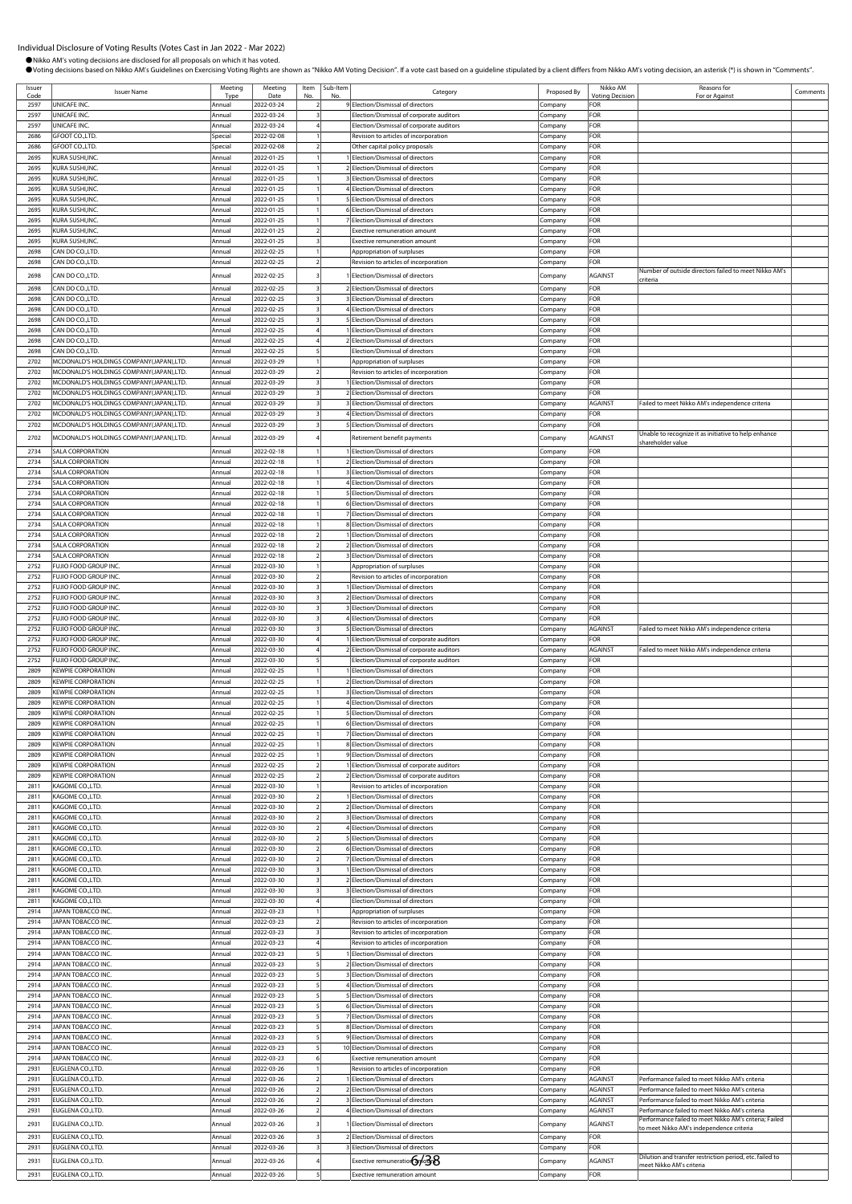Comments

| OVoting decisions based on Nikko AM's Guidelines on Exercising Voting Rights are shown as "Nikko AM Voting Decision". If a vote cast based on a guideline stipulated by a client differs from Nikko AM's voting decision, an a |                                                                                                                                                                                                                                                                                                                                                                                                                                                                                                                                                                                                                                                                                                                                                             |                                                                                                                                                                                                                                                                                   |                                                                                                                                                                                                                                                                                                                                                                                                                                             |           |                                          |                                                                                                                                                                                                                                                                                                                                                                                                                                                                                                                                                                                                                                                                                                                                                                                                                                                                                                                                                                                                                                                                                                                                                                                                                                                                                                                                                                                                                                                                                                                                                                                                      |                                                                                                                                                                                                                                                                                                                   |                                                                                                                                                                                                      |
|--------------------------------------------------------------------------------------------------------------------------------------------------------------------------------------------------------------------------------|-------------------------------------------------------------------------------------------------------------------------------------------------------------------------------------------------------------------------------------------------------------------------------------------------------------------------------------------------------------------------------------------------------------------------------------------------------------------------------------------------------------------------------------------------------------------------------------------------------------------------------------------------------------------------------------------------------------------------------------------------------------|-----------------------------------------------------------------------------------------------------------------------------------------------------------------------------------------------------------------------------------------------------------------------------------|---------------------------------------------------------------------------------------------------------------------------------------------------------------------------------------------------------------------------------------------------------------------------------------------------------------------------------------------------------------------------------------------------------------------------------------------|-----------|------------------------------------------|------------------------------------------------------------------------------------------------------------------------------------------------------------------------------------------------------------------------------------------------------------------------------------------------------------------------------------------------------------------------------------------------------------------------------------------------------------------------------------------------------------------------------------------------------------------------------------------------------------------------------------------------------------------------------------------------------------------------------------------------------------------------------------------------------------------------------------------------------------------------------------------------------------------------------------------------------------------------------------------------------------------------------------------------------------------------------------------------------------------------------------------------------------------------------------------------------------------------------------------------------------------------------------------------------------------------------------------------------------------------------------------------------------------------------------------------------------------------------------------------------------------------------------------------------------------------------------------------------|-------------------------------------------------------------------------------------------------------------------------------------------------------------------------------------------------------------------------------------------------------------------------------------------------------------------|------------------------------------------------------------------------------------------------------------------------------------------------------------------------------------------------------|
|                                                                                                                                                                                                                                |                                                                                                                                                                                                                                                                                                                                                                                                                                                                                                                                                                                                                                                                                                                                                             |                                                                                                                                                                                                                                                                                   |                                                                                                                                                                                                                                                                                                                                                                                                                                             |           |                                          |                                                                                                                                                                                                                                                                                                                                                                                                                                                                                                                                                                                                                                                                                                                                                                                                                                                                                                                                                                                                                                                                                                                                                                                                                                                                                                                                                                                                                                                                                                                                                                                                      | Nikko AM                                                                                                                                                                                                                                                                                                          | Reasons for                                                                                                                                                                                          |
| <b>Issuer Name</b>                                                                                                                                                                                                             | Tyn                                                                                                                                                                                                                                                                                                                                                                                                                                                                                                                                                                                                                                                                                                                                                         | Date                                                                                                                                                                                                                                                                              | No                                                                                                                                                                                                                                                                                                                                                                                                                                          | No        | Category                                 | Proposed By                                                                                                                                                                                                                                                                                                                                                                                                                                                                                                                                                                                                                                                                                                                                                                                                                                                                                                                                                                                                                                                                                                                                                                                                                                                                                                                                                                                                                                                                                                                                                                                          | <b><i><u>Intina</u></i></b> Decision                                                                                                                                                                                                                                                                              | For or Against                                                                                                                                                                                       |
| UNICAFE INC.                                                                                                                                                                                                                   | Annual                                                                                                                                                                                                                                                                                                                                                                                                                                                                                                                                                                                                                                                                                                                                                      | 2022-03-24                                                                                                                                                                                                                                                                        |                                                                                                                                                                                                                                                                                                                                                                                                                                             |           | Election/Dismissal of directors          | Company                                                                                                                                                                                                                                                                                                                                                                                                                                                                                                                                                                                                                                                                                                                                                                                                                                                                                                                                                                                                                                                                                                                                                                                                                                                                                                                                                                                                                                                                                                                                                                                              | FOR                                                                                                                                                                                                                                                                                                               |                                                                                                                                                                                                      |
| UNICAFE INC.                                                                                                                                                                                                                   | Annua                                                                                                                                                                                                                                                                                                                                                                                                                                                                                                                                                                                                                                                                                                                                                       | 2022-03-24                                                                                                                                                                                                                                                                        |                                                                                                                                                                                                                                                                                                                                                                                                                                             |           | Election/Dismissal of corporate auditors | Company                                                                                                                                                                                                                                                                                                                                                                                                                                                                                                                                                                                                                                                                                                                                                                                                                                                                                                                                                                                                                                                                                                                                                                                                                                                                                                                                                                                                                                                                                                                                                                                              | FOR                                                                                                                                                                                                                                                                                                               |                                                                                                                                                                                                      |
| UNICAFE INC                                                                                                                                                                                                                    | Annual                                                                                                                                                                                                                                                                                                                                                                                                                                                                                                                                                                                                                                                                                                                                                      | 2022-03-24                                                                                                                                                                                                                                                                        |                                                                                                                                                                                                                                                                                                                                                                                                                                             |           | Election/Dismissal of corporate auditors | Company                                                                                                                                                                                                                                                                                                                                                                                                                                                                                                                                                                                                                                                                                                                                                                                                                                                                                                                                                                                                                                                                                                                                                                                                                                                                                                                                                                                                                                                                                                                                                                                              |                                                                                                                                                                                                                                                                                                                   |                                                                                                                                                                                                      |
|                                                                                                                                                                                                                                |                                                                                                                                                                                                                                                                                                                                                                                                                                                                                                                                                                                                                                                                                                                                                             |                                                                                                                                                                                                                                                                                   |                                                                                                                                                                                                                                                                                                                                                                                                                                             |           |                                          |                                                                                                                                                                                                                                                                                                                                                                                                                                                                                                                                                                                                                                                                                                                                                                                                                                                                                                                                                                                                                                                                                                                                                                                                                                                                                                                                                                                                                                                                                                                                                                                                      |                                                                                                                                                                                                                                                                                                                   |                                                                                                                                                                                                      |
|                                                                                                                                                                                                                                |                                                                                                                                                                                                                                                                                                                                                                                                                                                                                                                                                                                                                                                                                                                                                             |                                                                                                                                                                                                                                                                                   |                                                                                                                                                                                                                                                                                                                                                                                                                                             |           |                                          |                                                                                                                                                                                                                                                                                                                                                                                                                                                                                                                                                                                                                                                                                                                                                                                                                                                                                                                                                                                                                                                                                                                                                                                                                                                                                                                                                                                                                                                                                                                                                                                                      |                                                                                                                                                                                                                                                                                                                   |                                                                                                                                                                                                      |
|                                                                                                                                                                                                                                |                                                                                                                                                                                                                                                                                                                                                                                                                                                                                                                                                                                                                                                                                                                                                             |                                                                                                                                                                                                                                                                                   |                                                                                                                                                                                                                                                                                                                                                                                                                                             |           |                                          |                                                                                                                                                                                                                                                                                                                                                                                                                                                                                                                                                                                                                                                                                                                                                                                                                                                                                                                                                                                                                                                                                                                                                                                                                                                                                                                                                                                                                                                                                                                                                                                                      |                                                                                                                                                                                                                                                                                                                   |                                                                                                                                                                                                      |
|                                                                                                                                                                                                                                |                                                                                                                                                                                                                                                                                                                                                                                                                                                                                                                                                                                                                                                                                                                                                             |                                                                                                                                                                                                                                                                                   |                                                                                                                                                                                                                                                                                                                                                                                                                                             |           |                                          |                                                                                                                                                                                                                                                                                                                                                                                                                                                                                                                                                                                                                                                                                                                                                                                                                                                                                                                                                                                                                                                                                                                                                                                                                                                                                                                                                                                                                                                                                                                                                                                                      |                                                                                                                                                                                                                                                                                                                   |                                                                                                                                                                                                      |
|                                                                                                                                                                                                                                | Annual                                                                                                                                                                                                                                                                                                                                                                                                                                                                                                                                                                                                                                                                                                                                                      |                                                                                                                                                                                                                                                                                   |                                                                                                                                                                                                                                                                                                                                                                                                                                             |           |                                          |                                                                                                                                                                                                                                                                                                                                                                                                                                                                                                                                                                                                                                                                                                                                                                                                                                                                                                                                                                                                                                                                                                                                                                                                                                                                                                                                                                                                                                                                                                                                                                                                      | FOR                                                                                                                                                                                                                                                                                                               |                                                                                                                                                                                                      |
| KURA SUSHI, INC                                                                                                                                                                                                                | Annua                                                                                                                                                                                                                                                                                                                                                                                                                                                                                                                                                                                                                                                                                                                                                       | 2022-01-25                                                                                                                                                                                                                                                                        |                                                                                                                                                                                                                                                                                                                                                                                                                                             |           |                                          | Company                                                                                                                                                                                                                                                                                                                                                                                                                                                                                                                                                                                                                                                                                                                                                                                                                                                                                                                                                                                                                                                                                                                                                                                                                                                                                                                                                                                                                                                                                                                                                                                              | FOR                                                                                                                                                                                                                                                                                                               |                                                                                                                                                                                                      |
| KURA SUSHI, INC.                                                                                                                                                                                                               | Annua                                                                                                                                                                                                                                                                                                                                                                                                                                                                                                                                                                                                                                                                                                                                                       | 2022-01-25                                                                                                                                                                                                                                                                        |                                                                                                                                                                                                                                                                                                                                                                                                                                             |           |                                          | Company                                                                                                                                                                                                                                                                                                                                                                                                                                                                                                                                                                                                                                                                                                                                                                                                                                                                                                                                                                                                                                                                                                                                                                                                                                                                                                                                                                                                                                                                                                                                                                                              | FOR                                                                                                                                                                                                                                                                                                               |                                                                                                                                                                                                      |
| KURA SUSHI,INC                                                                                                                                                                                                                 | Annua                                                                                                                                                                                                                                                                                                                                                                                                                                                                                                                                                                                                                                                                                                                                                       | 2022-01-25                                                                                                                                                                                                                                                                        |                                                                                                                                                                                                                                                                                                                                                                                                                                             |           |                                          | :ompany                                                                                                                                                                                                                                                                                                                                                                                                                                                                                                                                                                                                                                                                                                                                                                                                                                                                                                                                                                                                                                                                                                                                                                                                                                                                                                                                                                                                                                                                                                                                                                                              | FOR                                                                                                                                                                                                                                                                                                               |                                                                                                                                                                                                      |
| (URA SUSHI, INC.                                                                                                                                                                                                               | Annual                                                                                                                                                                                                                                                                                                                                                                                                                                                                                                                                                                                                                                                                                                                                                      | 2022-01-25                                                                                                                                                                                                                                                                        |                                                                                                                                                                                                                                                                                                                                                                                                                                             |           | xective remuneration amount              | Company                                                                                                                                                                                                                                                                                                                                                                                                                                                                                                                                                                                                                                                                                                                                                                                                                                                                                                                                                                                                                                                                                                                                                                                                                                                                                                                                                                                                                                                                                                                                                                                              | FOR                                                                                                                                                                                                                                                                                                               |                                                                                                                                                                                                      |
| <b>KURA SUSHIJNC</b>                                                                                                                                                                                                           | Annual                                                                                                                                                                                                                                                                                                                                                                                                                                                                                                                                                                                                                                                                                                                                                      | 2022-01-25                                                                                                                                                                                                                                                                        |                                                                                                                                                                                                                                                                                                                                                                                                                                             |           | <b>Exective remuneration amount</b>      | Company                                                                                                                                                                                                                                                                                                                                                                                                                                                                                                                                                                                                                                                                                                                                                                                                                                                                                                                                                                                                                                                                                                                                                                                                                                                                                                                                                                                                                                                                                                                                                                                              | FOR                                                                                                                                                                                                                                                                                                               |                                                                                                                                                                                                      |
| CAN DO CO.,LTD.                                                                                                                                                                                                                | Annua                                                                                                                                                                                                                                                                                                                                                                                                                                                                                                                                                                                                                                                                                                                                                       | 2022-02-25                                                                                                                                                                                                                                                                        |                                                                                                                                                                                                                                                                                                                                                                                                                                             |           | Appropriation of surpluses               | Company                                                                                                                                                                                                                                                                                                                                                                                                                                                                                                                                                                                                                                                                                                                                                                                                                                                                                                                                                                                                                                                                                                                                                                                                                                                                                                                                                                                                                                                                                                                                                                                              | FOR                                                                                                                                                                                                                                                                                                               |                                                                                                                                                                                                      |
|                                                                                                                                                                                                                                |                                                                                                                                                                                                                                                                                                                                                                                                                                                                                                                                                                                                                                                                                                                                                             |                                                                                                                                                                                                                                                                                   |                                                                                                                                                                                                                                                                                                                                                                                                                                             |           |                                          |                                                                                                                                                                                                                                                                                                                                                                                                                                                                                                                                                                                                                                                                                                                                                                                                                                                                                                                                                                                                                                                                                                                                                                                                                                                                                                                                                                                                                                                                                                                                                                                                      |                                                                                                                                                                                                                                                                                                                   | Number of outside directors failed to meet Nikko AM'                                                                                                                                                 |
| CAN DO CO.,LTD.                                                                                                                                                                                                                | Annua                                                                                                                                                                                                                                                                                                                                                                                                                                                                                                                                                                                                                                                                                                                                                       | 2022-02-25                                                                                                                                                                                                                                                                        |                                                                                                                                                                                                                                                                                                                                                                                                                                             |           |                                          | Company                                                                                                                                                                                                                                                                                                                                                                                                                                                                                                                                                                                                                                                                                                                                                                                                                                                                                                                                                                                                                                                                                                                                                                                                                                                                                                                                                                                                                                                                                                                                                                                              | AGAINST                                                                                                                                                                                                                                                                                                           | criteria                                                                                                                                                                                             |
| CAN DO CO.,LTD.                                                                                                                                                                                                                | Annual                                                                                                                                                                                                                                                                                                                                                                                                                                                                                                                                                                                                                                                                                                                                                      | 2022-02-25                                                                                                                                                                                                                                                                        |                                                                                                                                                                                                                                                                                                                                                                                                                                             |           |                                          | Company                                                                                                                                                                                                                                                                                                                                                                                                                                                                                                                                                                                                                                                                                                                                                                                                                                                                                                                                                                                                                                                                                                                                                                                                                                                                                                                                                                                                                                                                                                                                                                                              | FOR                                                                                                                                                                                                                                                                                                               |                                                                                                                                                                                                      |
| CAN DO CO.,LTD.                                                                                                                                                                                                                | Annual                                                                                                                                                                                                                                                                                                                                                                                                                                                                                                                                                                                                                                                                                                                                                      | 2022-02-25                                                                                                                                                                                                                                                                        |                                                                                                                                                                                                                                                                                                                                                                                                                                             |           |                                          | Company                                                                                                                                                                                                                                                                                                                                                                                                                                                                                                                                                                                                                                                                                                                                                                                                                                                                                                                                                                                                                                                                                                                                                                                                                                                                                                                                                                                                                                                                                                                                                                                              | FOR                                                                                                                                                                                                                                                                                                               |                                                                                                                                                                                                      |
| CAN DO CO.,LTD.                                                                                                                                                                                                                | Annual                                                                                                                                                                                                                                                                                                                                                                                                                                                                                                                                                                                                                                                                                                                                                      | 2022-02-25                                                                                                                                                                                                                                                                        |                                                                                                                                                                                                                                                                                                                                                                                                                                             |           | Election/Dismissal of directors          | ompany                                                                                                                                                                                                                                                                                                                                                                                                                                                                                                                                                                                                                                                                                                                                                                                                                                                                                                                                                                                                                                                                                                                                                                                                                                                                                                                                                                                                                                                                                                                                                                                               | FOR                                                                                                                                                                                                                                                                                                               |                                                                                                                                                                                                      |
|                                                                                                                                                                                                                                |                                                                                                                                                                                                                                                                                                                                                                                                                                                                                                                                                                                                                                                                                                                                                             |                                                                                                                                                                                                                                                                                   |                                                                                                                                                                                                                                                                                                                                                                                                                                             |           |                                          | .<br>ompany                                                                                                                                                                                                                                                                                                                                                                                                                                                                                                                                                                                                                                                                                                                                                                                                                                                                                                                                                                                                                                                                                                                                                                                                                                                                                                                                                                                                                                                                                                                                                                                          |                                                                                                                                                                                                                                                                                                                   |                                                                                                                                                                                                      |
|                                                                                                                                                                                                                                |                                                                                                                                                                                                                                                                                                                                                                                                                                                                                                                                                                                                                                                                                                                                                             |                                                                                                                                                                                                                                                                                   |                                                                                                                                                                                                                                                                                                                                                                                                                                             |           |                                          |                                                                                                                                                                                                                                                                                                                                                                                                                                                                                                                                                                                                                                                                                                                                                                                                                                                                                                                                                                                                                                                                                                                                                                                                                                                                                                                                                                                                                                                                                                                                                                                                      |                                                                                                                                                                                                                                                                                                                   |                                                                                                                                                                                                      |
|                                                                                                                                                                                                                                |                                                                                                                                                                                                                                                                                                                                                                                                                                                                                                                                                                                                                                                                                                                                                             |                                                                                                                                                                                                                                                                                   |                                                                                                                                                                                                                                                                                                                                                                                                                                             |           |                                          |                                                                                                                                                                                                                                                                                                                                                                                                                                                                                                                                                                                                                                                                                                                                                                                                                                                                                                                                                                                                                                                                                                                                                                                                                                                                                                                                                                                                                                                                                                                                                                                                      |                                                                                                                                                                                                                                                                                                                   |                                                                                                                                                                                                      |
|                                                                                                                                                                                                                                |                                                                                                                                                                                                                                                                                                                                                                                                                                                                                                                                                                                                                                                                                                                                                             |                                                                                                                                                                                                                                                                                   |                                                                                                                                                                                                                                                                                                                                                                                                                                             |           |                                          |                                                                                                                                                                                                                                                                                                                                                                                                                                                                                                                                                                                                                                                                                                                                                                                                                                                                                                                                                                                                                                                                                                                                                                                                                                                                                                                                                                                                                                                                                                                                                                                                      |                                                                                                                                                                                                                                                                                                                   |                                                                                                                                                                                                      |
|                                                                                                                                                                                                                                |                                                                                                                                                                                                                                                                                                                                                                                                                                                                                                                                                                                                                                                                                                                                                             |                                                                                                                                                                                                                                                                                   |                                                                                                                                                                                                                                                                                                                                                                                                                                             |           |                                          |                                                                                                                                                                                                                                                                                                                                                                                                                                                                                                                                                                                                                                                                                                                                                                                                                                                                                                                                                                                                                                                                                                                                                                                                                                                                                                                                                                                                                                                                                                                                                                                                      |                                                                                                                                                                                                                                                                                                                   |                                                                                                                                                                                                      |
|                                                                                                                                                                                                                                |                                                                                                                                                                                                                                                                                                                                                                                                                                                                                                                                                                                                                                                                                                                                                             |                                                                                                                                                                                                                                                                                   |                                                                                                                                                                                                                                                                                                                                                                                                                                             |           |                                          |                                                                                                                                                                                                                                                                                                                                                                                                                                                                                                                                                                                                                                                                                                                                                                                                                                                                                                                                                                                                                                                                                                                                                                                                                                                                                                                                                                                                                                                                                                                                                                                                      |                                                                                                                                                                                                                                                                                                                   |                                                                                                                                                                                                      |
|                                                                                                                                                                                                                                | Annual                                                                                                                                                                                                                                                                                                                                                                                                                                                                                                                                                                                                                                                                                                                                                      |                                                                                                                                                                                                                                                                                   |                                                                                                                                                                                                                                                                                                                                                                                                                                             |           |                                          |                                                                                                                                                                                                                                                                                                                                                                                                                                                                                                                                                                                                                                                                                                                                                                                                                                                                                                                                                                                                                                                                                                                                                                                                                                                                                                                                                                                                                                                                                                                                                                                                      | FOR                                                                                                                                                                                                                                                                                                               |                                                                                                                                                                                                      |
| MCDONALD'S HOLDINGS COMPANY(JAPAN),LTD.                                                                                                                                                                                        | Annual                                                                                                                                                                                                                                                                                                                                                                                                                                                                                                                                                                                                                                                                                                                                                      | 2022-03-29                                                                                                                                                                                                                                                                        |                                                                                                                                                                                                                                                                                                                                                                                                                                             |           | Election/Dismissal of directors          | Company                                                                                                                                                                                                                                                                                                                                                                                                                                                                                                                                                                                                                                                                                                                                                                                                                                                                                                                                                                                                                                                                                                                                                                                                                                                                                                                                                                                                                                                                                                                                                                                              | AGAINST                                                                                                                                                                                                                                                                                                           | ailed to meet Nikko AM's independence criteria                                                                                                                                                       |
| MCDONALD'S HOLDINGS COMPANY(JAPAN),LTD.                                                                                                                                                                                        | Annual                                                                                                                                                                                                                                                                                                                                                                                                                                                                                                                                                                                                                                                                                                                                                      | 2022-03-29                                                                                                                                                                                                                                                                        |                                                                                                                                                                                                                                                                                                                                                                                                                                             |           | Election/Dismissal of directors          | Company                                                                                                                                                                                                                                                                                                                                                                                                                                                                                                                                                                                                                                                                                                                                                                                                                                                                                                                                                                                                                                                                                                                                                                                                                                                                                                                                                                                                                                                                                                                                                                                              | <b>OR</b>                                                                                                                                                                                                                                                                                                         |                                                                                                                                                                                                      |
| MCDONALD'S HOLDINGS COMPANY(JAPAN),LTD.                                                                                                                                                                                        | Annual                                                                                                                                                                                                                                                                                                                                                                                                                                                                                                                                                                                                                                                                                                                                                      | 2022-03-29                                                                                                                                                                                                                                                                        |                                                                                                                                                                                                                                                                                                                                                                                                                                             |           | Election/Dismissal of directors          | Company                                                                                                                                                                                                                                                                                                                                                                                                                                                                                                                                                                                                                                                                                                                                                                                                                                                                                                                                                                                                                                                                                                                                                                                                                                                                                                                                                                                                                                                                                                                                                                                              | FOR                                                                                                                                                                                                                                                                                                               |                                                                                                                                                                                                      |
| MCDONALD'S HOLDINGS COMPANY(JAPAN),LTD.                                                                                                                                                                                        | Annual                                                                                                                                                                                                                                                                                                                                                                                                                                                                                                                                                                                                                                                                                                                                                      | 2022-03-29                                                                                                                                                                                                                                                                        |                                                                                                                                                                                                                                                                                                                                                                                                                                             |           | Retirement benefit payments              | Company                                                                                                                                                                                                                                                                                                                                                                                                                                                                                                                                                                                                                                                                                                                                                                                                                                                                                                                                                                                                                                                                                                                                                                                                                                                                                                                                                                                                                                                                                                                                                                                              | <b>AGAINST</b>                                                                                                                                                                                                                                                                                                    | Unable to recognize it as initiative to help enhance<br>shareholder value                                                                                                                            |
|                                                                                                                                                                                                                                |                                                                                                                                                                                                                                                                                                                                                                                                                                                                                                                                                                                                                                                                                                                                                             |                                                                                                                                                                                                                                                                                   |                                                                                                                                                                                                                                                                                                                                                                                                                                             |           |                                          |                                                                                                                                                                                                                                                                                                                                                                                                                                                                                                                                                                                                                                                                                                                                                                                                                                                                                                                                                                                                                                                                                                                                                                                                                                                                                                                                                                                                                                                                                                                                                                                                      |                                                                                                                                                                                                                                                                                                                   |                                                                                                                                                                                                      |
|                                                                                                                                                                                                                                |                                                                                                                                                                                                                                                                                                                                                                                                                                                                                                                                                                                                                                                                                                                                                             |                                                                                                                                                                                                                                                                                   |                                                                                                                                                                                                                                                                                                                                                                                                                                             |           |                                          |                                                                                                                                                                                                                                                                                                                                                                                                                                                                                                                                                                                                                                                                                                                                                                                                                                                                                                                                                                                                                                                                                                                                                                                                                                                                                                                                                                                                                                                                                                                                                                                                      |                                                                                                                                                                                                                                                                                                                   |                                                                                                                                                                                                      |
|                                                                                                                                                                                                                                |                                                                                                                                                                                                                                                                                                                                                                                                                                                                                                                                                                                                                                                                                                                                                             |                                                                                                                                                                                                                                                                                   |                                                                                                                                                                                                                                                                                                                                                                                                                                             |           |                                          |                                                                                                                                                                                                                                                                                                                                                                                                                                                                                                                                                                                                                                                                                                                                                                                                                                                                                                                                                                                                                                                                                                                                                                                                                                                                                                                                                                                                                                                                                                                                                                                                      |                                                                                                                                                                                                                                                                                                                   |                                                                                                                                                                                                      |
|                                                                                                                                                                                                                                |                                                                                                                                                                                                                                                                                                                                                                                                                                                                                                                                                                                                                                                                                                                                                             |                                                                                                                                                                                                                                                                                   |                                                                                                                                                                                                                                                                                                                                                                                                                                             |           |                                          |                                                                                                                                                                                                                                                                                                                                                                                                                                                                                                                                                                                                                                                                                                                                                                                                                                                                                                                                                                                                                                                                                                                                                                                                                                                                                                                                                                                                                                                                                                                                                                                                      |                                                                                                                                                                                                                                                                                                                   |                                                                                                                                                                                                      |
|                                                                                                                                                                                                                                |                                                                                                                                                                                                                                                                                                                                                                                                                                                                                                                                                                                                                                                                                                                                                             |                                                                                                                                                                                                                                                                                   |                                                                                                                                                                                                                                                                                                                                                                                                                                             |           |                                          |                                                                                                                                                                                                                                                                                                                                                                                                                                                                                                                                                                                                                                                                                                                                                                                                                                                                                                                                                                                                                                                                                                                                                                                                                                                                                                                                                                                                                                                                                                                                                                                                      |                                                                                                                                                                                                                                                                                                                   |                                                                                                                                                                                                      |
| SALA CORPORATION                                                                                                                                                                                                               | Annual                                                                                                                                                                                                                                                                                                                                                                                                                                                                                                                                                                                                                                                                                                                                                      | 2022-02-18                                                                                                                                                                                                                                                                        |                                                                                                                                                                                                                                                                                                                                                                                                                                             |           |                                          | Company                                                                                                                                                                                                                                                                                                                                                                                                                                                                                                                                                                                                                                                                                                                                                                                                                                                                                                                                                                                                                                                                                                                                                                                                                                                                                                                                                                                                                                                                                                                                                                                              | OR-                                                                                                                                                                                                                                                                                                               |                                                                                                                                                                                                      |
| <b>SALA CORPORATION</b>                                                                                                                                                                                                        | Annua                                                                                                                                                                                                                                                                                                                                                                                                                                                                                                                                                                                                                                                                                                                                                       | 2022-02-18                                                                                                                                                                                                                                                                        |                                                                                                                                                                                                                                                                                                                                                                                                                                             |           |                                          | Company                                                                                                                                                                                                                                                                                                                                                                                                                                                                                                                                                                                                                                                                                                                                                                                                                                                                                                                                                                                                                                                                                                                                                                                                                                                                                                                                                                                                                                                                                                                                                                                              | OR-                                                                                                                                                                                                                                                                                                               |                                                                                                                                                                                                      |
| SALA CORPORATION                                                                                                                                                                                                               | Annual                                                                                                                                                                                                                                                                                                                                                                                                                                                                                                                                                                                                                                                                                                                                                      | 2022-02-18                                                                                                                                                                                                                                                                        |                                                                                                                                                                                                                                                                                                                                                                                                                                             |           | Election/Dismissal of directors          | Company                                                                                                                                                                                                                                                                                                                                                                                                                                                                                                                                                                                                                                                                                                                                                                                                                                                                                                                                                                                                                                                                                                                                                                                                                                                                                                                                                                                                                                                                                                                                                                                              | FOR                                                                                                                                                                                                                                                                                                               |                                                                                                                                                                                                      |
| <b>SALA CORPORATION</b>                                                                                                                                                                                                        | Annual                                                                                                                                                                                                                                                                                                                                                                                                                                                                                                                                                                                                                                                                                                                                                      | 2022-02-18                                                                                                                                                                                                                                                                        |                                                                                                                                                                                                                                                                                                                                                                                                                                             |           | Election/Dismissal of directors          | Company                                                                                                                                                                                                                                                                                                                                                                                                                                                                                                                                                                                                                                                                                                                                                                                                                                                                                                                                                                                                                                                                                                                                                                                                                                                                                                                                                                                                                                                                                                                                                                                              | FOR                                                                                                                                                                                                                                                                                                               |                                                                                                                                                                                                      |
|                                                                                                                                                                                                                                | Annual                                                                                                                                                                                                                                                                                                                                                                                                                                                                                                                                                                                                                                                                                                                                                      |                                                                                                                                                                                                                                                                                   |                                                                                                                                                                                                                                                                                                                                                                                                                                             |           | Election/Dismissal of directors          | Company                                                                                                                                                                                                                                                                                                                                                                                                                                                                                                                                                                                                                                                                                                                                                                                                                                                                                                                                                                                                                                                                                                                                                                                                                                                                                                                                                                                                                                                                                                                                                                                              |                                                                                                                                                                                                                                                                                                                   |                                                                                                                                                                                                      |
|                                                                                                                                                                                                                                |                                                                                                                                                                                                                                                                                                                                                                                                                                                                                                                                                                                                                                                                                                                                                             |                                                                                                                                                                                                                                                                                   |                                                                                                                                                                                                                                                                                                                                                                                                                                             |           |                                          |                                                                                                                                                                                                                                                                                                                                                                                                                                                                                                                                                                                                                                                                                                                                                                                                                                                                                                                                                                                                                                                                                                                                                                                                                                                                                                                                                                                                                                                                                                                                                                                                      |                                                                                                                                                                                                                                                                                                                   |                                                                                                                                                                                                      |
|                                                                                                                                                                                                                                |                                                                                                                                                                                                                                                                                                                                                                                                                                                                                                                                                                                                                                                                                                                                                             |                                                                                                                                                                                                                                                                                   |                                                                                                                                                                                                                                                                                                                                                                                                                                             |           |                                          |                                                                                                                                                                                                                                                                                                                                                                                                                                                                                                                                                                                                                                                                                                                                                                                                                                                                                                                                                                                                                                                                                                                                                                                                                                                                                                                                                                                                                                                                                                                                                                                                      |                                                                                                                                                                                                                                                                                                                   |                                                                                                                                                                                                      |
|                                                                                                                                                                                                                                |                                                                                                                                                                                                                                                                                                                                                                                                                                                                                                                                                                                                                                                                                                                                                             |                                                                                                                                                                                                                                                                                   |                                                                                                                                                                                                                                                                                                                                                                                                                                             |           |                                          |                                                                                                                                                                                                                                                                                                                                                                                                                                                                                                                                                                                                                                                                                                                                                                                                                                                                                                                                                                                                                                                                                                                                                                                                                                                                                                                                                                                                                                                                                                                                                                                                      |                                                                                                                                                                                                                                                                                                                   |                                                                                                                                                                                                      |
|                                                                                                                                                                                                                                |                                                                                                                                                                                                                                                                                                                                                                                                                                                                                                                                                                                                                                                                                                                                                             |                                                                                                                                                                                                                                                                                   |                                                                                                                                                                                                                                                                                                                                                                                                                                             |           |                                          |                                                                                                                                                                                                                                                                                                                                                                                                                                                                                                                                                                                                                                                                                                                                                                                                                                                                                                                                                                                                                                                                                                                                                                                                                                                                                                                                                                                                                                                                                                                                                                                                      |                                                                                                                                                                                                                                                                                                                   |                                                                                                                                                                                                      |
|                                                                                                                                                                                                                                |                                                                                                                                                                                                                                                                                                                                                                                                                                                                                                                                                                                                                                                                                                                                                             |                                                                                                                                                                                                                                                                                   |                                                                                                                                                                                                                                                                                                                                                                                                                                             |           |                                          |                                                                                                                                                                                                                                                                                                                                                                                                                                                                                                                                                                                                                                                                                                                                                                                                                                                                                                                                                                                                                                                                                                                                                                                                                                                                                                                                                                                                                                                                                                                                                                                                      |                                                                                                                                                                                                                                                                                                                   |                                                                                                                                                                                                      |
|                                                                                                                                                                                                                                |                                                                                                                                                                                                                                                                                                                                                                                                                                                                                                                                                                                                                                                                                                                                                             |                                                                                                                                                                                                                                                                                   |                                                                                                                                                                                                                                                                                                                                                                                                                                             |           |                                          |                                                                                                                                                                                                                                                                                                                                                                                                                                                                                                                                                                                                                                                                                                                                                                                                                                                                                                                                                                                                                                                                                                                                                                                                                                                                                                                                                                                                                                                                                                                                                                                                      |                                                                                                                                                                                                                                                                                                                   | Failed to meet Nikko AM's independence criteria                                                                                                                                                      |
|                                                                                                                                                                                                                                |                                                                                                                                                                                                                                                                                                                                                                                                                                                                                                                                                                                                                                                                                                                                                             |                                                                                                                                                                                                                                                                                   |                                                                                                                                                                                                                                                                                                                                                                                                                                             |           |                                          | Company                                                                                                                                                                                                                                                                                                                                                                                                                                                                                                                                                                                                                                                                                                                                                                                                                                                                                                                                                                                                                                                                                                                                                                                                                                                                                                                                                                                                                                                                                                                                                                                              | OR                                                                                                                                                                                                                                                                                                                |                                                                                                                                                                                                      |
| FUJIO FOOD GROUP INC.                                                                                                                                                                                                          | Annual                                                                                                                                                                                                                                                                                                                                                                                                                                                                                                                                                                                                                                                                                                                                                      | 2022-03-30                                                                                                                                                                                                                                                                        |                                                                                                                                                                                                                                                                                                                                                                                                                                             |           |                                          | Company                                                                                                                                                                                                                                                                                                                                                                                                                                                                                                                                                                                                                                                                                                                                                                                                                                                                                                                                                                                                                                                                                                                                                                                                                                                                                                                                                                                                                                                                                                                                                                                              | <b>AGAINST</b>                                                                                                                                                                                                                                                                                                    | Failed to meet Nikko AM's independence criteria                                                                                                                                                      |
| FUJIO FOOD GROUP INC.                                                                                                                                                                                                          | Annual                                                                                                                                                                                                                                                                                                                                                                                                                                                                                                                                                                                                                                                                                                                                                      | 2022-03-30                                                                                                                                                                                                                                                                        |                                                                                                                                                                                                                                                                                                                                                                                                                                             |           | Election/Dismissal of corporate auditors | Company                                                                                                                                                                                                                                                                                                                                                                                                                                                                                                                                                                                                                                                                                                                                                                                                                                                                                                                                                                                                                                                                                                                                                                                                                                                                                                                                                                                                                                                                                                                                                                                              | FOR                                                                                                                                                                                                                                                                                                               |                                                                                                                                                                                                      |
| <b>KEWPIE CORPORATION</b>                                                                                                                                                                                                      | Annual                                                                                                                                                                                                                                                                                                                                                                                                                                                                                                                                                                                                                                                                                                                                                      | 2022-02-25                                                                                                                                                                                                                                                                        |                                                                                                                                                                                                                                                                                                                                                                                                                                             |           |                                          | Company                                                                                                                                                                                                                                                                                                                                                                                                                                                                                                                                                                                                                                                                                                                                                                                                                                                                                                                                                                                                                                                                                                                                                                                                                                                                                                                                                                                                                                                                                                                                                                                              | FOR                                                                                                                                                                                                                                                                                                               |                                                                                                                                                                                                      |
| <b>KEWPIE CORPORATION</b>                                                                                                                                                                                                      | Annua                                                                                                                                                                                                                                                                                                                                                                                                                                                                                                                                                                                                                                                                                                                                                       | 2022-02-25                                                                                                                                                                                                                                                                        |                                                                                                                                                                                                                                                                                                                                                                                                                                             |           |                                          | ompany                                                                                                                                                                                                                                                                                                                                                                                                                                                                                                                                                                                                                                                                                                                                                                                                                                                                                                                                                                                                                                                                                                                                                                                                                                                                                                                                                                                                                                                                                                                                                                                               | OR-                                                                                                                                                                                                                                                                                                               |                                                                                                                                                                                                      |
| <b>(EWPIE CORPORATION</b>                                                                                                                                                                                                      | Annual                                                                                                                                                                                                                                                                                                                                                                                                                                                                                                                                                                                                                                                                                                                                                      | 2022-02-25                                                                                                                                                                                                                                                                        |                                                                                                                                                                                                                                                                                                                                                                                                                                             |           | Election/Dismissal of directors          | Company                                                                                                                                                                                                                                                                                                                                                                                                                                                                                                                                                                                                                                                                                                                                                                                                                                                                                                                                                                                                                                                                                                                                                                                                                                                                                                                                                                                                                                                                                                                                                                                              | OR                                                                                                                                                                                                                                                                                                                |                                                                                                                                                                                                      |
| <b>KEWPIE CORPORATION</b>                                                                                                                                                                                                      | Annual                                                                                                                                                                                                                                                                                                                                                                                                                                                                                                                                                                                                                                                                                                                                                      | 2022-02-25                                                                                                                                                                                                                                                                        |                                                                                                                                                                                                                                                                                                                                                                                                                                             |           | 4 Election/Dismissal of directors        |                                                                                                                                                                                                                                                                                                                                                                                                                                                                                                                                                                                                                                                                                                                                                                                                                                                                                                                                                                                                                                                                                                                                                                                                                                                                                                                                                                                                                                                                                                                                                                                                      | FOR                                                                                                                                                                                                                                                                                                               |                                                                                                                                                                                                      |
|                                                                                                                                                                                                                                | GFOOT CO.,LTD.<br>GEOOT CO.J TD<br>KURA SUSHI,INC.<br><b>KURA SUSHI,INC.</b><br>KURA SUSHI,INC.<br>KURA SUSHI,INC.<br>CAN DO CO., LTD.<br>AN DO CO.,LTD.<br>CAN DO CO.,LTD.<br>CAN DO CO.,LTD.<br>CAN DO CO.,LTD.<br>MCDONALD'S HOLDINGS COMPANY(JAPAN),LTD.<br>MCDONALD'S HOLDINGS COMPANY(JAPAN),LTD.<br>MCDONALD'S HOLDINGS COMPANY(JAPAN),LTD<br>MCDONALD'S HOLDINGS COMPANY(JAPAN),LTD.<br>SALA CORPORATION<br><b>SALA CORPORATION</b><br>SALA CORPORATION<br>SALA CORPORATION<br>SALA CORPORATION<br>SALA CORPORATION<br><b>SALA CORPORATION</b><br>FUJIO FOOD GROUP INC.<br>FUJIO FOOD GROUP INC.<br>FUJIO FOOD GROUP INC.<br>UJIO FOOD GROUP INC.<br>FUJIO FOOD GROUP INC<br>FUJIO FOOD GROUP INC.<br>FUJIO FOOD GROUP INC.<br>UJIO FOOD GROUP INC. | Meeting<br>Special<br>Special<br>Annual<br>Annua<br>Annua<br>Annual<br>Annual<br>Annual<br>Annual<br>Annual<br>Annual<br>Annual<br>Annual<br>Annual<br>Annual<br>Annual<br>Annual<br>Annual<br>Annual<br>Annua<br>Annua<br>Annua<br>Annual<br>Annual<br>Annual<br>Annua<br>Annual | Meeting<br>2022-02-08<br>2022-02-08<br>2022-01-25<br>2022-01-25<br>2022-01-25<br>2022-01-25<br>2022-02-25<br>2022-02-25<br>2022-02-25<br>2022-02-25<br>2022-02-25<br>2022-03-29<br>2022-03-29<br>2022-03-29<br>2022-03-29<br>2022-02-18<br>2022-02-18<br>2022-02-18<br>2022-02-18<br>2022-02-18<br>2022-02-18<br>2022-02-18<br>2022-03-30<br>2022-03-30<br>2022-03-30<br>2022-03-30<br>2022-03-30<br>2022-03-30<br>2022-03-30<br>2022-03-30 | Item<br>۹ | Sub-Item                                 | Revision to articles of incorporation<br>Other capital policy proposals<br>Election/Dismissal of directors<br>Election/Dismissal of directors<br>Election/Dismissal of directors<br>Election/Dismissal of directors<br>5 Election/Dismissal of directors<br>6 Election/Dismissal of directors<br>7 Election/Dismissal of directors<br>Revision to articles of incorporation<br>1 Election/Dismissal of directors<br>2 Election/Dismissal of directors<br>3 Election/Dismissal of directors<br>$\overline{A}$<br>Election/Dismissal of directors<br>Election/Dismissal of directors<br>2 Election/Dismissal of directors<br>Election/Dismissal of directors<br>Appropriation of surpluses<br>Revision to articles of incorporation<br>Election/Dismissal of directors<br>2 Election/Dismissal of directors<br>$\overline{\mathbf{3}}$<br>1 Election/Dismissal of directors<br>2 Election/Dismissal of directors<br>3 Election/Dismissal of directors<br>4 Election/Dismissal of directors<br>5 Election/Dismissal of directors<br>6 Election/Dismissal of directors<br>7 Election/Dismissal of directors<br>8 Election/Dismissal of directors<br>Appropriation of surpluses<br>Revision to articles of incorporation<br>Election/Dismissal of directors<br>Election/Dismissal of directors<br>Election/Dismissal of directors<br>3<br>Election/Dismissal of directors<br>5 Election/Dismissal of directors<br>Election/Dismissal of corporate auditors<br>Election/Dismissal of corporate auditors<br>Election/Dismissal of directors<br>2 Election/Dismissal of directors<br>$\overline{\mathbf{3}}$ | Company<br>Company<br>Company<br>.<br>ompany<br>Company<br>Company<br>Company<br>Company<br>Company<br>Company<br>Company<br>Company<br>Company<br>Company<br>Company<br>Company<br>Company<br>Company<br>.<br>ompany<br>Company<br>Company<br>Company<br>.<br>ompany<br>Company<br>Company<br>Company<br>Company | FOR<br>FOR<br>FOR<br>FOR<br>FOR<br>FOR<br>FOR<br>FOR<br>FOR<br>FOR<br>FOR<br>FOR<br>OR-<br>FOR<br>FOR<br>FOR<br>FOR<br>FOR<br>FOR<br>OR-<br>OR-<br>FOR<br>FOR<br>FOR<br>OR-<br>FOR<br>OR-<br>AGAINST |

| 2809         | <b>KEWPIE CORPORATION</b>              | Annual           | 2022-02-25                   |    | 2 Election/Dismissal of directors                                      | Company | FOR                       |                                                                                                  |  |
|--------------|----------------------------------------|------------------|------------------------------|----|------------------------------------------------------------------------|---------|---------------------------|--------------------------------------------------------------------------------------------------|--|
| 2809         | <b>KEWPIE CORPORATION</b>              | Annual           | 2022-02-25                   |    | 3 Election/Dismissal of directors                                      | Company | FOR                       |                                                                                                  |  |
| 2809         | <b>KEWPIE CORPORATION</b>              | Annual           | 2022-02-25                   |    | 4 Election/Dismissal of directors                                      | Company | FOR                       |                                                                                                  |  |
| 2809         | <b>KEWPIE CORPORATION</b>              | Annual           | 2022-02-25                   |    | 5 Election/Dismissal of directors                                      | Company | FOR                       |                                                                                                  |  |
| 2809         | <b>KEWPIE CORPORATION</b>              | Annual           | 2022-02-25                   |    | 6 Election/Dismissal of directors                                      | Company | FOR                       |                                                                                                  |  |
| 2809         | <b>KEWPIE CORPORATION</b>              | Annual           | 2022-02-25                   |    | 7 Election/Dismissal of directors                                      | Company | FOR                       |                                                                                                  |  |
| 2809         | <b>KEWPIE CORPORATION</b>              | Annual           | 2022-02-25                   |    | 8 Election/Dismissal of directors                                      | Company | FOR                       |                                                                                                  |  |
| 2809         | <b>KEWPIE CORPORATION</b>              | Annual           | 2022-02-25                   |    | 9 Election/Dismissal of directors                                      | Company | FOR                       |                                                                                                  |  |
| 2809         | <b>KEWPIE CORPORATION</b>              | Annual           | 2022-02-25                   |    | 1 Election/Dismissal of corporate auditors                             | Company | FOR                       |                                                                                                  |  |
| 2809         | <b>KEWPIE CORPORATION</b>              | Annual           | 2022-02-25                   |    | 2 Election/Dismissal of corporate auditors                             | Company | FOR                       |                                                                                                  |  |
| 2811         | KAGOME CO.,LTD                         | Annual           | 2022-03-30                   |    | Revision to articles of incorporation                                  | Company | FOR                       |                                                                                                  |  |
| 2811         | KAGOME CO.,LTD.                        | Annual           | 2022-03-30                   |    | 1 Election/Dismissal of directors                                      | Company | FOR                       |                                                                                                  |  |
| 2811         | KAGOME CO.,LTD.                        | Annual           | 2022-03-30                   |    | 2 Election/Dismissal of directors                                      | Company | FOR                       |                                                                                                  |  |
| 2811         | KAGOME CO.,LTD.                        | Annual           | 2022-03-30                   |    | 3 Election/Dismissal of directors                                      | Company | <b>FOR</b>                |                                                                                                  |  |
| 2811         | KAGOME CO.,LTD.                        | Annual           | 2022-03-30<br>$\overline{2}$ |    | 4 Election/Dismissal of directors                                      | Company | FOR                       |                                                                                                  |  |
| 2811         | KAGOME CO.,LTD.                        | Annual           | 2022-03-30                   |    | 5 Election/Dismissal of directors                                      | Company | FOR                       |                                                                                                  |  |
| 2811         | KAGOME CO.,LTD.                        | Annual           | 2022-03-30                   |    | 6 Election/Dismissal of directors                                      | Company | <b>FOR</b>                |                                                                                                  |  |
| 2811         | KAGOME CO.,LTD.                        | Annual           | 2022-03-30                   |    | 7 Election/Dismissal of directors                                      | Company | <b>FOR</b>                |                                                                                                  |  |
| 2811         | KAGOME CO.,LTD.                        | Annual           | 2022-03-30                   |    | 1 Election/Dismissal of directors                                      | Company | FOR                       |                                                                                                  |  |
| 2811         | KAGOME CO.,LTD.                        | Annual           | 2022-03-30                   |    | 2 Election/Dismissal of directors                                      | Company | FOR                       |                                                                                                  |  |
| 2811         | KAGOME CO.,LTD.                        | Annual           | 2022-03-30                   |    | 3 Election/Dismissal of directors                                      | Company | FOR                       |                                                                                                  |  |
| 2811         | KAGOME CO.,LTD.                        | Annual           | 2022-03-30                   |    | Election/Dismissal of directors                                        | Company | <b>FOR</b>                |                                                                                                  |  |
| 2914         | JAPAN TOBACCO INC.                     | Annual           | 2022-03-23                   |    | Appropriation of surpluses                                             | Company | FOR                       |                                                                                                  |  |
| 2914         | JAPAN TOBACCO INC.                     | Annual           | 2022-03-23                   |    | Revision to articles of incorporation                                  | Company | FOR                       |                                                                                                  |  |
| 2914         | JAPAN TOBACCO INC.                     | Annual           | 2022-03-23                   |    | Revision to articles of incorporation                                  | Company | FOR                       |                                                                                                  |  |
| 2914         | JAPAN TOBACCO INC.                     | Annual           | 2022-03-23                   |    | Revision to articles of incorporation                                  | Company | FOR                       |                                                                                                  |  |
| 2914         | JAPAN TOBACCO INC.                     | Annual           | 2022-03-23                   |    | 1 Election/Dismissal of directors                                      | Company | FOR                       |                                                                                                  |  |
| 2914         | JAPAN TOBACCO INC.                     | Annual           | 2022-03-23                   |    | 2 Election/Dismissal of directors                                      | Company | FOR                       |                                                                                                  |  |
| 2914         | JAPAN TOBACCO INC.                     | Annual           | 2022-03-23                   |    | 3 Election/Dismissal of directors                                      | Company | FOR                       |                                                                                                  |  |
| 2914         | JAPAN TOBACCO INC.                     | Annual           | 2022-03-23                   |    | 4 Election/Dismissal of directors                                      | Company | <b>FOR</b>                |                                                                                                  |  |
| 2914         | JAPAN TOBACCO INC.                     | Annual           | 2022-03-23<br>5              |    | 5 Election/Dismissal of directors                                      | Company | FOR                       |                                                                                                  |  |
| 2914         | JAPAN TOBACCO INC.                     | Annual           | 2022-03-23                   |    | 6 Election/Dismissal of directors                                      | Company | FOR                       |                                                                                                  |  |
| 2914         | JAPAN TOBACCO INC.                     | Annual           | 2022-03-23                   |    | 7 Election/Dismissal of directors                                      | Company | FOR                       |                                                                                                  |  |
| 2914         | JAPAN TOBACCO INC.                     | Annual           | 2022-03-23                   |    | 8 Election/Dismissal of directors                                      | Company | <b>FOR</b>                |                                                                                                  |  |
| 2914         | JAPAN TOBACCO INC.                     | Annual           | 2022-03-23                   |    | 9 Election/Dismissal of directors                                      | Company | FOR                       |                                                                                                  |  |
| 2914         | JAPAN TOBACCO INC.                     | Annual           | 2022-03-23                   |    | 10 Election/Dismissal of directors                                     | Company | FOR                       |                                                                                                  |  |
| 2914         | JAPAN TOBACCO INC.                     | Annual           | 2022-03-23                   |    | <b>Exective remuneration amount</b>                                    | Company | FOR                       |                                                                                                  |  |
| 2931         | EUGLENA CO., LTD.                      | Annual           | 2022-03-26                   |    | Revision to articles of incorporation                                  | Company | FOR                       |                                                                                                  |  |
| 2931         | EUGLENA CO., LTD.                      | Annual           | 2022-03-26                   |    | 1 Election/Dismissal of directors                                      | Company | AGAINST                   | Performance failed to meet Nikko AM's criteria                                                   |  |
| 2931         | EUGLENA CO., LTD.                      | Annual           | 2022-03-26                   |    | 2 Election/Dismissal of directors                                      | Company | AGAINST                   | Performance failed to meet Nikko AM's criteria                                                   |  |
| 2931         | EUGLENA CO., LTD.<br>EUGLENA CO., LTD. | Annual<br>Annual | 2022-03-26<br>2022-03-26     |    | 3 Election/Dismissal of directors<br>4 Election/Dismissal of directors | Company | AGAINST<br><b>AGAINST</b> | Performance failed to meet Nikko AM's criteria<br>Performance failed to meet Nikko AM's criteria |  |
| 2931         |                                        |                  |                              |    |                                                                        | Company |                           | Performance failed to meet Nikko AM's criteria; Failed                                           |  |
| 2931         | EUGLENA CO., LTD.                      | Annual           | 2022-03-26                   |    | 1 Election/Dismissal of directors                                      | Company | AGAINST                   | to meet Nikko AM's independence criteria                                                         |  |
| 2931         | EUGLENA CO.,LTD.                       | Annual           | 2022-03-26                   |    | 2 Election/Dismissal of directors                                      | Company | FOR                       |                                                                                                  |  |
| 2931         | EUGLENA CO.,LTD.                       | Annual           | 2022-03-26                   |    | 3 Election/Dismissal of directors                                      | Company | FOR                       |                                                                                                  |  |
|              | EUGLENA CO., LTD.                      | Annual           | 2022-03-26                   |    | Exective remuneratior 6/38                                             | Company | AGAINST                   | Dilution and transfer restriction period, etc. failed to<br>meet Nikko AM's criteria             |  |
|              | EUGLENA CO., LTD.                      | Annual           | 2022-03-26                   | 51 | <b>Exective remuneration amount</b>                                    | Company | FOR                       |                                                                                                  |  |
| 2931<br>2931 |                                        |                  |                              |    |                                                                        |         |                           |                                                                                                  |  |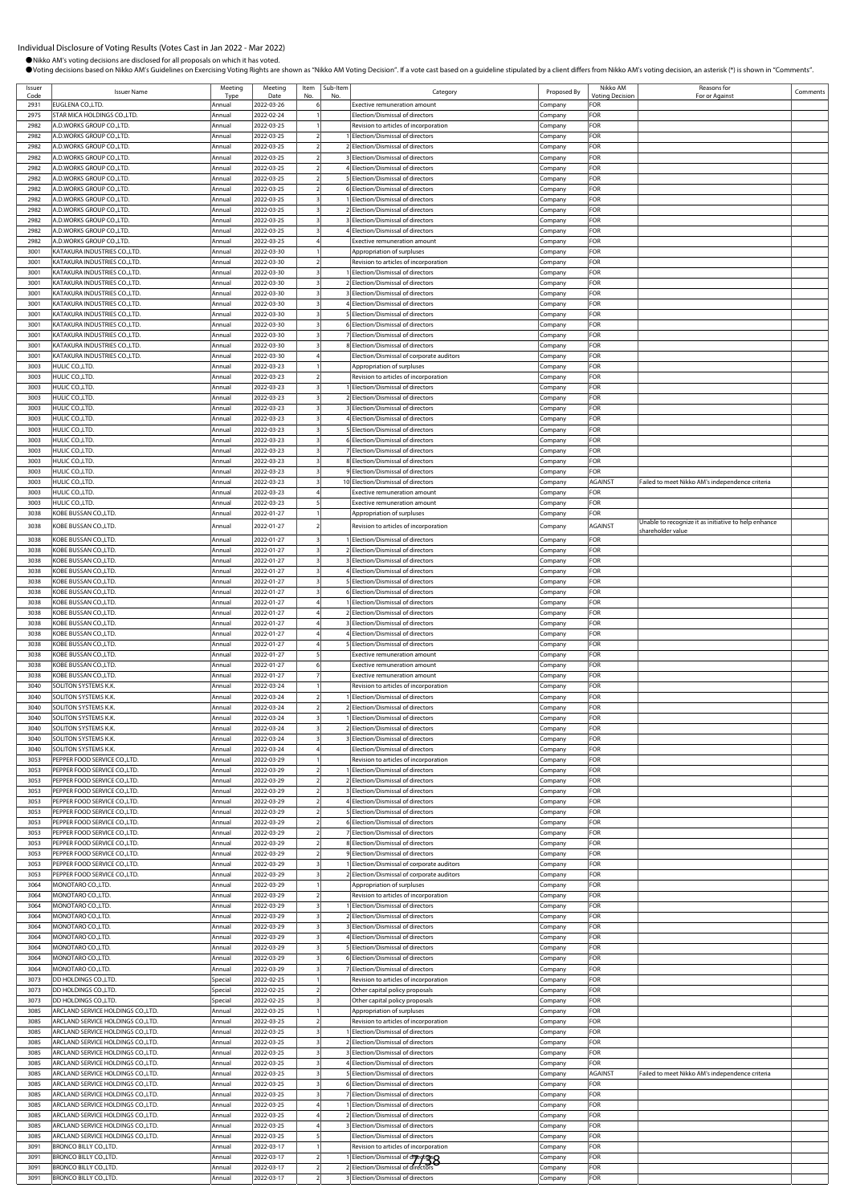| Issuer<br>Code | <b>Issuer Name</b>                                                       | Meeting<br>Type  | Meeting<br>Date          | Item<br>No               | Sub-Item<br>No | Category                                                                  | Proposed By        | Nikko AM<br><b>Voting Decision</b> | Reasons for<br>For or Against                        | Comments |
|----------------|--------------------------------------------------------------------------|------------------|--------------------------|--------------------------|----------------|---------------------------------------------------------------------------|--------------------|------------------------------------|------------------------------------------------------|----------|
| 2931           | EUGLENA CO., LTD.                                                        | Annual           | 2022-03-26               |                          |                | <b>Exective remuneration amount</b>                                       | Company            | FOR                                |                                                      |          |
| 2975<br>2982   | STAR MICA HOLDINGS CO., LTD.<br>4.D.WORKS GROUP CO., LTD.                | Annual<br>Annual | 2022-02-24<br>2022-03-25 |                          |                | Election/Dismissal of directors                                           | ompany.            | FOR<br>FOR                         |                                                      |          |
| 2982           | 4.D.WORKS GROUP CO.,LTD.                                                 | Annua            | 2022-03-25               |                          |                | Revision to articles of incorporation<br>Election/Dismissal of directors  | Company<br>Company | FOR                                |                                                      |          |
| 2982           | A.D.WORKS GROUP CO.,LTD.                                                 | Annual           | 2022-03-25               |                          |                | Election/Dismissal of directors                                           | Company            | FOR                                |                                                      |          |
| 2982           | A.D.WORKS GROUP CO.,LTD.                                                 | Annual           | 2022-03-25               |                          |                | 3 Election/Dismissal of directors                                         | Company            | FOR                                |                                                      |          |
| 2982           | <b>A.D.WORKS GROUP CO.,LTD.</b>                                          | Annual           | 2022-03-25               |                          |                | 4 Election/Dismissal of directors                                         | Company            | FOR                                |                                                      |          |
| 2982<br>2982   | 4.D.WORKS GROUP CO.,LTD.<br><b>A.D.WORKS GROUP CO.,LTD.</b>              | Annual<br>Annual | 2022-03-25<br>2022-03-25 |                          |                | 5 Election/Dismissal of directors<br>6 Election/Dismissal of directors    | Company<br>Company | FOR<br>FOR                         |                                                      |          |
| 2982           | 4.D.WORKS GROUP CO.,LTD.                                                 | Annual           | 2022-03-25               |                          |                | Election/Dismissal of directors                                           | .ompany            | FOR                                |                                                      |          |
| 2982           | .D.WORKS GROUP CO.,LTD.                                                  | Annual           | 2022-03-25               |                          |                | 2 Election/Dismissal of directors                                         | ompany.            | FOR                                |                                                      |          |
| 2982           | A.D.WORKS GROUP CO.,LTD.                                                 | Annual           | 2022-03-25               |                          |                | Election/Dismissal of directors                                           | Company            | FOR                                |                                                      |          |
| 2982<br>2982   | 4.D.WORKS GROUP CO.,LTD.<br><b>A.D.WORKS GROUP CO.,LTD.</b>              | Annual<br>Annual | 2022-03-25<br>2022-03-25 |                          |                | Election/Dismissal of directors<br>Exective remuneration amount           | Company<br>Company | FOR<br>FOR                         |                                                      |          |
| 3001           | <b>KATAKURA INDUSTRIES CO.,LTD.</b>                                      | Annua            | 2022-03-30               |                          |                | Appropriation of surpluses                                                | Company            | FOR                                |                                                      |          |
| 3001           | <b>(ATAKURA INDUSTRIES CO.,LTD.</b>                                      | Annual           | 2022-03-30               |                          |                | Revision to articles of incorporation                                     | Company            | FOR                                |                                                      |          |
| 3001           | <b>KATAKURA INDUSTRIES CO.,LTD.</b>                                      | Annual           | 2022-03-30               |                          |                | Election/Dismissal of directors<br>2 Election/Dismissal of directors      | Company            | FOR<br>FOR                         |                                                      |          |
| 3001<br>3001   | <b>KATAKURA INDUSTRIES CO.,LTD.</b><br>KATAKURA INDUSTRIES CO.,LTD.      | Annual<br>Annual | 2022-03-30<br>2022-03-30 |                          |                | 3 Election/Dismissal of directors                                         | :ompany<br>.cmpany | FOR                                |                                                      |          |
| 3001           | KATAKURA INDUSTRIES CO.,LTD.                                             | Annua            | 2022-03-30               |                          |                | 4 Election/Dismissal of directors                                         | Company            | FOR                                |                                                      |          |
| 3001           | KATAKURA INDUSTRIES CO.,LTD.                                             | Annual           | 2022-03-30               |                          |                | Election/Dismissal of directors                                           | Company            | FOR                                |                                                      |          |
| 3001           | KATAKURA INDUSTRIES CO., LTD.                                            | Annual           | 2022-03-30               |                          |                | 6 Election/Dismissal of directors                                         | Company            | FOR                                |                                                      |          |
| 3001<br>3001   | KATAKURA INDUSTRIES CO.,LTD.<br>KATAKURA INDUSTRIES CO.,LTD              | Annual<br>Annual | 2022-03-30<br>2022-03-30 |                          |                | Election/Dismissal of directors<br>8 Election/Dismissal of directors      | Company<br>Company | FOR<br>FOR                         |                                                      |          |
| 3001           | KATAKURA INDUSTRIES CO.,LTD.                                             | Annual           | 2022-03-30               |                          |                | Election/Dismissal of corporate auditors                                  | Company            | FOR                                |                                                      |          |
| 3003           | HULIC CO.,LTD.                                                           | Annual           | 2022-03-23               |                          |                | Appropriation of surpluses                                                | .cmpany            | FOR                                |                                                      |          |
| 3003           | HULIC CO.,LTD.<br>HULIC CO.,LTD.                                         | Annual           | 2022-03-23               |                          |                | Revision to articles of incorporation                                     | .ompany            | FOR                                |                                                      |          |
| 3003<br>3003   | HULIC CO.,LTD.                                                           | Annual<br>Annua  | 2022-03-23<br>2022-03-23 |                          |                | Election/Dismissal of directors<br>2 Election/Dismissal of directors      | Company<br>.cmpany | FOR<br>FOR                         |                                                      |          |
| 3003           | HULIC CO.,LTD.                                                           | Annual           | 2022-03-23               |                          |                | <b>Election/Dismissal of directors</b>                                    | Company            | FOR                                |                                                      |          |
| 3003           | HULIC CO.,LTD.                                                           | Annual           | 2022-03-23               |                          |                | 4 Election/Dismissal of directors                                         | .cmpany            | FOR                                |                                                      |          |
| 3003           | HULIC CO.,LTD.                                                           | Annual           | 2022-03-23               |                          |                | 5 Election/Dismissal of directors                                         | Company            | FOR                                |                                                      |          |
| 3003<br>3003   | HULIC CO.,LTD.<br>HULIC CO.,LTD.                                         | Annual<br>Annua  | 2022-03-23<br>2022-03-23 |                          |                | 6 Election/Dismissal of directors<br>7 Election/Dismissal of directors    | Company<br>Company | FOR<br>FOR                         |                                                      |          |
| 3003           | HULIC CO.,LTD.                                                           | Annual           | 2022-03-23               |                          |                | 8 Election/Dismissal of directors                                         | .ompany            | FOR                                |                                                      |          |
| 3003           | HULIC CO.,LTD.                                                           | Annual           | 2022-03-23               |                          |                | 9 Election/Dismissal of directors                                         | .ompany            | FOR                                |                                                      |          |
| 3003           | HULIC CO., LTD.                                                          | Annual           | 2022-03-23               |                          |                | 10 Election/Dismissal of directors                                        | Company            | AGAINST                            | Failed to meet Nikko AM's independence criteria      |          |
| 3003<br>3003   | HULIC CO.,LTD.<br>HULIC CO., LTD.                                        | Annua<br>Annual  | 2022-03-23<br>2022-03-23 |                          |                | <b>Exective remuneration amount</b><br>Exective remuneration amount       | Company<br>.cmpany | FOR<br>FOR                         |                                                      |          |
| 3038           | KOBE BUSSAN CO.,LTD.                                                     | Annual           | 2022-01-27               |                          |                | Appropriation of surpluses                                                | Company            | FOR                                |                                                      |          |
| 3038           | <b>COBE BUSSAN CO., LTD.</b>                                             | Annual           | 2022-01-27               |                          |                | Revision to articles of incorporation                                     | Company            | AGAINST                            | Unable to recognize it as initiative to help enhance |          |
| 3038           | KOBE BUSSAN CO.,LTD.                                                     | Annual           | 2022-01-27               |                          |                | Election/Dismissal of directors                                           | Company            | FOR                                | shareholder value                                    |          |
| 3038           | KOBE BUSSAN CO.,LTD.                                                     | Annual           | 2022-01-27               |                          |                | Election/Dismissal of directors                                           | Company            | FOR                                |                                                      |          |
| 3038           | KOBE BUSSAN CO.,LTD.                                                     | Annual           | 2022-01-27               |                          |                | 3 Election/Dismissal of directors                                         | Company            | FOR                                |                                                      |          |
| 3038           | <b>COBE BUSSAN CO., LTD.</b>                                             | Annual           | 2022-01-27               |                          |                | Election/Dismissal of directors                                           | Company            | FOR                                |                                                      |          |
| 3038<br>3038   | <b>COBE BUSSAN CO., LTD.</b><br>KOBE BUSSAN CO.,LTD.                     | Annual<br>Annual | 2022-01-27<br>2022-01-27 |                          |                | 5 Election/Dismissal of directors<br>6 Election/Dismissal of directors    | Company<br>Company | FOR<br>FOR                         |                                                      |          |
| 3038           | <b>COBE BUSSAN CO., LTD.</b>                                             | Annual           | 2022-01-27               |                          |                | 1 Election/Dismissal of directors                                         | Company            | FOR                                |                                                      |          |
| 3038           | <b>COBE BUSSAN CO., LTD.</b>                                             | Annual           | 2022-01-27               |                          |                | 2 Election/Dismissal of directors                                         | .ompany            | FOR                                |                                                      |          |
| 3038           | KOBE BUSSAN CO.,LTD.                                                     | Annual           | 2022-01-27               |                          |                | 3 Election/Dismissal of directors                                         | .ompany            | FOR                                |                                                      |          |
| 3038<br>3038   | KOBE BUSSAN CO.,LTD.<br>KOBE BUSSAN CO.,LTD.                             | Annual<br>Annual | 2022-01-27<br>2022-01-27 |                          |                | Election/Dismissal of directors<br><b>Election/Dismissal of directors</b> | Company<br>Company | FOR<br><b>FOR</b>                  |                                                      |          |
| 3038           | <b>COBE BUSSAN CO.,LTD.</b>                                              | Annual           | 2022-01-27               |                          |                | <b>Exective remuneration amount</b>                                       | :ompany            | FOR                                |                                                      |          |
| 3038           | OBE BUSSAN CO.,LTD.                                                      | Annual           | 2022-01-27               |                          |                | Exective remuneration amount                                              | Company            | FOR                                |                                                      |          |
| 3038           | KOBE BUSSAN CO.,LTD.                                                     | Annual           | 2022-01-27               |                          |                | <b>Exective remuneration amount</b>                                       | Company            | FOR                                |                                                      |          |
| 3040<br>3040   | SOLITON SYSTEMS K.K.<br>SOLITON SYSTEMS K.K                              | Annual<br>Annual | 2022-03-24<br>2022-03-24 |                          |                | Revision to articles of incorporation<br>Election/Dismissal of directors  | Company            | FOR<br>FOR                         |                                                      |          |
| 3040           | SOLITON SYSTEMS K.K.                                                     | Annual           | 2022-03-24               |                          |                | 2 Election/Dismissal of directors                                         | .ompany<br>:ompany | FOR                                |                                                      |          |
| 3040           | SOLITON SYSTEMS K.K.                                                     | Annual           | 2022-03-24               |                          |                | Election/Dismissal of directors                                           | Company            | FOR                                |                                                      |          |
| 3040           | SOLITON SYSTEMS K.K.                                                     | Annua            | 2022-03-24               |                          |                | 2 Election/Dismissal of directors                                         | Company            | <b>FOR</b>                         |                                                      |          |
| 3040<br>3040   | SOLITON SYSTEMS K.K.<br>SOLITON SYSTEMS K.K.                             | Annual<br>Annual | 2022-03-24<br>2022-03-24 |                          |                | Election/Dismissal of directors<br>Election/Dismissal of directors        | Company            | FOR<br>FOR                         |                                                      |          |
| 3053           | PEPPER FOOD SERVICE CO.,LTD.                                             | Annual           | 2022-03-29               |                          |                | Revision to articles of incorporation                                     | Company<br>Company | FOR                                |                                                      |          |
| 3053           | PEPPER FOOD SERVICE CO.,LTD.                                             | Annual           | 2022-03-29               |                          |                | 1 Election/Dismissal of directors                                         | Company            | FOR                                |                                                      |          |
| 3053           | PEPPER FOOD SERVICE CO.,LTD.                                             | Annual           | 2022-03-29               |                          |                | 2 Election/Dismissal of directors                                         | Company            | FOR                                |                                                      |          |
| 3053<br>3053   | PEPPER FOOD SERVICE CO.,LTD.<br>PEPPER FOOD SERVICE CO.,LTD.             | Annual<br>Annua  | 2022-03-29<br>2022-03-29 |                          |                | 3 Election/Dismissal of directors<br>4 Election/Dismissal of directors    | Company            | FOR<br>FOR                         |                                                      |          |
| 3053           | PEPPER FOOD SERVICE CO., LTD.                                            | Annual           | 2022-03-29               |                          |                | 5 Election/Dismissal of directors                                         | Company<br>Company | FOR                                |                                                      |          |
| 3053           | PEPPER FOOD SERVICE CO., LTD.                                            | Annual           | 2022-03-29               |                          |                | 6 Election/Dismissal of directors                                         | Company            | FOR                                |                                                      |          |
| 3053           | PEPPER FOOD SERVICE CO., LTD.                                            | Annual           | 2022-03-29               |                          |                | 7 Election/Dismissal of directors                                         | Company            | FOR                                |                                                      |          |
| 3053<br>3053   | PEPPER FOOD SERVICE CO.,LTD.<br>PEPPER FOOD SERVICE CO.,LTD.             | Annual<br>Annual | 2022-03-29<br>2022-03-29 | $\overline{\phantom{a}}$ |                | 8 Election/Dismissal of directors<br>9 Election/Dismissal of directors    | Company<br>Company | FOR<br>FOR                         |                                                      |          |
| 3053           | PEPPER FOOD SERVICE CO.,LTD.                                             | Annual           | 2022-03-29               |                          |                | Election/Dismissal of corporate auditors                                  | Company            | FOR                                |                                                      |          |
| 3053           | PEPPER FOOD SERVICE CO., LTD.                                            | Annual           | 2022-03-29               |                          |                | 2 Election/Dismissal of corporate auditors                                | Company            | FOR                                |                                                      |          |
| 3064           | MONOTARO CO., LTD.                                                       | Annual           | 2022-03-29               |                          |                | Appropriation of surpluses                                                | Company            | FOR                                |                                                      |          |
| 3064<br>3064   | MONOTARO CO., LTD.<br>MONOTARO CO., LTD.                                 | Annua<br>Annual  | 2022-03-29<br>2022-03-29 |                          |                | Revision to articles of incorporation                                     | Company            | FOR<br><b>FOR</b>                  |                                                      |          |
| 3064           | MONOTARO CO., LTD.                                                       | Annual           | 2022-03-29               |                          |                | Election/Dismissal of directors<br>2 Election/Dismissal of directors      | Company<br>Company | FOR                                |                                                      |          |
| 3064           | MONOTARO CO., LTD.                                                       | Annual           | 2022-03-29               |                          |                | Election/Dismissal of directors                                           | Company            | FOR                                |                                                      |          |
| 3064           | MONOTARO CO.,LTD.                                                        | Annual           | 2022-03-29               |                          |                | 4 Election/Dismissal of directors                                         | Company            | FOR                                |                                                      |          |
| 3064           | MONOTARO CO.,LTD.                                                        | Annual           | 2022-03-29               |                          |                | 5 Election/Dismissal of directors                                         | Company            | FOR                                |                                                      |          |
| 3064<br>3064   | MONOTARO CO., LTD.<br>MONOTARO CO.,LTD.                                  | Annual<br>Annual | 2022-03-29<br>2022-03-29 |                          |                | 6 Election/Dismissal of directors<br>7 Election/Dismissal of directors    | Company<br>Company | FOR<br>FOR                         |                                                      |          |
| 3073           | DD HOLDINGS CO., LTD.                                                    | Special          | 2022-02-25               |                          |                | Revision to articles of incorporation                                     | Company            | FOR                                |                                                      |          |
| 3073           | DD HOLDINGS CO., LTD.                                                    | Special          | 2022-02-25               |                          |                | Other capital policy proposals                                            | Company            | FOR                                |                                                      |          |
| 3073           | DD HOLDINGS CO., LTD.                                                    | Special          | 2022-02-25               |                          |                | Other capital policy proposals                                            | Company            | FOR                                |                                                      |          |
| 3085<br>3085   | ARCLAND SERVICE HOLDINGS CO., LTD.<br>ARCLAND SERVICE HOLDINGS CO.,LTD.  | Annual<br>Annual | 2022-03-25<br>2022-03-25 |                          |                | Appropriation of surpluses<br>Revision to articles of incorporation       | Iompany<br>Company | FOR<br>FOR                         |                                                      |          |
| 3085           | ARCLAND SERVICE HOLDINGS CO.,LTD.                                        | Annual           | 2022-03-25               |                          |                | 1 Election/Dismissal of directors                                         | Company            | FOR                                |                                                      |          |
| 3085           | ARCLAND SERVICE HOLDINGS CO.,LTD.                                        | Annual           | 2022-03-25               |                          |                | 2 Election/Dismissal of directors                                         | company.           | FOR                                |                                                      |          |
| 3085           | ARCLAND SERVICE HOLDINGS CO.,LTD.                                        | Annual           | 2022-03-25               |                          |                | Election/Dismissal of directors                                           | .cmpany            | FOR                                |                                                      |          |
| 3085<br>3085   | ARCLAND SERVICE HOLDINGS CO.,LTD<br>ARCLAND SERVICE HOLDINGS CO., LTD.   | Annual<br>Annual | 2022-03-25<br>2022-03-25 |                          |                | Election/Dismissal of directors<br>5 Election/Dismissal of directors      | .ompany            | FOR<br>AGAINST                     | Failed to meet Nikko AM's independence criteria      |          |
| 3085           | ARCLAND SERVICE HOLDINGS CO., LTD.                                       | Annual           | 2022-03-25               |                          |                | 6 Election/Dismissal of directors                                         | Company<br>Company | FOR                                |                                                      |          |
| 3085           | ARCLAND SERVICE HOLDINGS CO.,LTD.                                        | Annual           | 2022-03-25               |                          |                | 7 Election/Dismissal of directors                                         | Company            | FOR                                |                                                      |          |
| 3085           | ARCLAND SERVICE HOLDINGS CO.,LTD                                         | Annual           | 2022-03-25               |                          |                | 1 Election/Dismissal of directors                                         | Company            | FOR                                |                                                      |          |
| 3085           | ARCLAND SERVICE HOLDINGS CO.,LTD.                                        | Annual           | 2022-03-25               |                          |                | 2 Election/Dismissal of directors                                         | Company            | FOR                                |                                                      |          |
| 3085<br>3085   | ARCLAND SERVICE HOLDINGS CO., LTD.<br>ARCLAND SERVICE HOLDINGS CO., LTD. | Annual<br>Annual | 2022-03-25<br>2022-03-25 |                          |                | 3 Election/Dismissal of directors<br>Election/Dismissal of directors      | Company<br>.cmpany | FOR<br>FOR                         |                                                      |          |
| 3091           | BRONCO BILLY CO., LTD.                                                   | Annual           | 2022-03-17               |                          |                | Revision to articles of incorporation                                     | company.           | FOR                                |                                                      |          |
| 3091           | <b>BRONCO BILLY CO.,LTD</b>                                              | Annual           | 2022-03-17               |                          |                | 1 Election/Dismissal of directors                                         | Company            | FOR                                |                                                      |          |
| 3091           | <b>BRONCO BILLY CO.,LTD.</b>                                             | Annual           | 2022-03-17               |                          |                |                                                                           | Company            | FOR                                |                                                      |          |
| 3091           | BRONCO BILLY CO., LTD.                                                   | Annual           | 2022-03-17               |                          |                | 3 Election/Dismissal of directors                                         | Company            | FOR                                |                                                      |          |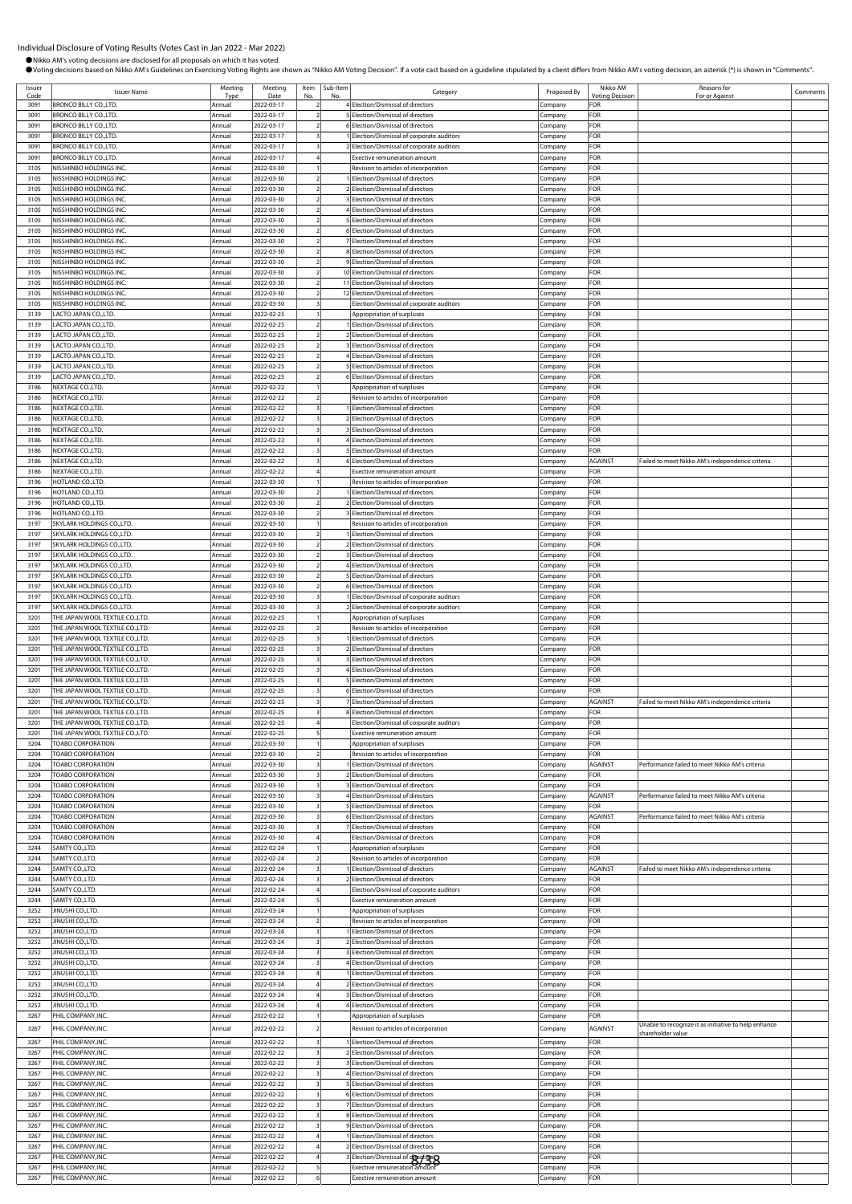$\Gamma$  Comments

|                | Nikko AM's voting decisions are disclosed for all proposals on which it has voted. |                  |                          |                          |          | OVoting decisions based on Nikko AM's Guidelines on Exercising Voting Rights are shown as "Nikko AM Voting Decision". If a vote cast based on a guideline stipulated by a client differs from Nikko AM's voting decision, an a |                    |                                    |                                                 |
|----------------|------------------------------------------------------------------------------------|------------------|--------------------------|--------------------------|----------|--------------------------------------------------------------------------------------------------------------------------------------------------------------------------------------------------------------------------------|--------------------|------------------------------------|-------------------------------------------------|
| Issuer<br>Code | <b>Issuer Name</b>                                                                 | Meeting<br>Type  | Meeting<br>Date          | Item                     | Sub-Item | Category                                                                                                                                                                                                                       | Proposed By        | Nikko AM<br><b>Voting Decision</b> | Reasons for<br>For or Against                   |
| 3091           | <b>BRONCO BILLY CO.,LTD.</b>                                                       | Annual           | 2022-03-17               | $\overline{\phantom{a}}$ |          | 4 Election/Dismissal of directors                                                                                                                                                                                              | Company            | FOR                                |                                                 |
| 3091           | <b>BRONCO BILLY CO.,LTD.</b>                                                       | Annual           | 2022-03-17               |                          |          | Election/Dismissal of directors                                                                                                                                                                                                | Company            | FOR                                |                                                 |
| 3091           | <b>BRONCO BILLY CO.,LTD</b>                                                        | Annual           | 2022-03-17               | $\overline{a}$           |          | 6 Election/Dismissal of directors                                                                                                                                                                                              | Company            | FOR                                |                                                 |
| 3091<br>3091   | <b>BRONCO BILLY CO.,LTD.</b><br><b>BRONCO BILLY CO.,LTD.</b>                       | Annual<br>Annual | 2022-03-17<br>2022-03-17 |                          |          | Election/Dismissal of corporate auditors<br>Election/Dismissal of corporate auditors                                                                                                                                           | Company<br>Company | FOR<br>FOR                         |                                                 |
| 3091           | <b>BRONCO BILLY CO., LTD.</b>                                                      | Annual           | 2022-03-17               |                          |          | <b>Exective remuneration amount</b>                                                                                                                                                                                            | Company            | FOR                                |                                                 |
| 3105           | NISSHINBO HOLDINGS INC                                                             | Annual           | 2022-03-30               |                          |          | Revision to articles of incorporation                                                                                                                                                                                          | Company            | FOR                                |                                                 |
| 3105           | NISSHINBO HOLDINGS INC.                                                            | Annual           | 2022-03-30               |                          |          | Election/Dismissal of directors                                                                                                                                                                                                | Company            | FOR                                |                                                 |
| 3105<br>3105   | NISSHINBO HOLDINGS INC<br>NISSHINBO HOLDINGS INC                                   | Annual<br>Annual | 2022-03-30<br>2022-03-30 |                          |          | Election/Dismissal of directors<br>Election/Dismissal of directors                                                                                                                                                             | Company<br>Company | FOR<br>FOR                         |                                                 |
| 3105           | <b>NISSHINBO HOLDINGS INC</b>                                                      | Annual           | 2022-03-30               |                          |          | Election/Dismissal of directors                                                                                                                                                                                                | Company            | FOR                                |                                                 |
| 3105           | NISSHINBO HOLDINGS INC                                                             | Annual           | 2022-03-30               |                          |          | Election/Dismissal of directors                                                                                                                                                                                                | Company            | FOR                                |                                                 |
| 3105           | <b>NISSHINBO HOLDINGS INC</b>                                                      | Annual           | 2022-03-30               |                          |          | Election/Dismissal of directors                                                                                                                                                                                                | Company            | FOR                                |                                                 |
| 3105<br>3105   | NISSHINBO HOLDINGS INC<br>NISSHINBO HOLDINGS INC                                   | Annual<br>Annual | 2022-03-30<br>2022-03-30 |                          |          | Election/Dismissal of directors<br>Election/Dismissal of directors                                                                                                                                                             | Company            | FOR<br>FOR                         |                                                 |
| 3105           | NISSHINBO HOLDINGS INC                                                             | Annual           | 2022-03-30               |                          |          | Election/Dismissal of directors                                                                                                                                                                                                | Company<br>Company | FOR                                |                                                 |
| 3105           | NISSHINBO HOLDINGS INC                                                             | Annual           | 2022-03-30               |                          |          | 10 Election/Dismissal of directors                                                                                                                                                                                             | Company            | FOR                                |                                                 |
| 3105           | <b>NISSHINBO HOLDINGS INC</b>                                                      | Annual           | 2022-03-30               |                          |          | 11 Election/Dismissal of directors                                                                                                                                                                                             | Company            | FOR                                |                                                 |
| 3105<br>3105   | <b>NISSHINBO HOLDINGS INC</b><br>NISSHINBO HOLDINGS INC                            | Annual<br>Annual | 2022-03-30<br>2022-03-30 | $\overline{\phantom{a}}$ |          | 12 Election/Dismissal of directors<br>Election/Dismissal of corporate auditors                                                                                                                                                 | Company<br>Company | FOR<br>FOR                         |                                                 |
| 3139           | LACTO JAPAN CO.,LTD.                                                               | Annual           | 2022-02-25               |                          |          | Appropriation of surpluses                                                                                                                                                                                                     | Company            | FOR                                |                                                 |
| 3139           | LACTO JAPAN CO.,LTD.                                                               | Annual           | 2022-02-25               |                          |          | Election/Dismissal of directors                                                                                                                                                                                                | Company            | FOR                                |                                                 |
| 3139           | LACTO JAPAN CO.,LTD.                                                               | Annual           | 2022-02-25               |                          |          | Election/Dismissal of directors                                                                                                                                                                                                | Company            | FOR                                |                                                 |
| 3139           | LACTO JAPAN CO.,LTD.                                                               | Annual           | 2022-02-25               |                          |          | Election/Dismissal of directors                                                                                                                                                                                                | Company            | FOR                                |                                                 |
| 3139<br>3139   | LACTO JAPAN CO.,LTD.<br>LACTO JAPAN CO.,LTD.                                       | Annual<br>Annual | 2022-02-25<br>2022-02-25 |                          |          | Flection/Dismissal of directors<br>Election/Dismissal of directors                                                                                                                                                             | Company<br>Company | FOR<br>FOR                         |                                                 |
| 3139           | LACTO JAPAN CO.,LTD.                                                               | Annual           | 2022-02-25               |                          |          | Election/Dismissal of directors                                                                                                                                                                                                | Company            | FOR                                |                                                 |
| 3186           | NEXTAGE CO., LTD.                                                                  | Annual           | 2022-02-22               |                          |          | Appropriation of surpluses                                                                                                                                                                                                     | Company            | FOR                                |                                                 |
| 3186           | NEXTAGE CO., LTD.                                                                  | Annual           | 2022-02-22               |                          |          | Revision to articles of incorporation                                                                                                                                                                                          | Company            | FOR                                |                                                 |
| 3186           | NEXTAGE CO., LTD.                                                                  | Annual           | 2022-02-22               |                          |          | Election/Dismissal of directors                                                                                                                                                                                                | Company            | FOR                                |                                                 |
| 3186<br>3186   | NEXTAGE CO., LTD.<br>NEXTAGE CO.,LTD.                                              | Annual<br>Annual | 2022-02-22<br>2022-02-22 |                          |          | Election/Dismissal of directors<br>Election/Dismissal of directors                                                                                                                                                             | Company<br>Company | FOR<br>FOR                         |                                                 |
| 3186           | NEXTAGE CO., LTD.                                                                  | Annual           | 2022-02-22               |                          |          | 4 Election/Dismissal of directors                                                                                                                                                                                              | Company            | FOR                                |                                                 |
| 3186           | NEXTAGE CO., LTD.                                                                  | Annual           | 2022-02-22               |                          |          | Election/Dismissal of directors                                                                                                                                                                                                | Company            | FOR                                |                                                 |
| 3186           | NEXTAGE CO., LTD.                                                                  | Annual           | 2022-02-22               |                          |          | 6 Election/Dismissal of directors                                                                                                                                                                                              | Company            | AGAINST                            | Failed to meet Nikko AM's independence criteria |
| 3186<br>3196   | NEXTAGE CO.,LTD.<br>HOTLAND CO.,LTD.                                               | Annual<br>Annual | 2022-02-22<br>2022-03-30 |                          |          | <b>Exective remuneration amount</b><br>Revision to articles of incorporation                                                                                                                                                   | Company<br>Company | FOR<br>FOR                         |                                                 |
| 3196           | HOTLAND CO.,LTD.                                                                   | Annual           | 2022-03-30               |                          |          | Election/Dismissal of directors                                                                                                                                                                                                | Company            | FOR                                |                                                 |
| 3196           | HOTLAND CO.,LTD.                                                                   | Annual           | 2022-03-30               |                          |          | Election/Dismissal of directors                                                                                                                                                                                                | Company            | FOR                                |                                                 |
| 3196           | HOTLAND CO.,LTD.                                                                   | Annual           | 2022-03-30               |                          |          | Election/Dismissal of directors                                                                                                                                                                                                | Company            | FOR                                |                                                 |
| 3197           | SKYLARK HOLDINGS CO.,LTD.                                                          | Annual           | 2022-03-30               |                          |          | Revision to articles of incorporation                                                                                                                                                                                          | Company            | FOR                                |                                                 |
| 3197<br>3197   | SKYLARK HOLDINGS CO., LTD.<br>SKYLARK HOLDINGS CO.,LTD.                            | Annual<br>Annual | 2022-03-30<br>2022-03-30 |                          |          | Election/Dismissal of directors<br>Election/Dismissal of directors                                                                                                                                                             | Company<br>Company | FOR<br>FOR                         |                                                 |
| 3197           | SKYLARK HOLDINGS CO., LTD.                                                         | Annual           | 2022-03-30               |                          |          | Election/Dismissal of directors                                                                                                                                                                                                | Company            | FOR                                |                                                 |
| 3197           | SKYLARK HOLDINGS CO., LTD.                                                         | Annual           | 2022-03-30               |                          |          | Election/Dismissal of directors                                                                                                                                                                                                | Company            | FOR                                |                                                 |
| 3197           | SKYLARK HOLDINGS CO.,LTD                                                           | Annual           | 2022-03-30               |                          |          | Election/Dismissal of directors                                                                                                                                                                                                | Company            | FOR                                |                                                 |
| 3197<br>3197   | SKYLARK HOLDINGS CO., LTD.<br>SKYLARK HOLDINGS CO.,LTD.                            | Annual<br>Annual | 2022-03-30<br>2022-03-30 |                          |          | Election/Dismissal of directors<br>Election/Dismissal of corporate auditors                                                                                                                                                    | Company<br>Company | FOR<br>FOR                         |                                                 |
| 3197           | SKYLARK HOLDINGS CO., LTD.                                                         | Annual           | 2022-03-30               |                          |          | Election/Dismissal of corporate auditors                                                                                                                                                                                       | Company            | FOR                                |                                                 |
| 3201           | THE JAPAN WOOL TEXTILE CO.,LTD.                                                    | Annual           | 2022-02-25               |                          |          | Appropriation of surpluses                                                                                                                                                                                                     | Company            | FOR                                |                                                 |
| 3201           | THE JAPAN WOOL TEXTILE CO.,LTD.                                                    | Annual           | 2022-02-25               | 2                        |          | Revision to articles of incorporation                                                                                                                                                                                          | Company            | FOR                                |                                                 |
| 3201           | THE JAPAN WOOL TEXTILE CO.,LTD.                                                    | Annual           | 2022-02-25               | 3                        |          | Election/Dismissal of directors                                                                                                                                                                                                | Company            | FOR                                |                                                 |
| 3201<br>3201   | THE JAPAN WOOL TEXTILE CO.,LTD.<br>THE JAPAN WOOL TEXTILE CO.,LTD.                 | Annual<br>Annual | 2022-02-25<br>2022-02-25 | $\overline{3}$           |          | 2 Election/Dismissal of directors<br>Election/Dismissal of directors                                                                                                                                                           | Company<br>Company | FOR<br>FOR                         |                                                 |
| 3201           | THE JAPAN WOOL TEXTILE CO.,LTD.                                                    | Annual           | 2022-02-25               |                          |          | Election/Dismissal of directors                                                                                                                                                                                                | Company            | FOR                                |                                                 |
| 3201           | THE JAPAN WOOL TEXTILE CO.,LTD.                                                    | Annual           | 2022-02-25               |                          |          | Election/Dismissal of directors                                                                                                                                                                                                | Company            | FOR                                |                                                 |
| 3201           | THE JAPAN WOOL TEXTILE CO.,LTD.                                                    | Annual           | 2022-02-25               |                          |          | 6 Election/Dismissal of directors                                                                                                                                                                                              | Company            | FOR                                |                                                 |
| 3201<br>3201   | THE JAPAN WOOL TEXTILE CO.,LTD.                                                    | Annual<br>Annual | 2022-02-25<br>2022-02-25 |                          |          | 7 Election/Dismissal of directors<br>Election/Dismissal of directors                                                                                                                                                           | Company            | AGAINST<br>FOR                     | Failed to meet Nikko AM's independence criteria |
| 3201           | THE JAPAN WOOL TEXTILE CO.,LTD.<br>THE JAPAN WOOL TEXTILE CO.,LTD.                 | Annual           | 2022-02-25               |                          |          | Election/Dismissal of corporate auditors                                                                                                                                                                                       | Company<br>Company | FOR                                |                                                 |
| 3201           | THE JAPAN WOOL TEXTILE CO.,LTD.                                                    | Annual           | 2022-02-25               |                          |          | <b>Exective remuneration amount</b>                                                                                                                                                                                            | Company            | FOR                                |                                                 |
| 3204           | TOABO CORPORATION                                                                  | Annual           | 2022-03-30               |                          |          | Appropriation of surpluses                                                                                                                                                                                                     | Company            | FOR                                |                                                 |
| 3204           | TOABO CORPORATION                                                                  | Annual           | 2022-03-30               |                          |          | Revision to articles of incorporation                                                                                                                                                                                          | Company            | FOR                                |                                                 |
| 3204<br>3204   | TOABO CORPORATION<br><b>TOABO CORPORATION</b>                                      | Annual<br>Annual | 2022-03-30<br>2022-03-30 |                          |          | Election/Dismissal of directors<br>Election/Dismissal of directors                                                                                                                                                             | Company            | AGAINST<br>FOR                     | Performance failed to meet Nikko AM's criteria  |
| 3204           | TOABO CORPORATION                                                                  | Annual           | 2022-03-30               |                          |          | Election/Dismissal of directors                                                                                                                                                                                                | Company<br>Company | FOR                                |                                                 |
| 3204           | TOABO CORPORATION                                                                  | Annual           | 2022-03-30               |                          |          | 4 Election/Dismissal of directors                                                                                                                                                                                              | Company            | AGAINST                            | Performance failed to meet Nikko AM's criteria  |
| 3204           | <b>TOABO CORPORATION</b>                                                           | Annual           | 2022-03-30               |                          |          | Election/Dismissal of directors                                                                                                                                                                                                | Company            | FOR                                |                                                 |
| 3204           | <b>TOABO CORPORATION</b>                                                           | Annual           | 2022-03-30               |                          |          | 6 Election/Dismissal of directors                                                                                                                                                                                              | Company            | AGAINST                            | Performance failed to meet Nikko AM's criteria  |
| 3204<br>3204   | <b>TOABO CORPORATION</b><br>TOABO CORPORATION                                      | Annual<br>Annual | 2022-03-30<br>2022-03-30 | 4                        |          | Election/Dismissal of directors<br>Election/Dismissal of directors                                                                                                                                                             | Company<br>Company | FOR<br>FOR                         |                                                 |
| 3244           | SAMTY CO.,LTD.                                                                     | Annual           | 2022-02-24               |                          |          | Appropriation of surpluses                                                                                                                                                                                                     | Company            | FOR                                |                                                 |
|                | SAMTY CO.,LTD.                                                                     | Annual           | 2022-02-24               |                          |          | Revision to articles of incorporation                                                                                                                                                                                          | Company            | FOR                                |                                                 |
| 3244           |                                                                                    |                  |                          |                          |          |                                                                                                                                                                                                                                |                    |                                    |                                                 |

3244 SAMTY CO.,LTD. Annual 2022-02-24 3 2 Election/Dismissal of directors Company FOR 3244 SAMTY CO.,LTD. Annual 2022-02-24 4 Election/Dismissal of corporate auditors Company FOR 3244 SAMTY CO.,LTD. Annual 2022-02-24 5 Exective remuneration amount Company FOR 3252 JINUSHI CO.,LTD. Annual 2022-03-24 1 Appropriation of surpluses Company FOR 322 JUNUSHI CO.,LTD.<br>3222-03-24 2 Revision to articles of incorporation Company FOR<br>3 DELECTOR DISTRICT COMPANY COMPANY FOR COMPANY FOR COMPANY FOR COMPANY FOR COMPANY FOR COMPANY FOR COMPANY

3252 JINUSHI CO.,LTD. **Annual 2022-03-24 3** 2 Election/Dismissal of directors Company FOR 3252 JINUSHI CO.,LTD. Annual 2022-03-24 3 3 Election/Dismissal of directors Company FOR 3252 JINUSHI CO.,LTD. Annual 2022-03-24 3 4 Election/Dismissal of directors Company FOR 3252 JINUSHI CO.,LTD. **Annual 2022-03-24** 4 1 Election/Dismissal of directors Company FOR 3252 JINUSHI CO.,LTD. Annual 2022-03-24 4 2 Election/Dismissal of directors Company FOR 3252 JINUSHI CO.,LTD. Annual 2022-03-24 4 3 Election/Dismissal of directors Company FOR 3252 JINUSHI CO.,LTD. Annual 2022-03-24 4 4 Election/Dismissal of directors Company FOR<br>3267 PHIL COMPANY,INC. Annual 2022-02-22 1 Appropriation of surpluses Company FOR 3267 PHIL COMPANY,INC. Annual 2022-02-22 1 Appropriation of surpluses Company FOR

3267 PHIL COMPANY, INC. **Annual 2022-02-22** 3 1 Election/Dismissal of directors Company FOR 3267 PHIL COMPANY, INC. COMPANY, COMPANY, COMPANY, COMPANY, COMPANY COMPANY Annual 2022-02-22 3 2 Election/Dismissal of directors Company FOR 3267 PHIL COMPANY,INC. Annual 2022-02-22 3 3 Election/Dismissal of directors Company FOR 3267 PHIL COMPANY,INC. Annual 2022-02-22 3 4 Election/Dismissal of directors Company FOR 3267 PHIL COMPANY,INC. Annual 2022-02-22 3 5 Election/Dismissal of directors Company FOR 3267 PHIL COMPANY,INC. Annual 2022-02-22 3 6 Election/Dismissal of directors Company FOR 3267 PHIL COMPANY,INC. Annual 2022-02-22 3 7 Election/Dismissal of directors Company FOR 3267 PHIL COMPANY,INC. Annual 2022-02-22 3 8 Election/Dismissal of directors Company FOR 3267 PHIL COMPANY,INC. Annual 2022-02-22 3 9 Election/Dismissal of directors Company FOR 3267 PHIL COMPANY, INC.<br>3267 PHIL COMPANY, INC. COMPANY, INC. Annual 2022-02-22 4 2 Election/Dismissal of directors Company FOR<br>FOR COMPANY, INC. COMPANY, INC. Annual 2022-02-22 4 2 Election/Dismissal of directors Company

3267 PHIL COMPANY,INC. Annual 2022-02-22 4 3 Election/Dismissal of directors Company FOR 3267 PHIL COMPANY,INC. Annual 2022-02-22 5 Exective remuneration amount Company FOR 8/383267 PHIL COMPANY, INC. Annual 2022-02-22 6 Exective remuneration amount Company FOR

and the state of the company of the company of the company of the company FORD. Company FORD. Company FORD. Company FORD.  $\frac{1}{2}$ 

shareholder value

3267 PHIL COMPANY,INC. Annual 2022-02-22 2 Revision to articles of incorporation Company AGAINST Unable to recognize it as initiative to help enhance

4 **PHIL COMPANY** PHIL COMPANY PHIL COMPANY FOR A 2 Election/Dismissal of directors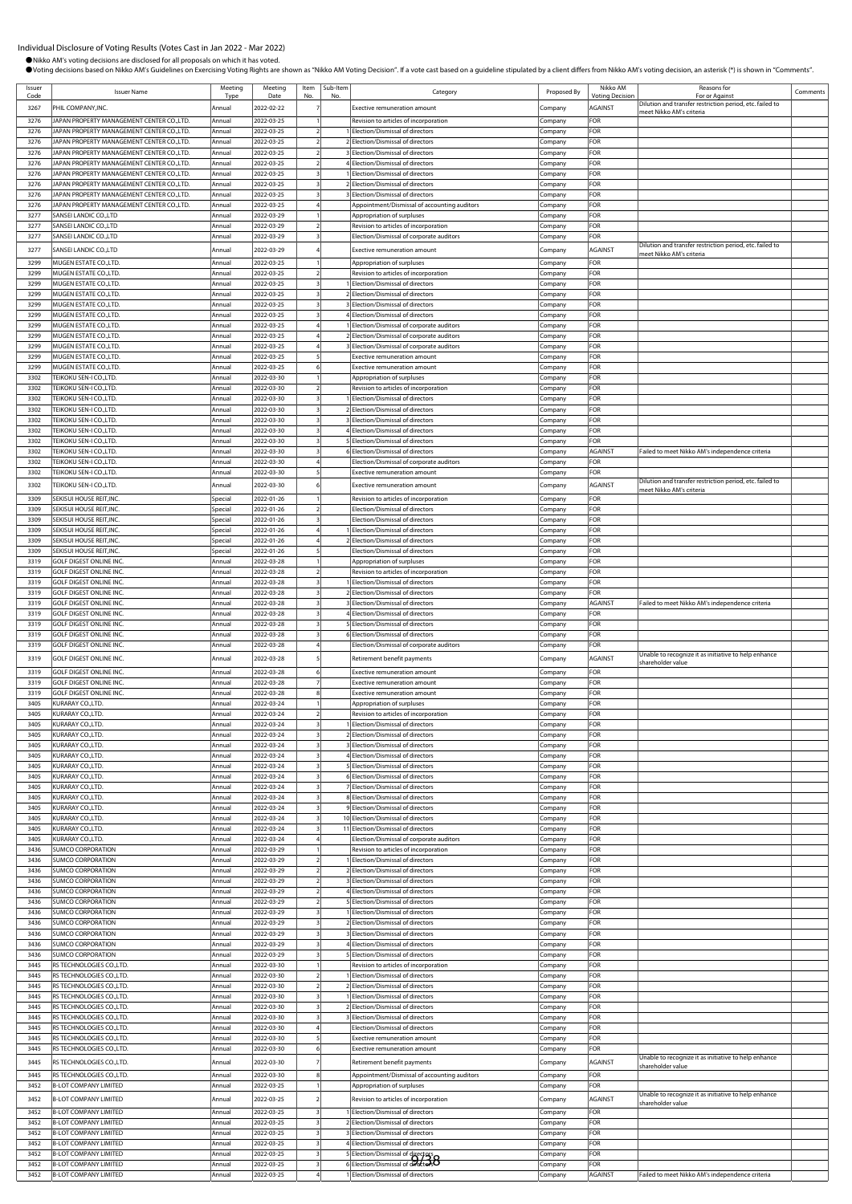| Issuer<br>Code | <b>Issuer Name</b>                                                                    | Meeting<br>Type    | Meeting<br>Date          | Item<br>No. | Sub-Item<br>No | Category                                                                       | Proposed By        | Nikko AM<br><b>Voting Decision</b> | Reasons for<br>For or Against                                                        | Comments |
|----------------|---------------------------------------------------------------------------------------|--------------------|--------------------------|-------------|----------------|--------------------------------------------------------------------------------|--------------------|------------------------------------|--------------------------------------------------------------------------------------|----------|
| 3267           | PHIL COMPANY, INC.                                                                    | Annual             | 2022-02-22               |             |                | Exective remuneration amount                                                   | Company            | AGAINST                            | Dilution and transfer restriction period, etc. failed to                             |          |
| 3276           | <b>JAPAN PROPERTY MANAGEMENT CENTER CO.,LTD.</b>                                      | Annual             | 2022-03-25               |             |                | Revision to articles of incorporation                                          | Company            | FOR                                | meet Nikko AM's criteria                                                             |          |
| 3276           | JAPAN PROPERTY MANAGEMENT CENTER CO.,LTD.                                             | Annual             | 2022-03-25               |             |                | 1 Election/Dismissal of directors                                              | Company            | FOR                                |                                                                                      |          |
| 3276           | JAPAN PROPERTY MANAGEMENT CENTER CO.,LTD.                                             | Annual             | 2022-03-25               |             |                | 2 Election/Dismissal of directors                                              | Company            | FOR                                |                                                                                      |          |
| 3276           | JAPAN PROPERTY MANAGEMENT CENTER CO.,LTD.                                             | Annual             | 2022-03-25               |             |                | 3 Election/Dismissal of directors                                              | Company            | FOR                                |                                                                                      |          |
| 3276           | JAPAN PROPERTY MANAGEMENT CENTER CO.,LTD.                                             | Annual             | 2022-03-25               |             |                | 4 Election/Dismissal of directors                                              | Company            | FOR                                |                                                                                      |          |
| 3276<br>3276   | JAPAN PROPERTY MANAGEMENT CENTER CO.,LTD.<br>JAPAN PROPERTY MANAGEMENT CENTER CO.,LTD | Annual<br>Annual   | 2022-03-25<br>2022-03-25 |             |                | 1 Election/Dismissal of directors<br>2 Election/Dismissal of directors         | Company            | <b>FOR</b><br>FOR                  |                                                                                      |          |
| 3276           | <b>JAPAN PROPERTY MANAGEMENT CENTER CO.,LTD.</b>                                      | Annual             | 2022-03-25               |             |                | 3 Election/Dismissal of directors                                              | Company<br>Company | FOR                                |                                                                                      |          |
| 3276           | JAPAN PROPERTY MANAGEMENT CENTER CO.,LTD.                                             | Annual             | 2022-03-25               |             |                | Appointment/Dismissal of accounting auditors                                   | Company            | FOR                                |                                                                                      |          |
| 3277           | SANSEI LANDIC CO.,LTD                                                                 | Annual             | 2022-03-29               |             |                | Appropriation of surpluses                                                     | Company            | FOR                                |                                                                                      |          |
| 3277           | <b>SANSEI LANDIC CO.,LTD</b>                                                          | Annual             | 2022-03-29               |             |                | Revision to articles of incorporation                                          | Company            | FOR                                |                                                                                      |          |
| 3277           | SANSEI LANDIC CO.,LTD                                                                 | Annual             | 2022-03-29               |             |                | Election/Dismissal of corporate auditors                                       | Company            | FOR                                | Dilution and transfer restriction period, etc. failed to                             |          |
| 3277           | SANSEI LANDIC CO.,LTD                                                                 | Annual             | 2022-03-29               |             |                | Exective remuneration amount                                                   | Company            | AGAINST                            | meet Nikko AM's criteria                                                             |          |
| 3299           | MUGEN ESTATE CO.,LTD.                                                                 | Annual             | 2022-03-25               |             |                | Appropriation of surpluses                                                     | Company            | FOR                                |                                                                                      |          |
| 3299           | MUGEN ESTATE CO.,LTD.                                                                 | Annual             | 2022-03-25               |             |                | Revision to articles of incorporation<br>1 Election/Dismissal of directors     | Company            | FOR                                |                                                                                      |          |
| 3299<br>3299   | MUGEN ESTATE CO.,LTD.<br>MUGEN ESTATE CO.,LTD.                                        | Annual<br>Annual   | 2022-03-25<br>2022-03-25 |             |                | 2 Election/Dismissal of directors                                              | Company<br>Company | FOR<br>FOR                         |                                                                                      |          |
| 3299           | MUGEN ESTATE CO.,LTD.                                                                 | Annual             | 2022-03-25               |             |                | 3 Election/Dismissal of directors                                              | Company            | FOR                                |                                                                                      |          |
| 3299           | MUGEN ESTATE CO.,LTD.                                                                 | Annual             | 2022-03-25               |             |                | 4 Election/Dismissal of directors                                              | Company            | FOR                                |                                                                                      |          |
| 3299           | MUGEN ESTATE CO., LTD.                                                                | Annual             | 2022-03-25               |             |                | 1 Election/Dismissal of corporate auditors                                     | Company            | FOR                                |                                                                                      |          |
| 3299           | MUGEN ESTATE CO., LTD.                                                                | Annual             | 2022-03-25               |             |                | 2 Election/Dismissal of corporate auditors                                     | Company            | FOR                                |                                                                                      |          |
| 3299<br>3299   | MUGEN ESTATE CO.,LTD.<br>MUGEN ESTATE CO.,LTD.                                        | Annual<br>Annual   | 2022-03-25<br>2022-03-25 |             |                | 3 Election/Dismissal of corporate auditors<br>Exective remuneration amount     | Company<br>Company | FOR<br>FOR                         |                                                                                      |          |
| 3299           | MUGEN ESTATE CO., LTD.                                                                | Annual             | 2022-03-25               |             |                | Exective remuneration amount                                                   | Company            | FOR                                |                                                                                      |          |
| 3302           | TEIKOKU SEN-I CO.,LTD.                                                                | Annual             | 2022-03-30               |             |                | Appropriation of surpluses                                                     | Company            | FOR                                |                                                                                      |          |
| 3302           | TEIKOKU SEN-I CO.,LTD.                                                                | Annual             | 2022-03-30               |             |                | Revision to articles of incorporation                                          | Company            | FOR                                |                                                                                      |          |
| 3302           | TEIKOKU SEN-I CO.,LTD.                                                                | Annual             | 2022-03-30               |             |                | 1 Election/Dismissal of directors                                              | ompany.            | FOR                                |                                                                                      |          |
| 3302           | TEIKOKU SEN-I CO.,LTD.                                                                | Annual             | 2022-03-30               |             |                | 2 Election/Dismissal of directors                                              | Company            | FOR                                |                                                                                      |          |
| 3302<br>3302   | TEIKOKU SEN-I CO.,LTD.<br>TEIKOKU SEN-I CO.,LTD.                                      | Annual<br>Annual   | 2022-03-30<br>2022-03-30 |             |                | 3 Election/Dismissal of directors<br>4 Election/Dismissal of directors         | Company<br>Company | FOR<br>FOR                         |                                                                                      |          |
| 3302           | TEIKOKU SEN-I CO.,LTD.                                                                | Annual             | 2022-03-30               |             |                | 5 Election/Dismissal of directors                                              | Company            | FOR                                |                                                                                      |          |
| 3302           | TEIKOKU SEN-I CO.,LTD.                                                                | Annual             | 2022-03-30               |             |                | 6 Election/Dismissal of directors                                              | Company            | AGAINST                            | Failed to meet Nikko AM's independence criteria                                      |          |
| 3302           | TEIKOKU SEN-I CO.,LTD.                                                                | Annual             | 2022-03-30               |             |                | Election/Dismissal of corporate auditors                                       | Company            | FOR                                |                                                                                      |          |
| 3302           | TEIKOKU SEN-I CO.,LTD.                                                                | Annual             | 2022-03-30               |             |                | Exective remuneration amount                                                   | Company            | FOR                                |                                                                                      |          |
| 3302           | TEIKOKU SEN-I CO.,LTD.                                                                | Annual             | 2022-03-30               |             |                | Exective remuneration amount                                                   | Company            | AGAINST                            | Dilution and transfer restriction period, etc. failed to<br>meet Nikko AM's criteria |          |
| 3309           | SEKISUI HOUSE REIT, INC.                                                              | Special            | 2022-01-26               |             |                | Revision to articles of incorporation                                          | Company            | FOR                                |                                                                                      |          |
| 3309           | SEKISUI HOUSE REIT, INC.                                                              | Special            | 2022-01-26               |             |                | Election/Dismissal of directors                                                | Company            | FOR                                |                                                                                      |          |
| 3309<br>3309   | SEKISUI HOUSE REIT, INC.<br>SEKISUI HOUSE REIT, INC.                                  | Special            | 2022-01-26<br>2022-01-26 |             |                | Election/Dismissal of directors                                                | Company            | FOR<br>FOR                         |                                                                                      |          |
| 3309           | SEKISUI HOUSE REIT, INC.                                                              | Special<br>Special | 2022-01-26               |             |                | Election/Dismissal of directors<br>2 Election/Dismissal of directors           | Company<br>Company | FOR                                |                                                                                      |          |
| 3309           | SEKISUI HOUSE REIT, INC.                                                              | Special            | 2022-01-26               |             |                | Election/Dismissal of directors                                                | Company            | FOR                                |                                                                                      |          |
| 3319           | <b>GOLF DIGEST ONLINE INC</b>                                                         | Annual             | 2022-03-28               |             |                | Appropriation of surpluses                                                     | Company            | FOR                                |                                                                                      |          |
| 3319           | GOLF DIGEST ONLINE INC                                                                | Annual             | 2022-03-28               |             |                | Revision to articles of incorporation                                          | Company            | <b>FOR</b>                         |                                                                                      |          |
| 3319           | <b>GOLF DIGEST ONLINE INC</b>                                                         | Annual             | 2022-03-28               |             |                | 1 Election/Dismissal of directors                                              | Company            | FOR                                |                                                                                      |          |
| 3319<br>3319   | <b>GOLF DIGEST ONLINE INC</b><br><b>GOLF DIGEST ONLINE INC</b>                        | Annual<br>Annual   | 2022-03-28<br>2022-03-28 |             |                | 2 Election/Dismissal of directors<br>3 Election/Dismissal of directors         | Company<br>Company | FOR<br>AGAINST                     | Failed to meet Nikko AM's independence criteria                                      |          |
| 3319           | <b>GOLF DIGEST ONLINE INC</b>                                                         | Annual             | 2022-03-28               |             |                | 4 Election/Dismissal of directors                                              | Company            | FOR                                |                                                                                      |          |
| 3319           | <b>GOLF DIGEST ONLINE INC</b>                                                         | Annual             | 2022-03-28               |             |                | 5 Election/Dismissal of directors                                              | Company            | FOR                                |                                                                                      |          |
| 3319           | <b>GOLF DIGEST ONLINE INC</b>                                                         | Annual             | 2022-03-28               |             |                | 6 Election/Dismissal of directors                                              | Company            | FOR                                |                                                                                      |          |
| 3319           | GOLF DIGEST ONLINE INC.                                                               | Annual             | 2022-03-28               |             |                | Election/Dismissal of corporate auditors                                       | Company            | FOR                                |                                                                                      |          |
| 3319           | GOLF DIGEST ONLINE INC.                                                               | Annual             | 2022-03-28               |             |                | Retirement benefit payments                                                    | Company            | AGAINST                            | Unable to recognize it as initiative to help enhance<br>shareholder value            |          |
| 3319           | <b>GOLF DIGEST ONLINE INC</b>                                                         | Annual             | 2022-03-28               |             |                | Exective remuneration amount                                                   | Company            | FOR                                |                                                                                      |          |
| 3319           | <b>GOLF DIGEST ONLINE INC</b>                                                         | Annual             | 2022-03-28               |             |                | Exective remuneration amount                                                   | Company            | FOR                                |                                                                                      |          |
| 3319<br>3405   | <b>GOLF DIGEST ONLINE INC</b><br>KURARAY CO.,LTD.                                     | Annual<br>Annual   | 2022-03-28<br>2022-03-24 |             |                | Exective remuneration amount<br>Appropriation of surpluses                     | Company            | FOR<br>FOR                         |                                                                                      |          |
| 3405           | KURARAY CO.,LTD.                                                                      | Annual             | 2022-03-24               |             |                | Revision to articles of incorporation                                          | Company<br>Company | FOR                                |                                                                                      |          |
| 3405           | KURARAY CO.,LTD.                                                                      | hnua               | 2022-03-24               |             |                | <b>Flection/Dismissal of director</b>                                          | ompany             | FOR                                |                                                                                      |          |
| 3405           | KURARAY CO.,LTD.                                                                      | Annual             | 2022-03-24               |             |                | 2 Election/Dismissal of directors                                              | Company            | FOR                                |                                                                                      |          |
| 3405           | KURARAY CO.,LTD.                                                                      | Annual             | 2022-03-24               |             |                | 3 Election/Dismissal of directors                                              | Company            | FOR                                |                                                                                      |          |
| 3405           | KURARAY CO.,LTD.                                                                      | Annual             | 2022-03-24               |             |                | 4 Election/Dismissal of directors                                              | Company            | FOR                                |                                                                                      |          |
| 3405<br>3405   | KURARAY CO.,LTD.<br>KURARAY CO.,LTD.                                                  | Annual<br>Annual   | 2022-03-24<br>2022-03-24 |             |                | 5 Election/Dismissal of directors<br>6 Election/Dismissal of directors         | Company<br>Company | FOR<br>FOR                         |                                                                                      |          |
| 3405           | KURARAY CO.,LTD.                                                                      | Annual             | 2022-03-24               |             |                | 7 Election/Dismissal of directors                                              | Company            | FOR                                |                                                                                      |          |
| 3405           | KURARAY CO.,LTD.                                                                      | Annual             | 2022-03-24               |             |                | 8 Election/Dismissal of directors                                              | Company            | FOR                                |                                                                                      |          |
| 3405           | KURARAY CO.,LTD.                                                                      | Annual             | 2022-03-24               |             |                | 9 Election/Dismissal of directors                                              | Company            | FOR                                |                                                                                      |          |
| 3405           | KURARAY CO.,LTD.                                                                      | Annual             | 2022-03-24               |             |                | 10 Election/Dismissal of directors                                             | Company            | FOR                                |                                                                                      |          |
| 3405<br>3405   | KURARAY CO.,LTD.<br>KURARAY CO.,LTD.                                                  | Annual<br>Annual   | 2022-03-24<br>2022-03-24 |             |                | 11 Election/Dismissal of directors<br>Election/Dismissal of corporate auditors | Company<br>Company | FOR<br>FOR                         |                                                                                      |          |
| 3436           | <b>SUMCO CORPORATION</b>                                                              | Annual             | 2022-03-29               |             |                | Revision to articles of incorporation                                          | Company            | FOR                                |                                                                                      |          |
| 3436           | SUMCO CORPORATION                                                                     | Annual             | 2022-03-29               |             |                | 1 Election/Dismissal of directors                                              | Company            | FOR                                |                                                                                      |          |
| 3436           | <b>SUMCO CORPORATION</b>                                                              | Annual             | 2022-03-29               |             |                | 2 Election/Dismissal of directors                                              | Company            | FOR                                |                                                                                      |          |
| 3436           | <b>SUMCO CORPORATION</b>                                                              | Annual             | 2022-03-29               |             |                | 3 Election/Dismissal of directors                                              | Company            | FOR<br>FOR                         |                                                                                      |          |
| 3436<br>3436   | <b>SUMCO CORPORATION</b><br><b>SUMCO CORPORATION</b>                                  | Annual<br>Annual   | 2022-03-29<br>2022-03-29 |             |                | 4 Election/Dismissal of directors<br>5 Election/Dismissal of directors         | Company<br>Company | FOR                                |                                                                                      |          |
| 3436           | <b>SUMCO CORPORATION</b>                                                              | Annual             | 2022-03-29               |             |                | 1 Election/Dismissal of directors                                              | Company            | FOR                                |                                                                                      |          |
| 3436           | <b>SUMCO CORPORATION</b>                                                              | Annual             | 2022-03-29               |             |                | 2 Election/Dismissal of directors                                              | Company            | FOR                                |                                                                                      |          |
| 3436           | <b>SUMCO CORPORATION</b>                                                              | Annual             | 2022-03-29               |             |                | 3 Election/Dismissal of directors                                              | Company            | FOR                                |                                                                                      |          |
| 3436           | SUMCO CORPORATION                                                                     | Annual             | 2022-03-29               |             |                | 4 Election/Dismissal of directors                                              | Company            | FOR                                |                                                                                      |          |
| 3436<br>3445   | <b>SUMCO CORPORATION</b><br>RS TECHNOLOGIES CO., LTD.                                 | Annual<br>Annual   | 2022-03-29<br>2022-03-30 |             |                | 5 Election/Dismissal of directors<br>Revision to articles of incorporation     | Company<br>Company | FOR<br>FOR                         |                                                                                      |          |
| 3445           | RS TECHNOLOGIES CO., LTD.                                                             | Annual             | 2022-03-30               |             |                | 1 Election/Dismissal of directors                                              | Company            | FOR                                |                                                                                      |          |
| 3445           | RS TECHNOLOGIES CO., LTD.                                                             | Annual             | 2022-03-30               |             |                | 2 Election/Dismissal of directors                                              | Company            | FOR                                |                                                                                      |          |
| 3445           | RS TECHNOLOGIES CO.,LTD.                                                              | Annual             | 2022-03-30               |             |                | 1 Election/Dismissal of directors                                              | Company            | FOR                                |                                                                                      |          |
| 3445           | RS TECHNOLOGIES CO., LTD.                                                             | Annual             | 2022-03-30               |             |                | 2 Election/Dismissal of directors                                              | Company            | FOR                                |                                                                                      |          |
| 3445<br>3445   | RS TECHNOLOGIES CO.,LTD.<br>RS TECHNOLOGIES CO., LTD.                                 | Annual             | 2022-03-30<br>2022-03-30 |             |                | 3 Election/Dismissal of directors                                              | Company            | FOR<br>FOR                         |                                                                                      |          |
| 3445           | RS TECHNOLOGIES CO.,LTD.                                                              | Annual<br>Annual   | 2022-03-30               |             |                | Election/Dismissal of directors<br>Exective remuneration amount                | Company<br>Company | FOR                                |                                                                                      |          |
| 3445           | RS TECHNOLOGIES CO.,LTD.                                                              | Annual             | 2022-03-30               |             |                | Exective remuneration amount                                                   | Company            | FOR                                |                                                                                      |          |
| 3445           | RS TECHNOLOGIES CO.,LTD.                                                              | Annual             | 2022-03-30               |             |                | Retirement benefit payments                                                    | Company            | AGAINST                            | Unable to recognize it as initiative to help enhance                                 |          |
| 3445           | RS TECHNOLOGIES CO., LTD.                                                             | Annual             | 2022-03-30               |             |                | Appointment/Dismissal of accounting auditors                                   | Company            | FOR                                | shareholder value                                                                    |          |
| 3452           | <b>B-LOT COMPANY LIMITED</b>                                                          | Annual             | 2022-03-25               |             |                | Appropriation of surpluses                                                     | Company            | FOR                                |                                                                                      |          |
| 3452           | <b>B-LOT COMPANY LIMITED</b>                                                          | Annual             | 2022-03-25               |             |                | Revision to articles of incorporation                                          | Company            | AGAINST                            | Unable to recognize it as initiative to help enhance                                 |          |
| 3452           | <b>B-LOT COMPANY LIMITED</b>                                                          | Annual             | 2022-03-25               |             |                | Election/Dismissal of directors                                                | Company            | FOR                                | shareholder value                                                                    |          |
| 3452           | <b>B-LOT COMPANY LIMITED</b>                                                          | Annual             | 2022-03-25               |             |                | 2 Election/Dismissal of directors                                              | Company            | FOR                                |                                                                                      |          |
| 3452           | <b>B-LOT COMPANY LIMITED</b>                                                          | Annual             | 2022-03-25               |             |                | 3 Election/Dismissal of directors                                              | Company            | FOR                                |                                                                                      |          |
| 3452           | <b>B-LOT COMPANY LIMITED</b>                                                          | Annual             | 2022-03-25               |             |                | 4 Election/Dismissal of directors                                              | Company            | FOR                                |                                                                                      |          |
| 3452<br>3452   | <b>B-LOT COMPANY LIMITED</b><br><b>B-LOT COMPANY LIMITED</b>                          | Annual<br>Annual   | 2022-03-25<br>2022-03-25 |             |                | 5 Election/Dismissal of directors                                              | Company<br>Company | FOR<br>FOR                         |                                                                                      |          |
| 3452           | <b>B-LOT COMPANY LIMITED</b>                                                          | Annual             | 2022-03-25               |             |                | 1 Election/Dismissal of directors                                              | Company            | AGAINST                            | Failed to meet Nikko AM's independence criteria                                      |          |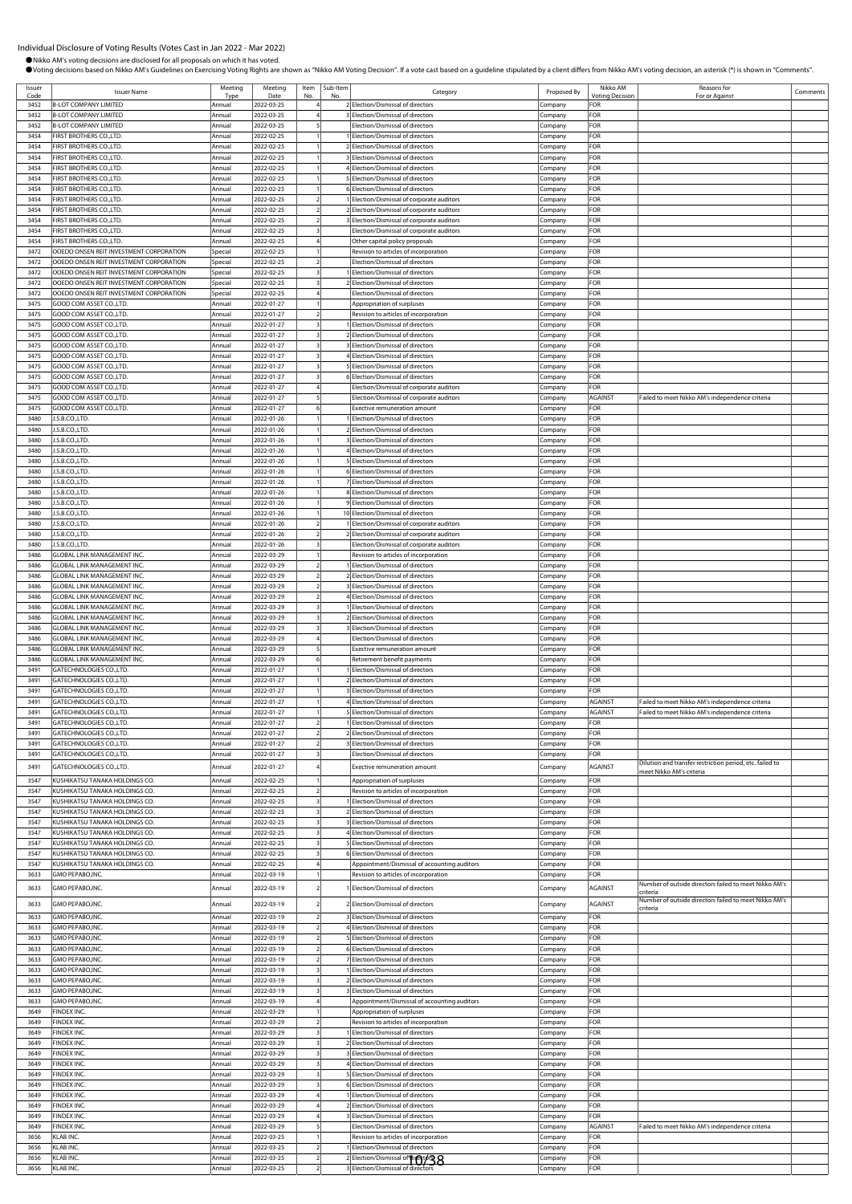| Code         | <b>Issuer Name</b>                                                                 | Meeting<br>Tyne    | Meeting<br>Date          | Item<br>No | Sub-Item | Category                                                                                 | Proposed By        | Nikko AM<br><b>/otina</b> Decision | Reasons for<br>For or Against                                     | Comments |
|--------------|------------------------------------------------------------------------------------|--------------------|--------------------------|------------|----------|------------------------------------------------------------------------------------------|--------------------|------------------------------------|-------------------------------------------------------------------|----------|
| 3452         | <b>B-LOT COMPANY LIMITED</b>                                                       | Annual             | 2022-03-25               |            |          | 2 Election/Dismissal of directors                                                        | Company            | FOR                                |                                                                   |          |
| 3452         | <b>B-LOT COMPANY LIMITED</b>                                                       | Annual             | 2022-03-25               |            |          | 3 Election/Dismissal of directors                                                        | Company            | FOR                                |                                                                   |          |
| 3452<br>3454 | <b>B-LOT COMPANY LIMITED</b><br>FIRST BROTHERS CO.,LTD.                            | Annual<br>Annual   | 2022-03-25<br>2022-02-25 |            |          | Election/Dismissal of directors<br>Election/Dismissal of directors                       | Company            | FOR<br>FOR                         |                                                                   |          |
| 3454         | FIRST BROTHERS CO.,LTD.                                                            | Annual             | 2022-02-25               |            |          | 2 Election/Dismissal of directors                                                        | Company<br>Company | FOR                                |                                                                   |          |
| 3454         | FIRST BROTHERS CO.,LTD.                                                            | Annual             | 2022-02-25               |            |          | 3 Election/Dismissal of directors                                                        | Company            | FOR                                |                                                                   |          |
| 3454         | FIRST BROTHERS CO., LTD.                                                           | Annual             | 2022-02-25               |            |          | 4 Election/Dismissal of directors                                                        | Company            | FOR                                |                                                                   |          |
| 3454         | FIRST BROTHERS CO.,LTD.                                                            | Annual             | 2022-02-25               |            |          | 5 Election/Dismissal of directors                                                        | Company            | FOR                                |                                                                   |          |
| 3454<br>3454 | FIRST BROTHERS CO.,LTD.                                                            | Annual             | 2022-02-25               |            |          | 6 Election/Dismissal of directors                                                        | .cmpany            | FOR                                |                                                                   |          |
| 3454         | FIRST BROTHERS CO., LTD.<br>FIRST BROTHERS CO., LTD.                               | Annual<br>Annual   | 2022-02-25<br>2022-02-25 |            |          | 1 Election/Dismissal of corporate auditors<br>2 Election/Dismissal of corporate auditors | Company            | FOR<br>FOR                         |                                                                   |          |
| 3454         | FIRST BROTHERS CO., LTD.                                                           | Annual             | 2022-02-25               |            |          | 3 Election/Dismissal of corporate auditors                                               | Company<br>Company | FOR                                |                                                                   |          |
| 3454         | FIRST BROTHERS CO.,LTD.                                                            | Annual             | 2022-02-25               |            |          | Election/Dismissal of corporate auditors                                                 | Company            | FOR                                |                                                                   |          |
| 3454         | FIRST BROTHERS CO.,LTD.                                                            | Annual             | 2022-02-25               |            |          | Other capital policy proposals                                                           | Company            | FOR                                |                                                                   |          |
| 3472         | OOEDO ONSEN REIT INVESTMENT CORPORATION                                            | Special            | 2022-02-25               |            |          | Revision to articles of incorporation                                                    | Company            | FOR                                |                                                                   |          |
| 3472         | OOEDO ONSEN REIT INVESTMENT CORPORATION                                            | Special            | 2022-02-25               |            |          | Election/Dismissal of directors<br>Election/Dismissal of directors                       | .cmpany            | FOR                                |                                                                   |          |
| 3472<br>3472 | OOEDO ONSEN REIT INVESTMENT CORPORATION<br>OOEDO ONSEN REIT INVESTMENT CORPORATION | Special<br>Special | 2022-02-25<br>2022-02-25 |            |          | 2 Election/Dismissal of directors                                                        | .cmpany<br>Company | FOR<br>FOR                         |                                                                   |          |
| 3472         | OOEDO ONSEN REIT INVESTMENT CORPORATION                                            | Special            | 2022-02-25               |            |          | Election/Dismissal of directors                                                          | Company            | FOR                                |                                                                   |          |
| 3475         | GOOD COM ASSET CO.,LTD.                                                            | Annual             | 2022-01-27               |            |          | Appropriation of surpluses                                                               | Company            | FOR                                |                                                                   |          |
| 3475         | GOOD COM ASSET CO.,LTD.                                                            | Annual             | 2022-01-27               |            |          | Revision to articles of incorporation                                                    | Company            | FOR                                |                                                                   |          |
| 3475<br>3475 | GOOD COM ASSET CO.,LTD.<br>GOOD COM ASSET CO., LTD.                                | Annual             | 2022-01-27               |            |          | Election/Dismissal of directors<br>2 Election/Dismissal of directors                     | Company            | FOR<br>FOR                         |                                                                   |          |
| 3475         | GOOD COM ASSET CO.,LTD.                                                            | Annual<br>Annual   | 2022-01-27<br>2022-01-27 |            |          | 3 Election/Dismissal of directors                                                        | Company<br>Company | FOR                                |                                                                   |          |
| 3475         | GOOD COM ASSET CO.,LTD.                                                            | Annual             | 2022-01-27               |            |          | 4 Election/Dismissal of directors                                                        | Company            | FOR                                |                                                                   |          |
| 3475         | GOOD COM ASSET CO., LTD.                                                           | Annual             | 2022-01-27               |            |          | 5 Election/Dismissal of directors                                                        | Company            | FOR                                |                                                                   |          |
| 3475         | GOOD COM ASSET CO., LTD.                                                           | Annual             | 2022-01-27               |            |          | 6 Election/Dismissal of directors                                                        | Company            | FOR                                |                                                                   |          |
| 3475         | GOOD COM ASSET CO., LTD.                                                           | Annual             | 2022-01-27               |            |          | Election/Dismissal of corporate auditors                                                 | Company            | FOR                                |                                                                   |          |
| 3475<br>3475 | GOOD COM ASSET CO.,LTD.<br>GOOD COM ASSET CO.,LTD.                                 | Annual<br>Annual   | 2022-01-27<br>2022-01-27 |            |          | Election/Dismissal of corporate auditors<br>Exective remuneration amount                 | Company<br>Company | AGAINST<br>FOR                     | Failed to meet Nikko AM's independence criteria                   |          |
| 3480         | J.S.B.CO.,LTD.                                                                     | Annual             | 2022-01-26               |            |          | Election/Dismissal of directors                                                          | Company            | FOR                                |                                                                   |          |
| 3480         | J.S.B.CO.,LTD.                                                                     | Annual             | 2022-01-26               |            |          | 2 Election/Dismissal of directors                                                        | Company            | FOR                                |                                                                   |          |
| 3480         | J.S.B.CO.,LTD.                                                                     | Annual             | 2022-01-26               |            |          | 3 Election/Dismissal of directors                                                        | Company            | FOR                                |                                                                   |          |
| 3480         | J.S.B.CO.,LTD.                                                                     | Annual             | 2022-01-26               |            |          | 4 Election/Dismissal of directors                                                        | Company            | FOR                                |                                                                   |          |
| 3480<br>3480 | J.S.B.CO.,LTD.<br>J.S.B.CO.,LTD.                                                   | Annual<br>Annual   | 2022-01-26<br>2022-01-26 |            |          | 5 Election/Dismissal of directors<br>6 Election/Dismissal of directors                   | Company            | FOR<br>FOR                         |                                                                   |          |
| 3480         | J.S.B.CO.,LTD.                                                                     | Annual             | 2022-01-26               |            |          | 7 Election/Dismissal of directors                                                        | Company<br>Company | FOR                                |                                                                   |          |
| 3480         | J.S.B.CO.,LTD.                                                                     | Annual             | 2022-01-26               |            |          | 8 Election/Dismissal of directors                                                        | Company            | FOR                                |                                                                   |          |
| 3480         | J.S.B.CO.,LTD.                                                                     | Annual             | 2022-01-26               |            |          | 9 Election/Dismissal of directors                                                        | Company            | FOR                                |                                                                   |          |
| 3480         | J.S.B.CO.,LTD.                                                                     | Annual             | 2022-01-26               |            |          | 10 Election/Dismissal of directors                                                       | Company            | FOR                                |                                                                   |          |
| 3480         | J.S.B.CO.,LTD.                                                                     | Annual             | 2022-01-26               |            |          | Election/Dismissal of corporate auditors                                                 | Company            | FOR                                |                                                                   |          |
| 3480<br>3480 | J.S.B.CO.,LTD.<br>J.S.B.CO.,LTD.                                                   | Annual<br>Annual   | 2022-01-26<br>2022-01-26 |            |          | 2 Election/Dismissal of corporate auditors<br>Election/Dismissal of corporate auditors   | Company<br>Company | FOR<br>FOR                         |                                                                   |          |
| 3486         | GLOBAL LINK MANAGEMENT INC.                                                        | Annual             | 2022-03-29               |            |          | Revision to articles of incorporation                                                    | .cmpany            | FOR                                |                                                                   |          |
| 3486         | GLOBAL LINK MANAGEMENT INC.                                                        | Annual             | 2022-03-29               |            |          | Election/Dismissal of directors                                                          | Company            | FOR                                |                                                                   |          |
| 3486         | GLOBAL LINK MANAGEMENT INC.                                                        | Annual             | 2022-03-29               |            |          | 2 Election/Dismissal of directors                                                        | Company            | FOR                                |                                                                   |          |
| 3486         | <b>GLOBAL LINK MANAGEMENT INC.</b>                                                 | Annual             | 2022-03-29               |            |          | 3 Election/Dismissal of directors                                                        | Company            | FOR                                |                                                                   |          |
| 3486<br>3486 | <b>GLOBAL LINK MANAGEMENT INC.</b><br>GLOBAL LINK MANAGEMENT INC.                  | Annual<br>Annual   | 2022-03-29<br>2022-03-29 |            |          | 4 Election/Dismissal of directors<br>Election/Dismissal of directors                     | Company<br>.cmpany | FOR<br>FOR                         |                                                                   |          |
| 3486         | GLOBAL LINK MANAGEMENT INC.                                                        | Annual             | 2022-03-29               |            |          | 2 Election/Dismissal of directors                                                        | .cmpany            | FOR                                |                                                                   |          |
| 3486         | <b>GLOBAL LINK MANAGEMENT INC</b>                                                  | Annual             | 2022-03-29               |            |          | 3 Election/Dismissal of directors                                                        | Company            | FOR                                |                                                                   |          |
|              |                                                                                    |                    |                          |            |          |                                                                                          |                    |                                    |                                                                   |          |
| 3486         | <b>GLOBAL LINK MANAGEMENT INC.</b>                                                 | Annual             | 2022-03-29               |            |          | Election/Dismissal of directors                                                          | Company            | FOR                                |                                                                   |          |
| 3486         | <b>GLOBAL LINK MANAGEMENT INC.</b>                                                 | Annual             | 2022-03-29               |            |          | Exective remuneration amount                                                             | Company            | FOR                                |                                                                   |          |
| 3486         | GLOBAL LINK MANAGEMENT INC.                                                        | Annual             | 2022-03-29               |            |          | Retirement benefit payments                                                              | Company            | FOR                                |                                                                   |          |
| 3491<br>3491 | GATECHNOLOGIES CO.,LTD                                                             | Annual             | 2022-01-27               |            |          | Election/Dismissal of directors                                                          | Company            | FOR<br>FOR                         |                                                                   |          |
| 3491         | GATECHNOLOGIES CO., LTD.<br>GATECHNOLOGIES CO., LTD                                | Annual<br>Annual   | 2022-01-27<br>2022-01-27 |            |          | 2 Election/Dismissal of directors<br>3 Election/Dismissal of directors                   | Company<br>Company | FOR                                |                                                                   |          |
| 3491         | GATECHNOLOGIES CO.,LTD                                                             | Annual             | 2022-01-27               |            |          | 4 Election/Dismissal of directors                                                        | Company            | AGAINST                            | Failed to meet Nikko AM's independence criteria                   |          |
| 3491         | GATECHNOLOGIES CO.,LTD                                                             | Annual             | 2022-01-27               |            |          | 5 Election/Dismissal of directors                                                        | Company            | AGAINST                            | Failed to meet Nikko AM's independence criteria                   |          |
| 3491         | GATECHNOLOGIES CO., LTD                                                            | Annual             | 2022-01-27               |            |          | Election/Dismissal of directors                                                          | Company            | FOR                                |                                                                   |          |
| 3491<br>3491 | GATECHNOLOGIES CO.,LTD.<br>GATECHNOLOGIES CO., LTD.                                | Annual<br>Annual   | 2022-01-27<br>2022-01-27 |            |          | 2 Election/Dismissal of directors<br><b>Election/Dismissal of directors</b>              | Company            | FOR<br>FOR                         |                                                                   |          |
| 3491         | GATECHNOLOGIES CO., LTD.                                                           | Annual             | 2022-01-27               |            |          | Election/Dismissal of directors                                                          | Company<br>Company | FOR                                |                                                                   |          |
| 3491         | GATECHNOLOGIES CO., LTD.                                                           | Annual             | 2022-01-27               |            |          | Exective remuneration amount                                                             | Company            | AGAINST                            | Dilution and transfer restriction period, etc. failed to          |          |
| 3547         | KUSHIKATSU TANAKA HOLDINGS CO.                                                     | Annual             | 2022-02-25               |            |          | Appropriation of surpluses                                                               | Company            | FOR                                | meet Nikko AM's criteria                                          |          |
| 3547         | KUSHIKATSU TANAKA HOLDINGS CO.                                                     | Annual             | 2022-02-25               |            |          | Revision to articles of incorporation                                                    | Company            | FOR                                |                                                                   |          |
| 3547         | KUSHIKATSU TANAKA HOLDINGS CO.                                                     | Annual             | 2022-02-25               |            |          | Election/Dismissal of directors                                                          | Company            | FOR                                |                                                                   |          |
| 3547         | KUSHIKATSU TANAKA HOLDINGS CO.                                                     | Annual             | 2022-02-25               |            |          | 2 Election/Dismissal of directors                                                        | Company            | FOR                                |                                                                   |          |
| 3547<br>3547 | KUSHIKATSU TANAKA HOLDINGS CO.<br>KUSHIKATSU TANAKA HOLDINGS CO.                   | Annual<br>Annual   | 2022-02-25<br>2022-02-25 |            |          | 3 Election/Dismissal of directors<br>4 Election/Dismissal of directors                   | Company<br>Company | FOR<br>FOR                         |                                                                   |          |
| 3547         | KUSHIKATSU TANAKA HOLDINGS CO.                                                     | Annual             | 2022-02-25               |            |          | 5 Election/Dismissal of directors                                                        | Company            | FOR                                |                                                                   |          |
| 3547         | KUSHIKATSU TANAKA HOLDINGS CO.                                                     | Annual             | 2022-02-25               |            |          | 6 Election/Dismissal of directors                                                        | Company            | FOR                                |                                                                   |          |
| 3547         | KUSHIKATSU TANAKA HOLDINGS CO.                                                     | Annual             | 2022-02-25               |            |          | Appointment/Dismissal of accounting auditors                                             | Company            | FOR                                |                                                                   |          |
| 3633         | GMO PEPABO, INC.                                                                   | Annual             | 2022-03-19               |            |          | Revision to articles of incorporation                                                    | Company            | FOR                                | Number of outside directors failed to meet Nikko AM's             |          |
| 3633         | GMO PEPABO,INC.                                                                    | Annual             | 2022-03-19               |            |          | Election/Dismissal of directors                                                          | Company            | AGAINST                            | criteria                                                          |          |
| 3633         | GMO PEPABO, INC.                                                                   | Annual             | 2022-03-19               |            |          | 2 Election/Dismissal of directors                                                        | Company            | AGAINST                            | Number of outside directors failed to meet Nikko AM's<br>criteria |          |
| 3633         | GMO PEPABO, INC.                                                                   | Annual             | 2022-03-19               |            |          | 3 Election/Dismissal of directors                                                        | Company            | FOR                                |                                                                   |          |
| 3633         | GMO PEPABO, INC.                                                                   | Annual             | 2022-03-19               |            |          | 4 Election/Dismissal of directors                                                        | Company            | FOR                                |                                                                   |          |
| 3633         | GMO PEPABO, INC.                                                                   | Annual             | 2022-03-19               |            |          | 5 Election/Dismissal of directors                                                        | Company            | FOR                                |                                                                   |          |
| 3633<br>3633 | GMO PEPABO, INC.<br>GMO PEPABO, INC.                                               | Annual<br>Annual   | 2022-03-19<br>2022-03-19 |            |          | 6 Election/Dismissal of directors<br>7 Election/Dismissal of directors                   | Company<br>Company | FOR<br>FOR                         |                                                                   |          |
| 3633         | GMO PEPABO, INC.                                                                   | Annual             | 2022-03-19               |            |          | Election/Dismissal of directors                                                          | .cmpany            | FOR                                |                                                                   |          |
| 3633         | GMO PEPABO, INC.                                                                   | Annual             | 2022-03-19               |            |          | 2 Election/Dismissal of directors                                                        | Company            | FOR                                |                                                                   |          |
| 3633         | GMO PEPABO, INC.                                                                   | Annual             | 2022-03-19               |            |          | 3 Election/Dismissal of directors                                                        | Company            | FOR                                |                                                                   |          |
| 3633         | GMO PEPABO, INC.                                                                   | Annual<br>Annual   | 2022-03-19               |            |          | Appointment/Dismissal of accounting auditors                                             | Company            | FOR                                |                                                                   |          |
| 3649<br>3649 | FINDEX INC.<br>FINDEX INC.                                                         | Annual             | 2022-03-29<br>2022-03-29 |            |          | Appropriation of surpluses<br>Revision to articles of incorporation                      | Company            | FOR<br>FOR                         |                                                                   |          |
| 3649         | FINDEX INC.                                                                        | Annual             | 2022-03-29               |            |          | 1 Election/Dismissal of directors                                                        | Company<br>Company | FOR                                |                                                                   |          |
| 3649         | FINDEX INC.                                                                        | Annual             | 2022-03-29               |            |          | 2 Election/Dismissal of directors                                                        | Company            | FOR                                |                                                                   |          |
| 3649         | FINDEX INC.                                                                        | Annual             | 2022-03-29               |            |          | 3 Election/Dismissal of directors                                                        | Company            | FOR                                |                                                                   |          |
| 3649         | FINDEX INC.                                                                        | Annual             | 2022-03-29               |            |          | 4 Election/Dismissal of directors                                                        | .cmpany            | FOR                                |                                                                   |          |
| 3649<br>3649 | FINDEX INC.<br>FINDEX INC.                                                         | Annual<br>Annual   | 2022-03-29<br>2022-03-29 |            |          | 5 Election/Dismissal of directors<br>6 Election/Dismissal of directors                   | Company<br>Company | FOR<br>FOR                         |                                                                   |          |
| 3649         | FINDEX INC.                                                                        | Annual             | 2022-03-29               |            |          | 1 Election/Dismissal of directors                                                        | Company            | FOR                                |                                                                   |          |
| 3649         | FINDEX INC.                                                                        | Annual             | 2022-03-29               |            |          | 2 Election/Dismissal of directors                                                        | Company            | FOR                                |                                                                   |          |
| 3649         | FINDEX INC.                                                                        | Annual             | 2022-03-29               |            |          | 3 Election/Dismissal of directors                                                        | Company            | FOR                                |                                                                   |          |
| 3649         | FINDEX INC.                                                                        | Annual             | 2022-03-29               |            |          | Election/Dismissal of directors                                                          | Company            | AGAINST                            | Failed to meet Nikko AM's independence criteria                   |          |
| 3656<br>3656 | <b>KLAB INC</b><br>KLAB INC.                                                       | Annual<br>Annual   | 2022-03-25<br>2022-03-25 |            |          | Revision to articles of incorporation<br>Election/Dismissal of directors                 | Company<br>Company | FOR<br>FOR                         |                                                                   |          |
| 3656<br>3656 | <b>KLAB INC</b><br><b>KLAB INC</b>                                                 | Annual             | 2022-03-25<br>2022-03-25 |            |          | 2 Election/Dismissal of 10/38<br>Election/Dismissal of directors                         | Company            | FOR<br>FOR                         |                                                                   |          |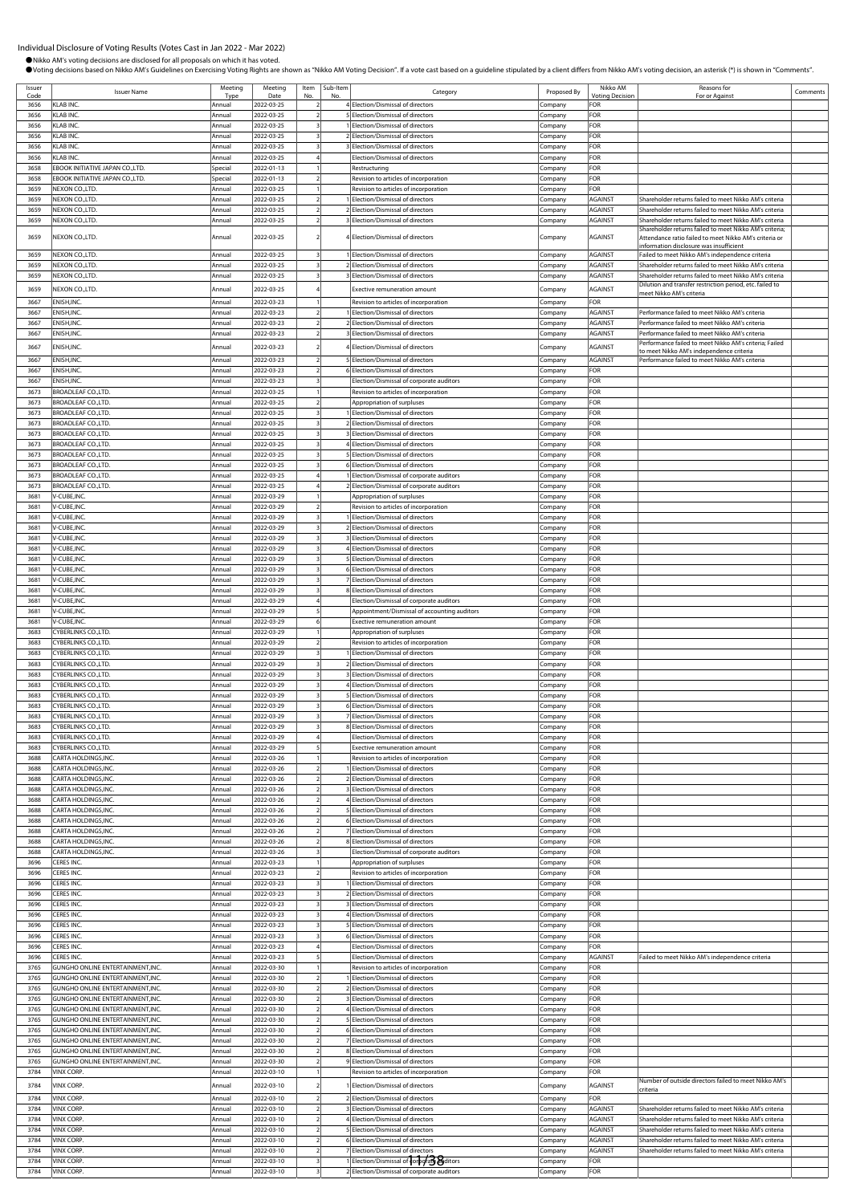●Nikko AM's voting decisions are disclosed for all proposals on which it has voted.

OVoting decisions based on Nikko AM's Guidelines on Exercising Voting Rights are shown as "Nikko AM Voting Decision". If a vote cast based on a guideline stipulated by a client differs from Nikko AM's voting decision, an a

Issuer Issuer<br>Code Issuer Name<br>3656 KLAB INC. Type ing Date Item No. Sub-Ite<br>No. b-Item<br>No. No. Regory Category Proposed By Nikko AM Voting Deci Reasons for Reasons for<br>For or Against Comments 3656 KLAB INC. Annual 2022-03-25 2 4 Election/Dismissal of directors Company FOR 3<br>5 Election/Dismissal of directors Company 3656 KLAB INC. **Annual 2022-03-25** 3 1 Election/Dismissal of directors Company FOR 3656 KLAB INC. Annual 2022-03-25 3 2 Election/Dismissal of directors Company FOR 3656 KLAB INC. Annual 2022-03-25 3 3 Election/Dismissal of directors Company FOR 3656 KLAB INC. Company FOR Annual 2022-03-25 4 Election/Dismissal of directors Company FOR<br>3658 EBOOK INITIATIVE JAPAN CO.,LTD. Special 2022-01-13 1 Restructuring Restructuring Company FOR 3658 EBOOK INITIATIVE JAPAN CO.,LTD. Special 2022-01-13 1 Restructuring Company FOR 3658 EBOOK INITIATIVE JAPAN CO.,LTD. Special 2022-01-13 2 Revision to articles of incorporation Company FOR 3659 Nevision to articles of incorporation **Annual 2023-03-25 1 Revision Company** 3659 NEXON CO.,LTD. **Annual 2022-03-25** 2 1 Election/Dismissal of directors Company AGAINST Shareholder returns failed to meet Nikko AM's cri 3659 NEXON CO.,LTD. Annual 2022-03-25 2 2 Election/Dismissal of directors Company AGAINST Shareholder returns failed to meet Nikko AM's criteria 3659 NEXON CO.,LTD. Annual 2022-03-25 2 3 Election/Dismissal of directors Company AGAINST Shareholder returns failed to meet Nikko AM's criteria Shareholder returns failed to meet Nikko AM's criteria; 3659 NEXON CO.,LTD. Annual 2022-03-25 2 4 Election/Dismissal of directors Company AGAINST Attendance ratio failed to meet Nikko AM's criteria or information disclosure was insufficient 3659 NEXON CO.,LTD. Annual 2022-03-25 3 1 Election/Dismissal of directors Company AGAINST Failed to meet Nikko AM's independence criteria 3659 NEXON CO.,LTD. Annual 2022-03-25 3 2 Election/Dismissal of directors Company AGAINST Shareholder returns failed to meet Nikko AM's criteria 3<br>3 Selection/Dismissal of directors Company AGAINST Shareholder returns failed to meet Nikko AM's criteria<br>2 Company AGAINST Shareholder returns failed to meet Nikko AM's criteria 3659 NEXON CO.,LTD. **Annual 2022-03-25** 4 Exective remuneration amount Company AGAINST meet Nikko AM's criteria 3667 ENISH,INC. Annual 2022-03-23 1 Revision to articles of incorporation Company FOR 3667 ENISH,INC. Annual 2022-03-23 2 1 Election/Dismissal of directors Company AGAINST Performance failed to meet Nikko AM's criteria 3667 ENISH,INC. Annual 2022-03-23 2 2 Election/Dismissal of directors Company AGAINST Performance failed to meet Nikko AM's criteria 3667 ENISH,INC. **Annual 2022-03-23** 2 3 Election/Dismissal of directors Company AGAINST Performance failed to meet Nikko AM's criteria 3667 ENISH,INC. Annual 2022-03-23 2 4 Election/Dismissal of directors Company AGAINST Performance failed to meet Nikko AM's riteria; Failed to meet Nikko AM's independence criteria 3667 ENISH,INC. Annual 2022-03-23 2 5 Election/Dismissal of directors Company AGAINST 3667 ENISH,INC. COMPANY COMPANY COMPANY COMPANY COMPANY COMPANY COMPANY COMPANY COMPANY FOR Annual 2022-03-23 3 Election/Dismissal of directors Company FOR Company FOR NISH,INC. **Company FOR**<br>Annual 2022-03-23 3 Election/Dismissal of corporate auditors Company FOR 3673 BROADLEAF CO.,LTD. Annual 2022-03-25 1 Revision to articles of incorporation Company FOR 3673 BROADLEAF CO.,LTD. Annual 2022-03-25 2 Appropriation of surpluses Company FOR 3673 BROADLEAF CO.,LTD. Annual 2022-03-25 3 1 Election/Dismissal of directors Company FOR 3673 BROADLEAF CO.,LTD. **Annual 2022-03-25** 3 2 Election/Dismissal of directors Company FOR 3673 BROADLEAF CO.,LTD. Annual 2022-03-25 3 3 Election/Dismissal of directors Company FOR 3673 BROADLEAF CO. LTD. Annual 2022-03-25 3 4 Election/Dismissal of directors Company FOR 3673 BROADLEAF CO.,LTD. Annual 2022-03-25 3 5 Election/Dismissal of directors Company FOR ection/Dismissal of directors **Company FOR** 3673 BROADLEAF CO.,LTD. **Annual 2022-03-25 4** 1 Election/Dismissal of corporate auditors Company FOR 2673 BROADLEAF CO.,LTD. Annual 2022-03-25 4 2 Election/Dismissal of corporate auditors Company 3681 V-CUBE,INC. Annual 2022-03-29 1 Appropriation of surpluses Company FOR 3681 V-CUBE,INC. Annual 2022-03-29 2 Revision to articles of incorporation Company FOR 3681 V-CUBE,INC. **Annual 2022-03-29** 3 1 Election/Dismissal of directors **Company** FOR 3681 V-CUBE,INC. Annual 2022-03-29 3 2 Election/Dismissal of directors Company FOR 3681 V-CUBE,INC. Annual 2022-03-29 3 3 Election/Dismissal of directors Company FOR 3681 V-CUBE,INC. **Annual 2022-03-29** 3 4 Election/Dismissal of directors Company FOR 3681 V-CUBE,INC. Annual 2022-03-29 3 5 Election/Dismissal of directors Company FOR 3681 V-CUBE,INC. Annual 2022-03-29 3 6 Election/Dismissal of directors Company FOR 3681 V-CUBE,INC. Annual 2022-03-29 3 7 Election/Dismissal of directors Company FOR 3681 V-CUBE, NC. COMPANY COMPANY COMPANY COMPANY COMPANY COMPANY COMPANY COMPANY COMPANY COMPANY COMPANY COMPANY<br>3681 V-CUBE, NC. Company FOR Annual 2022-03-29 4 Election/Dismissal of corporate auditors Company FOR Election/Dismissal of corporate auditors **Company FOR** 3681 V-CUBE,INC. Annual 2022-03-29 5 Appointment/Dismissal of accounting auditors Company FOR 3681 V-CUBE,INC. Annual 2022-03-29 6 Exective remuneration amount Company FOR 3683 CYBERLINKS CO.,LTD. Annual 2022-03-29 1 Appropriation of surpluses Company FOR 3683 CYBERLINKS CO.,LTD. Annual 2022-03-29 2 Revision to articles of incorporation Company FOR<br>3683 CYBERLINKS CO.,LTD. Annual 2022-03-29 3 1 Election/Dismissal of directors Company FOR 3683 CYBERLINKS CO.,LTD. Annual 2022-03-29 3 1 Election/Dismissal of directors Company FOR 3683 CYBERLINKS CO.,LTD. Annual 2022-03-29 3 2 Election/Dismissal of directors Company FOR 3683 CYBERLINKS CO.,LTD. Company Company Company Company Company 2022-03-29 3 3 3 3 Election/Dismissal of directors Company 3683 CYBERLINKS CO.,LTD. Annual 2022-03-29 3 4 Election/Dismissal of directors Company FOR 3683 CYBERLINKS CO.,LTD. Annual 2022-03-29 3 5 Election/Dismissal of directors Company FOR 2022-03-29 3 6 Election/Dismissal of directors Company FOR 3683 CYBERLINKS CO.,LTD. Annual 2022-03-29 3 7 Election/Dismissal of directors Company FOR 3683 CYBERLINKS CO.,LTD. **Annual 2022-03-29** 3 8 Election/Dismissal of directors Company FOR 3683 CYBERLINKS CO.,LTD. Annual 2022-03-29 4 Election/Dismissal of directors Company FOR 3683 CYBERLINKS CO.,LTD. Annual 2022-03-29 5 Exective remuneration amount Company FOR<br>3688 CARTA HOLDINGS,INC. Annual 2022-03-26 1 Revision to articles of incorporation Company FOR 3688 CARTA HOLDINGS,INC. Annual 2022-03-26 1 Revision to articles of incorporation Company FOR 3688 CARTA HOLDINGS,INC. Annual 2022-03-26 2 1 Election/Dismissal of directors Company FOR 3688 CARTA HOLDINGS,INC. Annual 2022-03-26 2 2 Election/Dismissal of directors Company FOR 3 Election/Dismissal of directors Company FOR 3688 CARTA HOLDINGS,INC. Annual 2022-03-26 2 4 Election/Dismissal of directors Company FOR ARTA HOLDINGS,INC. **Annual 2022-03-26** 2 5 Election/Dismissal of directors Company FOR 3688 CARTA HOLDINGS,INC. Annual 2022-03-26 2 6 Election/Dismissal of directors Company FOR 3688 CARTA HOLDINGS,INC. **Annual 2022-03-26** 2 7 Election/Dismissal of directors Company FOR 3688 CARTA HOLDINGS,INC. Annual 2022-03-26 2 8 Election/Dismissal of directors Company FOR 3688 CARTA HOLDINGS,INC. **Annual 2022-03-26** 3 Election/Dismissal of corporate auditors Company FOR 3696 CERES INC. **Annual 2022-03-23** 1 Appropriation of surpluses Company FOR 3696 CERES INC. Annual 2022-03-23 2 Revision to articles of incorporation Company FOR 3696 CERES INC. Annual 2022-03-23 3 1 Election/Dismissal of directors Company FOR 3696 CERES INC. COMPANY COMPANY CONTROL 2022-03-23 3 2 Election/Dismissal of directors Company FOR 3696 CERES INC. COMPANY COMPANY COMPANY Annual 2022-03-23 3 3 3 Election/Dismissal of directors Company FOR<br>3696 CERES INC. Annual 2022-03-23 3 4 Election/Dismissal of directors Company FOR 3696 CERES INC. Annual 2022-03-23 3 4 Election/Dismissal of directors Company FOR 3696 CERES INC. Annual 2022-03-23 3 5 Election/Dismissal of directors Company FOR 3696 CERES INC. COMPANY CONTROL CHERES INC. Annual 2022-03-23 3 6 Election/Dismissal of directors Company FOR<br>3696 CERES INC. Annual 2022-03-23 4 Election/Dismissal of directors Company FOR **Execution**/Dismissal of directors **Company FOR** 3696 CERES INC. Annual 2022-03-23 5 Election/Dismissal of directors Company AGAINST Failed to meet Nikko AM's independence criteria 3765 GUNGHO ONLINE ENTERTAINMENT,INC. Annual 2022-03-30 1 Revision to articles of incorporation Company FOR 3765 GUNGHO ONLINE ENTERTAINMENT INC. Annual 2022-03-30 2 1 Election/Dismissal of directors Company FOR 3765 GUNGHO ONLINE ENTERTAINMENT,INC. Annual 2022-03-30 2 2 Election/Dismissal of directors Company FOR 3765 GUNGHO ONLINE ENTERTAINMENT,INC. Annual 2022-03-30 2 3 Election/Dismissal of directors Company FOR 3765 GUNGHO ONLINE ENTERTAINMENT.INC. Annual 2022-03-30 2 4 Election/Dismissal of direction 3765 GUNGHO ONLINE ENTERTAINMENT.INC. Annual 2022-03-30 2 5 Election/Dismissal of directors Company 3765 GUNGHO ONLINE ENTERTAINMENT,INC. Annual 2022-03-30 2 6 Election/Dismissal of directors Company FOR 3765 GUNGHO ONLINE ENTERTAINMENT,INC. Annual 2022-03-30 2 7 Election/Dismissal of directors Company FOR 3765 GUNGHO ONLINE ENTERTAINMENT,INC. Annual 2022-03-30 2 8 Election/Dismissal of directors Company 3765 GUNGHO ONLINE ENTERTAINMENT,INC. Annual 2022-03-30 2 9 Election/Dismissal of directors Company FOR 3784 VINX CORP. Annual 2022-03-10 1 Revision to articles of incorporation Company FOR 3784 VINX CORP. Annual 2022-03-10 2 1 Election/Dismissal of directors Company AGAINST Number of outside directors failed to meet Nikko AM's criteria 3784 VINX CORP. Annual 2022-03-10 2 2 Election/Dismissal of directors Company FOR 3784 VINX CORP. Annual 2022-03-10 2 3 Election/Dismissal of directors Company AGAINST Shareholder returns failed to meet Nikko AM's criteria 3784 VINX CORP. Annual 2022-03-10 2 4 Election/Dismissal of directors Company AGAINST Shareholder returns failed to meet Nikko AM's criteria 3784 VINX CORP. **Annual 2022-03-10** 2 5 Election/Dismissal of directors Company AGAINST Shareholder returns failed to meet Nikko AM's criteria 3784 VINX CORP. CORP. Annual 2022-03-10 2 6 Election/Dismissal of directors Company AGAINST Shareholder returns failed to meet Nikko AM's criterial company and the company and the company and the company and the company an 3784 VINX CORP. Annual 2022-03-10 2 7 Election/Dismissal of directors Company AGAINST Shareholder returns failed to meet Nikko AM's criteria 2022-03-10 3 1 Election/Dismissal of company Company FOR 3784 VINX CORP. Annual 2022-03-10 3 2 Election/Dismissal of corporate auditors Company FOR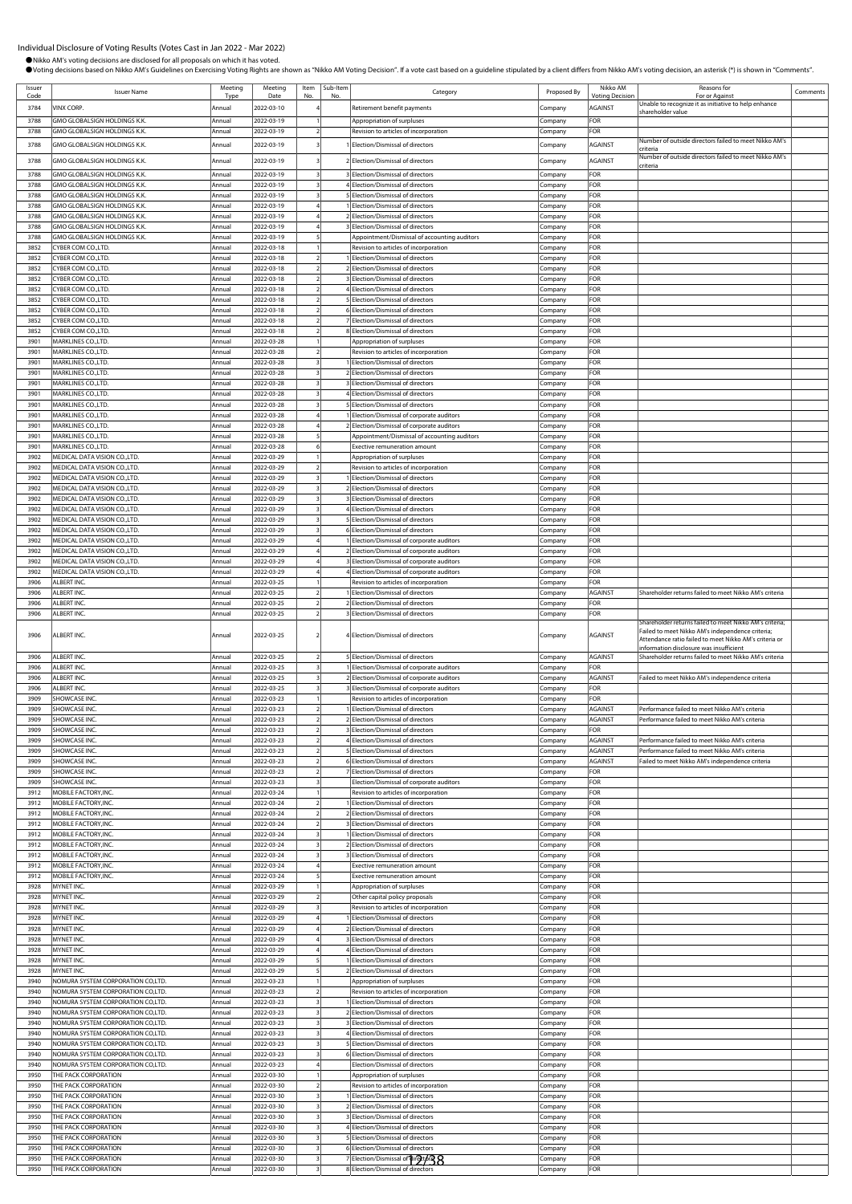| Issuer<br>Code | <b>Issuer Name</b>                                                     | Meeting<br>Tyn   | Meeting<br>Date          | Item<br>No | Sub-Item | Category                                                                          | Proposed By            | Nikko AM<br><b>Voting Decision</b> | Reasons for<br>For or Against                                                                     | Comments |
|----------------|------------------------------------------------------------------------|------------------|--------------------------|------------|----------|-----------------------------------------------------------------------------------|------------------------|------------------------------------|---------------------------------------------------------------------------------------------------|----------|
| 3784           | VINX CORP.                                                             | Annual           | 2022-03-10               |            |          | Retirement benefit payments                                                       | Company                | <b>AGAINST</b>                     | Jnable to recognize it as initiative to help enhance                                              |          |
| 3788           | GMO GLOBALSIGN HOLDINGS K.K.                                           | Annual           | 2022-03-19               |            |          | Appropriation of surpluses                                                        | Company                | FOR                                | shareholder value                                                                                 |          |
| 3788           | GMO GLOBALSIGN HOLDINGS K.K.                                           | Annual           | 2022-03-19               |            |          | Revision to articles of incorporation                                             | Company                | FOR                                |                                                                                                   |          |
| 3788           | GMO GLOBALSIGN HOLDINGS K.K.                                           | Annual           | 2022-03-19               |            |          | 1 Election/Dismissal of directors                                                 |                        | AGAINST                            | Number of outside directors failed to meet Nikko AM's                                             |          |
|                |                                                                        |                  |                          |            |          |                                                                                   | Company                |                                    | :riteria<br>Number of outside directors failed to meet Nikko AM's                                 |          |
| 3788           | GMO GLOBALSIGN HOLDINGS K.K.                                           | Annual           | 2022-03-19               |            |          | 2 Election/Dismissal of directors                                                 | .ompany                | <b>AGAINST</b>                     | criteria                                                                                          |          |
| 3788           | GMO GLOBALSIGN HOLDINGS K.K.                                           | Annua            | 2022-03-19               |            |          | 3 Election/Dismissal of directors                                                 | Company                | FOR                                |                                                                                                   |          |
| 3788           | GMO GLOBALSIGN HOLDINGS K.K.                                           | Annual           | 2022-03-19               |            |          | 4 Election/Dismissal of directors                                                 | :ompany                | FOR                                |                                                                                                   |          |
| 3788<br>3788   | GMO GLOBALSIGN HOLDINGS K.K.                                           | Annual           | 2022-03-19               |            |          | 5 Election/Dismissal of directors                                                 | :ompany                | FOR<br>FOR                         |                                                                                                   |          |
| 3788           | GMO GLOBALSIGN HOLDINGS K.K.<br>GMO GLOBALSIGN HOLDINGS K.K.           | Annual<br>Annua  | 2022-03-19<br>2022-03-19 |            |          | 1 Election/Dismissal of directors<br>2 Election/Dismissal of directors            | Company<br>:ompany     | FOR                                |                                                                                                   |          |
| 3788           | <b>GMO GLOBALSIGN HOLDINGS K.K.</b>                                    | Annual           | 2022-03-19               |            |          | 3 Election/Dismissal of directors                                                 | Company                | FOR                                |                                                                                                   |          |
| 3788           | GMO GLOBALSIGN HOLDINGS K.K.                                           | Annua            | 2022-03-19               |            |          | Appointment/Dismissal of accounting auditors                                      | .ompany                | FOR                                |                                                                                                   |          |
| 3852           | CYBER COM CO.,LTD.                                                     | Annual           | 2022-03-18               |            |          | Revision to articles of incorporation                                             | Company                | FOR                                |                                                                                                   |          |
| 3852           | CYBER COM CO., LTD.                                                    | Annual           | 2022-03-18               |            |          | 1 Election/Dismissal of directors                                                 | Company                | FOR                                |                                                                                                   |          |
| 3852           | CYBER COM CO., LTD.                                                    | Annua            | 2022-03-18               |            |          | 2 Election/Dismissal of directors                                                 | ompany                 | FOR                                |                                                                                                   |          |
| 3852<br>3852   | CYBER COM CO.,LTD.<br>CYBER COM CO., LTD.                              | Annual<br>Annual | 2022-03-18<br>2022-03-18 |            |          | <b>BElection/Dismissal of directors</b><br>4 Election/Dismissal of directors      | .ompany                | FOR<br>FOR                         |                                                                                                   |          |
| 3852           | CYBER COM CO.,LTD.                                                     | Annual           | 2022-03-18               |            |          | 5 Election/Dismissal of directors                                                 | .ompany<br>Company     | FOR                                |                                                                                                   |          |
| 3852           | CYBER COM CO.,LTD.                                                     | Annual           | 2022-03-18               |            |          | 6 Election/Dismissal of directors                                                 | Company                | FOR                                |                                                                                                   |          |
| 3852           | CYBER COM CO.,LTD.                                                     | Annual           | 2022-03-18               |            |          | 7 Election/Dismissal of directors                                                 | company.               | FOR                                |                                                                                                   |          |
| 3852           | CYBER COM CO., LTD.                                                    | Annual           | 2022-03-18               |            |          | 8 Election/Dismissal of directors                                                 | .ompany                | FOR                                |                                                                                                   |          |
| 3901           | MARKLINES CO., LTD.                                                    | Annual           | 2022-03-28               |            |          | Appropriation of surpluses                                                        | Company                | FOR                                |                                                                                                   |          |
| 3901           | MARKLINES CO., LTD.                                                    | Annual           | 2022-03-28               |            |          | Revision to articles of incorporation                                             | Company                | FOR                                |                                                                                                   |          |
| 3901<br>3901   | MARKLINES CO., LTD.<br>MARKLINES CO., LTD.                             | Annua<br>Annual  | 2022-03-28<br>2022-03-28 |            |          | Election/Dismissal of directors<br>2 Election/Dismissal of directors              | ompany                 | FOR<br>FOR                         |                                                                                                   |          |
| 3901           | MARKLINES CO., LTD.                                                    | Annual           | 2022-03-28               |            |          | 3 Election/Dismissal of directors                                                 | ompany.<br>Company     | FOR                                |                                                                                                   |          |
| 3901           | MARKLINES CO., LTD.                                                    | Annual           | 2022-03-28               |            |          | 4 Election/Dismissal of directors                                                 | Company                | FOR                                |                                                                                                   |          |
| 3901           | MARKLINES CO., LTD.                                                    | Annual           | 2022-03-28               |            |          | 5 Election/Dismissal of directors                                                 | :ompany                | FOR                                |                                                                                                   |          |
| 3901           | MARKLINES CO., LTD.                                                    | Annual           | 2022-03-28               |            |          | 1 Election/Dismissal of corporate auditors                                        | Company                | FOR                                |                                                                                                   |          |
| 3901           | MARKLINES CO., LTD                                                     | Annual           | 2022-03-28               |            |          | 2 Election/Dismissal of corporate auditors                                        | ompany:                | FOR                                |                                                                                                   |          |
| 3901           | MARKLINES CO., LTD.                                                    | Annual           | 2022-03-28               |            |          | Appointment/Dismissal of accounting auditors                                      | Company                | FOR                                |                                                                                                   |          |
| 3901<br>3902   | MARKLINES CO., LTD.<br>MEDICAL DATA VISION CO., LTD.                   | Annual<br>Annua  | 2022-03-28<br>2022-03-29 |            |          | Exective remuneration amount<br>Appropriation of surpluses                        | .<br>ompany<br>.ompany | FOR<br>FOR                         |                                                                                                   |          |
| 3902           | MEDICAL DATA VISION CO., LTD.                                          | Annual           | 2022-03-29               |            |          | Revision to articles of incorporation                                             | .ompany                | FOR                                |                                                                                                   |          |
| 3902           | MEDICAL DATA VISION CO.,LTD.                                           | Annual           | 2022-03-29               |            |          | 1 Election/Dismissal of directors                                                 | .ompany                | FOR                                |                                                                                                   |          |
| 3902           | MEDICAL DATA VISION CO.,LTD.                                           | Annual           | 2022-03-29               |            |          | 2 Election/Dismissal of directors                                                 | Company                | FOR                                |                                                                                                   |          |
| 3902           | MEDICAL DATA VISION CO., LTD.                                          | Annua            | 2022-03-29               |            |          | 3 Election/Dismissal of directors                                                 | :ompany                | FOR                                |                                                                                                   |          |
| 3902           | MEDICAL DATA VISION CO., LTD.                                          | Annual           | 2022-03-29               |            |          | 4 Election/Dismissal of directors                                                 | Company                | FOR                                |                                                                                                   |          |
| 3902           | MEDICAL DATA VISION CO., LTD.                                          | Annual           | 2022-03-29               |            |          | 5 Election/Dismissal of directors                                                 | ompany:                | FOR                                |                                                                                                   |          |
| 3902<br>3902   | MEDICAL DATA VISION CO., LTD.<br>MEDICAL DATA VISION CO., LTD.         | Annua<br>Annual  | 2022-03-29<br>2022-03-29 |            |          | 6 Election/Dismissal of directors<br>Election/Dismissal of corporate auditors     | :ompany<br>ompany      | FOR<br>FOR                         |                                                                                                   |          |
| 3902           | MEDICAL DATA VISION CO., LTD.                                          | Annua            | 2022-03-29               |            |          | 2 Election/Dismissal of corporate auditors                                        | :ompany                | FOR                                |                                                                                                   |          |
| 3902           | MEDICAL DATA VISION CO., LTD.                                          | Annual           | 2022-03-29               |            |          | 3 Election/Dismissal of corporate auditors                                        | Company                | FOR                                |                                                                                                   |          |
| 3902           | MEDICAL DATA VISION CO.,LTD.                                           | Annual           | 2022-03-29               |            |          | 4 Election/Dismissal of corporate auditors                                        | Company                | FOR                                |                                                                                                   |          |
| 3906           | ALBERT INC.                                                            | Annual           | 2022-03-25               |            |          | Revision to articles of incorporation                                             | Company                | FOR                                |                                                                                                   |          |
| 3906           | ALBERT INC.                                                            | Annual           | 2022-03-25               |            |          | 1 Election/Dismissal of directors                                                 | Company                | <b>AGAINST</b>                     | Shareholder returns failed to meet Nikko AM's criteria                                            |          |
| 3906           | ALBERT INC.                                                            | Annual           | 2022-03-25               |            |          | 2 Election/Dismissal of directors                                                 | Company                | FOR                                |                                                                                                   |          |
| 3906           | ALBERT INC.                                                            | Annual           | 2022-03-25               |            |          | <b>BElection/Dismissal of directors</b>                                           | Company                | FOR                                | Shareholder returns failed to meet Nikko AM's criteria;                                           |          |
| 3906           | ALBERT INC.                                                            | Annual           | 2022-03-25               |            |          | 4 Election/Dismissal of directors                                                 | Company                | AGAINST                            | Failed to meet Nikko AM's independence criteria;                                                  |          |
|                |                                                                        |                  |                          |            |          |                                                                                   |                        |                                    | Attendance ratio failed to meet Nikko AM's criteria or<br>information disclosure was insufficient |          |
| 3906           | ALBERT INC.                                                            | Annual           | 2022-03-25               |            |          | 5 Election/Dismissal of directors                                                 | Company                | <b>AGAINST</b>                     | Shareholder returns failed to meet Nikko AM's criteria                                            |          |
| 3906           | ALBERT INC.                                                            | Annual           | 2022-03-25               |            |          | 1 Election/Dismissal of corporate auditors                                        | :ompany                | FOR                                |                                                                                                   |          |
| 3906           | ALBERT INC.                                                            | Annual           | 2022-03-25               |            |          | 2 Election/Dismissal of corporate auditors                                        | Company                | <b>AGAINST</b>                     | ailed to meet Nikko AM's independence criteria                                                    |          |
| 3906           | ALBERT INC.                                                            | Annua            | 2022-03-25               |            |          | 3 Election/Dismissal of corporate auditors                                        | .ompany                | FOR                                |                                                                                                   |          |
| 3909           | SHOWCASE INC.                                                          | Annual           | 2022-03-23               |            |          | Revision to articles of incorporation                                             | company.               | FOR                                | Performance failed to meet Nikko AM's criteria                                                    |          |
| 3909<br>3909   | SHOWCASE INC<br>SHOWCASE INC.                                          | Annual<br>Annual | 2022-03-23<br>2022-03-23 |            |          | 1 Election/Dismissal of directors<br>2 Election/Dismissal of directors            | Company<br>Company     | <b>AGAINST</b><br><b>AGAINST</b>   | Performance failed to meet Nikko AM's criteria                                                    |          |
| 3909           | SHOWCASE INC.                                                          | Annual           | 2022-03-23               |            |          | 3 Election/Dismissal of directors                                                 | Company                | FOR                                |                                                                                                   |          |
| 3909           | SHOWCASE INC.                                                          | Annual           | 2022-03-23               |            |          | Election/Dismissal of directors                                                   | Company                | <b>AGAINST</b>                     | Performance failed to meet Nikko AM's criteria                                                    |          |
| 3909           | SHOWCASE INC.                                                          | Annual           | 2022-03-23               |            |          | 5 Election/Dismissal of directors                                                 | ompany                 | AGAINST                            | Performance failed to meet Nikko AM's criteria                                                    |          |
| 3909           | SHOWCASE INC.                                                          | Annua            | 2022-03-23               |            |          | 6 Election/Dismissal of directors                                                 | :ompany                | <b>AGAINST</b>                     | Failed to meet Nikko AM's independence criteria                                                   |          |
| 3909           | SHOWCASE INC.                                                          | Annual           | 2022-03-23               |            |          | 7 Election/Dismissal of directors                                                 | Company                | FOR                                |                                                                                                   |          |
| 3909<br>3912   | SHOWCASE INC.<br>MOBILE FACTORY.INC.                                   | Annua<br>Annual  | 2022-03-23<br>2022-03-24 |            |          | Election/Dismissal of corporate auditors<br>Revision to articles of incorporation | Company                | FOR<br>FOR                         |                                                                                                   |          |
| 3912           | MOBILE FACTORY.INC.                                                    | Annual           | 2022-03-24               |            |          | 1 Election/Dismissal of directors                                                 | Company<br>Company     | FOR                                |                                                                                                   |          |
| 3912           | MOBILE FACTORY, INC.                                                   | Annual           | 2022-03-24               |            |          | 2 Election/Dismissal of directors                                                 | Company                | FOR                                |                                                                                                   |          |
| 3912           | MOBILE FACTORY, INC.                                                   | Annual           | 2022-03-24               |            |          | 3 Election/Dismissal of directors                                                 | Company                | FOR                                |                                                                                                   |          |
| 3912           | MOBILE FACTORY, INC.                                                   | Annua            | 2022-03-24               |            |          | Election/Dismissal of directors                                                   | .ompany                | FOR                                |                                                                                                   |          |
| 3912           | MOBILE FACTORY, INC.                                                   | Annual           | 2022-03-24               |            |          | 2 Election/Dismissal of directors                                                 | .ompany                | FOR                                |                                                                                                   |          |
| 3912<br>3912   | MOBILE FACTORY, INC.<br>MOBILE FACTORY, INC.                           | Annual<br>Annual | 2022-03-24               |            |          | 3 Election/Dismissal of directors                                                 | .ompany                | FOR<br>FOR                         |                                                                                                   |          |
| 3912           | MOBILE FACTORY.INC.                                                    | Annual           | 2022-03-24<br>2022-03-24 |            |          | Exective remuneration amount<br><b>Exective remuneration amount</b>               | Company<br>Company     | FOR                                |                                                                                                   |          |
| 3928           | MYNET INC.                                                             | Annual           | 2022-03-29               |            |          | Appropriation of surpluses                                                        | Company                | FOR                                |                                                                                                   |          |
| 3928           | MYNET INC.                                                             | Annual           | 2022-03-29               |            |          | Other capital policy proposals                                                    | .cmpany                | FOR                                |                                                                                                   |          |
| 3928           | MYNET INC.                                                             | Annual           | 2022-03-29               |            |          | Revision to articles of incorporation                                             | Company                | FOR                                |                                                                                                   |          |
| 3928           | MYNET INC.                                                             | Annual           | 2022-03-29               |            |          | Election/Dismissal of directors                                                   | Company                | FOR                                |                                                                                                   |          |
| 3928           | MYNET INC.                                                             | Annua            | 2022-03-29               |            |          | 2 Election/Dismissal of directors                                                 | :ompany                | FOR                                |                                                                                                   |          |
| 3928<br>3928   | MYNET INC.<br>MYNET INC.                                               | Annual<br>Annua  | 2022-03-29<br>2022-03-29 |            |          | 3 Election/Dismissal of directors<br>4 Election/Dismissal of directors            | .ompany<br>Company     | FOR<br>FOR                         |                                                                                                   |          |
| 3928           | MYNET INC.                                                             | Annual           | 2022-03-29               |            |          | Election/Dismissal of directors                                                   | Company                | FOR                                |                                                                                                   |          |
| 3928           | MYNET INC.                                                             | Annual           | 2022-03-29               |            |          | 2 Election/Dismissal of directors                                                 | Company                | FOR                                |                                                                                                   |          |
| 3940           | NOMURA SYSTEM CORPORATION CO,LTD.                                      | Annual           | 2022-03-23               |            |          | Appropriation of surpluses                                                        | Company                | FOR                                |                                                                                                   |          |
| 3940           | NOMURA SYSTEM CORPORATION CO,LTD.                                      | Annual           | 2022-03-23               |            |          | Revision to articles of incorporation                                             | Company                | FOR                                |                                                                                                   |          |
| 3940           | NOMURA SYSTEM CORPORATION CO,LTD.                                      | Annual           | 2022-03-23               |            |          | 1 Election/Dismissal of directors                                                 | Company                | FOR                                |                                                                                                   |          |
| 3940           | NOMURA SYSTEM CORPORATION CO,LTD.                                      | Annual           | 2022-03-23               |            |          | 2 Election/Dismissal of directors                                                 | Company                | FOR                                |                                                                                                   |          |
| 3940<br>3940   | NOMURA SYSTEM CORPORATION CO,LTD.<br>NOMURA SYSTEM CORPORATION CO,LTD. | Annua<br>Annual  | 2022-03-23<br>2022-03-23 |            |          | <b>BElection/Dismissal of directors</b><br>4 Election/Dismissal of directors      | .ompany<br>.ompany     | FOR<br>FOR                         |                                                                                                   |          |
| 3940           | NOMURA SYSTEM CORPORATION CO,LTD.                                      | Annual           | 2022-03-23               |            |          | 5 Election/Dismissal of directors                                                 | Company                | FOR                                |                                                                                                   |          |
| 3940           | NOMURA SYSTEM CORPORATION CO,LTD.                                      | Annual           | 2022-03-23               |            |          | 6 Election/Dismissal of directors                                                 | Company                | FOR                                |                                                                                                   |          |
| 3940           | NOMURA SYSTEM CORPORATION CO,LTD.                                      | Annua            | 2022-03-23               |            |          | Election/Dismissal of directors                                                   | Company                | FOR                                |                                                                                                   |          |
| 3950           | THE PACK CORPORATION                                                   | Annual           | 2022-03-30               |            |          | Appropriation of surpluses                                                        | Company                | FOR                                |                                                                                                   |          |
| 3950           | THE PACK CORPORATION                                                   | Annua            | 2022-03-30               |            |          | Revision to articles of incorporation                                             | Company                | FOR                                |                                                                                                   |          |
| 3950           | THE PACK CORPORATION                                                   | Annual           | 2022-03-30               |            |          | I Election/Dismissal of directors                                                 | :ompany                | FOR<br>FOR                         |                                                                                                   |          |
| 3950<br>3950   | THE PACK CORPORATION<br>THE PACK CORPORATION                           | Annual<br>Annual | 2022-03-30<br>2022-03-30 |            |          | 2 Election/Dismissal of directors<br>3 Election/Dismissal of directors            | .ompany<br>.ompany     | FOR                                |                                                                                                   |          |
| 3950           | THE PACK CORPORATION                                                   | Annual           | 2022-03-30               |            |          | 4 Election/Dismissal of directors                                                 | Company                | FOR                                |                                                                                                   |          |
| 3950           | THE PACK CORPORATION                                                   | Annual           | 2022-03-30               |            |          | 5 Election/Dismissal of directors                                                 | Company                | FOR                                |                                                                                                   |          |
| 3950           | THE PACK CORPORATION                                                   | Annual           | 2022-03-30               |            |          | 6 Election/Dismissal of directors                                                 | Company                | FOR                                |                                                                                                   |          |
| 3950           | THE PACK CORPORATION                                                   | Annual           | 2022-03-30               |            |          | 7 Election/Dismissal of lirety <sub>12</sub>                                      | Company                | FOR                                |                                                                                                   |          |
| 3950           | THE PACK CORPORATION                                                   | Annual           | 2022-03-30               |            |          | 8 Election/Dismissal of directors                                                 | Company                | FOR                                |                                                                                                   |          |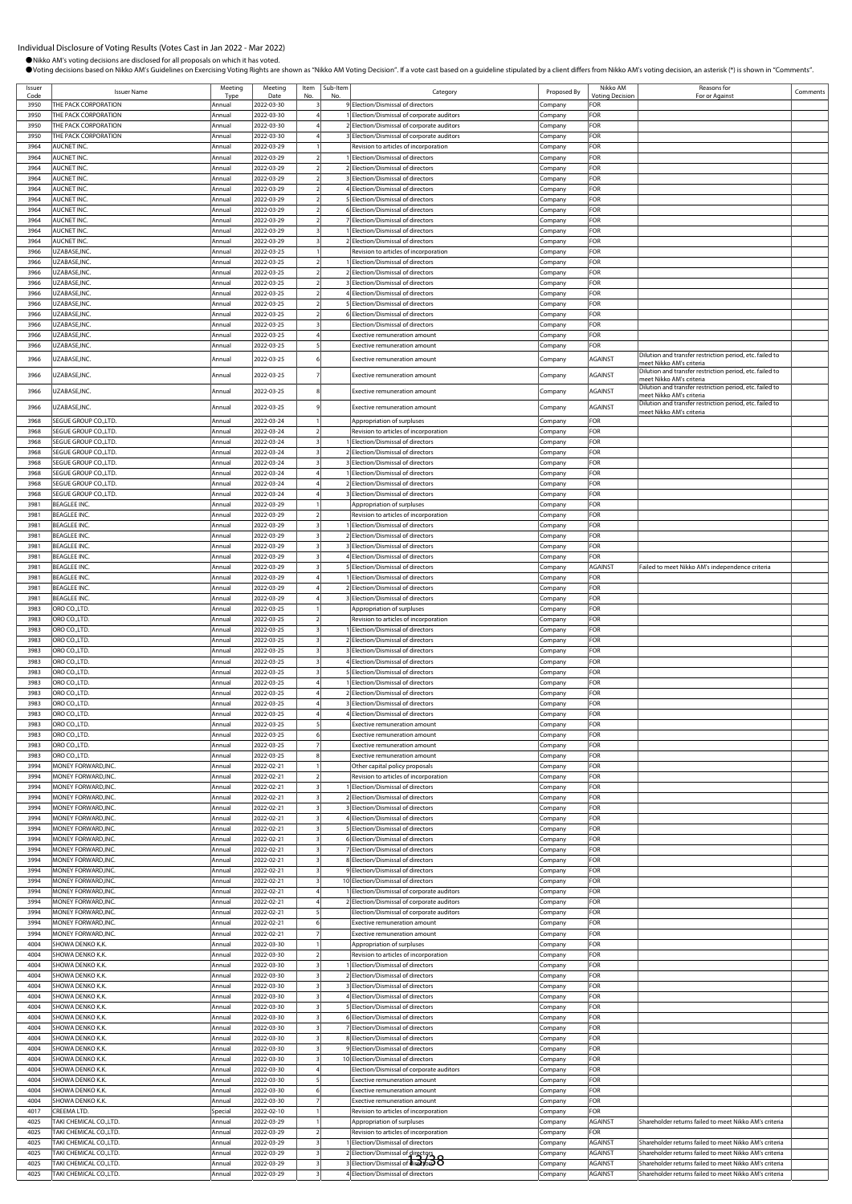●Nikko AM's voting decisions are disclosed for all proposals on which it has voted.

OVoting decisions based on Nikko AM's Guidelines on Exercising Voting Rights are shown as "Nikko AM Voting Decision". If a vote cast based on a guideline stipulated by a client differs from Nikko AM's voting decision, an a

Issuer Ssuer **ISSUER ISSUER ISSUER ISSUER ISSUER ISSUER ISSUER ISSUER ISSUER ISSUER ISSUER ISSUER ISSUER ISSUER ISSUER**<br>Code **ISSUER ISSUER ISSUER ISSUER ISSUER ISSUER ISSUER ISSUER ISSUER ISSUER ISSUER ISSUER ISSUER ISSUER ISSUE** Type ing Date Item No. Sub-Ite<br>No. The Category **Category** Proposed By Nikko AM oting Deci Reasons for Reasons for<br>For or Against Comments 3950 THE PACK CORPORATION <br>3950 THE PACK CORPORATION Annual 2022-03-30 3 9 Election/Dismissal of directors Company FOR<br>3950 THE PACK CORPORATION Annual 2022-03-30 4 1 Election/Dismissal of corporate auditors Company FOR 3950 THE PACK CORPORATION AND REPORT AND RELEASED AT Election/Dismissal of corporate auditors 3950 THE PACK CORPORATION Annual 2022-03-30 4 2 Election/Dismissal of corporate auditors Company FOR 3950 THE PACK CORPORATION **Annual 2022-03-30** 4 3 Election/Dismissal of corporate auditors **Company** FOR 3964 AUCNET INC. Annual 2022-03-29 1 Revision to articles of incorporation Company FOR 3964 AUCNET INC. Annual 2022-03-29 2 1 Election/Dismissal of directors Company FOR Annual 2022-03-29 2 2 Election/Dismissal of directors Company FOR 3964 AUCNET INC. Company FOR Company Company Annual 2022-03-29 2 3 Election/Dismissal of directors Company FOR lection/Dismissal of directors **Company** FORE 3964 AUCNET INC. Annual 2022-03-29 2 5 Election/Dismissal of directors Company FOR 3964 AUCNET INC. COMPANY COMPANY COMPANY Annual 2022-03-29 2 6 Election/Dismissal of directors Company FOR 3964 AUCNET INC. **Annual 2022-03-29** 2 7 Election/Dismissal of directors Company FOR 3964 AUCNET INC. Annual 2022-03-29 3 1 Election/Dismissal of directors Company FOR 3964 AUCNET INC. Annual 2022-03-29 3 2 Election/Dismissal of directors Company FOR 3966 UZABASE,INC. Annual 2022-03-25 1 Revision to articles of incorporation Company FOR 3966 UZABASE,INC. Annual 2022-03-25 2 1 Election/Dismissal of directors Company FOR 3966 UZABASE,INC. Annual 2022-03-25 2 2 Election/Dismissal of directors Company FOR 3966 UZABASE,INC. **Annual 2022-03-25** 2 3 Election/Dismissal of directors Company FOR 3966 UZABASE,INC. Annual 2022-03-25 2 4 Election/Dismissal of directors Company FOR **3966 UZABASE, 2022-03-25**<br>Annual 2022-03-25 2 5 Election/Dismissal of directors Company FOR 3966 UZABASE,INC. Annual 2022-03-25 2 6 Election/Dismissal of directors Company FOR 3966 UZABASE,INC. Annual 2022-03-25 3 Election/Dismissal of directors Company FOR 3966 UZABASE,INC. Annual 2022-03-25 4 Exective remuneration amount Company FOR 3966 UZABASE,INC. Annual 2022-03-25 5 Exective remuneration amount Company FOR 3966 UZABASE,INC. Note that the multiplier of the method of the method of the method of the method of the method of the company and the method of the method of the method of the method of the method of the method of the me meet Nikko AM's criteria<br>Dilution and transfer restriction period, etc. failed to 3966 UZABASE,INC. Annual 2022-03-25 8 Exective remuneration amount Company AGAINST Dilution and transfer restriction period, etc. failed to ment in the matter continuing parties, and there is<br>heet Nikko AM's criteria<br>ilution and transfer restriction period, etc. failed to 3966 UZABASE,INC. Annual 2022-03-25 9 Exective remuneration amount Company AGAINST Dilution and transfer restriction period, etc. failed to meet Nikko AM's criteria 3968 SEGUE GROUP CO.,LTD. Annual 2022-03-24 1 Appropriation of surpluses Company FOR 3968 SEGUE GROUP CO.,LTD. Annual 2022-03-24 2 Revision to articles of incorporation Company FOR 3968 SEGUE GROUP CO.,LTD. **Annual 2022-03-24** 3 1 Election/Dismissal of directors Company 3968 SEGUE GROUP CO.,LTD. Annual 2022-03-24 3 2 Election/Dismissal of directors Company FOR 3968 SEGUE GROUP CO.,LTD. **Annual 2022-03-24** 3 3 **Election/Dismissal of directors** Company FOR 3968 SEGUE GROUP CO.,LTD. Annual 2022-03-24 4 1 Election/Dismissal of directors Company FOR 3968 SEGUE GROUP CO.,LTD. Annual 2022-03-24 4 2 Election/Dismissal of directors Company FOR 3968 SEGUE GROUP CO.,LTD. Annual 2022-03-24 4 3 Election/Dismissal of directors Company FOR 3981 BEAGLEE INC. **Annual 2022-03-29 1** Appropriation of surpluses Company FOR 3981 BEAGLEE INC. Annual 2022-03-29 2 Revision to articles of incorporation Company FOR 3981 BEAGLEE INC. Annual 2022-03-29 3 1 Election/Dismissal of directors Company FOR 3981 BEAGLEE INC. **Annual 2022-03-29** 3 2 Election/Dismissal of directors Company FOR 3981 BEAGLEE INC. Annual 2022-03-29 3 3 Election/Dismissal of directors Company FOR 4 Election/Dismissal of directors Company FOR 3981 BEAGLEE INC. **Annual 2022-03-29 3** 5 Election/Dismissal of directors Company AGAINST Failed to meet Nikko AM's independence crite 3981 BEAGLEE INC. **Annual 2022-03-29 4** 1 Election/Dismissal of directors Company 3981 BEAGLEE INC. Annual 2022-03-29 4 2 Election/Dismissal of directors Company FOR 3981 BEAGLEE INC. **Annual 2022-03-29** 4 3 Election/Dismissal of directors Company FOR 3983 ORO CO.,LTD. Annual 2022-03-25 1 Appropriation of surpluses Company FOR 3983 ORO CO.,LTD. Annual 2022-03-25 2 Revision to articles of incorporation Company FOR 3983 ORO CO.,LTD. Annual 2022-03-25 3 1 Election/Dismissal of directors Company FOR 3983 ORO CO.,LTD. Annual 2022-03-25 3 2 Election/Dismissal of directors Company FOR 3983 ORO CO.,LTD. Annual 2022-03-25 3 3 Election/Dismissal of directors Company FOR 3983 ORO CO.,LTD. Annual 2022-03-25 3 4 Election/Dismissal of directors Company FOR 3983 ORO CO.,LTD. **Annual 2022-03-25** 3 5 Election/Dismissal of directors Company FOR 3983 ORO CO.,LTD. Annual 2022-03-25 4 1 Election/Dismissal of directors Company FOR 3983 ORO CO.,LTD. Annual 2022-03-25 4 2 Election/Dismissal of directors Company FOR 3983 ORO CO.,LTD. Annual 2022-03-25 4 3 Election/Dismissal of directors Company FOR 3983 ORO CO.,LTD. Annual 2022-03-25 4 4 Election/Dismissal of directors Company FOR 3983 ORO CO.,LTD. Annual 2022-03-25 5 Exective remuneration amount Company FOR 3983 ORO CO.,LTD. Annual 2022-03-25 6 Exective remuneration amount Company FOR 3983 ORO CO.,LTD. Annual 2022-03-25 7 Exective remuneration amount Company FOR 3983 ORO CO.,LTD. Annual 2022-03-25 8 Exective remuneration amount Company FOR 3994 MONEY FORWARD,INC. Annual 2022-02-21 1 Other capital policy proposals Company FOR 3994 |MONEY FORWARD,INC. |Annual |2022-02-21 | 2| Revision to articles of incorporation |Company |FOR 3994 MONEY FORWARD,INC. Annual 2022-02-21 3 1 Election/Dismissal of directors Company FOR 3994 MONEY FORWARD,INC. Annual 2022-02-21 3 2 Election/Dismissal of directors Company FOR 3994 MONEY FORWARD,INC. Annual 2022-02-21 3 3 Election/Dismissal of directors Company FOR nnual 2022-02-21 3 4 Election/Dismissal of directors Company Company 3994 MONEY FORWARD,INC. Annual 2022-02-21 3 5 Election/Dismissal of directors Company FOR 3994 MONEY FORWARD,INC. Annual 2022-02-21 3 6 Election/Dismissal of directors Company FOR 3994 MONEY FORWARD,INC. Annual 2022-02-21 3 7 Election/Dismissal of directors Company FOR 3994 MONEY FORWARD,INC. Annual 2022-02-21 3 8 Election/Dismissal of directors Company FOR 3994 MONEY FORWARD,INC. Annual 2022-02-21 3 9 Election/Dismissal of directors Company FOR 3994 MONEY FORWARD,INC. Annual 2022-02-21 3 10 Election/Dismissal of directors Company FOR 3994 MONEY FORWARD,INC. Annual 2022-02-21 4 1 Election/Dismissal of corporate auditors Company FOR 3994 MONEY FORWARD,INC. Annual 2022-02-21 4 2 Election/Dismissal of corporate auditors Company FOR 3994 MONEY FORWARD,INC. COMPANY Annual 2022-02-21 5 Election/Dismissal of corporate auditors Company 3994 MONEY FORWARD,INC. Annual 2022-02-21 6 Exective remuneration amount Company FOR 3994 |MONEY FORWARD,INC. |Annual |2022-02-21 | 7| Exective remuneration amount |Company |FOR 4004 SHOWA DENKO K.K. Annual 2022-03-30 1 Appropriation of surpluses Company FOR 4004 SHOWA DENKO K.K. Annual 2022-03-30 2 Revision to articles of incorporation Company FOR 4004 SHOWA DENKO K.K. **Annual 2022-03-30** 3 1 Election/Dismissal of directors Company FOR 4004 SHOWA DENKO K.K. Annual 2022-03-30 3 2 Election/Dismissal of directors Company 4004 SHOWA DENKO K.K. Annual 2022-03-30 3 3 Election/Dismissal of directors Company FOR 4004 SHOWA DENKO K.K. Annual 2022-03-30 3 4 Election/Dismissal of directors Company FOR HOWA DENKO K.K. **Annual 2022-03-30** 3 5 Election/Dismissal of directors Company FOR 4004 SHOWA DENKO K.K. Annual 2022-03-30 3 6 Election/Dismissal of directors Company FOR 4004 SHOWA DENKO K.K. Annual 2022-03-30 3 7 Election/Dismissal of directors Company FOR 4004 SHOWA DENKO K.K. Annual 2022-03-30 3 8 Election/Dismissal of directors Company FOR 4004 SHOWA DENKO K.K. COMPANY LAND Annual 2022-03-30 3 9 Election/Dismissal of directors Company Company Company<br>4004 SHOWA DENKO K.K. COMPANY Annual 2022-03-30 3 10 Election/Dismissal of directors Company 4004 Section/Dismissal of directors **Company FOR** 4004 SHOWA DENKO K.K. **Annual 2022-03-30** 4 Election/Dismissal of corporate auditors Company FOR 4004 SHOWA DENKO K.K. **Annual 2022-03-30 | 5** Exective remuneration amount Company FOR 4004 SHOWA DENKO K.K. Charles Company (Annual 2022-03-30 6 Exective remuneration amount Company FOR TOR 4004 SHOWA DENKO K.K. **Annual 2022-03-30** 7 Exective remuneration amount Company FOR 4017 CREEMA LTD. CONDEXITY CREEMA LTD. Special 2022-02-10 1 Revision to articles of incorporation Company 4025 TAKI CHEMICAL CO.,LTD. Annual 2022-03-29 1 Appropriation of surpluses Company AGAINST Shareholder returns failed to meet Nikko AM's criteria<br>4025 TAKI CHEMICAL CO.,LTD. Annual 2022-03-29 2 Revision to articles of inco 1991 TAKI CHEMICAL CO.,LTD. **Annual 2022-03-29 2** Revision to articles of incorporation Company Company Company<br>1992-1992 11: Annual 2022-03-29 3 1 Election/Dismissal of directors Company 4025 TAKI CHEMICAL CO.,LTD. **Annual 2022-03-29** 3 1 Election/Dismissal of directors Company AGAINST Shareholder returns failed to meet Nikko AM's criteria 4025 TAKI CHEMICAL CO.,LTD. Annual 2022-03-29 3 2 Election/Dismissal of directors Company AGAINST Shareholder returns failed to meet Nikko AM's criteria<br>4025 TAKI CHEMICAL CO.,LTD. Annual 2022-03-29 3 Blection/Dismissal of and Tackin Co., LTD. Annual Co., LTD. Annual 2023-03-2023. Annual 2023-03-29 Shareholder returns failed to meet Nikko AM's criteria 4025 TAKI CHEMICAL CO.,LTD. **Annual 2022-03-29 3** 4 Election/Dismissal of directors Company AGAINST Shareholder returns failed to meet Nikko AM's criteria 2 Election/Dismissal of directors<br>3 Election/Dismissal of directors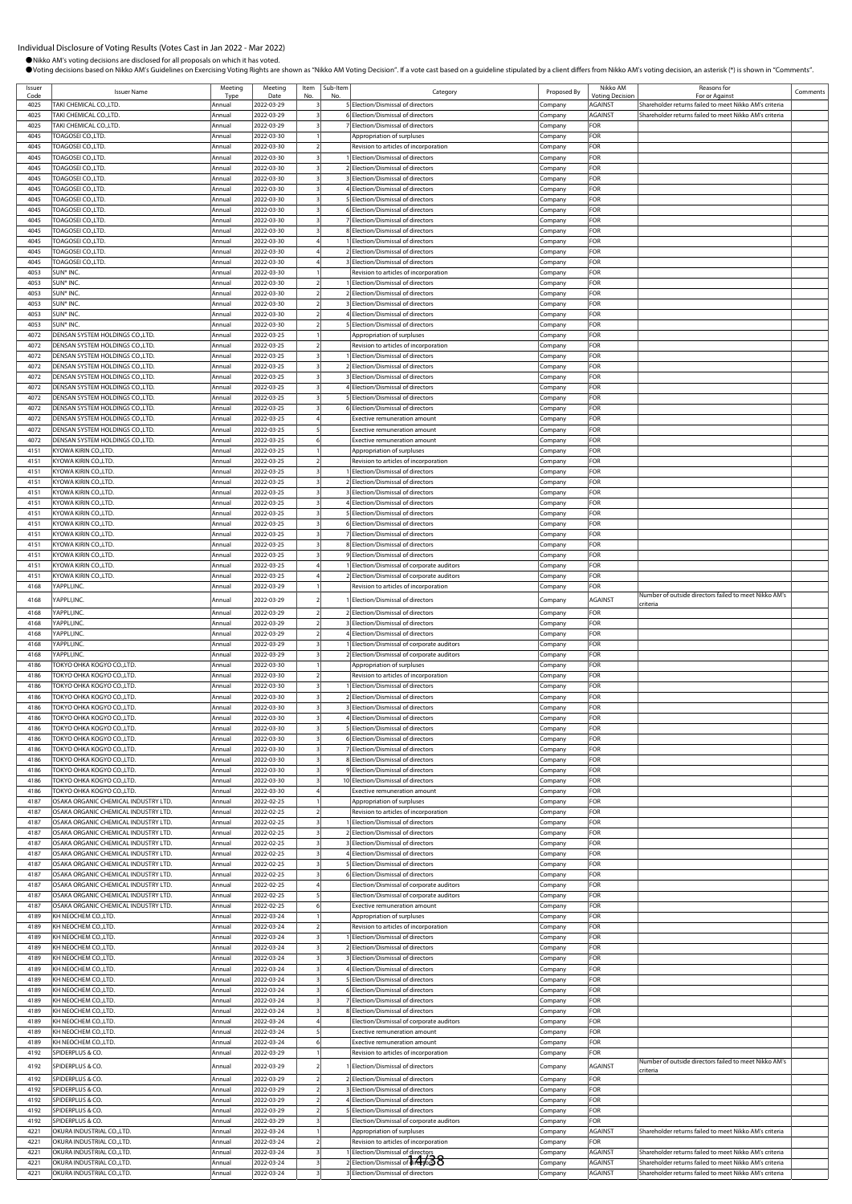|                | ●Nikko AM's voting decisions are disclosed for all proposals on which it has voted. |                        |                          |                         |          | OVoting decisions based on Nikko AM's Guidelines on Exercising Voting Rights are shown as "Nikko AM Voting Decision". If a vote cast based on a guideline stipulated by a client differs from Nikko AM's voting decision, an a |                     |                            |                                                        |         |
|----------------|-------------------------------------------------------------------------------------|------------------------|--------------------------|-------------------------|----------|--------------------------------------------------------------------------------------------------------------------------------------------------------------------------------------------------------------------------------|---------------------|----------------------------|--------------------------------------------------------|---------|
| Issuer<br>Code | <b>Issuer Name</b>                                                                  | Meeting<br><b>Type</b> | Meeting<br>Date          | Item<br>No              | Sub-Item | Category                                                                                                                                                                                                                       | Proposed By         | Nikko AM<br>/otina Decisio | Reasons for<br>For or Agains                           | Comment |
| 4025           | TAKI CHEMICAL CO.,LTD.                                                              | Annual                 | 2022-03-29               |                         |          | 5 Election/Dismissal of directors                                                                                                                                                                                              | Company             | <b>AGAINST</b>             | Shareholder returns failed to meet Nikko AM's criteria |         |
| 4025           | TAKI CHEMICAL CO., LTD.                                                             | Annual                 | 2022-03-29               |                         |          | 6 Election/Dismissal of directors                                                                                                                                                                                              | Company             | <b>AGAINST</b>             | Shareholder returns failed to meet Nikko AM's criteria |         |
| 4025           | TAKI CHEMICAL CO.,LTD.                                                              | Annua                  | 2022-03-29               |                         |          | 7 Election/Dismissal of directors                                                                                                                                                                                              | Company             | FOR                        |                                                        |         |
| 4045           | TOAGOSEI CO.,LTD.                                                                   | Annual                 | 2022-03-30               |                         |          | Appropriation of surpluses                                                                                                                                                                                                     | Company             | FOR                        |                                                        |         |
| 4045           | TOAGOSEI CO.,LTD.                                                                   | Annual                 | 2022-03-30               |                         |          | Revision to articles of incorporation                                                                                                                                                                                          | Company             | FOR                        |                                                        |         |
| 4045           | <b>TOAGOSEI CO.,LTD.</b>                                                            | Annual                 | 2022-03-30               |                         |          | Election/Dismissal of directors                                                                                                                                                                                                | Company             | FOR                        |                                                        |         |
| 4045           | TOAGOSEI CO.,LTD.                                                                   | Annual                 | 2022-03-30               | $\overline{\mathbf{3}}$ |          | 2 Election/Dismissal of directors                                                                                                                                                                                              | Company             | FOR                        |                                                        |         |
| 4045           | <b>TOAGOSEI CO.,LTD.</b>                                                            | Annual                 | 2022-03-30               |                         |          | 3 Election/Dismissal of directors                                                                                                                                                                                              | Company             | FOR                        |                                                        |         |
| 4045<br>4045   | <b>TOAGOSEI CO.,LTD.</b><br>TOAGOSEI CO.,LTD.                                       | Annual<br>Annual       | 2022-03-30<br>2022-03-30 |                         |          | 4 Election/Dismissal of directors<br>5 Election/Dismissal of directors                                                                                                                                                         | Company<br>company. | FOR<br>FOR                 |                                                        |         |
| 4045           | TOAGOSEI CO.,LTD.                                                                   | Annual                 | 2022-03-30               |                         |          | 6 Election/Dismissal of directors                                                                                                                                                                                              | Company             | FOR                        |                                                        |         |
| 4045           | TOAGOSEI CO.,LTD.                                                                   | Annua                  | 2022-03-30               |                         |          | 7 Election/Dismissal of directors                                                                                                                                                                                              | Company             | FOR                        |                                                        |         |
| 4045           | TOAGOSEI CO.,LTD.                                                                   | Annual                 | 2022-03-30               |                         |          | 8 Election/Dismissal of directors                                                                                                                                                                                              | Company             | FOR                        |                                                        |         |
| 4045           | TOAGOSEI CO.,LTD.                                                                   | Annual                 | 2022-03-30               |                         |          | Election/Dismissal of directors                                                                                                                                                                                                | Company             | FOR                        |                                                        |         |
| 4045           | TOAGOSEI CO.,LTD.                                                                   | Annual                 | 2022-03-30               | $\overline{4}$          |          | 2 Election/Dismissal of directors                                                                                                                                                                                              | Company             | FOR                        |                                                        |         |
| 4045           | TOAGOSEI CO.,LTD.                                                                   | Annual                 | 2022-03-30               |                         |          | 3 Election/Dismissal of directors                                                                                                                                                                                              | Company             | FOR                        |                                                        |         |
| 4053           | SUN* INC.                                                                           | Annual                 | 2022-03-30               |                         |          | Revision to articles of incorporation                                                                                                                                                                                          | Company             | FOR                        |                                                        |         |
| 4053           | SUN* INC.                                                                           | Annual                 | 2022-03-30               |                         |          | Election/Dismissal of directors                                                                                                                                                                                                | Company             | FOR                        |                                                        |         |
| 4053           | SUN* INC.                                                                           | Annual                 | 2022-03-30               |                         |          | 2 Election/Dismissal of directors                                                                                                                                                                                              | company.            | FOR                        |                                                        |         |
| 4053<br>4053   | SUN* INC.<br>SUN* INC.                                                              | Annual<br>Annua        | 2022-03-30<br>2022-03-30 |                         |          | 3 Election/Dismissal of directors<br>4 Election/Dismissal of directors                                                                                                                                                         | Company             | FOR<br>FOR                 |                                                        |         |
| 4053           | SUN* INC.                                                                           | Annual                 | 2022-03-30               |                         |          | Election/Dismissal of directors                                                                                                                                                                                                | Company<br>Company  | FOR                        |                                                        |         |
| 4072           | DENSAN SYSTEM HOLDINGS CO., LTD.                                                    | Annual                 | 2022-03-25               |                         |          | Appropriation of surpluses                                                                                                                                                                                                     | Company             | FOR                        |                                                        |         |
| 4072           | DENSAN SYSTEM HOLDINGS CO.,LTD.                                                     | Annual                 | 2022-03-25               | $\overline{2}$          |          | Revision to articles of incorporation                                                                                                                                                                                          | Company             | FOR                        |                                                        |         |
| 4072           | DENSAN SYSTEM HOLDINGS CO., LTD.                                                    | Annua                  | 2022-03-25               | $\overline{\mathbf{3}}$ |          | 1 Election/Dismissal of directors                                                                                                                                                                                              | Company             | FOR                        |                                                        |         |
| 4072           | DENSAN SYSTEM HOLDINGS CO., LTD.                                                    | Annual                 | 2022-03-25               |                         |          | 2 Election/Dismissal of directors                                                                                                                                                                                              | .cmpany             | FOR                        |                                                        |         |
| 4072           | DENSAN SYSTEM HOLDINGS CO., LTD.                                                    | Annual                 | 2022-03-25               |                         |          | 3 Election/Dismissal of directors                                                                                                                                                                                              | Company             | FOR                        |                                                        |         |
| 4072           | DENSAN SYSTEM HOLDINGS CO.,LTD                                                      | Annua                  | 2022-03-25               |                         |          | 4 Election/Dismissal of directors                                                                                                                                                                                              | Company             | FOR                        |                                                        |         |
| 4072           | DENSAN SYSTEM HOLDINGS CO., LTD.                                                    | Annual                 | 2022-03-25               |                         |          | <b>SElection/Dismissal of directors</b>                                                                                                                                                                                        | Company             | FOR                        |                                                        |         |
| 4072           | DENSAN SYSTEM HOLDINGS CO.,LTD                                                      | Annua                  | 2022-03-25               |                         |          | 6 Election/Dismissal of directors                                                                                                                                                                                              | Company             | FOR<br>FOR                 |                                                        |         |
| 4072<br>4072   | DENSAN SYSTEM HOLDINGS CO.,LTD.<br>DENSAN SYSTEM HOLDINGS CO.,LTD.                  | Annual<br>Annua        | 2022-03-25<br>2022-03-25 |                         |          | <b>Exective remuneration amount</b><br><b>Exective remuneration amount</b>                                                                                                                                                     | Company<br>Company  | FOR                        |                                                        |         |
| 4072           | DENSAN SYSTEM HOLDINGS CO.,LTD.                                                     | Annual                 | 2022-03-25               | 6                       |          | Exective remuneration amount                                                                                                                                                                                                   | Company             | FOR                        |                                                        |         |
| 4151           | KYOWA KIRIN CO.,LTD.                                                                | Annual                 | 2022-03-25               |                         |          | Appropriation of surpluses                                                                                                                                                                                                     | Company             | FOR                        |                                                        |         |
| 4151           | KYOWA KIRIN CO.,LTD.                                                                | Annual                 | 2022-03-25               |                         |          | Revision to articles of incorporation                                                                                                                                                                                          | .ompany             | FOR                        |                                                        |         |
| 4151           | KYOWA KIRIN CO.,LTD                                                                 | Annual                 | 2022-03-25               |                         |          | Election/Dismissal of directors                                                                                                                                                                                                | Company             | FOR                        |                                                        |         |
| 4151           | KYOWA KIRIN CO.,LTD                                                                 | Annua                  | 2022-03-25               |                         |          | 2 Election/Dismissal of directors                                                                                                                                                                                              | Company             | FOR                        |                                                        |         |
| 4151           | KYOWA KIRIN CO.,LTD.                                                                | Annual                 | 2022-03-25               |                         |          | 3 Election/Dismissal of directors                                                                                                                                                                                              | Company             | FOR                        |                                                        |         |
| 4151           | KYOWA KIRIN CO.,LTD.                                                                | Annua                  | 2022-03-25               |                         |          | 4 Election/Dismissal of directors                                                                                                                                                                                              | Company             | FOR                        |                                                        |         |
| 4151           | KYOWA KIRIN CO.,LTD.                                                                | Annual                 | 2022-03-25               | 3                       |          | 5 Election/Dismissal of directors                                                                                                                                                                                              | Company             | FOR                        |                                                        |         |
| 4151           | KYOWA KIRIN CO.,LTD                                                                 | Annual                 | 2022-03-25               |                         |          | 6 Election/Dismissal of directors                                                                                                                                                                                              | Company             | FOR                        |                                                        |         |
| 4151<br>4151   | KYOWA KIRIN CO.,LTD.<br>KYOWA KIRIN CO.,LTD.                                        | Annual<br>Annual       | 2022-03-25<br>2022-03-25 |                         |          | 7 Election/Dismissal of directors<br>8 Election/Dismissal of directors                                                                                                                                                         | Company<br>Company  | FOR<br>FOR                 |                                                        |         |
| 4151           | KYOWA KIRIN CO.,LTD.                                                                | Annual                 | 2022-03-25               |                         |          | 9 Election/Dismissal of directors                                                                                                                                                                                              | ompany:             | FOR                        |                                                        |         |
| 4151           | KYOWA KIRIN CO.,LTD.                                                                | Annual                 | 2022-03-25               |                         |          | Election/Dismissal of corporate auditors                                                                                                                                                                                       | Company             | FOR                        |                                                        |         |
| 4151           | KYOWA KIRIN CO.,LTD                                                                 | Annua                  | 2022-03-25               |                         |          | 2 Election/Dismissal of corporate auditors                                                                                                                                                                                     | Company             | FOR                        |                                                        |         |
| 4168           | YAPPLI, INC.                                                                        | Annual                 | 2022-03-29               |                         |          | Revision to articles of incorporation                                                                                                                                                                                          | Company             | FOR                        |                                                        |         |
| 4168           | APPLI, INC.                                                                         | Annual                 | 2022-03-29               |                         |          | Election/Dismissal of directors                                                                                                                                                                                                | Company             | AGAINST                    | Number of outside directors failed to meet Nikko AM's  |         |
| 4168           | YAPPLI, INC.                                                                        | Annual                 | 2022-03-29               |                         |          | 2 Election/Dismissal of directors                                                                                                                                                                                              | Company             | FOR                        | criteria                                               |         |
| 1168           | APPLI, INC.                                                                         |                        | )22-03-2                 |                         |          | Election/Dismissal of director                                                                                                                                                                                                 | ompan               | OR                         |                                                        |         |
| 4168           | YAPPLI, INC.                                                                        | Annual                 | 2022-03-29               |                         |          | 4 Election/Dismissal of directors                                                                                                                                                                                              | Company             | FOR                        |                                                        |         |
| 4168           | YAPPLI, INC.                                                                        | Annual                 | 2022-03-29               |                         |          | Election/Dismissal of corporate auditors                                                                                                                                                                                       | Company             | FOR                        |                                                        |         |
| 4168           | YAPPLI.INC.                                                                         | Annual                 | 2022-03-29               |                         |          | 2 Election/Dismissal of corporate auditors                                                                                                                                                                                     | Company             | FOR                        |                                                        |         |
| 4186           | TOKYO OHKA KOGYO CO.,LTD.                                                           | Annual                 | 2022-03-30               |                         |          | Appropriation of surpluses                                                                                                                                                                                                     | Company             | FOR                        |                                                        |         |
| 4186           | TOKYO OHKA KOGYO CO.,LTD.                                                           | Annual                 | 2022-03-30               | $\overline{2}$          |          | Revision to articles of incorporation                                                                                                                                                                                          | Company             | FOR                        |                                                        |         |
| 4186           | TOKYO OHKA KOGYO CO.,LTD.                                                           | Annual                 | 2022-03-30               |                         |          | Election/Dismissal of directors                                                                                                                                                                                                | Company             | FOR                        |                                                        |         |
| 4186           | TOKYO OHKA KOGYO CO.,LTD.                                                           | Annual                 | 2022-03-30               |                         |          | 2 Election/Dismissal of directors                                                                                                                                                                                              | Company             | FOR                        |                                                        |         |
| 4186<br>4186   | TOKYO OHKA KOGYO CO.,LTD.<br>TOKYO OHKA KOGYO CO.,LTD.                              | Annual<br>Annual       | 2022-03-30               |                         |          | 3 Election/Dismissal of directors                                                                                                                                                                                              | Company             | FOR<br>FOR                 |                                                        |         |
| 4186           | TOKYO OHKA KOGYO COLTD.                                                             | Annual                 | 2022-03-30<br>2022-03-30 |                         |          | 4 Election/Dismissal of directors<br>5 Election/Dismissal of directors                                                                                                                                                         | Company<br>Company  | FOR                        |                                                        |         |
| 4186           | TOKYO OHKA KOGYO CO.,LTD.                                                           | Annual                 | 2022-03-30               |                         |          | 6 Election/Dismissal of directors                                                                                                                                                                                              | Company             | FOR                        |                                                        |         |
| 4186           | TOKYO OHKA KOGYO CO.,LTD.                                                           | Annual                 | 2022-03-30               |                         |          | 7 Election/Dismissal of directors                                                                                                                                                                                              | Company             | FOR                        |                                                        |         |
| 4186           | TOKYO OHKA KOGYO CO.,LTD.                                                           | Annual                 | 2022-03-30               | $\overline{\mathbf{3}}$ |          | 8 Election/Dismissal of directors                                                                                                                                                                                              | Company             | FOR                        |                                                        |         |
| 4186           | TOKYO OHKA KOGYO CO.,LTD.                                                           | Annual                 | 2022-03-30               |                         |          | 9 Election/Dismissal of directors                                                                                                                                                                                              | Company             | FOR                        |                                                        |         |
| 4186           | TOKYO OHKA KOGYO CO.,LTD.                                                           | Annual                 | 2022-03-30               |                         |          | 10 Election/Dismissal of directors                                                                                                                                                                                             | Company             | FOR                        |                                                        |         |
| 4186           | TOKYO OHKA KOGYO CO.,LTD.                                                           | Annual                 | 2022-03-30               |                         |          | Exective remuneration amount                                                                                                                                                                                                   | .ompany             | FOR                        |                                                        |         |
| 4187           | OSAKA ORGANIC CHEMICAL INDUSTRY LTD.                                                | Annual                 | 2022-02-25               |                         |          | Appropriation of surpluses                                                                                                                                                                                                     | Company             | FOR                        |                                                        |         |
| 4187           | OSAKA ORGANIC CHEMICAL INDUSTRY LTD.                                                | Annual                 | 2022-02-25               |                         |          | Revision to articles of incorporation                                                                                                                                                                                          | Company             | FOR                        |                                                        |         |
| 4187           | OSAKA ORGANIC CHEMICAL INDUSTRY LTD.                                                | Annual                 | 2022-02-25               |                         |          | Election/Dismissal of directors                                                                                                                                                                                                | Company             | FOR                        |                                                        |         |
| 4187           | OSAKA ORGANIC CHEMICAL INDUSTRY LTD.                                                | Annual                 | 2022-02-25               | $\overline{\mathbf{3}}$ |          | 2 Election/Dismissal of directors                                                                                                                                                                                              | Company             | FOR<br>FOR                 |                                                        |         |
| 4187<br>4187   | OSAKA ORGANIC CHEMICAL INDUSTRY LTD.<br>OSAKA ORGANIC CHEMICAL INDUSTRY LTD.        | Annual<br>Annual       | 2022-02-25<br>2022-02-25 | $\overline{\mathbf{3}}$ |          | 3 Election/Dismissal of directors<br>4 Election/Dismissal of directors                                                                                                                                                         | Company<br>Company  | FOR                        |                                                        |         |
| 4187           | OSAKA ORGANIC CHEMICAL INDUSTRY LTD.                                                | Annual                 | 2022-02-25               |                         |          | 5 Election/Dismissal of directors                                                                                                                                                                                              | Company             | FOR                        |                                                        |         |
| 4187           | OSAKA ORGANIC CHEMICAL INDUSTRY LTD.                                                | Annual                 | 2022-02-25               |                         |          | 6 Election/Dismissal of directors                                                                                                                                                                                              | Company             | FOR                        |                                                        |         |
| 4187           | OSAKA ORGANIC CHEMICAL INDUSTRY LTD.                                                | Annual                 | 2022-02-25               |                         |          | Election/Dismissal of corporate auditors                                                                                                                                                                                       | Company             | FOR                        |                                                        |         |
| 4187           | OSAKA ORGANIC CHEMICAL INDUSTRY LTD.                                                | Annual                 | 2022-02-25               |                         |          | Election/Dismissal of corporate auditors                                                                                                                                                                                       | Company             | FOR                        |                                                        |         |
| 4187           | OSAKA ORGANIC CHEMICAL INDUSTRY LTD.                                                | Annual                 | 2022-02-25               |                         |          | <b>Exective remuneration amount</b>                                                                                                                                                                                            | Company             | FOR                        |                                                        |         |
| 4189           | KH NEOCHEM CO.,LTD.                                                                 | Annual                 | 2022-03-24               |                         |          | Appropriation of surpluses                                                                                                                                                                                                     | Company             | FOR                        |                                                        |         |
| 4189           | KH NEOCHEM CO.,LTD.                                                                 | Annual                 | 2022-03-24               | $\overline{2}$          |          | Revision to articles of incorporation                                                                                                                                                                                          | Company             | FOR                        |                                                        |         |
|                | KH NEOCHEM CO.,LTD.                                                                 | Annual                 | 2022-03-24               | $\overline{\mathbf{3}}$ |          | Election/Dismissal of directors                                                                                                                                                                                                | Company             | FOR                        |                                                        |         |
| 4189<br>4189   | KH NEOCHEM CO., LTD.                                                                |                        | 2022-03-24               |                         |          | 2 Election/Dismissal of directors                                                                                                                                                                                              |                     | FOR                        |                                                        |         |

4189 KH NEOCHEM CO.,LTD. Annual 2022-03-24 3 3 Election/Dismissal of directors Company FOR 4189 KH NEOCHEM CO.,LTD. Annual 2022-03-24 3 4 Election/Dismissal of directors Company FOR 4189 KH NEOCHEM CO.,LTD. Annual 2022-03-24 3 5 Election/Dismissal of directors Company FOR 4189 KH NEOCHEM CO.,LTD. Annual 2022-03-24 3 6 Election/Dismissal of directors Company FOR 4189 KH NEOCHEM CO.,LTD. Annual 2022-03-24 3 7 Election/Dismissal of directors Company FOR

4192 SPIDERPLUS & CO. Annual 2022-03-29 2 2 Election/Dismissal of directors Company FOR<br>4192 SPIDERPLUS & CO. Annual 2022-03-29 2 3 Election/Dismissal of directors Company FOR<br>4192 SPIDERPLUS & CO. Annual 2022-03-29 2 4 El 4192 SPIDERPLUS & CO. Annual 2022-03-29 2 3 Election/Dismissal of directors Company FOR 4192 - Annual 2022-03-29 2 4 Election/Dismissal of directors Company Company FOR 4192 SPIDERPLUS & CO. Annual 2022-03-29 2 5 Election/Dismissal of directors Company FOR 4192 SPIDERPLUS & CO. Annual 2022-03-29 3 Election/Dismissal of corporate auditors Company FOR<br>4221 OKURA INDUSTRIAL CO.,LTD. Annual 2022-03-24 1 Appropriation of surpluses Company AGAINS

4221 OKURA INDUSTRIAL CO.,LTD. Annual 2022-03-24 2 Revision to articles of incorporation Company FOR

4189 KH NEOCHEM CO.,LTD. Annual 2022-03-24 4 Election/Dismissal of corporate auditors Company Company 4189 KH NEOCHEM CO.,LTD. Annual 2022-03-24 5 Exective remuneration amount Company 4189 KH NEOCHEM CO.,LTD.<br>4189 KH NEOCHEM CO.,LTD. Annual 2022-03-24 5 Exective remuneration amount Company FOR<br>4189 KH NEOCHEM CO.,LTD. Annual 2022-03-24 6 Exective remuneration amount Company FOR 4189 KH NEOCHEM CO.,LTD. Annual 2022-03-24 6 Exective remuneration amount Company FOR 4192 SPIDERPLUS & CO. **Annual 2022-03-29** 1 Revision to articles of incorporation Company FOR

2022-03-24 3 8 Election/Dismissal of directors Company FOR<br>2022-03-24 4 Election/Dismissal of corporate auditors Company FOR<br>2022-03-24 5 Exective remuneration amount Company FOR

criteria

22 Election/Dismissal of **1/4/38** Company AGAINST Shareholder returns failed to meet Nikko AM's criteria

4192 SPIDERPLUS & CO. Annual 2022-03-29 2 1 Election/Dismissal of directors Company AGAINST Number of outside directors failed to meet Nikko AM's

4221 OKURA INDUSTRIAL CO.,LTD. Annual 2022-03-24 1 Appropriation of surpluses Company AGAINST Shareholder returns failed to meet Nikko AM's criteria

4221 OKURA INDUSTRIAL CO.,LTD. Annual 2022-03-24 3 1 Election/Dismissal of directors Company AGAINST Shareholder returns failed to meet Nikko AM's criteria annual 2022-03-24 3 2 Election/Dismissal of the box Company AGAINS

4221 OKURA INDUSTRIAL CO.,LTD. Annual 2022-03-24 3 3 Election/Dismissal of directors Company AGAINST Shareholder returns failed to meet Nikko AM's criteria 1 Election/Dismissal of directors<br>2 Election/Dismissal of directors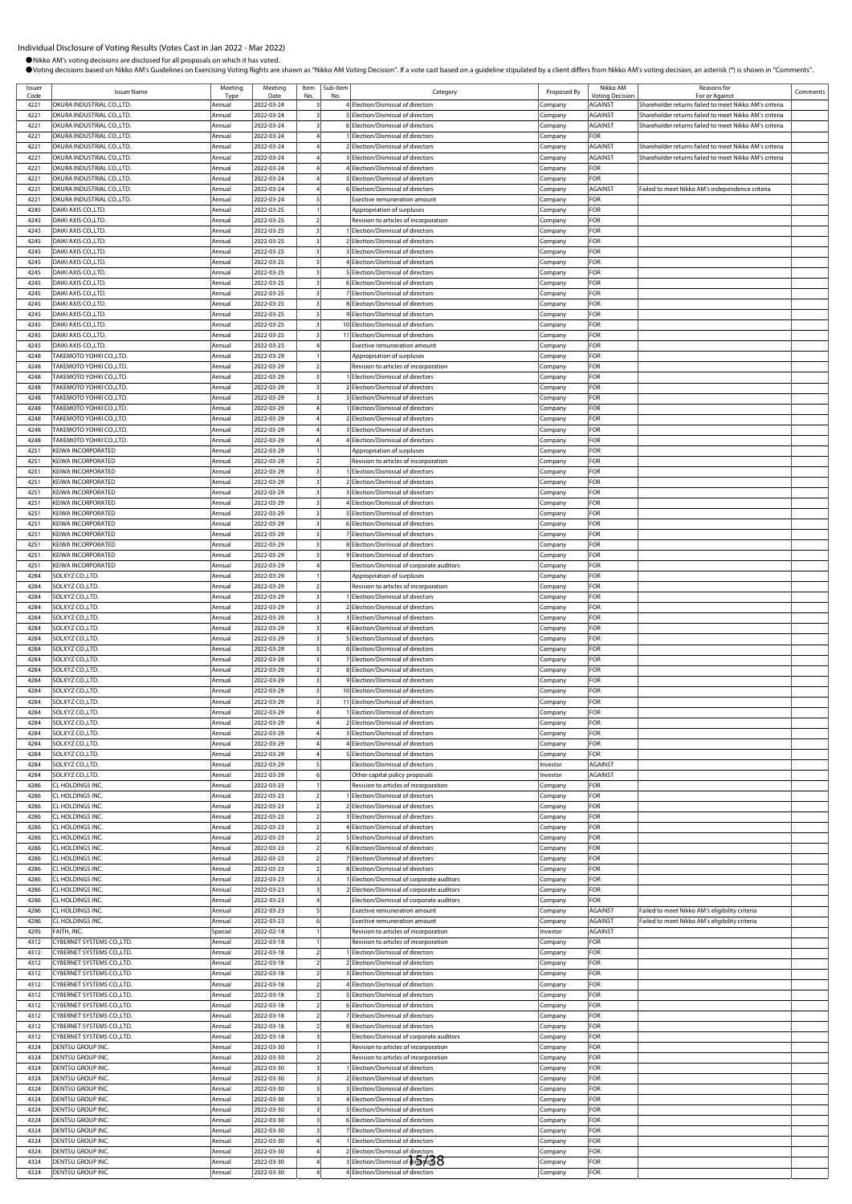Ssuer **ISSUER ISSUER ISSUER ISSUER ISSUER ISSUER ISSUER ISSUER ISSUER ISSUER ISSUER ISSUER ISSUER ISSUER ISSUER**<br>Code **ISSUER ISSUER ISSUER ISSUER ISSUER ISSUER ISSUER ISSUER ISSUER ISSUER ISSUER ISSUER ISSUER ISSUER ISSUE** 

Issuer

OVoting decisions based on Nikko AM's Guidelines on Exercising Voting Rights are shown as "Nikko AM Voting Decision". If a vote cast based on a guideline stipulated by a client differs from Nikko AM's voting decision, an a

b-Item<br>No. No. Regory Category Proposed By Nikko AM

**Voting Decisi** 

Reasons for

Reasons for<br>For or Against Comment

●Nikko AM's voting decisions are disclosed for all proposals on which it has voted.

ing Date

Item No. Sub-Ite<br>No.

Type

ACURA INDUSTRIAL CO.,LTD. Annual 2022-03-24 3 4 Election/Dismissal of directors Company AGAINST Shareholder returns failed to meet Nikko AM's criterial and the company AGAINST Shareholder returns failed to meet Nikko AM's **Company 1222-12 Co., LTD. ANNUST**<br>Company AGAINST Shareholder returns failed to meet Nikko AM's criteria Annual 2022-03-24 3 6 Election/Dismissal of directors Company AGAINST Shareholder returns failed to meet Nikko AM's criteria<br>4221 OKURA INDUSTRIAL CO.,LTD. Annual 2022-03-24 4 1 Election/Dismissal of directors Company FOR 4221 OKURA INDUSTRIAL CO.,LTD. Annual 2022-03-24 4 1 Election/Dismissal of directors Company FOR 4221 OKURA INDUSTRIAL CO.,LTD. Annual 2022-03-24 4 2 Election/Dismissal of directors Company AGAINST Shareholder returns failed to meet Nikko AM's criteria 4221 OKURA INDUSTRIAL CO.,LTD. Annual 2022-03-24 4 3 Election/Dismissal of directors Company AGAINST Shareholder returns failed to meet Nikko AM's criteria<br>4221 OKURA INDUSTRIAL CO.,LTD. Annual 2022-03-24 4 4 Election/Dism Annual 2022-03-24 4 4 Election/Dismissal of directors Company FOR 4221 OKURA INDUSTRIAL CO.,LTD. Annual 2022-03-24 4 5 Election/Dismissal of directors Company FOR 4221 OKURA INDUSTRIAL CO.,LTD. **Annual 2022-03-24** 4 6 Election/Dismissal of directors Company AGAINST Failed to meet Nikko AM's independence criteria 4221 OKURA INDUSTRIAL CO.,LTD. Annual 2022-03-24 5 Exective remuneration amount Company FOR 4245 DAIKI AXIS CO.,LTD. Annual 2022-03-25 1 Appropriation of surpluses Company FOR 4245 DAIKI AXIS CO.,LTD. **Annual 2022-03-25** 2 Revision to articles of incorporation Company FOR 4245 DAIKI AXIS CO.,LTD. Annual 2022-03-25 3 1 Election/Dismissal of directors Company FOR 4245 DAIKI AXIS CO.,LTD. Annual 2022-03-25 3 2 Election/Dismissal of directors Company FOR 4245 DAIKI AXIS CO.,LTD. Annual 2022-03-25 3 3 3 3 3 3 3 3 Election/Dismissal of directors Company FOR 4245 DAIKI AXIS CO.,LTD. Annual 2022-03-25 3 4 Election/Dismissal of directors Company FOR example and the control of the second term of the second of the second of the second of the second of the second of the second of the second of the second of the second of the second of the second of the second of the seco 4245 DAIKI AXIS CO.,LTD. Annual 2022-03-25 3 6 Election/Dismissal of directors Company FOR 4245 DAIKI AXIS CO.,LTD. Annual 2022-03-25 3 7 Election/Dismissal of directors Company FOR<br>4245 DAIKI AXIS CO.,LTD. Annual 2022-03-25 3 8 Election/Dismissal of directors Company FOR 425 DAIKI Annual 2022-03-25 3 8 Election/Dismissal of directors Company FOR 4245 DAIKI AXIS CO.,LTD. Annual 2022-03-25 3 9 Election/Dismissal of directors Company FOR 4245 DAIKI AXIS CO.,LTD. Annual 2022-03-25 3 10 Election/Dismissal of directors Company FOR 4245 DAIKI AXIS CO.,LTD. Annual 2022-03-25 3 11 Election/Dismissal of directors Company FOR 4245 DAIKI AXIS CO.,LTD. Annual 2022-03-25 4 Exective remuneration amount Company FOR<br>4248 TAKEMOTO YOHKI CO.,LTD. Annual 2002-03-29 1 Annual 2002-03-29 1 Annual Annual Annual Company FOR 4248 TAKEMOTO YOHKI CO.,LTD. Annual 2022-03-29 1 1 Appropriation of surpluses Company FOR A248 TAKEMOTO YOHKI CO.,LTD. Annual 2022-03-29 2 Revision to articles of incorporation Company Company Company FOR Company FOR Company FOR Company FOR Company FOR Company FOR Company FOR Company FOR Company FOR Company FOR 4248 TAKEMOTO YOHKI CO.,LTD. Annual 2022-03-29 3 1 Election/Dismissal of directors Company FOR 4248 TAKEMOTO YOHKI CO.,LTD. Annual 2022-03-29 3 2 Election/Dismissal of directors Company FOR 4248 TAKEMOTO YOHKI CO.,LTD. **Annual 2022-03-29** 3 3 Election/Dismissal of directors **Company** Company FOR 4248 TAKEMOTO YOHKI CO.,LTD. Annual 2022-03-29 4 1 Election/Dismissal of directors Company FOR 4248 TAKEMOTO YOHKI CO.,LTD. Annual 2022-03-29 4 2 Election/Dismissal of directors Company FOR<br>4248 TAKEMOTO YOHKI CO.,LTD. Annual 2022-03-29 4 3 Election/Dismissal of directors Company FOR TAKEMOTO YOHKI CO.,LTD. **Annual** 2022-03-29 4 3 Election/Dismissal of directors Company FOR 4248 TAKEMOTO YOHKI CO.,LTD. **Annual 2022-03-29** 4 4 Election/Dismissal of directors Company FOR 4251 KEIWA INCORPORATED **Annual 2022-03-29 | 1** Appropriation of surpluses Company FOR 4251 KEIWA INCORPORATED Annual 2022-03-29 2 Revision to articles of incorporation Company FOR 4251 KEIWA INCORPORATED **Annual** 2022-03-29 3 1 Election/Dismissal of directors Company FOR 4251 KEIWA INCORPORATED **Annual 2022-03-29** 3 2 Election/Dismissal of directors Company 4251 KEIWA INCORPORATED Annual 2022-03-29 3 3 Election/Dismissal of directors Company FOR 4251 KEIWA INCORPORATED **Annual 2022-03-29 3** 4 Election/Dismissal of directors **Annual** Company FOR 4251 KEIWA INCORPORATED **Annual 2022-03-29** 3 5 Election/Dismissal of directors Company FOR 4251 KEIWA INCORPORATED Annual 2022-03-29 3 6 Election/Dismissal of directors Company FOR 4251 KEIWA INCORPORATED Annual 2022-03-29 3 7 Election/Dismissal of directors Company 4251 KEIWA INCORPORATED Annual 2022-03-29 3 8 Election/Dismissal of directors Company FOR 4251 KEIWA INCORPORATED **Annual 2022-03-29** 3 9 Election/Dismissal of directors Company FOR 4251 KEIWA INCORPORATED Annual 2022-03-29 4 Election/Dismissal of corporate auditors Company FOR 4284 SOLXYZ CO.,LTD. Annual 2022-03-29 1 1 Appropriation of surpluses Company FOR 4284 SOLXYZ CO.,LTD. Annual 2022-03-29 2 Revision to articles of incorporation Company FOR 4284 SOLXYZ CO.,LTD. **Annual 2022-03-29** 3 1 Election/Dismissal of directors Company FOR 4284 SOLXYZ CO.,LTD. Annual 2022-03-29 3 2 Election/Dismissal of directors Company FOR 4284 SOLXYZ CO.,LTD. Annual 2022-03-29 3 3 Election/Dismissal of directors Company FOR 4284 SOLXYZ CO.,LTD. Annual 2022-03-29 3 4 Election/Dismissal of directors Company FOR 4284 SOLXYZ CO.,LTD. Annual 2022-03-29 3 5 Election/Dismissal of directors Company FOR Annual 2022-03-29 3 6 Election/Dismissal of directors Company FOR 4284 SOLXYZ CO.,LTD. Annual 2022-03-29 3 7 Election/Dismissal of directors Company FOR 4284 SOLXYZ CO.,LTD. Annual 2022-03-29 3 8 Election/Dismissal of directors Company FOR 4284 SOLXYZ CO.,LTD. Annual 2022-03-29 3 9 Election/Dismissal of directors Company FOR 4284 SOLXYZ CO.,LTD. **Annual 2022-03-29** 3 10 Election/Dismissal of directors Company FOR 4284 SOLXYZ CO.,LTD. Annual 2022-03-29 3 11 Election/Dismissal of directors Company 4284 SOLXYZ CO.,LTD. Annual 2022-03-29 4 1 Election/Dismissal of directors Company FOR 4284 SOLXYZ CO.,LTD. **Annual 2022-03-29** 4 2 Election/Dismissal of directors Company 4284 SOLXYZ CO.,LTD. Annual 2022-03-29 4 3 Election/Dismissal of directors Company FOR 4284 SOLXYZ CO.,LTD. **Annual 2022-03-29** 4 4 Election/Dismissal of directors Company FOR 4284 SOLXYZ CO.,LTD. Annual 2022-03-29 4 5 Election/Dismissal of directors Company FOR 4284 SOLXYZ CO.,LTD. Annual 2022-03-29 5 Election/Dismissal of directors Investor AGAINST 4284 SOLXYZ CO.,LTD. Annual 2022-03-29 6 Other capital policy proposals Investor 4286 CL HOLDINGS INC. **Annual 2022-03-23** 1 Revision to articles of incorporation Company FOR 4286 CL HOLDINGS INC. Annual 2022-03-23 2 1 Election/Dismissal of directors Company FOR 4286 CL HOLDINGS INC. Annual 2<br>2 Election/Dismissal of director 4286 CL HOLDINGS INC. **Annual 2022-03-23** 2 3 Election/Dismissal of directors Company FOR 4286 CL HOLDINGS INC. Annual 2022-03-23 2 4 Election/Dismissal of directors Company FOR 5 Election/Dismissal of directors 4286 CL HOLDINGS INC. **Annual 2022-03-23** 2 6 Election/Dismissal of directors Company FOR 4286 CL HOLDINGS INC. Annual 2022-03-23 2 7 Election/Dismissal of directors Company 4286 CL HOLDINGS INC. Annual 2022-03-23 2 8 Election/Dismissal of directors Company FOR 1286 CL HOLDINGS INC.<br>1294 CL HOLDINGS INC. Company COMPany Company 12022-03-23 3 2 Election/Dismissal of corporate auditors Company<br>1294 Cr Holdings Company FOR Company FOR 4286 CL HOLDINGS INC. Annual 2022-03-23 3 2 Election/Dismissal of corporate auditors Company FOR 4286 CL HOLDINGS INC. **Annual 2022-03-23** 4 Election/Dismissal of corporate auditors Company FOR 4286 CL HOLDINGS INC. **Annual 2022-03-23** 5 Exective remuneration amount Company AGAINST Failed to meet Nikko AM's eligibility criteria 4286 CL HOLDINGS INC. No. 2012-03-23 6 Exective remuneration amount Company AGAINST Failed to meet Nikko AM's eligibility criteria.<br>Annual Special 2022-02-18 1 Revision to atticles of incorporation linvestor AGAINST AGAINS EXTH, INC. INC. Special 2022-02-18 1 Revision to articles of incorporation Investor AGAINST<br>CYBERNET SYSTEMS CO.LTD. Annual 2022-03-18 1 Revision to articles of incorporation Company FOR 4312 CYBERNET SYSTEMS CO.,LTD. Annual 2022-03-18 1 Revision to articles of incorporation Company FOR 4312 CYBERNET SYSTEMS CO.,LTD. Annual 2022-03-18 2 1 Election/Dismissal of directors Company FOR 4312 THE STREMS CO.,LTD. Annual 2022-03-18 2 2 Election/Dismissal of directors Company FORES 4312 CYBERNET SYSTEMS CO.,LTD. Annual 2022-03-18 2 3 Election/Dismissal of directors Company FOR 4312 CYBERNET SYSTEMS CO.,LTD. Annual 2022-03-18 2 4 Election/Dismissal of directors Company FOR 4312 CO., LTD. 2022-03-18 2 5 Election/Dismissal of directors Company Company FOR 4312 CYBERNET SYSTEMS CO.,LTD. **Annual** 2022-03-18 2 6 Election/Dismissal of directors Company FOR 4312 CYBERNET SYSTEMS CO.,LTD. Annual 2022-03-18 2 7 Election/Dismissal of directors Company FOR 4312 CYBERNET SYSTEMS CO.,LTD. Annual 2022-03-18 2 8 Election/Dismissal of directors Company FOR 4312 CYBERNET SYSTEMS CO.,LTD. Annual 2022-03-18 3 Election/Dismissal of corporate auditors Company FOR ENTSU GROUP INC. **Annual 2022-03-30** 1 Revision to articles of incorporation Company FOR 4324 DENTSU GROUP INC. Notice that the company control and the company control and the company company company FOR Annual 2022-03-30 2 Revision to articles of incorporation control (Company FOR 4324 DENTSU GROUP INC. Annual 2022-03-30 3 1 Election/Dismissal of directors Company 4324 DENTSU GROUP INC. Annual 2022-03-30 3 2 Election/Dismissal of directors Company FOR 4324 DENTSU GROUP INC. Annual 2022-03-30 3 3 Election/Dismissal of directors Company FOR<br>4324 DENTSU GROUP INC. Annual 2022-03-30 3 4 Election/Dismissal of directors Company FOR ENTSU GROUP INC. **Annual 2022-03-30** 3 4 Election/Dismissal of directors Company 4324 DENTSU GROUP INC. Annual 2022-03-30 3 5 Election/Dismissal of directors Company FOR 4324 DENTSU GROUP INC. **Annual 2022-03-30** 3 6 Election/Dismissal of directors Company FOR 4324 DENTSU GROUP INC. **Annual 2022-03-30** 3 7 Election/Dismissal of directors Company FOR 4324 DENTSU GROUP INC.<br>4324 DENTSU GROUP INC. Annual 2022-03-30 4 2 Election/Dismissal of directors Company FOR<br>4324 DENTSU GROUP INC. Annual 2022-03-30 4 2 Election/Dismissal of directors Company FOR 4324 DENTSU GROUP INC. Annual 2022-03-30 4 2 Election/Dismissal of directors Company FOR 4324 DENTSU GROUP INC. Annual 2022-03-30 4 3 Election/Dismissal of directors Company FOR

4324 DENTSU GROUP INC. Annual 2022-03-30 44 4 Election/Dismissal of directors Company FOR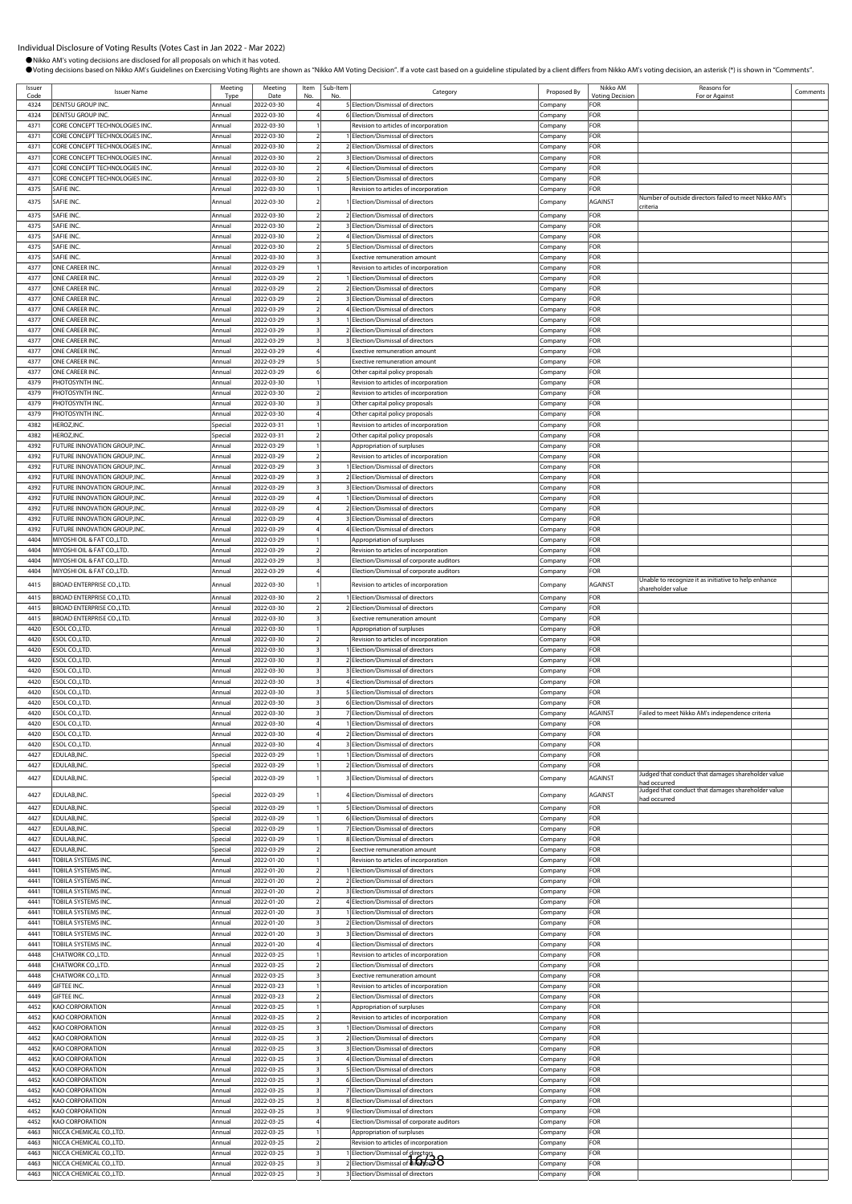| Issuer<br>Code | <b>Issuer Name</b>                                               | Meeting<br>Tvp <sub>t</sub> | Meeting<br>Date          | Item<br>No. | Sub-Iten<br>No | Category                                                                 | Proposed By        | Nikko AM<br><b>Voting Decision</b> | Reasons for<br>For or Against                                      | Comments |
|----------------|------------------------------------------------------------------|-----------------------------|--------------------------|-------------|----------------|--------------------------------------------------------------------------|--------------------|------------------------------------|--------------------------------------------------------------------|----------|
| 4324           | DENTSU GROUP INC.                                                | Annual                      | 2022-03-30               |             |                | 5 Election/Dismissal of directors                                        | Company            | FOR                                |                                                                    |          |
| 4324           | DENTSU GROUP INC.                                                | Annual                      | 2022-03-30               |             |                | 6 Election/Dismissal of directors                                        | Company            | FOR                                |                                                                    |          |
| 4371           | CORE CONCEPT TECHNOLOGIES INC.                                   | Annual                      | 2022-03-30               |             |                | Revision to articles of incorporation                                    | Company            | FOR<br>FOR                         |                                                                    |          |
| 4371<br>4371   | CORE CONCEPT TECHNOLOGIES INC.<br>CORE CONCEPT TECHNOLOGIES INC. | Annual<br>Annual            | 2022-03-30<br>2022-03-30 |             |                | Election/Dismissal of directors<br>2 Election/Dismissal of directors     | Company<br>Company | FOR                                |                                                                    |          |
| 4371           | CORE CONCEPT TECHNOLOGIES INC.                                   | Annual                      | 2022-03-30               |             |                | <b>Election/Dismissal of directors</b>                                   | Company            | <b>FOR</b>                         |                                                                    |          |
| 4371           | CORE CONCEPT TECHNOLOGIES INC.                                   | Annual                      | 2022-03-30               |             |                | Election/Dismissal of directors                                          | Company            | <b>FOR</b>                         |                                                                    |          |
| 4371           | CORE CONCEPT TECHNOLOGIES INC.                                   | Annual                      | 2022-03-30               |             |                | 5 Election/Dismissal of directors                                        | Company            | FOR                                |                                                                    |          |
| 4375           | SAFIE INC.                                                       | Annual                      | 2022-03-30               |             |                | Revision to articles of incorporation                                    | Company            | FOR                                | Number of outside directors failed to meet Nikko AM's              |          |
| 4375           | SAFIE INC.                                                       | Annual                      | 2022-03-30               |             |                | Election/Dismissal of directors                                          | Company            | AGAINST                            | criteria                                                           |          |
| 4375           | SAFIE INC.                                                       | Annual                      | 2022-03-30               |             |                | 2 Election/Dismissal of directors                                        | Company            | <b>FOR</b>                         |                                                                    |          |
| 4375<br>4375   | SAFIE INC<br><b>AFIE INC</b>                                     | Annual<br>Annual            | 2022-03-30<br>2022-03-30 |             |                | 3 Election/Dismissal of directors<br>4 Election/Dismissal of directors   | Company            | <b>FOR</b><br>FOR                  |                                                                    |          |
| 4375           | SAFIE INC.                                                       | Annual                      | 2022-03-30               |             |                | 5 Election/Dismissal of directors                                        | Company<br>Company | FOR                                |                                                                    |          |
| 4375           | SAFIE INC.                                                       | Annual                      | 2022-03-30               |             |                | Exective remuneration amount                                             | Company            | FOR                                |                                                                    |          |
| 4377           | ONE CAREER INC.                                                  | Annual                      | 2022-03-29               |             |                | Revision to articles of incorporation                                    | Company            | FOR                                |                                                                    |          |
| 4377           | ONE CAREER INC                                                   | Annual                      | 2022-03-29               |             |                | Election/Dismissal of directors                                          | Company            | FOR                                |                                                                    |          |
| 4377           | ONE CAREER INC                                                   | Annual                      | 2022-03-29               |             |                | 2 Election/Dismissal of directors                                        | Company            | FOR                                |                                                                    |          |
| 4377<br>4377   | ONE CAREER INC.<br>ONE CAREER INC                                | Annual<br>Annual            | 2022-03-29<br>2022-03-29 |             |                | 3 Election/Dismissal of directors<br>4 Election/Dismissal of directors   | Company<br>Company | FOR<br><b>FOR</b>                  |                                                                    |          |
| 4377           | ONE CAREER INC                                                   | Annual                      | 2022-03-29               |             |                | Election/Dismissal of directors                                          | Company            | FOR                                |                                                                    |          |
| 4377           | ONE CAREER INC                                                   | Annual                      | 2022-03-29               |             |                | 2 Election/Dismissal of directors                                        | Company            | FOR                                |                                                                    |          |
| 4377           | ONE CAREER INC.                                                  | Annual                      | 2022-03-29               |             |                | 3 Election/Dismissal of directors                                        | Company            | FOR                                |                                                                    |          |
| 4377           | ONE CAREER INC.                                                  | Annual                      | 2022-03-29               |             |                | Exective remuneration amount                                             | Company            | FOR                                |                                                                    |          |
| 4377<br>4377   | ONE CAREER INC.<br>ONE CAREER INC.                               | Annual<br>Annual            | 2022-03-29<br>2022-03-29 |             |                | Exective remuneration amount<br>Other capital policy proposals           | Company<br>Company | FOR<br>FOR                         |                                                                    |          |
| 4379           | PHOTOSYNTH INC                                                   | Annual                      | 2022-03-30               |             |                | Revision to articles of incorporation                                    | Company            | FOR                                |                                                                    |          |
| 4379           | PHOTOSYNTH INC.                                                  | Annual                      | 2022-03-30               |             |                | Revision to articles of incorporation                                    | Company            | FOR                                |                                                                    |          |
| 4379           | PHOTOSYNTH INC.                                                  | Annual                      | 2022-03-30               |             |                | Other capital policy proposals                                           | Company            | FOR                                |                                                                    |          |
| 4379           | PHOTOSYNTH INC.                                                  | Annual                      | 2022-03-30               |             |                | Other capital policy proposals                                           | Company            | FOR                                |                                                                    |          |
| 4382           | HEROZ, INC.                                                      | Special                     | 2022-03-31               |             |                | Revision to articles of incorporation                                    | Company            | FOR                                |                                                                    |          |
| 4382<br>4392   | HEROZ, INC.<br>FUTURE INNOVATION GROUP, INC.                     | Special<br>Annual           | 2022-03-31<br>2022-03-29 |             |                | Other capital policy proposals<br>Appropriation of surpluses             | Company<br>Company | FOR<br>FOR                         |                                                                    |          |
| 4392           | FUTURE INNOVATION GROUP, INC.                                    | Annual                      | 2022-03-29               |             |                | Revision to articles of incorporation                                    | Company            | FOR                                |                                                                    |          |
| 4392           | FUTURE INNOVATION GROUP,INC                                      | Annual                      | 2022-03-29               |             |                | Election/Dismissal of directors                                          | Company            | FOR                                |                                                                    |          |
| 4392           | FUTURE INNOVATION GROUP, INC.                                    | Annual                      | 2022-03-29               |             |                | 2 Election/Dismissal of directors                                        | Company            | <b>FOR</b>                         |                                                                    |          |
| 4392           | FUTURE INNOVATION GROUP, INC.                                    | Annual                      | 2022-03-29               |             |                | 3 Election/Dismissal of directors                                        | Company            | FOR                                |                                                                    |          |
| 4392<br>4392   | FUTURE INNOVATION GROUP, INC.<br>FUTURE INNOVATION GROUP, INC.   | Annual<br>Annual            | 2022-03-29<br>2022-03-29 |             |                | Election/Dismissal of directors<br>2 Election/Dismissal of directors     | Company            | FOR<br>FOR                         |                                                                    |          |
| 4392           | FUTURE INNOVATION GROUP, INC.                                    | Annual                      | 2022-03-29               |             |                | 3 Election/Dismissal of directors                                        | Company<br>Company | FOR                                |                                                                    |          |
| 4392           | FUTURE INNOVATION GROUP, INC.                                    | Annual                      | 2022-03-29               |             |                | 4 Election/Dismissal of directors                                        | Company            | FOR                                |                                                                    |          |
| 4404           | MIYOSHI OIL & FAT CO., LTD.                                      | Annual                      | 2022-03-29               |             |                | Appropriation of surpluses                                               | Company            | FOR                                |                                                                    |          |
| 4404           | MIYOSHI OIL & FAT CO., LTD.                                      | Annual                      | 2022-03-29               |             |                | Revision to articles of incorporation                                    | Company            | FOR                                |                                                                    |          |
| 4404<br>4404   | MIYOSHI OIL & FAT CO., LTD.                                      | Annual                      | 2022-03-29               |             |                | Election/Dismissal of corporate auditors                                 | Company            | FOR<br>FOR                         |                                                                    |          |
|                | MIYOSHI OIL & FAT CO., LTD.                                      | Annual                      | 2022-03-29               |             |                | Election/Dismissal of corporate auditors                                 | Company            |                                    | Unable to recognize it as initiative to help enhance               |          |
| 4415           | BROAD ENTERPRISE CO., LTD.                                       | Annual                      | 2022-03-30               |             |                | Revision to articles of incorporation                                    | Company            | AGAINST                            | shareholder value                                                  |          |
| 4415<br>4415   | BROAD ENTERPRISE CO., LTD.                                       | Annual                      | 2022-03-30               |             |                | Election/Dismissal of directors<br>2 Election/Dismissal of directors     | Company            | FOR<br>FOR                         |                                                                    |          |
| 4415           | BROAD ENTERPRISE CO., LTD.<br>BROAD ENTERPRISE CO., LTD.         | Annual<br>Annual            | 2022-03-30<br>2022-03-30 |             |                | Exective remuneration amount                                             | Company<br>Company | FOR                                |                                                                    |          |
| 4420           | ESOL CO.,LTD.                                                    | Annual                      | 2022-03-30               |             |                | Appropriation of surpluses                                               | Company            | FOR                                |                                                                    |          |
| 4420           | ESOL CO.,LTD.                                                    | Annual                      | 2022-03-30               |             |                | Revision to articles of incorporation                                    | Company            | FOR                                |                                                                    |          |
| 4420           | ESOL CO., LTD                                                    | Annual                      | 2022-03-30               |             |                | Election/Dismissal of directors                                          | Company            | FOR                                |                                                                    |          |
| 4420           | ESOL CO., LTD.<br>ESOL CO., LTD                                  | Annual                      | 2022-03-30               |             |                | 2 Election/Dismissal of directors                                        | Company            | FOR                                |                                                                    |          |
| 4420<br>4420   | ESOL CO., LTD.                                                   | Annual<br>Annual            | 2022-03-30<br>2022-03-30 |             |                | 3 Election/Dismissal of directors<br>Election/Dismissal of directors     | Company<br>Company | FOR<br>FOR                         |                                                                    |          |
| 4420           | ESOL CO., LTD.                                                   | Annual                      | 2022-03-30               |             |                | Election/Dismissal of directors                                          | Company            | FOR                                |                                                                    |          |
| 4420           | ESOL CO., LTD                                                    | Annual                      | 2022-03-30               |             |                | Election/Dismissal of directors                                          | Company            | FOR                                |                                                                    |          |
| 4420           | ESOL CO., LTD.                                                   | Annual                      | 2022-03-30               |             |                | Election/Dismissal of directors                                          | Company            | AGAINST                            | Failed to meet Nikko AM's independence criteria                    |          |
| 4420           | SOL CO., LTD                                                     |                             | 022-03-30<br>2022-03-30  |             |                | <b>Flection/Dismissal of</b>                                             |                    |                                    |                                                                    |          |
| 4420<br>4420   | ESOL CO., LTD.<br>ESOL CO., LTD                                  | Annual<br>Annual            | 2022-03-30               |             |                | 2 Election/Dismissal of directors<br>3 Election/Dismissal of directors   | Company<br>Company | FOR<br>FOR                         |                                                                    |          |
| 4427           | EDULAB, INC.                                                     | Special                     | 2022-03-29               |             |                | 1 Election/Dismissal of directors                                        | Company            | FOR                                |                                                                    |          |
| 4427           | EDULAB, INC.                                                     | Special                     | 2022-03-29               |             |                | 2 Election/Dismissal of directors                                        | Company            | FOR                                |                                                                    |          |
| 4427           | EDULAB, INC.                                                     | Special                     | 2022-03-29               |             |                | Election/Dismissal of directors                                          | Company            | AGAINST                            | Judged that conduct that damages shareholder value<br>had occurred |          |
| 4427           | EDULAB, INC.                                                     | Special                     | 2022-03-29               |             |                | Election/Dismissal of directors                                          |                    | AGAINST                            | Judged that conduct that damages shareholder value                 |          |
| 4427           | EDULAB, INC.                                                     | Special                     | 2022-03-29               |             |                | 5 Election/Dismissal of directors                                        | Company            | FOR                                | had occurred                                                       |          |
| 4427           | EDULAB, INC.                                                     | Special                     | 2022-03-29               |             |                | 6 Election/Dismissal of directors                                        | Company<br>Company | FOR                                |                                                                    |          |
| 4427           | EDULAB, INC.                                                     | Special                     | 2022-03-29               |             |                | 7 Election/Dismissal of directors                                        | Company            | FOR                                |                                                                    |          |
| 4427           | EDULAB, INC.                                                     | Special                     | 2022-03-29               |             |                | 8 Election/Dismissal of directors                                        | Company            | FOR                                |                                                                    |          |
| 4427           | EDULAB, INC.                                                     | Special                     | 2022-03-29               |             |                | Exective remuneration amount                                             | Company            | FOR                                |                                                                    |          |
| 4441<br>4441   | TOBILA SYSTEMS INC.<br>TOBILA SYSTEMS INC.                       | Annual<br>Annual            | 2022-01-20<br>2022-01-20 |             |                | Revision to articles of incorporation<br>Election/Dismissal of directors | Company<br>Company | FOR<br>FOR                         |                                                                    |          |
| 4441           | TOBILA SYSTEMS INC.                                              | Annual                      | 2022-01-20               |             |                | 2 Election/Dismissal of directors                                        | Company            | FOR                                |                                                                    |          |
| 4441           | TOBILA SYSTEMS INC.                                              | Annual                      | 2022-01-20               |             |                | 3 Election/Dismissal of directors                                        | Company            | FOR                                |                                                                    |          |
| 4441           | TOBILA SYSTEMS INC.                                              | Annual                      | 2022-01-20               |             |                | 4 Election/Dismissal of directors                                        | Company            | FOR                                |                                                                    |          |
| 4441           | TOBILA SYSTEMS INC.                                              | Annual                      | 2022-01-20               |             |                | Election/Dismissal of directors                                          | Company            | FOR                                |                                                                    |          |
| 4441<br>4441   | TOBILA SYSTEMS INC.<br>TOBILA SYSTEMS INC.                       | Annual<br>Annual            | 2022-01-20<br>2022-01-20 |             |                | Election/Dismissal of directors<br>Election/Dismissal of directors       | Company<br>Company | FOR<br>FOR                         |                                                                    |          |
| 4441           | TOBILA SYSTEMS INC.                                              | Annual                      | 2022-01-20               |             |                | Election/Dismissal of directors                                          | Company            | FOR                                |                                                                    |          |
| 4448           | CHATWORK CO., LTD.                                               | Annual                      | 2022-03-25               |             |                | Revision to articles of incorporation                                    | Company            | FOR                                |                                                                    |          |
| 4448           | CHATWORK CO.,LTD.                                                | Annual                      | 2022-03-25               |             |                | Election/Dismissal of directors                                          | Company            | FOR                                |                                                                    |          |
| 4448           | CHATWORK CO., LTD.                                               | Annual                      | 2022-03-25               |             |                | Exective remuneration amount                                             | Company            | FOR                                |                                                                    |          |
| 4449<br>4449   | GIFTEE INC.<br>GIFTEE INC.                                       | Annual<br>Annual            | 2022-03-23<br>2022-03-23 |             |                | Revision to articles of incorporation<br>Election/Dismissal of directors | Company<br>Company | FOR<br>FOR                         |                                                                    |          |
| 4452           | KAO CORPORATION                                                  | Annual                      | 2022-03-25               |             |                | Appropriation of surpluses                                               | Company            | FOR                                |                                                                    |          |
| 4452           | <b>KAO CORPORATION</b>                                           | Annual                      | 2022-03-25               |             |                | Revision to articles of incorporation                                    | Company            | FOR                                |                                                                    |          |
| 4452           | KAO CORPORATION                                                  | Annual                      | 2022-03-25               |             |                | 1 Election/Dismissal of directors                                        | Company            | FOR                                |                                                                    |          |
| 4452           | KAO CORPORATION                                                  | Annual                      | 2022-03-25               |             |                | 2 Election/Dismissal of directors                                        | Company            | FOR                                |                                                                    |          |
| 4452           | KAO CORPORATION                                                  | Annual                      | 2022-03-25               |             |                | 3 Election/Dismissal of directors                                        | Company            | FOR                                |                                                                    |          |
| 4452<br>4452   | KAO CORPORATION<br>KAO CORPORATION                               | Annual<br>Annual            | 2022-03-25<br>2022-03-25 |             |                | 4 Election/Dismissal of directors<br>5 Election/Dismissal of directors   | Company<br>Company | FOR<br>FOR                         |                                                                    |          |
| 4452           | KAO CORPORATION                                                  | Annual                      | 2022-03-25               |             |                | 6 Election/Dismissal of directors                                        | Company            | FOR                                |                                                                    |          |
| 4452           | KAO CORPORATION                                                  | Annual                      | 2022-03-25               |             |                | 7 Election/Dismissal of directors                                        | Company            | FOR                                |                                                                    |          |
| 4452           | KAO CORPORATION                                                  | Annual                      | 2022-03-25               |             |                | 8 Election/Dismissal of directors                                        | Company            | FOR                                |                                                                    |          |
| 4452           | <b>KAO CORPORATION</b>                                           | Annual                      | 2022-03-25               |             |                | 9 Election/Dismissal of directors                                        | Company            | FOR<br>FOR                         |                                                                    |          |
| 4452<br>4463   | <b>KAO CORPORATION</b><br>NICCA CHEMICAL CO., LTD.               | Annual<br>Annual            | 2022-03-25<br>2022-03-25 |             |                | Election/Dismissal of corporate auditors<br>Appropriation of surpluses   | Company<br>Company | FOR                                |                                                                    |          |
| 4463           | NICCA CHEMICAL CO., LTD.                                         | Annual                      | 2022-03-25               |             |                | Revision to articles of incorporation                                    | Company            | FOR                                |                                                                    |          |
| 4463           | NICCA CHEMICAL CO., LTD.                                         | Annual                      | 2022-03-25               |             |                | 1 Election/Dismissal of director                                         | Company            | FOR                                |                                                                    |          |
| 4463           | NICCA CHEMICAL CO., LTD.                                         | Annual                      | 2022-03-25               |             |                | 2 Election/Dismissal of 16/38                                            | Company            | FOR                                |                                                                    |          |
| 4463           | NICCA CHEMICAL CO., LTD.                                         | Annual                      | 2022-03-25               |             |                | 3 Election/Dismissal of directors                                        | Company            | FOR                                |                                                                    |          |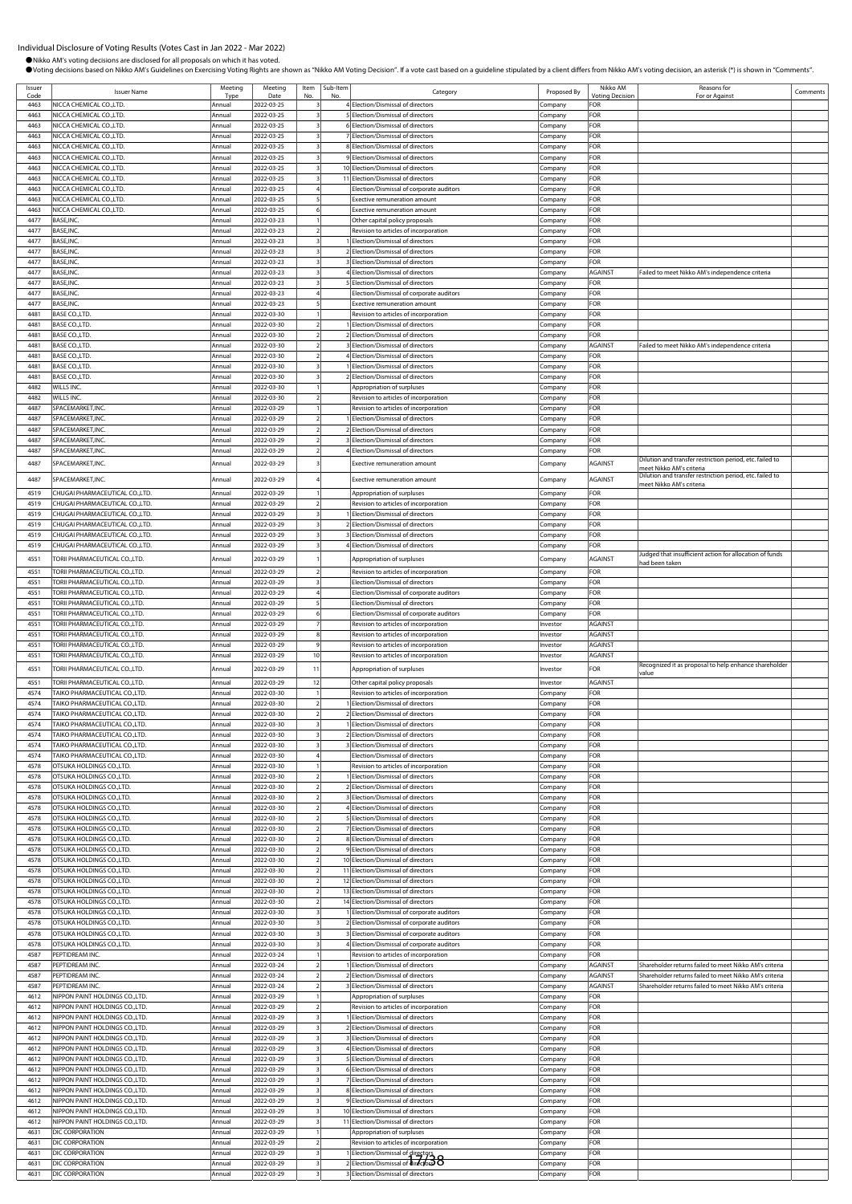|              | Individual Disclosure of Voting Results (Votes Cast in Jan 2022 - Mar 2022)<br>Nikko AM's voting decisions are disclosed for all proposals on which it has voted. |                       |                          |                                  |                 | Ovoting decisions based on Nikko AM's Guidelines on Exercising Voting Rights are shown as "Nikko AM Voting Decision". If a vote cast based on a guideline stipulated by a client differs from Nikko AM's voting decision, an a |                      |                               |                                                                                      |          |
|--------------|-------------------------------------------------------------------------------------------------------------------------------------------------------------------|-----------------------|--------------------------|----------------------------------|-----------------|--------------------------------------------------------------------------------------------------------------------------------------------------------------------------------------------------------------------------------|----------------------|-------------------------------|--------------------------------------------------------------------------------------|----------|
| Issuer       | <b>Issuer Name</b>                                                                                                                                                | Meeting               | Meeting                  |                                  | Item   Sub-Item | Category                                                                                                                                                                                                                       | Proposed By          | Nikko AM                      | Reasons for                                                                          | Comments |
| Code<br>4463 | NICCA CHEMICAL CO., LTD.                                                                                                                                          | <b>Type</b><br>Annual | Date<br>2022-03-25       |                                  |                 | 4 Election/Dismissal of directors                                                                                                                                                                                              | Company              | <b>Voting Decision</b><br>FOR | For or Against                                                                       |          |
| 4463         | NICCA CHEMICAL CO., LTD.                                                                                                                                          | Annual                | 2022-03-25               | $\overline{\mathbf{3}}$          |                 | 5 Election/Dismissal of directors                                                                                                                                                                                              | Company              | FOR                           |                                                                                      |          |
| 4463         | NICCA CHEMICAL CO., LTD.                                                                                                                                          | Annual                | 2022-03-25               |                                  |                 | 6 Election/Dismissal of directors                                                                                                                                                                                              | Company              | FOR                           |                                                                                      |          |
| 4463<br>4463 | NICCA CHEMICAL CO.,LTD.<br>NICCA CHEMICAL CO., LTD.                                                                                                               | Annual<br>Annual      | 2022-03-25<br>2022-03-25 | $\overline{\mathbf{3}}$          |                 | 7 Election/Dismissal of directors<br>8 Election/Dismissal of directors                                                                                                                                                         | Company<br>Company   | FOR<br>FOR                    |                                                                                      |          |
| 4463         | NICCA CHEMICAL CO., LTD.                                                                                                                                          | Annual                | 2022-03-25               |                                  |                 | 9 Election/Dismissal of directors                                                                                                                                                                                              | Company              | FOR                           |                                                                                      |          |
| 4463         | NICCA CHEMICAL CO., LTD.                                                                                                                                          | Annual                | 2022-03-25               |                                  |                 | 10 Election/Dismissal of directors                                                                                                                                                                                             | Company              | FOR                           |                                                                                      |          |
| 4463         | NICCA CHEMICAL CO., LTD.                                                                                                                                          | Annual                | 2022-03-25               |                                  |                 | 11 Election/Dismissal of directors                                                                                                                                                                                             | Company              | FOR                           |                                                                                      |          |
| 4463<br>4463 | NICCA CHEMICAL CO., LTD.<br>NICCA CHEMICAL CO., LTD.                                                                                                              | Annual<br>Annual      | 2022-03-25<br>2022-03-25 |                                  |                 | Election/Dismissal of corporate auditors<br><b>Exective remuneration amount</b>                                                                                                                                                | Company<br>Company   | <b>FOR</b><br>FOR             |                                                                                      |          |
| 4463         | NICCA CHEMICAL CO., LTD.                                                                                                                                          | Annual                | 2022-03-25               | 6                                |                 | <b>Exective remuneration amount</b>                                                                                                                                                                                            | Company              | FOR                           |                                                                                      |          |
| 4477         | BASE, INC.                                                                                                                                                        | Annual                | 2022-03-23               |                                  |                 | Other capital policy proposals                                                                                                                                                                                                 | Company              | FOR                           |                                                                                      |          |
| 4477         | BASE, INC.                                                                                                                                                        | Annual                | 2022-03-23               | $\overline{2}$                   |                 | Revision to articles of incorporation                                                                                                                                                                                          | Company              | FOR                           |                                                                                      |          |
| 4477<br>4477 | BASE, INC.<br>BASE, INC.                                                                                                                                          | Annual<br>Annual      | 2022-03-23<br>2022-03-23 | 3                                |                 | Election/Dismissal of directors<br>2 Election/Dismissal of directors                                                                                                                                                           | .cmpany<br>Company   | FOR<br>FOR                    |                                                                                      |          |
| 4477         | BASE, INC.                                                                                                                                                        | Annual                | 2022-03-23               |                                  |                 | 3 Election/Dismissal of directors                                                                                                                                                                                              | Company              | FOR                           |                                                                                      |          |
| 4477         | BASE, INC.                                                                                                                                                        | Annual                | 2022-03-23               |                                  |                 | 4 Election/Dismissal of directors                                                                                                                                                                                              | Company              | AGAINST                       | Failed to meet Nikko AM's independence criteria                                      |          |
| 4477         | BASE, INC.                                                                                                                                                        | Annual                | 2022-03-23               |                                  |                 | 5 Election/Dismissal of directors                                                                                                                                                                                              | Company              | FOR                           |                                                                                      |          |
| 4477<br>4477 | BASE, INC.<br>BASE, INC.                                                                                                                                          | Annual<br>Annual      | 2022-03-23<br>2022-03-23 | 5                                |                 | Election/Dismissal of corporate auditors<br>Exective remuneration amount                                                                                                                                                       | Company<br>Company   | FOR<br>FOR                    |                                                                                      |          |
| 4481         | BASE CO.,LTD.                                                                                                                                                     | Annual                | 2022-03-30               |                                  |                 | Revision to articles of incorporation                                                                                                                                                                                          | Company              | FOR                           |                                                                                      |          |
| 4481         | BASE CO., LTD.                                                                                                                                                    | Annual                | 2022-03-30               | $\overline{2}$                   |                 | Election/Dismissal of directors                                                                                                                                                                                                | Company              | FOR                           |                                                                                      |          |
| 4481         | BASE CO., LTD.                                                                                                                                                    | Annual                | 2022-03-30               | $\overline{z}$                   |                 | 2 Election/Dismissal of directors                                                                                                                                                                                              | Company              | <b>FOR</b>                    |                                                                                      |          |
| 4481<br>4481 | BASE CO.,LTD.<br><b>BASE CO.,LTD</b>                                                                                                                              | Annual<br>Annual      | 2022-03-30<br>2022-03-30 | $\overline{2}$                   |                 | 3 Election/Dismissal of directors<br>4 Election/Dismissal of directors                                                                                                                                                         | Company              | AGAINST<br>FOR                | Failed to meet Nikko AM's independence criteria                                      |          |
| 4481         | BASE CO.,LTD.                                                                                                                                                     | Annual                | 2022-03-30               |                                  |                 | Election/Dismissal of directors                                                                                                                                                                                                | Company<br>Company   | FOR                           |                                                                                      |          |
| 4481         | <b>BASE CO.,LTD</b>                                                                                                                                               | Annual                | 2022-03-30               |                                  |                 | 2 Election/Dismissal of directors                                                                                                                                                                                              | Company              | FOR                           |                                                                                      |          |
| 4482         | WILLS INC.                                                                                                                                                        | Annual                | 2022-03-30               |                                  |                 | Appropriation of surpluses                                                                                                                                                                                                     | Company              | FOR                           |                                                                                      |          |
| 4482<br>4487 | WILLS INC.<br>SPACEMARKET, INC.                                                                                                                                   | Annual<br>Annual      | 2022-03-30<br>2022-03-29 | $\overline{2}$                   |                 | Revision to articles of incorporation<br>Revision to articles of incorporation                                                                                                                                                 | Company              | FOR<br>FOR                    |                                                                                      |          |
| 4487         | SPACEMARKET, INC.                                                                                                                                                 | Annual                | 2022-03-29               |                                  |                 | Election/Dismissal of directors                                                                                                                                                                                                | Company<br>Company   | FOR                           |                                                                                      |          |
| 4487         | SPACEMARKET, INC.                                                                                                                                                 | Annual                | 2022-03-29               | $\overline{2}$                   |                 | 2 Election/Dismissal of directors                                                                                                                                                                                              | Company              | FOR                           |                                                                                      |          |
| 4487         | SPACEMARKET, INC.                                                                                                                                                 | Annual                | 2022-03-29               |                                  |                 | 3 Election/Dismissal of directors                                                                                                                                                                                              | Company              | <b>FOR</b>                    |                                                                                      |          |
| 4487<br>4487 | SPACEMARKET, INC.<br>SPACEMARKET, INC.                                                                                                                            | Annual<br>Annual      | 2022-03-29<br>2022-03-29 |                                  |                 | 4 Election/Dismissal of directors<br>Exective remuneration amount                                                                                                                                                              | Company<br>Company   | FOR<br>AGAINST                | Dilution and transfer restriction period, etc. failed to                             |          |
| 4487         | SPACEMARKET, INC.                                                                                                                                                 | Annual                | 2022-03-29               |                                  |                 | <b>Exective remuneration amount</b>                                                                                                                                                                                            |                      | AGAINST                       | meet Nikko AM's criteria<br>Dilution and transfer restriction period, etc. failed to |          |
| 4519         | CHUGAI PHARMACEUTICAL CO.,LTD.                                                                                                                                    | Annual                | 2022-03-29               |                                  |                 |                                                                                                                                                                                                                                | Company              | FOR                           | neet Nikko AM's criteria                                                             |          |
| 4519         | CHUGAI PHARMACEUTICAL CO.,LTD.                                                                                                                                    | Annual                | 2022-03-29               |                                  |                 | Appropriation of surpluses<br>Revision to articles of incorporation                                                                                                                                                            | Company<br>Company   | FOR                           |                                                                                      |          |
| 4519         | CHUGAI PHARMACEUTICAL CO.,LTD.                                                                                                                                    | Annual                | 2022-03-29               | $\overline{\mathbf{3}}$          |                 | 1 Election/Dismissal of directors                                                                                                                                                                                              | Company              | FOR                           |                                                                                      |          |
| 4519         | CHUGAI PHARMACEUTICAL CO.,LTD.                                                                                                                                    | Annual                | 2022-03-29               |                                  |                 | 2 Election/Dismissal of directors                                                                                                                                                                                              | Company              | FOR                           |                                                                                      |          |
| 4519         | CHUGAI PHARMACEUTICAL CO.,LTD.<br>CHUGAI PHARMACEUTICAL CO.,LTD.                                                                                                  | Annual                | 2022-03-29               |                                  |                 | 3 Election/Dismissal of directors                                                                                                                                                                                              | Company              | FOR<br>FOR                    |                                                                                      |          |
| 4519         |                                                                                                                                                                   | Annual                | 2022-03-29               |                                  |                 | 4 Election/Dismissal of directors                                                                                                                                                                                              | Company              |                               | ludged that insufficient action for allocation of funds                              |          |
| 4551         | <b>TORII PHARMACEUTICAL CO.,LTD.</b>                                                                                                                              | Annual                | 2022-03-29               |                                  |                 | Appropriation of surpluses                                                                                                                                                                                                     | Company              | AGAINST                       | aad been taken                                                                       |          |
| 4551<br>4551 | TORII PHARMACEUTICAL CO.,LTD.<br>TORII PHARMACEUTICAL CO.,LTD.                                                                                                    | Annual<br>Annual      | 2022-03-29<br>2022-03-29 | $\overline{\mathbf{3}}$          |                 | Revision to articles of incorporation<br>Election/Dismissal of directors                                                                                                                                                       | Company<br>Company   | FOR<br>FOR                    |                                                                                      |          |
| 4551         | TORII PHARMACEUTICAL CO.,LTD.                                                                                                                                     | Annual                | 2022-03-29               |                                  |                 | Election/Dismissal of corporate auditors                                                                                                                                                                                       | Company              | FOR                           |                                                                                      |          |
| 4551         | TORII PHARMACEUTICAL CO.,LTD.                                                                                                                                     | Annual                | 2022-03-29               |                                  |                 | Election/Dismissal of directors                                                                                                                                                                                                | Company              | FOR                           |                                                                                      |          |
| 4551         | TORII PHARMACEUTICAL CO.,LTD.<br>TORII PHARMACEUTICAL CO.,LTD.                                                                                                    | Annual                | 2022-03-29               |                                  |                 | Election/Dismissal of corporate auditors                                                                                                                                                                                       | Company              | FOR                           |                                                                                      |          |
| 4551<br>4551 | TORII PHARMACEUTICAL CO.,LTD.                                                                                                                                     | Annual<br>Annual      | 2022-03-29<br>2022-03-29 | 8                                |                 | Revision to articles of incorporation<br>Revision to articles of incorporation                                                                                                                                                 | Investor<br>Investor | AGAINST<br>AGAINST            |                                                                                      |          |
| 4551         | TORII PHARMACEUTICAL CO.,LTD.                                                                                                                                     | Annual                | 2022-03-29               |                                  |                 | Revision to articles of incorporation                                                                                                                                                                                          | Investor             | AGAINST                       |                                                                                      |          |
| 4551         | TORII PHARMACEUTICAL CO.,LTD.                                                                                                                                     | Annual                | 2022-03-29               | 10                               |                 | Revision to articles of incorporation                                                                                                                                                                                          | Investor             | AGAINST                       |                                                                                      |          |
| 4551         | TORII PHARMACEUTICAL CO.,LTD.                                                                                                                                     | Annual                | 2022-03-29               | 11                               |                 | Appropriation of surpluses                                                                                                                                                                                                     | Investor             | FOR                           | Recognized it as proposal to help enhance shareholder<br>value                       |          |
| 4551         | TORII PHARMACEUTICAL CO.,LTD.                                                                                                                                     | Annual                | 2022-03-29               | 12                               |                 | Other capital policy proposals                                                                                                                                                                                                 | Investor             | AGAINST                       |                                                                                      |          |
| 4574         | TAIKO PHARMACEUTICAL CO.,LTD.                                                                                                                                     | Annual                | 2022-03-30               |                                  |                 | Revision to articles of incorporation                                                                                                                                                                                          | Company              | FOR                           |                                                                                      |          |
| 4574<br>4574 | TAIKO PHARMACEUTICAL CO.,LTD.<br>TAIKO PHARMACEUTICAL CO.,LTD.                                                                                                    | Annual<br>Annual      | 2022-03-30<br>2022-03-30 |                                  |                 | 1 Election/Dismissal of directors<br>2 Election/Dismissal of directors                                                                                                                                                         | Company              | FOR<br>FOR                    |                                                                                      |          |
| 4574         | TAIKO PHARMACEUTICAL CO.,LTD.                                                                                                                                     | Annual                | 2022-03-30               | $\overline{\mathbf{3}}$          |                 | 1 Election/Dismissal of directors                                                                                                                                                                                              | Company<br>Company   | FOR                           |                                                                                      |          |
| 4574         | TAIKO PHARMACEUTICAL CO.,LTD.                                                                                                                                     | Annual                | 2022-03-30               | $\overline{\mathbf{3}}$          |                 | 2 Election/Dismissal of directors                                                                                                                                                                                              | Company              | FOR                           |                                                                                      |          |
| 4574         | TAIKO PHARMACEUTICAL CO.,LTD.                                                                                                                                     | Annual                | 2022-03-30               | 3                                |                 | 3 Election/Dismissal of directors                                                                                                                                                                                              | Company              | FOR                           |                                                                                      |          |
| 4574         | TAIKO PHARMACEUTICAL CO.,LTD.                                                                                                                                     | Annual                | 2022-03-30               |                                  |                 | Election/Dismissal of directors                                                                                                                                                                                                | Company              | FOR                           |                                                                                      |          |
| 4578<br>4578 | OTSUKA HOLDINGS CO.,LTD.<br>OTSUKA HOLDINGS CO., LTD.                                                                                                             | Annual<br>Annual      | 2022-03-30<br>2022-03-30 |                                  |                 | Revision to articles of incorporation<br>1 Election/Dismissal of directors                                                                                                                                                     | Company<br>Company   | FOR<br><b>FOR</b>             |                                                                                      |          |
| 4578         | OTSUKA HOLDINGS CO.,LTD.                                                                                                                                          | Annual                | 2022-03-30               | $\overline{2}$                   |                 | 2 Election/Dismissal of directors                                                                                                                                                                                              | Company              | FOR                           |                                                                                      |          |
| 4578         | OTSUKA HOLDINGS CO.,LTD.                                                                                                                                          | Annual                | 2022-03-30               | $\overline{z}$                   |                 | 3 Election/Dismissal of directors                                                                                                                                                                                              | Company              | FOR                           |                                                                                      |          |
| 4578         | OTSUKA HOLDINGS CO.,LTD.                                                                                                                                          | Annual                | 2022-03-30               | $\overline{2}$                   |                 | 4 Election/Dismissal of directors                                                                                                                                                                                              | Company              | FOR                           |                                                                                      |          |
| 4578<br>4578 | OTSUKA HOLDINGS CO.,LTD.<br>OTSUKA HOLDINGS CO.,LTD.                                                                                                              | Annual<br>Annual      | 2022-03-30<br>2022-03-30 | $\overline{2}$<br>$\overline{2}$ |                 | 5 Election/Dismissal of directors<br>7 Election/Dismissal of directors                                                                                                                                                         | Company              | FOR<br>FOR                    |                                                                                      |          |
| 4578         | OTSUKA HOLDINGS CO.,LTD.                                                                                                                                          | Annual                | 2022-03-30               | 2                                |                 | 8 Election/Dismissal of directors                                                                                                                                                                                              | Company<br>Company   | FOR                           |                                                                                      |          |
| 4578         | OTSUKA HOLDINGS CO.,LTD.                                                                                                                                          | Annual                | 2022-03-30               | $\overline{2}$                   |                 | 9 Election/Dismissal of directors                                                                                                                                                                                              | Company              | FOR                           |                                                                                      |          |
| 4578         | OTSUKA HOLDINGS CO.,LTD.                                                                                                                                          | Annual                | 2022-03-30               | $\overline{2}$                   |                 | 10 Election/Dismissal of directors                                                                                                                                                                                             | Company              | FOR                           |                                                                                      |          |
| 4578         | OTSUKA HOLDINGS CO., LTD.                                                                                                                                         | Annual                | 2022-03-30               | $\overline{2}$                   |                 | 11 Election/Dismissal of directors                                                                                                                                                                                             | Company              | FOR                           |                                                                                      |          |

4578 OTSUKA HOLDINGS CO.,LTD. Annual 2022-03-30 2 12 Election/Dismissal of directors Company FOR 4578 OTSUKA HOLDINGS CO.,LTD. Annual 2022-03-30 2 13 Election/Dismissal of directors Company FOR

4578 OTSUKA HOLDINGS CO.,LTD. Annual 2022-03-30 3 1 Election/Dismissal of corporate auditors Company FOR<br>4578 OTSUKA HOLDINGS CO.,LTD. Annual 2022-03-30 3 2 Election/Dismissal of corporate auditors Company FOR

4578 OTSUKA HOLDINGS CO.,LTD.<br>4578 OTSUKA HOLDINGS CO.,LTD. Annual 2022-03-30 3 4 Election/Dismissal of corporate auditors Company FOR<br>4578 OTSUKA HOLDINGS CO.,LTD. Annual 2022-03-30 3 4 Election/Dismissal of corporate aud 4578 OTSUKA HOLDINGS CO.,LTD. Annual 2022-03-30 3 4 Election/Dismissal of corporate auditors Company FOR

4612 NIPPON PAINT HOLDINGS CO.,LTD. Annual 2022-03-29 1 Appropriation of surpluses Company FOR

4612 NIPPON PAINT HOLDINGS CO.,LTD. Annual 2022-03-29 3 1 Election/Dismissal of directors Company FOR 4612 NIPPON PAINT HOLDINGS CO.,LTD. Annual 2022-03-29 3 2 Election/Dismissal of directors Company FOR 4612 NIPPON PAINT HOLDINGS CO.,LTD. Annual 2022-03-29 3 3 Election/Dismissal of directors Company FOR 4612 NIPPON PAINT HOLDINGS CO.,LTD. Annual 2022-03-29 3 4 Election/Dismissal of directors Company FOR

4612 NIPPON PAINT HOLDINGS CO.,LTD. Annual 2022-03-29 3 6 Election/Dismissal of directors Company FOR 4612 NIPPON PAINT HOLDINGS CO.,LTD. Annual 2022-03-29 3 7 Election/Dismissal of directors Company FOR 4612 NIPPON PAINT HOLDINGS CO.,LTD. Annual 2022-03-29 3 8 Election/Dismissal of directors Company FOR 4612 NIPPON PAINT HOLDINGS CO.,LTD. Annual 2022-03-29 3 9 Election/Dismissal of directors Company FOR IIPPON PAINT HOLDINGS CO.,LTD. Annual 2022-03-29 3 10 Election/Dismissal of directors Company FOR 4612 NIPPON PAINT HOLDINGS CO.,LTD. Annual 2022-03-29 3 11 Election/Dismissal of directors Company FOR

4631 DIC CORPORATION **Annual** 2022-03-29 2 Revision to articles of incorporation Company FOR 4631 DIC CORPORATION Annual 2022-03-29 3 1 Election/Dismissal of directors Company FOR 4631 DIC CORPORATION Annual 2022-03-29 3 2 Election/Dismissal of directors Company FOR 17/384631 DIC CORPORATION **Annual 2022-03-29** 3 3 Election/Dismissal of directors Company FOR

Annual 2022-03-30 3 2 Election/Dismissal of corporate auditors Company FOR

4587 PEPTIDREAM INC. Annual 2022-03-24 2 1 Election/Dismissal of directors Company AGAINST Shareholder returns failed to meet Nikko AM's criterial annual 2022-03-24 2 Election/Dismissal of directors Company AGAINST Shareho

Annual 2022-03-29 1 Appropriation of surpluses Company

4587 PEPTIDREAM INC. Annual 2022-03-24 2 3 Election/Dismissal of directors Company AGAINST Shareholder returns failed to meet Nikko AM's criteria

Annual 2022-03-24 2 2 Election/Dismissal of directors Company AGAINST Shareholder returns failed to meet Nikko AM's crit

4578 OTSUKA HOLDINGS CO.,LTD.<br>4578 OTSUKA HOLDINGS CO.,LTD. Annual 2022-03-30 3 1 Election/Dismissal of corporation

4<br>1912 NIPPON PAINT HOLDINGS CO.,LTD. Annual 2022-03-29 2

**IPPON PAINT HOLDINGS CO.,LTD.** 

4587 PEPTIDREAM INC.<br>1997 PEPTIDREAM INC. Annual 2022-03-24 2 IElection/Dismissal of directors of incorporation Company FORE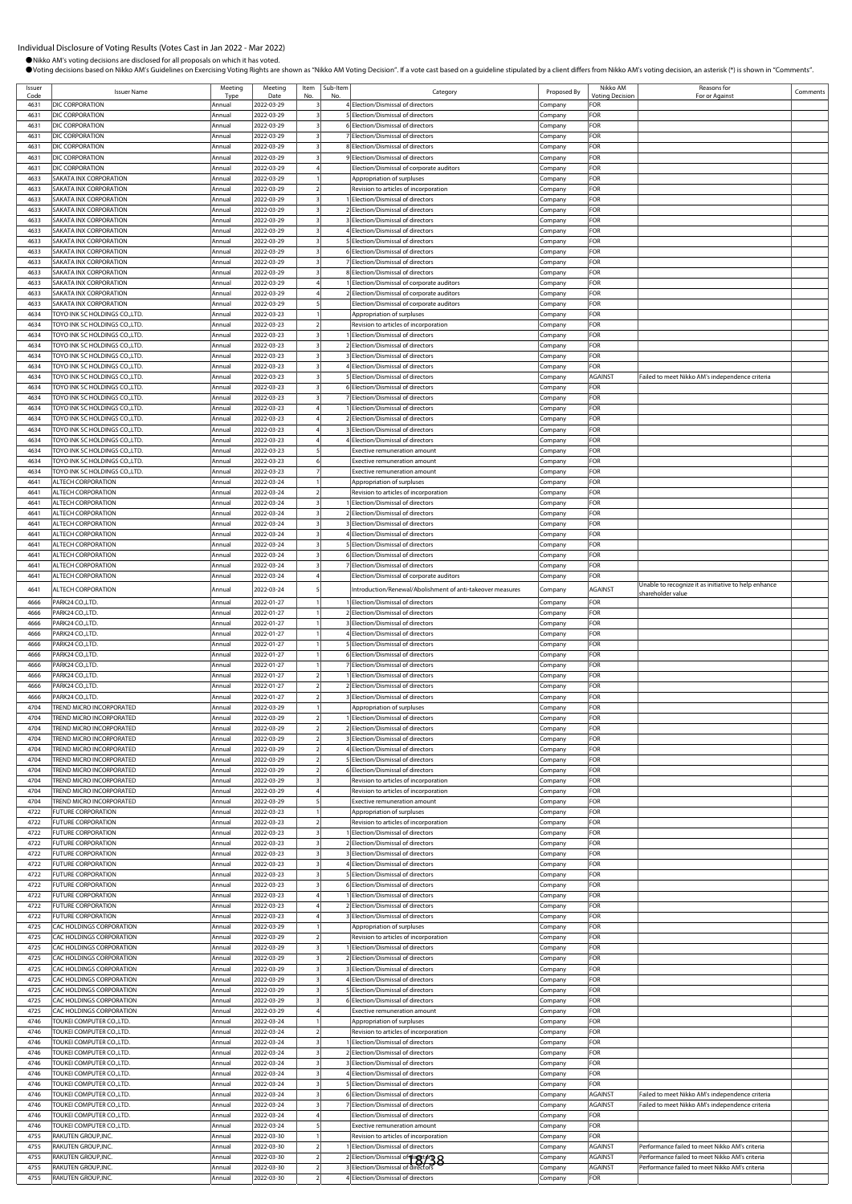| Issuer       | <b>Issuer Name</b>                                                 | Meeting          | Meeting                  | Item                     | Sub-Item | Category                                                                                 | Proposed By        | Nikko AM              | Reasons for                                                                                      | Comments |
|--------------|--------------------------------------------------------------------|------------------|--------------------------|--------------------------|----------|------------------------------------------------------------------------------------------|--------------------|-----------------------|--------------------------------------------------------------------------------------------------|----------|
| Code<br>4631 | DIC CORPORATION                                                    | Typ<br>Annual    | Date<br>2022-03-29       | No                       |          | 4 Election/Dismissal of directors                                                        | Company            | Votina Decisio<br>FOR | For or Against                                                                                   |          |
| 4631         | DIC CORPORATION                                                    | Annual           | 2022-03-29               |                          |          | 5 Election/Dismissal of directors                                                        | .cmpany            | FOR                   |                                                                                                  |          |
| 4631         | DIC CORPORATION                                                    | Annual           | 2022-03-29               |                          |          | 6 Election/Dismissal of directors                                                        | Company            | FOR                   |                                                                                                  |          |
| 4631         | DIC CORPORATION                                                    | Annual           | 2022-03-29               |                          |          | 7 Election/Dismissal of directors                                                        | Company            | FOR                   |                                                                                                  |          |
| 4631         | DIC CORPORATION                                                    | Annual           | 2022-03-29               |                          |          | 8 Election/Dismissal of directors                                                        | .cmpany            | FOR                   |                                                                                                  |          |
| 4631         | DIC CORPORATION                                                    | Annual           | 2022-03-29               |                          |          | 9 Election/Dismissal of directors                                                        | Company            | FOR                   |                                                                                                  |          |
| 4631<br>4633 | DIC CORPORATION                                                    | Annual           | 2022-03-29               |                          |          | Election/Dismissal of corporate auditors<br>Appropriation of surpluses                   | Company            | FOR<br>FOR            |                                                                                                  |          |
| 4633         | <b>SAKATA INX CORPORATION</b><br><b>SAKATA INX CORPORATION</b>     | Annual<br>Annual | 2022-03-29<br>2022-03-29 |                          |          | Revision to articles of incorporation                                                    | Company<br>Company | FOR                   |                                                                                                  |          |
| 4633         | SAKATA INX CORPORATION                                             | Annual           | 2022-03-29               |                          |          | Election/Dismissal of directors                                                          | ompany.            | FOR                   |                                                                                                  |          |
| 4633         | SAKATA INX CORPORATION                                             | Annual           | 2022-03-29               |                          |          | 2 Election/Dismissal of directors                                                        | .cmpany            | FOR                   |                                                                                                  |          |
| 4633         | SAKATA INX CORPORATION                                             | Annual           | 2022-03-29               |                          |          | 3 Election/Dismissal of directors                                                        | Company            | FOR                   |                                                                                                  |          |
| 4633         | SAKATA INX CORPORATION                                             | Annual           | 2022-03-29               |                          |          | 4 Election/Dismissal of directors                                                        | Company            | FOR                   |                                                                                                  |          |
| 4633         | SAKATA INX CORPORATION                                             | Annual           | 2022-03-29               |                          |          | 5 Election/Dismissal of directors                                                        | Company            | FOR                   |                                                                                                  |          |
| 4633         | SAKATA INX CORPORATION                                             | Annual           | 2022-03-29               |                          |          | 6 Election/Dismissal of directors                                                        | Company            | FOR                   |                                                                                                  |          |
| 4633         | SAKATA INX CORPORATION                                             | Annual           | 2022-03-29               |                          |          | 7 Election/Dismissal of directors                                                        | Company            | FOR                   |                                                                                                  |          |
| 4633<br>4633 | <b>SAKATA INX CORPORATION</b>                                      | Annual           | 2022-03-29<br>2022-03-29 |                          |          | 8 Election/Dismissal of directors                                                        | Company            | FOR<br>FOR            |                                                                                                  |          |
| 4633         | SAKATA INX CORPORATION<br>SAKATA INX CORPORATION                   | Annual<br>Annual | 2022-03-29               |                          |          | I Election/Dismissal of corporate auditors<br>2 Election/Dismissal of corporate auditors | Company<br>:ompany | FOR                   |                                                                                                  |          |
| 4633         | SAKATA INX CORPORATION                                             | Annual           | 2022-03-29               |                          |          | Election/Dismissal of corporate auditors                                                 | Company            | FOR                   |                                                                                                  |          |
| 4634         | TOYO INK SC HOLDINGS CO.,LTD.                                      | Annual           | 2022-03-23               |                          |          | Appropriation of surpluses                                                               | Company            | FOR                   |                                                                                                  |          |
| 4634         | TOYO INK SC HOLDINGS CO.,LTD.                                      | Annual           | 2022-03-23               |                          |          | Revision to articles of incorporation                                                    | Company            | FOR                   |                                                                                                  |          |
| 4634         | TOYO INK SC HOLDINGS CO.,LTD.                                      | Annual           | 2022-03-23               |                          |          | 1 Election/Dismissal of directors                                                        | .cmpany            | FOR                   |                                                                                                  |          |
| 4634         | FOYO INK SC HOLDINGS CO., LTD.                                     | Annual           | 2022-03-23               |                          |          | 2 Election/Dismissal of directors                                                        | Company            | FOR                   |                                                                                                  |          |
| 4634         | TOYO INK SC HOLDINGS CO.,LTD.                                      | Annual           | 2022-03-23               |                          |          | 3 Election/Dismissal of directors                                                        | Company            | FOR                   |                                                                                                  |          |
| 4634         | TOYO INK SC HOLDINGS CO.,LTD.                                      | Annual           | 2022-03-23               |                          |          | 4 Election/Dismissal of directors                                                        | Company            | FOR                   |                                                                                                  |          |
| 4634<br>4634 | TOYO INK SC HOLDINGS CO.,LTD.<br>TOYO INK SC HOLDINGS CO.,LTD.     | Annual<br>Annual | 2022-03-23<br>2022-03-23 |                          |          | 5 Election/Dismissal of directors<br>6 Election/Dismissal of directors                   | .cmpany            | AGAINST<br>FOR        | Failed to meet Nikko AM's independence criteria                                                  |          |
| 4634         | TOYO INK SC HOLDINGS CO.,LTD.                                      | Annual           | 2022-03-23               |                          |          | 7 Election/Dismissal of directors                                                        | Company<br>Company | FOR                   |                                                                                                  |          |
| 4634         | TOYO INK SC HOLDINGS CO.,LTD.                                      | Annual           | 2022-03-23               |                          |          | Election/Dismissal of directors                                                          | Company            | <b>FOR</b>            |                                                                                                  |          |
| 4634         | TOYO INK SC HOLDINGS CO.,LTD.                                      | Annual           | 2022-03-23               |                          |          | 2 Election/Dismissal of directors                                                        | Company            | FOR                   |                                                                                                  |          |
| 4634         | <b>TOYO INK SC HOLDINGS CO.,LTD.</b>                               | Annual           | 2022-03-23               |                          |          | 3 Election/Dismissal of directors                                                        | Company            | FOR                   |                                                                                                  |          |
| 4634         | TOYO INK SC HOLDINGS CO.,LTD.                                      | Annual           | 2022-03-23               |                          |          | 4 Election/Dismissal of directors                                                        | Company            | FOR                   |                                                                                                  |          |
| 4634         | TOYO INK SC HOLDINGS CO.,LTD.                                      | Annual           | 2022-03-23               |                          |          | <b>Exective remuneration amount</b>                                                      | Company            | FOR                   |                                                                                                  |          |
| 4634         | TOYO INK SC HOLDINGS CO.,LTD.                                      | Annual           | 2022-03-23               |                          |          | <b>Exective remuneration amount</b>                                                      | .ompany            | FOR                   |                                                                                                  |          |
| 4634         | TOYO INK SC HOLDINGS CO.,LTD.                                      | Annual           | 2022-03-23               |                          |          | Exective remuneration amount                                                             | Company            | FOR                   |                                                                                                  |          |
| 4641<br>4641 | ALTECH CORPORATION<br>ALTECH CORPORATION                           | Annual<br>Annual | 2022-03-24<br>2022-03-24 |                          |          | Appropriation of surpluses                                                               | Company            | FOR<br>FOR            |                                                                                                  |          |
| 4641         | ALTECH CORPORATION                                                 | Annual           | 2022-03-24               |                          |          | Revision to articles of incorporation<br>Election/Dismissal of directors                 | Company<br>.cmpany | FOR                   |                                                                                                  |          |
| 4641         | <b>ALTECH CORPORATION</b>                                          | Annual           | 2022-03-24               |                          |          | 2 Election/Dismissal of directors                                                        | Company            | FOR                   |                                                                                                  |          |
| 4641         | ALTECH CORPORATION                                                 | Annual           | 2022-03-24               |                          |          | 3 Election/Dismissal of directors                                                        | Company            | FOR                   |                                                                                                  |          |
| 4641         | <b>ALTECH CORPORATION</b>                                          | Annual           | 2022-03-24               |                          |          | 4 Election/Dismissal of directors                                                        | Company            | FOR                   |                                                                                                  |          |
| 4641         | ALTECH CORPORATION                                                 | Annual           | 2022-03-24               |                          |          | 5 Election/Dismissal of directors                                                        | .ompany            | FOR                   |                                                                                                  |          |
| 4641         | ALTECH CORPORATION                                                 | Annual           | 2022-03-24               |                          |          | 6 Election/Dismissal of directors                                                        | company.           | FOR                   |                                                                                                  |          |
| 4641         | ALTECH CORPORATION                                                 | Annual           | 2022-03-24               |                          |          | Election/Dismissal of directors                                                          | Company            | FOR                   |                                                                                                  |          |
| 4641         | ALTECH CORPORATION                                                 | Annual           | 2022-03-24               |                          |          | Election/Dismissal of corporate auditors                                                 | Company            | FOR                   |                                                                                                  |          |
| 4641         | ALTECH CORPORATION                                                 | Annual           | 2022-03-24               |                          |          | Introduction/Renewal/Abolishment of anti-takeover measures                               | Company            | AGAINST               | Unable to recognize it as initiative to help enhance<br>shareholder value                        |          |
| 4666         | PARK24 CO.,LTD.                                                    | Annual           | 2022-01-27               |                          |          | 1 Election/Dismissal of directors                                                        | Company            | FOR                   |                                                                                                  |          |
| 4666         | PARK24 CO.,LTD                                                     | Annual           | 2022-01-27               |                          |          | 2 Election/Dismissal of directors                                                        | .cmpany            | FOR                   |                                                                                                  |          |
| 4666         | PARK24 CO.,LTD                                                     | Annual           | 2022-01-27               |                          |          | 3 Election/Dismissal of directors                                                        | .ompany            | FOR                   |                                                                                                  |          |
| 4666         | PARK24 CO.,LTD                                                     | Annual           | 2022-01-27               |                          |          | 4 Election/Dismissal of directors                                                        | Company            | FOR                   |                                                                                                  |          |
| 4666         | PARK24 CO.,LTD.                                                    | Annual           | 2022-01-27               |                          |          | 5 Election/Dismissal of directors<br>6 Election/Dismissal of directors                   | Company            | FOR                   |                                                                                                  |          |
| 4666<br>4666 | ARK24 CO.,LTD<br>PARK24 CO.,LTD.                                   | Annual<br>Annual | 2022-01-27<br>2022-01-27 |                          |          | 7 Election/Dismissal of directors                                                        | Company            | FOR<br>FOR            |                                                                                                  |          |
| 4666         | PARK24 CO.,LTD.                                                    | Annual           | 2022-01-27               |                          |          | 1 Election/Dismissal of directors                                                        | .cmpany<br>Company | FOR                   |                                                                                                  |          |
| 4666         | ARK24 CO.,LTD                                                      | Annual           | 2022-01-27               |                          |          | 2 Election/Dismissal of directors                                                        | Company            | FOR                   |                                                                                                  |          |
| 4666         | PARK24 CO.,LTD.                                                    | Annual           | 2022-01-27               |                          |          | 3 Election/Dismissal of directors                                                        | ompany.            | FOR                   |                                                                                                  |          |
| 4704         | TREND MICRO INCORPORATED                                           | Annual           | 2022-03-29               |                          |          | Appropriation of surpluses                                                               | .cmpany            | FOR                   |                                                                                                  |          |
| 4704         | TREND MICRO INCORPORATED                                           | Annual           | 2022-03-29               | $\overline{\phantom{a}}$ |          | Election/Dismissal of directors                                                          | Company            | FOR                   |                                                                                                  |          |
| 4704         | TREND MICRO INCORPORATED                                           | Annual           | 2022-03-29               |                          |          | 2 Election/Dismissal of directors                                                        | Company            | FOR                   |                                                                                                  |          |
| 4704         | TREND MICRO INCORPORATED                                           | Annual           | 2022-03-29               |                          |          | 3 Election/Dismissal of directors                                                        | Company            | FOR                   |                                                                                                  |          |
| 4704<br>4704 | <b>TREND MICRO INCORPORATED</b><br><b>TREND MICRO INCORPORATED</b> | Annual           | 2022-03-29<br>2022-03-29 |                          |          | Election/Dismissal of directors                                                          | Company            | FOR<br>FOR            |                                                                                                  |          |
| 4704         | <b>TREND MICRO INCORPORATED</b>                                    | Annual<br>Annual | 2022-03-29               |                          |          | 5 Election/Dismissal of directors<br>6 Election/Dismissal of directors                   | Company<br>Company | FOR                   |                                                                                                  |          |
| 4704         | <b>TREND MICRO INCORPORATED</b>                                    | Annual           | 2022-03-29               |                          |          | Revision to articles of incorporation                                                    | .cmpany            | FOR                   |                                                                                                  |          |
| 4704         | <b>TREND MICRO INCORPORATED</b>                                    | Annual           | 2022-03-29               |                          |          | Revision to articles of incorporation                                                    | company.           | FOR                   |                                                                                                  |          |
| 4704         | TREND MICRO INCORPORATED                                           | Annual           | 2022-03-29               |                          |          | <b>Exective remuneration amount</b>                                                      | Company            | FOR                   |                                                                                                  |          |
| 4722         | <b>FUTURE CORPORATION</b>                                          | Annual           | 2022-03-23               |                          |          | Appropriation of surpluses                                                               | Company            | FOR                   |                                                                                                  |          |
| 4722         | <b>FUTURE CORPORATION</b>                                          | Annual           | 2022-03-23               |                          |          | Revision to articles of incorporation                                                    | Company            | FOR                   |                                                                                                  |          |
| 4722         | <b>FUTURE CORPORATION</b><br>UTURE CORPORATION                     | Annual           | 2022-03-23               |                          |          | 1 Election/Dismissal of directors                                                        | .cmpany            | FOR                   |                                                                                                  |          |
| 4722<br>4722 | <b>FUTURE CORPORATION</b>                                          | Annual<br>Annual | 2022-03-23<br>2022-03-23 |                          |          | 2 Election/Dismissal of directors<br>3 Election/Dismissal of directors                   | Company<br>Company | FOR<br>FOR            |                                                                                                  |          |
| 4722         | <b>FUTURE CORPORATION</b>                                          | Annual           | 2022-03-23               |                          |          | 4 Election/Dismissal of directors                                                        | Company            | FOR                   |                                                                                                  |          |
| 4722         | <b>FUTURE CORPORATION</b>                                          | Annual           | 2022-03-23               |                          |          | 5 Election/Dismissal of directors                                                        | Company            | FOR                   |                                                                                                  |          |
| 4722         | <b>FUTURE CORPORATION</b>                                          | Annual           | 2022-03-23               |                          |          | 6 Election/Dismissal of directors                                                        | .ompany            | FOR                   |                                                                                                  |          |
| 4722         | <b>FUTURE CORPORATION</b>                                          | Annual           | 2022-03-23               |                          |          | Election/Dismissal of directors                                                          | Company            | FOR                   |                                                                                                  |          |
| 4722         | <b>FUTURE CORPORATION</b>                                          | Annual           | 2022-03-23               |                          |          | 2 Election/Dismissal of directors                                                        | Company            | FOR                   |                                                                                                  |          |
| 4722         | <b>FUTURE CORPORATION</b>                                          | Annual           | 2022-03-23               |                          |          | Election/Dismissal of directors                                                          | Company            | FOR                   |                                                                                                  |          |
| 4725         | CAC HOLDINGS CORPORATION                                           | Annual           | 2022-03-29               |                          |          | Appropriation of surpluses                                                               | .cmpany            | FOR                   |                                                                                                  |          |
| 4725<br>4725 | CAC HOLDINGS CORPORATION<br>CAC HOLDINGS CORPORATION               | Annual           | 2022-03-29<br>2022-03-29 |                          |          | Revision to articles of incorporation                                                    | Company            | FOR<br>FOR            |                                                                                                  |          |
| 4725         | CAC HOLDINGS CORPORATION                                           | Annual<br>Annual | 2022-03-29               |                          |          | Election/Dismissal of directors<br>2 Election/Dismissal of directors                     | Company<br>Company | FOR                   |                                                                                                  |          |
| 4725         | <b>CAC HOLDINGS CORPORATION</b>                                    | Annual           | 2022-03-29               |                          |          | 3 Election/Dismissal of directors                                                        | .cmpany            | FOR                   |                                                                                                  |          |
| 4725         | CAC HOLDINGS CORPORATION                                           | Annual           | 2022-03-29               |                          |          | 4 Election/Dismissal of directors                                                        | Company            | FOR                   |                                                                                                  |          |
| 4725         | CAC HOLDINGS CORPORATION                                           | Annual           | 2022-03-29               |                          |          | 5 Election/Dismissal of directors                                                        | Company            | FOR                   |                                                                                                  |          |
| 4725         | CAC HOLDINGS CORPORATION                                           | Annual           | 2022-03-29               |                          |          | 6 Election/Dismissal of directors                                                        | Company            | FOR                   |                                                                                                  |          |
| 4725         | CAC HOLDINGS CORPORATION                                           | Annual           | 2022-03-29               |                          |          | Exective remuneration amount                                                             | Company            | FOR                   |                                                                                                  |          |
| 4746         | TOUKEI COMPUTER CO., LTD.                                          | Annual           | 2022-03-24               |                          |          | Appropriation of surpluses                                                               | Company            | FOR                   |                                                                                                  |          |
| 4746         | TOUKEI COMPUTER CO., LTD.                                          | Annual           | 2022-03-24               |                          |          | Revision to articles of incorporation                                                    | Company            | FOR                   |                                                                                                  |          |
| 4746         | TOUKEI COMPUTER CO., LTD.                                          | Annual           | 2022-03-24               |                          |          | Election/Dismissal of directors                                                          | .cmpany            | FOR                   |                                                                                                  |          |
| 4746<br>4746 | TOUKEI COMPUTER CO., LTD.<br>TOUKEI COMPUTER CO.,LTD.              | Annual<br>Annual | 2022-03-24<br>2022-03-24 |                          |          | 2 Election/Dismissal of directors<br>3 Election/Dismissal of directors                   | Company            | FOR<br>FOR            |                                                                                                  |          |
| 4746         | TOUKEI COMPUTER CO., LTD.                                          | Annual           | 2022-03-24               |                          |          | 4 Election/Dismissal of directors                                                        | .cmpany<br>Company | FOR                   |                                                                                                  |          |
| 4746         | TOUKEI COMPUTER CO., LTD.                                          | Annual           | 2022-03-24               |                          |          | 5 Election/Dismissal of directors                                                        | Company            | FOR                   |                                                                                                  |          |
| 4746         | TOUKEI COMPUTER CO., LTD.                                          | Annual           | 2022-03-24               |                          |          | 6 Election/Dismissal of directors                                                        | Company            | AGAINST               | Failed to meet Nikko AM's independence criteria                                                  |          |
| 4746         | TOUKEI COMPUTER CO.,LTD.                                           | Annual           | 2022-03-24               |                          |          | 7 Election/Dismissal of directors                                                        | Company            | AGAINST               | Failed to meet Nikko AM's independence criteria                                                  |          |
| 4746         | <b>FOUKEI COMPUTER CO., LTD.</b>                                   | Annual           | 2022-03-24               |                          |          | Election/Dismissal of directors                                                          | Company            | FOR                   |                                                                                                  |          |
| 4746         | TOUKEI COMPUTER CO., LTD.                                          | Annual           | 2022-03-24               |                          |          | Exective remuneration amount                                                             | Company            | FOR                   |                                                                                                  |          |
| 4755         | RAKUTEN GROUP,INC.                                                 | Annual           | 2022-03-30               |                          |          | Revision to articles of incorporation                                                    | Company            | FOR                   |                                                                                                  |          |
| 4755         | RAKUTEN GROUP, INC.                                                | Annual           | 2022-03-30               |                          |          | Election/Dismissal of directors                                                          | :ompany            | AGAINST               | Performance failed to meet Nikko AM's criteria                                                   |          |
| 4755<br>4755 | RAKUTEN GROUP,INC.<br>RAKUTEN GROUP, INC.                          | Annual<br>Annual | 2022-03-30<br>2022-03-30 |                          |          | 2 Election/Dismissal of digital 3<br>3 Election/Dismissal of directors                   | Company            | AGAINST<br>AGAINST    | Performance failed to meet Nikko AM's criteria<br>Performance failed to meet Nikko AM's criteria |          |
| 4755         | RAKUTEN GROUP, INC.                                                | Annual           | 2022-03-30               |                          |          | 4 Election/Dismissal of directors                                                        | Company<br>Company | FOR                   |                                                                                                  |          |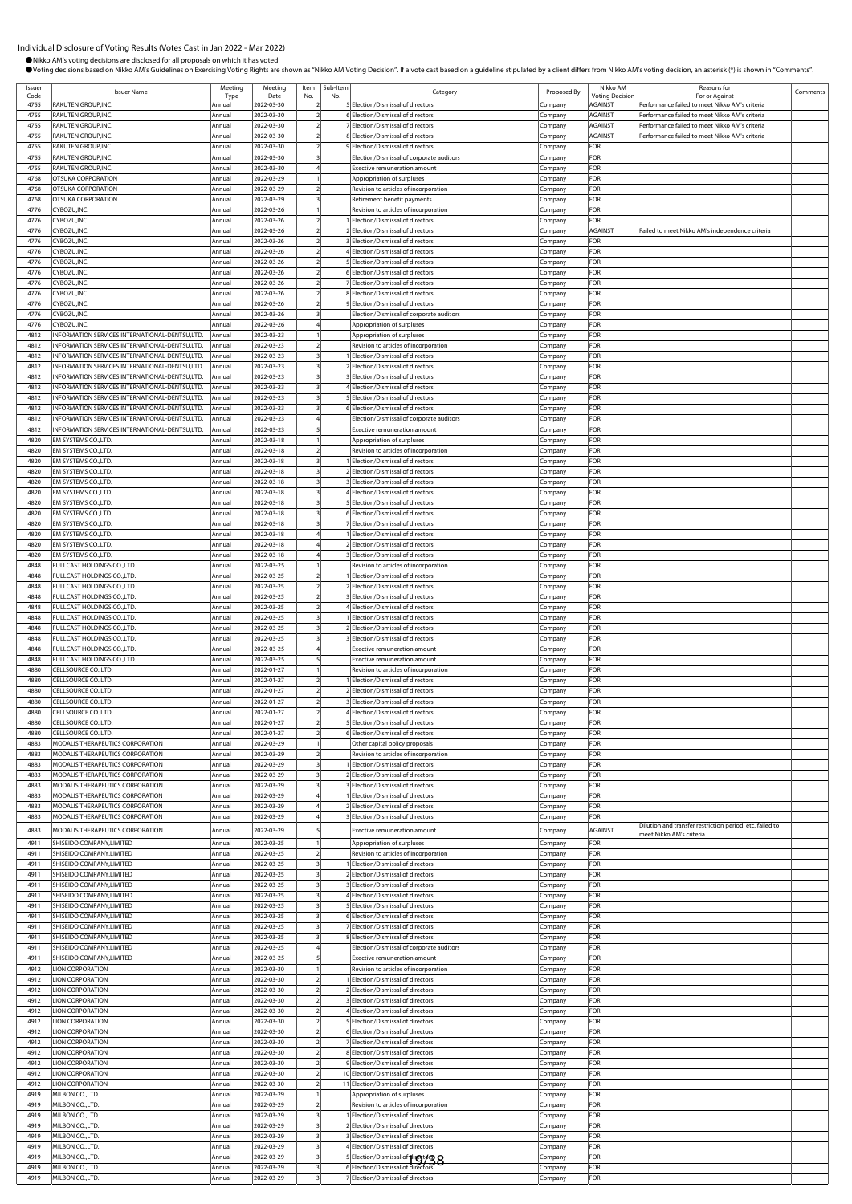| Issuer       | <b>Issuer Name</b>                                                                               | Meeting          | Meeting                  | Item | Sub-Item | Category                                                                   | Proposed By            | Nikko AM                                 | Reasons for                                                                                      | Comments |
|--------------|--------------------------------------------------------------------------------------------------|------------------|--------------------------|------|----------|----------------------------------------------------------------------------|------------------------|------------------------------------------|--------------------------------------------------------------------------------------------------|----------|
| Code<br>4755 | RAKUTEN GROUP, INC.                                                                              | Tvp<br>Annual    | Date<br>2022-03-30       |      |          | 5 Election/Dismissal of directors                                          |                        | <b>/oting Decision</b><br><b>AGAINST</b> | For or Against                                                                                   |          |
| 4755         | RAKUTEN GROUP, INC.                                                                              | Annua            | 2022-03-30               |      |          | 6 Election/Dismissal of directors                                          | ompany:<br>.ompany     | AGAINST                                  | Performance failed to meet Nikko AM's criteria<br>Performance failed to meet Nikko AM's criteria |          |
| 4755         | RAKUTEN GROUP, INC.                                                                              | Annual           | 2022-03-30               |      |          | 7 Election/Dismissal of directors                                          | ompany:                | AGAINST                                  | Performance failed to meet Nikko AM's criteria                                                   |          |
| 4755         | RAKUTEN GROUP, INC.                                                                              | Annua            | 2022-03-30               |      |          | 8 Election/Dismissal of directors                                          | ompany:                | <b>AGAINST</b>                           | Performance failed to meet Nikko AM's criteria                                                   |          |
| 4755         | RAKUTEN GROUP, INC.                                                                              | Annua            | 2022-03-30               |      |          | 9 Election/Dismissal of directors                                          | ompany                 | FOR                                      |                                                                                                  |          |
| 4755         | RAKUTEN GROUP, INC.                                                                              | Annual           | 2022-03-30               |      |          | Election/Dismissal of corporate auditors                                   | ompany.                | FOR                                      |                                                                                                  |          |
| 4755         | RAKUTEN GROUP, INC.                                                                              | Annual           | 2022-03-30               |      |          | <b>Exective remuneration amount</b>                                        | .ompany                | FOR                                      |                                                                                                  |          |
| 4768<br>4768 | OTSUKA CORPORATION<br>OTSUKA CORPORATION                                                         | Annual<br>Annua  | 2022-03-29               |      |          | Appropriation of surpluses                                                 | Company                | FOR<br>FOR                               |                                                                                                  |          |
| 4768         | OTSUKA CORPORATION                                                                               | Annual           | 2022-03-29<br>2022-03-29 |      |          | Revision to articles of incorporation<br>Retirement benefit payments       | .ompany<br>.<br>ompany | FOR                                      |                                                                                                  |          |
| 4776         | CYBOZU, INC.                                                                                     | Annua            | 2022-03-26               |      |          | Revision to articles of incorporation                                      | .ompany                | FOR                                      |                                                                                                  |          |
| 4776         | CYBOZU, INC.                                                                                     | Annual           | 2022-03-26               |      |          | 1 Election/Dismissal of directors                                          | Company                | FOR                                      |                                                                                                  |          |
| 4776         | CYBOZU, INC                                                                                      | Annua            | 2022-03-26               |      |          | 2 Election/Dismissal of directors                                          | ompany:                | AGAINST                                  | Failed to meet Nikko AM's independence criteria                                                  |          |
| 4776         | <b>EYBOZU,INC.</b>                                                                               | Annua            | 2022-03-26               |      |          | <b>BElection/Dismissal of directors</b>                                    | ompany                 | FOR                                      |                                                                                                  |          |
| 4776         | CYBOZU, INC                                                                                      | Annual           | 2022-03-26               |      |          | 4 Election/Dismissal of directors                                          | .ompany                | FOR                                      |                                                                                                  |          |
| 4776         | CYBOZU, INC.                                                                                     | Annua            | 2022-03-26               |      |          | 5 Election/Dismissal of directors                                          | Company                | FOR                                      |                                                                                                  |          |
| 4776<br>4776 | CYBOZU, INC.<br>CYBOZU, INC.                                                                     | Annua<br>Annua   | 2022-03-26<br>2022-03-26 |      |          | 6 Election/Dismissal of directors<br>7 Election/Dismissal of directors     | Company<br>.ompany     | FOR<br>FOR                               |                                                                                                  |          |
| 4776         | CYBOZU, INC.                                                                                     | Annual           | 2022-03-26               |      |          | 8 Election/Dismissal of directors                                          | ompany.                | FOR                                      |                                                                                                  |          |
| 4776         | CYBOZU, INC                                                                                      | Annua            | 2022-03-26               |      |          | 9 Election/Dismissal of directors                                          | `ompany                | FOR                                      |                                                                                                  |          |
| 4776         | CYBOZU, INC.                                                                                     | Annua            | 2022-03-26               |      |          | Election/Dismissal of corporate auditors                                   | ompany:                | FOR                                      |                                                                                                  |          |
| 4776         | CYBOZU, INC.                                                                                     | Annual           | 2022-03-26               |      |          | Appropriation of surpluses                                                 | .ompany                | FOR                                      |                                                                                                  |          |
| 4812         | INFORMATION SERVICES INTERNATIONAL-DENTSU,LTD.                                                   | Annual           | 2022-03-23               |      |          | Appropriation of surpluses                                                 | .ompany                | FOR                                      |                                                                                                  |          |
| 4812         | INFORMATION SERVICES INTERNATIONAL-DENTSU,LTD.                                                   | Annua            | 2022-03-23               |      |          | Revision to articles of incorporation                                      | ompany.                | FOR                                      |                                                                                                  |          |
| 4812<br>4812 | INFORMATION SERVICES INTERNATIONAL-DENTSU,LTD.<br>INFORMATION SERVICES INTERNATIONAL-DENTSU,LTD. | Annua<br>Annual  | 2022-03-23<br>2022-03-23 |      |          | 1 Election/Dismissal of directors<br>2 Election/Dismissal of directors     | .ompany<br>ompany:     | FOR<br>FOR                               |                                                                                                  |          |
| 4812         | INFORMATION SERVICES INTERNATIONAL-DENTSU,LTD.                                                   | Annua            | 2022-03-23               |      |          | 3 Election/Dismissal of directors                                          | .<br>ompany            | FOR                                      |                                                                                                  |          |
| 4812         | INFORMATION SERVICES INTERNATIONAL-DENTSU,LTD.                                                   | Annual           | 2022-03-23               |      |          | 4 Election/Dismissal of directors                                          | ompany:                | FOR                                      |                                                                                                  |          |
| 4812         | INFORMATION SERVICES INTERNATIONAL-DENTSU,LTD.                                                   | Annual           | 2022-03-23               |      |          | 5 Election/Dismissal of directors                                          | .ompany                | FOR                                      |                                                                                                  |          |
| 4812         | INFORMATION SERVICES INTERNATIONAL-DENTSU,LTD.                                                   | Annual           | 2022-03-23               |      |          | 6 Election/Dismissal of directors                                          | Company                | FOR                                      |                                                                                                  |          |
| 4812         | INFORMATION SERVICES INTERNATIONAL-DENTSU,LTD.                                                   | Annual           | 2022-03-23               |      |          | Election/Dismissal of corporate auditors                                   | .ompany                | FOR                                      |                                                                                                  |          |
| 4812         | INFORMATION SERVICES INTERNATIONAL-DENTSU,LTD.                                                   | Annua            | 2022-03-23               |      |          | Exective remuneration amount                                               | .cmpany                | FOR                                      |                                                                                                  |          |
| 4820         | EM SYSTEMS CO., LTD.                                                                             | Annual           | 2022-03-18               |      |          | Appropriation of surpluses                                                 | .ompany                | FOR                                      |                                                                                                  |          |
| 4820<br>4820 | EM SYSTEMS CO., LTD.<br>EM SYSTEMS CO., LTD.                                                     | Annua<br>Annual  | 2022-03-18<br>2022-03-18 |      |          | Revision to articles of incorporation<br>1 Election/Dismissal of directors | .ompany                | FOR<br>FOR                               |                                                                                                  |          |
| 4820         | EM SYSTEMS CO., LTD.                                                                             | Annua            | 2022-03-18               |      |          | 2 Election/Dismissal of directors                                          | Company<br>:ompany     | FOR                                      |                                                                                                  |          |
| 4820         | EM SYSTEMS CO.,LTD.                                                                              | Annual           | 2022-03-18               |      |          | 3 Election/Dismissal of directors                                          | Company                | FOR                                      |                                                                                                  |          |
| 4820         | EM SYSTEMS CO.,LTD.                                                                              | Annual           | 2022-03-18               |      |          | 4 Election/Dismissal of directors                                          | .ompany                | FOR                                      |                                                                                                  |          |
| 4820         | EM SYSTEMS CO.,LTD.                                                                              | Annual           | 2022-03-18               |      |          | 5 Election/Dismissal of directors                                          | .ompany                | FOR                                      |                                                                                                  |          |
| 4820         | EM SYSTEMS CO.,LTD.                                                                              | Annual           | 2022-03-18               |      |          | 6 Election/Dismissal of directors                                          | .ompany                | FOR                                      |                                                                                                  |          |
| 4820         | EM SYSTEMS CO., LTD.                                                                             | Annua            | 2022-03-18               |      |          | 7 Election/Dismissal of directors                                          | .ompany                | FOR                                      |                                                                                                  |          |
| 4820<br>4820 | EM SYSTEMS CO., LTD.<br>EM SYSTEMS CO., LTD.                                                     | Annual<br>Annua  | 2022-03-18<br>2022-03-18 |      |          | I Election/Dismissal of directors<br>2 Election/Dismissal of directors     | .ompany                | FOR<br>FOR                               |                                                                                                  |          |
| 4820         | EM SYSTEMS CO., LTD.                                                                             | Annual           | 2022-03-18               |      |          | <b>BElection/Dismissal of directors</b>                                    | .ompany<br>ompany.     | FOR                                      |                                                                                                  |          |
| 4848         | FULLCAST HOLDINGS CO.,LTD.                                                                       | Annual           | 2022-03-25               |      |          | Revision to articles of incorporation                                      | `ompany                | FOR                                      |                                                                                                  |          |
| 4848         | FULLCAST HOLDINGS CO.,LTD.                                                                       | Annua            | 2022-03-25               |      |          | 1 Election/Dismissal of directors                                          | Company                | FOR                                      |                                                                                                  |          |
| 4848         | FULLCAST HOLDINGS CO.,LTD.                                                                       | Annual           | 2022-03-25               |      |          | 2 Election/Dismissal of directors                                          | .ompany                | FOR                                      |                                                                                                  |          |
| 4848         | FULLCAST HOLDINGS CO.,LTD.                                                                       | Annual           | 2022-03-25               |      |          | <b>B</b> Election/Dismissal of directors                                   | ompany                 | FOR                                      |                                                                                                  |          |
| 4848         | FULLCAST HOLDINGS CO.,LTD.                                                                       | Annua            | 2022-03-25               |      |          | 4 Election/Dismissal of directors                                          | .ompany                | FOR                                      |                                                                                                  |          |
| 4848         | FULLCAST HOLDINGS CO.,LTD.                                                                       | Annua            | 2022-03-25               |      |          | Election/Dismissal of directors                                            | .ompany                | FOR                                      |                                                                                                  |          |
| 4848<br>4848 | FULLCAST HOLDINGS CO., LTD.<br>FULLCAST HOLDINGS CO.,LTD.                                        | Annual<br>Annua  | 2022-03-25<br>2022-03-25 |      |          | 2 Election/Dismissal of directors<br>3 Election/Dismissal of directors     | ompany.                | FOR<br>FOR                               |                                                                                                  |          |
| 4848         | FULLCAST HOLDINGS CO.,LTD.                                                                       | Annual           | 2022-03-25               |      |          | Exective remuneration amount                                               | .ompany<br>Company     | FOR                                      |                                                                                                  |          |
| 4848         | FULLCAST HOLDINGS CO.,LTD.                                                                       | Annua            | 2022-03-25               |      |          | Exective remuneration amount                                               | Company                | FOR                                      |                                                                                                  |          |
| 4880         | CELLSOURCE CO.,LTD.                                                                              | Annual           | 2022-01-27               |      |          | Revision to articles of incorporation                                      | .cmpany                | FOR                                      |                                                                                                  |          |
| 4880         | CELLSOURCE CO.,LTD.                                                                              | Annual           | 2022-01-27               |      |          | Election/Dismissal of directors                                            | .ompany                | FOR                                      |                                                                                                  |          |
| 4880         | CELLSOURCE CO.,LTD.                                                                              | Annua            | 2022-01-27               |      |          | 2 Election/Dismissal of directors                                          | .ompany                | FOR                                      |                                                                                                  |          |
| 4880         | CELLSOURCE CO., LTD.                                                                             | Annual           | 2022-01-27               |      |          | 3 Election/Dismissal of directors                                          | .ompany                | FOR                                      |                                                                                                  |          |
| 4880         | CELLSOURCE CO., LTD.                                                                             | Annua            | 2022-01-27               |      |          | 4 Election/Dismissal of directors                                          | Company                | FOR                                      |                                                                                                  |          |
| 4880<br>4880 | CELLSOURCE CO.,LTD.<br>CELLSOURCE CO., LTD.                                                      | Annual<br>Annua  | 2022-01-27<br>2022-01-27 |      |          | 51Election/Dismissal of directors<br>6 Election/Dismissal of directors     | Lompany<br>Company     | -OK<br>FOR                               |                                                                                                  |          |
| 4883         | MODALIS THERAPEUTICS CORPORATION                                                                 | Annual           | 2022-03-29               |      |          | Other capital policy proposals                                             | Company                | FOR                                      |                                                                                                  |          |
| 4883         | MODALIS THERAPEUTICS CORPORATION                                                                 | Annua            | 2022-03-29               |      |          | Revision to articles of incorporation                                      | Company                | FOR                                      |                                                                                                  |          |
| 4883         | MODALIS THERAPEUTICS CORPORATION                                                                 | Annual           | 2022-03-29               |      |          | Election/Dismissal of directors                                            | :ompany                | FOR                                      |                                                                                                  |          |
| 4883         | MODALIS THERAPEUTICS CORPORATION                                                                 | Annual           | 2022-03-29               |      |          | 2 Election/Dismissal of directors                                          | .ompany                | FOR                                      |                                                                                                  |          |
| 4883         | MODALIS THERAPEUTICS CORPORATION                                                                 | Annual           | 2022-03-29               |      |          | 3 Election/Dismissal of directors                                          | Company                | FOR                                      |                                                                                                  |          |
| 4883         | MODALIS THERAPEUTICS CORPORATION                                                                 | Annual           | 2022-03-29               |      |          | 1 Election/Dismissal of directors                                          | Company                | FOR                                      |                                                                                                  |          |
| 4883<br>4883 | MODALIS THERAPEUTICS CORPORATION<br>MODALIS THERAPEUTICS CORPORATION                             | Annual<br>Annual | 2022-03-29<br>2022-03-29 |      |          | 2 Election/Dismissal of directors<br>3 Election/Dismissal of directors     | Company                | FOR<br>FOR                               |                                                                                                  |          |
|              |                                                                                                  |                  |                          |      |          |                                                                            | Company                |                                          | Dilution and transfer restriction period, etc. failed to                                         |          |
| 4883         | MODALIS THERAPEUTICS CORPORATION                                                                 | Annual           | 2022-03-29               |      |          | <b>Exective remuneration amount</b>                                        | Company                | AGAINST                                  | meet Nikko AM's criteria                                                                         |          |
| 4911         | SHISEIDO COMPANY, LIMITED                                                                        | Annual           | 2022-03-25               |      |          | Appropriation of surpluses                                                 | Company                | FOR                                      |                                                                                                  |          |
| 4911<br>4911 | SHISEIDO COMPANY, LIMITED<br>SHISEIDO COMPANY, LIMITED                                           | Annual<br>Annual | 2022-03-25<br>2022-03-25 |      |          | Revision to articles of incorporation<br>1 Election/Dismissal of directors | Company                | FOR<br>FOR                               |                                                                                                  |          |
| 4911         | SHISEIDO COMPANY, LIMITED                                                                        | Annual           | 2022-03-25               |      |          | 2 Election/Dismissal of directors                                          | Company<br>Company     | FOR                                      |                                                                                                  |          |
| 4911         | SHISEIDO COMPANY, LIMITED                                                                        | Annual           | 2022-03-25               |      |          | 3 Election/Dismissal of directors                                          | Company                | FOR                                      |                                                                                                  |          |
| 4911         | SHISEIDO COMPANY, LIMITED                                                                        | Annual           | 2022-03-25               |      |          | 4 Election/Dismissal of directors                                          | Company                | FOR                                      |                                                                                                  |          |
| 4911         | SHISEIDO COMPANY, LIMITED                                                                        | Annual           | 2022-03-25               |      |          | 5 Election/Dismissal of directors                                          | Company                | FOR                                      |                                                                                                  |          |
| 4911         | SHISEIDO COMPANY, LIMITED                                                                        | Annual           | 2022-03-25               |      |          | 6 Election/Dismissal of directors                                          | Company                | FOR                                      |                                                                                                  |          |
| 4911         | SHISEIDO COMPANY, LIMITED                                                                        | Annual           | 2022-03-25               |      |          | 7 Election/Dismissal of directors                                          | ompany                 | FOR                                      |                                                                                                  |          |
| 4911         | SHISEIDO COMPANY, LIMITED                                                                        | Annual           | 2022-03-25               |      |          | 8 Election/Dismissal of directors                                          | Company                | FOR                                      |                                                                                                  |          |
| 4911<br>4911 | SHISEIDO COMPANY, LIMITED<br>SHISEIDO COMPANY, LIMITED                                           | Annua<br>Annual  | 2022-03-25<br>2022-03-25 |      |          | Election/Dismissal of corporate auditors<br>Exective remuneration amount   | Company<br>Company     | FOR<br>FOR                               |                                                                                                  |          |
| 4912         | LION CORPORATION                                                                                 | Annual           | 2022-03-30               |      |          | Revision to articles of incorporation                                      | .ompany                | FOR                                      |                                                                                                  |          |
| 4912         | <b>LION CORPORATION</b>                                                                          | Annual           | 2022-03-30               |      |          | 1 Election/Dismissal of directors                                          | Company                | FOR                                      |                                                                                                  |          |
| 4912         | <b>LION CORPORATION</b>                                                                          | Annual           | 2022-03-30               |      |          | 2 Election/Dismissal of directors                                          | Company                | FOR                                      |                                                                                                  |          |
| 4912         | <b>LION CORPORATION</b>                                                                          | Annual           | 2022-03-30               |      |          | 3 Election/Dismissal of directors                                          | Company                | FOR                                      |                                                                                                  |          |
| 4912         | LION CORPORATION                                                                                 | Annual           | 2022-03-30               |      |          | 4 Election/Dismissal of directors                                          | Company                | FOR                                      |                                                                                                  |          |
| 4912         | LION CORPORATION                                                                                 | Annua            | 2022-03-30               |      |          | 5 Election/Dismissal of directors                                          | .ompany                | FOR                                      |                                                                                                  |          |
| 4912<br>4912 | <b>LION CORPORATION</b><br><b>LION CORPORATION</b>                                               | Annual<br>Annual | 2022-03-30<br>2022-03-30 |      |          | 6 Election/Dismissal of directors<br>7 Election/Dismissal of directors     | Company                | FOR<br>FOR                               |                                                                                                  |          |
| 4912         | <b>LION CORPORATION</b>                                                                          | Annual           | 2022-03-30               |      |          | 8 Election/Dismissal of directors                                          | Company<br>Company     | FOR                                      |                                                                                                  |          |
| 4912         | <b>LION CORPORATION</b>                                                                          | Annual           | 2022-03-30               |      |          | 9 Election/Dismissal of directors                                          | Company                | FOR                                      |                                                                                                  |          |
| 4912         | <b>LION CORPORATION</b>                                                                          | Annual           | 2022-03-30               |      |          | 10 Election/Dismissal of directors                                         | Company                | FOR                                      |                                                                                                  |          |
| 4912         | <b>LION CORPORATION</b>                                                                          | Annual           | 2022-03-30               |      |          | 11 Election/Dismissal of directors                                         | Company                | FOR                                      |                                                                                                  |          |
| 4919         | MILBON CO., LTD.                                                                                 | Annual           | 2022-03-29               |      |          | Appropriation of surpluses                                                 | :ompany                | FOR                                      |                                                                                                  |          |
| 4919         | MILBON CO., LTD.                                                                                 | Annual           | 2022-03-29               |      |          | Revision to articles of incorporation                                      | .ompany                | FOR                                      |                                                                                                  |          |
| 4919         | MILBON CO., LTD.                                                                                 | Annua            | 2022-03-29               |      |          | 1 Election/Dismissal of directors                                          | Company                | FOR                                      |                                                                                                  |          |
| 4919<br>4919 | MILBON CO., LTD.<br>MILBON CO., LTD.                                                             | Annual<br>Annual | 2022-03-29<br>2022-03-29 |      |          | 2 Election/Dismissal of directors<br>3 Election/Dismissal of directors     | Company<br>Company     | FOR<br>FOR                               |                                                                                                  |          |
| 4919         | MILBON CO., LTD.                                                                                 | Annual           | 2022-03-29               |      |          | 4 Election/Dismissal of directors                                          | Company                | FOR                                      |                                                                                                  |          |
| 4919         | MILBON CO., LTD.                                                                                 | Annual           | 2022-03-29               |      |          |                                                                            | ompany:                | FOR                                      |                                                                                                  |          |
| 4919         | MILBON CO., LTD.                                                                                 | Annual           | 2022-03-29               |      |          | 5 Election/Dismissal of digts 38                                           | Company                | FOR                                      |                                                                                                  |          |
| 4919         | MILBON CO., LTD.                                                                                 | Annual           | 2022-03-29               |      |          | 7 Election/Dismissal of directors                                          | ompany.                | FOR                                      |                                                                                                  |          |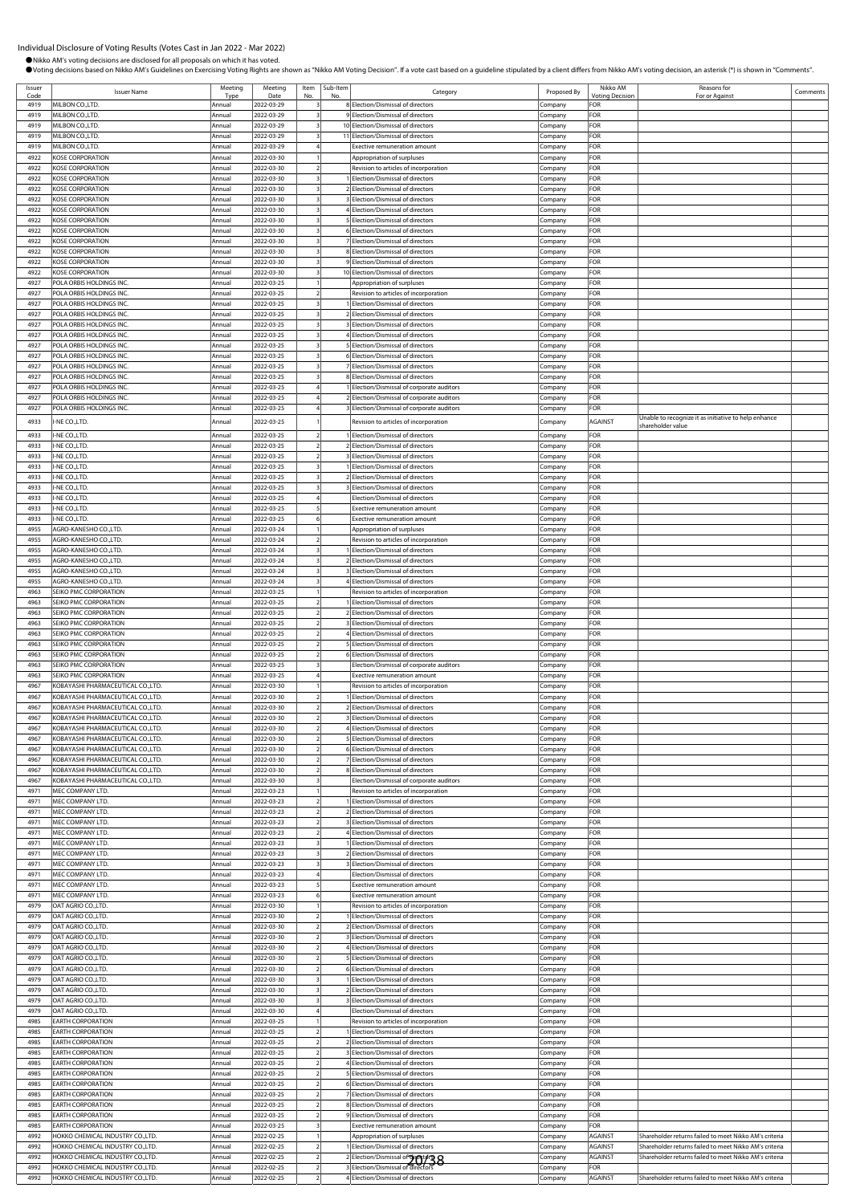| Issuer       | <b>Issuer Name</b>                                   | Meeting          | Meeting                  | Item                     | Sub-Item | Category                                                                        | Proposed By        | Nikko AM                      | Reasons for                                            | Comments |
|--------------|------------------------------------------------------|------------------|--------------------------|--------------------------|----------|---------------------------------------------------------------------------------|--------------------|-------------------------------|--------------------------------------------------------|----------|
| Code<br>4919 | MILBON CO., LTD.                                     | Tyne<br>Annual   | Date<br>2022-03-29       | No                       |          | 8 Election/Dismissal of directors                                               | Company            | <b>Voting Decision</b><br>FOR | For or Against                                         |          |
| 4919         | MILBON CO.,LTD.                                      | Annual           | 2022-03-29               |                          |          | 9 Election/Dismissal of directors                                               | Company            | FOR                           |                                                        |          |
| 4919         | MILBON CO.,LTD.                                      | Annual           | 2022-03-29               |                          |          | 10 Election/Dismissal of directors                                              | Company            | FOR                           |                                                        |          |
| 4919         | MILBON CO., LTD.                                     | Annual           | 2022-03-29               |                          |          | 11 Election/Dismissal of directors                                              | Company            | FOR                           |                                                        |          |
| 4919         | MILBON CO., LTD.                                     | Annual           | 2022-03-29               |                          |          | Exective remuneration amount                                                    | Company            | FOR                           |                                                        |          |
| 4922         | KOSE CORPORATION                                     | Annual           | 2022-03-30               |                          |          | Appropriation of surpluses                                                      | :ompany            | FOR                           |                                                        |          |
| 4922         | KOSE CORPORATION                                     | Annual           | 2022-03-30               |                          |          | Revision to articles of incorporation                                           | .cmpany            | FOR<br>FOR                    |                                                        |          |
| 4922<br>4922 | <b>KOSE CORPORATION</b><br>KOSE CORPORATION          | Annual<br>Annual | 2022-03-30<br>2022-03-30 |                          |          | Election/Dismissal of directors<br>2 Election/Dismissal of directors            | Company<br>Company | FOR                           |                                                        |          |
| 4922         | KOSE CORPORATION                                     | Annual           | 2022-03-30               |                          |          | 3 Election/Dismissal of directors                                               | Company            | FOR                           |                                                        |          |
| 4922         | KOSE CORPORATION                                     | Annual           | 2022-03-30               |                          |          | 4 Election/Dismissal of directors                                               | Company            | FOR                           |                                                        |          |
| 4922         | <b>KOSE CORPORATION</b>                              | Annual           | 2022-03-30               |                          |          | 5 Election/Dismissal of directors                                               | Company            | FOR                           |                                                        |          |
| 4922         | KOSE CORPORATION                                     | Annual           | 2022-03-30               |                          |          | 6 Election/Dismissal of directors                                               | Company            | FOR                           |                                                        |          |
| 4922         | KOSE CORPORATION                                     | Annual           | 2022-03-30               |                          |          | 7 Election/Dismissal of directors                                               | .ompany            | FOR                           |                                                        |          |
| 4922         | KOSE CORPORATION                                     | Annual           | 2022-03-30               |                          |          | 8 Election/Dismissal of directors                                               | .ompany            | FOR                           |                                                        |          |
| 4922         | KOSE CORPORATION                                     | Annual           | 2022-03-30               |                          |          | 9 Election/Dismissal of directors                                               | Company            | FOR                           |                                                        |          |
| 4922         | <b>KOSE CORPORATION</b>                              | Annual           | 2022-03-30               |                          |          | 10 Election/Dismissal of directors                                              | Company            | FOR                           |                                                        |          |
| 4927         | POLA ORBIS HOLDINGS INC.                             | Annual           | 2022-03-25               |                          |          | Appropriation of surpluses                                                      | Company            | FOR                           |                                                        |          |
| 4927<br>4927 | POLA ORBIS HOLDINGS INC.                             | Annua            | 2022-03-25               | $\overline{\phantom{a}}$ |          | Revision to articles of incorporation                                           | Company            | FOR<br>FOR                    |                                                        |          |
| 4927         | POLA ORBIS HOLDINGS INC.<br>POLA ORBIS HOLDINGS INC. | Annual<br>Annual | 2022-03-25<br>2022-03-25 |                          |          | Election/Dismissal of directors<br>2 Election/Dismissal of directors            | Company<br>Company | FOR                           |                                                        |          |
| 4927         | POLA ORBIS HOLDINGS INC.                             | Annual           | 2022-03-25               |                          |          | 3 Election/Dismissal of directors                                               | Company            | FOR                           |                                                        |          |
| 4927         | POLA ORBIS HOLDINGS INC.                             | Annual           | 2022-03-25               |                          |          | 4 Election/Dismissal of directors                                               | .cmpany            | FOR                           |                                                        |          |
| 4927         | POLA ORBIS HOLDINGS INC.                             | Annual           | 2022-03-25               |                          |          | 5 Election/Dismissal of directors                                               | Company            | FOR                           |                                                        |          |
| 4927         | POLA ORBIS HOLDINGS INC.                             | Annual           | 2022-03-25               |                          |          | 6 Election/Dismissal of directors                                               | Company            | FOR                           |                                                        |          |
| 4927         | POLA ORBIS HOLDINGS INC.                             | Annual           | 2022-03-25               |                          |          | 7 Election/Dismissal of directors                                               | Company            | FOR                           |                                                        |          |
| 4927         | POLA ORBIS HOLDINGS INC.                             | Annual           | 2022-03-25               |                          |          | 8 Election/Dismissal of directors                                               | Company            | FOR                           |                                                        |          |
| 4927         | POLA ORBIS HOLDINGS INC.                             | Annual           | 2022-03-25               |                          |          | 1 Election/Dismissal of corporate auditors                                      | Company            | FOR                           |                                                        |          |
| 4927         | POLA ORBIS HOLDINGS INC.                             | Annual           | 2022-03-25               |                          |          | 2 Election/Dismissal of corporate auditors                                      | Company            | FOR                           |                                                        |          |
| 4927         | POLA ORBIS HOLDINGS INC.                             | Annual           | 2022-03-25               |                          |          | 3 Election/Dismissal of corporate auditors                                      | Company            | FOR                           | Unable to recognize it as initiative to help enhance   |          |
| 4933         | -NE CO.,LTD.                                         | Annual           | 2022-03-25               |                          |          | Revision to articles of incorporation                                           | Company            | AGAINST                       | shareholder value                                      |          |
| 4933         | I-NE CO.,LTD.                                        | Annual           | 2022-03-25               |                          |          | 1 Election/Dismissal of directors                                               | Company            | FOR                           |                                                        |          |
| 4933         | I-NE CO., LTD.                                       | Annual           | 2022-03-25               |                          |          | 2 Election/Dismissal of directors                                               | Company            | FOR                           |                                                        |          |
| 4933         | I-NE CO.,LTD.                                        | Annual           | 2022-03-25               |                          |          | 3 Election/Dismissal of directors                                               | Company            | FOR                           |                                                        |          |
| 4933         | -NE CO., LTD.                                        | Annual           | 2022-03-25               |                          |          | 1 Election/Dismissal of directors                                               | Company            | FOR                           |                                                        |          |
| 4933         | I-NE CO.,LTD.                                        | Annual           | 2022-03-25               |                          |          | 2 Election/Dismissal of directors                                               | company.           | FOR                           |                                                        |          |
| 4933         | I-NE CO.,LTD.                                        | Annual           | 2022-03-25               |                          |          | 3 Election/Dismissal of directors                                               | Company            | FOR                           |                                                        |          |
| 4933         | I-NE CO.,LTD.                                        | Annual           | 2022-03-25               |                          |          | Election/Dismissal of directors                                                 | Company            | FOR                           |                                                        |          |
| 4933<br>4933 | I-NE CO., LTD.<br>I-NE CO., LTD.                     | Annua<br>Annual  | 2022-03-25<br>2022-03-25 |                          |          | Exective remuneration amount<br>Exective remuneration amount                    | Company<br>Company | FOR<br>FOR                    |                                                        |          |
| 4955         | AGRO-KANESHO CO.,LTD.                                | Annual           | 2022-03-24               |                          |          | Appropriation of surpluses                                                      | Company            | FOR                           |                                                        |          |
| 4955         | AGRO-KANESHO CO.,LTD.                                | Annual           | 2022-03-24               |                          |          | Revision to articles of incorporation                                           | Company            | FOR                           |                                                        |          |
| 4955         | AGRO-KANESHO CO.,LTD                                 | Annual           | 2022-03-24               | 3                        |          | 1 Election/Dismissal of directors                                               | Company            | FOR                           |                                                        |          |
| 4955         | AGRO-KANESHO CO.,LTD                                 | Annual           | 2022-03-24               |                          |          | 2 Election/Dismissal of directors                                               | :ompany            | FOR                           |                                                        |          |
| 4955         | AGRO-KANESHO CO.,LTD                                 | Annual           | 2022-03-24               |                          |          | 3 Election/Dismissal of directors                                               | .ompany            | FOR                           |                                                        |          |
| 4955         | AGRO-KANESHO CO.,LTD                                 | Annual           | 2022-03-24               |                          |          | 4 Election/Dismissal of directors                                               | Company            | FOR                           |                                                        |          |
| 4963         | SEIKO PMC CORPORATION                                | Annual           | 2022-03-25               |                          |          | Revision to articles of incorporation                                           | Company            | FOR                           |                                                        |          |
| 4963         | SEIKO PMC CORPORATION                                | Annua            | 2022-03-25               |                          |          | 1 Election/Dismissal of directors                                               | Company            | FOR                           |                                                        |          |
| 4963         | SEIKO PMC CORPORATION                                | Annual           | 2022-03-25               |                          |          | 2 Election/Dismissal of directors                                               | Company            | FOR                           |                                                        |          |
| 4963         | SEIKO PMC CORPORATION                                | Annual           | 2022-03-25               | 기                        |          | 3 Election/Dismissal of directors                                               | Company            | FOR                           |                                                        |          |
| 4963         | SEIKO PMC CORPORATION                                | Annual           | 2022-03-25               |                          |          | 4 Election/Dismissal of directors                                               | Company            | FOR                           |                                                        |          |
| 4963         | SEIKO PMC CORPORATION                                | Annual           | 2022-03-25               |                          |          | 5 Election/Dismissal of directors                                               | Company            | FOR                           |                                                        |          |
| 4963         | SEIKO PMC CORPORATION<br>SEIKO PMC CORPORATION       | Annual           | 2022-03-25               |                          |          | 6 Election/Dismissal of directors                                               | .ompany            | FOR<br>FOR                    |                                                        |          |
| 4963<br>4963 | SEIKO PMC CORPORATION                                | Annual<br>Annual | 2022-03-25<br>2022-03-25 |                          |          | Election/Dismissal of corporate auditors<br><b>Exective remuneration amount</b> | .ompany<br>Company | FOR                           |                                                        |          |
| 4967         | KOBAYASHI PHARMACEUTICAL CO.,LTD.                    | Annual           | 2022-03-30               |                          |          | Revision to articles of incorporation                                           | Company            | FOR                           |                                                        |          |
| 4967         | KOBAYASHI PHARMACEUTICAL CO.,LTD.                    | Annual           | 2022-03-30               |                          |          | 1 Election/Dismissal of directors                                               | Company            | FOR                           |                                                        |          |
| 4967         | KOBAYASHI PHARMACEUTICAL CO.,LTD.                    | Annual           | 2022-03-30               |                          |          | 2 Election/Dismissal of directors                                               | Company            | FOR                           |                                                        |          |
| 4967         | KOBAYASHI PHARMACEUTICAL CO.,LTD.                    | Annual           | 2022-03-30               | $\overline{2}$           |          | 3 Election/Dismissal of directors                                               | Company            | FOR                           |                                                        |          |
| 4967         | KOBAYASHI PHARMACEUTICAL CO.,LTD.                    | Annual           | 2022-03-30               |                          |          | 4 Election/Dismissal of directors                                               | Company            | FOR                           |                                                        |          |
| 4967         | KOBAYASHI PHARMACEUTICAL CO.,LTD.                    | Annual           | 2022-03-30               | $\overline{2}$           |          | 5 Election/Dismissal of directors                                               | Company            | FOR                           |                                                        |          |
| 4967         | KOBAYASHI PHARMACEUTICAL CO.,LTD.                    | Annual           | 2022-03-30               |                          |          | 6 Election/Dismissal of directors                                               | :ompany            | FOR                           |                                                        |          |
| 4967         | KOBAYASHI PHARMACEUTICAL CO.,LTD.                    | Annual           | 2022-03-30               |                          |          | 7 Election/Dismissal of directors                                               | Company            | FOR                           |                                                        |          |
| 4967         | KOBAYASHI PHARMACEUTICAL CO.,LTD.                    | Annual           | 2022-03-30               |                          |          | 8 Election/Dismissal of directors                                               | Company            | FOR                           |                                                        |          |
| 4967         | KOBAYASHI PHARMACEUTICAL CO.,LTD.                    | Annual           | 2022-03-30               |                          |          | Election/Dismissal of corporate auditors                                        | Company            | FOR                           |                                                        |          |
| 4971<br>4971 | MEC COMPANY LTD.<br>MEC COMPANY LTD.                 | Annual<br>Annual | 2022-03-23<br>2022-03-23 | $\overline{2}$           |          | Revision to articles of incorporation<br>1 Election/Dismissal of directors      | Company            | FOR<br>FOR                    |                                                        |          |
| 4971         | MEC COMPANY LTD.                                     | Annual           | 2022-03-23               | $\overline{2}$           |          | 2 Election/Dismissal of directors                                               | Company<br>Company | FOR                           |                                                        |          |
| 4971         | MEC COMPANY LTD.                                     | Annual           | 2022-03-23               |                          |          | 3 Election/Dismissal of directors                                               | Company            | FOR                           |                                                        |          |
| 4971         | MEC COMPANY LTD.                                     | Annual           | 2022-03-23               |                          |          | 4 Election/Dismissal of directors                                               | Company            | FOR                           |                                                        |          |
| 4971         | MEC COMPANY LTD.                                     | Annual           | 2022-03-23               |                          |          | 1 Election/Dismissal of directors                                               | .ompany            | FOR                           |                                                        |          |
| 4971         | MEC COMPANY LTD.                                     | Annual           | 2022-03-23               |                          |          | 2 Election/Dismissal of directors                                               | Company            | FOR                           |                                                        |          |
| 4971         | MEC COMPANY LTD.                                     | Annual           | 2022-03-23               |                          |          | 3 Election/Dismissal of directors                                               | Company            | FOR                           |                                                        |          |
| 4971         | MEC COMPANY LTD.                                     | Annual           | 2022-03-23               |                          |          | Election/Dismissal of directors                                                 | Company            | FOR                           |                                                        |          |
| 4971         | MEC COMPANY LTD.                                     | Annual           | 2022-03-23               | 5                        |          | <b>Exective remuneration amount</b>                                             | Company            | FOR                           |                                                        |          |
| 4971         | MEC COMPANY LTD.                                     | Annual           | 2022-03-23               | 6                        |          | Exective remuneration amount                                                    | Company            | FOR                           |                                                        |          |
| 4979         | OAT AGRIO CO.,LTD.                                   | Annual           | 2022-03-30               |                          |          | Revision to articles of incorporation                                           | Company            | FOR<br>FOR                    |                                                        |          |
| 4979<br>4979 | OAT AGRIO CO.,LTD.<br>OAT AGRIO CO.,LTD.             | Annual<br>Annual | 2022-03-30<br>2022-03-30 |                          |          | I Election/Dismissal of directors<br>2 Election/Dismissal of directors          | Company            | FOR                           |                                                        |          |
| 4979         | OAT AGRIO CO.,LTD.                                   | Annual           | 2022-03-30               |                          |          | 3 Election/Dismissal of directors                                               | .cmpany<br>Company | FOR                           |                                                        |          |
| 4979         | OAT AGRIO CO.,LTD.                                   | Annual           | 2022-03-30               |                          |          | 4 Election/Dismissal of directors                                               | Company            | FOR                           |                                                        |          |
| 4979         | OAT AGRIO CO.,LTD.                                   | Annual           | 2022-03-30               |                          |          | 5 Election/Dismissal of directors                                               | Company            | FOR                           |                                                        |          |
| 4979         | OAT AGRIO CO.,LTD.                                   | Annual           | 2022-03-30               |                          |          | 6 Election/Dismissal of directors                                               | Company            | FOR                           |                                                        |          |
| 4979         | OAT AGRIO CO., LTD.                                  | Annual           | 2022-03-30               | $\overline{\mathbf{3}}$  |          | 1 Election/Dismissal of directors                                               | Company            | FOR                           |                                                        |          |
| 4979         | OAT AGRIO CO., LTD.                                  | Annual           | 2022-03-30               | 3                        |          | 2 Election/Dismissal of directors                                               | Company            | FOR                           |                                                        |          |
| 4979         | OAT AGRIO CO., LTD.                                  | Annual           | 2022-03-30               | 3                        |          | 3 Election/Dismissal of directors                                               | .cmpany            | FOR                           |                                                        |          |
| 4979         | OAT AGRIO CO., LTD.                                  | Annual           | 2022-03-30               |                          |          | Election/Dismissal of directors                                                 | Company            | FOR                           |                                                        |          |
| 4985         | <b>EARTH CORPORATION</b>                             | Annual           | 2022-03-25               |                          |          | Revision to articles of incorporation                                           | Company            | FOR                           |                                                        |          |
| 4985         | <b>EARTH CORPORATION</b>                             | Annual           | 2022-03-25               |                          |          | 1 Election/Dismissal of directors                                               | Company            | FOR                           |                                                        |          |
| 4985         | <b>EARTH CORPORATION</b>                             | Annual           | 2022-03-25               |                          |          | 2 Election/Dismissal of directors                                               | Company            | FOR                           |                                                        |          |
| 4985         | <b>EARTH CORPORATION</b>                             | Annual           | 2022-03-25               | $\overline{\phantom{a}}$ |          | 3 Election/Dismissal of directors                                               | Company            | FOR                           |                                                        |          |
| 4985         | <b>EARTH CORPORATION</b>                             | Annual           | 2022-03-25               | $\overline{2}$           |          | 4 Election/Dismissal of directors                                               | Company            | FOR                           |                                                        |          |
| 4985         | <b>EARTH CORPORATION</b>                             | Annual           | 2022-03-25               | 2                        |          | 5 Election/Dismissal of directors                                               | Company            | FOR                           |                                                        |          |
| 4985<br>4985 | <b>EARTH CORPORATION</b><br><b>EARTH CORPORATION</b> | Annual<br>Annual | 2022-03-25<br>2022-03-25 |                          |          | 6 Election/Dismissal of directors<br>7 Election/Dismissal of directors          | Company            | FOR<br>FOR                    |                                                        |          |
| 4985         | <b>EARTH CORPORATION</b>                             | Annual           | 2022-03-25               |                          |          | 8 Election/Dismissal of directors                                               | Company<br>.cmpany | FOR                           |                                                        |          |
| 4985         | <b>EARTH CORPORATION</b>                             | Annual           | 2022-03-25               |                          |          | 9 Election/Dismissal of directors                                               | Company            | FOR                           |                                                        |          |
| 4985         | <b>EARTH CORPORATION</b>                             | Annua            | 2022-03-25               |                          |          | Exective remuneration amount                                                    | Company            | FOR                           |                                                        |          |
| 4992         | HOKKO CHEMICAL INDUSTRY CO.,LTD.                     | Annual           | 2022-02-25               |                          |          | Appropriation of surpluses                                                      | Company            | AGAINST                       | Shareholder returns failed to meet Nikko AM's criteria |          |
| 4992         | HOKKO CHEMICAL INDUSTRY CO.,LTD.                     | Annual           | 2022-02-25               |                          |          | 1 Election/Dismissal of directors                                               | Company            | <b>AGAINST</b>                | Shareholder returns failed to meet Nikko AM's criteria |          |
| 4992         | HOKKO CHEMICAL INDUSTRY CO.,LTD.                     | Annual           | 2022-02-25               |                          |          |                                                                                 | Company            | AGAINST                       | Shareholder returns failed to meet Nikko AM's criteria |          |
| 4992         | HOKKO CHEMICAL INDUSTRY CO.,LTD                      | Annual           | 2022-02-25               | $\overline{2}$           |          | 2 Election/Dismissal of Trated B                                                | Company            | FOR                           |                                                        |          |
| 4992         | HOKKO CHEMICAL INDUSTRY CO., LTD.                    | Annual           | 2022-02-25               |                          |          | 4 Election/Dismissal of directors                                               | Company            | AGAINST                       | Shareholder returns failed to meet Nikko AM's criteria |          |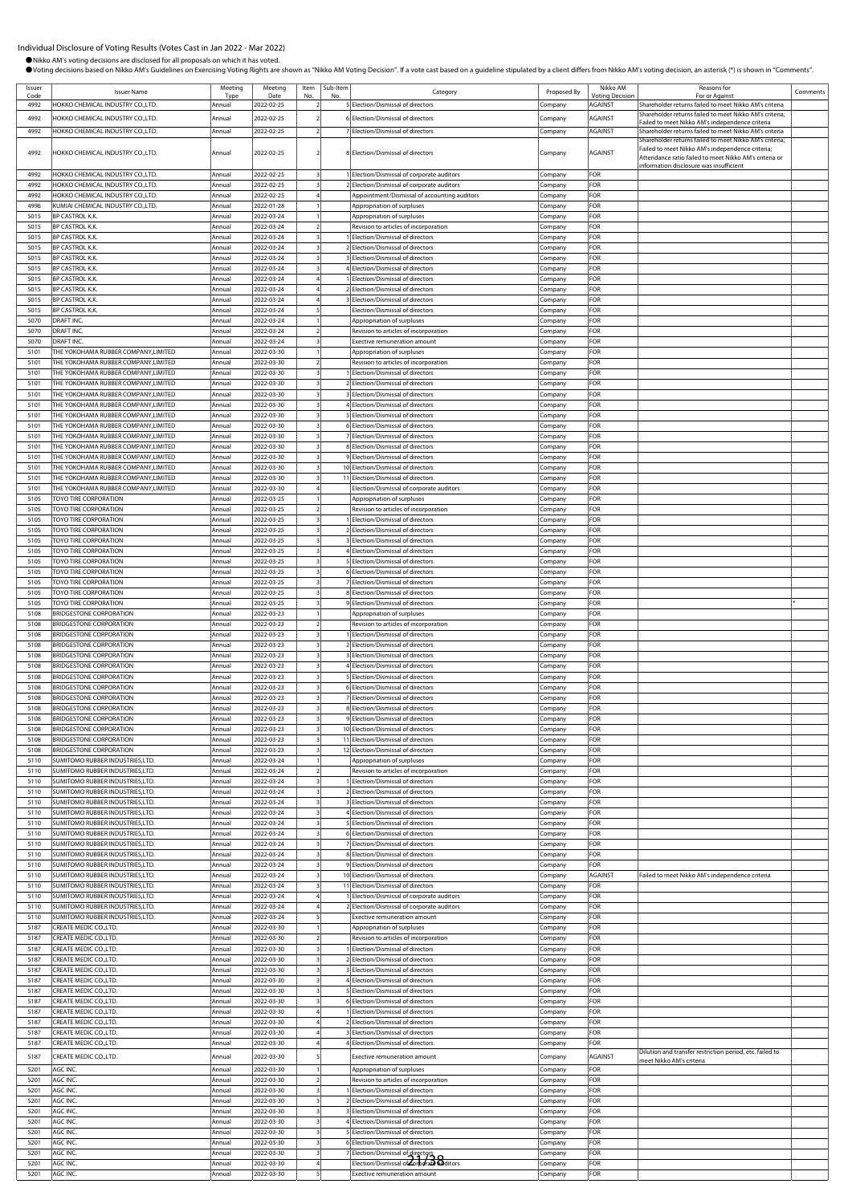| Issuer<br>Code | <b>Issuer Name</b>                                                          | Meeting<br>Type  | Meeting<br>Date          | Item<br>No | Sub-Iten<br>No | Category                                                                                   | Proposed By        | Nikko AM<br><b>Voting Decision</b> | Reasons for<br>For or Against                                                                                                                                         | Comments |
|----------------|-----------------------------------------------------------------------------|------------------|--------------------------|------------|----------------|--------------------------------------------------------------------------------------------|--------------------|------------------------------------|-----------------------------------------------------------------------------------------------------------------------------------------------------------------------|----------|
| 4992<br>4992   | HOKKO CHEMICAL INDUSTRY CO.,LTD.<br>HOKKO CHEMICAL INDUSTRY CO.,LTD.        | Annual<br>Annual | 2022-02-25<br>2022-02-25 |            |                | 5 Election/Dismissal of directors<br>6 Election/Dismissal of directors                     | Company<br>Company | AGAINST<br>AGAINST                 | Shareholder returns failed to meet Nikko AM's criteria<br>Shareholder returns failed to meet Nikko AM's criteria;                                                     |          |
| 4992           | HOKKO CHEMICAL INDUSTRY CO.,LTD.                                            | Annual           | 2022-02-25               |            |                | 7 Election/Dismissal of directors                                                          | Company            | AGAINST                            | Failed to meet Nikko AM's independence criteria<br>Shareholder returns failed to meet Nikko AM's criteria                                                             |          |
| 4992           | HOKKO CHEMICAL INDUSTRY CO.,LTD.                                            | Annual           | 2022-02-25               |            |                | 8 Election/Dismissal of directors                                                          | Company            | AGAINST                            | Shareholder returns failed to meet Nikko AM's criteria;<br>Failed to meet Nikko AM's independence criteria;<br>Attendance ratio failed to meet Nikko AM's criteria or |          |
| 4992           | HOKKO CHEMICAL INDUSTRY CO.,LTD.                                            | Annual           | 2022-02-25               |            |                | 1 Election/Dismissal of corporate auditors                                                 | Company            | FOR                                | information disclosure was insufficient                                                                                                                               |          |
| 4992<br>4992   | HOKKO CHEMICAL INDUSTRY CO.,LTD.<br>HOKKO CHEMICAL INDUSTRY CO.,LTD         | Annual<br>Annual | 2022-02-25<br>2022-02-25 |            |                | 2 Election/Dismissal of corporate auditors<br>Appointment/Dismissal of accounting auditors | Company<br>Company | FOR<br>FOR                         |                                                                                                                                                                       |          |
| 4996           | KUMIAI CHEMICAL INDUSTRY CO.,LTD.                                           | Annual           | 2022-01-28               |            |                | Appropriation of surpluses                                                                 | Company            | FOR                                |                                                                                                                                                                       |          |
| 5015<br>5015   | <b>BP CASTROL K.K.</b><br><b>BP CASTROL K.K.</b>                            | Annual<br>Annual | 2022-03-24<br>2022-03-24 |            |                | Appropriation of surpluses<br>Revision to articles of incorporation                        | Company<br>Company | FOR<br>FOR                         |                                                                                                                                                                       |          |
| 5015           | <b>BP CASTROL K.K.</b>                                                      | Annual           | 2022-03-24               |            |                | <b>Election/Dismissal of directors</b>                                                     | Company            | <b>FOR</b>                         |                                                                                                                                                                       |          |
| 5015<br>5015   | <b>BP CASTROL K.K.</b><br><b>BP CASTROL K.K.</b>                            | Annual<br>Annual | 2022-03-24<br>2022-03-24 |            |                | 2 Election/Dismissal of directors<br>3 Election/Dismissal of directors                     | Company<br>Company | FOR<br>FOR                         |                                                                                                                                                                       |          |
| 5015<br>5015   | <b>BP CASTROL K.K.</b>                                                      | Annual<br>Annual | 2022-03-24               |            |                | 4 Election/Dismissal of directors<br>Election/Dismissal of directors                       | Company            | FOR<br>FOR                         |                                                                                                                                                                       |          |
| 5015           | <b>BP CASTROL K.K.</b><br><b>BP CASTROL K.K.</b>                            | Annual           | 2022-03-24<br>2022-03-24 |            |                | 2 Election/Dismissal of directors                                                          | Company<br>Company | FOR                                |                                                                                                                                                                       |          |
| 5015<br>5015   | <b>BP CASTROL K.K.</b><br><b>BP CASTROL K.K.</b>                            | Annual<br>Annual | 2022-03-24<br>2022-03-24 |            |                | Election/Dismissal of directors<br>Election/Dismissal of directors                         | Company<br>Company | FOR<br>FOR                         |                                                                                                                                                                       |          |
| 5070           | DRAFT INC.                                                                  | Annual           | 2022-03-24               |            |                | Appropriation of surpluses                                                                 | Company            | FOR                                |                                                                                                                                                                       |          |
| 5070<br>5070   | <b>DRAFT INC</b><br>DRAFT INC.                                              | Annual<br>Annual | 2022-03-24<br>2022-03-24 |            |                | Revision to articles of incorporation<br>Exective remuneration amount                      | Company<br>Company | <b>FOR</b><br>FOR                  |                                                                                                                                                                       |          |
| 5101           | THE YOKOHAMA RUBBER COMPANY,LIMITED                                         | Annual           | 2022-03-30               |            |                | Appropriation of surpluses                                                                 | Company            | FOR                                |                                                                                                                                                                       |          |
| 5101<br>5101   | THE YOKOHAMA RUBBER COMPANY.LIMITED<br>THE YOKOHAMA RUBBER COMPANY.LIMITED  | Annual<br>Annual | 2022-03-30<br>2022-03-30 |            |                | Revision to articles of incorporation<br>Election/Dismissal of directors                   | Company<br>Company | FOR<br>FOR                         |                                                                                                                                                                       |          |
| 5101           | THE YOKOHAMA RUBBER COMPANY, LIMITED                                        | Annual           | 2022-03-30               |            |                | 2 Election/Dismissal of directors                                                          | Company            | FOR<br>FOR                         |                                                                                                                                                                       |          |
| 5101<br>5101   | THE YOKOHAMA RUBBER COMPANY, LIMITED<br>THE YOKOHAMA RUBBER COMPANY,LIMITED | Annual<br>Annual | 2022-03-30<br>2022-03-30 |            |                | Election/Dismissal of directors<br>4 Election/Dismissal of directors                       | Company<br>Company | FOR                                |                                                                                                                                                                       |          |
| 5101<br>5101   | THE YOKOHAMA RUBBER COMPANY, LIMITED<br>THE YOKOHAMA RUBBER COMPANY,LIMITED | Annual<br>Annual | 2022-03-30<br>2022-03-30 |            |                | 5 Election/Dismissal of directors<br>6 Election/Dismissal of directors                     | Company            | <b>FOR</b><br>FOR                  |                                                                                                                                                                       |          |
| 5101           | THE YOKOHAMA RUBBER COMPANY,LIMITED                                         | Annual           | 2022-03-30               |            |                | 7 Election/Dismissal of directors                                                          | Company<br>Company | FOR                                |                                                                                                                                                                       |          |
| 5101<br>5101   | THE YOKOHAMA RUBBER COMPANY,LIMITED<br>THE YOKOHAMA RUBBER COMPANY, LIMITED | Annual<br>Annual | 2022-03-30<br>2022-03-30 |            |                | 8 Election/Dismissal of directors<br>9 Election/Dismissal of directors                     | Company<br>Company | FOR<br>FOR                         |                                                                                                                                                                       |          |
| 5101           | THE YOKOHAMA RUBBER COMPANY, LIMITED                                        | Annual           | 2022-03-30               |            |                | 10 Election/Dismissal of directors                                                         | Company            | FOR                                |                                                                                                                                                                       |          |
| 5101<br>5101   | THE YOKOHAMA RUBBER COMPANY, LIMITED<br>THE YOKOHAMA RUBBER COMPANY,LIMITED | Annual<br>Annual | 2022-03-30<br>2022-03-30 |            |                | 11 Election/Dismissal of directors<br>Election/Dismissal of corporate auditors             | Company<br>Company | FOR<br>FOR                         |                                                                                                                                                                       |          |
| 5105           | TOYO TIRE CORPORATION                                                       | Annual           | 2022-03-25               |            |                | Appropriation of surpluses                                                                 | Company            | <b>FOR</b>                         |                                                                                                                                                                       |          |
| 5105<br>5105   | TOYO TIRE CORPORATION<br><b>TOYO TIRE CORPORATION</b>                       | Annual<br>Annual | 2022-03-25<br>2022-03-25 |            |                | Revision to articles of incorporation<br>Election/Dismissal of directors                   | Company<br>Company | FOR<br>FOR                         |                                                                                                                                                                       |          |
| 5105           | TOYO TIRE CORPORATION                                                       | Annual           | 2022-03-25               |            |                | 2 Election/Dismissal of directors                                                          | Company            | FOR                                |                                                                                                                                                                       |          |
| 5105<br>5105   | TOYO TIRE CORPORATION<br>TOYO TIRE CORPORATION                              | Annual<br>Annual | 2022-03-25<br>2022-03-25 |            |                | 3 Election/Dismissal of directors<br>Election/Dismissal of directors                       | Company<br>Company | FOR<br>FOR                         |                                                                                                                                                                       |          |
| 5105           | TOYO TIRE CORPORATION                                                       | Annual           | 2022-03-25               |            |                | Election/Dismissal of directors                                                            | Company            | FOR                                |                                                                                                                                                                       |          |
| 5105<br>5105   | TOYO TIRE CORPORATION<br>TOYO TIRE CORPORATION                              | Annual<br>Annual | 2022-03-25<br>2022-03-25 |            |                | 6 Election/Dismissal of directors<br>7 Election/Dismissal of directors                     | Company<br>Company | FOR<br>FOR                         |                                                                                                                                                                       |          |
| 5105<br>5105   | TOYO TIRE CORPORATION<br>TOYO TIRE CORPORATION                              | Annual<br>Annual | 2022-03-25<br>2022-03-25 |            |                | 8 Election/Dismissal of directors<br>9 Election/Dismissal of directors                     | Company<br>Company | <b>FOR</b><br>FOR                  |                                                                                                                                                                       |          |
| 5108           | <b>BRIDGESTONE CORPORATION</b>                                              | Annual           | 2022-03-23               |            |                | Appropriation of surpluses                                                                 | Company            | FOR                                |                                                                                                                                                                       |          |
| 5108<br>5108   | <b>BRIDGESTONE CORPORATION</b><br><b>BRIDGESTONE CORPORATION</b>            | Annual<br>Annual | 2022-03-23<br>2022-03-23 |            |                | Revision to articles of incorporation<br>Election/Dismissal of directors                   | Company<br>Company | FOR<br>FOR                         |                                                                                                                                                                       |          |
| 5108           | <b>BRIDGESTONE CORPORATION</b>                                              | Annual           | 2022-03-23               |            |                | 2 Election/Dismissal of directors                                                          | Company            | FOR                                |                                                                                                                                                                       |          |
| 5108<br>5108   | <b>BRIDGESTONE CORPORATION</b><br><b>BRIDGESTONE CORPORATION</b>            | Annual<br>Annual | 2022-03-23<br>2022-03-23 |            |                | Election/Dismissal of directors<br>4 Election/Dismissal of directors                       | Company<br>Company | FOR<br>FOR                         |                                                                                                                                                                       |          |
| 5108           | <b>BRIDGESTONE CORPORATION</b>                                              | Annual           | 2022-03-23               |            |                | 5 Election/Dismissal of directors                                                          | Company            | <b>FOR</b>                         |                                                                                                                                                                       |          |
| 5108<br>5108   | <b>BRIDGESTONE CORPORATION</b><br><b>BRIDGESTONE CORPORATION</b>            | Annual<br>Annual | 2022-03-23<br>2022-03-23 |            |                | 6 Election/Dismissal of directors<br>7 Election/Dismissal of directors                     | Company<br>Company | FOR<br>FOR                         |                                                                                                                                                                       |          |
| 5108<br>5108   | <b>BRIDGESTONE CORPORATION</b><br><b>BRIDGESTONE CORPORATION</b>            | Annual<br>Annual | 2022-03-23<br>2022-03-23 |            |                | 8 Election/Dismissal of directors<br>9 Election/Dismissal of directors                     | Company            | FOR<br>FOR                         |                                                                                                                                                                       |          |
| 5108           | <b>BRIDGESTONE CORPORATION</b>                                              | Annua            | 2022-03-23               |            |                | 10 Election/Dismissal of directors                                                         | Company<br>Company | FOR                                |                                                                                                                                                                       |          |
| 5108<br>5108   | <b>BRIDGESTONE CORPORATION</b><br><b>BRIDGESTONE CORPORATION</b>            | Annual<br>Annual | 2022-03-23<br>2022-03-23 |            |                | 11 Election/Dismissal of directors<br>12 Election/Dismissal of directors                   | Company<br>Company | FOR<br>FOR                         |                                                                                                                                                                       |          |
| 5110           | SUMITOMO RUBBER INDUSTRIES.LTD.                                             | Annual           | 2022-03-24               |            |                | Appropriation of surpluses                                                                 | Company            | <b>FOR</b>                         |                                                                                                                                                                       |          |
| 5110<br>5110   | SUMITOMO RUBBER INDUSTRIES,LTD.<br>SUMITOMO RUBBER INDUSTRIES,LTD.          | Annual<br>Annual | 2022-03-24<br>2022-03-24 |            |                | Revision to articles of incorporation<br>Election/Dismissal of directors                   | Company<br>Company | FOR<br>FOR                         |                                                                                                                                                                       |          |
| 5110           | SUMITOMO RUBBER INDUSTRIES.LTD.                                             | Annual           | 2022-03-24               |            |                | 2 Election/Dismissal of directors                                                          | Company            | FOR                                |                                                                                                                                                                       |          |
| 5110<br>5110   | SUMITOMO RUBBER INDUSTRIES, LTD.<br>SUMITOMO RUBBER INDUSTRIES, LTD.        | Annual<br>Annual | 2022-03-24<br>2022-03-24 |            |                | 3 Election/Dismissal of directors<br>Election/Dismissal of directors                       | Company<br>Company | FOR<br>FOR                         |                                                                                                                                                                       |          |
| 5110           | SUMITOMO RUBBER INDUSTRIES,LTD.                                             | Annual           | 2022-03-24               |            |                | Election/Dismissal of directors                                                            | Company            | FOR                                |                                                                                                                                                                       |          |
| 5110<br>5110   | SUMITOMO RUBBER INDUSTRIES, LTD.<br>SUMITOMO RUBBER INDUSTRIES, LTD.        | Annual<br>Annual | 2022-03-24<br>2022-03-24 |            |                | 6 Election/Dismissal of directors<br>7 Election/Dismissal of directors                     | Company<br>Company | FOR<br>FOR                         |                                                                                                                                                                       |          |
| 5110<br>5110   | SUMITOMO RUBBER INDUSTRIES, LTD.<br>SUMITOMO RUBBER INDUSTRIES,LTD.         | Annual<br>Annual | 2022-03-24<br>2022-03-24 |            |                | 8 Election/Dismissal of directors<br>9 Election/Dismissal of directors                     | Company<br>Company | FOR<br>FOR                         |                                                                                                                                                                       |          |
| 5110           | SUMITOMO RUBBER INDUSTRIES.LTD.                                             | Annual           | 2022-03-24               |            |                | 10 Election/Dismissal of directors                                                         | Company            | AGAINST                            | Failed to meet Nikko AM's independence criteria                                                                                                                       |          |
| 5110<br>5110   | SUMITOMO RUBBER INDUSTRIES,LTD.<br>SUMITOMO RUBBER INDUSTRIES,LTD.          | Annual<br>Annual | 2022-03-24<br>2022-03-24 |            |                | 11 Election/Dismissal of directors<br>Election/Dismissal of corporate auditors             | Company<br>Company | FOR<br>FOR                         |                                                                                                                                                                       |          |
| 5110           | SUMITOMO RUBBER INDUSTRIES,LTD.                                             | Annual           | 2022-03-24               |            |                | 2 Election/Dismissal of corporate auditors                                                 | Company            | FOR                                |                                                                                                                                                                       |          |
| 5110<br>5187   | SUMITOMO RUBBER INDUSTRIES,LTD.<br>CREATE MEDIC CO., LTD.                   | Annual<br>Annual | 2022-03-24<br>2022-03-30 |            |                | <b>Exective remuneration amount</b><br>Appropriation of surpluses                          | Company<br>Company | FOR<br>FOR                         |                                                                                                                                                                       |          |
| 5187           | CREATE MEDIC CO., LTD.                                                      | Annual           | 2022-03-30               |            |                | Revision to articles of incorporation                                                      | Company            | FOR                                |                                                                                                                                                                       |          |
| 5187<br>5187   | CREATE MEDIC CO., LTD.<br>CREATE MEDIC CO.,LTD.                             | Annual<br>Annual | 2022-03-30<br>2022-03-30 |            |                | Election/Dismissal of directors<br>2 Election/Dismissal of directors                       | Company<br>Company | FOR<br>FOR                         |                                                                                                                                                                       |          |
| 5187           | CREATE MEDIC CO.,LTD.                                                       | Annual           | 2022-03-30               |            |                | 3 Election/Dismissal of directors                                                          | Company            | FOR<br>FOR                         |                                                                                                                                                                       |          |
| 5187<br>5187   | CREATE MEDIC CO.,LTD.<br>CREATE MEDIC CO., LTD.                             | Annual<br>Annual | 2022-03-30<br>2022-03-30 |            |                | 4 Election/Dismissal of directors<br>5 Election/Dismissal of directors                     | Company<br>Company | FOR                                |                                                                                                                                                                       |          |
| 5187<br>5187   | CREATE MEDIC CO.,LTD.<br>CREATE MEDIC CO.,LTD.                              | Annual<br>Annual | 2022-03-30<br>2022-03-30 |            |                | 6 Election/Dismissal of directors<br>Election/Dismissal of directors                       | Company<br>Company | FOR<br>FOR                         |                                                                                                                                                                       |          |
| 5187           | CREATE MEDIC CO., LTD.                                                      | Annual           | 2022-03-30               |            |                | 2 Election/Dismissal of directors                                                          | Company            | FOR                                |                                                                                                                                                                       |          |
| 5187<br>5187   | CREATE MEDIC CO., LTD.<br>CREATE MEDIC CO.,LTD.                             | Annual<br>Annual | 2022-03-30<br>2022-03-30 |            |                | <b>Election/Dismissal of directors</b><br>4 Election/Dismissal of directors                | Company<br>Company | FOR<br>FOR                         |                                                                                                                                                                       |          |
| 5187           | CREATE MEDIC CO.,LTD.                                                       | Annual           | 2022-03-30               |            |                | <b>Exective remuneration amount</b>                                                        | Company            | AGAINST                            | Dilution and transfer restriction period, etc. failed to<br>meet Nikko AM's criteria                                                                                  |          |
| 5201           | AGC INC.                                                                    | Annual           | 2022-03-30               |            |                | Appropriation of surpluses                                                                 | Company            | FOR                                |                                                                                                                                                                       |          |
| 5201<br>5201   | AGC INC.<br>AGC INC.                                                        | Annual<br>Annual | 2022-03-30<br>2022-03-30 |            |                | Revision to articles of incorporation<br>Election/Dismissal of directors                   | Company<br>Company | FOR<br>FOR                         |                                                                                                                                                                       |          |
| 5201           | AGC INC.                                                                    | Annual           | 2022-03-30               |            |                | 2 Election/Dismissal of directors                                                          | Company            | FOR                                |                                                                                                                                                                       |          |
| 5201<br>5201   | AGC INC.<br>AGC INC.                                                        | Annual<br>Annual | 2022-03-30<br>2022-03-30 |            |                | Election/Dismissal of directors<br>4 Election/Dismissal of directors                       | Company<br>Company | FOR<br>FOR                         |                                                                                                                                                                       |          |
| 5201<br>5201   | AGC INC.<br>AGC INC.                                                        | Annual<br>Annual | 2022-03-30<br>2022-03-30 |            |                | 5 Election/Dismissal of directors<br>6 Election/Dismissal of directors                     | Company            | FOR<br>FOR                         |                                                                                                                                                                       |          |
| 5201           | AGC INC.                                                                    | Annual           | 2022-03-30               |            |                | Election/Dismissal of director                                                             | Company<br>Company | FOR                                |                                                                                                                                                                       |          |
| 5201<br>5201   | AGC INC.<br>AGC INC.                                                        | Annual<br>Annual | 2022-03-30<br>2022-03-30 |            |                | Election/Dismissal of Corporal Oditors<br>Exective remuneration amount                     | Company<br>Company | FOR<br>FOR                         |                                                                                                                                                                       |          |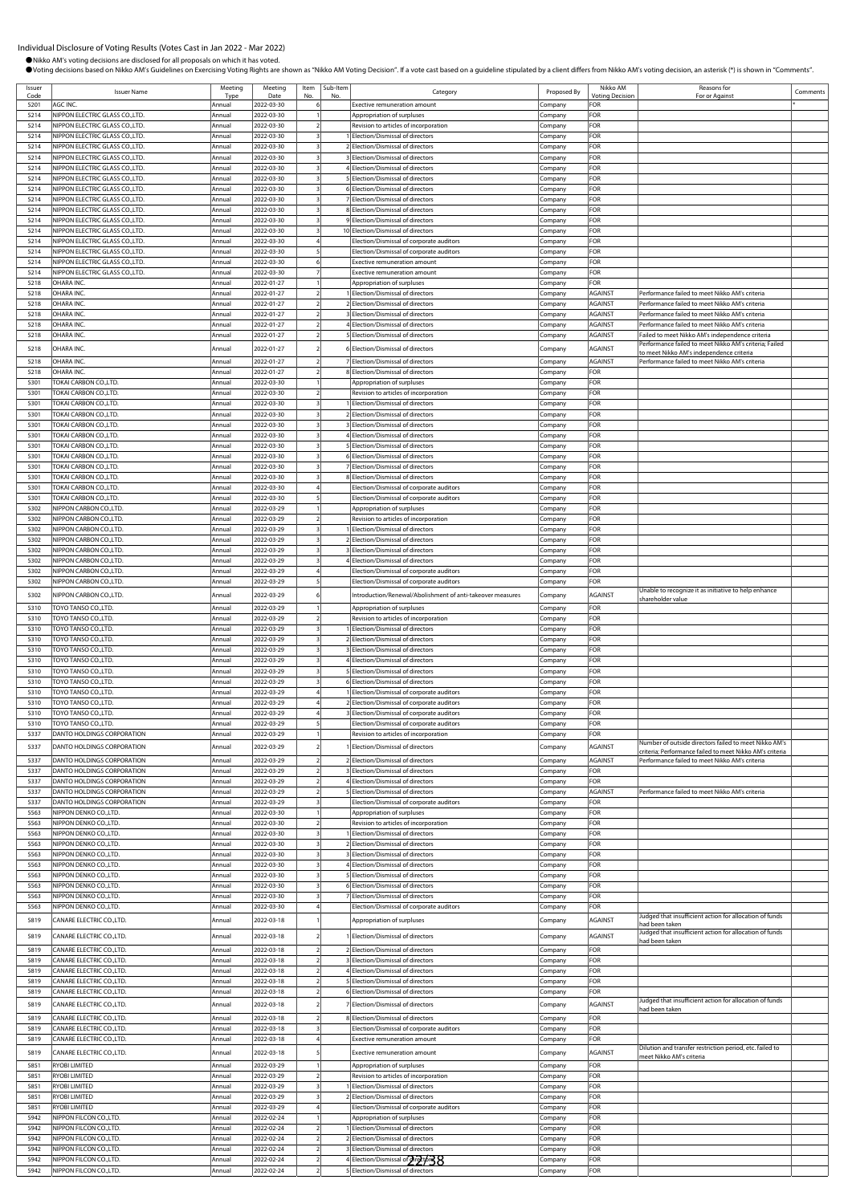●Nikko AM's voting decisions are disclosed for all proposals on which it has voted.<br>●Voting decisions based on Nikko AM's Guidelines on Exercising Voting Rights are shown as "Nikko AM Voting Decision". If a vote cast base

| Issuer |                                 | Meeting          | Meeting    | Item | Sub-Item |                                                            |             | Nikko AM       | Reasons for                                                               |          |
|--------|---------------------------------|------------------|------------|------|----------|------------------------------------------------------------|-------------|----------------|---------------------------------------------------------------------------|----------|
|        | <b>Issuer Name</b>              | Tvp <sub>t</sub> | Date       |      |          | Category                                                   | Proposed By | Votina Decisi  | For or Agains                                                             | Comments |
| 5201   | AGC INC.                        | Annual           | 2022-03-30 |      |          | Exective remuneration amount                               | Company     | ∶OR            |                                                                           |          |
| 5214   | NIPPON ELECTRIC GLASS CO., LTD. | Annual           | 2022-03-30 |      |          | Appropriation of surpluses                                 | Company     | FOR            |                                                                           |          |
| 5214   | NIPPON ELECTRIC GLASS CO., LTD. | Annual           | 2022-03-30 |      |          | Revision to articles of incorporation                      | ompany      | OR:            |                                                                           |          |
| 5214   | NIPPON ELECTRIC GLASS CO., LTD. | Annual           | 2022-03-30 |      |          | Election/Dismissal of directors                            | .cmpany     | OR:            |                                                                           |          |
| 5214   | NIPPON ELECTRIC GLASS CO., LTD. | Annual           | 2022-03-30 |      |          | 2 Election/Dismissal of directors                          |             | FOR            |                                                                           |          |
|        |                                 |                  |            |      |          |                                                            | .ompany     |                |                                                                           |          |
| 5214   | NIPPON ELECTRIC GLASS CO., LTD. | Annual           | 2022-03-30 |      |          | Election/Dismissal of directors                            | .cmpany     | FOR            |                                                                           |          |
| 5214   | NIPPON ELECTRIC GLASS CO., LTD. | Annual           | 2022-03-30 |      |          | Election/Dismissal of directors                            | Company     | FOR            |                                                                           |          |
| 5214   | NIPPON ELECTRIC GLASS CO.,LTD.  | Annual           | 2022-03-30 |      |          | 5 Election/Dismissal of directors                          | Company     | <b>OR</b>      |                                                                           |          |
| 5214   | NIPPON ELECTRIC GLASS CO.,LTD.  | Annual           | 2022-03-30 |      |          | 6 Election/Dismissal of directors                          | .cmpany     | FOR            |                                                                           |          |
| 5214   | NIPPON ELECTRIC GLASS CO., LTD. | Annual           | 2022-03-30 |      |          | 7 Election/Dismissal of directors                          | Company     | <b>OR</b>      |                                                                           |          |
| 5214   | NIPPON ELECTRIC GLASS CO., LTD. | Annual           | 2022-03-30 |      |          | 8 Election/Dismissal of directors                          | Company     | FOR            |                                                                           |          |
| 5214   | NIPPON ELECTRIC GLASS CO., LTD. | Annual           | 2022-03-30 |      |          | 9 Election/Dismissal of directors                          |             | FOR            |                                                                           |          |
|        |                                 |                  |            |      |          |                                                            | ompany      |                |                                                                           |          |
| 5214   | NIPPON ELECTRIC GLASS CO.,LTD.  | Annual           | 2022-03-30 |      |          | 10 Election/Dismissal of directors                         | .ompany     | OR:            |                                                                           |          |
| 5214   | NIPPON ELECTRIC GLASS CO., LTD. | Annual           | 2022-03-30 |      |          | Election/Dismissal of corporate auditors                   | .ompany     | FOR            |                                                                           |          |
| 5214   | NIPPON ELECTRIC GLASS CO.,LTD.  | Annual           | 2022-03-30 |      |          | Election/Dismissal of corporate auditors                   | ompany.     | FOR            |                                                                           |          |
| 5214   | NIPPON ELECTRIC GLASS CO.,LTD.  | Annual           | 2022-03-30 |      |          | <b>Exective remuneration amount</b>                        | Company     | FOR            |                                                                           |          |
| 5214   | NIPPON ELECTRIC GLASS CO.,LTD.  | Annual           | 2022-03-30 |      |          | Exective remuneration amount                               | Company     | <b>OR</b>      |                                                                           |          |
| 5218   | OHARA INC.                      | Annual           | 2022-01-27 |      |          | Appropriation of surpluses                                 | Company     | FOR            |                                                                           |          |
| 5218   | OHARA INC.                      | Annual           | 2022-01-27 |      |          | Election/Dismissal of directors                            | ompany      | <b>AGAINST</b> | erformance failed to meet Nikko AM's criteria                             |          |
|        |                                 |                  |            |      |          |                                                            |             |                |                                                                           |          |
| 5218   | OHARA INC.                      | Annual           | 2022-01-27 |      |          | 2 Election/Dismissal of directors                          | ompany      | AGAINST        | Performance failed to meet Nikko AM's criteria                            |          |
| 5218   | OHARA INC                       | Annual           | 2022-01-27 |      |          | 3 Election/Dismissal of directors                          | .ompany     | AGAINST        | Performance failed to meet Nikko AM's criteria                            |          |
| 5218   | OHARA INC.                      | Annual           | 2022-01-27 |      |          | 4 Election/Dismissal of directors                          | .ompany     | <b>AGAINST</b> | Performance failed to meet Nikko AM's criteria                            |          |
| 5218   | OHARA INC.                      | Annual           | 2022-01-27 |      |          | 5 Election/Dismissal of directors                          | .cmpany     | <b>AGAINST</b> | Failed to meet Nikko AM's independence criteria                           |          |
| 5218   | OHARA INC.                      | Annual           | 2022-01-27 |      |          | 6 Election/Dismissal of directors                          |             | AGAINST        | erformance failed to meet Nikko AM's criteria; Failed                     |          |
|        |                                 |                  |            |      |          |                                                            | .cmpany     |                | to meet Nikko AM's independence criteria                                  |          |
| 5218   | OHARA INC.                      | Annual           | 2022-01-27 |      |          | 7 Election/Dismissal of directors                          | Company     | <b>AGAINST</b> | Performance failed to meet Nikko AM's criteria                            |          |
| 5218   | OHARA INC.                      | Annual           | 2022-01-27 |      |          | 8 Election/Dismissal of directors                          | ompany      | ∶OR            |                                                                           |          |
| 5301   | TOKAI CARBON CO.,LTD.           | Annual           | 2022-03-30 |      |          | Appropriation of surpluses                                 | .ompany     | FOR            |                                                                           |          |
| 5301   | TOKAI CARBON CO.,LTD.           | Annual           | 2022-03-30 |      |          | Revision to articles of incorporation                      | .cmpany     | <b>OR</b>      |                                                                           |          |
| 5301   | TOKAI CARBON CO.,LTD.           | Annual           | 2022-03-30 |      |          | Election/Dismissal of directors                            |             | FOR            |                                                                           |          |
|        |                                 |                  |            |      |          |                                                            | .ompany     |                |                                                                           |          |
| 5301   | TOKAI CARBON CO.,LTD.           | Annual           | 2022-03-30 |      |          | 2 Election/Dismissal of directors                          | ompany      | <b>OR</b>      |                                                                           |          |
| 5301   | TOKAI CARBON CO.,LTD.           | Annual           | 2022-03-30 |      |          | 3 Election/Dismissal of directors                          | .ompany     | <b>OR</b>      |                                                                           |          |
| 5301   | TOKAI CARBON CO.,LTD.           | Annual           | 2022-03-30 |      |          | 4 Election/Dismissal of directors                          | Company     | FOR            |                                                                           |          |
| 5301   | TOKAI CARBON CO.,LTD.           | Annual           | 2022-03-30 |      |          | 5 Election/Dismissal of directors                          | Company     | FOR            |                                                                           |          |
| 5301   | TOKAI CARBON CO.,LTD.           | Annual           | 2022-03-30 |      |          | 6 Election/Dismissal of directors                          | ompany      | FOR            |                                                                           |          |
| 5301   | TOKAI CARBON CO.,LTD.           | Annual           | 2022-03-30 |      |          | 7 Election/Dismissal of directors                          | .ompany     | FOR            |                                                                           |          |
| 5301   | TOKAI CARBON CO.,LTD.           | Annual           | 2022-03-30 |      |          | 8 Election/Dismissal of directors                          |             | FOR            |                                                                           |          |
|        | TOKAI CARBON CO.,LTD.           |                  |            |      |          |                                                            | .ompany     |                |                                                                           |          |
| 5301   |                                 | Annual           | 2022-03-30 |      |          | Election/Dismissal of corporate auditors                   | ompany.     | FOR            |                                                                           |          |
| 5301   | TOKAI CARBON CO.,LTD.           | Annual           | 2022-03-30 |      |          | Election/Dismissal of corporate auditors                   | .<br>ompany | FOR            |                                                                           |          |
| 5302   | NIPPON CARBON CO., LTD          | Annual           | 2022-03-29 |      |          | Appropriation of surpluses                                 | .<br>ompany | <b>OR</b>      |                                                                           |          |
| 5302   | NIPPON CARBON CO., LTD          | Annual           | 2022-03-29 |      |          | Revision to articles of incorporation                      | ompany.     | FOR            |                                                                           |          |
| 5302   | NIPPON CARBON CO., LTD.         | Annual           | 2022-03-29 |      |          | Election/Dismissal of directors                            | ompany      | FOR            |                                                                           |          |
| 5302   | NIPPON CARBON CO., LTD.         | Annual           | 2022-03-29 |      |          | 2 Election/Dismissal of directors                          | .cmpany     | FOR            |                                                                           |          |
| 5302   | NIPPON CARBON CO., LTD          | Annual           | 2022-03-29 |      |          | 3 Election/Dismissal of directors                          | ompany      | FOR            |                                                                           |          |
| 5302   | NIPPON CARBON CO., LTD          | Annual           | 2022-03-29 |      |          | Election/Dismissal of directors                            |             | FOR            |                                                                           |          |
|        |                                 |                  |            |      |          |                                                            | ompany.     |                |                                                                           |          |
| 5302   | NIPPON CARBON CO., LTD          | Annual           | 2022-03-29 |      |          | Election/Dismissal of corporate auditors                   | .ompany     | FOR            |                                                                           |          |
| 5302   | NIPPON CARBON CO., LTD.         | Annual           | 2022-03-29 |      |          | Election/Dismissal of corporate auditors                   | Company     | FOR            |                                                                           |          |
| 5302   | NIPPON CARBON CO.,LTD.          | Annual           | 2022-03-29 |      |          | Introduction/Renewal/Abolishment of anti-takeover measures | .cmpany     | AGAINST        | Unable to recognize it as initiative to help enhance                      |          |
|        |                                 |                  |            |      |          |                                                            |             |                | shareholder value                                                         |          |
| 5310   | TOYO TANSO CO., LTD.            | Annual           | 2022-03-29 |      |          | Appropriation of surpluses                                 | Company     | FOR            |                                                                           |          |
| 5310   | TOYO TANSO CO.,LTD.             | Annual           | 2022-03-29 |      |          | Revision to articles of incorporation                      | ompany      | <b>OR</b>      |                                                                           |          |
| 5310   | TOYO TANSO CO.,LTD.             | Annual           | 2022-03-29 |      |          | Election/Dismissal of directors                            | .cmpany     | FOR            |                                                                           |          |
| 5310   | TOYO TANSO CO.,LTD.             | Annual           | 2022-03-29 |      |          | 2 Election/Dismissal of directors                          | .cmpany     | FOR            |                                                                           |          |
| 5310   | TOYO TANSO CO.,LTD.             | Annual           | 2022-03-29 |      |          | 3 Election/Dismissal of directors                          | .cmpany     | <b>OR</b>      |                                                                           |          |
| 5310   | TOYO TANSO CO.,LTD.             | Annual           | 2022-03-29 |      |          | 4 Election/Dismissal of directors                          | .cmpany     | FOR            |                                                                           |          |
| 5310   | TOYO TANSO CO.,LTD.             | Annual           | 2022-03-29 |      |          | 5 Election/Dismissal of directors                          | Company     | FOR            |                                                                           |          |
|        |                                 |                  |            |      |          |                                                            |             |                |                                                                           |          |
| 5310   | TOYO TANSO CO.,LTD.             | Annual           | 2022-03-29 |      |          | 6 Election/Dismissal of directors                          | .ompany     | FOR            |                                                                           |          |
| 5310   | TOYO TANSO CO.,LTD.             | Annual           | 2022-03-29 |      |          | Election/Dismissal of corporate auditors                   | .ompany     | FOR            |                                                                           |          |
| 5310   | TOYO TANSO CO.,LTD.             | Annual           | 2022-03-29 |      |          | 2 Election/Dismissal of corporate auditors                 | .ompany     | <b>OR</b>      |                                                                           |          |
| 5310   | TOYO TANSO CO.,LTD.             | Annual           | 2022-03-29 |      |          | 3 Election/Dismissal of corporate auditors                 | ompany      | FOR            |                                                                           |          |
| 5310   | TOYO TANSO CO.,LTD.             | Annual           | 2022-03-29 |      |          | Election/Dismissal of corporate auditors                   | Company     | FOR            |                                                                           |          |
| 5337   | DANTO HOLDINGS CORPORATION      | Annual           | 2022-03-29 |      |          | Revision to articles of incorporation                      | Company     | FOR            |                                                                           |          |
|        |                                 |                  |            |      |          |                                                            |             |                | Number of outside directors failed to meet Nikko AM's                     |          |
| 5337   | DANTO HOLDINGS CORPORATION      | Annual           | 2022-03-29 |      |          | Election/Dismissal of directors                            | .cmpany     | <b>GAINST</b>  | criteria; Performance failed to meet Nikko AM's criteria                  |          |
| 5337   | DANTO HOLDINGS CORPORATION      | Annual           | 2022-03-29 |      |          | 2 Election/Dismissal of directors                          | Company     | <b>AGAINST</b> | Performance failed to meet Nikko AM's criteria                            |          |
| 5337   | DANTO HOLDINGS CORPORATION      | Annual           | 2022-03-29 |      |          | 3 Election/Dismissal of directors                          | Company     | FOR            |                                                                           |          |
| 5337   | DANTO HOLDINGS CORPORATION      | Annual           | 2022-03-29 |      |          | 4 Election/Dismissal of directors                          | Company     | FOR            |                                                                           |          |
|        |                                 |                  |            |      |          |                                                            |             |                |                                                                           |          |
| 5337   | DANTO HOLDINGS CORPORATION      | Annual           | 2022-03-29 |      |          | Election/Dismissal of directors                            | Company     | <b>AGAINST</b> | Performance failed to meet Nikko AM's criteria                            |          |
| 5337   | DANTO HOLDINGS CORPORATION      | Annual           | 2022-03-29 |      |          | Election/Dismissal of corporate auditors                   | Company     | FOR            |                                                                           |          |
| 5563   | NIPPON DENKO CO., LTD.          | Annual           | 2022-03-30 |      |          | Appropriation of surpluses                                 | Company     | FOR            |                                                                           |          |
| 5563   | NIPPON DENKO CO., LTD.          | Annual           | 2022-03-30 |      |          | Revision to articles of incorporation                      | Company     | FOR            |                                                                           |          |
| 5563   | NIPPON DENKO CO., LTD.          | Annual           | 2022-03-30 |      |          | Election/Dismissal of directors                            | Company     | OR:            |                                                                           |          |
| 5563   | NIPPON DENKO CO., LTD.          | Annual           | 2022-03-30 |      |          | 2 Election/Dismissal of directors                          | ompany.     | FOR            |                                                                           |          |
| 5563   | NIPPON DENKO CO., LTD.          | Annual           | 2022-03-30 |      |          | 3 Election/Dismissal of directors                          | ompany.     | FOR            |                                                                           |          |
| 5563   | NIPPON DENKO CO., LTD.          | Annual           | 2022-03-30 |      |          | 4 Election/Dismissal of directors                          | .cmpany     | FOR            |                                                                           |          |
| 5563   | NIPPON DENKO CO., LTD.          |                  |            |      |          |                                                            |             | FOR            |                                                                           |          |
|        |                                 | Annual           | 2022-03-30 |      |          | 5 Election/Dismissal of directors                          | Company     |                |                                                                           |          |
| 5563   | NIPPON DENKO CO., LTD.          | Annual           | 2022-03-30 |      |          | 6 Election/Dismissal of directors                          | Company     | FOR            |                                                                           |          |
| 5563   | NIPPON DENKO CO., LTD.          | Annual           | 2022-03-30 |      |          | 7 Election/Dismissal of directors                          | Company     | FOR            |                                                                           |          |
| 5563   | NIPPON DENKO CO., LTD.          | Annual           | 2022-03-30 |      |          | Election/Dismissal of corporate auditors                   | Company     | FOR            |                                                                           |          |
| 5819   | CANARE ELECTRIC CO.,LTD.        | Annual           | 2022-03-18 |      |          | Appropriation of surpluses                                 | Company     | <b>AGAINST</b> | Judged that insufficient action for allocation of funds                   |          |
|        |                                 |                  |            |      |          |                                                            |             |                | had been taken                                                            |          |
| 5819   | CANARE ELECTRIC CO.,LTD.        | Annual           | 2022-03-18 |      |          | Election/Dismissal of directors                            | Company     | AGAINST        | Judged that insufficient action for allocation of funds<br>had been taken |          |
| 5819   | CANARE ELECTRIC CO.,LTD.        | Annual           | 2022-03-18 |      |          | 2 Election/Dismissal of directors                          | Company     | FOR            |                                                                           |          |
|        |                                 |                  |            |      |          |                                                            |             |                |                                                                           |          |
| 5819   | CANARE ELECTRIC CO., LTD.       | Annual           | 2022-03-18 |      |          | 3 Election/Dismissal of directors                          | Company     | FOR            |                                                                           |          |
| 5819   | CANARE ELECTRIC CO.,LTD.        | Annual           | 2022-03-18 |      |          | 4 Election/Dismissal of directors                          | ompany      | FOR            |                                                                           |          |
| 5819   | CANARE ELECTRIC CO., LTD.       | Annual           | 2022-03-18 |      |          | 5 Election/Dismissal of directors                          | ompany      | FOR            |                                                                           |          |
| 5819   | CANARE ELECTRIC CO., LTD.       | Annual           | 2022-03-18 |      |          | 6 Election/Dismissal of directors                          | Company     | FOR            |                                                                           |          |
|        |                                 |                  |            |      |          |                                                            |             |                | Judged that insufficient action for allocation of funds                   |          |
| 5819   | CANARE ELECTRIC CO.,LTD.        | Annual           | 2022-03-18 |      |          | Election/Dismissal of directors                            | Company     | <b>AGAINST</b> | had been taken                                                            |          |
| 5819   | CANARE ELECTRIC CO.,LTD.        | Annual           | 2022-03-18 |      |          | 8 Election/Dismissal of directors                          | Company     | FOR            |                                                                           |          |
| 5819   | CANARE ELECTRIC CO.,LTD.        | Annual           | 2022-03-18 |      |          | Election/Dismissal of corporate auditors                   | Company     | FOR            |                                                                           |          |
| 5819   | CANARE ELECTRIC CO., LTD.       | Annual           | 2022-03-18 |      |          | <b>Exective remuneration amount</b>                        | Company     | FOR            |                                                                           |          |
|        |                                 |                  |            |      |          |                                                            |             |                | Dilution and transfer restriction period, etc. failed to                  |          |
| 5819   | CANARE ELECTRIC CO.,LTD.        | Annual           | 2022-03-18 |      |          | Exective remuneration amount                               | Company     | <b>AGAINST</b> | meet Nikko AM's criteria                                                  |          |
| 5851   | RYOBI LIMITED                   | Annual           | 2022-03-29 |      |          | Appropriation of surpluses                                 | Company     | FOR            |                                                                           |          |
| 5851   | RYOBI LIMITED                   | Annual           | 2022-03-29 |      |          | Revision to articles of incorporation                      | Company     | FOR            |                                                                           |          |
| 5851   | RYOBI LIMITED                   | Annual           | 2022-03-29 |      |          | Election/Dismissal of directors                            |             | FOR            |                                                                           |          |
|        |                                 |                  |            |      |          |                                                            | ompany      |                |                                                                           |          |
| 5851   | RYOBI LIMITED                   | Annual           | 2022-03-29 |      |          | 2 Election/Dismissal of directors                          | ompany      | OR:            |                                                                           |          |
| 5851   | RYOBI LIMITED                   | Annual           | 2022-03-29 |      |          | Election/Dismissal of corporate auditors                   | :ompany     | FOR            |                                                                           |          |
| 5942   | NIPPON FILCON CO., LTD.         | Annual           | 2022-02-24 |      |          | Appropriation of surpluses                                 | .cmpany     | FOR            |                                                                           |          |

2 Election/Dismissal of directors Company

issal of 2<sup>7</sup>2<sup>1</sup>/38

5942 NIPPON FILCON CO.,LTD. Annual 2022-02-24 2 1 Election/Dismissal of directors Company FOR<br>5942 NIPPON FILCON CO.,LTD. Annual 2022-02-24 2 2 Election/Dismissal of directors Company FOR

5944 NIPPON FILCON CO.,LTD.<br>5942 NIPPON FILCON CO.,LTD. Annual 2022-02-24 2 3 Election/Dismissal of directors Company FOR<br>5942 NIPPON FILCON CO.,LTD. Annual 2022-02-24 2 3 Election/Dismissal of directors Company FOR 5942 NIPPON FILCON CO.,LTD. Annual 2022-02-24 2 4 Election/Dismissal of directors Company FOR 5942 NIPPON FILCON CO.,LTD. Annual 2022-02-24 2 5 Election/Dismissal of directors Company FOR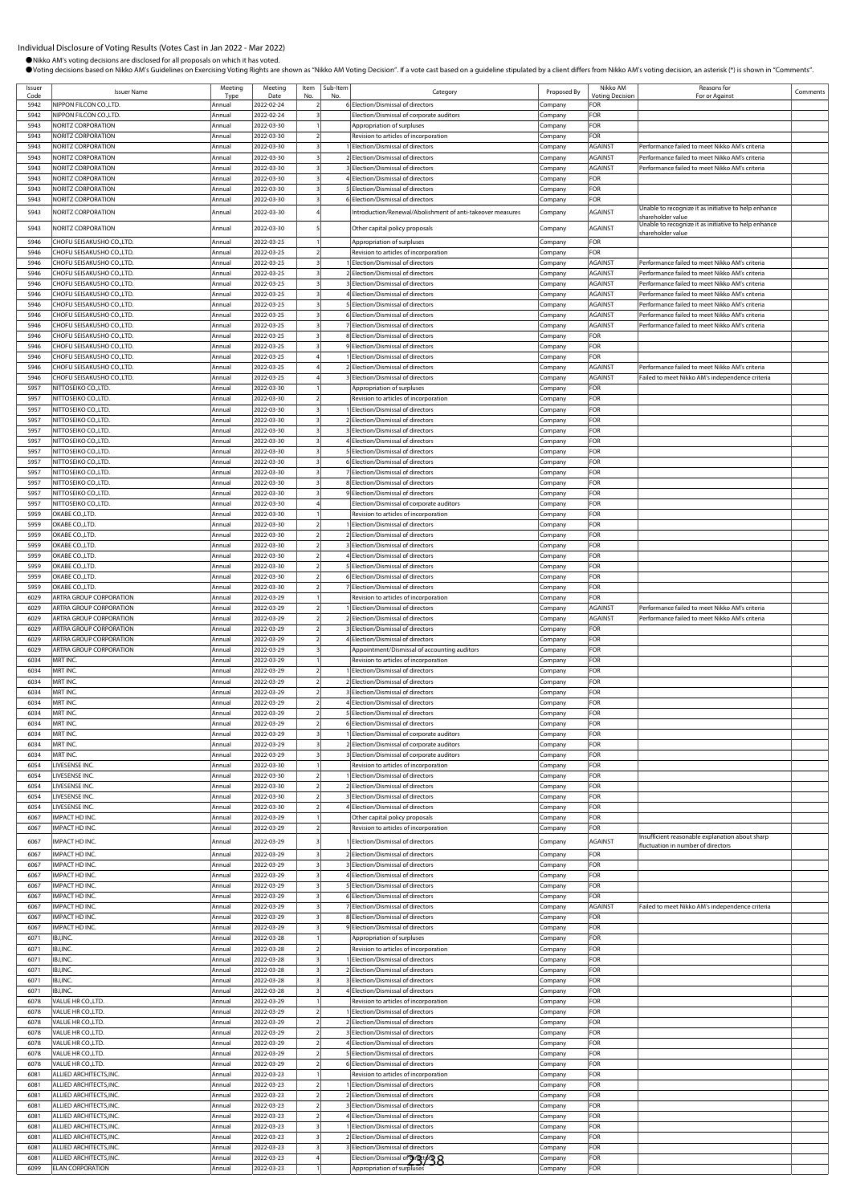| Issuer<br>Cod | <b>Issuer Name</b>                                        | Meeting<br>Type  | Meeting<br>Date          | Item<br>No | Sub-Item | Category                                                                            | Proposed By        | Nikko AM<br>Votina Decisio | Reasons for<br>For or Against                                                         | Comments |
|---------------|-----------------------------------------------------------|------------------|--------------------------|------------|----------|-------------------------------------------------------------------------------------|--------------------|----------------------------|---------------------------------------------------------------------------------------|----------|
| 5942          | NIPPON FILCON CO.,LTD.                                    | Annual           | 2022-02-24               |            |          | <b>6 Election/Dismissal of directors</b>                                            | `ompany            | FOR                        |                                                                                       |          |
| 5942          | NIPPON FILCON CO., LTD.                                   | Annual           | 2022-02-24               |            |          | Election/Dismissal of corporate auditors                                            | .cmpany            | FOR                        |                                                                                       |          |
| 5943          | NORITZ CORPORATION                                        | Annual           | 2022-03-30               |            |          | Appropriation of surpluses                                                          | .ompany            | FOR                        |                                                                                       |          |
| 5943          | NORITZ CORPORATION                                        | Annual           | 2022-03-30               |            |          | Revision to articles of incorporation                                               | .cmpany            | FOR                        |                                                                                       |          |
| 5943          | NORITZ CORPORATION                                        | Annual           | 2022-03-30               |            |          | 1 Election/Dismissal of directors                                                   | Company            | <b>AGAINST</b>             | Performance failed to meet Nikko AM's criteria                                        |          |
| 5943          | NORITZ CORPORATION                                        | Annual           | 2022-03-30               |            |          | 2 Election/Dismissal of directors                                                   | Company            | <b>AGAINST</b>             | Performance failed to meet Nikko AM's criteria                                        |          |
| 5943          | NORITZ CORPORATION                                        | Annua            | 2022-03-30               |            |          | 3 Election/Dismissal of directors                                                   | .cmpany            | <b>AGAINST</b>             | Performance failed to meet Nikko AM's criteria                                        |          |
| 5943          | NORITZ CORPORATION                                        | Annual           | 2022-03-30               |            |          | 4 Election/Dismissal of directors                                                   | Company            | FOR                        |                                                                                       |          |
| 5943          | NORITZ CORPORATION                                        | Annual           | 2022-03-30               |            |          | 5 Election/Dismissal of directors                                                   | Company            | FOR                        |                                                                                       |          |
| 5943          | NORITZ CORPORATION                                        | Annual           | 2022-03-30               |            |          | 6 Election/Dismissal of directors                                                   | :ompany            | FOR                        | Unable to recognize it as initiative to help enhance                                  |          |
| 5943          | <b>NORITZ CORPORATION</b>                                 | Annual           | 2022-03-30               |            |          | Introduction/Renewal/Abolishment of anti-takeover measures                          | Company            | AGAINST                    | shareholder value                                                                     |          |
| 5943          | <b>NORITZ CORPORATION</b>                                 | Annua            | 2022-03-30               |            |          | Other capital policy proposals                                                      | .cmpany            | <b>AGAINST</b>             | Unable to recognize it as initiative to help enhance                                  |          |
| 5946          | CHOFU SEISAKUSHO CO.,LTD.                                 | Annual           | 2022-03-25               |            |          | Appropriation of surpluses                                                          | Company            | FOR                        | shareholder value                                                                     |          |
| 5946          | CHOFU SEISAKUSHO CO.,LTD.                                 | Annual           | 2022-03-25               |            |          | Revision to articles of incorporation                                               | .cmpany            | FOR                        |                                                                                       |          |
| 5946          | CHOFU SEISAKUSHO CO.,LTD                                  | Annua            | 2022-03-25               |            |          | 1 Election/Dismissal of directors                                                   | Company            | <b>AGAINST</b>             | Performance failed to meet Nikko AM's criteria                                        |          |
| 5946          | CHOFU SEISAKUSHO CO.,LTD.                                 | Annua            | 2022-03-25               |            |          | 2 Election/Dismissal of directors                                                   | Company            | <b>AGAINST</b>             | Performance failed to meet Nikko AM's criteria                                        |          |
| 5946          | CHOFU SEISAKUSHO CO.,LTD.                                 | Annua            | 2022-03-25               |            |          | 3 Election/Dismissal of directors                                                   | .cmpany            | <b>AGAINST</b>             | Performance failed to meet Nikko AM's criteria                                        |          |
| 5946          | CHOFU SEISAKUSHO CO.,LTD.                                 | Annual           | 2022-03-25               |            |          | 4 Election/Dismissal of directors                                                   | Company            | <b>AGAINST</b>             | Performance failed to meet Nikko AM's criteria                                        |          |
| 5946          | CHOFU SEISAKUSHO CO.,LTD.                                 | Annua            | 2022-03-25               |            |          | 5 Election/Dismissal of directors                                                   | Company            | <b>AGAINST</b>             | Performance failed to meet Nikko AM's criteria                                        |          |
| 5946          | CHOFU SEISAKUSHO CO.,LTD.                                 | Annua            | 2022-03-25               |            |          | 6 Election/Dismissal of directors                                                   | :ompany            | <b>AGAINST</b>             | Performance failed to meet Nikko AM's criteria                                        |          |
| 5946          | CHOFU SEISAKUSHO CO.,LTD.                                 | Annual           | 2022-03-25               |            |          | 7 Election/Dismissal of directors                                                   | .ompany            | <b>AGAINST</b>             | Performance failed to meet Nikko AM's criteria                                        |          |
| 5946          | CHOFU SEISAKUSHO CO.,LTD.                                 | Annual           | 2022-03-25               |            |          | 8 Election/Dismissal of directors                                                   | .cmpany            | FOR                        |                                                                                       |          |
| 5946          | CHOFU SEISAKUSHO CO.,LTD.                                 | Annual           | 2022-03-25               |            |          | 9 Election/Dismissal of directors                                                   | .cmpany            | FOR                        |                                                                                       |          |
| 5946<br>5946  | CHOFU SEISAKUSHO CO.,LTD.<br>CHOFU SEISAKUSHO CO.,LTD.    | Annua<br>Annual  | 2022-03-25<br>2022-03-25 |            |          | 1 Election/Dismissal of directors<br>2 Election/Dismissal of directors              | .cmpany            | FOR<br><b>AGAINST</b>      | Performance failed to meet Nikko AM's criteria                                        |          |
| 5946          | CHOFU SEISAKUSHO CO.,LTD.                                 | Annual           | 2022-03-25               |            |          | 3 Election/Dismissal of directors                                                   | Company            | <b>AGAINST</b>             | Failed to meet Nikko AM's independence criteria                                       |          |
| 5957          | NITTOSEIKO CO., LTD.                                      | Annual           | 2022-03-30               |            |          | Appropriation of surpluses                                                          | .cmpany<br>Company | FOR                        |                                                                                       |          |
| 5957          | NITTOSEIKO CO., LTD.                                      | Annua            | 2022-03-30               |            |          | Revision to articles of incorporation                                               | Company            | FOR                        |                                                                                       |          |
| 5957          | NITTOSEIKO CO., LTD.                                      | Annua            | 2022-03-30               |            |          | Election/Dismissal of directors                                                     | .ompany            | FOR                        |                                                                                       |          |
| 5957          | NITTOSEIKO CO., LTD.                                      | Annual           | 2022-03-30               |            |          | 2 Election/Dismissal of directors                                                   | .ompany            | FOR                        |                                                                                       |          |
| 5957          | NITTOSEIKO CO., LTD.                                      | Annua            | 2022-03-30               |            |          | 3 Flection/Dismissal of directors                                                   | .cmpany            | FOR                        |                                                                                       |          |
| 5957          | NITTOSEIKO CO., LTD.                                      | Annual           | 2022-03-30               |            |          | 4 Election/Dismissal of directors                                                   | .cmpany            | FOR                        |                                                                                       |          |
| 5957          | NITTOSEIKO CO., LTD.                                      | Annua            | 2022-03-30               |            |          | 5 Election/Dismissal of directors                                                   | Company            | FOR                        |                                                                                       |          |
| 5957          | NITTOSEIKO CO., LTD.                                      | Annual           | 2022-03-30               |            |          | 6 Election/Dismissal of directors                                                   | .cmpany            | FOR                        |                                                                                       |          |
| 5957          | NITTOSEIKO CO., LTD.                                      | Annual           | 2022-03-30               |            |          | 7 Election/Dismissal of directors                                                   | .cmpany            | FOR                        |                                                                                       |          |
| 5957          | NITTOSEIKO CO., LTD.                                      | Annua            | 2022-03-30               |            |          | 8 Election/Dismissal of directors                                                   | Company            | FOR                        |                                                                                       |          |
| 5957          | NITTOSEIKO CO., LTD.                                      | Annual           | 2022-03-30               |            |          | 9 Election/Dismissal of directors                                                   | .ompany            | FOR                        |                                                                                       |          |
| 5957<br>5959  | NITTOSEIKO CO., LTD.<br>OKABE CO.,LTD.                    | Annua<br>Annual  | 2022-03-30<br>2022-03-30 |            |          | Election/Dismissal of corporate auditors<br>Revision to articles of incorporation   | ompany             | FOR<br>FOR                 |                                                                                       |          |
| 5959          | OKABE CO., LTD.                                           | Annual           | 2022-03-30               |            |          | 1 Election/Dismissal of directors                                                   | .ompany<br>.cmpany | FOR                        |                                                                                       |          |
| 5959          | OKABE CO.,LTD.                                            | Annual           | 2022-03-30               |            |          | 2 Election/Dismissal of directors                                                   | Company            | FOR                        |                                                                                       |          |
| 5959          | OKABE CO.,LTD.                                            | Annua            | 2022-03-30               |            |          | 3 Election/Dismissal of directors                                                   | :ompany            | FOR                        |                                                                                       |          |
| 5959          | OKABE CO.,LTD.                                            | Annual           | 2022-03-30               |            |          | 4 Election/Dismissal of directors                                                   | Company            | FOR                        |                                                                                       |          |
| 5959          | OKABE CO.,LTD                                             | Annual           | 2022-03-30               |            |          | 5 Election/Dismissal of directors                                                   | Company            | FOR                        |                                                                                       |          |
| 5959          | OKABE CO.,LTD.                                            | Annual           | 2022-03-30               |            |          | 6 Election/Dismissal of directors                                                   | Company            | FOR                        |                                                                                       |          |
| 5959          | OKABE CO.,LTD.                                            | Annual           | 2022-03-30               |            |          | 7 Election/Dismissal of directors                                                   | .ompany            | FOR                        |                                                                                       |          |
| 6029          | ARTRA GROUP CORPORATION                                   | Annua            | 2022-03-29               |            |          | Revision to articles of incorporation                                               | .ompany            | FOR                        |                                                                                       |          |
| 6029          | ARTRA GROUP CORPORATION                                   | Annua            | 2022-03-29               |            |          | Election/Dismissal of directors                                                     | .cmpany            | <b>AGAINST</b>             | Performance failed to meet Nikko AM's criteria                                        |          |
| 6029          | ARTRA GROUP CORPORATION                                   | Annual           | 2022-03-29               |            |          | 2 Election/Dismissal of directors                                                   | .cmpany            | <b>AGAINST</b>             | Performance failed to meet Nikko AM's criteria                                        |          |
| 6029          | ARTRA GROUP CORPORATION                                   | Annual           | 2022-03-29               |            |          | 3 Election/Dismissal of directors                                                   | :ompany            | FOR                        |                                                                                       |          |
| 6029<br>6029  | <b>ARTRA GROUP CORPORATION</b><br>ARTRA GROUP CORPORATION | Annual<br>Annual | 2022-03-29<br>2022-03-29 |            |          | 4 Election/Dismissal of directors<br>Appointment/Dismissal of accounting auditors   | Company<br>Company | FOR<br>FOR                 |                                                                                       |          |
| 6034          | MRT INC.                                                  | Annua            | 2022-03-29               |            |          | Revision to articles of incorporation                                               | Company            | FOR                        |                                                                                       |          |
| 6034          | MRT INC.                                                  | Annua            | 2022-03-29               |            |          | Election/Dismissal of directors                                                     | :ompany            | FOR                        |                                                                                       |          |
| 6034          | MRT INC.                                                  | Annual           | 2022-03-29               |            |          | 2 Election/Dismissal of directors                                                   | .ompany            | FOR                        |                                                                                       |          |
| 6034          | MRT INC.                                                  | Annua            | 2022-03-29               |            |          | 3 Election/Dismissal of directors                                                   | .ompany            | FOR                        |                                                                                       |          |
| 6034          | MRT INC                                                   | Annual           | 2022-03-29               |            |          | 4 Election/Dismissal of directors                                                   | .ompany            | FOR                        |                                                                                       |          |
| 6034          | MRT INC.                                                  | Annual           | 2022-03-29               |            |          | 5 Election/Dismissal of directors                                                   | Company            | FOR                        |                                                                                       |          |
| 6034          | MRT INC.                                                  | Annual           | 2022-03-29               |            |          | 6 Election/Dismissal of directors                                                   | Company            | FOR                        |                                                                                       |          |
| 6034          | MRT INC.                                                  | Annual           | 2022-03-29               |            |          | 1 Election/Dismissal of corporate auditors                                          | .cmpany            | FOR                        |                                                                                       |          |
| 6034          | MRT INC.                                                  | Annual           | 2022-03-29               |            |          | 2 Election/Dismissal of corporate auditors                                          | Company            | FOR                        |                                                                                       |          |
| 6034<br>6054  | MRT INC.<br>LIVESENSE INC.                                | Annual           | 2022-03-29<br>2022-03-30 |            |          | 3 Election/Dismissal of corporate auditors<br>Revision to articles of incorporation | .ompany            | FOR<br>FOR                 |                                                                                       |          |
| 6054          | LIVESENSE INC.                                            | Annua<br>Annual  | 2022-03-30               |            |          | Election/Dismissal of directors                                                     | :ompany<br>.cmpany | FOR                        |                                                                                       |          |
| 6054          | LIVESENSE INC.                                            | Annua            | 2022-03-30               |            |          | 2 Election/Dismissal of directors                                                   | .cmpany            | FOR                        |                                                                                       |          |
| 6054          | LIVESENSE INC.                                            | Annual           | 2022-03-30               |            |          | 3 Election/Dismissal of directors                                                   | Company            | FOR                        |                                                                                       |          |
| 6054          | LIVESENSE INC.                                            | Annual           | 2022-03-30               |            |          | 4 Election/Dismissal of directors                                                   | .cmpany            | FOR                        |                                                                                       |          |
| 6067          | IMPACT HD INC.                                            | Annual           | 2022-03-29               |            |          | Other capital policy proposals                                                      | Company            | FOR                        |                                                                                       |          |
| 6067          | IMPACT HD INC.                                            | Annual           | 2022-03-29               |            |          | Revision to articles of incorporation                                               | Company            | FOR                        |                                                                                       |          |
| 6067          | <b>IMPACT HD INC.</b>                                     | Annua            | 2022-03-29               |            |          | 1 Election/Dismissal of directors                                                   | Company            | <b>AGAINST</b>             | Insufficient reasonable explanation about sharp<br>fluctuation in number of directors |          |
| 6067          | IMPACT HD INC.                                            | Annual           | 2022-03-29               |            |          | 2 Election/Dismissal of directors                                                   | .cmpany            | FOR                        |                                                                                       |          |
| 6067          | IMPACT HD INC.                                            | Annual           | 2022-03-29               |            |          | 3 Election/Dismissal of directors                                                   | Company            | FOR                        |                                                                                       |          |
| 6067          | IMPACT HD INC.                                            | Annual           | 2022-03-29               |            |          | 4 Election/Dismissal of directors                                                   | Company            | FOR                        |                                                                                       |          |
| 6067          | IMPACT HD INC.                                            | Annual           | 2022-03-29               |            |          | 5 Election/Dismissal of directors                                                   | Company            | FOR                        |                                                                                       |          |
| 6067          | IMPACT HD INC.                                            | Annual           | 2022-03-29               |            |          | 6 Election/Dismissal of directors                                                   | Company            | FOR                        |                                                                                       |          |
| 6067          | IMPACT HD INC.                                            | Annua            | 2022-03-29               |            |          | 7 Election/Dismissal of directors                                                   | .cmpany            | <b>AGAINST</b>             | Failed to meet Nikko AM's independence criteria                                       |          |
| 6067<br>6067  | IMPACT HD INC.<br>IMPACT HD INC.                          | Annual           | 2022-03-29<br>2022-03-29 |            |          | 8 Election/Dismissal of directors                                                   | .ompany            | FOR<br>FOR                 |                                                                                       |          |
| 6071          | IBJ, INC.                                                 | Annual<br>Annual | 2022-03-28               |            |          | 9 Election/Dismissal of directors<br>Appropriation of surpluses                     | .cmpany            | FOR                        |                                                                                       |          |
| 6071          | IBJ, INC.                                                 | Annual           | 2022-03-28               |            |          | Revision to articles of incorporation                                               | .cmpany<br>Company | FOR                        |                                                                                       |          |
| 6071          | IBJ, INC.                                                 | Annual           | 2022-03-28               |            |          | Election/Dismissal of directors                                                     | .cmpany            | FOR                        |                                                                                       |          |
| 6071          | IBJ, INC.                                                 | Annual           | 2022-03-28               |            |          | 2 Election/Dismissal of directors                                                   | .cmpany            | FOR                        |                                                                                       |          |
| 6071          | IBJ, INC.                                                 | Annual           | 2022-03-28               |            |          | 3 Election/Dismissal of directors                                                   | Company            | FOR                        |                                                                                       |          |
| 6071          | IBJ, INC.                                                 | Annual           | 2022-03-28               |            |          | 4 Election/Dismissal of directors                                                   | .cmpany            | FOR                        |                                                                                       |          |
| 6078          | VALUE HR CO.,LTD.                                         | Annua            | 2022-03-29               |            |          | Revision to articles of incorporation                                               | :ompany            | FOR                        |                                                                                       |          |
| 6078          | VALUE HR CO., LTD.                                        | Annual           | 2022-03-29               |            |          | Election/Dismissal of directors                                                     | .ompany            | FOR                        |                                                                                       |          |
| 6078          | VALUE HR CO., LTD.                                        | Annual           | 2022-03-29               |            |          | 2 Election/Dismissal of directors                                                   | .cmpany            | FOR                        |                                                                                       |          |
| 6078          | VALUE HR CO., LTD.                                        | Annual           | 2022-03-29               |            |          | 3 Election/Dismissal of directors                                                   | .cmpany            | FOR                        |                                                                                       |          |
| 6078          | VALUE HR CO., LTD.                                        | Annual           | 2022-03-29               |            |          | 4 Election/Dismissal of directors                                                   | Company            | FOR                        |                                                                                       |          |
| 6078<br>6078  | VALUE HR CO., LTD.<br>VALUE HR CO.,LTD.                   | Annual           | 2022-03-29<br>2022-03-29 |            |          | 5 Election/Dismissal of directors<br>6 Election/Dismissal of directors              | .cmpany            | FOR<br>FOR                 |                                                                                       |          |
| 6081          | ALLIED ARCHITECTS, INC.                                   | Annual<br>Annual | 2022-03-23               |            |          | Revision to articles of incorporation                                               | Company<br>Company | FOR                        |                                                                                       |          |
| 6081          | ALLIED ARCHITECTS, INC.                                   | Annual           | 2022-03-23               |            |          | 1 Election/Dismissal of directors                                                   | .cmpany            | FOR                        |                                                                                       |          |
| 6081          | ALLIED ARCHITECTS, INC.                                   | Annua            | 2022-03-23               |            |          | 2 Election/Dismissal of directors                                                   | :ompany            | FOR                        |                                                                                       |          |
| 608           | ALLIED ARCHITECTS, INC.                                   | Annual           | 2022-03-23               |            |          | <b>BElection/Dismissal of directors</b>                                             | .ompany            | FOR                        |                                                                                       |          |
| 608           | ALLIED ARCHITECTS, INC.                                   | Annual           | 2022-03-23               |            |          | 4 Election/Dismissal of directors                                                   | .cmpany            | FOR                        |                                                                                       |          |
| 6081          | ALLIED ARCHITECTS, INC.                                   | Annual           | 2022-03-23               |            |          | 1 Election/Dismissal of directors                                                   | Company            | FOR                        |                                                                                       |          |
| 6081          | ALLIED ARCHITECTS, INC.                                   | Annua            | 2022-03-23               |            |          | 2 Election/Dismissal of directors                                                   | Company            | FOR                        |                                                                                       |          |
| 6081          | ALLIED ARCHITECTS, INC.                                   | Annual           | 2022-03-23               |            |          | 3 Election/Dismissal of directors                                                   | Company            | FOR                        |                                                                                       |          |
| 6081          | ALLIED ARCHITECTS, INC.                                   | Annua            | 2022-03-23               |            |          | Election/Dismissal of 23/38                                                         | Company            | FOR                        |                                                                                       |          |
| 6099          | <b>ELAN CORPORATION</b>                                   | Annual           | 2022-03-23               |            |          | Appropriation of surpluses                                                          | ompany.            | FOR                        |                                                                                       |          |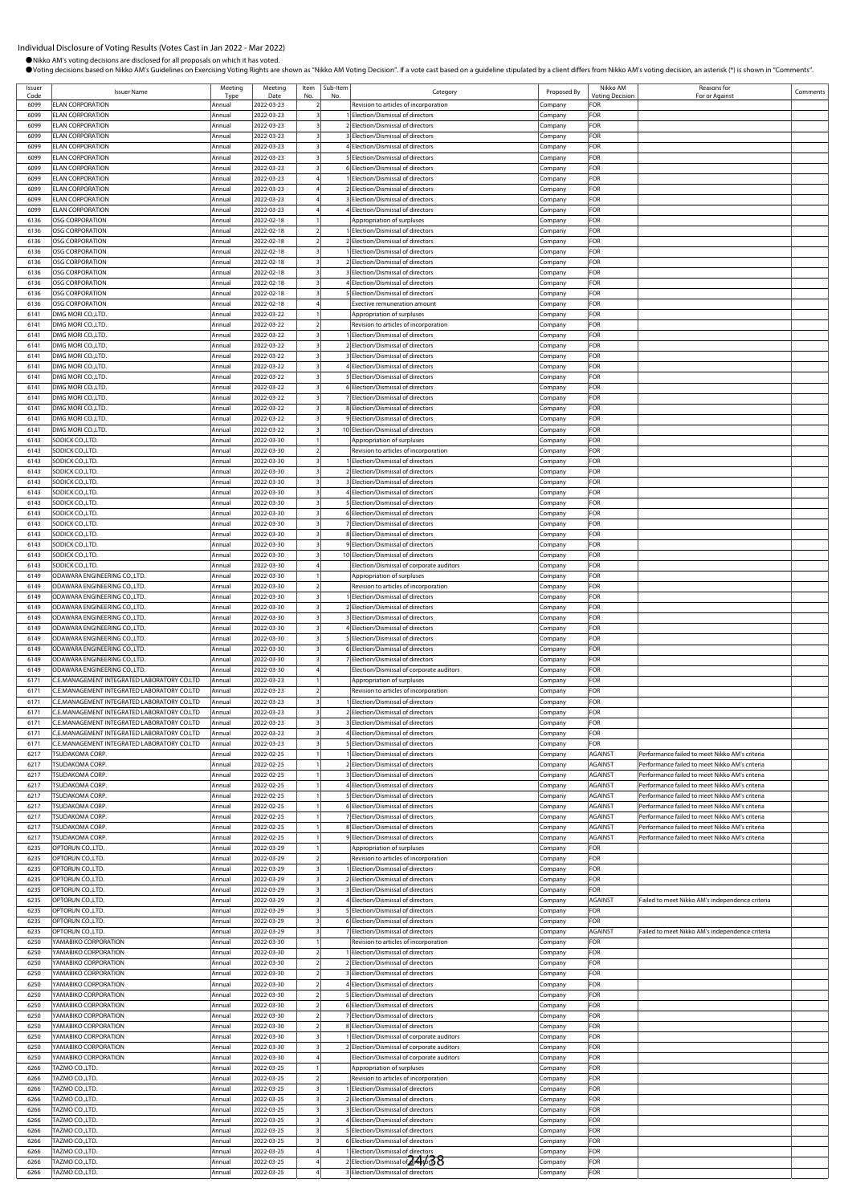|                      |                                                                                            |                        |                          |                                                    |                     | Ovoting decisions based on Nikko AM's Guidelines on Exercising Voting Rights are shown as "Nikko AM Voting Decision". If a vote cast based on a guideline stipulated by a client differs from Nikko AM's voting decision, an a |                    |                                    |                                                                                                  |          |
|----------------------|--------------------------------------------------------------------------------------------|------------------------|--------------------------|----------------------------------------------------|---------------------|--------------------------------------------------------------------------------------------------------------------------------------------------------------------------------------------------------------------------------|--------------------|------------------------------------|--------------------------------------------------------------------------------------------------|----------|
| Issuer<br>Code       | <b>Issuer Name</b>                                                                         | Meeting<br>Type        | Meeting<br>Date          | No                                                 | Item Sub-Item<br>No | Category                                                                                                                                                                                                                       | Proposed By        | Nikko AM<br><b>Voting Decision</b> | Reasons for<br>For or Against                                                                    | Comments |
| 6099                 | <b>ELAN CORPORATION</b>                                                                    | Annual                 | 2022-03-23               | $\overline{z}$                                     |                     | Revision to articles of incorporation                                                                                                                                                                                          | Company            | FOR                                |                                                                                                  |          |
| 6099                 | <b>ELAN CORPORATION</b>                                                                    | Annual                 | 2022-03-23               |                                                    |                     | Election/Dismissal of directors                                                                                                                                                                                                | Company            | FOR                                |                                                                                                  |          |
| 6099<br>6099         | <b>ELAN CORPORATION</b>                                                                    | Annual                 | 2022-03-23               | $\overline{\mathbf{3}}$                            |                     | 2 Election/Dismissal of directors                                                                                                                                                                                              | Company            | FOR<br>FOR                         |                                                                                                  |          |
| 6099                 | <b>ELAN CORPORATION</b><br><b>ELAN CORPORATION</b>                                         | Annual<br>Annual       | 2022-03-23<br>2022-03-23 | 3                                                  |                     | 3 Election/Dismissal of directors<br>4 Election/Dismissal of directors                                                                                                                                                         | .cmpany<br>Company | FOR                                |                                                                                                  |          |
| 6099                 | <b>ELAN CORPORATION</b>                                                                    | <b>Annua</b>           | 2022-03-23               |                                                    |                     | 5 Election/Dismissal of directors                                                                                                                                                                                              | Company            | FOR                                |                                                                                                  |          |
| 6099                 | <b>ELAN CORPORATION</b>                                                                    | Annual                 | 2022-03-23               |                                                    |                     | 6 Election/Dismissal of directors                                                                                                                                                                                              | Company            | FOR                                |                                                                                                  |          |
| 6099                 | <b>ELAN CORPORATION</b>                                                                    | Annual                 | 2022-03-23               | $\overline{4}$<br>$\overline{4}$                   |                     | 1 Election/Dismissal of directors                                                                                                                                                                                              | Company            | FOR                                |                                                                                                  |          |
| 6099<br>6099         | <b>ELAN CORPORATION</b><br><b>ELAN CORPORATION</b>                                         | Annual<br>Annual       | 2022-03-23<br>2022-03-23 | $\overline{4}$                                     |                     | 2 Election/Dismissal of directors<br>3 Election/Dismissal of directors                                                                                                                                                         | Company<br>Company | FOR<br>FOR                         |                                                                                                  |          |
| 6099                 | <b>ELAN CORPORATION</b>                                                                    | Annual                 | 2022-03-23               |                                                    |                     | 4 Election/Dismissal of directors                                                                                                                                                                                              | Company            | FOR                                |                                                                                                  |          |
| 6136                 | OSG CORPORATION                                                                            | Annual                 | 2022-02-18               |                                                    |                     | Appropriation of surpluses                                                                                                                                                                                                     | Company            | FOR                                |                                                                                                  |          |
| 6136                 | <b>OSG CORPORATION</b>                                                                     | Annual                 | 2022-02-18               | $\overline{2}$                                     |                     | 1 Election/Dismissal of directors                                                                                                                                                                                              | Company            | FOR                                |                                                                                                  |          |
| 6136<br>6136         | <b>OSG CORPORATION</b><br><b>OSG CORPORATION</b>                                           | Annual<br>Annual       | 2022-02-18<br>2022-02-18 | $\overline{2}$<br>$\overline{3}$                   |                     | 2 Election/Dismissal of directors<br>1 Election/Dismissal of directors                                                                                                                                                         | Company<br>Company | FOR<br>FOR                         |                                                                                                  |          |
| 6136                 | <b>OSG CORPORATION</b>                                                                     | Annual                 | 2022-02-18               | 3                                                  |                     | 2 Election/Dismissal of directors                                                                                                                                                                                              | Company            | FOR                                |                                                                                                  |          |
| 6136                 | <b>OSG CORPORATION</b>                                                                     | Annual                 | 2022-02-18               | $\overline{\mathbf{3}}$                            |                     | 3 Election/Dismissal of directors                                                                                                                                                                                              | Company            | FOR                                |                                                                                                  |          |
| 6136                 | <b>OSG CORPORATION</b>                                                                     | Annual                 | 2022-02-18               | $\overline{\mathbf{3}}$                            |                     | 4 Election/Dismissal of directors                                                                                                                                                                                              | Company            | FOR                                |                                                                                                  |          |
| 6136                 | <b>OSG CORPORATION</b>                                                                     | Annua                  | 2022-02-18               | $\overline{\mathbf{3}}$<br>$\overline{4}$          |                     | 5 Election/Dismissal of directors                                                                                                                                                                                              | Company            | FOR                                |                                                                                                  |          |
| 6136<br>6141         | OSG CORPORATION<br>DMG MORI CO., LTD.                                                      | Annual<br>Annual       | 2022-02-18<br>2022-03-22 |                                                    |                     | Exective remuneration amount<br>Appropriation of surpluses                                                                                                                                                                     | Company<br>Company | FOR<br>FOR                         |                                                                                                  |          |
| 6141                 | DMG MORI CO., LTD.                                                                         | lAnnua                 | 2022-03-22               | $\overline{2}$                                     |                     | Revision to articles of incorporation                                                                                                                                                                                          | Company            | FOR                                |                                                                                                  |          |
| 6141                 | DMG MORI CO.,LTD.                                                                          | Annual                 | 2022-03-22               |                                                    |                     | Election/Dismissal of directors                                                                                                                                                                                                | Company            | FOR                                |                                                                                                  |          |
| 6141                 | DMG MORI CO., LTD.                                                                         | Annual                 | 2022-03-22               | $\overline{3}$                                     |                     | 2 Election/Dismissal of directors                                                                                                                                                                                              | Company            | FOR                                |                                                                                                  |          |
| 6141<br>6141         | DMG MORI CO., LTD.<br>DMG MORI CO., LTD.                                                   | Annual<br>Annual       | 2022-03-22<br>2022-03-22 | 3<br>$\overline{\mathbf{3}}$                       |                     | 3 Election/Dismissal of directors<br>4 Election/Dismissal of directors                                                                                                                                                         | Company<br>Company | FOR<br>FOR                         |                                                                                                  |          |
| 6141                 | DMG MORI CO., LTD.                                                                         | Annua                  | 2022-03-22               | $\overline{\mathbf{3}}$                            |                     | 5 Election/Dismissal of directors                                                                                                                                                                                              | Company            | FOR                                |                                                                                                  |          |
| 6141                 | DMG MORI CO., LTD.                                                                         | Annual                 | 2022-03-22               | 3                                                  |                     | 6 Election/Dismissal of directors                                                                                                                                                                                              | Company            | FOR                                |                                                                                                  |          |
| 6141                 | DMG MORI CO., LTD.                                                                         | Annual                 | 2022-03-22               | $\overline{\mathbf{z}}$                            |                     | 7 Election/Dismissal of directors                                                                                                                                                                                              | Company            | FOR                                |                                                                                                  |          |
| 6141                 | DMG MORI CO., LTD.                                                                         | Annual                 | 2022-03-22               | 3                                                  |                     | 8 Election/Dismissal of directors                                                                                                                                                                                              | Company            | FOR                                |                                                                                                  |          |
| 6141<br>6141         | DMG MORI CO., LTD.<br>IDMG MORI CO.,LTD.                                                   | Annua<br><b>Annual</b> | 2022-03-22<br>2022-03-22 | 3<br>3                                             |                     | 9 Election/Dismissal of directors<br>10 Election/Dismissal of directors                                                                                                                                                        | Company<br>Company | FOR<br>FOR                         |                                                                                                  |          |
| 6143                 | SODICK CO., LTD.                                                                           | Annual                 | 2022-03-30               |                                                    |                     | Appropriation of surpluses                                                                                                                                                                                                     | Company            | FOR                                |                                                                                                  |          |
| 6143                 | SODICK CO., LTD.                                                                           | Annual                 | 2022-03-30               | $\overline{2}$                                     |                     | Revision to articles of incorporation                                                                                                                                                                                          | Company            | FOR                                |                                                                                                  |          |
| 6143                 | SODICK CO., LTD.                                                                           | Annual                 | 2022-03-30               | $\overline{\mathbf{3}}$                            |                     | 1 Election/Dismissal of directors                                                                                                                                                                                              | Company            | FOR                                |                                                                                                  |          |
| 6143<br>6143         | SODICK CO., LTD.<br>SODICK CO., LTD.                                                       | Annual<br>Annual       | 2022-03-30<br>2022-03-30 | $\overline{\mathbf{3}}$<br>3                       |                     | 2 Election/Dismissal of directors<br>3 Election/Dismissal of directors                                                                                                                                                         | Company<br>Company | FOR<br>FOR                         |                                                                                                  |          |
| 6143                 | SODICK CO., LTD                                                                            | Annual                 | 2022-03-30               | 3                                                  |                     | 4 Election/Dismissal of directors                                                                                                                                                                                              | Company            | FOR                                |                                                                                                  |          |
| 6143                 | SODICK CO., LTD.                                                                           | <b>Annual</b>          | 2022-03-30               | 3                                                  |                     | 5 Election/Dismissal of directors                                                                                                                                                                                              | Company            | FOR                                |                                                                                                  |          |
| 6143                 | SODICK CO., LTD.                                                                           | Annual                 | 2022-03-30               | $\overline{3}$                                     |                     | 6 Election/Dismissal of directors                                                                                                                                                                                              | Company            | FOR                                |                                                                                                  |          |
| 6143                 | SODICK CO., LTD.                                                                           | Annual                 | 2022-03-30               | $\overline{3}$                                     |                     | 7 Election/Dismissal of directors                                                                                                                                                                                              | Company            | FOR<br>FOR                         |                                                                                                  |          |
| 6143<br>6143         | SODICK CO., LTD.<br>SODICK CO., LTD.                                                       | Annual<br>Annual       | 2022-03-30<br>2022-03-30 | $\overline{\mathbf{3}}$                            |                     | 8 Election/Dismissal of directors<br>9 Election/Dismissal of directors                                                                                                                                                         | Company<br>Company | FOR                                |                                                                                                  |          |
| 6143                 | SODICK CO., LTD                                                                            | Annual                 | 2022-03-30               | 3                                                  |                     | 10 Election/Dismissal of directors                                                                                                                                                                                             | Company            | FOR                                |                                                                                                  |          |
| 6143                 | SODICK CO.,LTD.                                                                            | Annual                 | 2022-03-30               | $\Delta$                                           |                     | Election/Dismissal of corporate auditors                                                                                                                                                                                       | Company            | FOR                                |                                                                                                  |          |
| 6149                 | ODAWARA ENGINEERING CO., LTD.                                                              | Annual                 | 2022-03-30               |                                                    |                     | Appropriation of surpluses                                                                                                                                                                                                     | Company            | FOR                                |                                                                                                  |          |
| 6149<br>6149         | ODAWARA ENGINEERING CO., LTD.<br>ODAWARA ENGINEERING CO.,LTD.                              | Annua<br>Annual        | 2022-03-30<br>2022-03-30 | $\overline{2}$<br>$\overline{\mathbf{3}}$          |                     | Revision to articles of incorporation<br>Election/Dismissal of directors                                                                                                                                                       | Company<br>Company | FOR<br>FOR                         |                                                                                                  |          |
| 6149                 | ODAWARA ENGINEERING CO.,LTD                                                                | Annua                  | 2022-03-30               |                                                    |                     | Flection/Dismissal of director                                                                                                                                                                                                 |                    | FOR                                |                                                                                                  |          |
| 6149                 | ODAWARA ENGINEERING CO., LTD.                                                              | Annual                 | 2022-03-30               | $\overline{\mathbf{3}}$                            |                     | 3 Election/Dismissal of directors                                                                                                                                                                                              | Company            | FOR                                |                                                                                                  |          |
| 6149                 | ODAWARA ENGINEERING CO., LTD.                                                              | Annual                 | 2022-03-30               | $\overline{\mathbf{3}}$                            |                     | 4 Election/Dismissal of directors                                                                                                                                                                                              | Company            | FOR                                |                                                                                                  |          |
| 6149                 | ODAWARA ENGINEERING CO., LTD.                                                              | Annual                 | 2022-03-30               | 3                                                  |                     | 5 Election/Dismissal of directors                                                                                                                                                                                              | Company            | FOR                                |                                                                                                  |          |
| 6149<br>6149         | ODAWARA ENGINEERING CO., LTD.<br>ODAWARA ENGINEERING CO., LTD.                             | Annual<br>Annual       | 2022-03-30<br>2022-03-30 | 3<br>$\overline{\mathbf{3}}$                       |                     | 6 Election/Dismissal of directors<br>7 Election/Dismissal of directors                                                                                                                                                         | Company<br>Company | FOR<br>FOR                         |                                                                                                  |          |
| 6149                 | ODAWARA ENGINEERING CO.,LTD.                                                               | Annual                 | 2022-03-30               | $\overline{4}$                                     |                     | Election/Dismissal of corporate auditors                                                                                                                                                                                       | Company            | FOR                                |                                                                                                  |          |
| 6171                 | C.E.MANAGEMENT INTEGRATED LABORATORY CO.LTD                                                | Annual                 | 2022-03-23               |                                                    |                     | Appropriation of surpluses                                                                                                                                                                                                     | Company            | FOR                                |                                                                                                  |          |
| 6171                 | C.E.MANAGEMENT INTEGRATED LABORATORY CO.LTD                                                | Annual                 | 2022-03-23               | $\overline{2}$                                     |                     | Revision to articles of incorporation                                                                                                                                                                                          | Company            | FOR                                |                                                                                                  |          |
| 6171                 | C.E.MANAGEMENT INTEGRATED LABORATORY CO.LTD                                                | Annual                 | 2022-03-23               | $\overline{\mathbf{3}}$<br>$\overline{\mathbf{3}}$ |                     | 1 Election/Dismissal of directors<br>2 Election/Dismissal of directors                                                                                                                                                         | Company            | FOR                                |                                                                                                  |          |
| 6171<br>6171         | C.E.MANAGEMENT INTEGRATED LABORATORY CO.LTD<br>C.E.MANAGEMENT INTEGRATED LABORATORY CO.LTD | Annual<br>Annual       | 2022-03-23<br>2022-03-23 | $\overline{\mathbf{3}}$                            |                     | 3 Election/Dismissal of directors                                                                                                                                                                                              | Company<br>Company | FOR<br>FOR                         |                                                                                                  |          |
| 6171                 | C.E.MANAGEMENT INTEGRATED LABORATORY CO.LTD                                                | Annual                 | 2022-03-23               | $\overline{\mathbf{3}}$                            |                     | 4 Election/Dismissal of directors                                                                                                                                                                                              | Company            | FOR                                |                                                                                                  |          |
| 6171                 | C.E.MANAGEMENT INTEGRATED LABORATORY CO.LTD                                                | Annual                 | 2022-03-23               | 3                                                  |                     | 5 Election/Dismissal of directors                                                                                                                                                                                              | Company            | FOR                                |                                                                                                  |          |
| 6217                 | TSUDAKOMA CORP.                                                                            | Annual                 | 2022-02-25               |                                                    |                     | 1 Election/Dismissal of directors                                                                                                                                                                                              | Company            | <b>AGAINST</b>                     | Performance failed to meet Nikko AM's criteria                                                   |          |
| 6217<br>6217         | TSUDAKOMA CORP.<br>TSUDAKOMA CORP.                                                         | Annual<br>Annual       | 2022-02-25<br>2022-02-25 |                                                    |                     | 2 Election/Dismissal of directors<br>3 Election/Dismissal of directors                                                                                                                                                         | Company            | <b>AGAINST</b><br><b>AGAINST</b>   | Performance failed to meet Nikko AM's criteria<br>Performance failed to meet Nikko AM's criteria |          |
| 6217                 | TSUDAKOMA CORP.                                                                            | Annual                 | 2022-02-25               |                                                    |                     | 4 Election/Dismissal of directors                                                                                                                                                                                              | Company<br>Company | <b>AGAINST</b>                     | Performance failed to meet Nikko AM's criteria                                                   |          |
| 6217                 | TSUDAKOMA CORP.                                                                            | Annual                 | 2022-02-25               | $\overline{1}$                                     |                     | 5 Election/Dismissal of directors                                                                                                                                                                                              | Company            | <b>AGAINST</b>                     | Performance failed to meet Nikko AM's criteria                                                   |          |
| 6217                 | TSUDAKOMA CORP.                                                                            | Annual                 | 2022-02-25               |                                                    |                     | 6 Election/Dismissal of directors                                                                                                                                                                                              | Company            | AGAINST                            | Performance failed to meet Nikko AM's criteria                                                   |          |
| 6217                 | TSUDAKOMA CORP.                                                                            | Annual                 | 2022-02-25               | $\overline{1}$                                     |                     | 7 Election/Dismissal of directors                                                                                                                                                                                              | Company            | <b>AGAINST</b>                     | Performance failed to meet Nikko AM's criteria                                                   |          |
| 6217<br>6217         | TSUDAKOMA CORP.<br>TSUDAKOMA CORP.                                                         | Annual<br>Annual       | 2022-02-25<br>2022-02-25 |                                                    |                     | 8 Election/Dismissal of directors<br>9 Election/Dismissal of directors                                                                                                                                                         | Company<br>Company | <b>AGAINST</b><br><b>AGAINST</b>   | Performance failed to meet Nikko AM's criteria<br>Performance failed to meet Nikko AM's criteria |          |
| 6235                 | OPTORUN CO.,LTD.                                                                           | Annual                 | 2022-03-29               |                                                    |                     | Appropriation of surpluses                                                                                                                                                                                                     | Company            | FOR                                |                                                                                                  |          |
|                      | OPTORUN CO., LTD.                                                                          | Annual                 | 2022-03-29               | $\overline{2}$                                     |                     | Revision to articles of incorporation                                                                                                                                                                                          | Company            | FOR                                |                                                                                                  |          |
|                      |                                                                                            |                        |                          |                                                    |                     |                                                                                                                                                                                                                                |                    |                                    |                                                                                                  |          |
| 6235<br>6235<br>6235 | OPTORUN CO., LTD.<br>OPTORUN CO.,LTD.                                                      | Annual<br>Annual       | 2022-03-29<br>2022-03-29 | $\overline{3}$<br>$\overline{3}$                   |                     | 1 Election/Dismissal of directors<br>2 Election/Dismissal of directors                                                                                                                                                         | Company<br>Company | FOR<br>FOR                         |                                                                                                  |          |

6235 OPTORUN CO.,LTD. Annual 2022-03-29 3 3 Election/Dismissal of directors Company FOR

6235 OPTORUN CO.,LTD. Annual 2022-03-29 3 5 Election/Dismissal of directors Company FOR 6235 OPTORUN CO.,LTD. Annual 2022-03-29 3 6 Election/Dismissal of directors Company FOR

6250 YAMABIKO CORPORATION **Annual** 2022-03-30 1 Revision to articles of incorporation Company FOR 6250 YAMABIKO CORPORATION Annual 2022-03-30 2 1 Election/Dismissal of directors Company FOR TAMABIKO CORPORATION Annual 2022-03-30 2 Election/Dismissal of directors Company<br>
TAMABIKO CORPORATION Annual 2022-03-30 2 Election/Dismissal of directors Company 6250 YAMABIKO CORPORATION **Annual** 2022-03-30 2 3 Election/Dismissal of directors Company FOR 6250 YAMABIKO CORPORATION Annual 2022-03-30 2 4 Election/Dismissal of directors Company FOR

6250 YAMABIKO CORPORATION Annual 2022-03-30 2 6 Election/Dismissal of directors Company FOR MAABIKO CORPORATION COMPORATION Annual 2022-03-30 2 6 Election/Dismissal of directors Company<br>
1920-03-2020-2020 2020-30 2022-03-30 2 7 Election/Dismissal of directors Company<br>
2022-03-30 2 8 Election/Dismissal of director 6250 YAMABIKO CORPORATION Annual 2022-03-30 2 8 Election/Dismissal of directors Company FOR 6250 YAMABIKO CORPORATION COMPORATION Annual 2022-03-30 3 1 Election/Dismissal of corporate auditors Company FOR<br>6250 YAMABIKO CORPORATION Annual 2022-03-30 3 2 Election/Dismissal of corporate auditors Company FOR<br>6250 YAM 6250 YAMABIKO CORPORATION Annual 2022-03-30 3 2 Election/Dismissal of corporate auditors Company FOR 6250 YAMABIKO CORPORATION Annual 2022-03-30 4 Election/Dismissal of corporate auditors Company FOR 6266 TAZMO CO.,LTD. Annual 2022-03-25 1 Appropriation of surpluses Company FOR 6266 TAZMO CO.,LTD. Annual 2022-03-25 2 Revision to articles of incorporation Company FOR 6266 TAZMO CO.,LTD. Annual 2022-03-25 3 1 Election/Dismissal of directors Company FOR

6266 TAZMO CO.,LTD. Annual 2022-03-25 3 3 Election/Dismissal of directors Company FOR

6266 TAZMO CO.,LTD. Annual 2022-03-25 3 5 Election/Dismissal of directors Company FOR 6266 TAZMO CO.,LTD. Company FOR Annual 2022-03-25 3 6 Election/Dismissal of directors Company FOR<br>6266 TAZMO CO.,LTD. Annual 2022-03-25 4 1 Election/Dismissal of directors Company FOR<br>6266 TAZMO CO.,LTD. Annual 2022-03-25 6266 TAZMO CO.,LTD. Annual 2022-03-25 4 3 Election/Dismissal of directors Company FOR

6235 OPTORUN CO.,LTD. Annual 2022-03-29 3 4 Election/Dismissal of directors Company AGAINST Failed to meet Nikko AM's independence criteria

Experience continued and annual 2022-03-30 Election/Dismissal of directors

optor Company Company Company Company Company Company AGAINST Failed to meet Nikko AM's independence criteria

8<br>1266 Tachman Company Company For discussion of directors Company FOR Company

Annual 2022-03-25 3 4 Election/Dismissal of directors Company FOR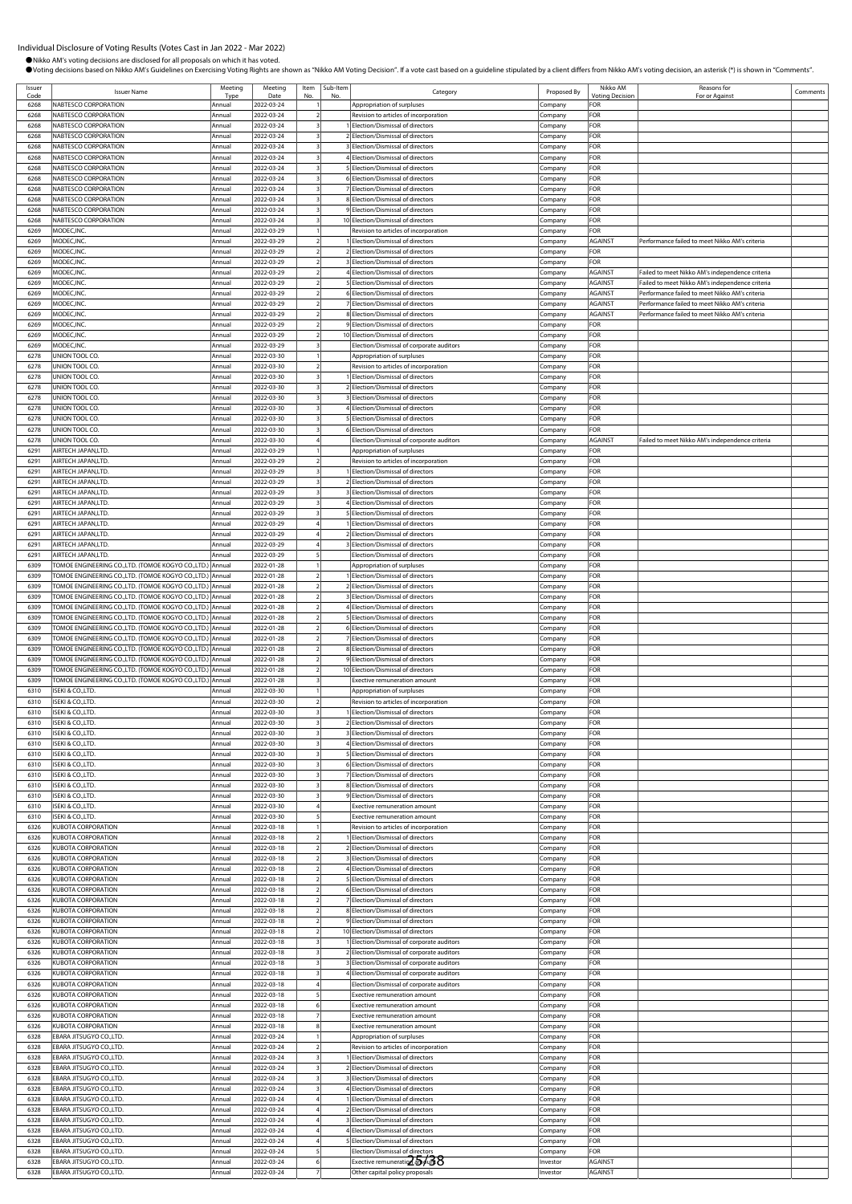| Issuer       | <b>Issuer Name</b>                                                                                            | Meeting<br>Tyn   | Meeting                  | Item | Sub-Item | Category                                                                         | Proposed By        | Nikko AM                      | Reasons for                                                                                       | Comments |
|--------------|---------------------------------------------------------------------------------------------------------------|------------------|--------------------------|------|----------|----------------------------------------------------------------------------------|--------------------|-------------------------------|---------------------------------------------------------------------------------------------------|----------|
| Code<br>6268 | NABTESCO CORPORATION                                                                                          | Annual           | Date<br>2022-03-24       | No   |          | Appropriation of surpluses                                                       | .ompany            | <b>Voting Decision</b><br>FOR | For or Against                                                                                    |          |
| 6268         | NARTESCO CORPORATION                                                                                          | Annual           | 2022-03-24               |      |          | Revision to articles of incorporation                                            | Company            | FOR                           |                                                                                                   |          |
| 6268         | NABTESCO CORPORATION                                                                                          | Annual           | 2022-03-24               |      |          | 1 Election/Dismissal of directors                                                | Company            | FOR                           |                                                                                                   |          |
| 6268         | NABTESCO CORPORATION                                                                                          | Annual           | 2022-03-24               |      |          | 2 Election/Dismissal of directors                                                | Company            | FOR                           |                                                                                                   |          |
| 6268<br>6268 | NABTESCO CORPORATION<br>NABTESCO CORPORATION                                                                  | Annual<br>Annual | 2022-03-24<br>2022-03-24 |      |          | 3 Election/Dismissal of directors<br>4 Election/Dismissal of directors           | Company<br>Company | FOR<br>FOR                    |                                                                                                   |          |
| 6268         | NABTESCO CORPORATION                                                                                          | Annua            | 2022-03-24               |      |          | 5 Election/Dismissal of directors                                                | Company            | FOR                           |                                                                                                   |          |
| 6268         | NABTESCO CORPORATION                                                                                          | Annual           | 2022-03-24               |      |          | 6 Election/Dismissal of directors                                                | :ompany            | FOR                           |                                                                                                   |          |
| 6268         | NABTESCO CORPORATION                                                                                          | Annual           | 2022-03-24               |      |          | 7 Election/Dismissal of directors                                                | .ompany            | FOR                           |                                                                                                   |          |
| 6268<br>6268 | NABTESCO CORPORATION<br>NABTESCO CORPORATION                                                                  | Annua<br>Annual  | 2022-03-24<br>2022-03-24 |      |          | 8 Election/Dismissal of directors<br>9 Election/Dismissal of directors           | .ompany            | FOR<br>FOR                    |                                                                                                   |          |
| 6268         | NABTESCO CORPORATION                                                                                          | Annua            | 2022-03-24               |      |          | 10 Election/Dismissal of directors                                               | Company<br>:ompany | FOR                           |                                                                                                   |          |
| 6269         | MODEC, INC.                                                                                                   | Annual           | 2022-03-29               |      |          | Revision to articles of incorporation                                            | Company            | FOR                           |                                                                                                   |          |
| 6269         | MODEC, INC.                                                                                                   | Annua            | 2022-03-29               |      |          | 1 Election/Dismissal of directors                                                | Company            | <b>AGAINST</b>                | Performance failed to meet Nikko AM's criteria                                                    |          |
| 6269         | MODEC, INC                                                                                                    | Annua            | 2022-03-29               |      |          | 2 Election/Dismissal of directors                                                | Company            | FOR                           |                                                                                                   |          |
| 6269         | MODEC, INC                                                                                                    | Annual           | 2022-03-29               |      |          | <b>BElection/Dismissal of directors</b>                                          | .ompany            | FOR                           |                                                                                                   |          |
| 6269<br>6269 | MODEC, INC<br>MODEC, INC.                                                                                     | Annual<br>Annual | 2022-03-29<br>2022-03-29 |      |          | 4 Election/Dismissal of directors<br>5 Election/Dismissal of directors           | ompany<br>Company  | AGAINST<br><b>AGAINST</b>     | Failed to meet Nikko AM's independence criteria<br>ailed to meet Nikko AM's independence criteria |          |
| 6269         | MODEC, INC.                                                                                                   | Annua            | 2022-03-29               |      |          | 6 Election/Dismissal of directors                                                | Company            | AGAINST                       | Performance failed to meet Nikko AM's criteria                                                    |          |
| 6269         | MODEC, INC.                                                                                                   | Annual           | 2022-03-29               |      |          | 7 Election/Dismissal of directors                                                | Company            | AGAINST                       | Performance failed to meet Nikko AM's criteria                                                    |          |
| 6269         | MODEC, INC                                                                                                    | Annua            | 2022-03-29               |      |          | 8 Election/Dismissal of directors                                                | Company            | <b>AGAINST</b>                | Performance failed to meet Nikko AM's criteria                                                    |          |
| 6269         | MODEC, INC.                                                                                                   | Annual           | 2022-03-29               |      |          | 9 Election/Dismissal of directors                                                | Company            | FOR                           |                                                                                                   |          |
| 6269<br>6269 | MODEC, INC<br>MODEC, INC.                                                                                     | Annua<br>Annua   | 2022-03-29<br>2022-03-29 |      |          | 10 Election/Dismissal of directors<br>Election/Dismissal of corporate auditors   | Company<br>ompany  | FOR<br>FOR                    |                                                                                                   |          |
| 6278         | UNION TOOL CO.                                                                                                | Annual           | 2022-03-30               |      |          | Appropriation of surpluses                                                       | ompany.            | FOR                           |                                                                                                   |          |
| 6278         | UNION TOOL CO.                                                                                                | Annua            | 2022-03-30               |      |          | Revision to articles of incorporation                                            | .ompany            | FOR                           |                                                                                                   |          |
| 6278         | UNION TOOL CO.                                                                                                | Annual           | 2022-03-30               |      |          | Election/Dismissal of directors                                                  | Company            | FOR                           |                                                                                                   |          |
| 6278         | UNION TOOL CO.                                                                                                | Annua            | 2022-03-30               |      |          | 2 Election/Dismissal of directors                                                | Company            | FOR                           |                                                                                                   |          |
| 6278<br>6278 | UNION TOOL CO.<br>UNION TOOL CO.                                                                              | Annual<br>Annua  | 2022-03-30<br>2022-03-30 |      |          | 3 Election/Dismissal of directors<br>4 Election/Dismissal of directors           | ompany:            | <b>OR</b><br>FOR              |                                                                                                   |          |
| 6278         | UNION TOOL CO.                                                                                                | Annual           | 2022-03-30               |      |          | 5 Election/Dismissal of directors                                                | .ompany<br>Company | FOR                           |                                                                                                   |          |
| 6278         | UNION TOOL CO.                                                                                                | Annual           | 2022-03-30               |      |          | 6 Election/Dismissal of directors                                                | Company            | FOR                           |                                                                                                   |          |
| 6278         | UNION TOOL CO.                                                                                                | Annua            | 2022-03-30               |      |          | Election/Dismissal of corporate auditors                                         | ompany             | AGAINST                       | Failed to meet Nikko AM's independence criteria                                                   |          |
| 6291         | AIRTECH JAPAN,LTD                                                                                             | Annual           | 2022-03-29               |      |          | Appropriation of surpluses                                                       | .ompany            | FOR                           |                                                                                                   |          |
| 6291         | AIRTECH JAPAN,LTD.                                                                                            | Annua            | 2022-03-29               |      |          | Revision to articles of incorporation                                            | .ompany            | FOR                           |                                                                                                   |          |
| 6291<br>6291 | AIRTECH JAPAN,LTD.<br>AIRTECH JAPAN,LTD.                                                                      | Annua<br>Annua   | 2022-03-29<br>2022-03-29 |      |          | Election/Dismissal of directors<br>2 Election/Dismissal of directors             | Company<br>:ompany | FOR<br>FOR                    |                                                                                                   |          |
| 6291         | AIRTECH JAPAN,LTD.                                                                                            | Annual           | 2022-03-29               |      |          | 3 Election/Dismissal of directors                                                | Company            | FOR                           |                                                                                                   |          |
| 6291         | AIRTECH JAPAN,LTD                                                                                             | Annua            | 2022-03-29               |      |          | 4 Election/Dismissal of directors                                                | Company            | FOR                           |                                                                                                   |          |
| 6291         | AIRTECH JAPAN,LTD.                                                                                            | Annual           | 2022-03-29               |      |          | 5 Election/Dismissal of directors                                                | Company            | FOR                           |                                                                                                   |          |
| 6291         | AIRTECH JAPAN,LTD.                                                                                            | Annual           | 2022-03-29               |      |          | Election/Dismissal of directors                                                  | :ompany            | FOR                           |                                                                                                   |          |
| 6291<br>6291 | AIRTECH JAPAN,LTD.<br>AIRTECH JAPAN,LTD.                                                                      | Annua<br>Annual  | 2022-03-29<br>2022-03-29 |      |          | 2 Election/Dismissal of directors                                                | :ompany            | FOR<br>FOR                    |                                                                                                   |          |
| 6291         | AIRTECH JAPAN,LTD.                                                                                            | Annua            | 2022-03-29               |      |          | <b>BElection/Dismissal of directors</b><br>Election/Dismissal of directors       | .ompany<br>.ompany | FOR                           |                                                                                                   |          |
| 6309         | TOMOE ENGINEERING CO.,LTD. (TOMOE KOGYO CO.,LTD.)                                                             | Annual           | 2022-01-28               |      |          | Appropriation of surpluses                                                       | Company            | FOR                           |                                                                                                   |          |
| 6309         | TOMOE ENGINEERING CO.,LTD. (TOMOE KOGYO CO.,LTD.)                                                             | Annual           | 2022-01-28               |      |          | 1 Election/Dismissal of directors                                                | :ompany            | FOR                           |                                                                                                   |          |
| 6309         | TOMOE ENGINEERING CO.,LTD. (TOMOE KOGYO CO.,LTD.)                                                             | Annual           | 2022-01-28               |      |          | 2 Election/Dismissal of directors                                                | Company            | FOR                           |                                                                                                   |          |
| 6309         | TOMOE ENGINEERING CO.,LTD. (TOMOE KOGYO CO.,LTD.)                                                             | Annual           | 2022-01-28               |      |          | 3 Election/Dismissal of directors                                                | .cmpany            | FOR                           |                                                                                                   |          |
| 6309<br>6309 | TOMOE ENGINEERING CO.,LTD. (TOMOE KOGYO CO.,LTD.)<br>TOMOE ENGINEERING CO.,LTD. (TOMOE KOGYO CO.,LTD.) Annual | Annual           | 2022-01-28<br>2022-01-28 |      |          | 4 Election/Dismissal of directors<br>5 Election/Dismissal of directors           | :ompany<br>`ompany | FOR<br>FOR                    |                                                                                                   |          |
| 6309         | TOMOE ENGINEERING CO.,LTD. (TOMOE KOGYO CO.,LTD.)                                                             | Annual           | 2022-01-28               |      |          | 6 Election/Dismissal of directors                                                | ompany             | FOR                           |                                                                                                   |          |
| 6309         | TOMOE ENGINEERING CO.,LTD. (TOMOE KOGYO CO.,LTD.) Annual                                                      |                  | 2022-01-28               |      |          | 7 Election/Dismissal of directors                                                | .ompany            | FOR                           |                                                                                                   |          |
| 6309         | TOMOE ENGINEERING CO.,LTD. (TOMOE KOGYO CO.,LTD.)                                                             | Annua            | 2022-01-28               |      |          | 8 Election/Dismissal of directors                                                | .ompany            | FOR                           |                                                                                                   |          |
| 6309         | TOMOE ENGINEERING CO.,LTD. (TOMOE KOGYO CO.,LTD.) Annual                                                      |                  | 2022-01-28               |      |          | 9 Election/Dismissal of directors                                                | Company            | FOR                           |                                                                                                   |          |
| 6309<br>6309 | TOMOE ENGINEERING CO.,LTD. (TOMOE KOGYO CO.,LTD.)<br>TOMOE ENGINEERING CO.,LTD. (TOMOE KOGYO CO.,LTD.) Annual | Annual           | 2022-01-28<br>2022-01-28 |      |          | 10 Election/Dismissal of directors<br>Exective remuneration amount               | .ompany<br>Company | FOR<br>FOR                    |                                                                                                   |          |
| 6310         | ISEKI & CO.,LTD.                                                                                              | Annual           | 2022-03-30               |      |          | Appropriation of surpluses                                                       | ompany:            | FOR                           |                                                                                                   |          |
| 6310         | ISEKI & CO., LTD.                                                                                             | Annual           | 2022-03-30               |      |          | Revision to articles of incorporation                                            | ompany             | FOR                           |                                                                                                   |          |
| 6310         | ISEKI & CO.,LTD.                                                                                              | Annual           | 2022-03-30               |      |          | Election/Dismissal of directors                                                  | ompany:            | FOR                           |                                                                                                   |          |
| 6310         | <b>ISEKI &amp; CO.,LTD</b>                                                                                    |                  | 2022-03-30               |      |          | <b>Flection/Dismissal of direction</b>                                           |                    | OR:                           |                                                                                                   |          |
| 6310<br>6310 | ISEKI & CO., LTD.<br>ISEKI & CO., LTD.                                                                        | Annual<br>Annual | 2022-03-30<br>2022-03-30 |      |          | <b>BElection/Dismissal of directors</b><br>4 Election/Dismissal of directors     | Company<br>Company | FOR<br>FOR                    |                                                                                                   |          |
| 6310         | ISEKI & CO., LTD.                                                                                             | Annual           | 2022-03-30               |      |          | 5 Election/Dismissal of directors                                                | Company            | FOR                           |                                                                                                   |          |
| 6310         | ISEKI & CO., LTD.                                                                                             | Annual           | 2022-03-30               |      |          | 6 Election/Dismissal of directors                                                | Company            | FOR                           |                                                                                                   |          |
| 6310         | ISEKI & CO., LTD.                                                                                             | Annual           | 2022-03-30               |      |          | 7 Election/Dismissal of directors                                                | Company            | FOR                           |                                                                                                   |          |
| 6310         | ISEKI & CO., LTD.                                                                                             | Annual           | 2022-03-30               |      |          | 8 Election/Dismissal of directors                                                | .ompany            | FOR                           |                                                                                                   |          |
| 6310<br>6310 | ISEKI & CO., LTD.<br>ISEKI & CO., LTD.                                                                        | Annual<br>Annual | 2022-03-30<br>2022-03-30 |      |          | 9 Election/Dismissal of directors<br><b>Exective remuneration amount</b>         | :ompany            | FOR<br>FOR                    |                                                                                                   |          |
| 6310         | ISEKI & CO., LTD.                                                                                             | Annua            | 2022-03-30               |      |          | Exective remuneration amount                                                     | Company<br>.ompany | FOR                           |                                                                                                   |          |
| 6326         | <b>KUBOTA CORPORATION</b>                                                                                     | Annual           | 2022-03-18               |      |          | Revision to articles of incorporation                                            | Company            | FOR                           |                                                                                                   |          |
| 6326         | <b>KUBOTA CORPORATION</b>                                                                                     | Annual           | 2022-03-18               |      |          | 1 Election/Dismissal of directors                                                | Company            | FOR                           |                                                                                                   |          |
| 6326         | <b>KUBOTA CORPORATION</b>                                                                                     | Annual           | 2022-03-18               |      |          | 2 Election/Dismissal of directors                                                | Company            | FOR                           |                                                                                                   |          |
| 6326<br>6326 | <b>KUBOTA CORPORATION</b><br>KUBOTA CORPORATION                                                               | Annual<br>Annual | 2022-03-18<br>2022-03-18 |      |          | 3 Election/Dismissal of directors<br>4 Election/Dismissal of directors           | Company<br>Company | FOR<br><b>OR</b>              |                                                                                                   |          |
| 6326         | <b>KUBOTA CORPORATION</b>                                                                                     | Annual           | 2022-03-18               |      |          | 5 Election/Dismissal of directors                                                | .ompany            | FOR                           |                                                                                                   |          |
| 6326         | <b>KUBOTA CORPORATION</b>                                                                                     | Annua            | 2022-03-18               |      |          | 6 Election/Dismissal of directors                                                | .ompany            | FOR                           |                                                                                                   |          |
| 6326         | <b>KUBOTA CORPORATION</b>                                                                                     | Annual           | 2022-03-18               |      |          | 7 Election/Dismissal of directors                                                | Company            | FOR                           |                                                                                                   |          |
| 6326         | <b>KUBOTA CORPORATION</b>                                                                                     | Annual           | 2022-03-18               |      |          | 8 Election/Dismissal of directors                                                | .ompany            | FOR                           |                                                                                                   |          |
| 6326<br>6326 | KUBOTA CORPORATION                                                                                            | Annual<br>Annual | 2022-03-18               |      |          | 9 Election/Dismissal of directors                                                | :ompany            | FOR<br>FOR                    |                                                                                                   |          |
| 6326         | <b>KUBOTA CORPORATION</b><br><b>KUBOTA CORPORATION</b>                                                        | Annual           | 2022-03-18<br>2022-03-18 |      |          | 10 Election/Dismissal of directors<br>1 Election/Dismissal of corporate auditors | ompany.<br>Company | FOR                           |                                                                                                   |          |
| 6326         | <b>KUBOTA CORPORATION</b>                                                                                     | Annual           | 2022-03-18               |      |          | 2 Election/Dismissal of corporate auditors                                       | Company            | FOR                           |                                                                                                   |          |
| 6326         | <b>KUBOTA CORPORATION</b>                                                                                     | Annua            | 2022-03-18               |      |          | 3 Election/Dismissal of corporate auditors                                       | company.           | FOR                           |                                                                                                   |          |
| 6326         | KUBOTA CORPORATION                                                                                            | Annual           | 2022-03-18               |      |          | 4 Election/Dismissal of corporate auditors                                       | ompany.            | FOR                           |                                                                                                   |          |
| 6326         | KUBOTA CORPORATION<br><b>KUBOTA CORPORATION</b>                                                               | Annual           | 2022-03-18               |      |          | Election/Dismissal of corporate auditors                                         | Company            | FOR                           |                                                                                                   |          |
| 6326<br>6326 | <b>KUBOTA CORPORATION</b>                                                                                     | Annual<br>Annual | 2022-03-18<br>2022-03-18 |      |          | Exective remuneration amount<br>Exective remuneration amount                     | Company<br>Company | FOR<br>FOR                    |                                                                                                   |          |
| 6326         | <b>KUBOTA CORPORATION</b>                                                                                     | Annual           | 2022-03-18               |      |          | <b>Exective remuneration amount</b>                                              | Company            | FOR                           |                                                                                                   |          |
| 6326         | <b>KUBOTA CORPORATION</b>                                                                                     | Annual           | 2022-03-18               |      |          | Exective remuneration amount                                                     | .ompany            | FOR                           |                                                                                                   |          |
| 6328         | EBARA JITSUGYO CO.,LTD.                                                                                       | Annual           | 2022-03-24               |      |          | Appropriation of surpluses                                                       | Company            | FOR                           |                                                                                                   |          |
| 6328         | EBARA JITSUGYO CO.,LTD.                                                                                       | Annual           | 2022-03-24               |      |          | Revision to articles of incorporation                                            | .ompany            | FOR                           |                                                                                                   |          |
| 6328<br>6328 | EBARA JITSUGYO CO.,LTD.<br>EBARA JITSUGYO CO.,LTD.                                                            | Annua<br>Annua   | 2022-03-24<br>2022-03-24 |      |          | 1 Election/Dismissal of directors<br>2 Election/Dismissal of directors           | ompany.<br>ompany. | FOR<br>FOR                    |                                                                                                   |          |
| 6328         | EBARA JITSUGYO CO.,LTD.                                                                                       | Annua            | 2022-03-24               |      |          | 3 Election/Dismissal of directors                                                | Company            | FOR                           |                                                                                                   |          |
| 6328         | EBARA JITSUGYO CO.,LTD.                                                                                       | Annual           | 2022-03-24               |      |          | 4 Election/Dismissal of directors                                                | Company            | FOR                           |                                                                                                   |          |
| 6328         | EBARA JITSUGYO CO.,LTD.                                                                                       | Annual           | 2022-03-24               |      |          | 1 Election/Dismissal of directors                                                | :ompany            | FOR                           |                                                                                                   |          |
| 6328         | EBARA JITSUGYO CO.,LTD.                                                                                       | Annual           | 2022-03-24               |      |          | 2 Election/Dismissal of directors                                                | Company            | FOR                           |                                                                                                   |          |
| 6328<br>6328 | EBARA JITSUGYO CO.,LTD.<br>EBARA JITSUGYO CO.,LTD.                                                            | Annual<br>Annual | 2022-03-24<br>2022-03-24 |      |          | 3 Election/Dismissal of directors<br>4 Election/Dismissal of directors           | ompany.<br>Company | FOR<br>FOR                    |                                                                                                   |          |
| 6328         | EBARA JITSUGYO CO.,LTD.                                                                                       | Annual           | 2022-03-24               |      |          | 5 Election/Dismissal of directors                                                | :ompany            | FOR                           |                                                                                                   |          |
| 6328         | EBARA JITSUGYO CO.,LTD.                                                                                       | Annua            | 2022-03-24               |      |          | Election/Dismissal of directors                                                  | ompany             | FOR                           |                                                                                                   |          |
| 6328         | EBARA JITSUGYO CO.,LTD.                                                                                       | Annual           | 2022-03-24               |      |          | Exective remuneration and to 6                                                   | nvestor            | <b>AGAINST</b>                |                                                                                                   |          |
| 6328         | EBARA JITSUGYO CO.,LTD.                                                                                       | Annual           | 2022-03-24               |      |          | Other capital policy proposals                                                   | nvestor            | <b>AGAINST</b>                |                                                                                                   |          |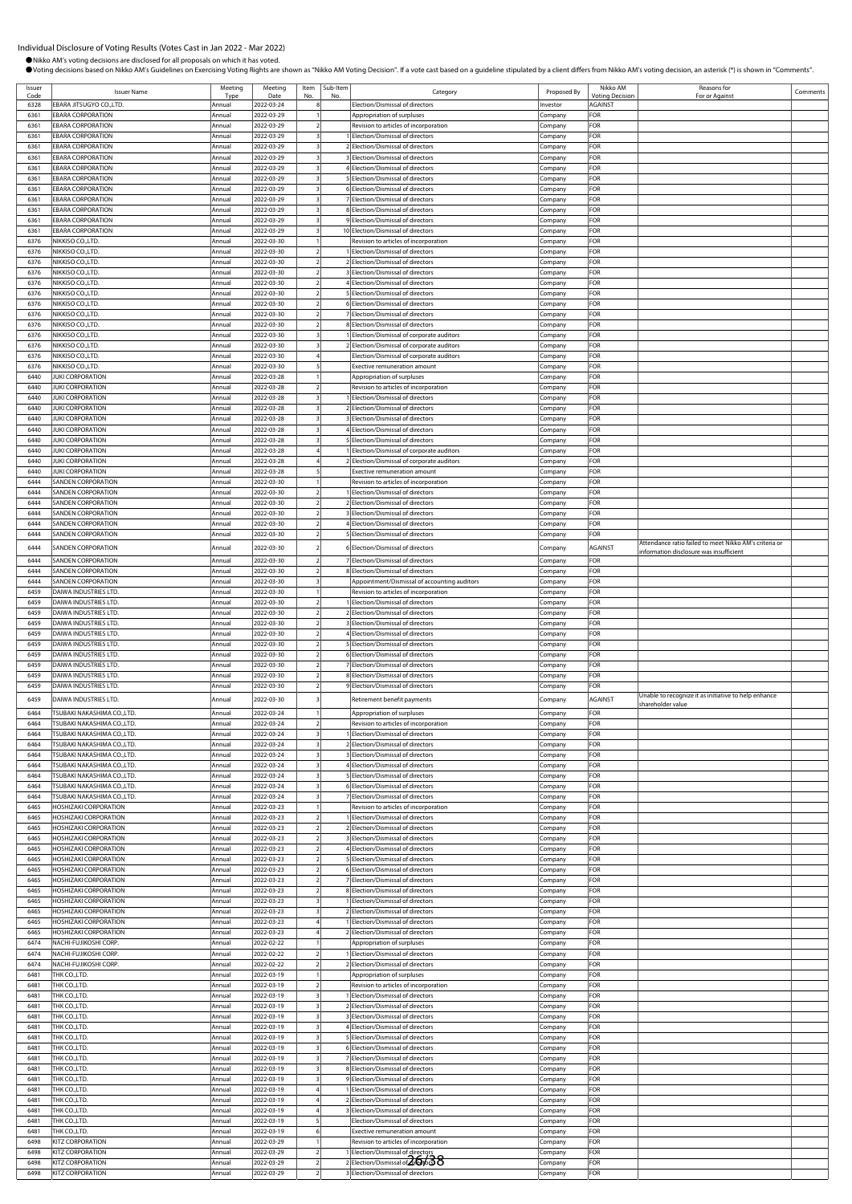●Nikko AM's voting decisions are disclosed for all proposals on which it has voted.<br>●Voting decisions based on Nikko AM's Guidelines on Exercising Voting Rights are shown as "Nikko AM Voting Decision". If a vote cast base

Sub-Item

| Issuer       | <b>Issuer Name</b>                                    | Meeting          | Meeting                  | Item<br>No               | Sub-Item<br>No | Category                                                               | Proposed By        | Nikko AM                   | Reasons for                                            | Comments |
|--------------|-------------------------------------------------------|------------------|--------------------------|--------------------------|----------------|------------------------------------------------------------------------|--------------------|----------------------------|--------------------------------------------------------|----------|
| 6328         | EBARA JITSUGYO CO.,LTD.                               | Type<br>Annual   | Date<br>2022-03-24       |                          |                | Election/Dismissal of directors                                        | Investor           | Votina Decision<br>AGAINST | For or Agains                                          |          |
| 6361         | <b>EBARA CORPORATION</b>                              | Annual           | 2022-03-29               |                          |                | Appropriation of surpluses                                             |                    | OR-                        |                                                        |          |
|              |                                                       |                  |                          |                          |                |                                                                        | Company            |                            |                                                        |          |
| 6361         | <b>EBARA CORPORATION</b>                              | Annual           | 2022-03-29               |                          |                | Revision to articles of incorporation                                  | Company            | FOR                        |                                                        |          |
| 6361         | <b>EBARA CORPORATION</b>                              | Annual           | 2022-03-29               |                          |                | Election/Dismissal of directors                                        | Company            | FOR                        |                                                        |          |
| 6361         | <b>EBARA CORPORATION</b>                              | Annual           | 2022-03-29               |                          |                | Election/Dismissal of directors                                        | Company            | FOR                        |                                                        |          |
| 6361         | <b>EBARA CORPORATION</b>                              | Annual           | 2022-03-29               |                          |                | Election/Dismissal of directors                                        | Company            | FOR                        |                                                        |          |
| 6361         | <b>EBARA CORPORATION</b>                              | Annual           | 2022-03-29               |                          |                | 4 Election/Dismissal of directors                                      | Company            | FOR                        |                                                        |          |
| 6361         | <b>EBARA CORPORATION</b>                              | Annual           | 2022-03-29               |                          |                | 5 Election/Dismissal of directors                                      | company.           | FOR                        |                                                        |          |
| 6361         | <b>EBARA CORPORATION</b>                              | Annual           | 2022-03-29               |                          |                | 6 Election/Dismissal of directors                                      | Company            | FOR                        |                                                        |          |
| 6361         | <b>EBARA CORPORATION</b>                              | Annual           | 2022-03-29               |                          |                | 7 Election/Dismissal of directors                                      | Company            | FOR                        |                                                        |          |
| 6361         | <b>EBARA CORPORATION</b>                              | Annual           | 2022-03-29               |                          |                | 8 Election/Dismissal of directors                                      | Company            | OR-                        |                                                        |          |
| 6361         | <b>EBARA CORPORATION</b>                              | Annual           | 2022-03-29               |                          |                | 9 Election/Dismissal of directors                                      | Company            | FOR                        |                                                        |          |
| 6361         | <b>EBARA CORPORATION</b>                              | Annual           | 2022-03-29               |                          |                | 10 Election/Dismissal of directors                                     | Company            | FOR                        |                                                        |          |
| 6376         | NIKKISO CO.,LTD.                                      | Annual           | 2022-03-30               |                          |                | Revision to articles of incorporation                                  | Company            | FOR                        |                                                        |          |
| 6376         | NIKKISO CO.,LTD.                                      | Annual           | 2022-03-30               |                          |                | Election/Dismissal of directors                                        | Company            | FOR                        |                                                        |          |
| 6376         | NIKKISO CO., LTD.                                     | Annual           | 2022-03-30               |                          |                | 2 Election/Dismissal of directors                                      | Company            | OR-                        |                                                        |          |
| 6376         | NIKKISO CO.,LTD.                                      | Annual           | 2022-03-30               |                          |                | 3 Election/Dismissal of directors                                      | .ompany            | FOR                        |                                                        |          |
| 6376         | NIKKISO CO., LTD.                                     | Annual           | 2022-03-30               |                          |                | Election/Dismissal of directors                                        | Company            | FOR                        |                                                        |          |
| 6376         | NIKKISO CO., LTD.                                     | Annual           | 2022-03-30               |                          |                | Election/Dismissal of directors                                        | Company            | FOR<br>OR                  |                                                        |          |
| 6376<br>6376 | <b>NIKKISO CO.,LTD.</b><br><b>NIKKISO CO.,LTD.</b>    | Annual<br>Annual | 2022-03-30<br>2022-03-30 | $\overline{\phantom{a}}$ |                | 6 Election/Dismissal of directors<br>7 Election/Dismissal of directors | Company            | FOR                        |                                                        |          |
| 6376         | NIKKISO CO.,LTD.                                      | Annual           | 2022-03-30               |                          |                | 8 Election/Dismissal of directors                                      | Company<br>Company | FOR                        |                                                        |          |
| 6376         | NIKKISO CO.,LTD.                                      | Annual           | 2022-03-30               |                          |                | Election/Dismissal of corporate auditors                               | Company            | FOR                        |                                                        |          |
| 6376         | NIKKISO CO.,LTD.                                      | Annual           | 2022-03-30               |                          |                | 2 Election/Dismissal of corporate auditors                             | Company            | FOR                        |                                                        |          |
| 6376         | NIKKISO CO.,LTD.                                      | Annual           | 2022-03-30               |                          |                | Election/Dismissal of corporate auditors                               | Company            | FOR                        |                                                        |          |
| 6376         | NIKKISO CO.,LTD.                                      | Annual           | 2022-03-30               |                          |                | Exective remuneration amount                                           | Company            | FOR                        |                                                        |          |
| 6440         | <b>JUKI CORPORATION</b>                               | Annual           | 2022-03-28               |                          |                | Appropriation of surpluses                                             | Company            | FOR                        |                                                        |          |
| 6440         | <b>JUKI CORPORATION</b>                               | Annual           | 2022-03-28               |                          |                | Revision to articles of incorporation                                  | Company            | OR-                        |                                                        |          |
| 6440         | <b>JUKI CORPORATION</b>                               | Annual           | 2022-03-28               |                          |                | Election/Dismissal of directors                                        | Company            | <b>OR</b>                  |                                                        |          |
| 6440         | <b>JUKI CORPORATION</b>                               | Annual           | 2022-03-28               | 3                        |                | 2 Election/Dismissal of directors                                      | Company            | FOR                        |                                                        |          |
| 6440         | <b>JUKI CORPORATION</b>                               | Annual           | 2022-03-28               |                          |                | 3 Election/Dismissal of directors                                      | Company            | FOR                        |                                                        |          |
| 6440         | <b>JUKI CORPORATION</b>                               | Annual           | 2022-03-28               |                          |                | Election/Dismissal of directors                                        | Company            | FOR                        |                                                        |          |
| 6440         | <b>JUKI CORPORATION</b>                               | Annual           | 2022-03-28               |                          |                | 5 Election/Dismissal of directors                                      | Company            | FOR                        |                                                        |          |
| 6440         | <b>JUKI CORPORATION</b>                               | Annual           | 2022-03-28               |                          |                | Election/Dismissal of corporate auditors                               | Company            | FOR                        |                                                        |          |
| 6440         | <b>JUKI CORPORATION</b>                               | Annual           | 2022-03-28               |                          |                | 2 Election/Dismissal of corporate auditors                             | Company            | FOR                        |                                                        |          |
| 6440         | <b>JUKI CORPORATION</b>                               | Annual           | 2022-03-28               |                          |                | <b>Exective remuneration amount</b>                                    | Company            | FOR                        |                                                        |          |
| 6444         | <b>SANDEN CORPORATION</b>                             | Annual           | 2022-03-30               |                          |                | Revision to articles of incorporation                                  | Company            | OR-                        |                                                        |          |
| 6444         | <b>SANDEN CORPORATION</b>                             | Annual           | 2022-03-30               |                          |                | Election/Dismissal of directors                                        | Company            | OR                         |                                                        |          |
| 6444         | <b>SANDEN CORPORATION</b>                             | Annual           | 2022-03-30               |                          |                | 2 Election/Dismissal of directors                                      | Company            | FOR                        |                                                        |          |
| 6444         | <b>SANDEN CORPORATION</b>                             | Annual           | 2022-03-30               |                          |                | Election/Dismissal of directors                                        | Company            | FOR                        |                                                        |          |
| 6444         | <b>SANDEN CORPORATION</b>                             | Annual           | 2022-03-30               |                          |                | Election/Dismissal of directors                                        | Company            | FOR                        |                                                        |          |
| 6444         | <b>SANDEN CORPORATION</b>                             | Annual           | 2022-03-30               |                          |                | 5 Election/Dismissal of directors                                      | Company            | FOR                        |                                                        |          |
| 6444         |                                                       |                  |                          |                          |                |                                                                        |                    |                            | Attendance ratio failed to meet Nikko AM's criteria or |          |
|              | <b>SANDEN CORPORATION</b>                             | Annual           | 2022-03-30               |                          |                | 6 Election/Dismissal of directors                                      | Company            | AGAINST                    | information disclosure was insufficient                |          |
| 6444         | <b>SANDEN CORPORATION</b>                             | Annual           | 2022-03-30               |                          |                | 7 Election/Dismissal of directors                                      | Company            | FOR                        |                                                        |          |
| 6444         | SANDEN CORPORATION                                    | Annual           | 2022-03-30               |                          |                | 8 Election/Dismissal of directors                                      | Company            | FOR                        |                                                        |          |
| 6444         | <b>SANDEN CORPORATION</b>                             | Annual           | 2022-03-30               |                          |                | Appointment/Dismissal of accounting auditors                           | Company            | FOR                        |                                                        |          |
| 6459         | DAIWA INDUSTRIES LTD.                                 | Annual           | 2022-03-30               |                          |                | Revision to articles of incorporation                                  | Company            | FOR                        |                                                        |          |
| 6459         | DAIWA INDUSTRIES LTD.                                 | Annual           | 2022-03-30               |                          |                | Election/Dismissal of directors                                        | .<br>ompany        | FOR                        |                                                        |          |
| 6459         | DAIWA INDUSTRIES LTD.                                 | Annual           | 2022-03-30               |                          |                | Election/Dismissal of directors                                        | Company            | OR-                        |                                                        |          |
| 6459         | DAIWA INDUSTRIES LTD                                  | Annual           | 2022-03-30               |                          |                | Election/Dismissal of directors                                        | Company            | FOR                        |                                                        |          |
| 6459         | DAIWA INDUSTRIES LTD.                                 | Annual           | 2022-03-30               |                          |                | Election/Dismissal of directors                                        | Company            | <b>OR</b>                  |                                                        |          |
| 6459         | DAIWA INDUSTRIES LTD.                                 | Annual           | 2022-03-30               |                          |                | 5 Election/Dismissal of directors                                      | Company            | FOR                        |                                                        |          |
| 6459         | DAIWA INDUSTRIES LTD.                                 | Annual           | 2022-03-30               |                          |                | 6 Election/Dismissal of directors                                      | Company            | FOR                        |                                                        |          |
| 6459         | DAIWA INDUSTRIES LTD.                                 | Annual           | 2022-03-30               |                          |                | 7 Election/Dismissal of directors                                      | Company            | FOR                        |                                                        |          |
| 6459         | DAIWA INDUSTRIES LTD.                                 | Annual           | 2022-03-30               |                          |                | 8 Election/Dismissal of directors                                      | :ompany            | FOR                        |                                                        |          |
| 6459         | DAIWA INDUSTRIES LTD.                                 | Annual           | 2022-03-30               |                          |                | 9 Election/Dismissal of directors                                      | Company            | FOR                        | Unable to recognize it as initiative to help enhance   |          |
| 6459         | DAIWA INDUSTRIES LTD.                                 | Annual           | 2022-03-30               |                          |                | Retirement benefit payments                                            | Company            | AGAINST                    | shareholder value                                      |          |
| 6464         | TSUBAKI NAKASHIMA CO.,LTD.                            | Annual           | 2022-03-24               |                          |                | Appropriation of surpluses                                             | Company            | FOR                        |                                                        |          |
| 6464         | TSUBAKI NAKASHIMA CO.,LTD.                            | Annual           | 2022-03-24               | $\overline{2}$           |                | Revision to articles of incorporation                                  | Company            | FOR                        |                                                        |          |
| 6464         | TSUBAKI NAKASHIMA CO.,LTD.                            | Annual           | 2022-03-24               | 3                        |                | 1 Election/Dismissal of directors                                      | Company            | FOR                        |                                                        |          |
| 6464         | TSUBAKI NAKASHIMA CO.,LTD.                            | Annual           | 2022-03-24               |                          |                | 2 Election/Dismissal of directors                                      | Company            | FOR                        |                                                        |          |
| 6464         | TSUBAKI NAKASHIMA CO.,LTD.                            | Annual           | 2022-03-24               |                          |                | 3 Election/Dismissal of directors                                      | Company            | FOR                        |                                                        |          |
| 6464         | TSUBAKI NAKASHIMA CO.,LTD.                            | Annual           | 2022-03-24               |                          |                | 4 Election/Dismissal of directors                                      | .cmpany            | FOR                        |                                                        |          |
| 6464         | TSUBAKI NAKASHIMA CO.,LTD.                            | Annual           | 2022-03-24               |                          |                | 5 Election/Dismissal of directors                                      | Company            | FOR                        |                                                        |          |
| 6464         | TSUBAKI NAKASHIMA CO.,LTD.                            | Annual           | 2022-03-24               |                          |                | 6 Election/Dismissal of directors                                      | Company            | FOR                        |                                                        |          |
| 6464         | TSUBAKI NAKASHIMA CO.,LTD.                            | Annual           | 2022-03-24               |                          |                | 7 Election/Dismissal of directors                                      | Company            | FOR                        |                                                        |          |
| 6465         | HOSHIZAKI CORPORATION                                 | Annual           | 2022-03-23               |                          |                | Revision to articles of incorporation                                  | Company            | FOR                        |                                                        |          |
| 6465         | <b>IOSHIZAKI CORPORATION</b>                          | Annual           | 2022-03-23               |                          |                | 1 Election/Dismissal of directors                                      | Company            | FOR                        |                                                        |          |
| 6465         | HOSHIZAKI CORPORATION                                 | Annual           | 2022-03-23               |                          |                | 2 Election/Dismissal of directors                                      | Company            | FOR                        |                                                        |          |
| 6465         | HOSHIZAKI CORPORATION                                 | Annual           | 2022-03-23               |                          |                | 3 Election/Dismissal of directors                                      | .cmpany            | FOR                        |                                                        |          |
| 6465         | HOSHIZAKI CORPORATION                                 | Annual           | 2022-03-23               |                          |                | 4 Election/Dismissal of directors                                      | Company            | FOR                        |                                                        |          |
| 6465         | HOSHIZAKI CORPORATION                                 | Annual           | 2022-03-23               |                          |                | 5 Election/Dismissal of directors                                      | Company            | FOR                        |                                                        |          |
| 6465         | HOSHIZAKI CORPORATION                                 | Annual           | 2022-03-23               | $\overline{\phantom{a}}$ |                | 6 Election/Dismissal of directors                                      | Company            | <b>OR</b>                  |                                                        |          |
| 6465<br>6465 | HOSHIZAKI CORPORATION<br><b>IOSHIZAKI CORPORATION</b> | Annual<br>Annual | 2022-03-23<br>2022-03-23 |                          |                | 7 Election/Dismissal of directors<br>8 Election/Dismissal of directors | Company<br>Company | FOR<br>FOR                 |                                                        |          |
| 6465         | HOSHIZAKI CORPORATION                                 | Annual           | 2022-03-23               | 3                        |                | 1 Election/Dismissal of directors                                      | Company            | FOR                        |                                                        |          |
| 6465         | <b>HOSHIZAKI CORPORATION</b>                          | Annual           | 2022-03-23               |                          |                | 2 Election/Dismissal of directors                                      | Company            | FOR                        |                                                        |          |
| 6465         | HOSHIZAKI CORPORATION                                 | Annual           | 2022-03-23               |                          |                | 1 Election/Dismissal of directors                                      | Company            | FOR                        |                                                        |          |
| 6465         | HOSHIZAKI CORPORATION                                 | Annual           | 2022-03-23               |                          |                | 2 Election/Dismissal of directors                                      | Company            | FOR                        |                                                        |          |
| 6474         | NACHI-FUJIKOSHI CORP.                                 | Annual           | 2022-02-22               |                          |                | Appropriation of surpluses                                             | Company            | FOR                        |                                                        |          |
| 6474         | NACHI-FUJIKOSHI CORP.                                 | Annual           | 2022-02-22               |                          |                | 1 Election/Dismissal of directors                                      | Company            | FOR                        |                                                        |          |
| 6474         | NACHI-FUJIKOSHI CORP.                                 | Annual           | 2022-02-22               |                          |                | 2 Election/Dismissal of directors                                      | Company            | FOR                        |                                                        |          |
| 6481         | THK CO., LTD.                                         | Annual           | 2022-03-19               |                          |                | Appropriation of surpluses                                             | Company            | FOR                        |                                                        |          |
| 6481         | THK CO.,LTD.                                          | Annual           | 2022-03-19               |                          |                | Revision to articles of incorporation                                  | Company            | FOR                        |                                                        |          |
| 6481         | THK CO., LTD.                                         | Annual           | 2022-03-19               | 3                        |                | 1 Election/Dismissal of directors                                      | Company            | FOR                        |                                                        |          |
| 6481         | THK CO.,LTD.                                          | Annual           | 2022-03-19               |                          |                | 2 Election/Dismissal of directors                                      | Company            | FOR                        |                                                        |          |
| 6481         | THK CO.,LTD.                                          | Annual           | 2022-03-19               | 3                        |                | 3 Election/Dismissal of directors                                      | Company            | FOR                        |                                                        |          |
| 6481         | THK CO., LTD.                                         | Annual           | 2022-03-19               |                          |                | 4 Election/Dismissal of directors                                      | Company            | FOR                        |                                                        |          |
| 6481         | THK CO., LTD.                                         | Annual           | 2022-03-19               | 3                        |                | 5 Election/Dismissal of directors                                      | Company            | FOR                        |                                                        |          |
| 6481         | THK CO.,LTD.                                          | Annual           | 2022-03-19               | 3                        |                | 6 Election/Dismissal of directors                                      | Company            | FOR                        |                                                        |          |
| 6481         | THK CO., LTD.                                         | Annual           | 2022-03-19               |                          |                | 7 Election/Dismissal of directors                                      | Company            | <b>OR</b>                  |                                                        |          |
| 6481         | THK CO., LTD.                                         | Annual           | 2022-03-19               | $\overline{\mathbf{3}}$  |                | 8 Election/Dismissal of directors                                      | Company            | FOR                        |                                                        |          |
| 6481         | THK CO.,LTD.                                          | Annual           | 2022-03-19               |                          |                | 9 Election/Dismissal of directors                                      | Company            | FOR                        |                                                        |          |
| 6481         | THK CO., LTD.                                         | Annual           | 2022-03-19               |                          |                | 1 Election/Dismissal of directors                                      | Company            | FOR                        |                                                        |          |
| 6481         | THK CO.,LTD.                                          | Annual           | 2022-03-19               |                          |                | 2 Election/Dismissal of directors                                      | Company            | FOR                        |                                                        |          |
| 6481         | THK CO., LTD.                                         | Annual           | 2022-03-19               |                          |                | 3 Election/Dismissal of directors                                      | Company            | FOR                        |                                                        |          |
| 6481         | THK CO., LTD.                                         | Annual           | 2022-03-19               |                          |                | Election/Dismissal of directors                                        | Company            | FOR                        |                                                        |          |
| 6481         | THK CO., LTD.                                         | Annual           | 2022-03-19               |                          |                | <b>Exective remuneration amount</b>                                    | Company            | FOR                        |                                                        |          |
| 6498         | <b>KITZ CORPORATION</b>                               | Annual           | 2022-03-29               |                          |                | Revision to articles of incorporation                                  | Company            | FOR                        |                                                        |          |

6498 KITZ CORPORATION Annual 2022-03-29 2 1 Election/Dismissal of directors Company FOR 6498 KITZ CORPORATION Annual 2022-03-29 2 2 Election/Dismissal of directors Company FOR 26/386498 KITZ CORPORATION Annual 2022-03-29 2 3 Election/Dismissal of directors Company FOR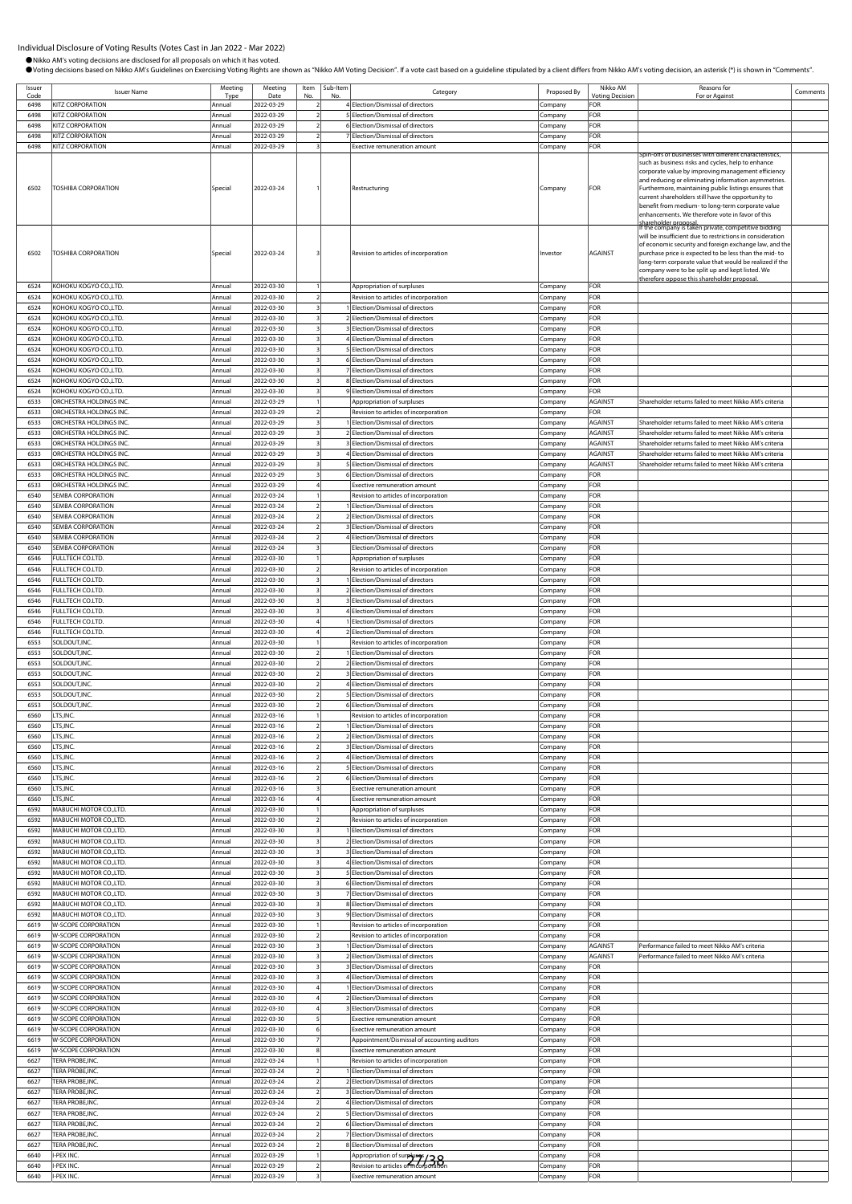Issuer

Issuer<br>
Code ISSuer Name<br>
Code ISTE CORPORATION

OVoting decisions based on Nikko AM's Guidelines on Exercising Voting Rights are shown as "Nikko AM Voting Decision". If a vote cast based on a guideline stipulated by a client differs from Nikko AM's voting decision, an a

b-Item<br>No. No. Regory Category Proposed By Nikko AM

oting Deci

Reasons for

Reasons for<br>For or Against Comment

●Nikko AM's voting decisions are disclosed for all proposals on which it has voted.

ing

Item No. Sub-Ite<br>No.

Date

Type

6498 KITZ CORPORATION Annual 2022-03-29 2 4 Election/Dismissal of directors Company FOR 5 Election/Dismissal of director 6498 KITZ CORPORATION Annual 2022-03-29 2 6 Election/Dismissal of directors Company FOR 6498 KITZ CORPORATION **Annual 2022-03-29 2** 7 Election/Dismissal of directors **Company FOR** 6498 KITZ CORPORATION Annual 2022-03-29 3 Exective remuneration amount Company FOR 6502 TOSHIBA CORPORATION **Special** Special 2022-03-24 1 Restructuring Company Company FOR Spin-offs of businesses with different characteristics, such as business risks and cycles, help to enhance corporate value by improving management efficiency and reducing or eliminating information asymmetries. Furthermore, maintaining public listings ensures that current shareholders still have the opportunity to benefit from medium- to long-term corporate value nhancements. We therefore vote in favor of this shareholder proposal. If the company is taken private, competitive bidding 6502 TOSHIBA CORPORATION Special 2022-03-24 3 Revision to articles of incorporation Investor AGAINST will be insufficient due to restrictions in consideration of economic security and foreign exchange law, and the purchase price is expected to be less than the mid- to ong-term corporate value that would be realized if the company were to be split up and kept listed. We erefore oppose this shareholder proposed 6524 KOHOKU KOGYO CO.,LTD. Annual 2022-03-30 1 Appropriation of surpluses Company FOR 6524 KOHOKU KOGYO CO.,LTD. Annual 2022-03-30 2 Revision to articles of incorporation Company FOR 6524 KOHOKU KOGYO CO.,LTD. Annual 2022-03-30 3 1 Election/Dismissal of directors Company FOR 6524 KOHOKU KOGYO CO.,LTD. **Annual 2022-03-30** 3 2 Election/Dismissal of directors Company FOR 6524 KOHOKU KOGYO CO.,LTD. Annual 2022-03-30 3 Election/Dismissal of directors Company 6524 KOHOKU KOGYO CO.,LTD. Annual 2022-03-30 3 4 Election/Dismissal of directors Company FOR 6524 KOHOKU KOGYO CO.,LTD. Annual 2022-03-30 3 5 Election/Dismissal of directors Company 6524 KOHOKU KOGYO CO.,LTD. Annual 2022-03-30 3 6 Election/Dismissal of directors Company FOR 6524 KOHOKU KOGYO CO.,LTD. **Annual 2022-03-30** 3 7 Election/Dismissal of directors Company FOR 6524 KOHOKU KOGYO CO.,LTD. Annual 2022-03-30 3 8 Election/Dismissal of directors Company FOR 6524 KOHOKU KOGYO CO.,LTD. Annual 2022-03-30 3 9 Election/Dismissal of directors Company FOR 6533 ORCHESTRA HOLDINGS INC. Annual 2022-03-29 1 Appropriation of surpluses Company AGAINST Shareholder returns failed to meet Nikko AM's criteria 6533 ORCHESTRA HOLDINGS INC. Annual 2022-03-29 2 Revision to articles of incorporation Company FOR Example of the State of Annual 2022-03-29 3 1 Election/Dismissal of directors Company AGAINST Shareholder returns failed to meet Nikko AM's criteria<br>Annual 2022-03-29 3 2 Election/Dismissal of directors Company AGAINST Sha ns failed to meet Nikko AM's crit 6533 ORCHESTRA HOLDINGS INC. Annual 2022-03-29 3 3 Election/Dismissal of directors Company AGAINST Shareholder returns failed to meet Nikko AM's criteria 6533 ORCHESTRA HOLDINGS INC. Annual 2022-03-29 3 4 Election/Dismissal of directors Company AGAINST Shareholder returns failed to meet Nikko AM's criteria 6533 ORCHESTRA HOLDINGS INC. Annual 2022-03-29 3 5 Election/Dismissal of directors Company AGAINST Shareholder returns failed to meet Nikko AM's criteria 6533 ORCHESTRA HOLDINGS INC. **Annual 2022-03-29** 3 6 Election/Dismissal of directors Company FOR 6533 ORCHESTRA HOLDINGS INC. **Annual 2022-03-29** 4 Exective remuneration amount Company 6540 SEMBA CORPORATION Annual 2022-03-24 1 Revision to articles of incorporation Company FOR 6540 SEMBA CORPORATION Annual 2022-03-24 2 1 Election/Dismissal of directors Company FOR 6540 SEMBA CORPORATION **Annual 2022-03-24 2** 2 2 2 2 2 2 2 2 2 2 2 2 2 Election/Dismissal of directors **Company** FOR 6540 SEMBA CORPORATION Annual 2022-03-24 2 3 Election/Dismissal of directors Company FOR ection/Dismissal of directors **Company** FOR 6540 SEMBA CORPORATION **Annual** 2022-03-24 3 Election/Dismissal of directors Company FOR 6546 FULLTECH CO.LTD. **Annual 2022-03-30** 1 1 Appropriation of surpluses Company FOR 6546 FULLTECH CO.LTD. Annual 2022-03-30 2 Revision to articles of incorporation Company FOR 6546 FULLTECH CO.LTD. Annual 2022-03-30 3 1 Election/Dismissal of directors Company FOR 6546 FULLTECH CO.LTD. Company Company Annual 2022-03-30 3 2 Election/Dismissal of directors Company 6546 FULLTECH CO.LTD. Annual 2022-03-30 3 3 Election/Dismissal of directors Company FOR 6546 FULLTECH CO.LTD. Annual 2022-03-30 3 4 Election/Dismissal of directors Company FOR 6546 FULLTECH CO.LTD. Annual 2022-03-30 4 1 Election/Dismissal of directors Company FOR 6546 FULLTECH CO.LTD. Annual 2022-03-30 4 2 Election/Dismissal of directors Company FOR 6553 SOLDOUT,INC. **Annual 2022-03-30** 1 Revision to articles of incorporation Company 6553 SOLDOUT,INC. Annual 2022-03-30 2 1 Election/Dismissal of directors Company FOR 6553 SOLDOUT,INC. Annual 2022-03-30 2 2 Election/Dismissal of directors Company FOR 6553 SOLDOUT, INC. COMPANY Annual 2022-03-30 2 3 Election/Dismissal of directors Company 6553 SOLDOUT,INC. Annual 2022-03-30 2 4 Election/Dismissal of directors Company FOR 6553 SOLDOUT,INC. Annual 2022-03-30 2 5 Election/Dismissal of directors Company FOR 6553 SOLDOUT, INC. COMPANY COMPANY COMPANY Annual 2022-03-30 2 6 Election/Dismissal of directors Company FOR 6560 LTS,INC. COMPANY COMPANY COMPANY COMPANY COMPANY COMPANY COMPANY COMPANY COMPANY COMPANY COMPANY FOR COMPANY COMPANY FOR ANNUAL 2002-03-16 2 1 Election/Dismissal of directors Company FOR **Election/Dismissal of directors** 6560 LTS,INC. Charles Company Company Annual 2022-03-16 2 2 Election/Dismissal of directors Company FOR Example 1.15, NC. Company FOR Annual 2022-03-16 2 3 Election/Dismissal of directors Company FOR Company FOR Company FOR Annual 2022-03-16 2 4 Election/Dismissal of directors Company FOR Annual 2022-03-16 2 4<br>Company 6560 LTS,INC. COMPANY COMPANY COMPANY COMPANY Annual 2022-03-16 2 5 Election/Dismissal of directors Company FOR 6560 LTS,INC. Annual 2022-03-16 2 6 Election/Dismissal of directors Company FOR 6560 LTS,INC. Annual 2022-03-16 3 Exective remuneration amount Company FOR 6560 LTS,INC. Company FOR Annual 2022-03-16 4 Exective remuneration amount Company FOR<br>6592 MABUCHI MOTOR CO.LTD. Annual 2022-03-30 1 Appropriation of surpluses Company FOR MABUCHI MOTOR CO.,LTD. **Annual 2022-03-30** 1 **Appropriation of surpluses** Company 6592 MABUCHI MOTOR CO.,LTD. Annual 2022-03-30 2 Revision to articles of inc 6592 MABUCHI MOTOR CO.,LTD. **Annual 2022-03-30** 3 1 Election/Dismissal of directors Company 6592 MABUCHI MOTOR CO.,LTD. Annual 2022-03-30 3 2 Election/Dismissal of directors Company FOR 6592 MABUCHI MOTOR CO.,LTD. **Annual 2022-03-30** 3 3 **3** Election/Dismissal of directors Company **FOR** 6592 MABUCHI MOTOR CO.,LTD. **Annual 2022-03-30** 3 4 Election/Dismissal of directors Company FOR 6592 MABUCHI MOTOR CO.,LTD. Annual 2022-03-30 3 5 Election/Dismissal of directors Company FOR 6592 MABUCHI MOTOR CO.,LTD. Annual 2022-03-30 3 6 Election/Dismissal of directors Company FOR 6592 MABUCHI MOTOR CO.,LTD. **Annual 2022-03-30** 3 7 Election/Dismissal of directors Company FOR 6592 MABUCHI MOTOR CO.,LTD. Annual 2022-03-30 3 8 Election/Dismissal of directors Company FOR 9 Election/Dismissal of directors 6619 W-SCOPE CORPORATION Annual 2022-03-30 1 Revision to articles of incorporation Company FOR 6619 W-SCOPE CORPORATION Annual 2022-03-30 2 Revision to articles of incorporation Company FOR 1661 | Sie et in the corporation of directors Company AGAINST Performance failed to meet Nikko AM's criterial 2023-03-30 | Company AGAINST Performance failed to meet Nikko AM's crit 6619 W-SCOPE CORPORATION Annual 2022-03-30 3 2 Election/Dismissal of directors Company AGAINST Performance failed to meet Nikko AM's criteria FIFE CORPORATION COMPANY Annual 2022-03-30 3 Belection/Dismissal of directors Company 6619 W-SCOPE CORPORATION Annual 2022-03-30 3 4 Election/Dismissal of directors Company FOR 6619 W-SCOPE CORPORATION **Annual 2022-03-30** 4 1 Election/Dismissal of directors Company FOR 6619 W-SCOPE CORPORATION Annual 2022-03-30 4 2 Election/Dismissal of directors Company FOR 6619 W-SCOPE CORPORATION Annual 2022-03-30 4 3 Election/Dismissal of directors Company FOR 6619 W-SCOPE CORPORATION **Annual** 2022-03-30 5 Exective remuneration amount Company FOR 6619 W-SCOPE CORPORATION **Annual 2022-03-30** 6 Exective remuneration amount **Company** FOR 6619 W-SCOPE CORPORATION Annual 2022-03-30 7 Appointment/Dismissal of accounting auditors Company FOR 6619 W-SCOPE CORPORATION Annual 2022-03-30 8 Exective remuneration amount Company FOR 6627 TERA PROBE,INC. Annual 2022-03-24 1 Revision to articles of incorporation Company FOR 6627 TERA PROBE,INC. Annual 2022-03-24 2 1 Election/Dismissal of directors Company FOR 6627 TERA PROBE,INC. Annual 2022-03-24 2 2 Election/Dismissal of directors Company FOR 6627 TERA PROBE,INC. Annual 2022-03-24 2 3 Election/Dismissal of directors Company FOR 6627 TERA PROBE,INC. Annual 2022-03-24 2 4 Election/Dismissal of directors Company FOR 6627 TERA PROBE,INC. **Annual 2022-03-24** 2 5 Election/Dismissal of directors **Company** FOR 6627 TERA PROBE,INC. Annual 2022-03-24 2 6 Election/Dismissal of directors Company FOR 6627 TERA PROBE, INC. **Annual 2022-03-24** 2 7 Election/Dismissal of directors Company FOR 6627 TERA PROBE,INC. Annual 2022-03-24 2 8 Election/Dismissal of directors Company FOR 6640 I-PEX INC. Annual 2022-03-29 1 Appropriation of surpluses Company FOR 6640 I-PEX INC. Annual 2022-03-29 2 Revision to articles of incorporation Company FOR 27/38

6640 I-PEX INC. Annual 2022-03-29 3 Exective remuneration amount Company FOR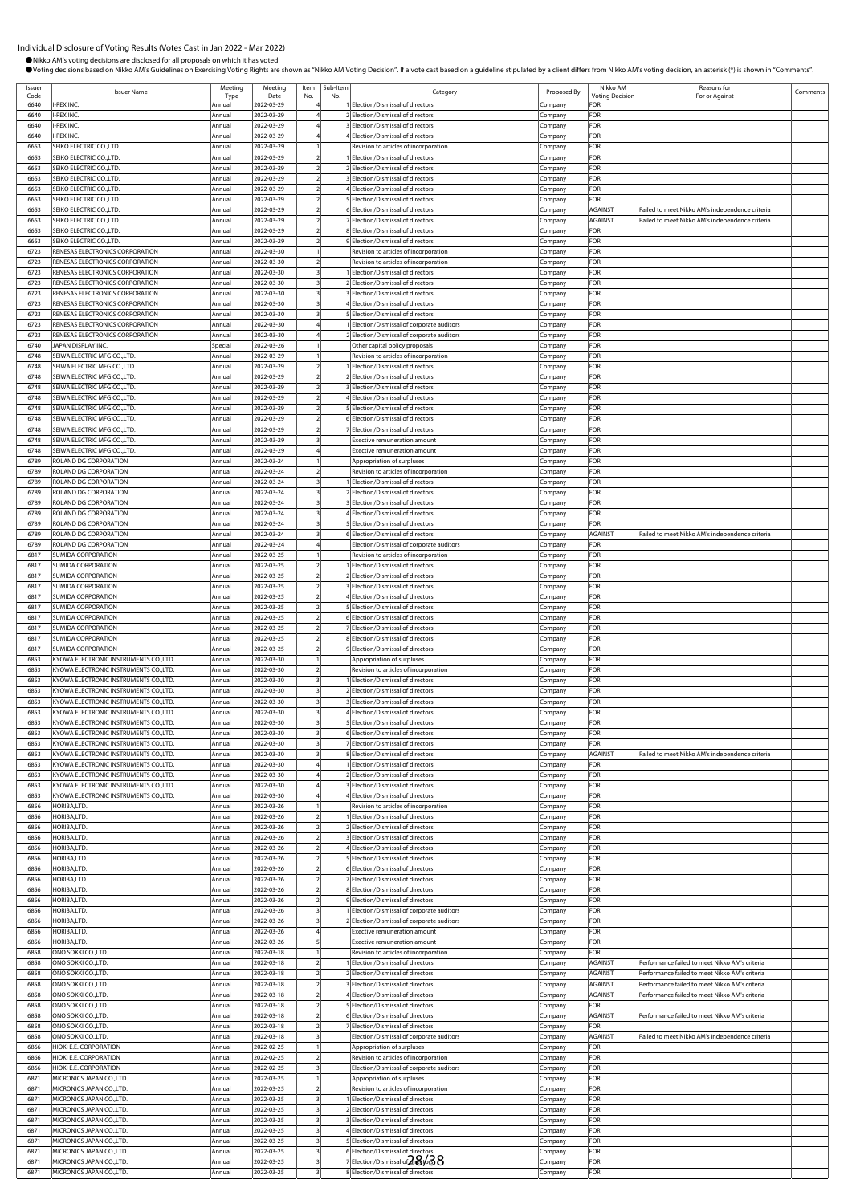●Nikko AM's voting decisions are disclosed for all proposals on which it has voted.

OVoting decisions based on Nikko AM's Guidelines on Exercising Voting Rights are shown as "Nikko AM Voting Decision". If a vote cast based on a guideline stipulated by a client differs from Nikko AM's voting decision, an a

Issuer Issuer<br>
Code ISsuer Name<br>
1990 - II-PEX INC.<br>
1990 - II-PEX INC. Type ing Date Item No. Sub-Ite<br>No. b-Item<br>No. No. Regory Category Proposed By Nikko AM oting Deci Reasons for Reasons for<br>For or Against Comments 6640 I-PEX INC. Annual 2022-03-29 4 1 Election/Dismissal of directors Company FOR 2<br>Election/Dismissal of directors Company 6640 I-PEX INC. Annual 2022-03-29 4 3 Election/Dismissal of directors Company FOR 6640 I-PEX INC. Annual 2022-03-29 4 4 Election/Dismissal of directors Company FOR 6653 SEIKO ELECTRIC CO.,LTD. Annual 2022-03-29 1 Revision to articles of incorporation Company FOR 6653 SEIKO ELECTRIC CO.,LTD. Annual 2022-03-29 2 1 Election/Dismissal of directors Company FOR FRIC CO.,LTD. **Annual 2022-03-29 2** 2 Election/Dismissal of directors Company FOR 6653 SEIKO ELECTRIC CO.,LTD. Annual 2022-03-29 2 3 Election/Dismissal of directors Company FOR 6653 SEIKO ELECTRIC CO.,LTD. Annual 2022-03-29 2 4 Election/Dismissal of directors Company FOR 6653 SEIKO ELECTRIC CO.,LTD. Annual 2022-03-29 2 5 Election/Dismissal of directors Company FOR 6653 SEIKO ELECTRIC CO.,LTD. Annual 2022-03-29 2 6 Election/Dismissal of directors Company AGAINST Failed to meet Nikko AM's independence criteria 6653 SEIKO ELECTRIC CO.,LTD. Annual 2022-03-29 2 7 Election/Dismissal of directors Company AGAINST Failed to meet Nikko AM's independence criteria 6653 SEIKO ELECTRIC CO.,LTD. Annual 2022-03-29 2 8 Election/Dismissal of directors Company FOR 6653 SEIKO ELECTRIC CO.,LTD. Annual 2022-03-29 2 9 Election/Dismissal of directors Company FOR 6723 RENESAS ELECTRONICS CORPORATION Annual 2022-03-30 1 Revision to articles of incorporation Company FOR 6723 RENESAS ELECTRONICS CORPORATION Annual 2022-03-30 2 Revision to articles of incorporation Company FOR 6723 RENESAS ELECTRONICS CORPORATION Annual 2022-03-30 3 1 Election/Dismissal of directors Company FOR 6723 RENESAS ELECTRONICS CORPORATION Annual 2022-03-30 3 2 Election/Dismissal of directors Company FOR 6723 RENESAS ELECTRONICS CORPORATION Annual 2022-03-30 3 3 Election/Dismissal of directors Company FOR Annual 2022-03-30 3 4 Election/Dismissal of directors Company FOR 6723 RENESAS ELECTRONICS CORPORATION Annual 2022-03-30 3 5 Election/Dismissal of directors Company FOR 6723 RENESAS ELECTRONICS CORPORATION Annual 2022-03-30 4 1 Election/Dismissal of corporate auditors Company FOR 6723 RENESAS ELECTRONICS CORPORATION Annual 2022-03-30 4 2 Election/Dismissal of corporate auditors Company FOR 6740 JAPAN DISPLAY INC. Special 2022-03-26 1 Other capital policy proposals Company FOR 6748 SEIWA ELECTRIC MFG.CO.,LTD. Annual 2022-03-29 1 Revision to articles of incorporation Company FOR 6748 SEIWA ELECTRIC MFG.CO.,LTD. **Annual** 2022-03-29 2 1 Election/Dismissal of directors 6748 SEIWA ELECTRIC MFG.CO.,LTD. Annual 2022-03-29 2 2 Election/Dismissal of directors Company FOR 6748 SEIWA ELECTRIC MFG.CO.,LTD. Annual 2022-03-29 2 3 Election/Dismissal of directors Company FOR 6748 SEIWA ELECTRIC MFG.CO.,LTD. **Annual 2022-03-29** 2 4 Election/Dismissal of directors Company Company FOR 6748 SEIWA ELECTRIC MFG.CO.,LTD. Annual 2022-03-29 2 5 Election/Dismissal of directors Company FOR 6748 SEIWA ELECTRIC MFG.CO.,LTD. Annual 2022-03-29 2 6 Election/Dismissal of directors Company FOR 7<br>Felection/Dismissal of directors **Company** FOR 6748 SEIWA ELECTRIC MFG.CO.,LTD. **Annual 2022-03-29** 3 Exective remuneration amount Company FOR 6748 SEIWA ELECTRIC MFG.CO.,LTD. Annual 2022-03-29 4 Exective remuneration amount Company FOR Example of Surpluses and Company Formula 2022-03-24 1 Appropriation of surpluses Company FOR 6789 ROLAND DG CORPORATION Annual 2022-03-24 2 Revision to articles of incorporation Company FOR 6789 ROLAND DG CORPORATION **Annual 2022-03-24** 3 1 Election/Dismissal of directors Company 6789 ROLAND DG CORPORATION Annual 2022-03-24 3 2 Election/Dismissal of directors Company FOR 6789 ROLAND DG CORPORATION **Annual 2022-03-24** 3 3 3 Election/Dismissal of directors Company FOR 6789 ROLAND DG CORPORATION Annual 2022-03-24 3 4 Election/Dismissal of directors Company FOR 6789 ROLAND DG CORPORATION Annual 2022-03-24 3 5 Election/Dismissal of directors Company FOR 6789 ROLAND DG CORPORATION **Annual** 2022-03-24 3 6 Election/Dismissal of directors Company AGAINST Failed to meet Nikko AM's in 6789 ROLAND DG CORPORATION Annual 2022-03-24 4 Election/Dismissal of corporate auditors Company FOR 6817 SUMIDA CORPORATION Annual 2022-03-25 1 Revision to articles of incorporation Company FOR 6817 SUMIDA CORPORATION **Annual 2022-03-25** 2 1 Election/Dismissal of directors Company FOR 6817 SUMIDA CORPORATION **Annual 2022-03-25 2** 2 2 2 2 2 2 2 2 2 Election/Dismissal of directors Company FOR 6817 SUMIDA CORPORATION Annual 2022-03-25 2 3 Election/Dismissal of directors Company FOR 6817 SUMIDA CORPORATION **Annual** 2022-03-25 2 4 Election/Dismissal of directors Company FOR FREE SUMIDA CORPORATION COMPORATION COMPANY Annual 2022-03-25 2 5 Election/Dismissal of directors Company FOR<br>
6817 SUMIDA CORPORATION COMPANY Annual 2022-03-25 2 6 Election/Dismissal of directors Company FOR 6817 SUMIDA CORPORATION **Annual 2022-03-25 2** 6 FLection/Dismissal of directors **Company** FOR 6817 SUMIDA CORPORATION Annual 2022-03-25 2 7 Election/Dismissal of directors Company FOR 6817 SUMIDA CORPORATION Annual 2022-03-25 2 8 Election/Dismissal of directors Company FOR 6817 SUMIDA CORPORATION Annual 2022-03-25 2 9 Election/Dismissal of directors Company FOR 6853 KYOWA ELECTRONIC INSTRUMENTS CO.,LTD. Annual 2022-03-30 1 Appropriation of surpluses Company FOR 6853 KYOWA ELECTRONIC INSTRUMENTS CO.,LTD. | Annual 2022-03-30 2 | Revision to articles of incorporation Company FOR 6853 KYOWA ELECTRONIC INSTRUMENTS CO.,LTD. Annual 2022-03-30 3 1 Election/Dismissal of directors Company FOR 6853 KYOWA ELECTRONIC INSTRUMENTS CO.,LTD. Annual 2022-03-30 3 2 Election/Dismissal of directors Company FOR 6853 KYOWA ELECTRONIC INSTRUMENTS CO.,LTD. Annual 2022-03-30 3 3 Election/Dismissal of directors Company 6853 KYOWA ELECTRONIC INSTRUMENTS CO.,LTD. Annual 2022-03-30 3 4 Election/Dismissal of directors Company FOR 6853 KYOWA ELECTRONIC INSTRUMENTS CO.,LTD. Annual 2022-03-30 3 5 Election/Dismissal of directors Company 6853 KYOWA ELECTRONIC INSTRUMENTS CO.,LTD. Annual 2022-03-30 3 6 Election/Dismissal of directors Company FOR 6853 KYOWA ELECTRONIC INSTRUMENTS CO.,LTD. Annual 2022-03-30 3 7 Election/Dismissal of directors Company FOR 6853 KYOWA ELECTRONIC INSTRUMENTS CO.,LTD. Annual 2022-03-30 3 8 Election/Dismissal of directors Company 6853 KYOWA ELECTRONIC INSTRUMENTS CO.,LTD. Annual 2022-03-30 4 1 Election/Dismissal of directors Company FOR 6853 KYOWA ELECTRONIC INSTRUMENTS CO.,LTD. Annual 2022-03-30 4 2 Election/Dismissal of directors Company FOR 6853 KYOWA ELECTRONIC INSTRUMENTS CO.,LTD. Annual 2022-03-30 4 3 Election/Dismissal of directors Company FOR 6853 KYOWA ELECTRONIC INSTRUMENTS CO.,LTD. Annual 2022-03-30 4 4 Election/Dismissal of directors Company FOR Revision to articles of incorpo 6856 HORIBA,LTD. Annual 2022-03-26 2 1 Election/Dismissal of directors Company FOR 6856 HORIBA,LTD. Annual 2022-03-26 2 2 Election/Dismissal of directors Company FOR 6856 HORIBA,LTD. Annual 2022-03-26 2 3 Election/Dismissal of directors Company FOR 6856 HORIBA,LTD. Annual 2022-03-26 2 4 Election/Dismissal of directors Company FOR 6856 HORIBA,LTD. **Annual 2022-03-26 2** 5 Election/Dismissal of directors Company 6856 HORIBA,LTD. Annual 2022-03-26 2 6 Election/Dismissal of directors Company FOR 6856 HORIBA,LTD. **Annual 2022-03-26** 2 7 Election/Dismissal of directors Company Company **FOR** 6856 HORIBA,LTD. Annual 2022-03-26 2 8 Election/Dismissal of directors Company FOR 6856 HORIBA,LTD. Annual 2022-03-26 2 9 Election/Dismissal of directors Company FOR 6856 HORIBA,LTD. Annual 2022-03-26 3 1 Election/Dismissal of corporate auditors Company FOR 6856 HORIBA,LTD. Annual 2022-03-26 3 2 Election/Dismissal of corporate auditors Company FOR For the music of the music of the music of the music of the term of the term of the music of the company FOR<br>For the season of the music of the company for the company from a company from the company from the company from 6856 HORIBA,LTD. Annual 2022-03-26 5 Exective remuneration amount Company FOR ERRES ONO SOKKI CO.,LTD. TO Annual 2022-03-18 1 Revision to articles of incorporation Company FOR<br>
6858 ONO SOKKI CO.,LTD. Annual 2022-03-18 2 1 Election/Dismissal of directors Company AGA 6858 ONO SOKKI CO.,LTD. Annual 2022-03-18 2 1 Election/Dismissal of directors Company AGAINST Performance failed to meet Nikko AM's criteria 6858 ONO SOKKI CO.,LTD. Annual 2022-03-18 2 2 Election/Dismissal of directors Company AGAINST Performance failed to meet Nikko AM's criteria ESS ONO SOKKI CO.,LTD. Annual 2022-03-18 2 3 Election/Dismissal of directors Company AGAINST Performance failed to meet Nikko AM's criterial enter Nikko AM's criterial and the company AGAINST Performance failed to meet Nik es Company AGAINST Performance failed to meet Nikko AM's criterial and the Company AGAINST Performance failed to meet Nikko AM's criterial and the Company AGAINST Performance failed to meet Nikko AM's criterial and the Com 6858 ONO SOKKI CO.,LTD. **Annual 2022-03-18** 2 5 Election/Dismissal of directors Company FOR ence failed to meet Nikko AM's criterial and 2023-03-18 2 6 Election 6858 ONO SOKKI CO.,LTD. Annual 2022-03-18 2 7 Election/Dismissal of directors Company FOR ESS ONO SOKKI CO.,LTD. Annual 2022-03-18 3 Election/Dismissal of corporate auditors Company AGAINST Failed to meet Nikko AM's independence criteria annual 2022-02-25 1 Appropriation of surpluses Company FOR Failed to meet ERRET HIOKI E.E. CORPORATION **Annual 2022-02-25** 1 Appropriation of surpluses Company Company<br>1996 HIOKI E.E. CORPORATION Annual 2022-02-25 2 Revision to articles of incorporation Company 6866 HIOKI E.E. CORPORATION **Annual 2022-02-25 2** Revision to articles of incorporation **Company FOR** 6866 HIOKI E.E. CORPORATION **Annual 2022-02-25** 3 Election/Dismissal of corporate auditors Company 6871 MICRONICS JAPAN CO.,LTD. Annual 2022-03-25 1 Appropriation of surpluses Company FOR 6871 MICRONICS JAPAN CO.,LTD. Annual 2022-03-25 2 Revision to articles of incorporation Company FOR ICRONICS JAPAN CO.,LTD. **Annual** 2022-03-25 3 1 Election/Dismissal of directors Company 6871 MICRONICS JAPAN CO.,LTD. Annual 2022-03-25 3 2 Election/Dismissal of directors Company FOR 6871 MICRONICS JAPAN CO.,LTD. **Annual 2022-03-25** 3 3 Blection/Dismissal of directors Company FOR 6871 MICRONICS JAPAN CO.,LTD. Annual 2022-03-25 3 4 Election/Dismissal of directors Company FOR 6871 MICRONICS JAPAN CO.,LTD. Annual 2022-03-25 3 5 Election/Dismissal of directors Company FOR 6871 MICRONICS JAPAN CO.,LTD. Annual 2022-03-25 3 6 Election/Dismissal of directors Company FOR For the contract of the company Formula and the company Formula contract of the company Formula contract of directors of the company FOR (Company FOR 6871 MICRONICS JAPAN CO.,LTD. **Annual 2022-03-25** 3 8 Election/Dismissal of directors Company FOR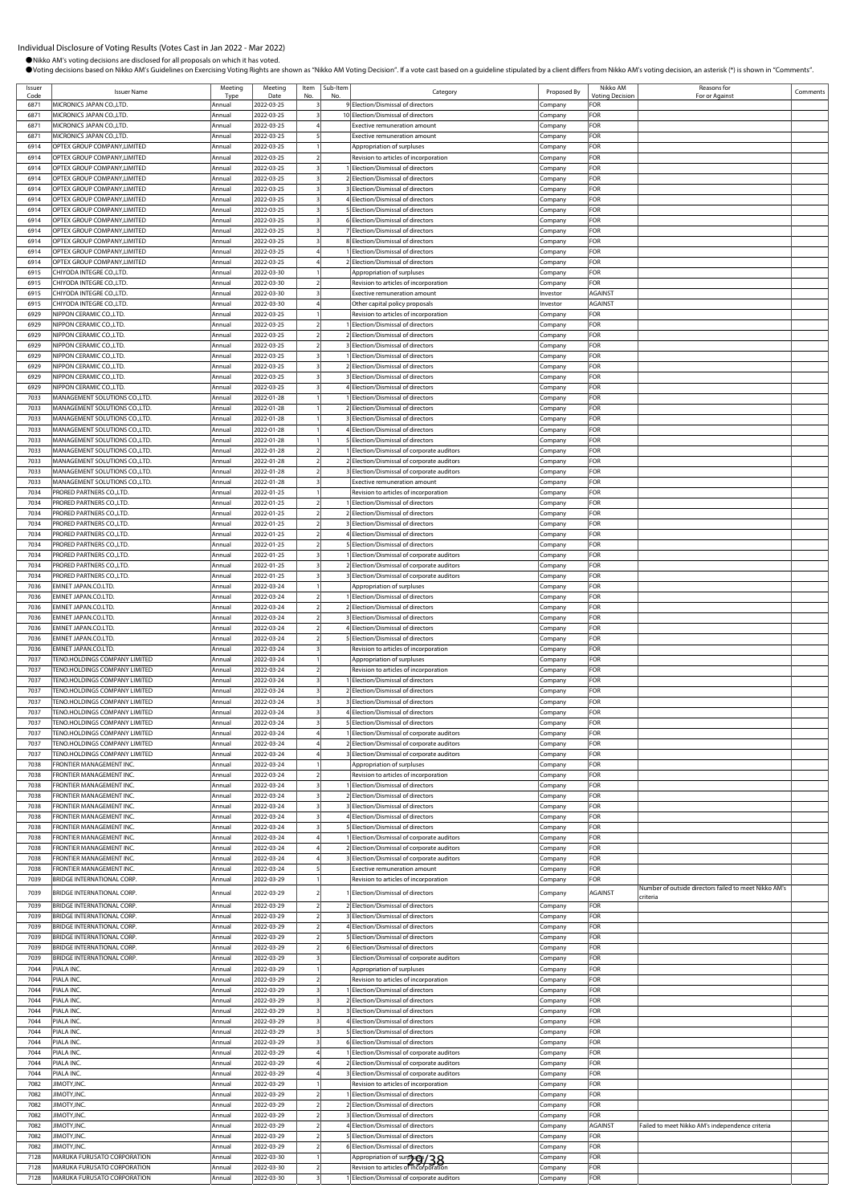●Nikko AM's voting decisions are disclosed for all proposals on which it has voted.

OVoting decisions based on Nikko AM's Guidelines on Exercising Voting Rights are shown as "Nikko AM Voting Decision". If a vote cast based on a guideline stipulated by a client differs from Nikko AM's voting decision, an a

Issuer Issuer<br>Code Issuer Name Type Meeting Date Item No. Sub-Ite<br>No. b-Item<br>No. No. Regory Category Proposed By Nikko AM oting Dec Reasons for Reasons for<br>For or Against Comments 6871 MICRONICS JAPAN CO.,LTD.<br>6871 MICRONICS JAPAN CO.,LTD. Annual 2022-03-25 3 9 Election/Dismissal of directors Company Company 10 Election/Dismissal of directors Company FOR 6871 MICRONICS JAPAN CO.,LTD. **Annual 2022-03-25** 4 Exective remuneration amount Company FOR<br>6871 MICRONICS JAPAN CO.,LTD. Annual 2022-03-25 5 Exective remuneration amount Company FOR 6871 |MICRONICS JAPAN CO.,LTD. |Annual |2022-03-25 | 5| Exective remuneration amount | Company |FOR 6914 OPTEX GROUP COMPANY,LIMITED Annual 2022-03-25 1 Appropriation of surpluses Company FOR 6914 OPTEX GROUP COMPANY,LIMITED **Annual 2022-03-25** 2 Revision to articles of incorporation Company FOR<br>6914 OPTEX GROUP COMPANY,LIMITED Annual 2022-03-25 3 1 Election/Dismissal of directors Company FOR FIEX GROUP COMPANY,LIMITED Annual 2022-03-25 3 1 Election/Dismissal of directors Company FOR 6914 OPTEX GROUP COMPANY,LIMITED Annual 2022-03-25 3 2 Election/Dismissal of directors Company FOR 6914 |OPTEX GROUP COMPANY,LIMITED | Annual |2022-03-25 | 3| 3|Election/Dismissal of directors | Company |FOR 6914 OPTEX GROUP COMPANY,LIMITED Annual 2022-03-25 3 4 Election/Dismissal of directors Company FOR 6914 OPTEX GROUP COMPANY,LIMITED **Annual** 2022-03-25 3 5 Flection/Dismissal of directors Company FOR 6914 OPTEX GROUP COMPANY,LIMITED Annual 2022-03-25 3 6 Election/Dismissal of directors Company FOR 6914 OPTEX GROUP COMPANY, LIMITED Annual 2022-03-25 3 7 Election/Dismissal of director<br>6914 OPTEX GROUP COMPANY, LIMITED Annual 2022-03-25 3 8 Election/Dismissal of director extra contract the company of the company of the company of the company of the company of the company of the company of the company of the company of the company of the company of the company of the company of the company 6914 OPTEX GROUP COMPANY,LIMITED Annual 2022-03-25 4 1 Election/Dismissal of directors Company FOR 6914 OPTEX GROUP COMPANY,LIMITED Annual 2022-03-25 4 2 Election/Dismissal of directors Company FOR 6915 CHIYODA INTEGRE CO.,LTD. **Annual 2022-03-30** 1 1 Appropriation of surpluses Company FOR 6915 CHIYODA INTEGRE CO.,LTD. Annual 2022-03-30 2 Revision to articles of incorporation Company FOR 6915 CHIYODA INTEGRE CO.,LTD. Annual 2022-03-30 3 Exective remuneration amount Investor AGAINST Annual 2022-03-30 4 Other capital policy proposals Investor AGAINST 6929 NIPPON CERAMIC CO.,LTD. Annual 2022-03-25 1 Revision to articles of incorporation Company FOR 6929 NIPPON CERAMIC CO.,LTD. Annual 2022-03-25 2 1 Election/Dismissal of directors Company FOR 6929 NIPPON CERAMIC CO.,LTD. Annual 2022-03-25 2 2 Election/Dismissal of directors Company FOR 6929 NIPPON CERAMIC CO.,LTD. Annual 2022-03-25 2 3 Election/Dismissal of directors Company FOR 6929 NIPPON CERAMIC CO.,LTD. Annual 2022-03-25 3 1 Election/Dismissal of directors Company FOR 6929 NIPPON CERAMIC CO.,LTD. Annual 2022-03-25 3 2 Election/Dismissal of directors Company FOR 6929 NIPPON CERAMIC CO.,LTD. Annual 2022-03-25 3 3 3 Election/Dismissal of directors Company FOR 6929 NIPPON CERAMIC CO.,LTD. Annual 2022-03-25 3 4 Election/Dismissal of directors Company FOR 7033 MANAGEMENT SOLUTIONS CO.,LTD. Annual 2022-01-28 1 1 Election/Dismissal of directors Company FOR 7033 MANAGEMENT SOLUTIONS CO.,LTD. Annual 2022-01-28 1 2 Election/Dismissal of directors Company FOR 7033 MANAGEMENT SOLUTIONS CO.,LTD. Annual 2022-01-28 1 3 Election/Dismissal of directors Company FOR ANAGEMENT SOLUTIONS CO.,LTD. Annual 2022-01-28 1 4 Election/Dismissal of directors Company FOR 7033 MANAGEMENT SOLUTIONS CO.,LTD. Annual 2022-01-28 1 5 Election/Dismissal of directors Company FOR 7033 MANAGEMENT SOLUTIONS CO.,LTD. Annual 2022-01-28 2 1 Election/Dismissal of corporate auditors Company FOR 7<br>2 Election/Dismissal of corporate auditors Company FOR 7033 MANAGEMENT SOLUTIONS CO.,LTD. Annual 2022-01-28 2 3 Election/Dismissal of corporate auditors Company FOR 7033 MANAGEMENT SOLUTIONS CO.,LTD. Annual 2022-01-28 3 Exective remuneration amount Company 7034 PRORED PARTNERS CO.,LTD. Annual 2022-01-25 1 Revision to articles of incorporation Company FOR 7034 PRORED PARTNERS CO.,LTD. **Annual 2022-01-25** 2 1 Election/Dismissal of directors **Company** FOR 7034 PRORED PARTNERS CO.,LTD. Annual 2022-01-25 2 2 Election/Dismissal of directors Company FOR 7034 PRORED PARTNERS CO.,LTD. Annual 2022-01-25 2 3 Election/Dismissal of directors Company FOR 22-01-25  $\begin{array}{|c|c|c|c|c|}\n\hline\n2 & 4 \end{array}$  Election/Dismissal of directors  $\begin{array}{|c|c|c|c|c|}\n\hline\n\end{array}$  Company 7034 PRORED PARTNERS CO.,LTD. Annual 2022-01-25 2 5 Election/Dismissal of directors Company FOR 7034 PRORED PARTNERS CO.,LTD. Annual 2022-01-25 3 1 Election/Dismissal of corporate auditors Company FOR 7034 PRORED PARTNERS CO.,LTD. Annual 2022-01-25 3 2 Election/Dismissal of corporate auditors Company FOR 7034 PRORED PARTNERS CO.,LTD. Annual 2022-01-25 3 3 Election/Dismissal of corporate auditors Company FOR 7036 EMNET JAPAN.CO.LTD. Annual 2022-03-24 1 Appropriation of surpluses Company FOR 7036 EMNET JAPAN.CO.LTD. Annual 2022-03-24 2 1 Election/Dismissal of directors Company FOR 7036 EMNET JAPAN.CO.LTD. Annual 2022-03-24 2 2 Election/Dismissal of directors Company FOR 7036 EMNET JAPAN.CO.LTD. Annual 2022-03-24 2 3 Election/Dismissal of directors Company FOR 7036 EMNET JAPAN.CO.LTD. Annual 2022-03-24 2 4 Election/Dismissal of directors Company FOR 7036 EMNET JAPAN.CO.LTD. Annual 2022-03-24 2 5 Election/Dismissal of directors Company FOR  $\begin{tabular}{l|c|c|c} \textbf{Revision to articles of incorporation} & \textbf{Comparison} & \textbf{FOR} & \textbf{FOR} \\ \hline \textbf{Approximation} & \textbf{Comparison} & \textbf{FOR} & \textbf{FOR} \\ \hline \end{tabular}$ 7037 TENO.HOLDINGS COMPANY LIMITED Annual 2022-03-24 1 Appropriation of surpluses Company FOR 7037 TENO.HOLDINGS COMPANY LIMITED **Annual 2022-03-24 2** Revision to articles of incorporation **Company FOR** 7037 TENO.HOLDINGS COMPANY LIMITED Annual 2022-03-24 3 1 Election/Dismissal of directors Company FOR 7037 TENO.HOLDINGS COMPANY LIMITED Annual 2022-03-24 3 2 Election/Dismissal of directors Company FOR 7037 TENO.HOLDINGS COMPANY LIMITED Annual 2022-03-24 3 3 Election/Dismissal of directors Company 7037 TENO HOLDINGS COMPANY LIMIT 7037 TENO.HOLDINGS COMPANY LIMITED Annual 2022-03-24 3 5 Election/Dismissal of directors Company 7037 TENO.HOLDINGS COMPANY LIMITED Annual 2022-03-24 4 1 Election/Dismissal of corporate auditors Company FOR 7037 TENO.HOLDINGS COMPANY LIMITED Annual 2022-03-24 4 2 Election/Dismissal of corporate auditors Company FOR 7037 TENO.HOLDINGS COMPANY LIMITED Annual 2022-03-24 4 3 Election/Dismissal of corporate auditors Company FOR 7038 FRONTIER MANAGEMENT INC. Annual 2022-03-24 1 Appropriation of surpluses Company FOR 7038 FRONTIER MANAGEMENT INC. Annual 2022-03-24 2 Revision to articles of incorporation Company FOR 7038 FRONTIER MANAGEMENT INC. Annual 2022-03-24 3 1 Election/Dismissal of directors Company FOR TO38 FRONTIER MANAGEMENT INC.<br>2023 FRONTIER MANAGEMENT INC. Annual 2022-03-24 3 3 3 Election/Dismissal of directors Company FORD 3 2 Election/Dismissal of directors Company **7**<br>**7** Election/Dismissal of directors **Annual 2023-03-24 3** Company FOR 7038 FRONTIER MANAGEMENT INC. **Annual 2022-03-24** 3 4 Election/Dismissal of directors Company FOR 7038 FRONTIER MANAGEMENT INC. Annual 2022-03-24 3 5 Election/Dismissal of directors Company FOR 1<br>2038 Fection/Dismissal of corporate auditors Company Formany Formany Formany Formany Formany Formany Formany F 7038 FRONTIER MANAGEMENT INC. Annual 2022-03-24 4 2 Election/Dismissal of corporate auditors Company FOR 7038 FRONTIER MANAGEMENT INC. Annual 2022-03-24 4 3 Election/Dismissal of corporate auditors Company 7038 FRONTIER MANAGEMENT INC. |Annual |2022-03-24 | 5| Exective remuneration amount |Company |FOR 7039 BRIDGE INTERNATIONAL CORP. **Annual 2022-03-29** 1 Revision to articles of incorporation Company FOR 7039 BRIDGE INTERNATIONAL CORP. Annual 2022-03-29 2 1 Election/Dismissal of directors Company AGAINST Number of outside directors failed to meet Nikko AM's criteria 7039 BRIDGE INTERNATIONAL CORP. Annual 2022-03-29 2 2 Election/Dismissal of directors Company FOR 7039 BRIDGE INTERNATIONAL CORP. Annual 2022-03-29 2 3 Election/Dismissal of director 7039 BRIDGE INTERNATIONAL CORP. **Annual** 2022-03-29 2 4 Election/Dismissal of directors Company 7039 BRIDGE INTERNATIONAL CORP. Annual 2022-03-29 2 5 Election/Dismissal of directors Company FOR 7039 BRIDGE INTERNATIONAL CORP. Annual 2022-03-29 2 6 Election/Dismissal of directors Company FOR FRIDGE INTERNATIONAL CORP. **Annual** 2022-03-29 3 Election/Dismissal of corporate auditors Company FOR 7044 PIALA INC. Annual 2022-03-29 1 Appropriation of surpluses Company FOR 7044 PIALA INC. Annual 2022-03-29 2 Revision to articles of incorporation Company FOR 7044 PIALA INC. Annual 2022-03-29 3 1 Election/Dismissal of directors Company FOR 7044 PIALA INC. Annual 2022-03-29 3 2 Election/Dismissal of directors Company FOR 1044 PIALA INC. 2022-03-29 3 3 Election/Dismissal of directors Company FOR 7044 PIALA INC. Annual 2022-03-29 3 4 Election/Dismissal of directors Company FOR 7044 PIALA INC. Annual 2022-03-29 3 5 Election/Dismissal of directors Company FOR 7044 PIALA INC. Annual 2022-03-29 3 6 Election/Dismissal of directors Company FOR 7044 PIALA INC. Annual 2022-03-29 4 1 Election/Dismissal of corporate auditors Company FOR 7044 PIALA INC. COMPANY COMPANY RELATED Annual 2022-03-29 4 2 Election/Dismissal of corporate auditors Company FOR 7044 PIALA INC. Annual 2022-03-29 4 3 Election/Dismissal of corporate auditors Company FOR 7082 JIMOTY,INC. Annual 2022-03-29 1 Revision to articles of incorporation Company FOR 7082 JIMOTY,INC. Annual 2022-03-29 2 1 Election/Dismissal of directors Company FOR 7082 JIMOTY,INC. Annual 2022-03-29 2 2 Election/Dismissal of directors Company FOR Annual 2022-03-29 2 3 Election/Dismissal of directors Company 7082 JIMOTY,INC. Annual 2022-03-29 2 4 Election/Dismissal of directors Company AGAINST Failed to meet Nikko AM's independence criteria 7082 JIMOTY,INC. Annual 2022-03-29 2 5 Election/Dismissal of directors Company FOR

Annual 2022-03-29 2 6 Election/Dismissal of directors Company FOR

7128 MARUKA FURUSATO CORPORATION Annual 2022-03-30 1 Appropriation of surpluses Company FOR 7128 MARUKA FURUSATO CORPORATION Annual 2022-03-30 2 Revision to articles of incorporation Company FOR 29/387128 MARUKA FURUSATO CORPORATION Annual 2022-03-30 3 1 Election/Dismissal of corporate auditors Company FOR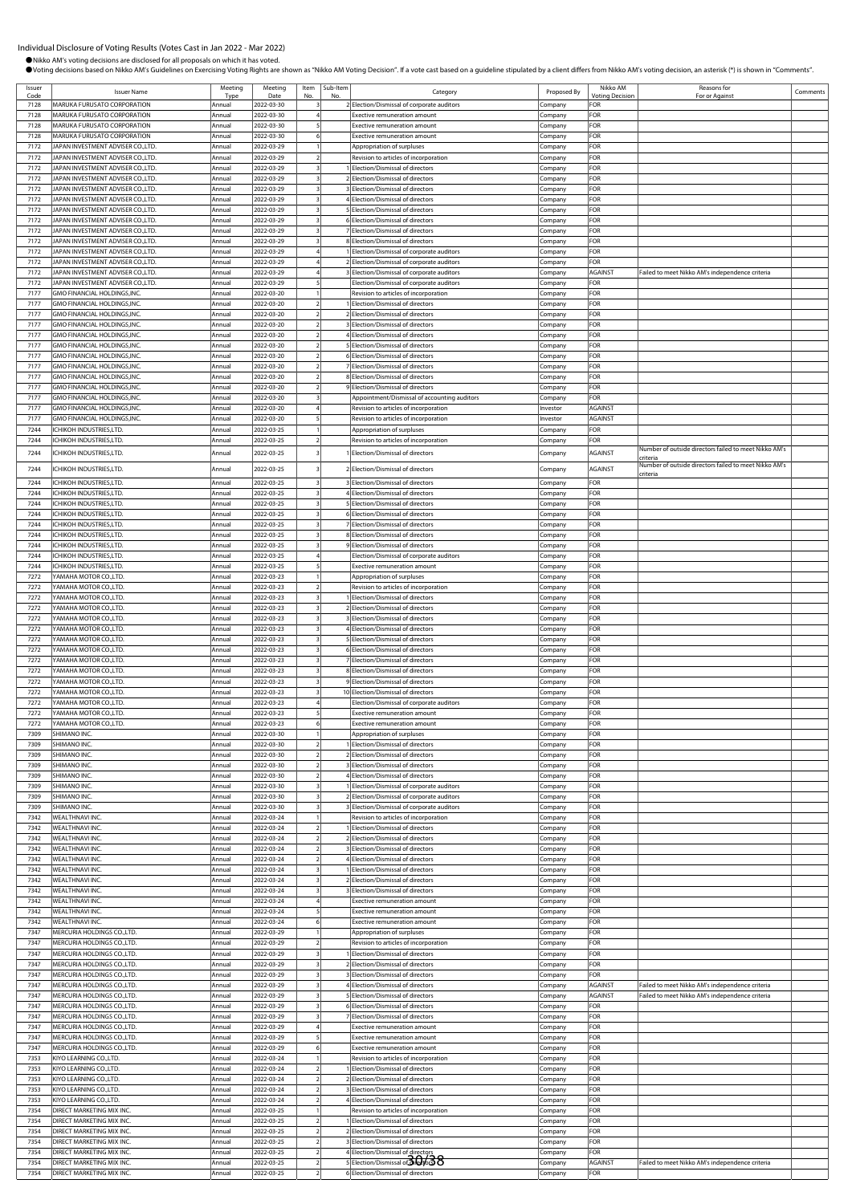Comments

|              |                                                                                      |                  |                          |                |          | OVoting decisions based on Nikko AM's Guidelines on Exercising Voting Rights are shown as "Nikko AM Voting Decision". If a vote cast based on a guideline stipulated by a client differs from Nikko AM's voting decision, an a |                     |                               |                                                                   |
|--------------|--------------------------------------------------------------------------------------|------------------|--------------------------|----------------|----------|--------------------------------------------------------------------------------------------------------------------------------------------------------------------------------------------------------------------------------|---------------------|-------------------------------|-------------------------------------------------------------------|
| Issuer       | <b>Issuer Name</b>                                                                   | Meeting          | Meeting                  | Item           | Sub-Item | Category                                                                                                                                                                                                                       | Proposed By         | Nikko AM                      | Reasons for                                                       |
| Code<br>7128 | <b>MARUKA FURUSATO CORPORATION</b>                                                   | Type<br>Annual   | Date<br>2022-03-30       | No.            | No       | Election/Dismissal of corporate auditors                                                                                                                                                                                       | Company             | <b>Voting Decision</b><br>FOR | For or Against                                                    |
| 7128         | MARUKA FURUSATO CORPORATION                                                          | Annual           | 2022-03-30               |                |          | <b>Exective remuneration amount</b>                                                                                                                                                                                            | Company             | FOR                           |                                                                   |
| 7128         | MARUKA FURUSATO CORPORATION                                                          | Annual           | 2022-03-30               |                |          | <b>Exective remuneration amount</b>                                                                                                                                                                                            | Company             | FOR                           |                                                                   |
| 7128         | MARUKA FURUSATO CORPORATION                                                          | Annual           | 2022-03-30               | $\epsilon$     |          | <b>Exective remuneration amount</b>                                                                                                                                                                                            | Company             | FOR                           |                                                                   |
| 7172         | <b>JAPAN INVESTMENT ADVISER CO.,LTD.</b>                                             | Annual           | 2022-03-29               |                |          | Appropriation of surpluses                                                                                                                                                                                                     | Company             | FOR                           |                                                                   |
| 7172         | JAPAN INVESTMENT ADVISER CO.,LTD.<br>APAN INVESTMENT ADVISER CO.,LTD.                | Annual<br>Annual | 2022-03-29               |                |          | Revision to articles of incorporation<br>Election/Dismissal of directors                                                                                                                                                       | Company             | FOR<br>FOR                    |                                                                   |
| 7172<br>7172 | JAPAN INVESTMENT ADVISER CO.,LTD.                                                    | Annual           | 2022-03-29<br>2022-03-29 |                |          | 2 Election/Dismissal of directors                                                                                                                                                                                              | Company<br>Company  | FOR                           |                                                                   |
| 7172         | <b>JAPAN INVESTMENT ADVISER CO.,LTD.</b>                                             | Annual           | 2022-03-29               |                |          | 3 Election/Dismissal of directors                                                                                                                                                                                              | Company             | FOR                           |                                                                   |
| 7172         | JAPAN INVESTMENT ADVISER CO.,LTD.                                                    | Annual           | 2022-03-29               |                |          | 4 Election/Dismissal of directors                                                                                                                                                                                              | Company             | FOR                           |                                                                   |
| 7172         | JAPAN INVESTMENT ADVISER CO.,LTD.                                                    | Annual           | 2022-03-29               |                |          | 5 Election/Dismissal of directors                                                                                                                                                                                              | Company             | FOR                           |                                                                   |
| 7172         | <b>JAPAN INVESTMENT ADVISER CO.,LTD.</b>                                             | Annual           | 2022-03-29               |                |          | 6 Election/Dismissal of directors                                                                                                                                                                                              | Company             | FOR                           |                                                                   |
| 7172         | APAN INVESTMENT ADVISER CO.,LTD.                                                     | Annual           | 2022-03-29               | 3              |          | 7 Election/Dismissal of directors                                                                                                                                                                                              | Company             | FOR                           |                                                                   |
| 7172<br>7172 | <b>JAPAN INVESTMENT ADVISER CO.,LTD.</b><br><b>JAPAN INVESTMENT ADVISER CO.,LTD.</b> | Annual<br>Annual | 2022-03-29<br>2022-03-29 |                |          | 8 Election/Dismissal of directors<br>1 Election/Dismissal of corporate auditors                                                                                                                                                | Company<br>Company  | FOR<br>FOR                    |                                                                   |
| 7172         | <b>JAPAN INVESTMENT ADVISER CO.,LTD.</b>                                             | Annual           | 2022-03-29               |                |          | 2 Election/Dismissal of corporate auditors                                                                                                                                                                                     | Company             | FOR                           |                                                                   |
| 7172         | JAPAN INVESTMENT ADVISER CO.,LTD.                                                    | Annual           | 2022-03-29               |                |          | 3 Election/Dismissal of corporate auditors                                                                                                                                                                                     | Company             | <b>AGAINST</b>                | Failed to meet Nikko AM's independence criteria                   |
| 7172         | JAPAN INVESTMENT ADVISER CO.,LTD.                                                    | Annual           | 2022-03-29               |                |          | Election/Dismissal of corporate auditors                                                                                                                                                                                       | Company             | FOR                           |                                                                   |
| 7177         | GMO FINANCIAL HOLDINGS, INC.                                                         | Annual           | 2022-03-20               |                |          | Revision to articles of incorporation                                                                                                                                                                                          | Company             | FOR                           |                                                                   |
| 7177         | <b>GMO FINANCIAL HOLDINGS.INC</b>                                                    | Annual           | 2022-03-20               |                |          | 1 Election/Dismissal of directors                                                                                                                                                                                              | Company             | FOR                           |                                                                   |
| 7177         | <b>GMO FINANCIAL HOLDINGS.INC</b>                                                    | Annual           | 2022-03-20               |                |          | 2 Election/Dismissal of directors                                                                                                                                                                                              | Company             | FOR                           |                                                                   |
| 7177         | GMO FINANCIAL HOLDINGS.INC<br><b>GMO FINANCIAL HOLDINGS.INC</b>                      | Annual           | 2022-03-20               | $\overline{2}$ |          | 3 Election/Dismissal of directors                                                                                                                                                                                              | Company             | FOR                           |                                                                   |
| 7177<br>7177 | GMO FINANCIAL HOLDINGS, INC.                                                         | Annual<br>Annual | 2022-03-20<br>2022-03-20 |                |          | 4 Election/Dismissal of directors<br>5 Election/Dismissal of directors                                                                                                                                                         | Company<br>Company  | FOR<br>FOR                    |                                                                   |
| 7177         | GMO FINANCIAL HOLDINGS, INC                                                          | Annual           | 2022-03-20               |                |          | 6 Election/Dismissal of directors                                                                                                                                                                                              | Company             | FOR                           |                                                                   |
| 7177         | GMO FINANCIAL HOLDINGS, INC                                                          | Annual           | 2022-03-20               |                |          | 7 Election/Dismissal of directors                                                                                                                                                                                              | Company             | FOR                           |                                                                   |
| 7177         | GMO FINANCIAL HOLDINGS, INC                                                          | Annual           | 2022-03-20               |                |          | 8 Election/Dismissal of directors                                                                                                                                                                                              | Company             | FOR                           |                                                                   |
| 7177         | GMO FINANCIAL HOLDINGS.INC.                                                          | Annual           | 2022-03-20               |                |          | 9 Election/Dismissal of directors                                                                                                                                                                                              | Company             | FOR                           |                                                                   |
| 7177         | <b>GMO FINANCIAL HOLDINGS.INC</b>                                                    | Annual           | 2022-03-20               |                |          | Appointment/Dismissal of accounting auditors                                                                                                                                                                                   | Company             | FOR                           |                                                                   |
| 7177         | <b>GMO FINANCIAL HOLDINGS.INC</b>                                                    | Annual           | 2022-03-20               |                |          | Revision to articles of incorporation                                                                                                                                                                                          | Investor            | AGAINST                       |                                                                   |
| 7177<br>7244 | <b>GMO FINANCIAL HOLDINGS, INC</b><br>CHIKOH INDUSTRIES,LTD.                         | Annual<br>Annual | 2022-03-20<br>2022-03-25 | 5              |          | Revision to articles of incorporation<br>Appropriation of surpluses                                                                                                                                                            | Investor<br>Company | <b>AGAINST</b><br>FOR         |                                                                   |
| 7244         | <b>CHIKOH INDUSTRIES,LTD.</b>                                                        | Annual           | 2022-03-25               |                |          | Revision to articles of incorporation                                                                                                                                                                                          | Company             | FOR                           |                                                                   |
| 7244         | CHIKOH INDUSTRIES,LTD.                                                               | Annual           | 2022-03-25               |                |          | Election/Dismissal of directors                                                                                                                                                                                                | Company             | AGAINST                       | Number of outside directors failed to meet Nikko AM'.<br>criteria |
| 7244         | CHIKOH INDUSTRIES,LTD.                                                               | Annual           | 2022-03-25               |                |          | 2 Election/Dismissal of directors                                                                                                                                                                                              | Company             | AGAINST                       | Number of outside directors failed to meet Nikko AM'<br>criteria  |
| 7244         | <b>ICHIKOH INDUSTRIES.LTD.</b>                                                       | Annual           | 2022-03-25               |                |          | 3 Election/Dismissal of directors                                                                                                                                                                                              | Company             | FOR                           |                                                                   |
| 7244         | CHIKOH INDUSTRIES,LTD.                                                               | Annual           | 2022-03-25               |                |          | 4 Election/Dismissal of directors                                                                                                                                                                                              | Company             | FOR                           |                                                                   |
| 7244         | <b>CHIKOH INDUSTRIES,LTD.</b>                                                        | Annual           | 2022-03-25               |                |          | 5 Election/Dismissal of directors                                                                                                                                                                                              | Company             | FOR                           |                                                                   |
| 7244         | <b>CHIKOH INDUSTRIES,LTD.</b>                                                        | Annual           | 2022-03-25               |                |          | 6 Election/Dismissal of directors                                                                                                                                                                                              | Company             | FOR                           |                                                                   |
| 7244<br>7244 | CHIKOH INDUSTRIES,LTD.<br>CHIKOH INDUSTRIES,LTD.                                     | Annual<br>Annual | 2022-03-25<br>2022-03-25 | 3              |          | 7 Election/Dismissal of directors<br>8 Election/Dismissal of directors                                                                                                                                                         | Company<br>Company  | FOR<br>FOR                    |                                                                   |
| 7244         | CHIKOH INDUSTRIES,LTD.                                                               | Annual           | 2022-03-25               |                |          | 9 Election/Dismissal of directors                                                                                                                                                                                              | Company             | FOR                           |                                                                   |
| 7244         | <b>CHIKOH INDUSTRIES,LTD.</b>                                                        | Annual           | 2022-03-25               |                |          | Election/Dismissal of corporate auditors                                                                                                                                                                                       | Company             | FOR                           |                                                                   |
| 7244         | <b>CHIKOH INDUSTRIES,LTD.</b>                                                        | Annual           | 2022-03-25               |                |          | <b>Exective remuneration amount</b>                                                                                                                                                                                            | Company             | FOR                           |                                                                   |
| 7272         | YAMAHA MOTOR CO.,LTD.                                                                | Annual           | 2022-03-23               |                |          | Appropriation of surpluses                                                                                                                                                                                                     | Company             | FOR                           |                                                                   |
| 7272         | YAMAHA MOTOR CO.,LTD.                                                                | Annual           | 2022-03-23               |                |          | Revision to articles of incorporation                                                                                                                                                                                          | Company             | FOR                           |                                                                   |
| 7272         | YAMAHA MOTOR CO.,LTD.<br><b>AMAHA MOTOR CO.,LTD.</b>                                 | Annual           | 2022-03-23               |                |          | I Flection/Dismissal of directors                                                                                                                                                                                              | Company             | FOR                           |                                                                   |
| 7272<br>7272 | AMAHA MOTOR CO.,LTD.                                                                 | Annual<br>Annual | 2022-03-23<br>2022-03-23 |                |          | 2 Election/Dismissal of directors<br>3 Election/Dismissal of directors                                                                                                                                                         | Company<br>Company  | FOR<br><b>OR</b>              |                                                                   |
| 7272         | AMAHA MOTOR CO.,LTD.                                                                 | Annual           | 2022-03-23               | 3              |          | 4 Election/Dismissal of directors                                                                                                                                                                                              | Company             | FOR                           |                                                                   |
| 7272         | YAMAHA MOTOR CO.,LTD.                                                                | Annual           | 2022-03-23               |                |          | 5 Election/Dismissal of directors                                                                                                                                                                                              | Company             | FOR                           |                                                                   |
| 7272         | YAMAHA MOTOR CO.,LTD                                                                 | Annual           | 2022-03-23               |                |          | 6 Election/Dismissal of directors                                                                                                                                                                                              | Company             | FOR                           |                                                                   |
| 7272         | YAMAHA MOTOR CO.,LTD.                                                                | Annual           | 2022-03-23               |                |          | 7 Election/Dismissal of directors                                                                                                                                                                                              | Company             | FOR                           |                                                                   |
| 7272         | YAMAHA MOTOR CO.,LTD.                                                                | Annual           | 2022-03-23               |                |          | 8 Election/Dismissal of directors                                                                                                                                                                                              | Company             | FOR                           |                                                                   |
| 7272         | YAMAHA MOTOR CO.,LTD.                                                                | Annual           | 2022-03-23               |                |          | 9 Election/Dismissal of directors                                                                                                                                                                                              | Company             | FOR                           |                                                                   |
| 7272         | YAMAHA MOTOR CO.,LTD.                                                                | Annual           | 2022-03-23               |                |          | 10 Election/Dismissal of directors                                                                                                                                                                                             | Company             | FOR                           |                                                                   |
| 7272<br>7272 | YAMAHA MOTOR CO.,LTD.<br>YAMAHA MOTOR CO.,LTD.                                       | Annual<br>Annual | 2022-03-23<br>2022-03-23 |                |          | Election/Dismissal of corporate auditors<br>Exective remuneration amount                                                                                                                                                       | Company             | FOR<br>FOR                    |                                                                   |
| 7272         | YAMAHA MOTOR CO.,LTD.                                                                | Annual           | 2022-03-23               | 6              |          | Exective remuneration amount                                                                                                                                                                                                   | Company<br>Company  | FOR                           |                                                                   |
| 7309         | SHIMANO INC.                                                                         | Annual           | 2022-03-30               |                |          | Appropriation of surpluses                                                                                                                                                                                                     | Company             | FOR                           |                                                                   |
| 7309         | SHIMANO INC.                                                                         | Annual           | 2022-03-30               |                |          | Election/Dismissal of directors                                                                                                                                                                                                | Company             | FOR                           |                                                                   |
| 7309         | SHIMANO INC.                                                                         | Annual           | 2022-03-30               |                |          | 2 Election/Dismissal of directors                                                                                                                                                                                              | Company             | FOR                           |                                                                   |
| 7309         | SHIMANO INC.                                                                         | Annual           | 2022-03-30               |                |          | 3 Flection/Dismissal of directors                                                                                                                                                                                              | Company             | FOR                           |                                                                   |
|              | SHIMANO INC.                                                                         | Annual           | 2022-03-30               |                |          | 4 Election/Dismissal of directors                                                                                                                                                                                              | Company             | FOR                           |                                                                   |
| 7309<br>7309 | SHIMANO INC.                                                                         | Annual           | 2022-03-30               |                |          | 1 Election/Dismissal of corporate auditors                                                                                                                                                                                     | Company             | FOR                           |                                                                   |

Annual 2022-03-30 3 1 Election/Dismissal of corporate auditors 7309 SHIMANO INC. Annual 2022-03-30 3 2 Election/Dismissal of corporate auditors Company FOR

7342 WEALTHNAVI INC. Annual 2022-03-24 1 Revision to articles of incorporation Company FOR 7342 WEALTHNAVI INC. Annual 2022-03-24 2 1 Election/Dismissal of directors Company FOR 7342 WEALTHNAVI INC. Annual 2022-03-24 2 2 Election/Dismissal of directors Company FOR 7342 WEALTHNAVI INC. Annual 2022-03-24 2 3 Election/Dismissal of directors Company FOR 7342 WEALTHNAVI INC. Annual 2022-03-24 2 4 Election/Dismissal of directors Company FOR

7342 WEALTHNAVI INC. Annual 2022-03-24 3 2 Election/Dismissal of directors Company FOR

7342 WEALTHNAVI INC. Annual 2022-03-24 4 Exective remuneration amount Company FOR 7342 WEALTHNAVINC. Annual 2022-03-24 5 Exective remuneration amount Company FOR 7342 WEALTHNAVI INC. Annual 2022-03-24 6 Exective remuneration amount Company FOR 7347 MERCURIA HOLDINGS CO.,LTD. Annual 2022-03-29 1 Appropriation of surpluses Company FOR 1947 MERCURIA HOLDINGS CO.,LTD. Annual 2022-03-29 2 Revision to articles of incorporation Company FOR<br>1947 MERCURIA HOLDINGS CO.,LTD. Annual 2022-03-29 3 1 Election/Dismissal of directors Company FOR<br>1947 MERCURIA HOLDINGS MERCURIA HOLDINGS CO.,LTD. **Annual 2022-03-29** 3 1 Election/Dismissal of directors Company FOR<br>MERCURIA HOLDINGS CO.,LTD. Annual 2022-03-29 3 2 Election/Dismissal of directors Company FOR

7347 MERCURIA HOLDINGS CO.,LTD. Annual 2022-03-29 3 3 Election/Dismissal of directors Company FOR

7347 MERCURIA HOLDINGS CO.,LTD. Annual 2022-03-29 3 7 Election/Dismissal of directors Company FOR

7347 MERCURIA HOLDINGS CO.,LTD. Annual 2022-03-29 5 Exective remuneration amount Company FOR 7347 MERCURIA HOLDINGS CO.,LTD. Annual 2022-03-29 6 Exective remuneration amount Company FOR 7353 KIYO LEARNING CO.,LTD. Annual 2022-03-24 1 Revision to articles of incorporation Company FOR 7353 KIYO LEARNING CO.,LTD. Annual 2022-03-24 2 1 Election/Dismissal of directors Company FOR 7353 KIYO LEARNING CO.,LTD. Annual 2022-03-24 2 2 Election/Dismissal of directors Company FOR 7353 KIYO LEARNING CO.,LTD. Annual 2022-03-24 2 3 Election/Dismissal of directors Company FOR 7353 KIYO LEARNING CO.,LTD. Annual 2022-03-24 2 4 Election/Dismissal of directors Company FOR 7354 DIRECT MARKETING MIX INC. Annual 2022-03-25 1 Revision to articles of incorporation Company FOR 7354 DIRECT MARKETING MIX INC. Annual 2022-03-25 2 1 Election/Dismissal of directors Company FOR

7354 DIRECT MARKETING MIX INC. Annual 2022-03-25 2 3 Election/Dismissal of directors Company FOR

7354 DIRECT MARKETING MIX INC. **Annual 2022-03-25** 2 6 Election/Dismissal of directors Company FOR

Annual 2022-03-30 3 3 Blection/Dismissal of corporate auditors Company FOR

nnual 2022-03-24 3 3 Election/Dismissal of directors Company FOR

1947 MERCURIA HOLDINGS CO.,LTD. Annual 2022-03-29 3 4 Election/Dismissal of directors Company AGAINST Failed to meet Nikko AM's independence criteria.<br>1947 MERCURIA HOLDINGS CO.,LTD. Annual 2022-03-29 3 5 Election/Dismissa 1947 MERCURIA HOLDINGS CO.,LTD. Annual 2022-03-29 3 5 Election/Dismissal of directors Company AGAINST Failed to meet Nikko AM's in<br>1947 MERCURIA HOLDINGS CO.,LTD. Annual 2022-03-29 3 6 Election/Dismissal of directors Compa 6 Election/Dismissal of directors

Annual 2022-03-25 2 2 Election/Dismissal of directors Company

7354 DIRECT MARKETING MIX INC. Annual 2022-03-25 2 4 Election/Dismissal of directors Company FOR 7354 DIRECT MARKETING MIX INC. Annual 2022-03-25 2 5 Election/Dismissal of directors Company AGAINST Failed to meet Nikko AM's independence criteria 30/38

4**747 MERCURIA HOLDINGS CO., LTD. Annual 2023-03-29 Exective remuneration amount** 

73<br>2 **Election/Dismissal of directors** Company **FOR** 

3 1 Election/Dismissal of directors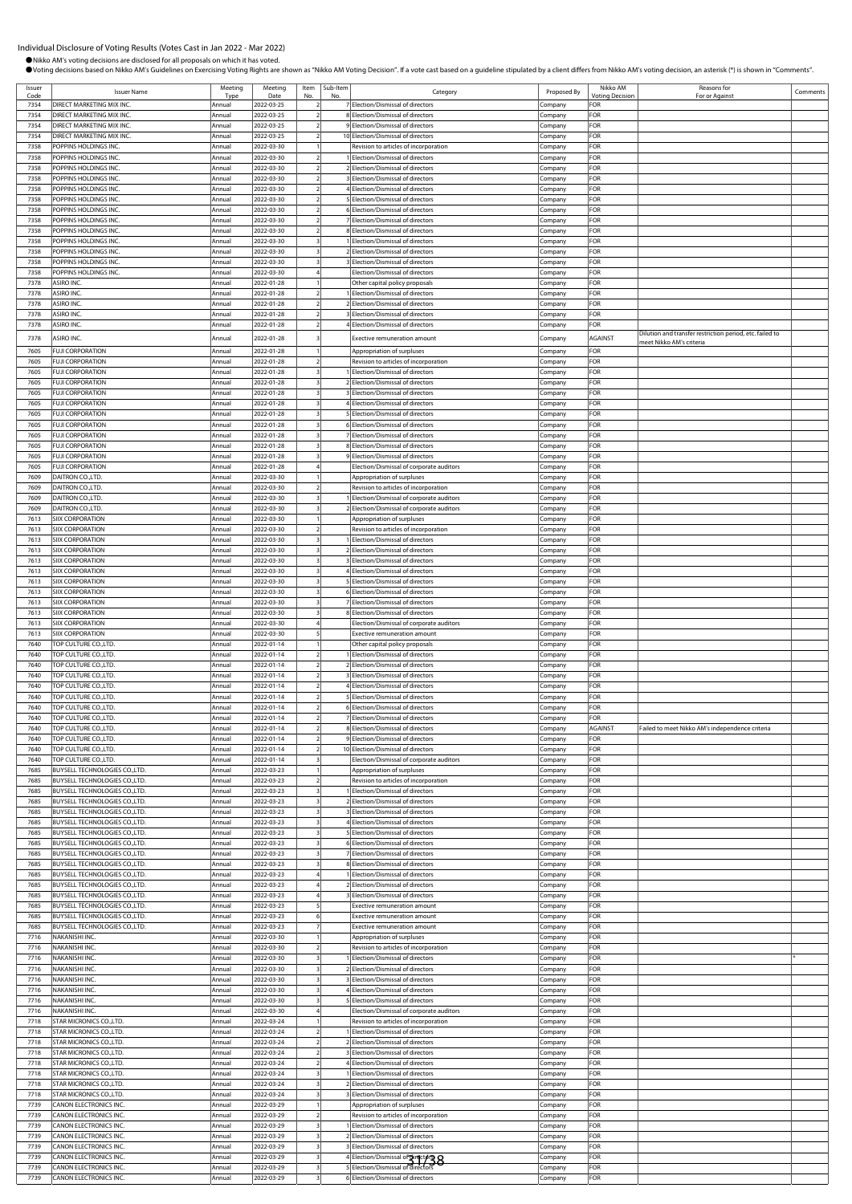Comments

|              | Individual Disclosure of Voting Results (Votes Cast in Jan 2022 - Mar 2022)<br>Nikko AM's voting decisions are disclosed for all proposals on which it has voted. |                  |                          |                          |                 |                                                                                                                                                                                                                                |                    |                        |                                                          |
|--------------|-------------------------------------------------------------------------------------------------------------------------------------------------------------------|------------------|--------------------------|--------------------------|-----------------|--------------------------------------------------------------------------------------------------------------------------------------------------------------------------------------------------------------------------------|--------------------|------------------------|----------------------------------------------------------|
| Issuer       |                                                                                                                                                                   | Meeting          | Meeting                  |                          | Item   Sub-Item | OVoting decisions based on Nikko AM's Guidelines on Exercising Voting Rights are shown as "Nikko AM Voting Decision". If a vote cast based on a guideline stipulated by a client differs from Nikko AM's voting decision, an a |                    | Nikko AM               | Reasons for                                              |
| Code         | <b>Issuer Name</b>                                                                                                                                                | Tvp <sub>t</sub> | Date                     |                          | No              | Category                                                                                                                                                                                                                       | Proposed By        | <b>Voting Decision</b> | For or Against                                           |
| 7354         | DIRECT MARKETING MIX INC.                                                                                                                                         | Annual           | 2022-03-25               |                          |                 | 7 Election/Dismissal of directors                                                                                                                                                                                              | Company            | FOR                    |                                                          |
| 7354         | DIRECT MARKETING MIX INC.<br>DIRECT MARKETING MIX INC.                                                                                                            | Annual           | 2022-03-25               | $\overline{z}$           |                 | 8 Election/Dismissal of directors                                                                                                                                                                                              | Company            | FOR                    |                                                          |
| 7354<br>7354 | DIRECT MARKETING MIX INC.                                                                                                                                         | Annual<br>Annual | 2022-03-25<br>2022-03-25 | $\overline{\phantom{0}}$ |                 | 9 Election/Dismissal of directors<br>10 Election/Dismissal of directors                                                                                                                                                        | Company<br>Company | FOR<br>FOR             |                                                          |
| 7358         | POPPINS HOLDINGS INC.                                                                                                                                             | Annual           | 2022-03-30               |                          |                 | Revision to articles of incorporation                                                                                                                                                                                          | Company            | FOR                    |                                                          |
| 7358         | POPPINS HOLDINGS INC.                                                                                                                                             | Annual           | 2022-03-30               |                          |                 | Election/Dismissal of directors                                                                                                                                                                                                | Company            | FOR                    |                                                          |
| 7358         | POPPINS HOLDINGS INC.                                                                                                                                             | Annual           | 2022-03-30               |                          |                 | 2 Election/Dismissal of directors                                                                                                                                                                                              | .cmpany            | FOR                    |                                                          |
| 7358         | POPPINS HOLDINGS INC.                                                                                                                                             | Annual           | 2022-03-30               |                          |                 | 3 Election/Dismissal of directors                                                                                                                                                                                              | Company            | <b>FOR</b>             |                                                          |
| 7358         | POPPINS HOLDINGS INC.                                                                                                                                             | Annual           | 2022-03-30               |                          |                 | 4 Election/Dismissal of directors                                                                                                                                                                                              | Company            | <b>FOR</b>             |                                                          |
| 7358         | POPPINS HOLDINGS INC.                                                                                                                                             | Annual           | 2022-03-30               | $\overline{z}$           |                 | 5 Election/Dismissal of directors                                                                                                                                                                                              | Company            | FOR<br>FOR             |                                                          |
| 7358<br>7358 | POPPINS HOLDINGS INC.<br>POPPINS HOLDINGS INC.                                                                                                                    | Annual<br>Annual | 2022-03-30<br>2022-03-30 |                          |                 | 6 Election/Dismissal of directors<br>7 Election/Dismissal of directors                                                                                                                                                         | Company<br>Company | FOR                    |                                                          |
| 7358         | POPPINS HOLDINGS INC.                                                                                                                                             | Annual           | 2022-03-30               |                          |                 | 8 Election/Dismissal of directors                                                                                                                                                                                              | Company            | FOR                    |                                                          |
| 7358         | POPPINS HOLDINGS INC.                                                                                                                                             | Annual           | 2022-03-30               |                          |                 | 1 Election/Dismissal of directors                                                                                                                                                                                              | Company            | FOR                    |                                                          |
| 7358         | POPPINS HOLDINGS INC.                                                                                                                                             | Annual           | 2022-03-30               |                          |                 | 2 Election/Dismissal of directors                                                                                                                                                                                              | Company            | FOR                    |                                                          |
| 7358         | POPPINS HOLDINGS INC.                                                                                                                                             | Annual           | 2022-03-30               |                          |                 | 3 Election/Dismissal of directors                                                                                                                                                                                              | Company            | FOR                    |                                                          |
| 7358         | POPPINS HOLDINGS INC.                                                                                                                                             | Annual           | 2022-03-30               |                          |                 | Election/Dismissal of directors                                                                                                                                                                                                | Company            | <b>FOR</b>             |                                                          |
| 7378         | ASIRO INC.                                                                                                                                                        | Annual           | 2022-01-28               | $\overline{z}$           |                 | Other capital policy proposals<br>I Election/Dismissal of directors                                                                                                                                                            | Company            | FOR                    |                                                          |
| 7378<br>7378 | ASIRO INC.<br>ASIRO INC.                                                                                                                                          | Annual<br>Annual | 2022-01-28<br>2022-01-28 | $\overline{2}$           |                 | 2 Election/Dismissal of directors                                                                                                                                                                                              | Company<br>Company | FOR<br>FOR             |                                                          |
| 7378         | ASIRO INC.                                                                                                                                                        | Annual           | 2022-01-28               |                          |                 | 3 Election/Dismissal of directors                                                                                                                                                                                              | Company            | FOR                    |                                                          |
| 7378         | ASIRO INC.                                                                                                                                                        | Annual           | 2022-01-28               |                          |                 | 4 Election/Dismissal of directors                                                                                                                                                                                              | Company            | FOR                    |                                                          |
| 7378         | ASIRO INC.                                                                                                                                                        | Annual           | 2022-01-28               |                          |                 | Exective remuneration amount                                                                                                                                                                                                   | Company            | AGAINST                | Dilution and transfer restriction period, etc. failed to |
| 7605         | <b>FUJI CORPORATION</b>                                                                                                                                           | Annual           | 2022-01-28               |                          |                 | Appropriation of surpluses                                                                                                                                                                                                     | Company            | FOR                    | meet Nikko AM's criteria                                 |
| 7605         | <b>FUJI CORPORATION</b>                                                                                                                                           | Annual           | 2022-01-28               |                          |                 | Revision to articles of incorporation                                                                                                                                                                                          | Company            | FOR                    |                                                          |
| 7605         | <b>FUJI CORPORATION</b>                                                                                                                                           | Annual           | 2022-01-28               | 3                        |                 | 1 Election/Dismissal of directors                                                                                                                                                                                              | Company            | FOR                    |                                                          |
| 7605         | <b>FUJI CORPORATION</b>                                                                                                                                           | Annual           | 2022-01-28               |                          |                 | 2 Election/Dismissal of directors                                                                                                                                                                                              | Company            | FOR                    |                                                          |
| 7605         | <b>FUJI CORPORATION</b>                                                                                                                                           | Annual           | 2022-01-28               |                          |                 | 3 Election/Dismissal of directors                                                                                                                                                                                              | Company            | FOR                    |                                                          |
| 7605         | <b>FUJI CORPORATION</b>                                                                                                                                           | Annual           | 2022-01-28               |                          |                 | 4 Election/Dismissal of directors                                                                                                                                                                                              | .cmpany            | FOR                    |                                                          |
| 7605<br>7605 | <b>FUJI CORPORATION</b><br><b>FUJI CORPORATION</b>                                                                                                                | Annual<br>Annual | 2022-01-28<br>2022-01-28 |                          |                 | 5 Election/Dismissal of directors<br>6 Election/Dismissal of directors                                                                                                                                                         | Company            | <b>FOR</b><br>FOR      |                                                          |
| 7605         | <b>FUJI CORPORATION</b>                                                                                                                                           | Annual           | 2022-01-28               |                          |                 | 7 Election/Dismissal of directors                                                                                                                                                                                              | Company<br>Company | FOR                    |                                                          |
| 7605         | <b>FUJI CORPORATION</b>                                                                                                                                           | Annual           | 2022-01-28               | 3                        |                 | 8 Election/Dismissal of directors                                                                                                                                                                                              | Company            | FOR                    |                                                          |
| 7605         | <b>FUJI CORPORATION</b>                                                                                                                                           | Annual           | 2022-01-28               |                          |                 | 9 Election/Dismissal of directors                                                                                                                                                                                              | Company            | FOR                    |                                                          |
| 7605         | <b>FUJI CORPORATION</b>                                                                                                                                           | Annual           | 2022-01-28               |                          |                 | Election/Dismissal of corporate auditors                                                                                                                                                                                       | Company            | FOR                    |                                                          |
| 7609         | DAITRON CO., LTD.                                                                                                                                                 | Annual           | 2022-03-30               |                          |                 | Appropriation of surpluses                                                                                                                                                                                                     | Company            | FOR                    |                                                          |
| 7609         | DAITRON CO.,LTD.                                                                                                                                                  | Annual           | 2022-03-30               |                          |                 | Revision to articles of incorporation                                                                                                                                                                                          | Company            | FOR                    |                                                          |
| 7609<br>7609 | DAITRON CO., LTD.<br>DAITRON CO., LTD.                                                                                                                            | Annual<br>Annual | 2022-03-30<br>2022-03-30 |                          |                 | Election/Dismissal of corporate auditors<br>2 Election/Dismissal of corporate auditors                                                                                                                                         | Company            | FOR<br><b>FOR</b>      |                                                          |
| 7613         | <b>SIIX CORPORATION</b>                                                                                                                                           | Annual           | 2022-03-30               |                          |                 | Appropriation of surpluses                                                                                                                                                                                                     | Company<br>Company | FOR                    |                                                          |
| 7613         | <b>SIIX CORPORATION</b>                                                                                                                                           | Annual           | 2022-03-30               |                          |                 | Revision to articles of incorporation                                                                                                                                                                                          | Company            | FOR                    |                                                          |
| 7613         | SIIX CORPORATION                                                                                                                                                  | Annual           | 2022-03-30               | $\overline{\mathbf{3}}$  |                 | 1 Election/Dismissal of directors                                                                                                                                                                                              | Company            | FOR                    |                                                          |
| 7613         | <b>SIIX CORPORATION</b>                                                                                                                                           | Annual           | 2022-03-30               |                          |                 | 2 Election/Dismissal of directors                                                                                                                                                                                              | Company            | FOR                    |                                                          |
| 7613         | SIIX CORPORATION                                                                                                                                                  | Annual           | 2022-03-30               |                          |                 | 3 Election/Dismissal of directors                                                                                                                                                                                              | Company            | FOR                    |                                                          |
| 7613         | <b>SIIX CORPORATION</b>                                                                                                                                           | Annual           | 2022-03-30               |                          |                 | 4 Election/Dismissal of directors                                                                                                                                                                                              | Company            | FOR                    |                                                          |
| 7613<br>7613 | <b>SIIX CORPORATION</b><br><b>SIIX CORPORATION</b>                                                                                                                | Annual<br>Annual | 2022-03-30<br>2022-03-30 |                          |                 | 5 Election/Dismissal of directors<br>6 Flection/Dismissal of directors                                                                                                                                                         | Company            | FOR<br>FOR             |                                                          |
| 7613         | <b>SIIX CORPORATION</b>                                                                                                                                           | Annual           | 2022-03-30               |                          |                 | 7 Election/Dismissal of directors                                                                                                                                                                                              | Company<br>Company | <b>FOR</b>             |                                                          |
| 7613         | <b>SIIX CORPORATION</b>                                                                                                                                           | Annual           | 2022-03-30               |                          |                 | 8 Election/Dismissal of directors                                                                                                                                                                                              | Company            | FOR                    |                                                          |
| 7613         | <b>SIIX CORPORATION</b>                                                                                                                                           | Annual           | 2022-03-30               | $\overline{4}$           |                 | Election/Dismissal of corporate auditors                                                                                                                                                                                       | Company            | FOR                    |                                                          |
| 7613         | <b>SIIX CORPORATION</b>                                                                                                                                           | Annual           | 2022-03-30               | 51                       |                 | <b>Exective remuneration amount</b>                                                                                                                                                                                            | Company            | FOR                    |                                                          |
| 7640         | TOP CULTURE CO.,LTD.                                                                                                                                              | Annual           | 2022-01-14               |                          |                 | Other capital policy proposals                                                                                                                                                                                                 | Company            | FOR                    |                                                          |
| 7640         | TOP CULTURE CO., LTD.                                                                                                                                             | Annual           | 2022-01-14               |                          |                 | Election/Dismissal of directors                                                                                                                                                                                                | Company            | FOR                    |                                                          |
| 7640         | TOP CULTURE CO., LTD.                                                                                                                                             | Annual           | 2022-01-14               |                          |                 | 2 Election/Dismissal of directors                                                                                                                                                                                              | Company            | FOR<br><b>FOR</b>      |                                                          |
| 7640<br>7640 | TOP CULTURE CO., LTD.<br>TOP CULTURE CO., LTD.                                                                                                                    | Annual<br>Annual | 2022-01-14<br>2022-01-14 |                          |                 | 3 Election/Dismissal of directors<br>4 Election/Dismissal of directors                                                                                                                                                         | Company            | FOR                    |                                                          |
| 7640         | TOP CULTURE CO.,LTD.                                                                                                                                              | Annual           | 2022-01-14               |                          |                 | 5 Election/Dismissal of directors                                                                                                                                                                                              | Company<br>Company | FOR                    |                                                          |
| 7640         | TOP CULTURE CO., LTD.                                                                                                                                             | Annual           | 2022-01-14               | $\overline{2}$           |                 | 6 Election/Dismissal of directors                                                                                                                                                                                              | Company            | FOR                    |                                                          |
| 7640         | TOP CULTURE CO., LTD.                                                                                                                                             | Annual           | 2022-01-14               |                          |                 | 7 Election/Dismissal of directors                                                                                                                                                                                              | Company            | FOR                    |                                                          |
| 7640         | TOP CULTURE CO.,LTD.                                                                                                                                              | Annual           | 2022-01-14               | $\overline{\phantom{0}}$ |                 | 8 Election/Dismissal of directors                                                                                                                                                                                              | Company            | AGAINST                | Failed to meet Nikko AM's independence criteria          |
| 7640         | TOP CULTURE CO., LTD.                                                                                                                                             | Annual           | 2022-01-14               |                          |                 | 9 Election/Dismissal of directors                                                                                                                                                                                              | Company            | FOR                    |                                                          |
| 7640         | TOP CULTURE CO., LTD.                                                                                                                                             | Annual           | 2022-01-14               |                          |                 | 10 Election/Dismissal of directors                                                                                                                                                                                             | Company            | FOR                    |                                                          |
| 7640         | TOP CULTURE CO.,LTD.<br>BUYSELL TECHNOLOGIES CO.,LTD.                                                                                                             | Annual           | 2022-01-14               |                          |                 | Election/Dismissal of corporate auditors                                                                                                                                                                                       | Company            | FOR<br><b>FOR</b>      |                                                          |
| 7685<br>7685 | BUYSELL TECHNOLOGIES CO.,LTD.                                                                                                                                     | Annual<br>Annual | 2022-03-23<br>2022-03-23 |                          |                 | Appropriation of surpluses<br>Revision to articles of incorporation                                                                                                                                                            | Company<br>Company | FOR                    |                                                          |
| 7685         | BUYSELL TECHNOLOGIES CO.,LTD.                                                                                                                                     | Annual           | 2022-03-23               |                          |                 | Election/Dismissal of directors                                                                                                                                                                                                | Company            | FOR                    |                                                          |
| 7685         | BUYSELL TECHNOLOGIES CO.,LTD.                                                                                                                                     | Annual           | 2022-03-23               | $\overline{\mathbf{3}}$  |                 | 2 Election/Dismissal of directors                                                                                                                                                                                              | Company            | FOR                    |                                                          |
| 7685         | BUYSELL TECHNOLOGIES CO.,LTD.                                                                                                                                     | Annual           | 2022-03-23               |                          |                 | 3 Election/Dismissal of directors                                                                                                                                                                                              | Company            | FOR                    |                                                          |
| 7685         | BUYSELL TECHNOLOGIES CO., LTD.                                                                                                                                    | Annual           | 2022-03-23               |                          |                 | 4 Election/Dismissal of directors                                                                                                                                                                                              | Company            | FOR                    |                                                          |
| 7685         | BUYSELL TECHNOLOGIES CO.,LTD.                                                                                                                                     | Annual           | 2022-03-23               |                          |                 | 5 Election/Dismissal of directors                                                                                                                                                                                              | Company            | FOR                    |                                                          |
|              | BUYSELL TECHNOLOGIES CO.,LTD.                                                                                                                                     | Annual           | 2022-03-23               | 3                        |                 | 6 Election/Dismissal of directors                                                                                                                                                                                              | Company            | FOR                    |                                                          |
| 7685<br>7685 | BUYSELL TECHNOLOGIES CO.,LTD.                                                                                                                                     | Annual           | 2022-03-23               |                          |                 | 7 Election/Dismissal of directors                                                                                                                                                                                              | Company            | FOR                    |                                                          |

7685 BUYSELL TECHNOLOGIES CO.,LTD. Annual 2022-03-23 3 8 Election/Dismissal of directors Company FOR **RUYSELL TECHNOLOGIES CO.,LTD.** Annual 2022-03-23 4 1 Election/Dismissal of directors Company Company 7685 BUYSELL TECHNOLOGIES CO.,LTD. Annual 2022-03-23 4 2 Election/Dismissal of directors Company FOR 7685 BUYSELL TECHNOLOGIES CO.,LTD. Annual 2022-03-23 4 3 Election/Dismissal of directors Company FOR 7685 BUYSELL TECHNOLOGIES CO.,LTD. Annual 2022-03-23 5 Exective remuneration amount Company FOR 7685 BUYSELL TECHNOLOGIES CO.,LTD. Annual 2022-03-23 6 Exective remuneration amount Company FOR 7685 BUYSELL TECHNOLOGIES CO.,LTD. Annual 2022-03-23 7 Exective remuneration amount Company FOR

7716 NAKANISHI INC. Annual 2022-03-30 3 1 Election/Dismissal of directors Company FOR \* 7716 NAKANISHI INC. Annual 2022-03-30 3 2 Election/Dismissal of directors Company FOR 7716 NAKANISHI INC. Annual 2022-03-30 3 3 Election/Dismissal of directors Company FOR 7716 NAKANISHI INC. Annual 2022-03-30 3 4 Election/Dismissal of directors Company FOR 7716 NAKANISHI INC. Annual 2022-03-30 3 5 Election/Dismissal of directors Company FOR

7718 STAR MICRONICS CO.,LTD. Annual 2022-03-24 1 Revision to articles of incorporation Company FOR 7718 STAR MICRONICS CO.,LTD. Annual 2022-03-24 2 1 Election/Dismissal of directors Company FOR 7718 STAR MICRONICS CO.,LTD. Annual 2022-03-24 2 2 Election/Dismissal of directors Company FOR 7718 STAR MICRONICS CO.,LTD. Annual 2022-03-24 2 3 Election/Dismissal of directors Company FOR 7718 STAR MICRONICS CO.,LTD. Annual 2022-03-24 2 4 Election/Dismissal of directors Company FOR 7718 STAR MICRONICS CO.,LTD. Annual 2022-03-24 3 1 Election/Dismissal of directors Company FOR 7718 STAR MICRONICS CO.,LTD. Annual 2022-03-24 3 2 Election/Dismissal of directors Company FOR 7718 STAR MICRONICS CO.,LTD. Annual 2022-03-24 3 3 Election/Dismissal of directors Company FOR 7739 CANON ELECTRONICS INC. Annual 2022-03-29 1 Appropriation of surpluses Company FOR

7739 CANON ELECTRONICS INC. Annual 2022-03-29 3 1 Election/Dismissal of directors Company FOR 7739 CANON ELECTRONICS INC. Annual 2022-03-29 3 2 Election/Dismissal of directors Company FOR

7739 CANON ELECTRONICS INC. Annual 2022-03-29 3 4 Election/Dismissal of directors Company FOR 7739 CANON ELECTRONICS INC. Annual 2022-03-29 3 5 Election/Dismissal of directors Company FOR 31/387739 CANON ELECTRONICS INC. Annual 2022-03-29 3 6 Election/Dismissal of directors Company FOR

Annual 2022-03-30 1 Appropriation of surpluses Company Annual 2022-03-30 2 Revision to articles of incorporation Company FOR

The Company Company of Company For Company For Company For Company For Company For Company For Company For Company For Company For Company For Company For Company For Company For Company For Company For Company For Company

Annual 2022-03-29 2 Revision to articles of incorporation Company

3 Election/Dismissal of directors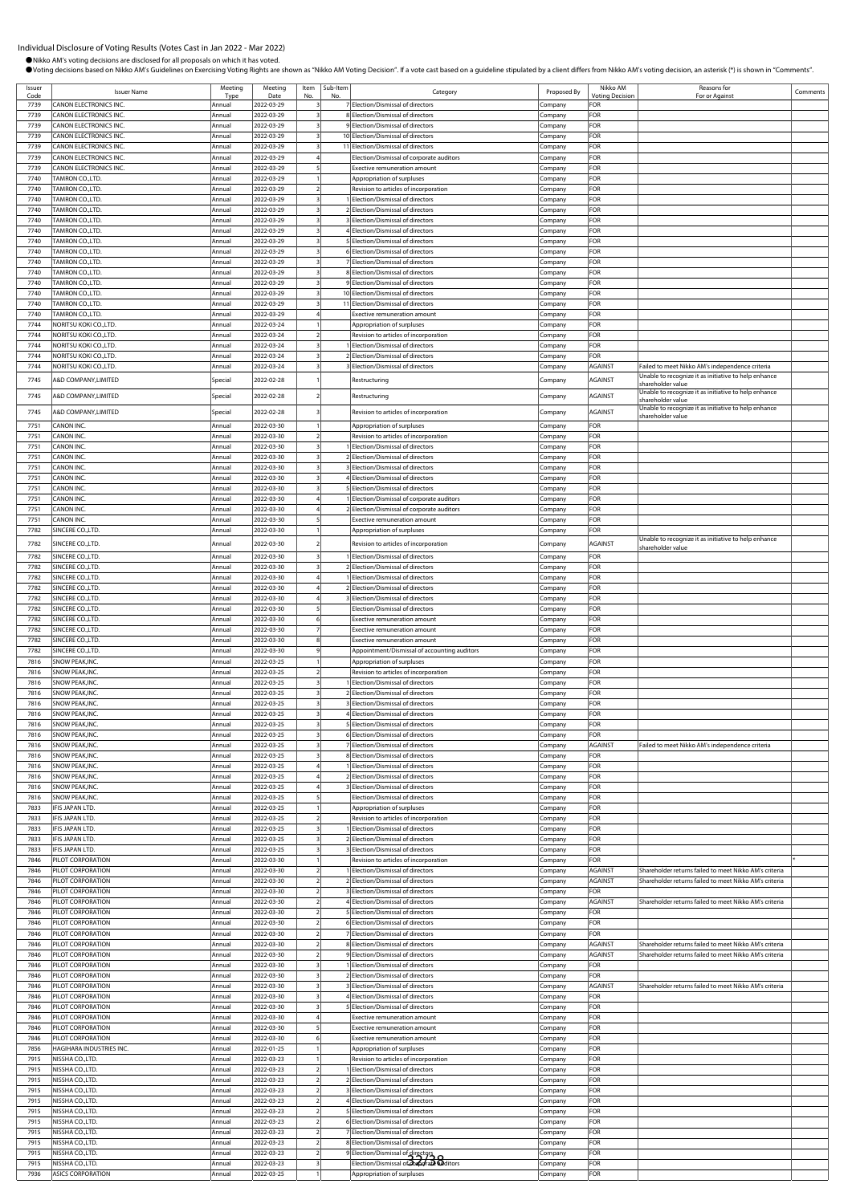Comments

| Proposed By<br>Company<br>Company<br>Company<br>Company<br>Company<br>Company<br>Company | Nikko AM<br><b>Voting Decision</b><br>FOR<br>FOR<br>FOR<br>FOR<br>FOR                                                                       | Reasons for<br>For or Against                                                                             |
|------------------------------------------------------------------------------------------|---------------------------------------------------------------------------------------------------------------------------------------------|-----------------------------------------------------------------------------------------------------------|
|                                                                                          |                                                                                                                                             |                                                                                                           |
|                                                                                          |                                                                                                                                             |                                                                                                           |
|                                                                                          |                                                                                                                                             |                                                                                                           |
|                                                                                          |                                                                                                                                             |                                                                                                           |
|                                                                                          |                                                                                                                                             |                                                                                                           |
|                                                                                          | FOR                                                                                                                                         |                                                                                                           |
|                                                                                          | FOR                                                                                                                                         |                                                                                                           |
| Company                                                                                  | FOR                                                                                                                                         |                                                                                                           |
| Company                                                                                  | FOR                                                                                                                                         |                                                                                                           |
| Company                                                                                  | FOR                                                                                                                                         |                                                                                                           |
| Company                                                                                  | FOR                                                                                                                                         |                                                                                                           |
| Company<br>Company                                                                       | FOR<br>FOR                                                                                                                                  |                                                                                                           |
| Company                                                                                  | FOR                                                                                                                                         |                                                                                                           |
| Company                                                                                  | FOR                                                                                                                                         |                                                                                                           |
| Company                                                                                  | FOR                                                                                                                                         |                                                                                                           |
| Company                                                                                  | FOR                                                                                                                                         |                                                                                                           |
| Company                                                                                  | FOR                                                                                                                                         |                                                                                                           |
| Company                                                                                  | FOR                                                                                                                                         |                                                                                                           |
| Company                                                                                  | FOR<br>FOR                                                                                                                                  |                                                                                                           |
| Company<br>Company                                                                       | FOR                                                                                                                                         |                                                                                                           |
| Company                                                                                  | FOR                                                                                                                                         |                                                                                                           |
| Company                                                                                  | FOR                                                                                                                                         |                                                                                                           |
| Company                                                                                  | FOR                                                                                                                                         |                                                                                                           |
| Company                                                                                  | AGAINST                                                                                                                                     | Failed to meet Nikko AM's independence criteria                                                           |
| Company                                                                                  | AGAINST                                                                                                                                     | Unable to recognize it as initiative to help enhance<br>shareholder value                                 |
| Company                                                                                  | AGAINST                                                                                                                                     | Unable to recognize it as initiative to help enhance<br>shareholder value                                 |
| Company                                                                                  | <b>AGAINST</b>                                                                                                                              | Unable to recognize it as initiative to help enhance<br>hareholder value                                  |
| Company                                                                                  | FOR                                                                                                                                         |                                                                                                           |
| Company                                                                                  | FOR                                                                                                                                         |                                                                                                           |
| Company                                                                                  | FOR                                                                                                                                         |                                                                                                           |
| Company                                                                                  | FOR<br>FOR                                                                                                                                  |                                                                                                           |
| Company<br>Company                                                                       | FOR                                                                                                                                         |                                                                                                           |
| Company                                                                                  | FOR                                                                                                                                         |                                                                                                           |
| Company                                                                                  | FOR                                                                                                                                         |                                                                                                           |
| Company                                                                                  | FOR                                                                                                                                         |                                                                                                           |
| Company                                                                                  | FOR                                                                                                                                         |                                                                                                           |
| Company                                                                                  |                                                                                                                                             |                                                                                                           |
| Company                                                                                  | AGAINST                                                                                                                                     | Unable to recognize it as initiative to help enhance<br>shareholder value                                 |
| Company                                                                                  | FOR                                                                                                                                         |                                                                                                           |
| Company                                                                                  | FOR                                                                                                                                         |                                                                                                           |
| Company                                                                                  |                                                                                                                                             |                                                                                                           |
|                                                                                          |                                                                                                                                             |                                                                                                           |
|                                                                                          |                                                                                                                                             |                                                                                                           |
| Company                                                                                  | FOR                                                                                                                                         |                                                                                                           |
| Company                                                                                  | FOR                                                                                                                                         |                                                                                                           |
| Company                                                                                  | FOR                                                                                                                                         |                                                                                                           |
| ompany                                                                                   | FOR                                                                                                                                         |                                                                                                           |
|                                                                                          |                                                                                                                                             |                                                                                                           |
|                                                                                          |                                                                                                                                             |                                                                                                           |
|                                                                                          |                                                                                                                                             |                                                                                                           |
|                                                                                          | FOR                                                                                                                                         |                                                                                                           |
| Company                                                                                  | FOR                                                                                                                                         |                                                                                                           |
| Company                                                                                  | FOR                                                                                                                                         |                                                                                                           |
| Company                                                                                  | FOR                                                                                                                                         |                                                                                                           |
| Company                                                                                  | AGAINST                                                                                                                                     | Failed to meet Nikko AM's independence criteria                                                           |
| Company                                                                                  |                                                                                                                                             |                                                                                                           |
|                                                                                          |                                                                                                                                             |                                                                                                           |
|                                                                                          |                                                                                                                                             |                                                                                                           |
|                                                                                          | FOR                                                                                                                                         |                                                                                                           |
|                                                                                          | FOR                                                                                                                                         |                                                                                                           |
|                                                                                          |                                                                                                                                             |                                                                                                           |
|                                                                                          | Company<br>Company<br>.cmpany<br>Company<br>Company<br>Company<br>Company<br>Company<br>Company<br>Company<br>Company<br>Company<br>Company | FOR<br>FOR<br>FOR<br>FOR<br>FOR<br>FOR<br>FOR<br>FOR<br>FOR<br>FOR<br>FOR<br>FOR<br>FOR<br>FOR<br>Company |

7833 IFIS JAPAN LTD. Annual 2022-03-25 3 1 Election/Dismissal of directors Company FOR 7833 IFIS JAPAN LTD. Annual 2022-03-25 3 2 Election/Dismissal of directors Company FOR

7846 PILOT CORPORATION Annual 2022-03-30 1 Revision to articles of incorporation Company FOR \*

7846 PILOT CORPORATION Annual 2022-03-30 2 3 Election/Dismissal of directors Company FOR

7846 PILOT CORPORATION Annual 2022-03-30 2 5 Election/Dismissal of directors Company FOR

7846 PILOT CORPORATION Annual 2022-03-30 2 7 Election/Dismissal of directors Company FOR

7846 PILOT CORPORATION Annual 2022-03-30 3 1 Election/Dismissal of directors Company FOR

7846 PILOT CORPORATION Annual 2022-03-30 3 4 Election/Dismissal of directors Company FOR

7846 PILOT CORPORATION Annual 2022-03-30 4 Exective remuneration amount Company FOR 7846 PILOT CORPORATION **Annual 2022-03-30** | 5 | Exective remuneration amount **Company** | FOR 7846 PILOT CORPORATION Annual 2022-03-30 6 Exective remuneration amount Company FOR 7856 HAGIHARA INDUSTRIES INC. Annual 2022-01-25 1 Appropriation of surpluses Company FOR 7915 NISSHA CO.,LTD. Annual 2022-03-23 1 Revision to articles of incorporation Company FOR 7915 NISSHA CO.,LTD. Annual 2022-03-23 2 1 Election/Dismissal of directors Company FOR 7915 NISSHA CO.,LTD. Annual 2022-03-23 2 2 Election/Dismissal of directors Company FOR 7915 NISSHA CO.,LTD. Annual 2022-03-23 2 3 Election/Dismissal of directors Company FOR 7915 NISSHA CO.,LTD. Annual 2022-03-23 2 4 Election/Dismissal of directors Company FOR 7915 NISSHA CO.,LTD. Annual 2022-03-23 2 5 Election/Dismissal of directors Company FOR 7915 NISSHA CO.,LTD. Annual 2022-03-23 2 6 Election/Dismissal of directors Company FOR

7915 NISSHA CO.,LTD. **Annual 2022-03-23** 2 8 Election/Dismissal of directors Company FOR 7915 NISSHA CO.,LTD. Annual 2022-03-23 2 9 Election/Dismissal of directors Company FOR 7915 NISSHA CO.,LTD. Annual 2022-03-23 3 Election/Dismissal of corporate auditors Company FOR 32/387936 ASICS CORPORATION Annual 2022-03-25 1 Appropriation of surpluses Company FOR

3 Election/Dismissal of directors

**7846** PILOT CORPORATION **Annual** 2022-03-30 2 2 Election/Dismissal of directors Company AGAINST Shareholder returns failed to meet Nikko AM's criteria

Annual 2022-03-30 2 6 Election/Dismissal of directors Company FOR

1946 PILOT CORPORATION Annual 2022-03-30 2 8 Election/Dismissal of directors Company AGAINST Shareholder returns failed to meet Nikko AM's criteria<br>19 2022-03-30 2 9 Election/Dismissal of directors Company AGAINST Shareh PILOT CORPORATION **Annual 2022-03-30 2** 9 Election/Dismissal of directors Company AGAINST Shareholder returns failed to meet Nikko AM's criterial company and the company and the company of the company FOR<br>PILOT CORPORATION

Annual 2022-03-30 3 2 Election/Dismissal of directors Company FOR 7846 PILOT CORPORATION Annual 2022-03-30 3 3 Election/Dismissal of directors Company AGAINST Shareholder returns failed to meet Nikko AM's criteria

5<br>Election/Dismissal of directors

Annual 2022-03-23 2 7 Election/Dismissal of directors Company Company

2 1 Election/Dismissal of directors **Company AGAINST** Shareholder returns failed to meet Nikko AM's criteria and annual AGAINST Shareholder returns failed to meet Nikko AM's criteria and annual AGAINST Shareholder returns

**Shareholder returns failed to meet Nikko AM's criteria**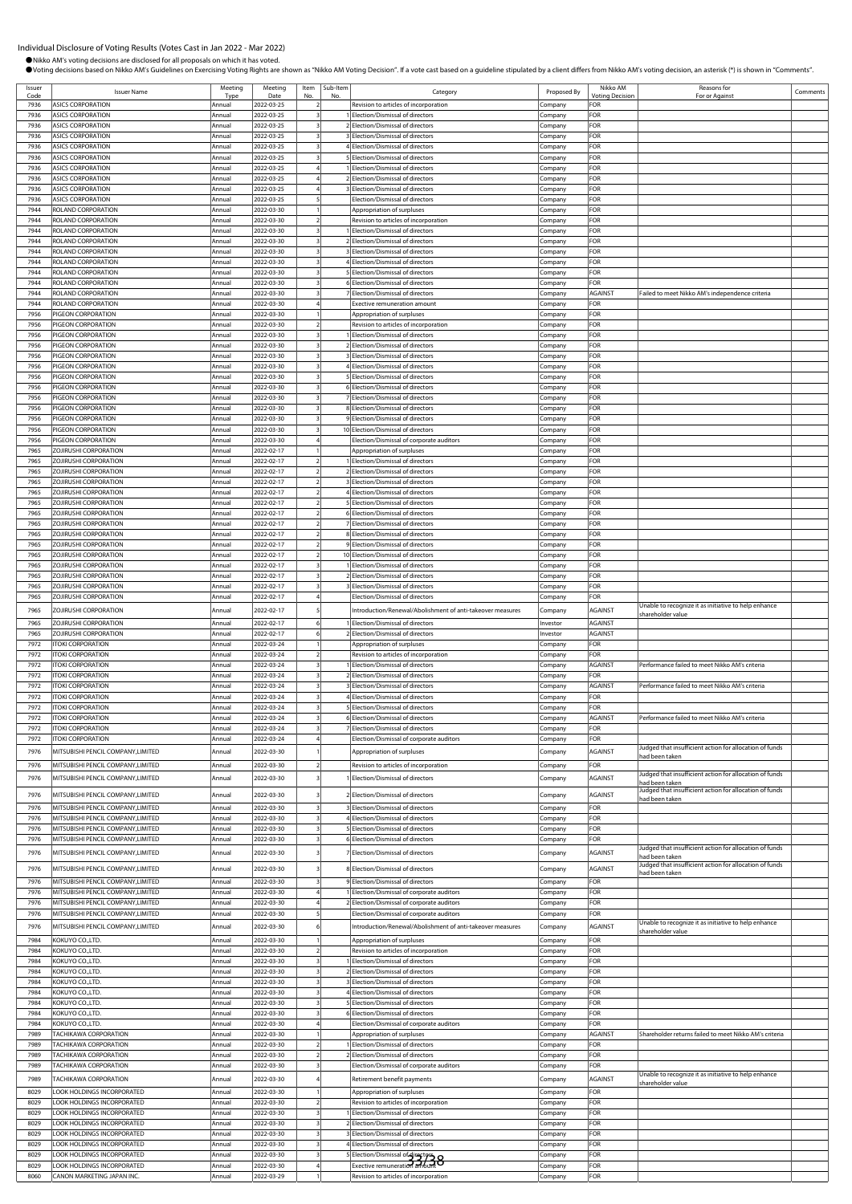●Nikko AM's voting decisions are disclosed for all proposals on which it has voted.

OVoting decisions based on Nikko AM's Guidelines on Exercising Voting Rights are shown as "Nikko AM Voting Decision". If a vote cast based on a guideline stipulated by a client differs from Nikko AM's voting decision, an a

Issuer Issuer<br>
Code Issuer Name<br>
7936 ASICS CORPORATION Type ing Date Item No. Sub-Ite<br>No. b-Item<br>No. No. Regory Category Proposed By Nikko AM oting Deci Reasons for Reasons for<br>For or Against Comments 7936 ASICS CORPORATION Annual 2022-03-25 2 Revision to articles of incorporation Company FOR 1<br>Telection/Dismissal of directors Company 7936 ASICS CORPORATION Annual 2022-03-25 3 2 Election/Dismissal of directors Company FOR 7936 ASICS CORPORATION Annual 2022-03-25 3 3 Election/Dismissal of directors Company FOR 7936 ASICS CORPORATION Annual 2022-03-25 3 4 Election/Dismissal of directors Company FOR 7936 ASICS CORPORATION Annual 2022-03-25 3 5 Election/Dismissal of directors Company FOR ASICS CORPORATION **Annual 2022-03-25** 4 1 Election/Dismissal of directors Company FOR 7936 ASICS CORPORATION Annual 2022-03-25 4 2 Election/Dismissal of directors Company FOR 7936 ASICS CORPORATION Annual 2022-03-25 4 3 Election/Dismissal of directors Company FOR 7936 ASICS CORPORATION Annual 2022-03-25 5 Election/Dismissal of directors Company FOR 7944 ROLAND CORPORATION **Annual 2022-03-30** 1 Appropriation of surpluses Company Company **FOR** 7944 ROLAND CORPORATION Annual 2022-03-30 2 Revision to articles of incorporation Company FOR 7944 ROLAND CORPORATION Annual 2022-03-30 3 1 Election/Dismissal of directors Company FOR 7944 ROLAND CORPORATION Annual 2022-03-30 3 2 Election/Dismissal of directors Company FOR 7944 ROLAND CORPORATION Annual 2022-03-30 3 3 Election/Dismissal of directors Company FOR 7944 ROLAND CORPORATION Annual 2022-03-30 3 4 Election/Dismissal of directors Company FOR Annual 2022-03-30 3 5 Election/Dismissal of directors Company FOR 7944 ROLAND CORPORATION Annual 2022-03-30 3 6 Election/Dismissal of directors Company FOR 1944 ROLAND CORPORATION CORPORATION Annual 2022-03-30 3 7 Election/Dismissal of directors Company AGAINST Failed to meet Nikko AM's independence company Failed to meet Nikko AM's independence company For Failed to meet Nik Annual 2022-03-30 4 Exective remuneration amount Company FOR 7956 PIGEON CORPORATION **Annual 2022-03-30** 1 Appropriation of surpluses Company FOR 7956 PIGEON CORPORATION Annual 2022-03-30 2 Revision to articles of incorporation Company FOR 7956 PIGEON CORPORATION Annual 2022-03-30 3 1 Election/Dismissal of directors Company FOR 7956 PIGEON CORPORATION Annual 2022-03-30 3 2 Election/Dismissal of directors Company FOR 7956 PIGEON CORPORATION Annual 2022-03-30 3 3 Election/Dismissal of directors Company FOR 7956 PIGEON CORPORATION Annual 2022-03-30 3 4 Election/Dismissal of directors Company FOR 7956 PIGEON CORPORATION Annual 2022-03-30 3 5 Election/Dismissal of directors Company FOR 7956 PIGEON CORPORATION Annual 2022-03-30 3 6 Election/Dismissal of directors Company FOR 7956 PIGEON CORPORATION CORPORATION Annual 2022-03-30 3 7 Election/Dismissal of directors Company Company FOR 7956 PIGEON CORPORATION Annual 2022-03-30 3 8 Election/Dismissal of directors Company FOR 7956 PIGEON CORPORATION Annual 2022-03-30 3 9 Election/Dismissal of directors Company FOR IGEON CORPORATION COMPANY Annual 2022-03-30 3 10 Election/Dismissal of directors Company FOR 7956 PIGEON CORPORATION Annual 2022-03-30 4 Election/Dismissal of corporate auditors Company FOR 7965 ZOJIRUSHI CORPORATION Annual 2022-02-17 1 Appropriation of surpluses Company FOR 7965 ZOJIRUSHI CORPORATION Annual 2022-02-17 2 1 Election/Dismissal of directors Company FOR 7965 ZOJIRUSHI CORPORATION Annual 2022-02-17 2 2 Election/Dismissal of directors Company FOR 7965 ZOJIRUSHI CORPORATION Annual 2022-02-17 2 3 Election/Dismissal of directors Company FOR 7965 ZOJIRUSHI CORPORATION Annual 2022-02-17 2 4 Election/Dismissal of directors Company FOR 7965 ZOJIRUSHI CORPORATION **Annual 2022-02-17** 2 5 Election/Dismissal of directors **Company** FOR 7965 ZOJIRUSHI CORPORATION **Annual** 2022-02-17 2 6 Election/Dismissal of directors Company 7965 ZOJIRUSHI CORPORATION Annual 2022-02-17 2 7 Election/Dismissal of directors Company FOR RUSHI CORPORATION **Annual** 2022-02-17 2 8 Election/Dismissal of directors Company 7965 ZOJIRUSHI CORPORATION Annual 2022-02-17 2 9 Election/Dismissal of directors Company FOR 7965 ZOJIRUSHI CORPORATION Annual 2022-02-17 2 10 Election/Dismissal of directors Company FOR 7965 ZOJIRUSHI CORPORATION Annual 2022-02-17 3 1 Election/Dismissal of directors Company FOR 7965 ZOJIRUSHI CORPORATION Annual 2022-02-17 3 2 Election/Dismissal of directors Company FOR 7965 ZOJIRUSHI CORPORATION Annual 2022-02-17 3 3 Election/Dismissal of directors Company FOR 7965 ZOJIRUSHI CORPORATION **Annual** 2022-02-17 4 Election/Dismissal of directors Company FOR 7965 ZOJIRUSHI CORPORATION 1999 AGAINST Annual 2022-02-17 5 Introduction/Renewal/Abolishment of anti-takeover measures Company AGAINST Unable to recognize it as initiative to help enhance shareholder value 7965 ZOJIRUSHI CORPORATION Annual 2022-02-17 6 1 Election/Dismissal of directors Investor AGAINST 7965 ZOJIRUSHI CORPORATION Annual 2022-02-17 6 2 Election/Dismissal of directors Investor AGAINST 7972 ITOKI CORPORATION Annual 2022-03-24 1 Appropriation of surpluses Company FOR 7972 ITOKI CORPORATION Annual 2022-03-24 2 Revision to articles of incorporation Company FOR 2022-03-24 3 1 Election/Dismissal of directors Company Company 7972 ITOKI CORPORATION Annual 2022-03-24 3 2 Election/Dismissal of directors Company FOR ance failed to meet Nikko AM's cr 7972 ITOKI CORPORATION Annual 2022-03-24 3 4 Election/Dismissal of directors Company FOR 7972 ITOKI CORPORATION Annual 2022-03-24 3 5 Election/Dismissal of directors Company FOR 7972 ITOKI CORPORATION Annual 2022-03-24 3 6 Election/Dismissal of directors Company AGAINST Performance failed to meet Nikko AM's criteria 7972 ITOKI CORPORATION Annual 2022-03-24 3 7 Election/Dismissal of directors Company FOR 7972 |ITOKI CORPORATION | COMPANY | Annual | 2022-03-24 | 4 | Election/Dismissal of corporate auditors | Company 7976 MITSUBISHI PENCIL COMPANY,LIMITED Annual 2022-03-30 1 Appropriation of surpluses Company AGAINST Judged that insufficient action for allocation of funds had been taken 7976 MITSUBISHI PENCIL COMPANY,LIMITED Annual 2022-03-30 2 Revision to articles of incorp 2020 MITSUBISHI ENCLUSION ANNUAL ANNUAL ANNUAL ANNUAL ANNUAL ANNUAL ANNUAL ANNUAL ANNUAL ANNUAL ANNUAL ANNUAL A<br>2022-03-30 3 1 Election/Dismissal of directors Company AGAINST Judged that insufficient action for allocation had been taken Annual 2022-03-30 3 2 Election/Dismissal of directors Company AGAINST Judged that insufficient action for allocation of the company AGAINST Judged that insufficient action for allocation for allocation for allocation for a had been taken 7976 MITSUBISHI PENCIL COMPANY,LIMITED Annual 2022-03-30 3 3 Election/Dismissal of directors Company FOR TTSUBISHI PENCIL COMPANY, LIMITED Annual 2022-03-30 3 4 Election/Dismissal of directors Company FOR 7976 MITSUBISHI PENCIL COMPANY,LIMITED Annual 2022-03-30 3 5 Election/Dismissal of directors Company FOR 7976 MITSUBISHI PENCIL COMPANY,LIMITED Annual 2022-03-30 3 6 Election/Dismissal of directors Company FOR 7976 MITSUBISHI PENCIL COMPANY,LIMITED Annual 2022-03-30 3 7 Election/Dismissal of directors Company AGAINST Judged that insufficient action for allocation of funds had been take<br>Indoed that in 7976 MITSUBISHI PENCIL COMPANY,LIMITED Annual 2022-03-30 3 8 Election/Dismissal of directors Company AGAINST Judged that insufficient action for allocation of funds had been take 7976 MITSUBISHI PENCIL COMPANY,LIMITED Annual 2022-03-30 3 9 Election/Dismissal of directors Company FOR 7976 MITSUBISHI PENCIL COMPANY,LIMITED Annual 2022-03-30 4 1 Election/Dismissal of corporate auditors Company FOR 7976 MITSUBISHI PENCIL COMPANY,LIMITED Annual 2022-03-30 4 2 Election/Dismissal of corporate auditors Company FOR 7976 MITSUBISHI PENCIL COMPANY,LIMITED Annual 2022-03-30 5 Election/Dismissal of corporate auditors Company FOR 7976 MITSUBISHI PENCIL COMPANY,LIMITED | Annual 2022-03-30 6 | Introduction/Renewal/Abolishment of anti-takeover measures | Company | AGAINST hareholder valu 7984 KOKUYO CO.,LTD. **Annual 2022-03-30** 1 Appropriation of surpluses Company Company FOR 7984 KOKUYO CO.,LTD. Annual 2022-03-30 2 Revision to articles of incorporation Company FOR 7984 KOKUYO CO.,LTD. Annual 2022-03-30 3 1 Election/Dismissal of directors Company FOR 7984 KOKUYO CO.,LTD. Annual 2022-03-30 3 2 Election/Dismissal of directors Company FOR 7984 KOKUYO CO.,LTD. Annual 2022-03-30 3 3 Election/Dismissal of directors Company FOR 7984 KOKUYO CO.,LTD. COMPANY CO., Annual 2022-03-30 3 4 Election/Dismissal of directors Company FOR 7984 KOKUYO CO.,LTD. Company Company Annual 2022-03-30 3 5 Election/Dismissal of directors Company 7984 KOKUYO CO.,LTD. Annual 2022-03-30 3 6 Election/Dismissal of directors Company FOR 7984 KOKUYO CO.,LTD. Annual 2022-03-30 4 Election/Dismissal of corporate auditors Company FOR 7989 TACHIKAWA CORPORATION **Annual 2022-03-30** 1 Appropriation of surpluses Company AGAINST Shareholder returns failed to meet Nikko AM's 7989 TACHIKAWA CORPORATION Annual 2022-03-30 2 1 Election/Dismissal of directors Company FOR 2 Election/Dismissal of directors 7989 TACHIKAWA CORPORATION Annual 2022-03-30 3 Election/Dismissal of corporate auditors Company FOR 7989 TACHIKAWA CORPORATION CORPORATION Annual 2022-03-30 4 Retirement benefit payments Company Company AGAINST Unable to recognize it as initiative to help enhance shareholder value 8029 LOOK HOLDINGS INCORPORATED Annual 2022-03-30 1 Appropriation of surpluses Company FOR<br>8029 LOOK HOLDINGS INCORPORATED Annual 2022-03-30 2 Revision to articles of incorporation Company FOR 8029 DOK HOLDINGS INCORPORATED Annual 2022-03-30 2 Revision to articles of incorporation 8029 LOOK HOLDINGS INCORPORATED **Annual 2022-03-30** 3 1 Election/Dismissal of directors Company FOR 8029 LOOK HOLDINGS INCORPORATED Annual 2022-03-30 3 2 Election/Dismissal of directors Company FOR 8029 LOOK HOLDINGS INCORPORATED Annual 2022-03-30 3 3 3 3 3 3 3 3 3 3 Election/Dismissal of directors Company FOR 8029 LOOK HOLDINGS INCORPORATED **Annual** 2022-03-30 3 4 Election/Dismissal of directors Company FOR 8029 LOOK HOLDINGS INCORPORATED Annual 2022-03-30 3 5 Election/Dismissal of directors Company 8029 LOOK HOLDINGS INCORPORATED Annual 2022-03-30 3 5 Election/Dismissal of dinectors Company FOR<br>3029 LOOK HOLDINGS INCORPORATED Annual 2022-03-30 4 Exective remuneration amount Company Company FOR n to articles of incorporati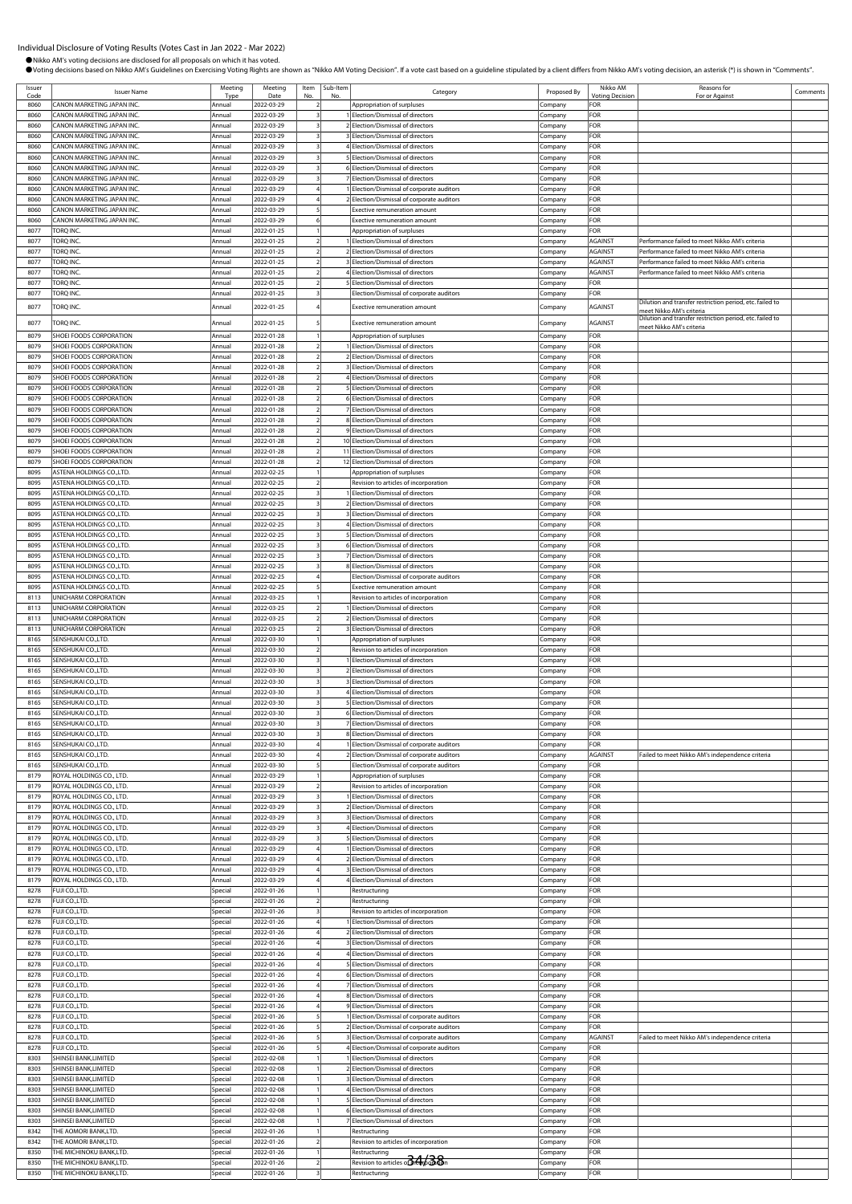●Nikko AM's voting decisions are disclosed for all proposals on which it has voted.

OVoting decisions based on Nikko AM's Guidelines on Exercising Voting Rights are shown as "Nikko AM Voting Decision". If a vote cast based on a guideline stipulated by a client differs from Nikko AM's voting decision, an a

Issuer Ssuer **ISSUER ISSUER ISSUER ISSUER ISSUER ISSUER ISSUER ISSUER ISSUER ISSUER ISSUER ISSUER ISSUER ISSUER ISSUER**<br>Code **ISSUER ISSUER ISSUER ISSUER ISSUER ISSUER ISSUER ISSUER ISSUER ISSUER ISSUER ISSUER ISSUER ISSUER ISSUE** Type ing Date Item No. Sub-Ite<br>No. b-Item<br>No. No. Regory Category Proposed By Nikko AM oting Deci Reasons for Reasons for<br>For or Against Comments 8060 CANON MARKETING JAPAN INC.<br>8060 CANON MARKETING JAPAN INC. Annual 2022-03-29 2 1 Election/Dismissal of directors Company FOR 1 Election/Dismissal of directors 8060 CANON MARKETING JAPAN INC. Annual 2022-03-29 3 2 Election/Dismissal of directors Company FOR 8060 CANON MARKETING JAPAN INC. Annual 2022-03-29 3 3 Election/Dismissal of directors Company FOR 8060 CANON MARKETING JAPAN INC. Annual 2022-03-29 3 4 Election/Dismissal of directors Company FOR 8060 CANON MARKETING JAPAN INC. Annual 2022-03-29 3 5 Election/Dismissal of directors Company FOR Annual 2022-03-29 3 6 Election/Dismissal of directors Company FOR 8060 CANON MARKETING JAPAN INC. Annual 2022-03-29 3 7 Election/Dismissal of directors Company FOR lection/Dismissal of corporate auditors **Inc. Annual 2023-04 1 Election** Company 8060 CANON MARKETING JAPAN INC. Annual 2022-03-29 4 2 Election/Dismissal of corporate auditors Company Company 8060 CANON MARKETING JAPAN INC. Annual 2022-03-29 5 Exective remuneration amount Company FOR 8060 CANON MARKETING JAPAN INC. <br>
Annual 2022-03-29 6 Exective remuneration amount Company FOR 8077 TORQ INC. Annual 2022-01-25 1 Appropriation of surpluses Company FOR er is a construction of the construction of the construction of the construction of the company and the company and the company and the company and the company and the company and the company and the company and the compan 8077 TORQ INC. COMPONIC. COMPONITIES Annual 2022-01-25 2 2 Election/Dismissal of directors Company AGAINST Performance failed to meet Nikko AM's criteria 8077 TORQ INC. No. 2002-01-25 2 3 Election/Dismissal of directors Company AGAINST Performance failed to meet Nikko AM's criteria and the company and the criteria and the criteria and the criteria and the criteria and the c  $\frac{1}{2022-01-25}$  2 4 Election/Dismissal of directors 8077 TORQ INC. Annual 2022-01-25 2 5 Election/Dismissal of directors Company FOR 8077 TORQ INC. COMPANY COMPANY COMPANY Annual 2022-01-25 3 Election/Dismissal of corporate auditors Company 1997 TORQ INC.<br>1997 TORQ INC. TORQ INC. THE MELTING AND LOTER Annual 2022-01-25 4 Exective remuneration amount Company AGAINST Preet Nikko AM's criteria meet Nikko AM's criteria (Company AGAINST Pilution and transfer restr meet Nikko AM's criteria 8079 SHOEI FOODS CORPORATION Annual 2022-01-28 1 Appropriation of surpluses Company FOR 8079 SHOEI FOODS CORPORATION **Annual** 2022-01-28 2 1 Election/Dismissal of directors Company FOR 8079 SHOEI FOODS CORPORATION Annual 2022-01-28 2 2 Election/Dismissal of directors Company FOR 8079 SHOEI FOODS CORPORATION Annual 2022-01-28 2 3 Election/Dismissal of directors Company FOR 8079 SHOEI FOODS CORPORATION **Annual** 2022-01-28 2 4 Election/Dismissal of directors Company Company FOR 8079 SHOEI FOODS CORPORATION Annual 2022-01-28 2 5 Election/Dismissal of directors Company 8079 SHOEI FOODS CORPORATION Annual 2022-01-28 2 6 Election/Dismissal of directors Company FOR 8079 SHOEI FOODS CORPORATION **Annual 2022-01-28** 2 7 Election/Dismissal of directors Company FOR 8079 SHOEI FOODS CORPORATION Annual 2022-01-28 2 8 Election/Dismissal of directors Company FOR 8079 SHOEI FOODS CORPORATION **Annual 2022-01-28** 2 9 Election/Dismissal of directors Company Company 8079 SHOEI FOODS CORPORATION Annual 2022-01-28 2 10 Election/Dismissal of directors Company FOR 8079 SHOEI FOODS CORPORATION Annual 2022-01-28 2 11 Election/Dismissal of directors Company FOR ROEI FOODS CORPORATION **Annual 2022-01-28** 2 12 Election/Dismissal of directors Company Company 8095 ASTENA HOLDINGS CO.,LTD. **Annual 2022-02-25** 1 Appropriation of surpluses Company FOR 8095 ASTENA HOLDINGS CO.,LTD. Annual 2022-02-25 2 Revision to articles of incorporation Company FOR 8095 ASTENA HOLDINGS CO.,LTD. Annual 2022-02-25 3 1 Election/Dismissal of directors Company FOR 8095 ASTENA HOLDINGS CO.,LTD. **Annual 2022-02-25** 3 2 Election/Dismissal of directors **Company** FOR 8095 ASTENA HOLDINGS CO.,LTD. Annual 2022-02-25 3 3 Election/Dismissal of directors Company FOR 8<br>8095 Al Flection/Dismissal of directors Company Formany Formany Formany Formany Formany Formany Formany Forman<br>The Company Formany Formany Formany Formany Formany Formany Formany Formany Formany Formany Formany Formany F 8095 ASTENA HOLDINGS CO.,LTD. **Annual 2022-02-25** 3 5 Election/Dismissal of directors Company FOR 8095 ASTENA HOLDINGS CO.,LTD. Annual 2022-02-25 3 6 Election/Dismissal of directors Company 8095 ASTENA HOLDINGS CO.,LTD. Annual 2022-02-25 3 7 Election/Dismissal of directors Company FOR STENA HOLDINGS CO.,LTD. **Annual 2022-02-25** 3 8 Election/Dismissal of directors Company Company 8095 ASTENA HOLDINGS CO.,LTD. Annual 2022-02-25 4 Election/Dismissal of corporate auditors Company FOR 8095 ASTENA HOLDINGS CO.,LTD. **Annual 2022-02-25** 5 Exective remuneration amount Company FOR 8113 UNICHARM CORPORATION Annual 2022-03-25 1 Revision to articles of incorporation Company FOR 8113 UNICHARM CORPORATION Annual 2022-03-25 2 1 Election/Dismissal of directors Company FOR 8113 UNICHARM CORPORATION Annual 2022-03-25 2 2 Election/Dismissal of directors Company FOR 8113 UNICHARM CORPORATION **Annual** 2022-03-25 2 3 Election/Dismissal of directors Company FOR 8165 SENSHUKAI CO.,LTD. Annual 2022-03-30 1 Appropriation of surpluses Company FOR 8165 SENSHUKAI CO.,LTD. Annual 2022-03-30 2 Revision to articles of incorporation Company FOR 8165 SENSHUKAI CO.,LTD. Annual 2022-03-30 3 1 Election/Dismissal of directors Company FOR 8165 SENSHUKAI CO.,LTD. Annual 2022-03-30 3 2 Election/Dismissal of directors Company FOR Annual 2022-03-30 3 3 Blection/Dismissal of directors Company FOR 8165 SENSHUKAI CO.,LTD. **Annual 2022-03-30** 3 4 Election/Dismissal of directors Company FOR 8165 SENSHUKAI CO.,LTD. Annual 2022-03-30 3 5 Election/Dismissal of directors Company FOR 8165 SENSHUKAI CO.,LTD. Annual 2022-03-30 3 6 Election/Dismissal of directors Company FOR 8165 SENSHUKAI CO.,LTD. Annual 2022-03-30 3 7 Election/Dismissal of directors Company FOR 8165 SENSHUKAI CO.,LTD. Annual 2022-03-30 3 8 Election/Dismissal of directors Company 8165 SENSHUKAI CO.,LTD. Annual 2022-03-30 4 1 Election/Dismissal of corporate auditors Company FOR 8165 SENSHUKAI CO.,LTD. **Annual** 2022-03-30 4 2 Election/Dismissal of corporate auditors Company 8165 SENSHUKAI CO.,LTD. Annual 2022-03-30 5 Election/Dismissal of corporate auditors Company FOR 8179 ROYAL HOLDINGS CO., LTD. **Annual 2022-03-29** 1 Appropriation of surpluses Company FOR<br>8179 ROYAL HOLDINGS CO., LTD. Annual 2022-03-29 2 Revision to articles of incorporation Company FOR 8179 ROYAL HOLDINGS CO., LTD. Annual 2022-03-29 2 Revision to articles of incorporation Company FOR 8179 ROYAL HOLDINGS CO., LTD. Annual 2022-03-29 3 1 Election/Dismissal of directors Company FOR 8179 ROYAL HOLDINGS CO., LTD. **Annual 2022-03-29** 3 2 Election/Dismissal of directors Company FOR<br>8179 ROYAL HOLDINGS CO., LTD. Annual 2022-03-29 3 3 Election/Dismissal of directors Company FOR 8179 ROYAL HOLDINGS CO., LTD. **Annual 2022-03-29** 3 3 Election/Dismissal of directors Company FOR 8179 ROYAL HOLDINGS CO., LTD. Annual 2022-03-29 3 4 Election/Dismissal of directors Company FOR 8179 ROYAL HOLDINGS CO., LTD. Annual 2022-03-29 3 5 Election/Dismissal of directors Company FOR 8179 ROYAL HOLDINGS CO., LTD. **Annual 2022-03-29** 4 1 Election/Dismissal of directors **Company** FOR 8179 ROYAL HOLDINGS CO., LTD. Annual 2022-03-29 4 2 Election/Dismissal of directors Company FOR ROYAL HOLDINGS CO., LTD. **Annual** 2022-03-29 4 3 Election/Dismissal of directors Company FOR 8179 ROYAL HOLDINGS CO., LTD. Annual 2022-03-29 4 4 Election/Dismissal of directors 8278 FUJI CO.,LTD. Special Special 2022-01-26 1 1 Restructuring Special Company FOR 8278 FUJI CO.,LTD. Special Special 2022-01-26 2 Restructuring Special Company FOR 8278 FUJI CO.,LTD. Special Special 2022-01-26 3 Revision to articles of incorporation Company FOR 8278 FUJI CO.,LTD. Special Special 2022-01-26 4 1 Election/Dismissal of directors Company FOR Company FOR 8278 FUJI CO.,LTD. Special 2022-01-26 4 2 Election/Dismissal of directors Company FOR 8278 FUJI CO.,LTD. Special 2022-01-26 4 3 Election/Dismissal of directors Company 8278 FUJI CO.,LTD. Special 2022-01-26 4 4 Election/Dismissal of directors Company FOR 8278 FUJI CO.,LTD. Special 2022-01-26 4 5 Election/Dismissal of directors Company FOR 8278 FUJI CO.,LTD. Special 2022-01-26 4 6 Election/Dismissal of directors Company FOR 8278 FUJI CO<sub>v</sub>LTD. Special 2022-01-26 4 7 Election/Dismissal of directors Company FOR<br>8278 FUJI CO<sub>v</sub>LTD. Special 2022-01-26 4 8 Election/Dismissal of directors Company FOR 8278 FUJI CO.,LTD. Special 2022-01-26 4 8 Election/Dismissal of directors Company FOR 8278 FUJI CO.,LTD. Special 2022-01-26 4 9 Election/Dismissal of directors Company FOR 8278 FUJI CO.,LTD. Special Special 2022-01-26 5 1 Election/Dismissal of corporate auditors Company Company<br>8278 FUJI CO.,LTD. Special 2022-01-26 5 2 Election/Dismissal of corporate auditors Company exand and according to the special special company in the special company FOR<br>Decial 2022-01-26 5 2 Election/Dismissal of corporate auditors Company FOR 8278 FUJI CO.,LTD. Special 2022-01-26 5 3 Election/Dismissal of corporate auditors Company AGAINST Failed to meet Nikko AM's independence criteria 8278 FUJI CO.,LTD. Special Special 2022-01-26 | 5 4 Election/Dismissal of corporate auditors Company FOR 8303 SHINSEI BANK,LIMITED Special 2022-02-08 1 1 Election/Dismissal of directors Company FOR 8303 SHINSEI BANK,LIMITED Special 2022-02-08 1 2 Election/Dismissal of directors Company FOR 8303 SHINSEI BANK,LIMITED Special 2022-02-08 1 3 Election/Dismissal of directors Company FOR 8303 SHINSEI BANK,LIMITED Special 2022-02-08 1 4 Election/Dismissal of directors Company FOR EXAMPLE SPECIAL SPECIAL SPECIAL SPECIAL SELECTION/Dismissal of directors Company Company Company Selection Special 2022-02-08 1 5 Election/Dismissal of directors Company Company Company FOR Special 2022-02-08 1 6 Election/ 8303 SHINSEI BANK,LIMITED Special 2022-02-08 1 6 Election/Dismissal of directors Company FOR 8303 SHINSEI BANK,LIMITED Special 2022-02-08 1 7 Election/Dismissal of directors Company FOR<br>8342 THE AOMORI BANK,LTD. Special 2022-01-26 1 Restructuring Restructuring Company FOR HE AOMORI BANK,LTD. Special 2022-01-26 1 Restructuring Company Company 8342 THE AOMORI BANK,LTD. Special 2022-01-26 2 Revision to articles of incorporation Company FOR 8350 THE MICHINOKU BANK,LTD. Special 2022-01-26 1 Restructuring Company FOR<br>8350 THE MICHINOKU BANK,LTD. Special 2022-01-26 2 Revision to articles **37 App 28** 8350 THE MICHINOKU BANK,LTD. **Special 2022-01-26** 3 Restructuring **Company** FOR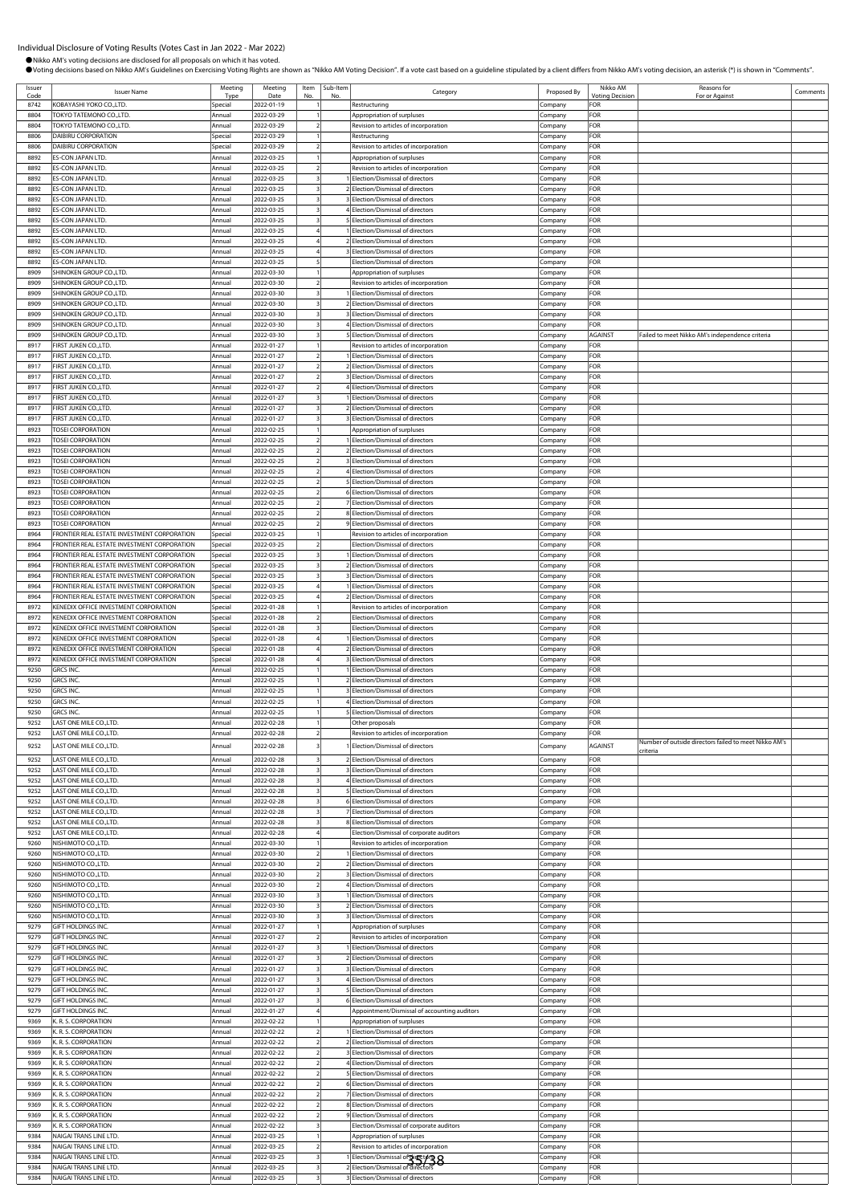●Nikko AM's voting decisions are disclosed for all proposals on which it has voted.<br>●Voting decisions based on Nikko AM's Guidelines on Exercising Voting Rights are shown as "Nikko AM Voting Decision". If a vote cast base

Category **Proposed By Nikko AM**<br>Proposed By Noting Decision

**Voting Decis** 

Reasons for<br>
For or Against Comments

Type

Meeting Date

Item No.  $\frac{3}{10}$ 

Issuer Name

Issuer

| 8742         | KOBAYASHI YOKO CO.,LTD.                                                        | Special          | 2022-01-19               |                | Restructuring                                                        | Company            | FOR        |                                                       |  |
|--------------|--------------------------------------------------------------------------------|------------------|--------------------------|----------------|----------------------------------------------------------------------|--------------------|------------|-------------------------------------------------------|--|
| 8804         | <b>FOKYO TATEMONO CO.,LTD.</b>                                                 | Annual           | 2022-03-29               |                | Appropriation of surpluses                                           | Company            | FOR        |                                                       |  |
| 8804         | TOKYO TATEMONO CO.,LTD.                                                        | Annual           | 2022-03-29               |                | Revision to articles of incorporation                                | Company            | FOR        |                                                       |  |
| 8806         | DAIBIRU CORPORATION                                                            | Special          | 2022-03-29               |                | Restructuring                                                        | :ompany            | FOR        |                                                       |  |
| 8806         | DAIBIRU CORPORATION                                                            | Special          | 2022-03-29               |                | Revision to articles of incorporation                                | Company            | FOR        |                                                       |  |
| 8892         | ES-CON JAPAN LTD.                                                              | Annual           | 2022-03-25               |                | Appropriation of surpluses                                           | Company            | FOR        |                                                       |  |
| 8892         | ES-CON JAPAN LTD.                                                              | Annual           | 2022-03-25               |                | Revision to articles of incorporation                                | Company            | FOR        |                                                       |  |
| 8892         | ES-CON JAPAN LTD.                                                              | Annual           | 2022-03-25               |                | Election/Dismissal of directors                                      | Company            | FOR        |                                                       |  |
| 8892         | ES-CON JAPAN LTD.                                                              | Annual           | 2022-03-25               |                | Election/Dismissal of directors                                      | Company            | FOR        |                                                       |  |
| 8892         | ES-CON JAPAN LTD.                                                              | Annual           | 2022-03-25               |                | Election/Dismissal of directors                                      | Company            | FOR        |                                                       |  |
| 8892         | ES-CON JAPAN LTD.                                                              | Annual           | 2022-03-25               |                | Election/Dismissal of directors                                      | Company            | FOR        |                                                       |  |
| 8892         | ES-CON JAPAN LTD.                                                              | Annual           | 2022-03-25               |                | Election/Dismissal of directors                                      | ompany.            | FOR        |                                                       |  |
| 8892         | ES-CON JAPAN LTD.                                                              | Annual           | 2022-03-25               |                | Election/Dismissal of directors                                      | .<br>ompany        | FOR        |                                                       |  |
| 8892         | ES-CON JAPAN LTD.                                                              | Annual           | 2022-03-25               |                | Election/Dismissal of directors                                      | Company            | FOR        |                                                       |  |
| 8892         | ES-CON JAPAN LTD.                                                              | Annual           | 2022-03-25               |                | Election/Dismissal of directors                                      |                    | FOR        |                                                       |  |
| 8892         | ES-CON JAPAN LTD.                                                              | Annual           | 2022-03-25               |                | Election/Dismissal of directors                                      | Company            | FOR        |                                                       |  |
|              |                                                                                |                  |                          |                |                                                                      | Company            |            |                                                       |  |
| 8909         | SHINOKEN GROUP CO., LTD.                                                       | Annual           | 2022-03-30               |                | Appropriation of surpluses                                           | .cmpany            | FOR        |                                                       |  |
| 8909         | SHINOKEN GROUP CO.,LTD.                                                        | Annual           | 2022-03-30               |                | Revision to articles of incorporation                                | Company            | FOR        |                                                       |  |
| 8909         | SHINOKEN GROUP CO.,LTD.                                                        | Annual           | 2022-03-30               |                | Election/Dismissal of directors                                      | Company            | FOR        |                                                       |  |
| 8909         | SHINOKEN GROUP CO.,LTD.                                                        | Annual           | 2022-03-30               |                | Election/Dismissal of directors                                      | ompany.            | FOR        |                                                       |  |
| 8909         | SHINOKEN GROUP CO.,LTD.                                                        | Annual           | 2022-03-30               |                | Election/Dismissal of directors                                      | .cmpany            | FOR        |                                                       |  |
| 8909         | SHINOKEN GROUP CO., LTD.                                                       | Annual           | 2022-03-30               |                | Election/Dismissal of directors                                      | Company            | FOR        |                                                       |  |
| 8909         | SHINOKEN GROUP CO., LTD.                                                       | Annual           | 2022-03-30               |                | Election/Dismissal of directors                                      | Company            | AGAINST    | Failed to meet Nikko AM's independence criteria       |  |
| 8917         | FIRST JUKEN CO.,LTD                                                            | Annual           | 2022-01-27               |                | Revision to articles of incorporation                                | Company            | FOR        |                                                       |  |
| 8917         | FIRST JUKEN CO., LTD.                                                          | Annual           | 2022-01-27               |                | Election/Dismissal of directors                                      | .cmpany            | FOR        |                                                       |  |
| 8917         | FIRST JUKEN CO.,LTD                                                            | Annual           | 2022-01-27               |                | Election/Dismissal of directors                                      | Company            | FOR        |                                                       |  |
| 8917         | FIRST JUKEN CO., LTD.                                                          | Annual           | 2022-01-27               |                | Election/Dismissal of directors                                      | Company            | FOR        |                                                       |  |
| 8917         | FIRST JUKEN CO.,LTD.                                                           | Annual           | 2022-01-27               |                | Election/Dismissal of directors                                      | .cmpany            | FOR        |                                                       |  |
| 8917         | <b>IRST JUKEN CO.,LTD</b>                                                      | Annual           | 2022-01-27               |                | Election/Dismissal of directors                                      | ompany.            | FOR        |                                                       |  |
| 8917         | <b>FIRST JUKEN CO., LTD</b>                                                    | Annual           | 2022-01-27               |                | Election/Dismissal of directors                                      | ompany.            | FOR        |                                                       |  |
| 8917         | FIRST JUKEN CO., LTD                                                           | Annual           | 2022-01-27               |                | Election/Dismissal of directors                                      | Company            | FOR        |                                                       |  |
| 8923         | <b>TOSEI CORPORATION</b>                                                       | Annual           | 2022-02-25               |                | Appropriation of surpluses                                           | Company            | FOR        |                                                       |  |
| 8923         | <b>TOSEI CORPORATION</b>                                                       | Annual           | 2022-02-25               |                | Election/Dismissal of directors                                      | Company            | FOR        |                                                       |  |
| 8923         | <b>TOSEI CORPORATION</b>                                                       | Annual           | 2022-02-25               |                | Election/Dismissal of directors                                      |                    | FOR        |                                                       |  |
| 8923         | <b>TOSEI CORPORATION</b>                                                       | Annual           | 2022-02-25               |                | Election/Dismissal of directors                                      | Company<br>Company | FOR        |                                                       |  |
| 8923         | <b>TOSEI CORPORATION</b>                                                       | Annual           | 2022-02-25               |                | Election/Dismissal of directors                                      | Company            | FOR        |                                                       |  |
|              |                                                                                |                  |                          |                |                                                                      |                    |            |                                                       |  |
| 8923         | <b>TOSEI CORPORATION</b>                                                       | Annual           | 2022-02-25               |                | Election/Dismissal of directors                                      | ompany.            | FOR        |                                                       |  |
| 8923         | <b>TOSEI CORPORATION</b>                                                       | Annual           | 2022-02-25               |                | Election/Dismissal of directors                                      | ompany             | FOR        |                                                       |  |
| 8923         | <b>TOSEI CORPORATION</b>                                                       | Annual           | 2022-02-25               |                | Election/Dismissal of directors                                      | Company            | FOR        |                                                       |  |
| 8923         | <b>TOSEI CORPORATION</b>                                                       | Annual           | 2022-02-25               |                | Election/Dismissal of directors                                      | Company            | FOR        |                                                       |  |
| 8923         | <b>TOSEI CORPORATION</b>                                                       | Annual           | 2022-02-25               |                | Election/Dismissal of directors                                      | Company            | FOR        |                                                       |  |
| 8964         | RONTIER REAL ESTATE INVESTMENT CORPORATION                                     | Special          | 2022-03-25               |                | Revision to articles of incorporation                                | .cmpany            | FOR        |                                                       |  |
| 8964         | FRONTIER REAL ESTATE INVESTMENT CORPORATION                                    | Special          | 2022-03-25               |                | Election/Dismissal of directors                                      | lompany            | FOR        |                                                       |  |
| 8964         | FRONTIER REAL ESTATE INVESTMENT CORPORATION                                    | Special          | 2022-03-25               |                | Election/Dismissal of directors                                      | Company            | FOR        |                                                       |  |
| 8964         | RONTIER REAL ESTATE INVESTMENT CORPORATION                                     | Special          | 2022-03-25               |                | Election/Dismissal of directors                                      | ompany.            | FOR        |                                                       |  |
| 8964         | RONTIER REAL ESTATE INVESTMENT CORPORATION                                     | Special          | 2022-03-25               |                | Election/Dismissal of directors                                      | ompany.            | FOR        |                                                       |  |
| 8964         | FRONTIER REAL ESTATE INVESTMENT CORPORATION                                    | Special          | 2022-03-25               |                | Election/Dismissal of directors                                      | Company            | FOR        |                                                       |  |
| 8964         | FRONTIER REAL ESTATE INVESTMENT CORPORATION                                    | Special          | 2022-03-25               |                | Election/Dismissal of directors                                      | Company            | FOR        |                                                       |  |
| 8972         | KENEDIX OFFICE INVESTMENT CORPORATION                                          | Special          | 2022-01-28               |                | Revision to articles of incorporation                                | Company            | FOR        |                                                       |  |
|              |                                                                                |                  |                          |                |                                                                      |                    |            |                                                       |  |
| 8972         | KENEDIX OFFICE INVESTMENT CORPORATION                                          | Special          | 2022-01-28               |                | Election/Dismissal of directors                                      | .cmpany            | <b>OR</b>  |                                                       |  |
| 8972         |                                                                                | Special          |                          |                | Election/Dismissal of directors                                      |                    | FOR        |                                                       |  |
| 8972         | KENEDIX OFFICE INVESTMENT CORPORATION<br>KENEDIX OFFICE INVESTMENT CORPORATION | Special          | 2022-01-28<br>2022-01-28 |                | Election/Dismissal of directors                                      | Company            | FOR        |                                                       |  |
|              |                                                                                |                  |                          |                |                                                                      | Company            |            |                                                       |  |
| 8972         | KENEDIX OFFICE INVESTMENT CORPORATION                                          | Special          | 2022-01-28               |                | Election/Dismissal of directors                                      | Company            | FOR        |                                                       |  |
| 8972         | KENEDIX OFFICE INVESTMENT CORPORATION                                          | Special          | 2022-01-28               |                | Election/Dismissal of directors                                      | .<br>ompany        | FOR        |                                                       |  |
| 9250         | GRCS INC.                                                                      | Annual           | 2022-02-25               |                | Election/Dismissal of directors                                      | Company            | FOR        |                                                       |  |
| 9250         | <b>GRCS INC</b>                                                                | Annual           | 2022-02-25               |                | Election/Dismissal of directors                                      | Company            | FOR        |                                                       |  |
| 9250         | GRCS INC.                                                                      | Annual           | 2022-02-25               |                | Election/Dismissal of directors                                      | Company            | FOR        |                                                       |  |
| 9250         | GRCS INC.                                                                      | Annual           | 2022-02-25               |                | Election/Dismissal of directors                                      | Company            | FOR        |                                                       |  |
| 9250         | GRCS INC.                                                                      | Annual           | 2022-02-25               |                | Election/Dismissal of directors                                      | Company            | FOR        |                                                       |  |
| 9252         | LAST ONE MILE CO., LTD.                                                        | Annual           | 2022-02-28               |                | Other proposals                                                      | Company            | FOR        |                                                       |  |
| 9252         | LAST ONE MILE CO., LTD.                                                        | Annual           | 2022-02-28               |                | Revision to articles of incorporation                                | Company            | FOR        |                                                       |  |
| 9252         | LAST ONE MILE CO., LTD.                                                        | Annual           | 2022-02-28               |                | 1 Election/Dismissal of directors                                    | Company            | AGAINST    | Number of outside directors failed to meet Nikko AM's |  |
| 9252         | LAST ONE MILE CO., LTD.                                                        | Annual           | 2022-02-28               |                | Election/Dismissal of directors                                      | Company            | FOR        | criteria                                              |  |
| 9252         | LAST ONE MILE CO., LTD.                                                        | Annual           | 2022-02-28               |                | Election/Dismissal of directors                                      |                    | FOR        |                                                       |  |
| 9252         | LAST ONE MILE CO., LTD.                                                        | Annual           | 2022-02-28               |                | 4 Election/Dismissal of directors                                    | Company<br>Company | FOR        |                                                       |  |
| 9252         |                                                                                |                  |                          |                | Election/Dismissal of directors                                      | Company            |            |                                                       |  |
| 9252         | LAST ONE MILE CO., LTD.<br>LAST ONE MILE CO., LTD.                             | Annual<br>Annual | 2022-02-28<br>2022-02-28 |                | Election/Dismissal of directors                                      |                    | FOR<br>FOR |                                                       |  |
|              |                                                                                |                  |                          |                |                                                                      | .cmpany            |            |                                                       |  |
| 9252<br>9252 | LAST ONE MILE CO.,LTD.                                                         | Annual           | 2022-02-28               |                | Election/Dismissal of directors                                      | ompany.            | FOR        |                                                       |  |
|              | LAST ONE MILE CO., LTD.                                                        | Annual<br>Annual | 2022-02-28               |                | 8 Election/Dismissal of directors                                    | Company            | FOR        |                                                       |  |
| 9252         | LAST ONE MILE CO., LTD.                                                        |                  | 2022-02-28               |                | Election/Dismissal of corporate auditors                             | Company            | FOR        |                                                       |  |
| 9260         | NISHIMOTO CO.,LTD.                                                             | Annual           | 2022-03-30               |                | Revision to articles of incorporation                                | Company            | FOR        |                                                       |  |
| 9260         | NISHIMOTO CO.,LTD.                                                             | Annual           | 2022-03-30               |                | Election/Dismissal of directors                                      | Company            | FOR        |                                                       |  |
| 9260         | NISHIMOTO CO.,LTD.                                                             | Annual           | 2022-03-30               | $\overline{z}$ | 2 Election/Dismissal of directors                                    | Company            | FOR        |                                                       |  |
| 9260         | NISHIMOTO CO., LTD.                                                            | Annual           | 2022-03-30               |                | Election/Dismissal of directors                                      | Company            | FOR        |                                                       |  |
| 9260         | NISHIMOTO CO.,LTD.                                                             | Annual           | 2022-03-30               |                | Election/Dismissal of directors                                      | Company            | FOR        |                                                       |  |
| 9260         | NISHIMOTO CO.,LTD.                                                             | Annual           | 2022-03-30               |                | Election/Dismissal of directors                                      | ompany.            | FOR        |                                                       |  |
| 9260         | NISHIMOTO CO.,LTD.                                                             | Annual           | 2022-03-30               |                | Election/Dismissal of directors                                      | .cmpany            | FOR        |                                                       |  |
| 9260         | NISHIMOTO CO., LTD.                                                            | Annual           | 2022-03-30               |                | Election/Dismissal of directors                                      | Company            | FOR        |                                                       |  |
| 9279         | GIFT HOLDINGS INC.                                                             | Annual           | 2022-01-27               |                | Appropriation of surpluses                                           | Company            | FOR        |                                                       |  |
| 9279         | GIFT HOLDINGS INC.                                                             | Annual           | 2022-01-27               |                | Revision to articles of incorporation                                | Company            | FOR        |                                                       |  |
| 9279         | <b>GIFT HOLDINGS INC.</b>                                                      | Annual           | 2022-01-27               |                | Election/Dismissal of directors                                      | Company            | FOR        |                                                       |  |
| 9279         | GIFT HOLDINGS INC.                                                             | Annual           | 2022-01-27               |                | Election/Dismissal of directors                                      | Company            | FOR        |                                                       |  |
| 9279         | GIFT HOLDINGS INC.                                                             | Annual           | 2022-01-27               |                | Election/Dismissal of directors                                      | Company            | FOR        |                                                       |  |
| 9279         | GIFT HOLDINGS INC.                                                             | Annual           | 2022-01-27               |                | Election/Dismissal of directors                                      | Company            | FOR        |                                                       |  |
| 9279         | GIFT HOLDINGS INC.                                                             | Annual           | 2022-01-27               |                | Election/Dismissal of directors                                      | ompany.            | FOR        |                                                       |  |
| 9279         | GIFT HOLDINGS INC.                                                             | Annual           | 2022-01-27               |                | Election/Dismissal of directors                                      | Company            | FOR        |                                                       |  |
| 9279         | GIFT HOLDINGS INC.                                                             | Annual           | 2022-01-27               |                | Appointment/Dismissal of accounting auditors                         | Company            | FOR        |                                                       |  |
| 9369         | K. R. S. CORPORATION                                                           | Annual           | 2022-02-22               |                | Appropriation of surpluses                                           | Company            | FOR        |                                                       |  |
| 9369         | K. R. S. CORPORATION                                                           | Annual           | 2022-02-22               |                | Election/Dismissal of directors                                      | Company            | FOR        |                                                       |  |
| 9369         | K. R. S. CORPORATION                                                           | Annual           | 2022-02-22               |                | Election/Dismissal of directors                                      | Company            | FOR        |                                                       |  |
| 9369         |                                                                                |                  |                          | $\overline{z}$ |                                                                      |                    |            |                                                       |  |
|              | K. R. S. CORPORATION                                                           | Annual           | 2022-02-22               |                | Election/Dismissal of directors                                      | Company            | FOR        |                                                       |  |
| 9369         | K. R. S. CORPORATION                                                           | Annual           | 2022-02-22               |                | Election/Dismissal of directors                                      | Company            | FOR        |                                                       |  |
| 9369         | K. R. S. CORPORATION                                                           | Annual           | 2022-02-22               |                | Election/Dismissal of directors                                      | .cmpany            | FOR        |                                                       |  |
| 9369         | K. R. S. CORPORATION                                                           | Annual           | 2022-02-22               |                | Election/Dismissal of directors                                      | .ompany            | FOR        |                                                       |  |
| 9369         | K. R. S. CORPORATION                                                           | Annual           | 2022-02-22               |                | Election/Dismissal of directors                                      | Company            | FOR        |                                                       |  |
| 9369<br>9369 | K. R. S. CORPORATION<br>K. R. S. CORPORATION                                   | Annual<br>Annual | 2022-02-22<br>2022-02-22 |                | 8 Election/Dismissal of directors<br>Election/Dismissal of directors | Company<br>Company | FOR<br>FOR |                                                       |  |

external transfer of incorporation to articles of incorp

9369 K. R. S. CORPORATION COMPANY CONTROL COMPANY COMPANY COMPANY COMPANY COMPANY COMPANY COMPANY FOR ANNUAL 2022-02-22 3 Election/Dismissal of corporate auditors Company FOR<br>9384 NAIGAI TRANSLINE LTD. Annual 2022-03-25 1 9384 NAIGAI TRANS LINE LTD.<br>9384 NAIGAI TRANS LINE LTD. Annual 2022-03-25 2 Revision to articles of incorporation Company FOR

9384 NAIGAI TRANS LINE LTD. Annual 2022-03-25 3 1 Election/Dismissal of directors Company FOR 9384 NAIGAI TRANS LINE LTD. Annual 2022-03-25 3 2 Election/Dismissal of directors Company FOR 35/389384 NAIGAI TRANS LINE LTD. **Annual 2022-03-25** 3 3 Blection/Dismissal of directors Company FOR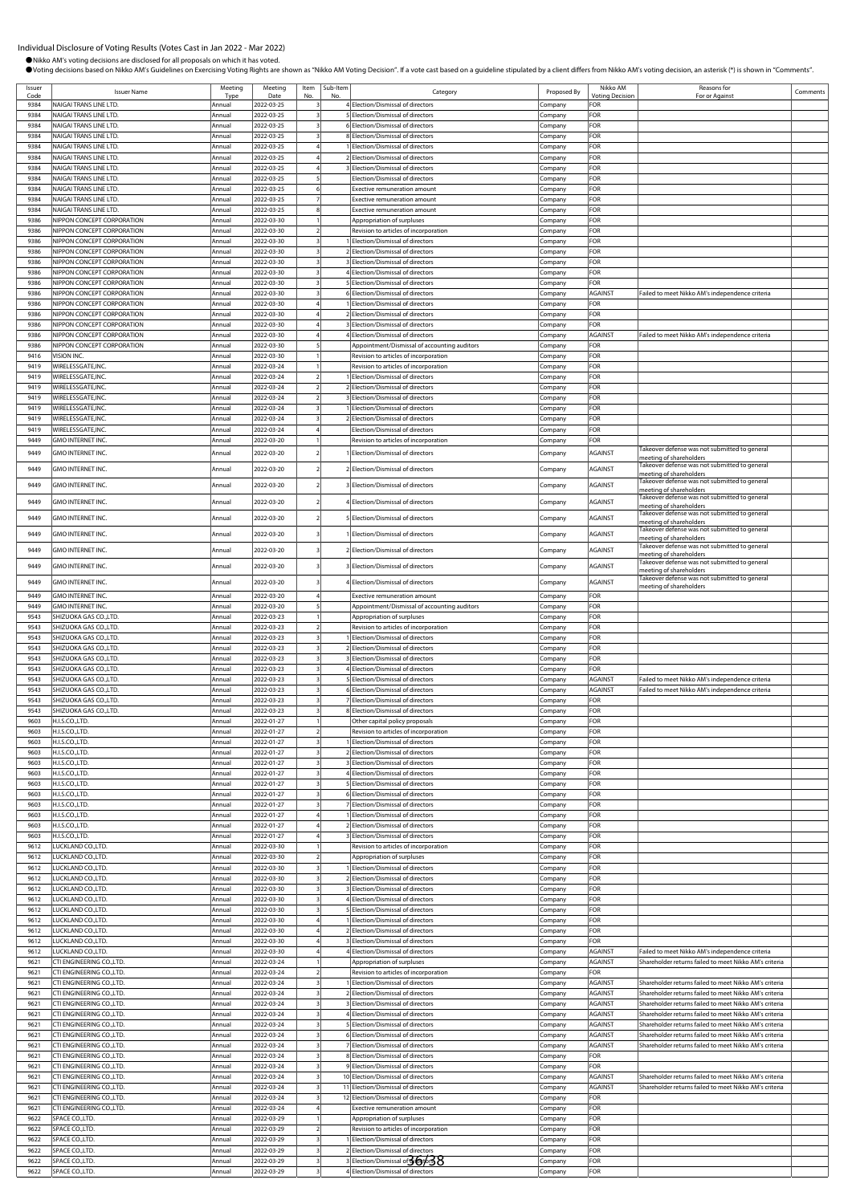$\vert$  Comments

**Shareholder returns failed to meet Nikko AM's critering** 

| Issuer       | Individual Disclosure of Voting Results (Votes Cast in Jan 2022 - Mar 2022)<br>Nikko AM's voting decisions are disclosed for all proposals on which it has voted. | Meeting          | Meeting                  | Item   Sub-Item | Ovoting decisions based on Nikko AM's Guidelines on Exercising Voting Rights are shown as "Nikko AM Voting Decision". If a vote cast based on a guideline stipulated by a client differs from Nikko AM's voting decision, an a |                    | Nikko AM               | <b>Reasons for</b>                                                                                  |
|--------------|-------------------------------------------------------------------------------------------------------------------------------------------------------------------|------------------|--------------------------|-----------------|--------------------------------------------------------------------------------------------------------------------------------------------------------------------------------------------------------------------------------|--------------------|------------------------|-----------------------------------------------------------------------------------------------------|
| Code         | <b>Issuer Name</b>                                                                                                                                                | Typ              | Date                     |                 | Category                                                                                                                                                                                                                       | Proposed By        | <b>Votina Decision</b> | For or Against                                                                                      |
| 9384         | NAIGAI TRANS LINE LTD.                                                                                                                                            | Annual           | 2022-03-25               |                 | 4 Election/Dismissal of directors                                                                                                                                                                                              | Company            | FOR                    |                                                                                                     |
| 9384<br>9384 | NAIGAI TRANS LINE LTD.<br>NAIGAI TRANS LINE LTD.                                                                                                                  | Annual<br>Annua  | 2022-03-25<br>2022-03-25 |                 | 5 Election/Dismissal of directors<br>6 Election/Dismissal of directors                                                                                                                                                         | ompany             | FOR<br>FOR             |                                                                                                     |
| 9384         | NAIGAI TRANS LINE LTD.                                                                                                                                            | Annua            | 2022-03-25               |                 | 8 Election/Dismissal of directors                                                                                                                                                                                              | Company<br>Company | FOR                    |                                                                                                     |
| 9384         | NAIGAI TRANS LINE LTD.                                                                                                                                            | Annua            | 2022-03-25               |                 | <b>Election/Dismissal of directors</b>                                                                                                                                                                                         | .cmpany            | FOR                    |                                                                                                     |
| 9384         | NAIGAI TRANS LINE LTD.                                                                                                                                            | Annual           | 2022-03-25               |                 | 2 Election/Dismissal of directors                                                                                                                                                                                              | ompany.            | FOR                    |                                                                                                     |
| 9384         | NAIGAI TRANS LINE LTD.                                                                                                                                            | Annua            | 2022-03-25               |                 | Election/Dismissal of directors                                                                                                                                                                                                | ompany             | FOR                    |                                                                                                     |
| 9384         | NAIGAI TRANS LINE LTD.                                                                                                                                            | Annua            | 2022-03-25               |                 | Election/Dismissal of directors                                                                                                                                                                                                | .ompany            | FOR                    |                                                                                                     |
| 9384         | NAIGAI TRANS LINE LTD.                                                                                                                                            | Annua            | 2022-03-25               |                 | Exective remuneration amount                                                                                                                                                                                                   | Company            | FOR                    |                                                                                                     |
| 9384         | NAIGAI TRANS LINE LTD.                                                                                                                                            | Annual           | 2022-03-25               |                 | Exective remuneration amount                                                                                                                                                                                                   | Company            | FOR                    |                                                                                                     |
| 9384<br>9386 | NAIGAI TRANS LINE LTD.<br>NIPPON CONCEPT CORPORATION                                                                                                              | Annua<br>Annua   | 2022-03-25<br>2022-03-30 |                 | <b>Exective remuneration amount</b><br>Appropriation of surpluses                                                                                                                                                              | Company<br>Company | FOR<br>FOR             |                                                                                                     |
| 9386         | NIPPON CONCEPT CORPORATION                                                                                                                                        | Annual           | 2022-03-30               |                 | Revision to articles of incorporation                                                                                                                                                                                          | company.           | FOR                    |                                                                                                     |
| 9386         | NIPPON CONCEPT CORPORATION                                                                                                                                        | Annual           | 2022-03-30               |                 | Election/Dismissal of directors                                                                                                                                                                                                | ompany             | FOR                    |                                                                                                     |
| 9386         | NIPPON CONCEPT CORPORATION                                                                                                                                        | Annual           | 2022-03-30               |                 | 2 Election/Dismissal of directors                                                                                                                                                                                              | ompany             | FOR                    |                                                                                                     |
| 9386         | NIPPON CONCEPT CORPORATION                                                                                                                                        | Annual           | 2022-03-30               |                 | Election/Dismissal of directors                                                                                                                                                                                                | ompany             | <b>OR</b>              |                                                                                                     |
| 9386         | NIPPON CONCEPT CORPORATION                                                                                                                                        | Annual           | 2022-03-30               |                 | 4 Election/Dismissal of directors                                                                                                                                                                                              | :ompany            | FOR                    |                                                                                                     |
| 9386         | NIPPON CONCEPT CORPORATION                                                                                                                                        | Annual           | 2022-03-30               |                 | 5 Election/Dismissal of directors                                                                                                                                                                                              | Company            | FOR                    |                                                                                                     |
| 9386         | NIPPON CONCEPT CORPORATION                                                                                                                                        | Annual           | 2022-03-30               |                 | 6 Election/Dismissal of directors                                                                                                                                                                                              | Company            | <b>AGAINST</b>         | Failed to meet Nikko AM's independence criteria                                                     |
| 9386<br>9386 | NIPPON CONCEPT CORPORATION<br>NIPPON CONCEPT CORPORATION                                                                                                          | Annual           | 2022-03-30<br>2022-03-30 |                 | 1 Election/Dismissal of directors<br>2 Election/Dismissal of directors                                                                                                                                                         | Company            | FOR<br>FOR             |                                                                                                     |
| 9386         | NIPPON CONCEPT CORPORATION                                                                                                                                        | Annual<br>Annual | 2022-03-30               |                 | 3 Election/Dismissal of directors                                                                                                                                                                                              | ompany.<br>Company | FOR                    |                                                                                                     |
| 9386         | NIPPON CONCEPT CORPORATION                                                                                                                                        | Annual           | 2022-03-30               |                 | Election/Dismissal of directors                                                                                                                                                                                                | ompany             | AGAINST                | ailed to meet Nikko AM's independence criteria                                                      |
| 9386         | NIPPON CONCEPT CORPORATION                                                                                                                                        | Annual           | 2022-03-30               |                 | Appointment/Dismissal of accounting auditors                                                                                                                                                                                   | ompany             | FOR                    |                                                                                                     |
| 9416         | VISION INC                                                                                                                                                        | Annual           | 2022-03-30               |                 | Revision to articles of incorporation                                                                                                                                                                                          | ompany.            | FOR                    |                                                                                                     |
| 9419         | WIRELESSGATE.INC                                                                                                                                                  | Annual           | 2022-03-24               |                 | Revision to articles of incorporation                                                                                                                                                                                          | Company            | <b>FOR</b>             |                                                                                                     |
| 9419         | WIRELESSGATE, INC.                                                                                                                                                | Annua            | 2022-03-24               |                 | Election/Dismissal of directors                                                                                                                                                                                                | Company            | FOR                    |                                                                                                     |
| 9419         | WIRELESSGATE.INC                                                                                                                                                  | Annual           | 2022-03-24               |                 | 2 Election/Dismissal of directors                                                                                                                                                                                              | Company            | FOR                    |                                                                                                     |
| 9419         | WIRELESSGATE, INC.                                                                                                                                                | Annual           | 2022-03-24               |                 | 3 Flection/Dismissal of directors                                                                                                                                                                                              | `ompany            | FOR                    |                                                                                                     |
| 9419<br>9419 | WIRELESSGATE, INC<br>WIRELESSGATE, INC.                                                                                                                           | Annual<br>Annua  | 2022-03-24<br>2022-03-24 |                 | Election/Dismissal of directors<br>2 Election/Dismissal of directors                                                                                                                                                           | ompany<br>ompany   | FOR<br>FOR             |                                                                                                     |
| 9419         | WIRELESSGATE, INC.                                                                                                                                                | Annual           | 2022-03-24               |                 | <b>Election/Dismissal of directors</b>                                                                                                                                                                                         | ompany             | <b>OR</b>              |                                                                                                     |
| 9449         | <b>GMO INTERNET INC</b>                                                                                                                                           | Annual           | 2022-03-20               |                 | Revision to articles of incorporation                                                                                                                                                                                          | .company           | OR:                    |                                                                                                     |
| 9449         | <b>GMO INTERNET INC.</b>                                                                                                                                          | Annual           | 2022-03-20               |                 | Election/Dismissal of directors                                                                                                                                                                                                | ompany             | AGAINST                | akeover defense was not submitted to general<br>meeting of shareholders                             |
| 9449         | GMO INTERNET INC.                                                                                                                                                 | Annual           | 2022-03-20               |                 | Election/Dismissal of directors                                                                                                                                                                                                | Company            | AGAINST                | Takeover defense was not submitted to general<br>meeting of shareholders                            |
| 9449         | GMO INTERNET INC.                                                                                                                                                 | Annua            | 2022-03-20               |                 | Election/Dismissal of directors                                                                                                                                                                                                | Company            | AGAINST                | Takeover defense was not submitted to general                                                       |
| 9449         | <b>GMO INTERNET INC.</b>                                                                                                                                          | Annua            | 2022-03-20               |                 | 4 Election/Dismissal of directors                                                                                                                                                                                              | Company            | AGAINST                | meeting of shareholders<br>Takeover defense was not submitted to general                            |
| 9449         | GMO INTERNET INC.                                                                                                                                                 | Annual           | 2022-03-20               |                 | Election/Dismissal of directors                                                                                                                                                                                                | Company            | <b>AGAINST</b>         | meeting of shareholders<br>Takeover defense was not submitted to general                            |
| 9449         | <b>GMO INTERNET INC</b>                                                                                                                                           | Annua            | 2022-03-20               |                 | Election/Dismissal of directors                                                                                                                                                                                                | Company            | AGAINST                | meeting of shareholders<br>Takeover defense was not submitted to general<br>meeting of shareholders |
| 9449         | <b>GMO INTERNET INC</b>                                                                                                                                           | Annua            | 2022-03-20               |                 | 2 Election/Dismissal of directors                                                                                                                                                                                              | Company            | AGAINST                | Takeover defense was not submitted to general<br>meeting of shareholders                            |
| 9449         | <b>GMO INTERNET INC</b>                                                                                                                                           | Annua            | 2022-03-20               |                 | Election/Dismissal of directors                                                                                                                                                                                                | Company            | <b>AGAINST</b>         | akeover defense was not submitted to general<br>meeting of shareholders                             |
| 9449         | GMO INTERNET INC.                                                                                                                                                 | Annual           | 2022-03-20               |                 | Election/Dismissal of directors                                                                                                                                                                                                | Company            | AGAINST                | Takeover defense was not submitted to general<br>neeting of shareholders                            |
| 9449         | <b>GMO INTERNET INC</b>                                                                                                                                           | Annua            | 2022-03-20               |                 | <b>Exective remuneration amount</b>                                                                                                                                                                                            | Company            | FOR                    |                                                                                                     |
| 9449         | <b>GMO INTERNET INC</b>                                                                                                                                           | Annua            | 2022-03-20               |                 | Appointment/Dismissal of accounting auditors                                                                                                                                                                                   | ompany             | FOR                    |                                                                                                     |
| 9543         | SHIZUOKA GAS CO.,LTD.                                                                                                                                             | Annua            | 2022-03-23               |                 | Appropriation of surpluses                                                                                                                                                                                                     | ompany             | FOR                    |                                                                                                     |
| 9543<br>9543 | SHIZUOKA GAS CO.,LTD.<br>SHIZUOKA GAS CO.,LTD.                                                                                                                    | Annual<br>Annual | 2022-03-23<br>2022-03-23 |                 | Revision to articles of incorporation<br>Election/Dismissal of directors                                                                                                                                                       | ompany.            | FOR<br>FOR             |                                                                                                     |
| 9543         | SHIZUOKA GAS CO., LTD.                                                                                                                                            | Annual           | 2022-03-23               |                 | 2 Election/Dismissal of directors                                                                                                                                                                                              | Company<br>Company | FOR                    |                                                                                                     |
| 9543         | SHIZUOKA GAS CO.,LTD                                                                                                                                              | Annual           | 2022-03-23               |                 | 3 Election/Dismissal of directors                                                                                                                                                                                              | Company            | FOR                    |                                                                                                     |
| 9543         | SHIZUOKA GAS CO.,LTD.                                                                                                                                             | Annua            | 2022-03-23               |                 | 4 Election/Dismissal of directors                                                                                                                                                                                              | Company            | FOR                    |                                                                                                     |
| 9543         | SHIZUOKA GAS CO.,LTD.                                                                                                                                             | Annual           | 2022-03-23               |                 | 5 Election/Dismissal of directors                                                                                                                                                                                              | Company            | AGAINST                | Failed to meet Nikko AM's independence criteria                                                     |
| 9543         | SHIZUOKA GAS CO., LTD.                                                                                                                                            | Annua            | 2022-03-23               |                 | 6 Election/Dismissal of directors                                                                                                                                                                                              | Company            | <b>AGAINST</b>         | Failed to meet Nikko AM's independence criteria                                                     |
| 9543         | SHIZUOKA GAS CO.,LTD.                                                                                                                                             | Annua            | 2022-03-23               |                 | 7 Election/Dismissal of directors                                                                                                                                                                                              | ompany             | FOR                    |                                                                                                     |
| 9543         | SHIZUOKA GAS CO.,LTD.                                                                                                                                             | Annual           | 2022-03-23               |                 | 8 Election/Dismissal of directors                                                                                                                                                                                              | company            | OR-                    |                                                                                                     |
| 9603         | H.I.S.CO.,LTD.                                                                                                                                                    | Annual           | 2022-01-27               |                 | Other capital policy proposals                                                                                                                                                                                                 | Company            | FOR                    |                                                                                                     |

1 Election/Dismissal of directors

extending the 12022-03-30 3 3 4 Election/Dismissal of directors Company Company

2 Election/Dismissal of directors

9612 LUCKLAND CO.,LTD. Annual 2022-03-30 4 4 Election/Dismissal of directors Company AGAINST Failed to meet Nikko AM's independence criteria

erich CTI ENGINEERING CO.,LTD. Annual 2022-03-24 3 1 Election/Dismissal of directors Company AGAINST Shareholder returns failed to meet Nikko AM's criterial company and the Company AGAINST Shareholder returns failed to mee of the Shareholder returns failed to meet Nikko AM's criterial annual 2022-03-24 3 2 Election/Dismissal of directors Company AGAINST Shareholder returns failed to meet Nikko AM's criterial annual 2022-03-24 3 2 Election/Di

9621 CTI ENGINEERING CO.,LTD. Annual 2022-03-24 3 4 Election/Dismissal of directors Company AGAINST Shareholder returns failed to meet Nikko AM's criteria 9621 CTI ENGINEERING CO.,LTD. Annual 2022-03-24 3 5 Election/Dismissal of directors Company AGAINST Shareholder returns failed to meet Nikko AM's criteria 9621 CTI ENGINEERING CO.,LTD. Annual 2022-03-24 3 6 Election/Dismissal of directors Company AGAINST Shareholder returns failed to meet Nikko AM's criteria on 19621 CTI ENGINEERING CO.,LTD. Annual 2022-03-24 3 7 Election/Dismissal of directors Company AGAINST Shareholder returns failed to meet Nikko AM's criterial company Company AGAINST Shareholder returns failed to meet Nik

9621 CTI ENGINEERING CO.,LTD. Annual 2022-03-24 3 10 Election/Dismissal of directors Company AGAINST Shareholder returns failed to meet Nikko AM's criteria 9621 CTI ENGINEERING CO.,LTD. Annual 2022-03-24 3 11 Election/Dismissal of directors Company AGAINST Shareholder returns failed to meet Nikko AM's criteria

Appropriation of surpluses

8000093 Hection/Dismissal of directors Company Formula 2022-01-27 3 6 Election/Dismissal of directors Company

ering and the set of the Section Company and Company AGAINST Shareholder returns failed to meet Nikko AM's criteria

3 **4** Election/Dismissal of directors

9603 H.I.S.CO.,LTD. Annual 2022-01-27 2 Revision to articles of incorporation Company FOR

9603 H.I.S.CO.,LTD. **Annual 2022-01-27** 3 2 Election/Dismissal of directors Company FOR 9603 H.I.S.CO.,LTD. Annual 2022-01-27 3 3 Election/Dismissal of directors Company FOR

9603 H.I.S.CO.,LTD. Annual 2022-01-27 3 5 Election/Dismissal of directors Company FOR

9603 H.I.S.CO.,LTD. Annual 2022-01-27 3 7 Election/Dismissal of directors Company FOR 9603 H.I.S.CO.,LTD. Annual 2022-01-27 4 1 Election/Dismissal of directors Company FOR 9603 H.I.S.CO.,LTD. Annual 2022-01-27 4 2 Election/Dismissal of directors Company FOR 9603 H.I.S.CO.,LTD. Annual 2022-01-27 4 3 Election/Dismissal of directors Company FOR 9612 LUCKLAND CO.,LTD. Annual 2022-03-30 1 Revision to articles of incorporation Company FOR 9612 LUCKLAND CO.,LTD. Annual 2022-03-30 2 Appropriation of surpluses Company FOR 9612 LUCKLAND CO.,LTD. Annual 2022-03-30 3 1 Election/Dismissal of directors Company FOR 9612 LUCKLAND CO.,LTD. **Annual 2022-03-30** 3 2 Election/Dismissal of directors Company FOR 9612 LUCKLAND CO.,LTD. Annual 2022-03-30 3 3 Election/Dismissal of directors Company FOR

9612 LUCKLAND CO.,LTD. Annual 2022-03-30 3 5 Election/Dismissal of directors Company FOR 9612 LUCKLAND CO.,LTD. Annual 2022-03-30 4 1 Election/Dismissal of directors Company FOR

9612 LUCKLAND CO.,LTD. Annual 2022-03-30 4 3 Election/Dismissal of directors Company FOR

9621 CTI ENGINEERING CO.,LTD. **Annual** 2022-03-24 2 Revision to articles of incorporation Company FOR

9621 CTI ENGINEERING CO.,LTD. **Annual 2022-03-24** 3 12 Election/Dismissal of directors Company FOR 9621 CTI ENGINEERING CO.,LTD. Annual 2022-03-24 4 Exective remuneration amount Company FOR<br>9622 SPACE CO.,LTD. Annual 2022-03-29 1 Appropriation of surpluses Company FOR

9622 SPACE CO.,LTD. Annual 2022-03-29 2 Revision to articles of incorporation Company FOR 9622 SPACE CO.,LTD. Annual 2022-03-29 3 1 Election/Dismissal of directors Company FOR 9622 SPACE CO.,LTD. Annual 2022-03-29 3 2 Election/Dismissal of directors Company FOR 9622 SPACE CO.,LTD. **Annual 2022-03-29** 3 3 Election/Dismissal of **4 directors** Company FOR 9622 SPACE CO.,LTD. Annual 2022-03-29 3 4 Election/Dismissal of directors Company FOR

external company company company annual 2022-03-24 3 8 Election/Dismissal of directors Company Company 9621 CTI ENGINEERING CO.,LTD. Annual 2022-03-24 3 9 Election/Dismissal of directors Company FOR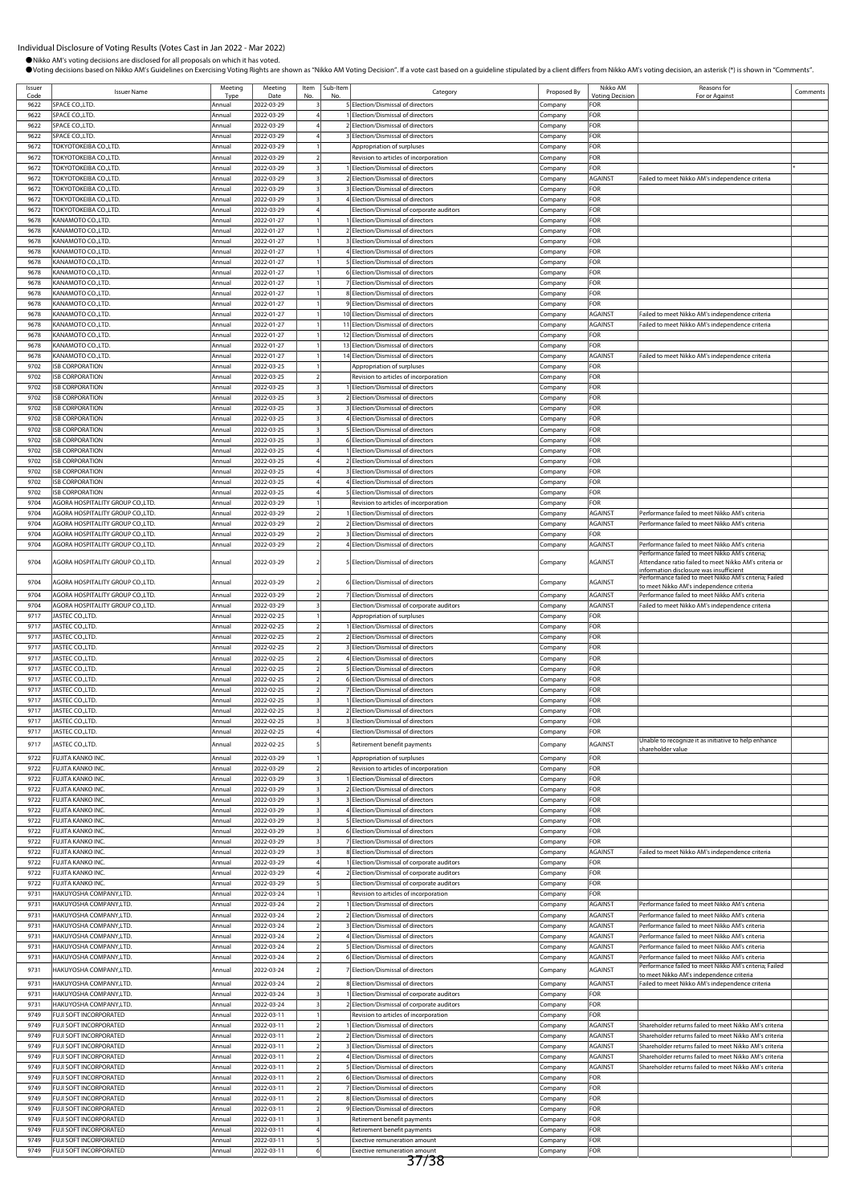Comments

|                | Individual Disclosure of Voting Results (Votes Cast in Jan 2022 - Mar 2022)          |                  |                          |                                  |                |                                                                                                                                                                                                                                |                    |                                    |                                                                                                    |
|----------------|--------------------------------------------------------------------------------------|------------------|--------------------------|----------------------------------|----------------|--------------------------------------------------------------------------------------------------------------------------------------------------------------------------------------------------------------------------------|--------------------|------------------------------------|----------------------------------------------------------------------------------------------------|
|                | ● Nikko AM's voting decisions are disclosed for all proposals on which it has voted. |                  |                          |                                  |                | OVoting decisions based on Nikko AM's Guidelines on Exercising Voting Rights are shown as "Nikko AM Voting Decision". If a vote cast based on a guideline stipulated by a client differs from Nikko AM's voting decision, an a |                    |                                    |                                                                                                    |
| Issuer<br>Code | <b>Issuer Name</b>                                                                   | Meeting<br>Type  | Meeting<br>Date          | Item<br>No.                      | Sub-Item<br>No | Category                                                                                                                                                                                                                       | Proposed By        | Nikko AM<br><b>Voting Decision</b> | Reasons for<br>For or Against                                                                      |
| 9622           | SPACE CO., LTD.                                                                      | Annual           | 2022-03-29               |                                  |                | 5 Election/Dismissal of directors                                                                                                                                                                                              | Company            | FOR                                |                                                                                                    |
| 9622           | SPACE CO., LTD.                                                                      | Annual           | 2022-03-29               |                                  |                | 1 Election/Dismissal of directors                                                                                                                                                                                              | Company            | FOR                                |                                                                                                    |
| 9622<br>9622   | SPACE CO., LTD.<br>SPACE CO., LTD.                                                   | Annual<br>Annual | 2022-03-29<br>2022-03-29 | $\overline{4}$                   |                | 2 Election/Dismissal of directors<br>3 Election/Dismissal of directors                                                                                                                                                         | Company            | FOR<br>FOR                         |                                                                                                    |
| 9672           | TOKYOTOKEIBA CO.,LTD.                                                                | Annual           | 2022-03-29               |                                  |                | Appropriation of surpluses                                                                                                                                                                                                     | Company<br>Company | FOR                                |                                                                                                    |
| 9672           | TOKYOTOKEIBA CO.,LTD.                                                                | Annual           | 2022-03-29               | $\overline{2}$                   |                | Revision to articles of incorporation                                                                                                                                                                                          | Company            | FOR                                |                                                                                                    |
| 9672           | TOKYOTOKEIBA CO.,LTD.                                                                | Annual           | 2022-03-29               | $\overline{\mathbf{3}}$          |                | 1 Election/Dismissal of directors                                                                                                                                                                                              | Company            | FOR                                |                                                                                                    |
| 9672           | TOKYOTOKEIBA CO.,LTD.                                                                | Annual           | 2022-03-29               | 3                                |                | 2 Election/Dismissal of directors                                                                                                                                                                                              | Company            | AGAINST                            | Failed to meet Nikko AM's independence criteria                                                    |
| 9672<br>9672   | TOKYOTOKEIBA CO.,LTD.<br>TOKYOTOKEIBA CO.,LTD.                                       | Annual<br>Annual | 2022-03-29<br>2022-03-29 |                                  |                | <b>BElection/Dismissal of directors</b><br>4 Election/Dismissal of directors                                                                                                                                                   | Company            | FOR<br>FOR                         |                                                                                                    |
| 9672           | TOKYOTOKEIBA CO., LTD.                                                               | Annual           | 2022-03-29               |                                  |                | Election/Dismissal of corporate auditors                                                                                                                                                                                       | Company<br>Company | FOR                                |                                                                                                    |
| 9678           | KANAMOTO CO.,LTD.                                                                    | Annual           | 2022-01-27               |                                  |                | Election/Dismissal of directors                                                                                                                                                                                                | Company            | FOR                                |                                                                                                    |
| 9678           | KANAMOTO CO.,LTD.                                                                    | Annual           | 2022-01-27               | $\overline{1}$                   |                | 2 Election/Dismissal of directors                                                                                                                                                                                              | Company            | FOR                                |                                                                                                    |
| 9678           | KANAMOTO CO.,LTD.                                                                    | Annual           | 2022-01-27               |                                  |                | 3 Election/Dismissal of directors                                                                                                                                                                                              | Company            | FOR                                |                                                                                                    |
| 9678           | KANAMOTO CO.,LTD.                                                                    | Annual           | 2022-01-27               |                                  |                | 4 Election/Dismissal of directors                                                                                                                                                                                              | Company            | FOR                                |                                                                                                    |
| 9678<br>9678   | KANAMOTO CO.,LTD.<br>KANAMOTO CO.,LTD.                                               | Annual<br>Annual | 2022-01-27<br>2022-01-27 |                                  |                | 5 Election/Dismissal of directors<br>6 Election/Dismissal of directors                                                                                                                                                         | .cmpany<br>Company | FOR<br>FOR                         |                                                                                                    |
| 9678           | KANAMOTO CO.,LTD.                                                                    | Annual           | 2022-01-27               |                                  |                | 7 Election/Dismissal of directors                                                                                                                                                                                              | Company            | FOR                                |                                                                                                    |
| 9678           | KANAMOTO CO.,LTD.                                                                    | Annual           | 2022-01-27               |                                  |                | 8 Election/Dismissal of directors                                                                                                                                                                                              | Company            | FOR                                |                                                                                                    |
| 9678           | KANAMOTO CO.,LTD.                                                                    | Annual           | 2022-01-27               |                                  |                | 9 Election/Dismissal of directors                                                                                                                                                                                              | Company            | FOR                                |                                                                                                    |
| 9678           | KANAMOTO CO.,LTD.                                                                    | Annual           | 2022-01-27               |                                  |                | 10 Election/Dismissal of directors                                                                                                                                                                                             | Company            | AGAINST                            | Failed to meet Nikko AM's independence criteria                                                    |
| 9678<br>9678   | KANAMOTO CO.,LTD.<br>KANAMOTO CO.,LTD.                                               | Annual<br>Annual | 2022-01-27<br>2022-01-27 | $\overline{1}$                   |                | 11 Election/Dismissal of directors<br>12 Election/Dismissal of directors                                                                                                                                                       | Company            | AGAINST<br>FOR                     | Failed to meet Nikko AM's independence criteria                                                    |
| 9678           | KANAMOTO CO.,LTD.                                                                    | Annual           | 2022-01-27               |                                  |                | 13 Election/Dismissal of directors                                                                                                                                                                                             | Company<br>Company | FOR                                |                                                                                                    |
| 9678           | KANAMOTO CO.,LTD.                                                                    | Annual           | 2022-01-27               |                                  |                | 14 Election/Dismissal of directors                                                                                                                                                                                             | Company            | AGAINST                            | Failed to meet Nikko AM's independence criteria                                                    |
| 9702           | <b>ISB CORPORATION</b>                                                               | Annual           | 2022-03-25               |                                  |                | Appropriation of surpluses                                                                                                                                                                                                     | Company            | FOR                                |                                                                                                    |
| 9702           | <b>ISB CORPORATION</b>                                                               | Annual           | 2022-03-25               |                                  |                | Revision to articles of incorporation                                                                                                                                                                                          | Company            | FOR                                |                                                                                                    |
| 9702           | <b>ISB CORPORATION</b>                                                               | Annual           | 2022-03-25               | 3                                |                | 1 Election/Dismissal of directors                                                                                                                                                                                              | Company            | FOR<br>FOR                         |                                                                                                    |
| 9702<br>9702   | <b>ISB CORPORATION</b><br><b>ISB CORPORATION</b>                                     | Annual<br>Annual | 2022-03-25<br>2022-03-25 | 3                                |                | 2 Election/Dismissal of directors<br>3 Election/Dismissal of directors                                                                                                                                                         | Company<br>Company | FOR                                |                                                                                                    |
| 9702           | <b>ISB CORPORATION</b>                                                               | Annual           | 2022-03-25               | $\overline{\mathbf{3}}$          |                | 4 Election/Dismissal of directors                                                                                                                                                                                              | Company            | FOR                                |                                                                                                    |
| 9702           | <b>ISB CORPORATION</b>                                                               | Annual           | 2022-03-25               |                                  |                | 5 Election/Dismissal of directors                                                                                                                                                                                              | Company            | FOR                                |                                                                                                    |
| 9702           | <b>ISB CORPORATION</b>                                                               | Annual           | 2022-03-25               | 3                                |                | 6 Election/Dismissal of directors                                                                                                                                                                                              | Company            | FOR                                |                                                                                                    |
| 9702           | <b>ISB CORPORATION</b>                                                               | Annual           | 2022-03-25               |                                  |                | Election/Dismissal of directors                                                                                                                                                                                                | Company            | FOR                                |                                                                                                    |
| 9702<br>9702   | <b>ISB CORPORATION</b><br><b>ISB CORPORATION</b>                                     | Annual<br>Annual | 2022-03-25<br>2022-03-25 |                                  |                | 2 Election/Dismissal of directors<br><b>BElection/Dismissal of directors</b>                                                                                                                                                   | Company            | FOR<br>FOR                         |                                                                                                    |
| 9702           | <b>ISB CORPORATION</b>                                                               | Annual           | 2022-03-25               |                                  |                | 4 Election/Dismissal of directors                                                                                                                                                                                              | Company<br>Company | FOR                                |                                                                                                    |
| 9702           | <b>ISB CORPORATION</b>                                                               | Annual           | 2022-03-25               | $\overline{4}$                   |                | 5 Election/Dismissal of directors                                                                                                                                                                                              | Company            | FOR                                |                                                                                                    |
| 9704           | AGORA HOSPITALITY GROUP CO.,LTD                                                      | Annual           | 2022-03-29               |                                  |                | Revision to articles of incorporation                                                                                                                                                                                          | Company            | FOR                                |                                                                                                    |
| 9704           | AGORA HOSPITALITY GROUP CO., LTD.                                                    | Annual           | 2022-03-29               | $\overline{2}$                   |                | 1 Election/Dismissal of directors                                                                                                                                                                                              | Company            | AGAINST                            | Performance failed to meet Nikko AM's criteria                                                     |
| 9704           | AGORA HOSPITALITY GROUP CO., LTD.                                                    | Annual           | 2022-03-29               | $\overline{z}$<br>$\overline{2}$ |                | 2 Election/Dismissal of directors                                                                                                                                                                                              | Company            | AGAINST                            | Performance failed to meet Nikko AM's criteria                                                     |
| 9704<br>9704   | AGORA HOSPITALITY GROUP CO.,LTD.<br>AGORA HOSPITALITY GROUP CO.,LTD.                 | Annual<br>Annual | 2022-03-29<br>2022-03-29 | $\overline{z}$                   |                | <b>B</b> Election/Dismissal of directors<br>4 Election/Dismissal of directors                                                                                                                                                  | Company<br>Company | FOR<br>AGAINST                     | Performance failed to meet Nikko AM's criteria                                                     |
|                |                                                                                      |                  |                          |                                  |                |                                                                                                                                                                                                                                |                    |                                    | Performance failed to meet Nikko AM's criteria;                                                    |
| 9704           | AGORA HOSPITALITY GROUP CO.,LTD.                                                     | Annual           | 2022-03-29               | 2                                |                | 5 Election/Dismissal of directors                                                                                                                                                                                              | Company            | AGAINST                            | Attendance ratio failed to meet Nikko AM's criteria or<br>information disclosure was insufficient  |
| 9704           | AGORA HOSPITALITY GROUP CO.,LTD.                                                     | Annual           | 2022-03-29               |                                  |                | 6 Election/Dismissal of directors                                                                                                                                                                                              | Company            | AGAINST                            | Performance failed to meet Nikko AM's criteria; Failed<br>to meet Nikko AM's independence criteria |
| 9704           | AGORA HOSPITALITY GROUP CO., LTD.                                                    | Annual           | 2022-03-29               | $\overline{z}$                   |                | 7 Election/Dismissal of directors                                                                                                                                                                                              | Company            | AGAINST                            | Performance failed to meet Nikko AM's criteria                                                     |
| 9704           | AGORA HOSPITALITY GROUP CO.,LTD.                                                     | Annual           | 2022-03-29               | 3                                |                | Election/Dismissal of corporate auditors                                                                                                                                                                                       | Company            | <b>AGAINST</b>                     | Failed to meet Nikko AM's independence criteria                                                    |
| 9717           | JASTEC CO., LTD.                                                                     | Annual           | 2022-02-25               |                                  |                | Appropriation of surpluses                                                                                                                                                                                                     | Company            | FOR                                |                                                                                                    |
| 9717           | JASTEC CO., LTD.<br>JASTEC CO., LTD.                                                 | Annual           | 2022-02-25               | $\overline{2}$                   |                | 1 Election/Dismissal of directors<br>2 Election/Dismissal of directors                                                                                                                                                         | Company            | FOR                                |                                                                                                    |
| 9717<br>9717   | JASTEC CO., LTD.                                                                     | Annual<br>Annual | 2022-02-25<br>2022-02-25 | $\overline{2}$<br>$\overline{2}$ |                | <b>BElection/Dismissal of directors</b>                                                                                                                                                                                        | Company<br>Company | FOR<br>FOR                         |                                                                                                    |
| 9717           | JASTEC CO., LTD.                                                                     | Annual           | 2022-02-25               | $\overline{2}$                   |                | 4 Election/Dismissal of directors                                                                                                                                                                                              | Company            | <b>FOR</b>                         |                                                                                                    |
| 9717           | JASTEC CO., LTD.                                                                     | Annual           | 2022-02-25               | $\overline{z}$                   |                | 5 Election/Dismissal of directors                                                                                                                                                                                              | Company            | FOR                                |                                                                                                    |
| 9717           | JASTEC CO., LTD.                                                                     | Annual           | 2022-02-25               | $\overline{2}$                   |                | 6 Election/Dismissal of directors                                                                                                                                                                                              | Company            | FOR                                |                                                                                                    |
| 9717           | JASTEC CO., LTD.                                                                     | Annual           | 2022-02-25               | $\overline{2}$                   |                | 7 Election/Dismissal of directors                                                                                                                                                                                              | Company            | FOR                                |                                                                                                    |
| 9717           | JASTEC CO.,LTD.                                                                      | Annual           | 2022-02-25               | 3                                |                | 1 Election/Dismissal of directors                                                                                                                                                                                              | Company            | FOR                                |                                                                                                    |
| 9717<br>9717   | JASTEC CO., LTD.<br>JASTEC CO., LTD.                                                 | Annual<br>Annual | 2022-02-25<br>2022-02-25 | $\overline{\mathbf{3}}$<br>3     |                | 2 Election/Dismissal of directors<br><b>BElection/Dismissal of directors</b>                                                                                                                                                   | Company            | FOR<br>FOR                         |                                                                                                    |
| 9717           | JASTEC CO.,LTD.                                                                      | Annual           | 2022-02-25               | $\overline{4}$                   |                | Election/Dismissal of directors                                                                                                                                                                                                | Company<br>Company | FOR                                |                                                                                                    |
| 9717           | JASTEC CO.,LTD.                                                                      | Annual           | 2022-02-25               |                                  |                | Retirement benefit payments                                                                                                                                                                                                    | Company            | AGAINST                            | Unable to recognize it as initiative to help enhance                                               |
| 9722           | FUJITA KANKO INC.                                                                    | Annual           | 2022-03-29               | $\overline{1}$                   |                | Appropriation of surpluses                                                                                                                                                                                                     | Company            | FOR                                | shareholder value                                                                                  |
| 9722           | FUJITA KANKO INC.                                                                    | Annual           | 2022-03-29               | $\overline{2}$                   |                | Revision to articles of incorporation                                                                                                                                                                                          | Company            | FOR                                |                                                                                                    |
| 9722           | FUJITA KANKO INC.                                                                    | Annual           | 2022-03-29               | $\overline{\mathbf{3}}$          |                | 1 Election/Dismissal of directors                                                                                                                                                                                              | Company            | FOR                                |                                                                                                    |
| 9722           | FUJITA KANKO INC.                                                                    | Annual           | 2022-03-29               |                                  |                | 2 Election/Dismissal of directors                                                                                                                                                                                              | Company            | FOR                                |                                                                                                    |
| 9722           | FUJITA KANKO INC.                                                                    | Annual           | 2022-03-29               | 3                                |                | 3 Election/Dismissal of directors                                                                                                                                                                                              | Company            | FOR                                |                                                                                                    |
|                | FUJITA KANKO INC.                                                                    | Annual           | 2022-03-29               |                                  |                | 4 Election/Dismissal of directors                                                                                                                                                                                              | Company            | FOR                                |                                                                                                    |
| 9722<br>9722   | FUJITA KANKO INC.                                                                    | Annual           | 2022-03-29               | 3                                |                | 5 Election/Dismissal of directors                                                                                                                                                                                              | Company            | FOR                                |                                                                                                    |

9722 FUJITA KANKO INC. Annual 2022-03-29 3 7 Election/Dismissal of directors Company FOR

9722 FUJITA KANKO INC. **Annual 2022-03-29 4** 1 Election/Dismissal of corporate auditors Company FOR 9722 FUJITA KANKO INC. Annual 2022-03-29 4 2 Election/Dismissal of corporate auditors Company FOR

9731 HAKUYOSHA COMPANY,LTD. Annual 2022-03-24 1 Revision to articles of incorporation Company FOR

9731 HAKUYOSHA COMPANY,LTD. <br>9749 FUJI SOFT INCORPORATED Annual 2022-03-11 1 Revision to articles of incorporation Company FOR 9749 FUJI SOFT INCORPORATED Annual 2022-03-11 1 Revision to articles of incorporation Company FOR

9749 FUJI SOFT INCORPORATED Annual 2022-03-11 2 6 Election/Dismissal of directors Company FOR<br>9749 FUJI SOFT INCORPORATED Annual 2022-03-11 2 7 Election/Dismissal of directors Company FOR 9749 FUJI SOFT INCORPORATED Annual 2022-03-11 2 7 Election/Dismissal of directors Company 9749 FUJI SOFT INCORPORATED Annual 2022-03-11 2 8 Election/Dismissal of directors Company FOR 9749 FUJI SOFT INCORPORATED Annual 2022-03-11 2 9 Election/Dismissal of directors Company FOR 9749 FUJI SOFT INCORPORATED Annual 2022-03-11 3 Retirement benefit payments Company FOR 9749 FUJI SOFT INCORPORATED **Annual** 2022-03-11 4 Retirement benefit payments Company FOR

PUJI SOFT INCORPORATED Annual 2022-03-11 6

9722 FUJITA KANKO INC. **COMPANY ANNUAL 2022-03-29** 3 8 Election/Dismissal of directors Company AGAINST Failed to meet Nikko AM's independence criteria

om Bany Demond annual 2022-03-24 2 1 Election/Dismissal of directors Company AGAINST Performance failed to meet Nikko AM's criteria annual 2022-03-24 2 Election/Dismissal of directors Company AGAINST Performance failed to

9731 HAKUYOSHA COMPANY,LTD. Annual 2022-03-24 2 3 Election/Dismissal of directors Company AGAINST Performance failed to meet Nikko AM's criteria om the HAKUYOSHA COMPANY,LTD. Annual 2022-03-24 2 4 Election/Dismissal of directors Company AGAINST Performance failed to meet Nikko AM's criteria annual 2022-03-24 2 5 Election/Dismissal of directors Company AGAINST Perfo

9731 HAKUYOSHA COMPANY,LTD. Annual 2022-03-24 2 6 Election/Dismissal of directors Company AGAINST Performance failed to meet Nikko AM's criteria 9731 HAKUYOSHA COMPANY,LTD. Annual 2022-03-24 2 7 Election/Dismissal of directors Company AGAINST Performance failed to meet Nikko AM's criteria; Failed

9749 FUJI SOFT INCORPORATED Annual 2022-03-11 2 1 Election/Dismissal of directors Company AGAINST Shareholder returns failed to meet Nikko AM's criteria 9749 FUJI SOFT INCORPORATED Annual 2022-03-11 2 2 Election/Dismissal of directors Company AGAINST Shareholder returns failed to meet Nikko AM's crit 9749 FUJI SOFT INCORPORATED Annual 2022-03-11 2 3 Election/Dismissal of directors Company AGAINST Shareholder returns failed to meet Nikko AM's criteria 9749 FUJI SOFT INCORPORATED Annual 2022-03-11 2 4 Election/Dismissal of directors Company AGAINST Shareholder returns failed to meet Nikko AM's criteria 9749 FUJI SOFT INCORPORATED Annual 2022-03-11 2 5 Election/Dismissal of directors Company AGAINST Shareholder returns failed to meet Nikko AM's criteria

entity of the May of the May annual 2022-03-24 2 8 Election/Dismissal of directors Company AGAINST Failed to meet Nikko AM's independence criteria<br>19731 HAKUYOSHA COMPANY,LTD. Annual 2022-03-24 3 1 Election/Dismissal of co 8<br>1 Election/Dismissal of directors<br>1 Election/Dismissal of corporate auditors

ersion and the Election/Dismissal of corporate auditors Company FOR Company FOR Company FOR Company FOR Company FOR THE SECTION  $\overline{\phantom{a}}$ 

9731 HAKUYOSHA COMPANY,LTD. Annual 2022-03-24 2 2 Election/Dismissal of directors Company AGAINST Performance failed to meet Nikko AM's criteria

2<br>2 S Election/Dismissal of directors Company AGAINST Performance failed to meet Nikko AM's criteria

to meet Nikko AM's independence criteria